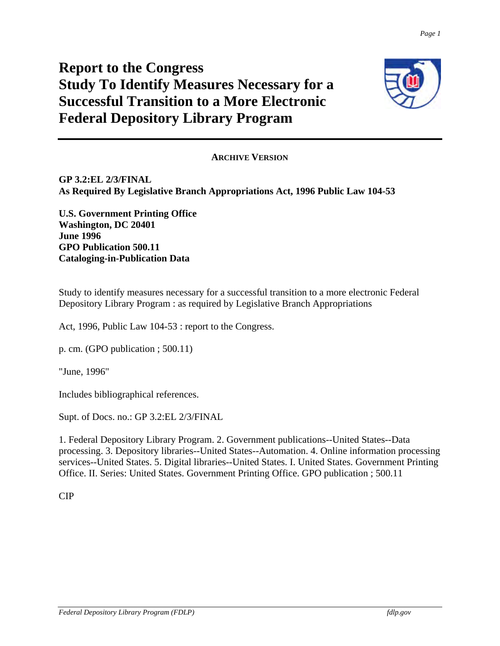# **Report to the Congress Study To Identify Measures Necessary for a Successful Transition to a More Electronic Federal Depository Library Program**



### **ARCHIVE VERSION**

**GP 3.2:EL 2/3/FINAL As Required By Legislative Branch Appropriations Act, 1996 Public Law 104-53** 

**U.S. Government Printing Office Washington, DC 20401 June 1996 GPO Publication 500.11 Cataloging-in-Publication Data** 

Study to identify measures necessary for a successful transition to a more electronic Federal Depository Library Program : as required by Legislative Branch Appropriations

Act, 1996, Public Law 104-53 : report to the Congress.

p. cm. (GPO publication ; 500.11)

"June, 1996"

Includes bibliographical references.

Supt. of Docs. no.: GP 3.2:EL 2/3/FINAL

1. Federal Depository Library Program. 2. Government publications--United States--Data processing. 3. Depository libraries--United States--Automation. 4. Online information processing services--United States. 5. Digital libraries--United States. I. United States. Government Printing Office. II. Series: United States. Government Printing Office. GPO publication ; 500.11

CIP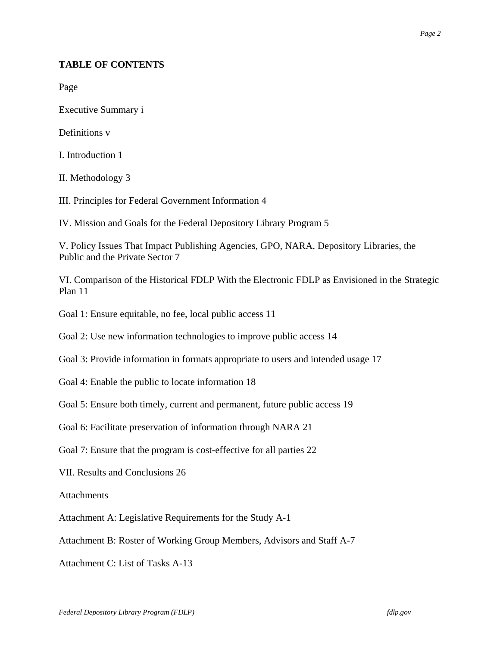### **TABLE OF CONTENTS**

Page

Executive Summary i

Definitions v

I. Introduction 1

II. Methodology 3

III. Principles for Federal Government Information 4

IV. Mission and Goals for the Federal Depository Library Program 5

V. Policy Issues That Impact Publishing Agencies, GPO, NARA, Depository Libraries, the Public and the Private Sector 7

VI. Comparison of the Historical FDLP With the Electronic FDLP as Envisioned in the Strategic Plan 11

Goal 1: Ensure equitable, no fee, local public access 11

Goal 2: Use new information technologies to improve public access 14

Goal 3: Provide information in formats appropriate to users and intended usage 17

Goal 4: Enable the public to locate information 18

Goal 5: Ensure both timely, current and permanent, future public access 19

Goal 6: Facilitate preservation of information through NARA 21

Goal 7: Ensure that the program is cost-effective for all parties 22

VII. Results and Conclusions 26

**Attachments** 

Attachment A: Legislative Requirements for the Study A-1

Attachment B: Roster of Working Group Members, Advisors and Staff A-7

Attachment C: List of Tasks A-13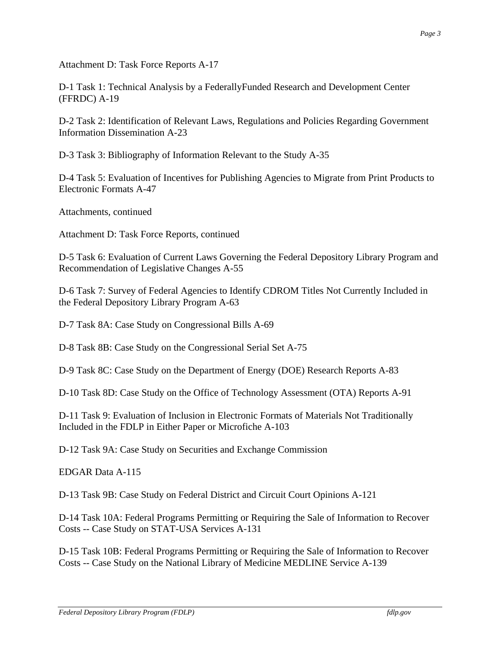Attachment D: Task Force Reports A-17

D-1 Task 1: Technical Analysis by a FederallyFunded Research and Development Center (FFRDC) A-19

D-2 Task 2: Identification of Relevant Laws, Regulations and Policies Regarding Government Information Dissemination A-23

D-3 Task 3: Bibliography of Information Relevant to the Study A-35

D-4 Task 5: Evaluation of Incentives for Publishing Agencies to Migrate from Print Products to Electronic Formats A-47

Attachments, continued

Attachment D: Task Force Reports, continued

D-5 Task 6: Evaluation of Current Laws Governing the Federal Depository Library Program and Recommendation of Legislative Changes A-55

D-6 Task 7: Survey of Federal Agencies to Identify CDROM Titles Not Currently Included in the Federal Depository Library Program A-63

D-7 Task 8A: Case Study on Congressional Bills A-69

D-8 Task 8B: Case Study on the Congressional Serial Set A-75

D-9 Task 8C: Case Study on the Department of Energy (DOE) Research Reports A-83

D-10 Task 8D: Case Study on the Office of Technology Assessment (OTA) Reports A-91

D-11 Task 9: Evaluation of Inclusion in Electronic Formats of Materials Not Traditionally Included in the FDLP in Either Paper or Microfiche A-103

D-12 Task 9A: Case Study on Securities and Exchange Commission

EDGAR Data A-115

D-13 Task 9B: Case Study on Federal District and Circuit Court Opinions A-121

D-14 Task 10A: Federal Programs Permitting or Requiring the Sale of Information to Recover Costs -- Case Study on STAT-USA Services A-131

D-15 Task 10B: Federal Programs Permitting or Requiring the Sale of Information to Recover Costs -- Case Study on the National Library of Medicine MEDLINE Service A-139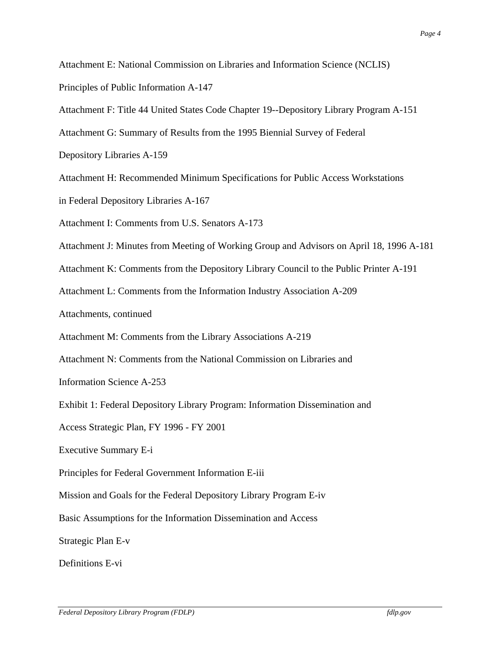- Attachment E: National Commission on Libraries and Information Science (NCLIS)
- Principles of Public Information A-147
- Attachment F: Title 44 United States Code Chapter 19--Depository Library Program A-151
- Attachment G: Summary of Results from the 1995 Biennial Survey of Federal
- Depository Libraries A-159
- Attachment H: Recommended Minimum Specifications for Public Access Workstations
- in Federal Depository Libraries A-167
- Attachment I: Comments from U.S. Senators A-173
- Attachment J: Minutes from Meeting of Working Group and Advisors on April 18, 1996 A-181
- Attachment K: Comments from the Depository Library Council to the Public Printer A-191
- Attachment L: Comments from the Information Industry Association A-209
- Attachments, continued
- Attachment M: Comments from the Library Associations A-219
- Attachment N: Comments from the National Commission on Libraries and
- Information Science A-253
- Exhibit 1: Federal Depository Library Program: Information Dissemination and
- Access Strategic Plan, FY 1996 FY 2001
- Executive Summary E-i
- Principles for Federal Government Information E-iii
- Mission and Goals for the Federal Depository Library Program E-iv
- Basic Assumptions for the Information Dissemination and Access
- Strategic Plan E-v
- Definitions E-vi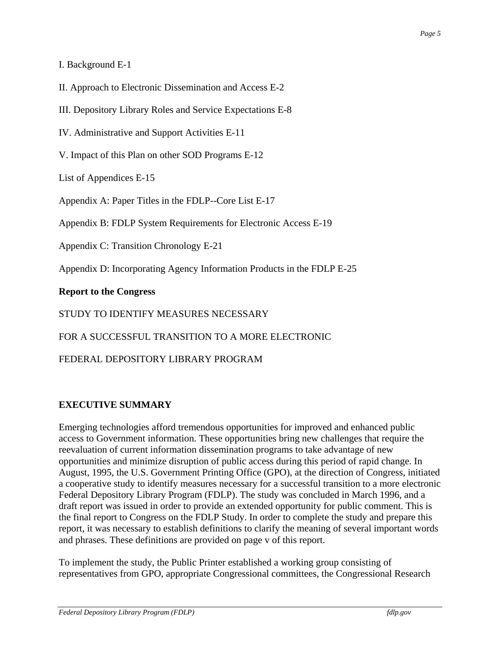#### I. Background E-1

II. Approach to Electronic Dissemination and Access E-2

III. Depository Library Roles and Service Expectations E-8

IV. Administrative and Support Activities E-11

V. Impact of this Plan on other SOD Programs E-12

List of Appendices E-15

Appendix A: Paper Titles in the FDLP--Core List E-17

Appendix B: FDLP System Requirements for Electronic Access E-19

Appendix C: Transition Chronology E-21

Appendix D: Incorporating Agency Information Products in the FDLP E-25

**Report to the Congress**

STUDY TO IDENTIFY MEASURES NECESSARY

FOR A SUCCESSFUL TRANSITION TO A MORE ELECTRONIC

FEDERAL DEPOSITORY LIBRARY PROGRAM

#### **EXECUTIVE SUMMARY**

Emerging technologies afford tremendous opportunities for improved and enhanced public access to Government information. These opportunities bring new challenges that require the reevaluation of current information dissemination programs to take advantage of new opportunities and minimize disruption of public access during this period of rapid change. In August, 1995, the U.S. Government Printing Office (GPO), at the direction of Congress, initiated a cooperative study to identify measures necessary for a successful transition to a more electronic Federal Depository Library Program (FDLP). The study was concluded in March 1996, and a draft report was issued in order to provide an extended opportunity for public comment. This is the final report to Congress on the FDLP Study. In order to complete the study and prepare this report, it was necessary to establish definitions to clarify the meaning of several important words and phrases. These definitions are provided on page v of this report.

To implement the study, the Public Printer established a working group consisting of representatives from GPO, appropriate Congressional committees, the Congressional Research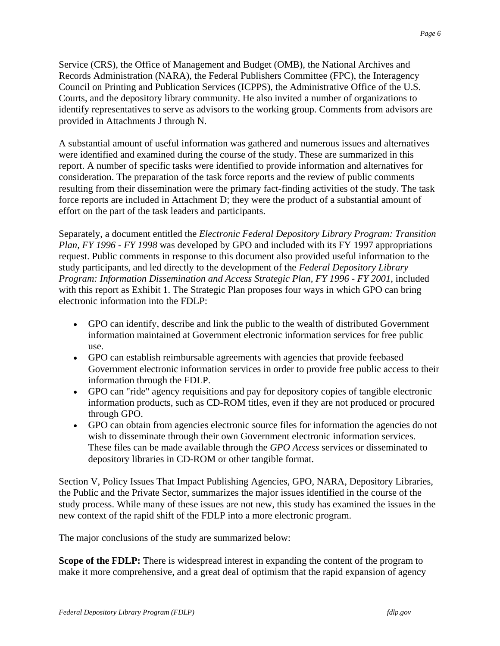Service (CRS), the Office of Management and Budget (OMB), the National Archives and Records Administration (NARA), the Federal Publishers Committee (FPC), the Interagency Council on Printing and Publication Services (ICPPS), the Administrative Office of the U.S. Courts, and the depository library community. He also invited a number of organizations to identify representatives to serve as advisors to the working group. Comments from advisors are provided in Attachments J through N.

A substantial amount of useful information was gathered and numerous issues and alternatives were identified and examined during the course of the study. These are summarized in this report. A number of specific tasks were identified to provide information and alternatives for consideration. The preparation of the task force reports and the review of public comments resulting from their dissemination were the primary fact-finding activities of the study. The task force reports are included in Attachment D; they were the product of a substantial amount of effort on the part of the task leaders and participants.

Separately, a document entitled the *Electronic Federal Depository Library Program: Transition Plan, FY 1996 - FY 1998* was developed by GPO and included with its FY 1997 appropriations request. Public comments in response to this document also provided useful information to the study participants, and led directly to the development of the *Federal Depository Library Program: Information Dissemination and Access Strategic Plan, FY 1996 - FY 2001*, included with this report as Exhibit 1. The Strategic Plan proposes four ways in which GPO can bring electronic information into the FDLP:

- GPO can identify, describe and link the public to the wealth of distributed Government information maintained at Government electronic information services for free public use.
- GPO can establish reimbursable agreements with agencies that provide feebased Government electronic information services in order to provide free public access to their information through the FDLP.
- GPO can "ride" agency requisitions and pay for depository copies of tangible electronic information products, such as CD-ROM titles, even if they are not produced or procured through GPO.
- GPO can obtain from agencies electronic source files for information the agencies do not wish to disseminate through their own Government electronic information services. These files can be made available through the *GPO Access* services or disseminated to depository libraries in CD-ROM or other tangible format.

Section V, Policy Issues That Impact Publishing Agencies, GPO, NARA, Depository Libraries, the Public and the Private Sector, summarizes the major issues identified in the course of the study process. While many of these issues are not new, this study has examined the issues in the new context of the rapid shift of the FDLP into a more electronic program.

The major conclusions of the study are summarized below:

**Scope of the FDLP:** There is widespread interest in expanding the content of the program to make it more comprehensive, and a great deal of optimism that the rapid expansion of agency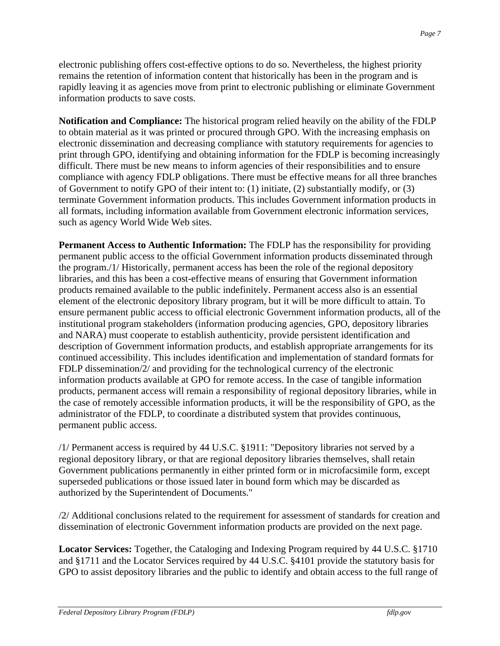electronic publishing offers cost-effective options to do so. Nevertheless, the highest priority remains the retention of information content that historically has been in the program and is rapidly leaving it as agencies move from print to electronic publishing or eliminate Government information products to save costs.

**Notification and Compliance:** The historical program relied heavily on the ability of the FDLP to obtain material as it was printed or procured through GPO. With the increasing emphasis on electronic dissemination and decreasing compliance with statutory requirements for agencies to print through GPO, identifying and obtaining information for the FDLP is becoming increasingly difficult. There must be new means to inform agencies of their responsibilities and to ensure compliance with agency FDLP obligations. There must be effective means for all three branches of Government to notify GPO of their intent to: (1) initiate, (2) substantially modify, or (3) terminate Government information products. This includes Government information products in all formats, including information available from Government electronic information services, such as agency World Wide Web sites.

**Permanent Access to Authentic Information:** The FDLP has the responsibility for providing permanent public access to the official Government information products disseminated through the program./1/ Historically, permanent access has been the role of the regional depository libraries, and this has been a cost-effective means of ensuring that Government information products remained available to the public indefinitely. Permanent access also is an essential element of the electronic depository library program, but it will be more difficult to attain. To ensure permanent public access to official electronic Government information products, all of the institutional program stakeholders (information producing agencies, GPO, depository libraries and NARA) must cooperate to establish authenticity, provide persistent identification and description of Government information products, and establish appropriate arrangements for its continued accessibility. This includes identification and implementation of standard formats for FDLP dissemination/2/ and providing for the technological currency of the electronic information products available at GPO for remote access. In the case of tangible information products, permanent access will remain a responsibility of regional depository libraries, while in the case of remotely accessible information products, it will be the responsibility of GPO, as the administrator of the FDLP, to coordinate a distributed system that provides continuous, permanent public access.

/1/ Permanent access is required by 44 U.S.C. §1911: "Depository libraries not served by a regional depository library, or that are regional depository libraries themselves, shall retain Government publications permanently in either printed form or in microfacsimile form, except superseded publications or those issued later in bound form which may be discarded as authorized by the Superintendent of Documents."

/2/ Additional conclusions related to the requirement for assessment of standards for creation and dissemination of electronic Government information products are provided on the next page.

**Locator Services:** Together, the Cataloging and Indexing Program required by 44 U.S.C. §1710 and §1711 and the Locator Services required by 44 U.S.C. §4101 provide the statutory basis for GPO to assist depository libraries and the public to identify and obtain access to the full range of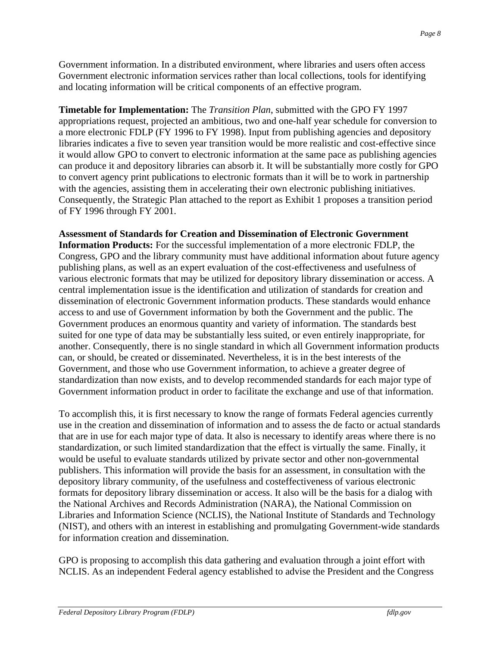Government information. In a distributed environment, where libraries and users often access Government electronic information services rather than local collections, tools for identifying and locating information will be critical components of an effective program.

**Timetable for Implementation:** The *Transition Plan*, submitted with the GPO FY 1997 appropriations request, projected an ambitious, two and one-half year schedule for conversion to a more electronic FDLP (FY 1996 to FY 1998). Input from publishing agencies and depository libraries indicates a five to seven year transition would be more realistic and cost-effective since it would allow GPO to convert to electronic information at the same pace as publishing agencies can produce it and depository libraries can absorb it. It will be substantially more costly for GPO to convert agency print publications to electronic formats than it will be to work in partnership with the agencies, assisting them in accelerating their own electronic publishing initiatives. Consequently, the Strategic Plan attached to the report as Exhibit 1 proposes a transition period of FY 1996 through FY 2001.

### **Assessment of Standards for Creation and Dissemination of Electronic Government**

**Information Products:** For the successful implementation of a more electronic FDLP, the Congress, GPO and the library community must have additional information about future agency publishing plans, as well as an expert evaluation of the cost-effectiveness and usefulness of various electronic formats that may be utilized for depository library dissemination or access. A central implementation issue is the identification and utilization of standards for creation and dissemination of electronic Government information products. These standards would enhance access to and use of Government information by both the Government and the public. The Government produces an enormous quantity and variety of information. The standards best suited for one type of data may be substantially less suited, or even entirely inappropriate, for another. Consequently, there is no single standard in which all Government information products can, or should, be created or disseminated. Nevertheless, it is in the best interests of the Government, and those who use Government information, to achieve a greater degree of standardization than now exists, and to develop recommended standards for each major type of Government information product in order to facilitate the exchange and use of that information.

To accomplish this, it is first necessary to know the range of formats Federal agencies currently use in the creation and dissemination of information and to assess the de facto or actual standards that are in use for each major type of data. It also is necessary to identify areas where there is no standardization, or such limited standardization that the effect is virtually the same. Finally, it would be useful to evaluate standards utilized by private sector and other non-governmental publishers. This information will provide the basis for an assessment, in consultation with the depository library community, of the usefulness and costeffectiveness of various electronic formats for depository library dissemination or access. It also will be the basis for a dialog with the National Archives and Records Administration (NARA), the National Commission on Libraries and Information Science (NCLIS), the National Institute of Standards and Technology (NIST), and others with an interest in establishing and promulgating Government-wide standards for information creation and dissemination.

GPO is proposing to accomplish this data gathering and evaluation through a joint effort with NCLIS. As an independent Federal agency established to advise the President and the Congress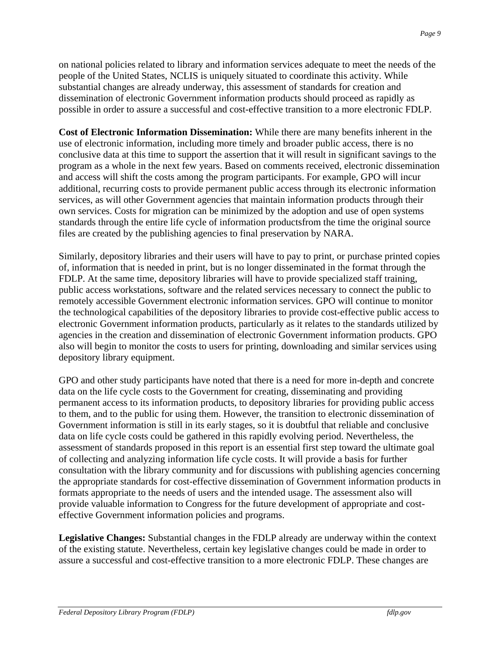on national policies related to library and information services adequate to meet the needs of the people of the United States, NCLIS is uniquely situated to coordinate this activity. While substantial changes are already underway, this assessment of standards for creation and dissemination of electronic Government information products should proceed as rapidly as possible in order to assure a successful and cost-effective transition to a more electronic FDLP.

**Cost of Electronic Information Dissemination:** While there are many benefits inherent in the use of electronic information, including more timely and broader public access, there is no conclusive data at this time to support the assertion that it will result in significant savings to the program as a whole in the next few years. Based on comments received, electronic dissemination and access will shift the costs among the program participants. For example, GPO will incur additional, recurring costs to provide permanent public access through its electronic information services, as will other Government agencies that maintain information products through their own services. Costs for migration can be minimized by the adoption and use of open systems standards through the entire life cycle of information productsfrom the time the original source files are created by the publishing agencies to final preservation by NARA.

Similarly, depository libraries and their users will have to pay to print, or purchase printed copies of, information that is needed in print, but is no longer disseminated in the format through the FDLP. At the same time, depository libraries will have to provide specialized staff training, public access workstations, software and the related services necessary to connect the public to remotely accessible Government electronic information services. GPO will continue to monitor the technological capabilities of the depository libraries to provide cost-effective public access to electronic Government information products, particularly as it relates to the standards utilized by agencies in the creation and dissemination of electronic Government information products. GPO also will begin to monitor the costs to users for printing, downloading and similar services using depository library equipment.

GPO and other study participants have noted that there is a need for more in-depth and concrete data on the life cycle costs to the Government for creating, disseminating and providing permanent access to its information products, to depository libraries for providing public access to them, and to the public for using them. However, the transition to electronic dissemination of Government information is still in its early stages, so it is doubtful that reliable and conclusive data on life cycle costs could be gathered in this rapidly evolving period. Nevertheless, the assessment of standards proposed in this report is an essential first step toward the ultimate goal of collecting and analyzing information life cycle costs. It will provide a basis for further consultation with the library community and for discussions with publishing agencies concerning the appropriate standards for cost-effective dissemination of Government information products in formats appropriate to the needs of users and the intended usage. The assessment also will provide valuable information to Congress for the future development of appropriate and costeffective Government information policies and programs.

**Legislative Changes:** Substantial changes in the FDLP already are underway within the context of the existing statute. Nevertheless, certain key legislative changes could be made in order to assure a successful and cost-effective transition to a more electronic FDLP. These changes are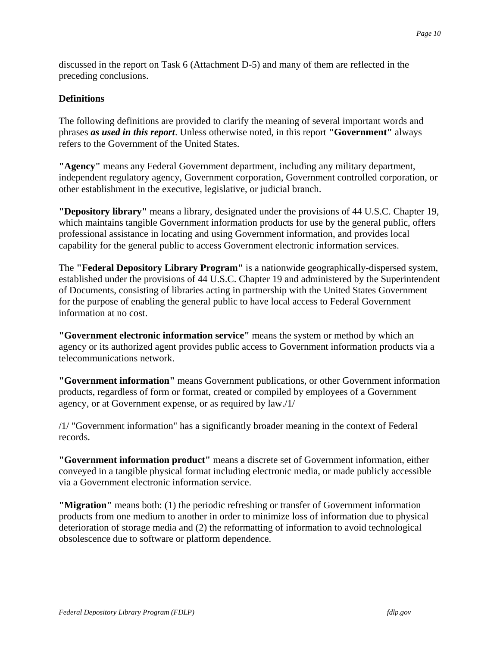discussed in the report on Task 6 (Attachment D-5) and many of them are reflected in the preceding conclusions.

### **Definitions**

The following definitions are provided to clarify the meaning of several important words and phrases *as used in this report*. Unless otherwise noted, in this report **"Government"** always refers to the Government of the United States.

**"Agency"** means any Federal Government department, including any military department, independent regulatory agency, Government corporation, Government controlled corporation, or other establishment in the executive, legislative, or judicial branch.

**"Depository library"** means a library, designated under the provisions of 44 U.S.C. Chapter 19, which maintains tangible Government information products for use by the general public, offers professional assistance in locating and using Government information, and provides local capability for the general public to access Government electronic information services.

The **"Federal Depository Library Program"** is a nationwide geographically-dispersed system, established under the provisions of 44 U.S.C. Chapter 19 and administered by the Superintendent of Documents, consisting of libraries acting in partnership with the United States Government for the purpose of enabling the general public to have local access to Federal Government information at no cost.

**"Government electronic information service"** means the system or method by which an agency or its authorized agent provides public access to Government information products via a telecommunications network.

**"Government information"** means Government publications, or other Government information products, regardless of form or format, created or compiled by employees of a Government agency, or at Government expense, or as required by law./1/

/1/ "Government information" has a significantly broader meaning in the context of Federal records.

**"Government information product"** means a discrete set of Government information, either conveyed in a tangible physical format including electronic media, or made publicly accessible via a Government electronic information service.

**"Migration"** means both: (1) the periodic refreshing or transfer of Government information products from one medium to another in order to minimize loss of information due to physical deterioration of storage media and (2) the reformatting of information to avoid technological obsolescence due to software or platform dependence.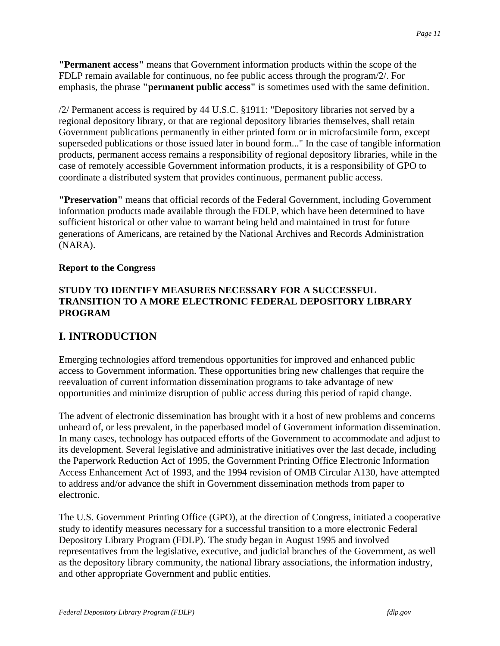**"Permanent access"** means that Government information products within the scope of the FDLP remain available for continuous, no fee public access through the program/2/. For emphasis, the phrase **"permanent public access"** is sometimes used with the same definition.

/2/ Permanent access is required by 44 U.S.C. §1911: "Depository libraries not served by a regional depository library, or that are regional depository libraries themselves, shall retain Government publications permanently in either printed form or in microfacsimile form, except superseded publications or those issued later in bound form..." In the case of tangible information products, permanent access remains a responsibility of regional depository libraries, while in the case of remotely accessible Government information products, it is a responsibility of GPO to coordinate a distributed system that provides continuous, permanent public access.

**"Preservation"** means that official records of the Federal Government, including Government information products made available through the FDLP, which have been determined to have sufficient historical or other value to warrant being held and maintained in trust for future generations of Americans, are retained by the National Archives and Records Administration (NARA).

### **Report to the Congress**

### **STUDY TO IDENTIFY MEASURES NECESSARY FOR A SUCCESSFUL TRANSITION TO A MORE ELECTRONIC FEDERAL DEPOSITORY LIBRARY PROGRAM**

# **I. INTRODUCTION**

Emerging technologies afford tremendous opportunities for improved and enhanced public access to Government information. These opportunities bring new challenges that require the reevaluation of current information dissemination programs to take advantage of new opportunities and minimize disruption of public access during this period of rapid change.

The advent of electronic dissemination has brought with it a host of new problems and concerns unheard of, or less prevalent, in the paperbased model of Government information dissemination. In many cases, technology has outpaced efforts of the Government to accommodate and adjust to its development. Several legislative and administrative initiatives over the last decade, including the Paperwork Reduction Act of 1995, the Government Printing Office Electronic Information Access Enhancement Act of 1993, and the 1994 revision of OMB Circular A130, have attempted to address and/or advance the shift in Government dissemination methods from paper to electronic.

The U.S. Government Printing Office (GPO), at the direction of Congress, initiated a cooperative study to identify measures necessary for a successful transition to a more electronic Federal Depository Library Program (FDLP). The study began in August 1995 and involved representatives from the legislative, executive, and judicial branches of the Government, as well as the depository library community, the national library associations, the information industry, and other appropriate Government and public entities.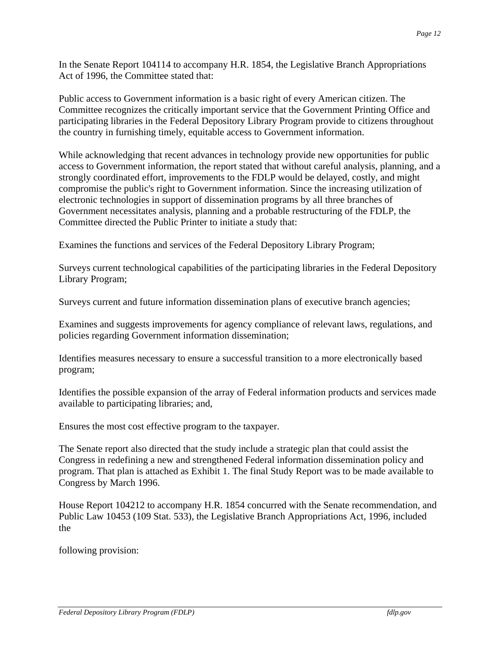In the Senate Report 104114 to accompany H.R. 1854, the Legislative Branch Appropriations Act of 1996, the Committee stated that:

Public access to Government information is a basic right of every American citizen. The Committee recognizes the critically important service that the Government Printing Office and participating libraries in the Federal Depository Library Program provide to citizens throughout the country in furnishing timely, equitable access to Government information.

While acknowledging that recent advances in technology provide new opportunities for public access to Government information, the report stated that without careful analysis, planning, and a strongly coordinated effort, improvements to the FDLP would be delayed, costly, and might compromise the public's right to Government information. Since the increasing utilization of electronic technologies in support of dissemination programs by all three branches of Government necessitates analysis, planning and a probable restructuring of the FDLP, the Committee directed the Public Printer to initiate a study that:

Examines the functions and services of the Federal Depository Library Program;

Surveys current technological capabilities of the participating libraries in the Federal Depository Library Program;

Surveys current and future information dissemination plans of executive branch agencies;

Examines and suggests improvements for agency compliance of relevant laws, regulations, and policies regarding Government information dissemination;

Identifies measures necessary to ensure a successful transition to a more electronically based program;

Identifies the possible expansion of the array of Federal information products and services made available to participating libraries; and,

Ensures the most cost effective program to the taxpayer.

The Senate report also directed that the study include a strategic plan that could assist the Congress in redefining a new and strengthened Federal information dissemination policy and program. That plan is attached as Exhibit 1. The final Study Report was to be made available to Congress by March 1996.

House Report 104212 to accompany H.R. 1854 concurred with the Senate recommendation, and Public Law 10453 (109 Stat. 533), the Legislative Branch Appropriations Act, 1996, included the

following provision: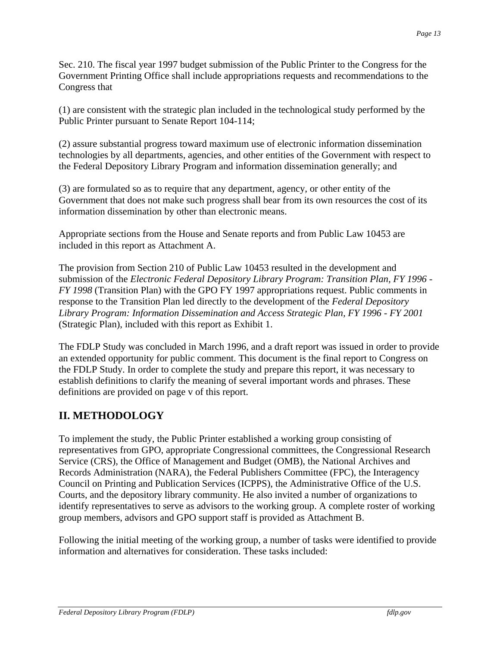Sec. 210. The fiscal year 1997 budget submission of the Public Printer to the Congress for the Government Printing Office shall include appropriations requests and recommendations to the Congress that

(1) are consistent with the strategic plan included in the technological study performed by the Public Printer pursuant to Senate Report 104-114;

(2) assure substantial progress toward maximum use of electronic information dissemination technologies by all departments, agencies, and other entities of the Government with respect to the Federal Depository Library Program and information dissemination generally; and

(3) are formulated so as to require that any department, agency, or other entity of the Government that does not make such progress shall bear from its own resources the cost of its information dissemination by other than electronic means.

Appropriate sections from the House and Senate reports and from Public Law 10453 are included in this report as Attachment A.

The provision from Section 210 of Public Law 10453 resulted in the development and submission of the *Electronic Federal Depository Library Program: Transition Plan, FY 1996 - FY 1998* (Transition Plan) with the GPO FY 1997 appropriations request. Public comments in response to the Transition Plan led directly to the development of the *Federal Depository Library Program: Information Dissemination and Access Strategic Plan, FY 1996 - FY 2001* (Strategic Plan), included with this report as Exhibit 1.

The FDLP Study was concluded in March 1996, and a draft report was issued in order to provide an extended opportunity for public comment. This document is the final report to Congress on the FDLP Study. In order to complete the study and prepare this report, it was necessary to establish definitions to clarify the meaning of several important words and phrases. These definitions are provided on page v of this report.

# **II. METHODOLOGY**

To implement the study, the Public Printer established a working group consisting of representatives from GPO, appropriate Congressional committees, the Congressional Research Service (CRS), the Office of Management and Budget (OMB), the National Archives and Records Administration (NARA), the Federal Publishers Committee (FPC), the Interagency Council on Printing and Publication Services (ICPPS), the Administrative Office of the U.S. Courts, and the depository library community. He also invited a number of organizations to identify representatives to serve as advisors to the working group. A complete roster of working group members, advisors and GPO support staff is provided as Attachment B.

Following the initial meeting of the working group, a number of tasks were identified to provide information and alternatives for consideration. These tasks included: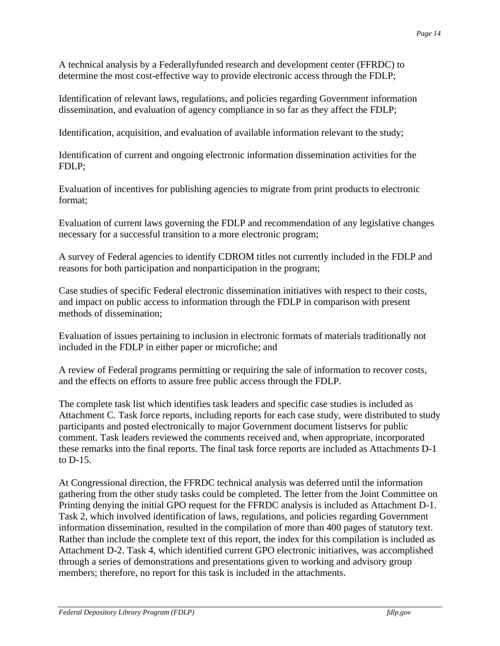A technical analysis by a Federallyfunded research and development center (FFRDC) to determine the most cost-effective way to provide electronic access through the FDLP;

Identification of relevant laws, regulations, and policies regarding Government information dissemination, and evaluation of agency compliance in so far as they affect the FDLP;

Identification, acquisition, and evaluation of available information relevant to the study;

Identification of current and ongoing electronic information dissemination activities for the FDLP;

Evaluation of incentives for publishing agencies to migrate from print products to electronic format;

Evaluation of current laws governing the FDLP and recommendation of any legislative changes necessary for a successful transition to a more electronic program;

A survey of Federal agencies to identify CDROM titles not currently included in the FDLP and reasons for both participation and nonparticipation in the program;

Case studies of specific Federal electronic dissemination initiatives with respect to their costs, and impact on public access to information through the FDLP in comparison with present methods of dissemination;

Evaluation of issues pertaining to inclusion in electronic formats of materials traditionally not included in the FDLP in either paper or microfiche; and

A review of Federal programs permitting or requiring the sale of information to recover costs, and the effects on efforts to assure free public access through the FDLP.

The complete task list which identifies task leaders and specific case studies is included as Attachment C. Task force reports, including reports for each case study, were distributed to study participants and posted electronically to major Government document listservs for public comment. Task leaders reviewed the comments received and, when appropriate, incorporated these remarks into the final reports. The final task force reports are included as Attachments D-1 to D-15.

At Congressional direction, the FFRDC technical analysis was deferred until the information gathering from the other study tasks could be completed. The letter from the Joint Committee on Printing denying the initial GPO request for the FFRDC analysis is included as Attachment D-1. Task 2, which involved identification of laws, regulations, and policies regarding Government information dissemination, resulted in the compilation of more than 400 pages of statutory text. Rather than include the complete text of this report, the index for this compilation is included as Attachment D-2. Task 4, which identified current GPO electronic initiatives, was accomplished through a series of demonstrations and presentations given to working and advisory group members; therefore, no report for this task is included in the attachments.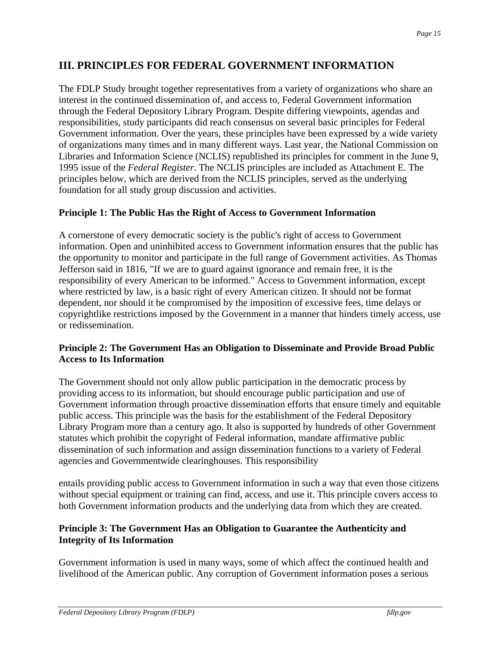# **III. PRINCIPLES FOR FEDERAL GOVERNMENT INFORMATION**

The FDLP Study brought together representatives from a variety of organizations who share an interest in the continued dissemination of, and access to, Federal Government information through the Federal Depository Library Program. Despite differing viewpoints, agendas and responsibilities, study participants did reach consensus on several basic principles for Federal Government information. Over the years, these principles have been expressed by a wide variety of organizations many times and in many different ways. Last year, the National Commission on Libraries and Information Science (NCLIS) republished its principles for comment in the June 9, 1995 issue of the *Federal Register*. The NCLIS principles are included as Attachment E. The principles below, which are derived from the NCLIS principles, served as the underlying foundation for all study group discussion and activities.

### **Principle 1: The Public Has the Right of Access to Government Information**

A cornerstone of every democratic society is the public's right of access to Government information. Open and uninhibited access to Government information ensures that the public has the opportunity to monitor and participate in the full range of Government activities. As Thomas Jefferson said in 1816, "If we are to guard against ignorance and remain free, it is the responsibility of every American to be informed." Access to Government information, except where restricted by law, is a basic right of every American citizen. It should not be format dependent, nor should it be compromised by the imposition of excessive fees, time delays or copyrightlike restrictions imposed by the Government in a manner that hinders timely access, use or redissemination.

#### **Principle 2: The Government Has an Obligation to Disseminate and Provide Broad Public Access to Its Information**

The Government should not only allow public participation in the democratic process by providing access to its information, but should encourage public participation and use of Government information through proactive dissemination efforts that ensure timely and equitable public access. This principle was the basis for the establishment of the Federal Depository Library Program more than a century ago. It also is supported by hundreds of other Government statutes which prohibit the copyright of Federal information, mandate affirmative public dissemination of such information and assign dissemination functions to a variety of Federal agencies and Governmentwide clearinghouses. This responsibility

entails providing public access to Government information in such a way that even those citizens without special equipment or training can find, access, and use it. This principle covers access to both Government information products and the underlying data from which they are created.

### **Principle 3: The Government Has an Obligation to Guarantee the Authenticity and Integrity of Its Information**

Government information is used in many ways, some of which affect the continued health and livelihood of the American public. Any corruption of Government information poses a serious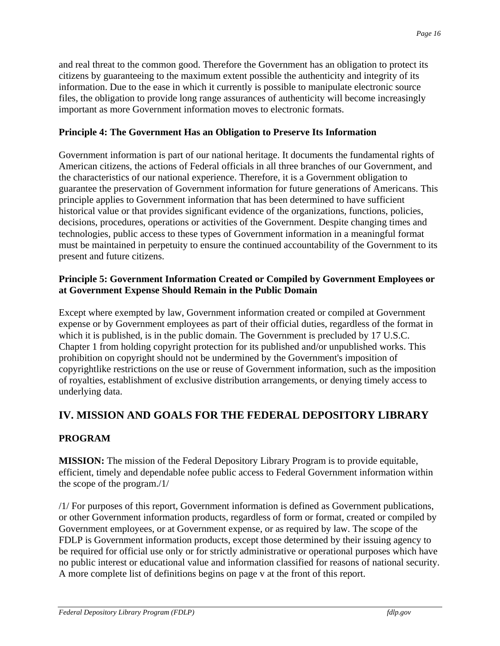and real threat to the common good. Therefore the Government has an obligation to protect its citizens by guaranteeing to the maximum extent possible the authenticity and integrity of its information. Due to the ease in which it currently is possible to manipulate electronic source files, the obligation to provide long range assurances of authenticity will become increasingly important as more Government information moves to electronic formats.

### **Principle 4: The Government Has an Obligation to Preserve Its Information**

Government information is part of our national heritage. It documents the fundamental rights of American citizens, the actions of Federal officials in all three branches of our Government, and the characteristics of our national experience. Therefore, it is a Government obligation to guarantee the preservation of Government information for future generations of Americans. This principle applies to Government information that has been determined to have sufficient historical value or that provides significant evidence of the organizations, functions, policies, decisions, procedures, operations or activities of the Government. Despite changing times and technologies, public access to these types of Government information in a meaningful format must be maintained in perpetuity to ensure the continued accountability of the Government to its present and future citizens.

### **Principle 5: Government Information Created or Compiled by Government Employees or at Government Expense Should Remain in the Public Domain**

Except where exempted by law, Government information created or compiled at Government expense or by Government employees as part of their official duties, regardless of the format in which it is published, is in the public domain. The Government is precluded by 17 U.S.C. Chapter 1 from holding copyright protection for its published and/or unpublished works. This prohibition on copyright should not be undermined by the Government's imposition of copyrightlike restrictions on the use or reuse of Government information, such as the imposition of royalties, establishment of exclusive distribution arrangements, or denying timely access to underlying data.

### **IV. MISSION AND GOALS FOR THE FEDERAL DEPOSITORY LIBRARY**

### **PROGRAM**

**MISSION:** The mission of the Federal Depository Library Program is to provide equitable, efficient, timely and dependable nofee public access to Federal Government information within the scope of the program./1/

/1/ For purposes of this report, Government information is defined as Government publications, or other Government information products, regardless of form or format, created or compiled by Government employees, or at Government expense, or as required by law. The scope of the FDLP is Government information products, except those determined by their issuing agency to be required for official use only or for strictly administrative or operational purposes which have no public interest or educational value and information classified for reasons of national security. A more complete list of definitions begins on page v at the front of this report.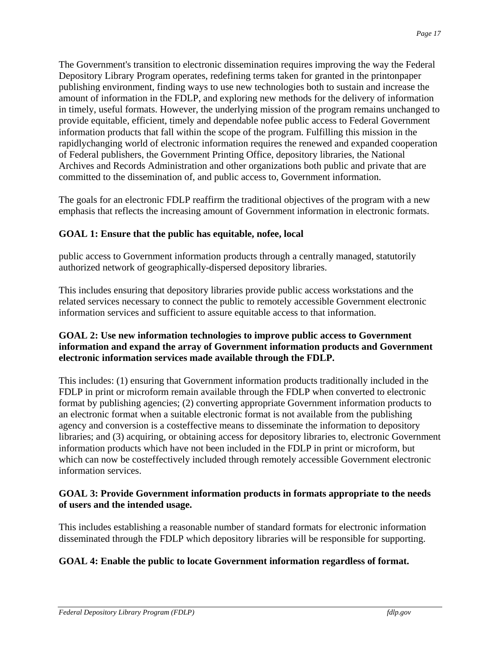The Government's transition to electronic dissemination requires improving the way the Federal Depository Library Program operates, redefining terms taken for granted in the printonpaper publishing environment, finding ways to use new technologies both to sustain and increase the amount of information in the FDLP, and exploring new methods for the delivery of information in timely, useful formats. However, the underlying mission of the program remains unchanged to provide equitable, efficient, timely and dependable nofee public access to Federal Government information products that fall within the scope of the program. Fulfilling this mission in the rapidlychanging world of electronic information requires the renewed and expanded cooperation of Federal publishers, the Government Printing Office, depository libraries, the National Archives and Records Administration and other organizations both public and private that are committed to the dissemination of, and public access to, Government information.

The goals for an electronic FDLP reaffirm the traditional objectives of the program with a new emphasis that reflects the increasing amount of Government information in electronic formats.

### **GOAL 1: Ensure that the public has equitable, nofee, local**

public access to Government information products through a centrally managed, statutorily authorized network of geographically-dispersed depository libraries.

This includes ensuring that depository libraries provide public access workstations and the related services necessary to connect the public to remotely accessible Government electronic information services and sufficient to assure equitable access to that information.

### **GOAL 2: Use new information technologies to improve public access to Government information and expand the array of Government information products and Government electronic information services made available through the FDLP.**

This includes: (1) ensuring that Government information products traditionally included in the FDLP in print or microform remain available through the FDLP when converted to electronic format by publishing agencies; (2) converting appropriate Government information products to an electronic format when a suitable electronic format is not available from the publishing agency and conversion is a costeffective means to disseminate the information to depository libraries; and (3) acquiring, or obtaining access for depository libraries to, electronic Government information products which have not been included in the FDLP in print or microform, but which can now be costeffectively included through remotely accessible Government electronic information services.

#### **GOAL 3: Provide Government information products in formats appropriate to the needs of users and the intended usage.**

This includes establishing a reasonable number of standard formats for electronic information disseminated through the FDLP which depository libraries will be responsible for supporting.

### **GOAL 4: Enable the public to locate Government information regardless of format.**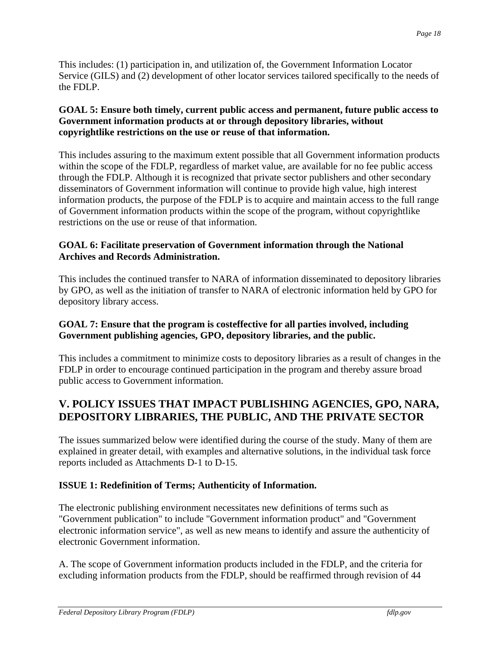This includes: (1) participation in, and utilization of, the Government Information Locator Service (GILS) and (2) development of other locator services tailored specifically to the needs of the FDLP.

### **GOAL 5: Ensure both timely, current public access and permanent, future public access to Government information products at or through depository libraries, without copyrightlike restrictions on the use or reuse of that information.**

This includes assuring to the maximum extent possible that all Government information products within the scope of the FDLP, regardless of market value, are available for no fee public access through the FDLP. Although it is recognized that private sector publishers and other secondary disseminators of Government information will continue to provide high value, high interest information products, the purpose of the FDLP is to acquire and maintain access to the full range of Government information products within the scope of the program, without copyrightlike restrictions on the use or reuse of that information.

### **GOAL 6: Facilitate preservation of Government information through the National Archives and Records Administration.**

This includes the continued transfer to NARA of information disseminated to depository libraries by GPO, as well as the initiation of transfer to NARA of electronic information held by GPO for depository library access.

### **GOAL 7: Ensure that the program is costeffective for all parties involved, including Government publishing agencies, GPO, depository libraries, and the public.**

This includes a commitment to minimize costs to depository libraries as a result of changes in the FDLP in order to encourage continued participation in the program and thereby assure broad public access to Government information.

# **V. POLICY ISSUES THAT IMPACT PUBLISHING AGENCIES, GPO, NARA, DEPOSITORY LIBRARIES, THE PUBLIC, AND THE PRIVATE SECTOR**

The issues summarized below were identified during the course of the study. Many of them are explained in greater detail, with examples and alternative solutions, in the individual task force reports included as Attachments D-1 to D-15.

### **ISSUE 1: Redefinition of Terms; Authenticity of Information.**

The electronic publishing environment necessitates new definitions of terms such as "Government publication" to include "Government information product" and "Government electronic information service", as well as new means to identify and assure the authenticity of electronic Government information.

A. The scope of Government information products included in the FDLP, and the criteria for excluding information products from the FDLP, should be reaffirmed through revision of 44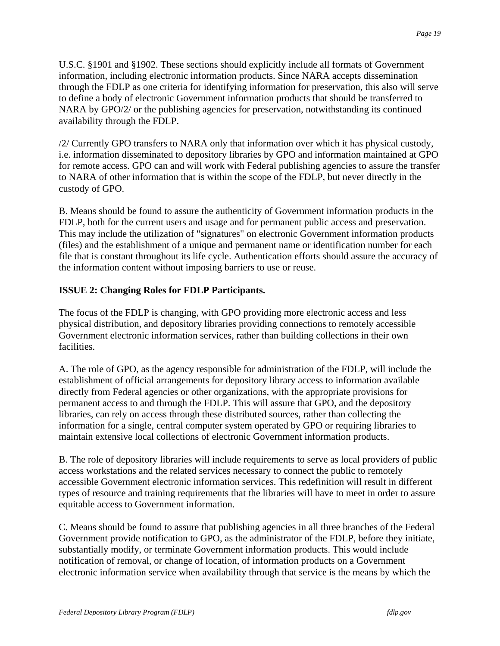U.S.C. §1901 and §1902. These sections should explicitly include all formats of Government information, including electronic information products. Since NARA accepts dissemination through the FDLP as one criteria for identifying information for preservation, this also will serve to define a body of electronic Government information products that should be transferred to NARA by GPO/2/ or the publishing agencies for preservation, notwithstanding its continued availability through the FDLP.

/2/ Currently GPO transfers to NARA only that information over which it has physical custody, i.e. information disseminated to depository libraries by GPO and information maintained at GPO for remote access. GPO can and will work with Federal publishing agencies to assure the transfer to NARA of other information that is within the scope of the FDLP, but never directly in the custody of GPO.

B. Means should be found to assure the authenticity of Government information products in the FDLP, both for the current users and usage and for permanent public access and preservation. This may include the utilization of "signatures" on electronic Government information products (files) and the establishment of a unique and permanent name or identification number for each file that is constant throughout its life cycle. Authentication efforts should assure the accuracy of the information content without imposing barriers to use or reuse.

### **ISSUE 2: Changing Roles for FDLP Participants.**

The focus of the FDLP is changing, with GPO providing more electronic access and less physical distribution, and depository libraries providing connections to remotely accessible Government electronic information services, rather than building collections in their own facilities.

A. The role of GPO, as the agency responsible for administration of the FDLP, will include the establishment of official arrangements for depository library access to information available directly from Federal agencies or other organizations, with the appropriate provisions for permanent access to and through the FDLP. This will assure that GPO, and the depository libraries, can rely on access through these distributed sources, rather than collecting the information for a single, central computer system operated by GPO or requiring libraries to maintain extensive local collections of electronic Government information products.

B. The role of depository libraries will include requirements to serve as local providers of public access workstations and the related services necessary to connect the public to remotely accessible Government electronic information services. This redefinition will result in different types of resource and training requirements that the libraries will have to meet in order to assure equitable access to Government information.

C. Means should be found to assure that publishing agencies in all three branches of the Federal Government provide notification to GPO, as the administrator of the FDLP, before they initiate, substantially modify, or terminate Government information products. This would include notification of removal, or change of location, of information products on a Government electronic information service when availability through that service is the means by which the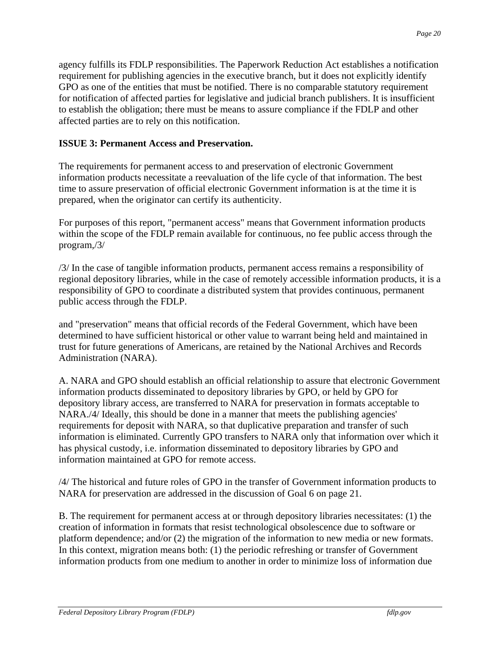agency fulfills its FDLP responsibilities. The Paperwork Reduction Act establishes a notification requirement for publishing agencies in the executive branch, but it does not explicitly identify GPO as one of the entities that must be notified. There is no comparable statutory requirement for notification of affected parties for legislative and judicial branch publishers. It is insufficient to establish the obligation; there must be means to assure compliance if the FDLP and other affected parties are to rely on this notification.

### **ISSUE 3: Permanent Access and Preservation.**

The requirements for permanent access to and preservation of electronic Government information products necessitate a reevaluation of the life cycle of that information. The best time to assure preservation of official electronic Government information is at the time it is prepared, when the originator can certify its authenticity.

For purposes of this report, "permanent access" means that Government information products within the scope of the FDLP remain available for continuous, no fee public access through the program,/3/

/3/ In the case of tangible information products, permanent access remains a responsibility of regional depository libraries, while in the case of remotely accessible information products, it is a responsibility of GPO to coordinate a distributed system that provides continuous, permanent public access through the FDLP.

and "preservation" means that official records of the Federal Government, which have been determined to have sufficient historical or other value to warrant being held and maintained in trust for future generations of Americans, are retained by the National Archives and Records Administration (NARA).

A. NARA and GPO should establish an official relationship to assure that electronic Government information products disseminated to depository libraries by GPO, or held by GPO for depository library access, are transferred to NARA for preservation in formats acceptable to NARA./4/ Ideally, this should be done in a manner that meets the publishing agencies' requirements for deposit with NARA, so that duplicative preparation and transfer of such information is eliminated. Currently GPO transfers to NARA only that information over which it has physical custody, i.e. information disseminated to depository libraries by GPO and information maintained at GPO for remote access.

/4/ The historical and future roles of GPO in the transfer of Government information products to NARA for preservation are addressed in the discussion of Goal 6 on page 21.

B. The requirement for permanent access at or through depository libraries necessitates: (1) the creation of information in formats that resist technological obsolescence due to software or platform dependence; and/or (2) the migration of the information to new media or new formats. In this context, migration means both: (1) the periodic refreshing or transfer of Government information products from one medium to another in order to minimize loss of information due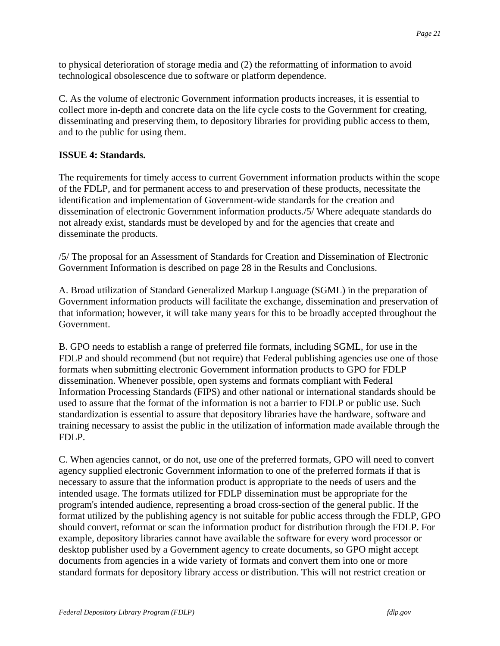to physical deterioration of storage media and (2) the reformatting of information to avoid technological obsolescence due to software or platform dependence.

C. As the volume of electronic Government information products increases, it is essential to collect more in-depth and concrete data on the life cycle costs to the Government for creating, disseminating and preserving them, to depository libraries for providing public access to them, and to the public for using them.

### **ISSUE 4: Standards.**

The requirements for timely access to current Government information products within the scope of the FDLP, and for permanent access to and preservation of these products, necessitate the identification and implementation of Government-wide standards for the creation and dissemination of electronic Government information products./5/ Where adequate standards do not already exist, standards must be developed by and for the agencies that create and disseminate the products.

/5/ The proposal for an Assessment of Standards for Creation and Dissemination of Electronic Government Information is described on page 28 in the Results and Conclusions.

A. Broad utilization of Standard Generalized Markup Language (SGML) in the preparation of Government information products will facilitate the exchange, dissemination and preservation of that information; however, it will take many years for this to be broadly accepted throughout the Government.

B. GPO needs to establish a range of preferred file formats, including SGML, for use in the FDLP and should recommend (but not require) that Federal publishing agencies use one of those formats when submitting electronic Government information products to GPO for FDLP dissemination. Whenever possible, open systems and formats compliant with Federal Information Processing Standards (FIPS) and other national or international standards should be used to assure that the format of the information is not a barrier to FDLP or public use. Such standardization is essential to assure that depository libraries have the hardware, software and training necessary to assist the public in the utilization of information made available through the FDLP.

C. When agencies cannot, or do not, use one of the preferred formats, GPO will need to convert agency supplied electronic Government information to one of the preferred formats if that is necessary to assure that the information product is appropriate to the needs of users and the intended usage. The formats utilized for FDLP dissemination must be appropriate for the program's intended audience, representing a broad cross-section of the general public. If the format utilized by the publishing agency is not suitable for public access through the FDLP, GPO should convert, reformat or scan the information product for distribution through the FDLP. For example, depository libraries cannot have available the software for every word processor or desktop publisher used by a Government agency to create documents, so GPO might accept documents from agencies in a wide variety of formats and convert them into one or more standard formats for depository library access or distribution. This will not restrict creation or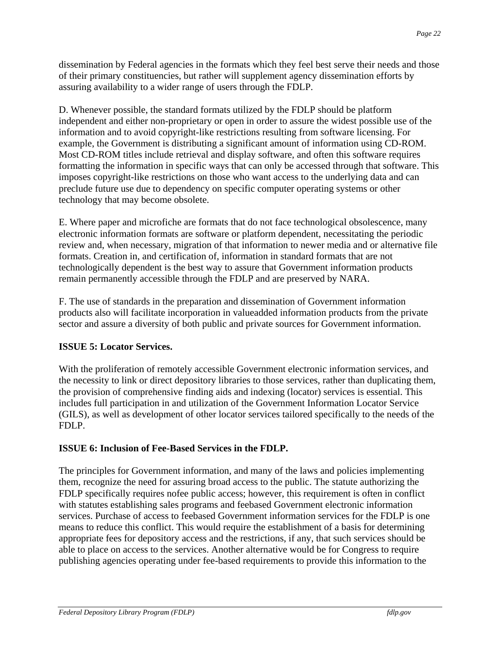dissemination by Federal agencies in the formats which they feel best serve their needs and those of their primary constituencies, but rather will supplement agency dissemination efforts by assuring availability to a wider range of users through the FDLP.

D. Whenever possible, the standard formats utilized by the FDLP should be platform independent and either non-proprietary or open in order to assure the widest possible use of the information and to avoid copyright-like restrictions resulting from software licensing. For example, the Government is distributing a significant amount of information using CD-ROM. Most CD-ROM titles include retrieval and display software, and often this software requires formatting the information in specific ways that can only be accessed through that software. This imposes copyright-like restrictions on those who want access to the underlying data and can preclude future use due to dependency on specific computer operating systems or other technology that may become obsolete.

E. Where paper and microfiche are formats that do not face technological obsolescence, many electronic information formats are software or platform dependent, necessitating the periodic review and, when necessary, migration of that information to newer media and or alternative file formats. Creation in, and certification of, information in standard formats that are not technologically dependent is the best way to assure that Government information products remain permanently accessible through the FDLP and are preserved by NARA.

F. The use of standards in the preparation and dissemination of Government information products also will facilitate incorporation in valueadded information products from the private sector and assure a diversity of both public and private sources for Government information.

### **ISSUE 5: Locator Services.**

With the proliferation of remotely accessible Government electronic information services, and the necessity to link or direct depository libraries to those services, rather than duplicating them, the provision of comprehensive finding aids and indexing (locator) services is essential. This includes full participation in and utilization of the Government Information Locator Service (GILS), as well as development of other locator services tailored specifically to the needs of the FDLP.

### **ISSUE 6: Inclusion of Fee-Based Services in the FDLP.**

The principles for Government information, and many of the laws and policies implementing them, recognize the need for assuring broad access to the public. The statute authorizing the FDLP specifically requires nofee public access; however, this requirement is often in conflict with statutes establishing sales programs and feebased Government electronic information services. Purchase of access to feebased Government information services for the FDLP is one means to reduce this conflict. This would require the establishment of a basis for determining appropriate fees for depository access and the restrictions, if any, that such services should be able to place on access to the services. Another alternative would be for Congress to require publishing agencies operating under fee-based requirements to provide this information to the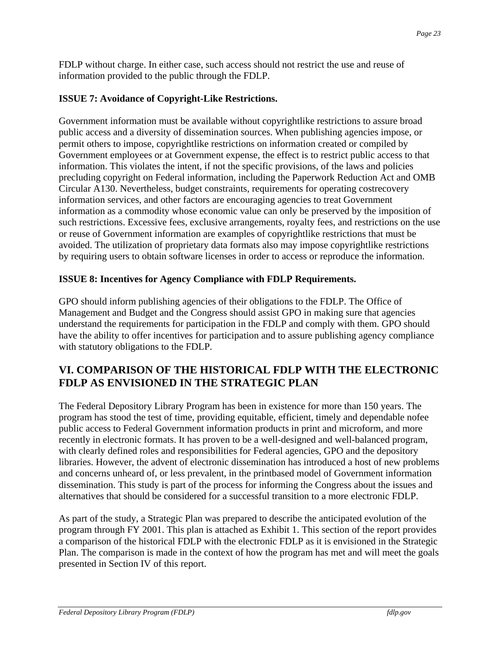FDLP without charge. In either case, such access should not restrict the use and reuse of information provided to the public through the FDLP.

### **ISSUE 7: Avoidance of Copyright-Like Restrictions.**

Government information must be available without copyrightlike restrictions to assure broad public access and a diversity of dissemination sources. When publishing agencies impose, or permit others to impose, copyrightlike restrictions on information created or compiled by Government employees or at Government expense, the effect is to restrict public access to that information. This violates the intent, if not the specific provisions, of the laws and policies precluding copyright on Federal information, including the Paperwork Reduction Act and OMB Circular A130. Nevertheless, budget constraints, requirements for operating costrecovery information services, and other factors are encouraging agencies to treat Government information as a commodity whose economic value can only be preserved by the imposition of such restrictions. Excessive fees, exclusive arrangements, royalty fees, and restrictions on the use or reuse of Government information are examples of copyrightlike restrictions that must be avoided. The utilization of proprietary data formats also may impose copyrightlike restrictions by requiring users to obtain software licenses in order to access or reproduce the information.

### **ISSUE 8: Incentives for Agency Compliance with FDLP Requirements.**

GPO should inform publishing agencies of their obligations to the FDLP. The Office of Management and Budget and the Congress should assist GPO in making sure that agencies understand the requirements for participation in the FDLP and comply with them. GPO should have the ability to offer incentives for participation and to assure publishing agency compliance with statutory obligations to the FDLP.

### **VI. COMPARISON OF THE HISTORICAL FDLP WITH THE ELECTRONIC FDLP AS ENVISIONED IN THE STRATEGIC PLAN**

The Federal Depository Library Program has been in existence for more than 150 years. The program has stood the test of time, providing equitable, efficient, timely and dependable nofee public access to Federal Government information products in print and microform, and more recently in electronic formats. It has proven to be a well-designed and well-balanced program, with clearly defined roles and responsibilities for Federal agencies, GPO and the depository libraries. However, the advent of electronic dissemination has introduced a host of new problems and concerns unheard of, or less prevalent, in the printbased model of Government information dissemination. This study is part of the process for informing the Congress about the issues and alternatives that should be considered for a successful transition to a more electronic FDLP.

As part of the study, a Strategic Plan was prepared to describe the anticipated evolution of the program through FY 2001. This plan is attached as Exhibit 1. This section of the report provides a comparison of the historical FDLP with the electronic FDLP as it is envisioned in the Strategic Plan. The comparison is made in the context of how the program has met and will meet the goals presented in Section IV of this report.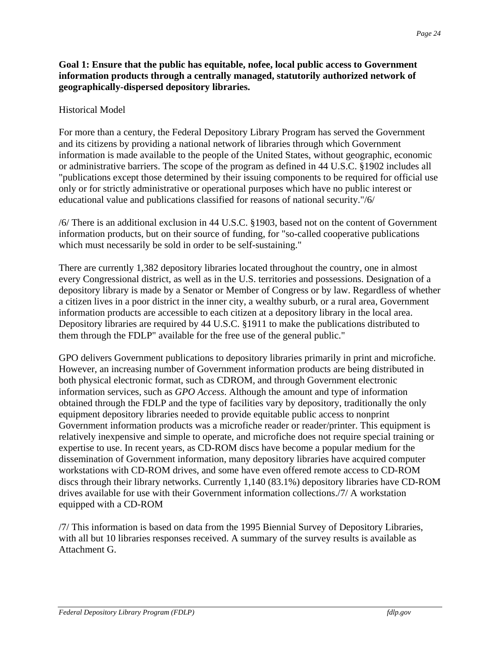**Goal 1: Ensure that the public has equitable, nofee, local public access to Government information products through a centrally managed, statutorily authorized network of geographically-dispersed depository libraries.** 

#### Historical Model

For more than a century, the Federal Depository Library Program has served the Government and its citizens by providing a national network of libraries through which Government information is made available to the people of the United States, without geographic, economic or administrative barriers. The scope of the program as defined in 44 U.S.C. §1902 includes all "publications except those determined by their issuing components to be required for official use only or for strictly administrative or operational purposes which have no public interest or educational value and publications classified for reasons of national security."/6/

/6/ There is an additional exclusion in 44 U.S.C. §1903, based not on the content of Government information products, but on their source of funding, for "so-called cooperative publications which must necessarily be sold in order to be self-sustaining."

There are currently 1,382 depository libraries located throughout the country, one in almost every Congressional district, as well as in the U.S. territories and possessions. Designation of a depository library is made by a Senator or Member of Congress or by law. Regardless of whether a citizen lives in a poor district in the inner city, a wealthy suburb, or a rural area, Government information products are accessible to each citizen at a depository library in the local area. Depository libraries are required by 44 U.S.C. §1911 to make the publications distributed to them through the FDLP" available for the free use of the general public."

GPO delivers Government publications to depository libraries primarily in print and microfiche. However, an increasing number of Government information products are being distributed in both physical electronic format, such as CDROM, and through Government electronic information services, such as *GPO Access*. Although the amount and type of information obtained through the FDLP and the type of facilities vary by depository, traditionally the only equipment depository libraries needed to provide equitable public access to nonprint Government information products was a microfiche reader or reader/printer. This equipment is relatively inexpensive and simple to operate, and microfiche does not require special training or expertise to use. In recent years, as CD-ROM discs have become a popular medium for the dissemination of Government information, many depository libraries have acquired computer workstations with CD-ROM drives, and some have even offered remote access to CD-ROM discs through their library networks. Currently 1,140 (83.1%) depository libraries have CD-ROM drives available for use with their Government information collections./7/ A workstation equipped with a CD-ROM

/7/ This information is based on data from the 1995 Biennial Survey of Depository Libraries, with all but 10 libraries responses received. A summary of the survey results is available as Attachment G.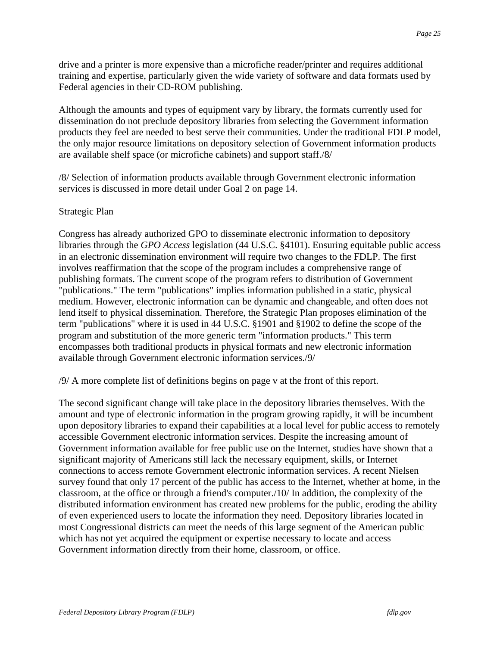drive and a printer is more expensive than a microfiche reader/printer and requires additional training and expertise, particularly given the wide variety of software and data formats used by Federal agencies in their CD-ROM publishing.

Although the amounts and types of equipment vary by library, the formats currently used for dissemination do not preclude depository libraries from selecting the Government information products they feel are needed to best serve their communities. Under the traditional FDLP model, the only major resource limitations on depository selection of Government information products are available shelf space (or microfiche cabinets) and support staff./8/

/8/ Selection of information products available through Government electronic information services is discussed in more detail under Goal 2 on page 14.

### Strategic Plan

Congress has already authorized GPO to disseminate electronic information to depository libraries through the *GPO Access* legislation (44 U.S.C. §4101). Ensuring equitable public access in an electronic dissemination environment will require two changes to the FDLP. The first involves reaffirmation that the scope of the program includes a comprehensive range of publishing formats. The current scope of the program refers to distribution of Government "publications." The term "publications" implies information published in a static, physical medium. However, electronic information can be dynamic and changeable, and often does not lend itself to physical dissemination. Therefore, the Strategic Plan proposes elimination of the term "publications" where it is used in 44 U.S.C. §1901 and §1902 to define the scope of the program and substitution of the more generic term "information products." This term encompasses both traditional products in physical formats and new electronic information available through Government electronic information services./9/

/9/ A more complete list of definitions begins on page v at the front of this report.

The second significant change will take place in the depository libraries themselves. With the amount and type of electronic information in the program growing rapidly, it will be incumbent upon depository libraries to expand their capabilities at a local level for public access to remotely accessible Government electronic information services. Despite the increasing amount of Government information available for free public use on the Internet, studies have shown that a significant majority of Americans still lack the necessary equipment, skills, or Internet connections to access remote Government electronic information services. A recent Nielsen survey found that only 17 percent of the public has access to the Internet, whether at home, in the classroom, at the office or through a friend's computer./10/ In addition, the complexity of the distributed information environment has created new problems for the public, eroding the ability of even experienced users to locate the information they need. Depository libraries located in most Congressional districts can meet the needs of this large segment of the American public which has not yet acquired the equipment or expertise necessary to locate and access Government information directly from their home, classroom, or office.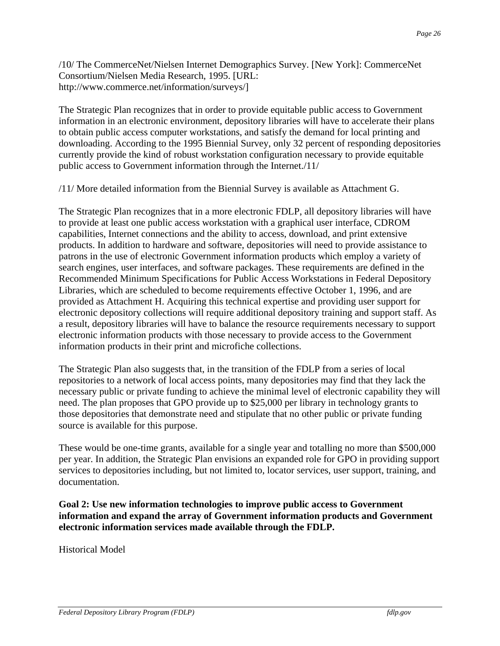/10/ The CommerceNet/Nielsen Internet Demographics Survey. [New York]: CommerceNet Consortium/Nielsen Media Research, 1995. [URL: http://www.commerce.net/information/surveys/]

The Strategic Plan recognizes that in order to provide equitable public access to Government information in an electronic environment, depository libraries will have to accelerate their plans to obtain public access computer workstations, and satisfy the demand for local printing and downloading. According to the 1995 Biennial Survey, only 32 percent of responding depositories currently provide the kind of robust workstation configuration necessary to provide equitable public access to Government information through the Internet./11/

/11/ More detailed information from the Biennial Survey is available as Attachment G.

The Strategic Plan recognizes that in a more electronic FDLP, all depository libraries will have to provide at least one public access workstation with a graphical user interface, CDROM capabilities, Internet connections and the ability to access, download, and print extensive products. In addition to hardware and software, depositories will need to provide assistance to patrons in the use of electronic Government information products which employ a variety of search engines, user interfaces, and software packages. These requirements are defined in the Recommended Minimum Specifications for Public Access Workstations in Federal Depository Libraries, which are scheduled to become requirements effective October 1, 1996, and are provided as Attachment H. Acquiring this technical expertise and providing user support for electronic depository collections will require additional depository training and support staff. As a result, depository libraries will have to balance the resource requirements necessary to support electronic information products with those necessary to provide access to the Government information products in their print and microfiche collections.

The Strategic Plan also suggests that, in the transition of the FDLP from a series of local repositories to a network of local access points, many depositories may find that they lack the necessary public or private funding to achieve the minimal level of electronic capability they will need. The plan proposes that GPO provide up to \$25,000 per library in technology grants to those depositories that demonstrate need and stipulate that no other public or private funding source is available for this purpose.

These would be one-time grants, available for a single year and totalling no more than \$500,000 per year. In addition, the Strategic Plan envisions an expanded role for GPO in providing support services to depositories including, but not limited to, locator services, user support, training, and documentation.

**Goal 2: Use new information technologies to improve public access to Government information and expand the array of Government information products and Government electronic information services made available through the FDLP.** 

Historical Model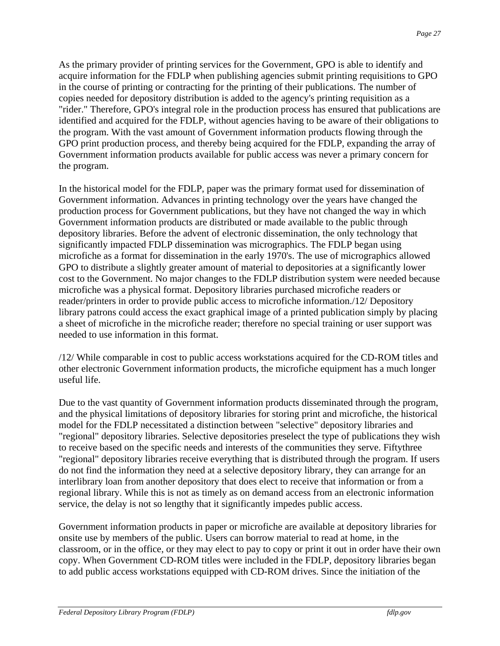As the primary provider of printing services for the Government, GPO is able to identify and acquire information for the FDLP when publishing agencies submit printing requisitions to GPO in the course of printing or contracting for the printing of their publications. The number of copies needed for depository distribution is added to the agency's printing requisition as a "rider." Therefore, GPO's integral role in the production process has ensured that publications are identified and acquired for the FDLP, without agencies having to be aware of their obligations to the program. With the vast amount of Government information products flowing through the GPO print production process, and thereby being acquired for the FDLP, expanding the array of Government information products available for public access was never a primary concern for the program.

In the historical model for the FDLP, paper was the primary format used for dissemination of Government information. Advances in printing technology over the years have changed the production process for Government publications, but they have not changed the way in which Government information products are distributed or made available to the public through depository libraries. Before the advent of electronic dissemination, the only technology that significantly impacted FDLP dissemination was micrographics. The FDLP began using microfiche as a format for dissemination in the early 1970's. The use of micrographics allowed GPO to distribute a slightly greater amount of material to depositories at a significantly lower cost to the Government. No major changes to the FDLP distribution system were needed because microfiche was a physical format. Depository libraries purchased microfiche readers or reader/printers in order to provide public access to microfiche information./12/ Depository library patrons could access the exact graphical image of a printed publication simply by placing a sheet of microfiche in the microfiche reader; therefore no special training or user support was needed to use information in this format.

/12/ While comparable in cost to public access workstations acquired for the CD-ROM titles and other electronic Government information products, the microfiche equipment has a much longer useful life.

Due to the vast quantity of Government information products disseminated through the program, and the physical limitations of depository libraries for storing print and microfiche, the historical model for the FDLP necessitated a distinction between "selective" depository libraries and "regional" depository libraries. Selective depositories preselect the type of publications they wish to receive based on the specific needs and interests of the communities they serve. Fiftythree "regional" depository libraries receive everything that is distributed through the program. If users do not find the information they need at a selective depository library, they can arrange for an interlibrary loan from another depository that does elect to receive that information or from a regional library. While this is not as timely as on demand access from an electronic information service, the delay is not so lengthy that it significantly impedes public access.

Government information products in paper or microfiche are available at depository libraries for onsite use by members of the public. Users can borrow material to read at home, in the classroom, or in the office, or they may elect to pay to copy or print it out in order have their own copy. When Government CD-ROM titles were included in the FDLP, depository libraries began to add public access workstations equipped with CD-ROM drives. Since the initiation of the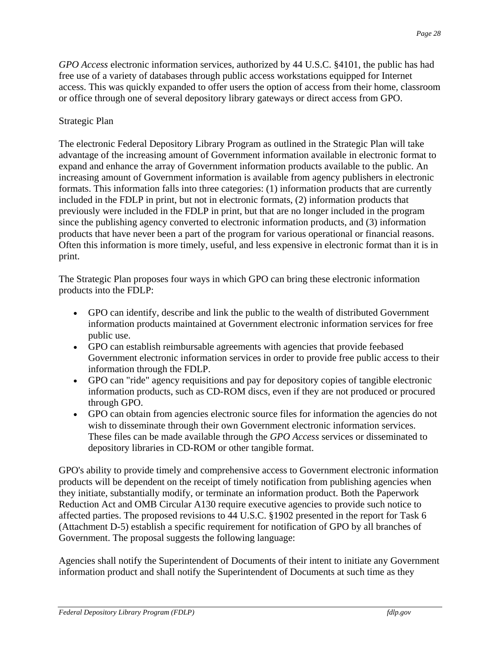*GPO Access* electronic information services, authorized by 44 U.S.C. §4101, the public has had free use of a variety of databases through public access workstations equipped for Internet access. This was quickly expanded to offer users the option of access from their home, classroom or office through one of several depository library gateways or direct access from GPO.

### Strategic Plan

The electronic Federal Depository Library Program as outlined in the Strategic Plan will take advantage of the increasing amount of Government information available in electronic format to expand and enhance the array of Government information products available to the public. An increasing amount of Government information is available from agency publishers in electronic formats. This information falls into three categories: (1) information products that are currently included in the FDLP in print, but not in electronic formats, (2) information products that previously were included in the FDLP in print, but that are no longer included in the program since the publishing agency converted to electronic information products, and (3) information products that have never been a part of the program for various operational or financial reasons. Often this information is more timely, useful, and less expensive in electronic format than it is in print.

The Strategic Plan proposes four ways in which GPO can bring these electronic information products into the FDLP:

- GPO can identify, describe and link the public to the wealth of distributed Government information products maintained at Government electronic information services for free public use.
- GPO can establish reimbursable agreements with agencies that provide feebased Government electronic information services in order to provide free public access to their information through the FDLP.
- GPO can "ride" agency requisitions and pay for depository copies of tangible electronic information products, such as CD-ROM discs, even if they are not produced or procured through GPO.
- GPO can obtain from agencies electronic source files for information the agencies do not wish to disseminate through their own Government electronic information services. These files can be made available through the *GPO Access* services or disseminated to depository libraries in CD-ROM or other tangible format.

GPO's ability to provide timely and comprehensive access to Government electronic information products will be dependent on the receipt of timely notification from publishing agencies when they initiate, substantially modify, or terminate an information product. Both the Paperwork Reduction Act and OMB Circular A130 require executive agencies to provide such notice to affected parties. The proposed revisions to 44 U.S.C. §1902 presented in the report for Task 6 (Attachment D-5) establish a specific requirement for notification of GPO by all branches of Government. The proposal suggests the following language:

Agencies shall notify the Superintendent of Documents of their intent to initiate any Government information product and shall notify the Superintendent of Documents at such time as they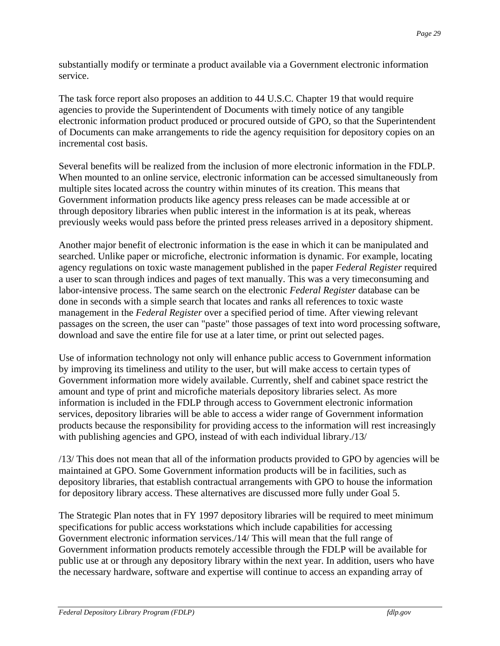substantially modify or terminate a product available via a Government electronic information service.

The task force report also proposes an addition to 44 U.S.C. Chapter 19 that would require agencies to provide the Superintendent of Documents with timely notice of any tangible electronic information product produced or procured outside of GPO, so that the Superintendent of Documents can make arrangements to ride the agency requisition for depository copies on an incremental cost basis.

Several benefits will be realized from the inclusion of more electronic information in the FDLP. When mounted to an online service, electronic information can be accessed simultaneously from multiple sites located across the country within minutes of its creation. This means that Government information products like agency press releases can be made accessible at or through depository libraries when public interest in the information is at its peak, whereas previously weeks would pass before the printed press releases arrived in a depository shipment.

Another major benefit of electronic information is the ease in which it can be manipulated and searched. Unlike paper or microfiche, electronic information is dynamic. For example, locating agency regulations on toxic waste management published in the paper *Federal Register* required a user to scan through indices and pages of text manually. This was a very timeconsuming and labor-intensive process. The same search on the electronic *Federal Register* database can be done in seconds with a simple search that locates and ranks all references to toxic waste management in the *Federal Register* over a specified period of time. After viewing relevant passages on the screen, the user can "paste" those passages of text into word processing software, download and save the entire file for use at a later time, or print out selected pages.

Use of information technology not only will enhance public access to Government information by improving its timeliness and utility to the user, but will make access to certain types of Government information more widely available. Currently, shelf and cabinet space restrict the amount and type of print and microfiche materials depository libraries select. As more information is included in the FDLP through access to Government electronic information services, depository libraries will be able to access a wider range of Government information products because the responsibility for providing access to the information will rest increasingly with publishing agencies and GPO, instead of with each individual library./13/

/13/ This does not mean that all of the information products provided to GPO by agencies will be maintained at GPO. Some Government information products will be in facilities, such as depository libraries, that establish contractual arrangements with GPO to house the information for depository library access. These alternatives are discussed more fully under Goal 5.

The Strategic Plan notes that in FY 1997 depository libraries will be required to meet minimum specifications for public access workstations which include capabilities for accessing Government electronic information services./14/ This will mean that the full range of Government information products remotely accessible through the FDLP will be available for public use at or through any depository library within the next year. In addition, users who have the necessary hardware, software and expertise will continue to access an expanding array of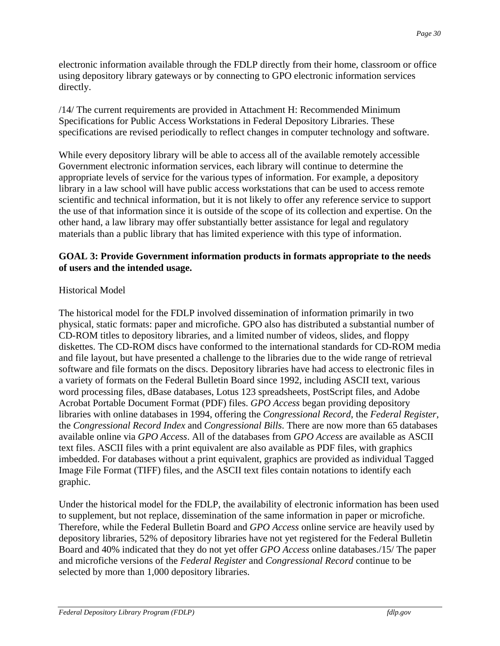electronic information available through the FDLP directly from their home, classroom or office using depository library gateways or by connecting to GPO electronic information services directly.

/14/ The current requirements are provided in Attachment H: Recommended Minimum Specifications for Public Access Workstations in Federal Depository Libraries. These specifications are revised periodically to reflect changes in computer technology and software.

While every depository library will be able to access all of the available remotely accessible Government electronic information services, each library will continue to determine the appropriate levels of service for the various types of information. For example, a depository library in a law school will have public access workstations that can be used to access remote scientific and technical information, but it is not likely to offer any reference service to support the use of that information since it is outside of the scope of its collection and expertise. On the other hand, a law library may offer substantially better assistance for legal and regulatory materials than a public library that has limited experience with this type of information.

### **GOAL 3: Provide Government information products in formats appropriate to the needs of users and the intended usage.**

### Historical Model

The historical model for the FDLP involved dissemination of information primarily in two physical, static formats: paper and microfiche. GPO also has distributed a substantial number of CD-ROM titles to depository libraries, and a limited number of videos, slides, and floppy diskettes. The CD-ROM discs have conformed to the international standards for CD-ROM media and file layout, but have presented a challenge to the libraries due to the wide range of retrieval software and file formats on the discs. Depository libraries have had access to electronic files in a variety of formats on the Federal Bulletin Board since 1992, including ASCII text, various word processing files, dBase databases, Lotus 123 spreadsheets, PostScript files, and Adobe Acrobat Portable Document Format (PDF) files. *GPO Access* began providing depository libraries with online databases in 1994, offering the *Congressional Record*, the *Federal Register,* the *Congressional Record Index* and *Congressional Bills*. There are now more than 65 databases available online via *GPO Access*. All of the databases from *GPO Access* are available as ASCII text files. ASCII files with a print equivalent are also available as PDF files, with graphics imbedded. For databases without a print equivalent, graphics are provided as individual Tagged Image File Format (TIFF) files, and the ASCII text files contain notations to identify each graphic.

Under the historical model for the FDLP, the availability of electronic information has been used to supplement, but not replace, dissemination of the same information in paper or microfiche. Therefore, while the Federal Bulletin Board and *GPO Access* online service are heavily used by depository libraries, 52% of depository libraries have not yet registered for the Federal Bulletin Board and 40% indicated that they do not yet offer *GPO Access* online databases./15/ The paper and microfiche versions of the *Federal Register* and *Congressional Record* continue to be selected by more than 1,000 depository libraries.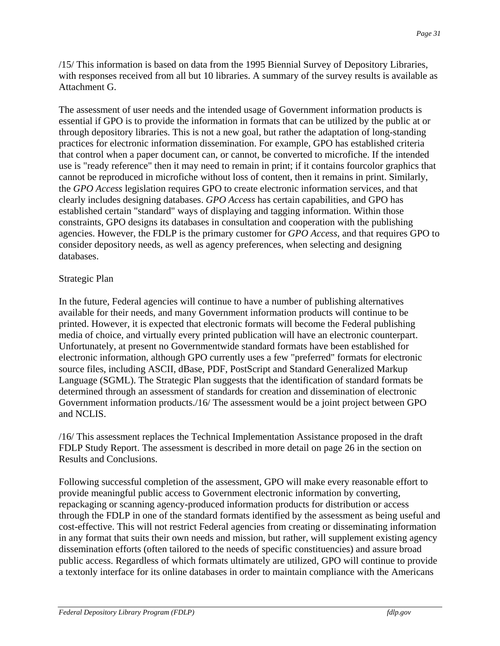/15/ This information is based on data from the 1995 Biennial Survey of Depository Libraries, with responses received from all but 10 libraries. A summary of the survey results is available as Attachment G.

The assessment of user needs and the intended usage of Government information products is essential if GPO is to provide the information in formats that can be utilized by the public at or through depository libraries. This is not a new goal, but rather the adaptation of long-standing practices for electronic information dissemination. For example, GPO has established criteria that control when a paper document can, or cannot, be converted to microfiche. If the intended use is "ready reference" then it may need to remain in print; if it contains fourcolor graphics that cannot be reproduced in microfiche without loss of content, then it remains in print. Similarly, the *GPO Access* legislation requires GPO to create electronic information services, and that clearly includes designing databases. *GPO Access* has certain capabilities, and GPO has established certain "standard" ways of displaying and tagging information. Within those constraints, GPO designs its databases in consultation and cooperation with the publishing agencies. However, the FDLP is the primary customer for *GPO Access*, and that requires GPO to consider depository needs, as well as agency preferences, when selecting and designing databases.

### Strategic Plan

In the future, Federal agencies will continue to have a number of publishing alternatives available for their needs, and many Government information products will continue to be printed. However, it is expected that electronic formats will become the Federal publishing media of choice, and virtually every printed publication will have an electronic counterpart. Unfortunately, at present no Governmentwide standard formats have been established for electronic information, although GPO currently uses a few "preferred" formats for electronic source files, including ASCII, dBase, PDF, PostScript and Standard Generalized Markup Language (SGML). The Strategic Plan suggests that the identification of standard formats be determined through an assessment of standards for creation and dissemination of electronic Government information products./16/ The assessment would be a joint project between GPO and NCLIS.

/16/ This assessment replaces the Technical Implementation Assistance proposed in the draft FDLP Study Report. The assessment is described in more detail on page 26 in the section on Results and Conclusions.

Following successful completion of the assessment, GPO will make every reasonable effort to provide meaningful public access to Government electronic information by converting, repackaging or scanning agency-produced information products for distribution or access through the FDLP in one of the standard formats identified by the assessment as being useful and cost-effective. This will not restrict Federal agencies from creating or disseminating information in any format that suits their own needs and mission, but rather, will supplement existing agency dissemination efforts (often tailored to the needs of specific constituencies) and assure broad public access. Regardless of which formats ultimately are utilized, GPO will continue to provide a textonly interface for its online databases in order to maintain compliance with the Americans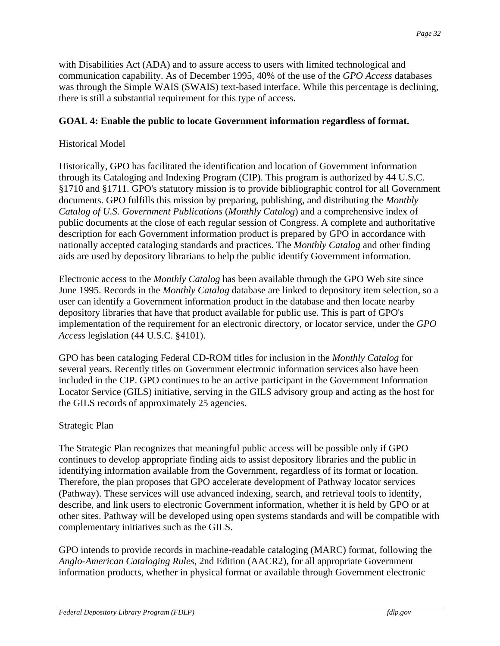with Disabilities Act (ADA) and to assure access to users with limited technological and communication capability. As of December 1995, 40% of the use of the *GPO Access* databases was through the Simple WAIS (SWAIS) text-based interface. While this percentage is declining, there is still a substantial requirement for this type of access.

### **GOAL 4: Enable the public to locate Government information regardless of format.**

### Historical Model

Historically, GPO has facilitated the identification and location of Government information through its Cataloging and Indexing Program (CIP). This program is authorized by 44 U.S.C. §1710 and §1711. GPO's statutory mission is to provide bibliographic control for all Government documents. GPO fulfills this mission by preparing, publishing, and distributing the *Monthly Catalog of U.S. Government Publications* (*Monthly Catalog*) and a comprehensive index of public documents at the close of each regular session of Congress. A complete and authoritative description for each Government information product is prepared by GPO in accordance with nationally accepted cataloging standards and practices. The *Monthly Catalog* and other finding aids are used by depository librarians to help the public identify Government information.

Electronic access to the *Monthly Catalog* has been available through the GPO Web site since June 1995. Records in the *Monthly Catalog* database are linked to depository item selection, so a user can identify a Government information product in the database and then locate nearby depository libraries that have that product available for public use. This is part of GPO's implementation of the requirement for an electronic directory, or locator service, under the *GPO Access* legislation (44 U.S.C. §4101).

GPO has been cataloging Federal CD-ROM titles for inclusion in the *Monthly Catalog* for several years. Recently titles on Government electronic information services also have been included in the CIP. GPO continues to be an active participant in the Government Information Locator Service (GILS) initiative, serving in the GILS advisory group and acting as the host for the GILS records of approximately 25 agencies.

#### Strategic Plan

The Strategic Plan recognizes that meaningful public access will be possible only if GPO continues to develop appropriate finding aids to assist depository libraries and the public in identifying information available from the Government, regardless of its format or location. Therefore, the plan proposes that GPO accelerate development of Pathway locator services (Pathway). These services will use advanced indexing, search, and retrieval tools to identify, describe, and link users to electronic Government information, whether it is held by GPO or at other sites. Pathway will be developed using open systems standards and will be compatible with complementary initiatives such as the GILS.

GPO intends to provide records in machine-readable cataloging (MARC) format, following the *Anglo-American Cataloging Rules*, 2nd Edition (AACR2), for all appropriate Government information products, whether in physical format or available through Government electronic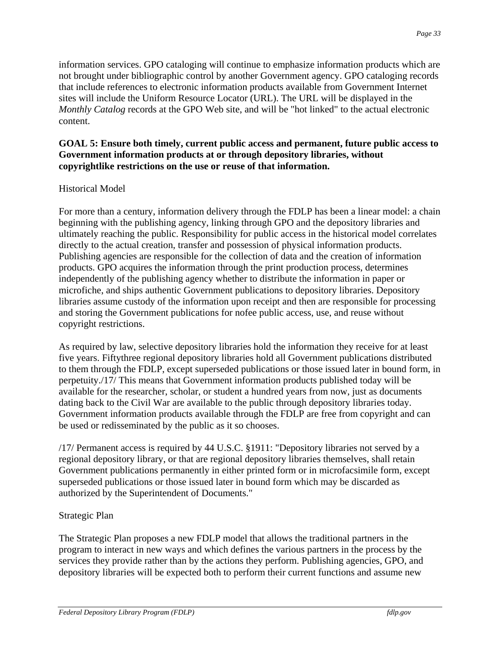information services. GPO cataloging will continue to emphasize information products which are not brought under bibliographic control by another Government agency. GPO cataloging records that include references to electronic information products available from Government Internet sites will include the Uniform Resource Locator (URL). The URL will be displayed in the *Monthly Catalog* records at the GPO Web site, and will be "hot linked" to the actual electronic content.

#### **GOAL 5: Ensure both timely, current public access and permanent, future public access to Government information products at or through depository libraries, without copyrightlike restrictions on the use or reuse of that information.**

### Historical Model

For more than a century, information delivery through the FDLP has been a linear model: a chain beginning with the publishing agency, linking through GPO and the depository libraries and ultimately reaching the public. Responsibility for public access in the historical model correlates directly to the actual creation, transfer and possession of physical information products. Publishing agencies are responsible for the collection of data and the creation of information products. GPO acquires the information through the print production process, determines independently of the publishing agency whether to distribute the information in paper or microfiche, and ships authentic Government publications to depository libraries. Depository libraries assume custody of the information upon receipt and then are responsible for processing and storing the Government publications for nofee public access, use, and reuse without copyright restrictions.

As required by law, selective depository libraries hold the information they receive for at least five years. Fiftythree regional depository libraries hold all Government publications distributed to them through the FDLP, except superseded publications or those issued later in bound form, in perpetuity./17/ This means that Government information products published today will be available for the researcher, scholar, or student a hundred years from now, just as documents dating back to the Civil War are available to the public through depository libraries today. Government information products available through the FDLP are free from copyright and can be used or redisseminated by the public as it so chooses.

/17/ Permanent access is required by 44 U.S.C. §1911: "Depository libraries not served by a regional depository library, or that are regional depository libraries themselves, shall retain Government publications permanently in either printed form or in microfacsimile form, except superseded publications or those issued later in bound form which may be discarded as authorized by the Superintendent of Documents."

#### Strategic Plan

The Strategic Plan proposes a new FDLP model that allows the traditional partners in the program to interact in new ways and which defines the various partners in the process by the services they provide rather than by the actions they perform. Publishing agencies, GPO, and depository libraries will be expected both to perform their current functions and assume new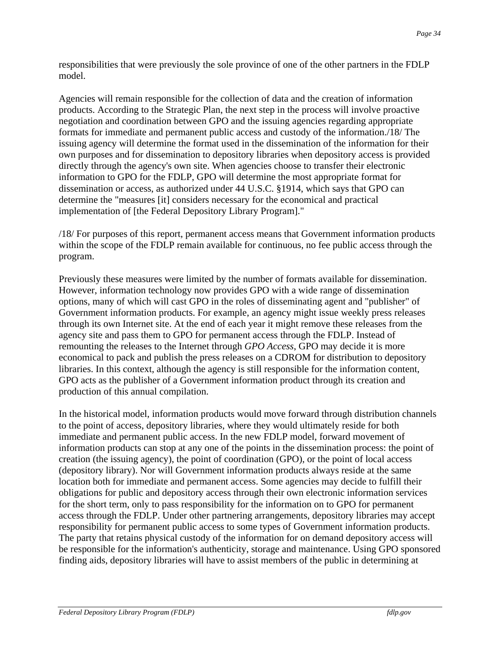responsibilities that were previously the sole province of one of the other partners in the FDLP model.

Agencies will remain responsible for the collection of data and the creation of information products. According to the Strategic Plan, the next step in the process will involve proactive negotiation and coordination between GPO and the issuing agencies regarding appropriate formats for immediate and permanent public access and custody of the information./18/ The issuing agency will determine the format used in the dissemination of the information for their own purposes and for dissemination to depository libraries when depository access is provided directly through the agency's own site. When agencies choose to transfer their electronic information to GPO for the FDLP, GPO will determine the most appropriate format for dissemination or access, as authorized under 44 U.S.C. §1914, which says that GPO can determine the "measures [it] considers necessary for the economical and practical implementation of [the Federal Depository Library Program]."

/18/ For purposes of this report, permanent access means that Government information products within the scope of the FDLP remain available for continuous, no fee public access through the program.

Previously these measures were limited by the number of formats available for dissemination. However, information technology now provides GPO with a wide range of dissemination options, many of which will cast GPO in the roles of disseminating agent and "publisher" of Government information products. For example, an agency might issue weekly press releases through its own Internet site. At the end of each year it might remove these releases from the agency site and pass them to GPO for permanent access through the FDLP. Instead of remounting the releases to the Internet through *GPO Access*, GPO may decide it is more economical to pack and publish the press releases on a CDROM for distribution to depository libraries. In this context, although the agency is still responsible for the information content, GPO acts as the publisher of a Government information product through its creation and production of this annual compilation.

In the historical model, information products would move forward through distribution channels to the point of access, depository libraries, where they would ultimately reside for both immediate and permanent public access. In the new FDLP model, forward movement of information products can stop at any one of the points in the dissemination process: the point of creation (the issuing agency), the point of coordination (GPO), or the point of local access (depository library). Nor will Government information products always reside at the same location both for immediate and permanent access. Some agencies may decide to fulfill their obligations for public and depository access through their own electronic information services for the short term, only to pass responsibility for the information on to GPO for permanent access through the FDLP. Under other partnering arrangements, depository libraries may accept responsibility for permanent public access to some types of Government information products. The party that retains physical custody of the information for on demand depository access will be responsible for the information's authenticity, storage and maintenance. Using GPO sponsored finding aids, depository libraries will have to assist members of the public in determining at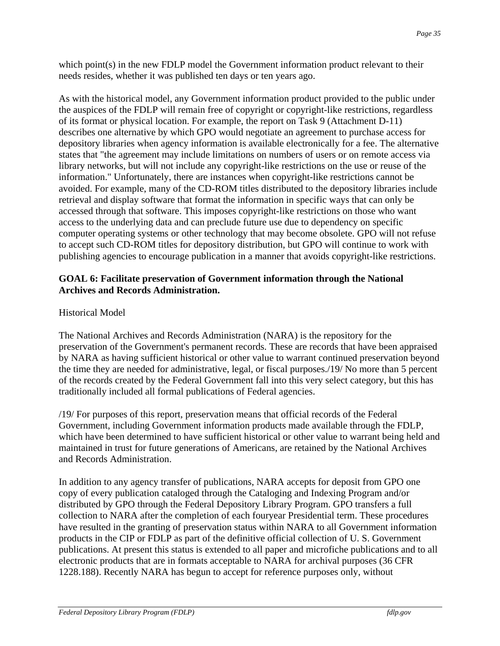which point(s) in the new FDLP model the Government information product relevant to their needs resides, whether it was published ten days or ten years ago.

As with the historical model, any Government information product provided to the public under the auspices of the FDLP will remain free of copyright or copyright-like restrictions, regardless of its format or physical location. For example, the report on Task 9 (Attachment D-11) describes one alternative by which GPO would negotiate an agreement to purchase access for depository libraries when agency information is available electronically for a fee. The alternative states that "the agreement may include limitations on numbers of users or on remote access via library networks, but will not include any copyright-like restrictions on the use or reuse of the information." Unfortunately, there are instances when copyright-like restrictions cannot be avoided. For example, many of the CD-ROM titles distributed to the depository libraries include retrieval and display software that format the information in specific ways that can only be accessed through that software. This imposes copyright-like restrictions on those who want access to the underlying data and can preclude future use due to dependency on specific computer operating systems or other technology that may become obsolete. GPO will not refuse to accept such CD-ROM titles for depository distribution, but GPO will continue to work with publishing agencies to encourage publication in a manner that avoids copyright-like restrictions.

### **GOAL 6: Facilitate preservation of Government information through the National Archives and Records Administration.**

### Historical Model

The National Archives and Records Administration (NARA) is the repository for the preservation of the Government's permanent records. These are records that have been appraised by NARA as having sufficient historical or other value to warrant continued preservation beyond the time they are needed for administrative, legal, or fiscal purposes./19/ No more than 5 percent of the records created by the Federal Government fall into this very select category, but this has traditionally included all formal publications of Federal agencies.

/19/ For purposes of this report, preservation means that official records of the Federal Government, including Government information products made available through the FDLP, which have been determined to have sufficient historical or other value to warrant being held and maintained in trust for future generations of Americans, are retained by the National Archives and Records Administration.

In addition to any agency transfer of publications, NARA accepts for deposit from GPO one copy of every publication cataloged through the Cataloging and Indexing Program and/or distributed by GPO through the Federal Depository Library Program. GPO transfers a full collection to NARA after the completion of each fouryear Presidential term. These procedures have resulted in the granting of preservation status within NARA to all Government information products in the CIP or FDLP as part of the definitive official collection of U. S. Government publications. At present this status is extended to all paper and microfiche publications and to all electronic products that are in formats acceptable to NARA for archival purposes (36 CFR 1228.188). Recently NARA has begun to accept for reference purposes only, without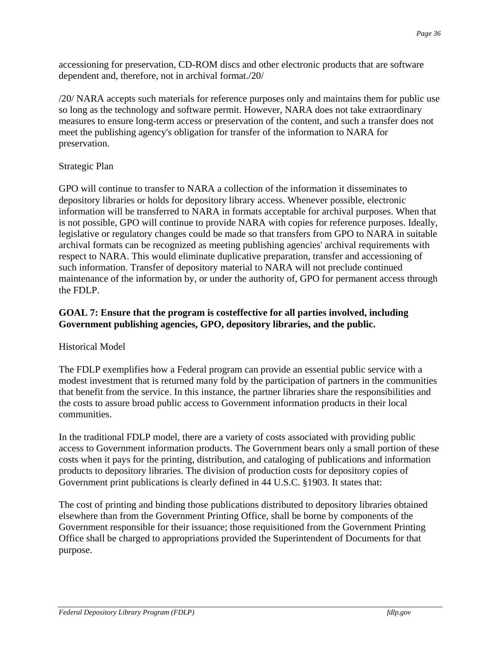accessioning for preservation, CD-ROM discs and other electronic products that are software dependent and, therefore, not in archival format./20/

/20/ NARA accepts such materials for reference purposes only and maintains them for public use so long as the technology and software permit. However, NARA does not take extraordinary measures to ensure long-term access or preservation of the content, and such a transfer does not meet the publishing agency's obligation for transfer of the information to NARA for preservation.

### Strategic Plan

GPO will continue to transfer to NARA a collection of the information it disseminates to depository libraries or holds for depository library access. Whenever possible, electronic information will be transferred to NARA in formats acceptable for archival purposes. When that is not possible, GPO will continue to provide NARA with copies for reference purposes. Ideally, legislative or regulatory changes could be made so that transfers from GPO to NARA in suitable archival formats can be recognized as meeting publishing agencies' archival requirements with respect to NARA. This would eliminate duplicative preparation, transfer and accessioning of such information. Transfer of depository material to NARA will not preclude continued maintenance of the information by, or under the authority of, GPO for permanent access through the FDLP.

### **GOAL 7: Ensure that the program is costeffective for all parties involved, including Government publishing agencies, GPO, depository libraries, and the public.**

Historical Model

The FDLP exemplifies how a Federal program can provide an essential public service with a modest investment that is returned many fold by the participation of partners in the communities that benefit from the service. In this instance, the partner libraries share the responsibilities and the costs to assure broad public access to Government information products in their local communities.

In the traditional FDLP model, there are a variety of costs associated with providing public access to Government information products. The Government bears only a small portion of these costs when it pays for the printing, distribution, and cataloging of publications and information products to depository libraries. The division of production costs for depository copies of Government print publications is clearly defined in 44 U.S.C. §1903. It states that:

The cost of printing and binding those publications distributed to depository libraries obtained elsewhere than from the Government Printing Office, shall be borne by components of the Government responsible for their issuance; those requisitioned from the Government Printing Office shall be charged to appropriations provided the Superintendent of Documents for that purpose.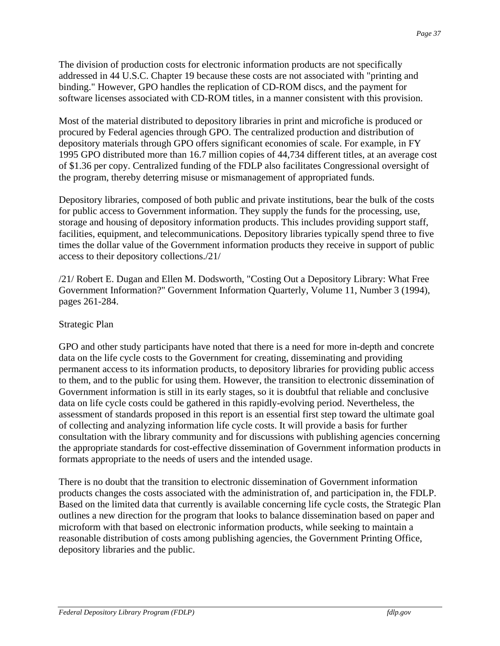The division of production costs for electronic information products are not specifically addressed in 44 U.S.C. Chapter 19 because these costs are not associated with "printing and binding." However, GPO handles the replication of CD-ROM discs, and the payment for software licenses associated with CD-ROM titles, in a manner consistent with this provision.

Most of the material distributed to depository libraries in print and microfiche is produced or procured by Federal agencies through GPO. The centralized production and distribution of depository materials through GPO offers significant economies of scale. For example, in FY 1995 GPO distributed more than 16.7 million copies of 44,734 different titles, at an average cost of \$1.36 per copy. Centralized funding of the FDLP also facilitates Congressional oversight of the program, thereby deterring misuse or mismanagement of appropriated funds.

Depository libraries, composed of both public and private institutions, bear the bulk of the costs for public access to Government information. They supply the funds for the processing, use, storage and housing of depository information products. This includes providing support staff, facilities, equipment, and telecommunications. Depository libraries typically spend three to five times the dollar value of the Government information products they receive in support of public access to their depository collections./21/

/21/ Robert E. Dugan and Ellen M. Dodsworth, "Costing Out a Depository Library: What Free Government Information?" Government Information Quarterly, Volume 11, Number 3 (1994), pages 261-284.

## Strategic Plan

GPO and other study participants have noted that there is a need for more in-depth and concrete data on the life cycle costs to the Government for creating, disseminating and providing permanent access to its information products, to depository libraries for providing public access to them, and to the public for using them. However, the transition to electronic dissemination of Government information is still in its early stages, so it is doubtful that reliable and conclusive data on life cycle costs could be gathered in this rapidly-evolving period. Nevertheless, the assessment of standards proposed in this report is an essential first step toward the ultimate goal of collecting and analyzing information life cycle costs. It will provide a basis for further consultation with the library community and for discussions with publishing agencies concerning the appropriate standards for cost-effective dissemination of Government information products in formats appropriate to the needs of users and the intended usage.

There is no doubt that the transition to electronic dissemination of Government information products changes the costs associated with the administration of, and participation in, the FDLP. Based on the limited data that currently is available concerning life cycle costs, the Strategic Plan outlines a new direction for the program that looks to balance dissemination based on paper and microform with that based on electronic information products, while seeking to maintain a reasonable distribution of costs among publishing agencies, the Government Printing Office, depository libraries and the public.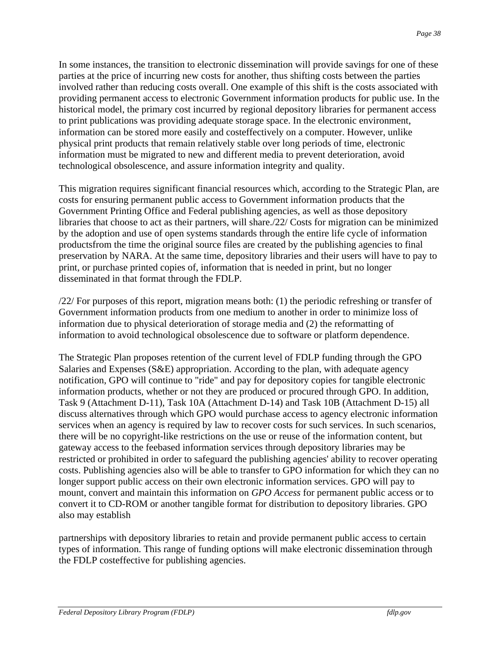In some instances, the transition to electronic dissemination will provide savings for one of these parties at the price of incurring new costs for another, thus shifting costs between the parties involved rather than reducing costs overall. One example of this shift is the costs associated with providing permanent access to electronic Government information products for public use. In the historical model, the primary cost incurred by regional depository libraries for permanent access to print publications was providing adequate storage space. In the electronic environment, information can be stored more easily and costeffectively on a computer. However, unlike physical print products that remain relatively stable over long periods of time, electronic information must be migrated to new and different media to prevent deterioration, avoid technological obsolescence, and assure information integrity and quality.

This migration requires significant financial resources which, according to the Strategic Plan, are costs for ensuring permanent public access to Government information products that the Government Printing Office and Federal publishing agencies, as well as those depository libraries that choose to act as their partners, will share./22/ Costs for migration can be minimized by the adoption and use of open systems standards through the entire life cycle of information productsfrom the time the original source files are created by the publishing agencies to final preservation by NARA. At the same time, depository libraries and their users will have to pay to print, or purchase printed copies of, information that is needed in print, but no longer disseminated in that format through the FDLP.

/22/ For purposes of this report, migration means both: (1) the periodic refreshing or transfer of Government information products from one medium to another in order to minimize loss of information due to physical deterioration of storage media and (2) the reformatting of information to avoid technological obsolescence due to software or platform dependence.

The Strategic Plan proposes retention of the current level of FDLP funding through the GPO Salaries and Expenses (S&E) appropriation. According to the plan, with adequate agency notification, GPO will continue to "ride" and pay for depository copies for tangible electronic information products, whether or not they are produced or procured through GPO. In addition, Task 9 (Attachment D-11), Task 10A (Attachment D-14) and Task 10B (Attachment D-15) all discuss alternatives through which GPO would purchase access to agency electronic information services when an agency is required by law to recover costs for such services. In such scenarios, there will be no copyright-like restrictions on the use or reuse of the information content, but gateway access to the feebased information services through depository libraries may be restricted or prohibited in order to safeguard the publishing agencies' ability to recover operating costs. Publishing agencies also will be able to transfer to GPO information for which they can no longer support public access on their own electronic information services. GPO will pay to mount, convert and maintain this information on *GPO Access* for permanent public access or to convert it to CD-ROM or another tangible format for distribution to depository libraries. GPO also may establish

partnerships with depository libraries to retain and provide permanent public access to certain types of information. This range of funding options will make electronic dissemination through the FDLP costeffective for publishing agencies.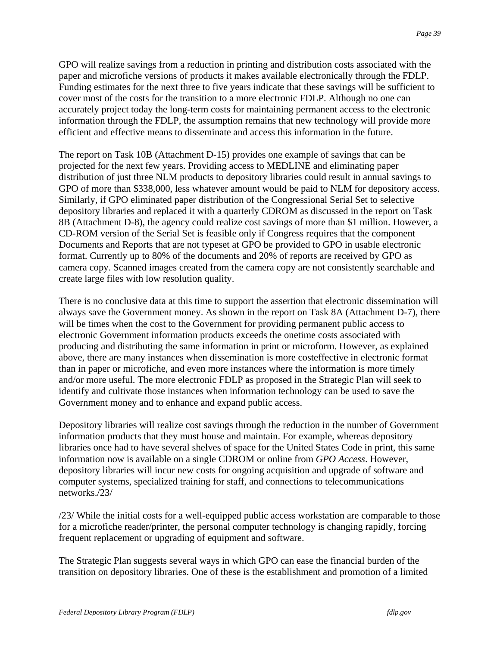GPO will realize savings from a reduction in printing and distribution costs associated with the paper and microfiche versions of products it makes available electronically through the FDLP. Funding estimates for the next three to five years indicate that these savings will be sufficient to cover most of the costs for the transition to a more electronic FDLP. Although no one can accurately project today the long-term costs for maintaining permanent access to the electronic information through the FDLP, the assumption remains that new technology will provide more efficient and effective means to disseminate and access this information in the future.

The report on Task 10B (Attachment D-15) provides one example of savings that can be projected for the next few years. Providing access to MEDLINE and eliminating paper distribution of just three NLM products to depository libraries could result in annual savings to GPO of more than \$338,000, less whatever amount would be paid to NLM for depository access. Similarly, if GPO eliminated paper distribution of the Congressional Serial Set to selective depository libraries and replaced it with a quarterly CDROM as discussed in the report on Task 8B (Attachment D-8), the agency could realize cost savings of more than \$1 million. However, a CD-ROM version of the Serial Set is feasible only if Congress requires that the component Documents and Reports that are not typeset at GPO be provided to GPO in usable electronic format. Currently up to 80% of the documents and 20% of reports are received by GPO as camera copy. Scanned images created from the camera copy are not consistently searchable and create large files with low resolution quality.

There is no conclusive data at this time to support the assertion that electronic dissemination will always save the Government money. As shown in the report on Task 8A (Attachment D-7), there will be times when the cost to the Government for providing permanent public access to electronic Government information products exceeds the onetime costs associated with producing and distributing the same information in print or microform. However, as explained above, there are many instances when dissemination is more costeffective in electronic format than in paper or microfiche, and even more instances where the information is more timely and/or more useful. The more electronic FDLP as proposed in the Strategic Plan will seek to identify and cultivate those instances when information technology can be used to save the Government money and to enhance and expand public access.

Depository libraries will realize cost savings through the reduction in the number of Government information products that they must house and maintain. For example, whereas depository libraries once had to have several shelves of space for the United States Code in print, this same information now is available on a single CDROM or online from *GPO Access*. However, depository libraries will incur new costs for ongoing acquisition and upgrade of software and computer systems, specialized training for staff, and connections to telecommunications networks./23/

/23/ While the initial costs for a well-equipped public access workstation are comparable to those for a microfiche reader/printer, the personal computer technology is changing rapidly, forcing frequent replacement or upgrading of equipment and software.

The Strategic Plan suggests several ways in which GPO can ease the financial burden of the transition on depository libraries. One of these is the establishment and promotion of a limited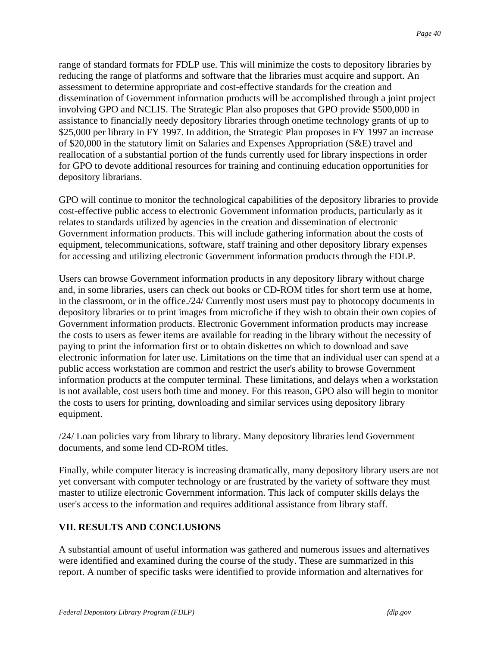range of standard formats for FDLP use. This will minimize the costs to depository libraries by reducing the range of platforms and software that the libraries must acquire and support. An assessment to determine appropriate and cost-effective standards for the creation and dissemination of Government information products will be accomplished through a joint project involving GPO and NCLIS. The Strategic Plan also proposes that GPO provide \$500,000 in assistance to financially needy depository libraries through onetime technology grants of up to \$25,000 per library in FY 1997. In addition, the Strategic Plan proposes in FY 1997 an increase of \$20,000 in the statutory limit on Salaries and Expenses Appropriation (S&E) travel and reallocation of a substantial portion of the funds currently used for library inspections in order for GPO to devote additional resources for training and continuing education opportunities for depository librarians.

GPO will continue to monitor the technological capabilities of the depository libraries to provide cost-effective public access to electronic Government information products, particularly as it relates to standards utilized by agencies in the creation and dissemination of electronic Government information products. This will include gathering information about the costs of equipment, telecommunications, software, staff training and other depository library expenses for accessing and utilizing electronic Government information products through the FDLP.

Users can browse Government information products in any depository library without charge and, in some libraries, users can check out books or CD-ROM titles for short term use at home, in the classroom, or in the office./24/ Currently most users must pay to photocopy documents in depository libraries or to print images from microfiche if they wish to obtain their own copies of Government information products. Electronic Government information products may increase the costs to users as fewer items are available for reading in the library without the necessity of paying to print the information first or to obtain diskettes on which to download and save electronic information for later use. Limitations on the time that an individual user can spend at a public access workstation are common and restrict the user's ability to browse Government information products at the computer terminal. These limitations, and delays when a workstation is not available, cost users both time and money. For this reason, GPO also will begin to monitor the costs to users for printing, downloading and similar services using depository library equipment.

/24/ Loan policies vary from library to library. Many depository libraries lend Government documents, and some lend CD-ROM titles.

Finally, while computer literacy is increasing dramatically, many depository library users are not yet conversant with computer technology or are frustrated by the variety of software they must master to utilize electronic Government information. This lack of computer skills delays the user's access to the information and requires additional assistance from library staff.

# **VII. RESULTS AND CONCLUSIONS**

A substantial amount of useful information was gathered and numerous issues and alternatives were identified and examined during the course of the study. These are summarized in this report. A number of specific tasks were identified to provide information and alternatives for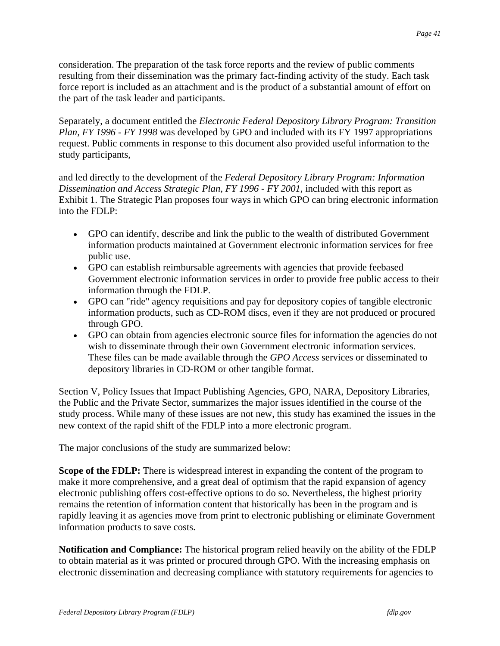consideration. The preparation of the task force reports and the review of public comments resulting from their dissemination was the primary fact-finding activity of the study. Each task force report is included as an attachment and is the product of a substantial amount of effort on the part of the task leader and participants.

Separately, a document entitled the *Electronic Federal Depository Library Program: Transition Plan, FY 1996 - FY 1998* was developed by GPO and included with its FY 1997 appropriations request. Public comments in response to this document also provided useful information to the study participants,

and led directly to the development of the *Federal Depository Library Program: Information Dissemination and Access Strategic Plan, FY 1996 - FY 2001*, included with this report as Exhibit 1. The Strategic Plan proposes four ways in which GPO can bring electronic information into the FDLP:

- GPO can identify, describe and link the public to the wealth of distributed Government information products maintained at Government electronic information services for free public use.
- GPO can establish reimbursable agreements with agencies that provide feebased Government electronic information services in order to provide free public access to their information through the FDLP.
- GPO can "ride" agency requisitions and pay for depository copies of tangible electronic information products, such as CD-ROM discs, even if they are not produced or procured through GPO.
- GPO can obtain from agencies electronic source files for information the agencies do not wish to disseminate through their own Government electronic information services. These files can be made available through the *GPO Access* services or disseminated to depository libraries in CD-ROM or other tangible format.

Section V, Policy Issues that Impact Publishing Agencies, GPO, NARA, Depository Libraries, the Public and the Private Sector, summarizes the major issues identified in the course of the study process. While many of these issues are not new, this study has examined the issues in the new context of the rapid shift of the FDLP into a more electronic program.

The major conclusions of the study are summarized below:

**Scope of the FDLP:** There is widespread interest in expanding the content of the program to make it more comprehensive, and a great deal of optimism that the rapid expansion of agency electronic publishing offers cost-effective options to do so. Nevertheless, the highest priority remains the retention of information content that historically has been in the program and is rapidly leaving it as agencies move from print to electronic publishing or eliminate Government information products to save costs.

**Notification and Compliance:** The historical program relied heavily on the ability of the FDLP to obtain material as it was printed or procured through GPO. With the increasing emphasis on electronic dissemination and decreasing compliance with statutory requirements for agencies to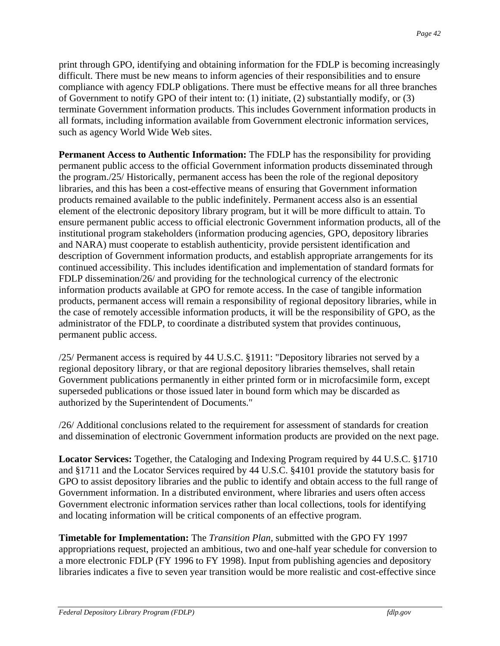print through GPO, identifying and obtaining information for the FDLP is becoming increasingly difficult. There must be new means to inform agencies of their responsibilities and to ensure compliance with agency FDLP obligations. There must be effective means for all three branches of Government to notify GPO of their intent to: (1) initiate, (2) substantially modify, or (3) terminate Government information products. This includes Government information products in all formats, including information available from Government electronic information services, such as agency World Wide Web sites.

**Permanent Access to Authentic Information:** The FDLP has the responsibility for providing permanent public access to the official Government information products disseminated through the program./25/ Historically, permanent access has been the role of the regional depository libraries, and this has been a cost-effective means of ensuring that Government information products remained available to the public indefinitely. Permanent access also is an essential element of the electronic depository library program, but it will be more difficult to attain. To ensure permanent public access to official electronic Government information products, all of the institutional program stakeholders (information producing agencies, GPO, depository libraries and NARA) must cooperate to establish authenticity, provide persistent identification and description of Government information products, and establish appropriate arrangements for its continued accessibility. This includes identification and implementation of standard formats for FDLP dissemination/26/ and providing for the technological currency of the electronic information products available at GPO for remote access. In the case of tangible information products, permanent access will remain a responsibility of regional depository libraries, while in the case of remotely accessible information products, it will be the responsibility of GPO, as the administrator of the FDLP, to coordinate a distributed system that provides continuous, permanent public access.

/25/ Permanent access is required by 44 U.S.C. §1911: "Depository libraries not served by a regional depository library, or that are regional depository libraries themselves, shall retain Government publications permanently in either printed form or in microfacsimile form, except superseded publications or those issued later in bound form which may be discarded as authorized by the Superintendent of Documents."

/26/ Additional conclusions related to the requirement for assessment of standards for creation and dissemination of electronic Government information products are provided on the next page.

**Locator Services:** Together, the Cataloging and Indexing Program required by 44 U.S.C. §1710 and §1711 and the Locator Services required by 44 U.S.C. §4101 provide the statutory basis for GPO to assist depository libraries and the public to identify and obtain access to the full range of Government information. In a distributed environment, where libraries and users often access Government electronic information services rather than local collections, tools for identifying and locating information will be critical components of an effective program.

**Timetable for Implementation:** The *Transition Plan*, submitted with the GPO FY 1997 appropriations request, projected an ambitious, two and one-half year schedule for conversion to a more electronic FDLP (FY 1996 to FY 1998). Input from publishing agencies and depository libraries indicates a five to seven year transition would be more realistic and cost-effective since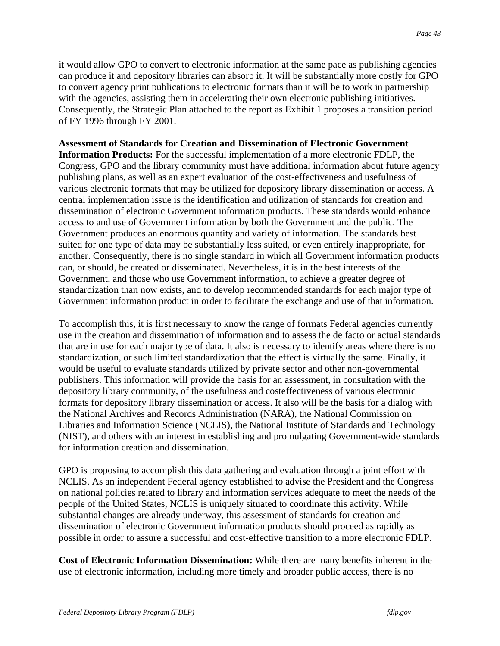it would allow GPO to convert to electronic information at the same pace as publishing agencies can produce it and depository libraries can absorb it. It will be substantially more costly for GPO to convert agency print publications to electronic formats than it will be to work in partnership with the agencies, assisting them in accelerating their own electronic publishing initiatives. Consequently, the Strategic Plan attached to the report as Exhibit 1 proposes a transition period of FY 1996 through FY 2001.

**Assessment of Standards for Creation and Dissemination of Electronic Government Information Products:** For the successful implementation of a more electronic FDLP, the Congress, GPO and the library community must have additional information about future agency publishing plans, as well as an expert evaluation of the cost-effectiveness and usefulness of various electronic formats that may be utilized for depository library dissemination or access. A central implementation issue is the identification and utilization of standards for creation and dissemination of electronic Government information products. These standards would enhance access to and use of Government information by both the Government and the public. The Government produces an enormous quantity and variety of information. The standards best suited for one type of data may be substantially less suited, or even entirely inappropriate, for another. Consequently, there is no single standard in which all Government information products can, or should, be created or disseminated. Nevertheless, it is in the best interests of the Government, and those who use Government information, to achieve a greater degree of standardization than now exists, and to develop recommended standards for each major type of Government information product in order to facilitate the exchange and use of that information.

To accomplish this, it is first necessary to know the range of formats Federal agencies currently use in the creation and dissemination of information and to assess the de facto or actual standards that are in use for each major type of data. It also is necessary to identify areas where there is no standardization, or such limited standardization that the effect is virtually the same. Finally, it would be useful to evaluate standards utilized by private sector and other non-governmental publishers. This information will provide the basis for an assessment, in consultation with the depository library community, of the usefulness and costeffectiveness of various electronic formats for depository library dissemination or access. It also will be the basis for a dialog with the National Archives and Records Administration (NARA), the National Commission on Libraries and Information Science (NCLIS), the National Institute of Standards and Technology (NIST), and others with an interest in establishing and promulgating Government-wide standards for information creation and dissemination.

GPO is proposing to accomplish this data gathering and evaluation through a joint effort with NCLIS. As an independent Federal agency established to advise the President and the Congress on national policies related to library and information services adequate to meet the needs of the people of the United States, NCLIS is uniquely situated to coordinate this activity. While substantial changes are already underway, this assessment of standards for creation and dissemination of electronic Government information products should proceed as rapidly as possible in order to assure a successful and cost-effective transition to a more electronic FDLP.

**Cost of Electronic Information Dissemination:** While there are many benefits inherent in the use of electronic information, including more timely and broader public access, there is no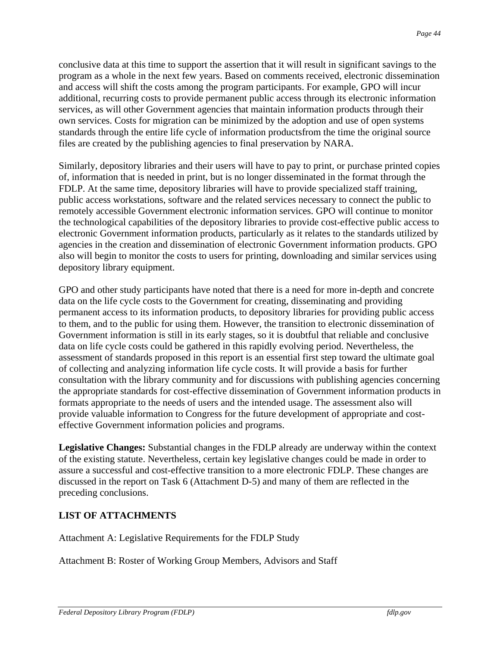conclusive data at this time to support the assertion that it will result in significant savings to the program as a whole in the next few years. Based on comments received, electronic dissemination and access will shift the costs among the program participants. For example, GPO will incur additional, recurring costs to provide permanent public access through its electronic information services, as will other Government agencies that maintain information products through their own services. Costs for migration can be minimized by the adoption and use of open systems standards through the entire life cycle of information productsfrom the time the original source files are created by the publishing agencies to final preservation by NARA.

Similarly, depository libraries and their users will have to pay to print, or purchase printed copies of, information that is needed in print, but is no longer disseminated in the format through the FDLP. At the same time, depository libraries will have to provide specialized staff training, public access workstations, software and the related services necessary to connect the public to remotely accessible Government electronic information services. GPO will continue to monitor the technological capabilities of the depository libraries to provide cost-effective public access to electronic Government information products, particularly as it relates to the standards utilized by agencies in the creation and dissemination of electronic Government information products. GPO also will begin to monitor the costs to users for printing, downloading and similar services using depository library equipment.

GPO and other study participants have noted that there is a need for more in-depth and concrete data on the life cycle costs to the Government for creating, disseminating and providing permanent access to its information products, to depository libraries for providing public access to them, and to the public for using them. However, the transition to electronic dissemination of Government information is still in its early stages, so it is doubtful that reliable and conclusive data on life cycle costs could be gathered in this rapidly evolving period. Nevertheless, the assessment of standards proposed in this report is an essential first step toward the ultimate goal of collecting and analyzing information life cycle costs. It will provide a basis for further consultation with the library community and for discussions with publishing agencies concerning the appropriate standards for cost-effective dissemination of Government information products in formats appropriate to the needs of users and the intended usage. The assessment also will provide valuable information to Congress for the future development of appropriate and costeffective Government information policies and programs.

**Legislative Changes:** Substantial changes in the FDLP already are underway within the context of the existing statute. Nevertheless, certain key legislative changes could be made in order to assure a successful and cost-effective transition to a more electronic FDLP. These changes are discussed in the report on Task 6 (Attachment D-5) and many of them are reflected in the preceding conclusions.

# **LIST OF ATTACHMENTS**

Attachment A: Legislative Requirements for the FDLP Study

Attachment B: Roster of Working Group Members, Advisors and Staff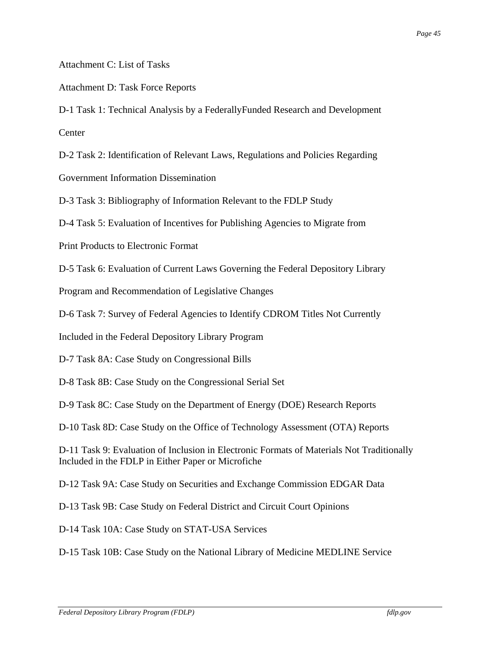Attachment C: List of Tasks

Attachment D: Task Force Reports

D-1 Task 1: Technical Analysis by a FederallyFunded Research and Development **Center** 

D-2 Task 2: Identification of Relevant Laws, Regulations and Policies Regarding

Government Information Dissemination

D-3 Task 3: Bibliography of Information Relevant to the FDLP Study

D-4 Task 5: Evaluation of Incentives for Publishing Agencies to Migrate from

Print Products to Electronic Format

D-5 Task 6: Evaluation of Current Laws Governing the Federal Depository Library

Program and Recommendation of Legislative Changes

D-6 Task 7: Survey of Federal Agencies to Identify CDROM Titles Not Currently

Included in the Federal Depository Library Program

D-7 Task 8A: Case Study on Congressional Bills

D-8 Task 8B: Case Study on the Congressional Serial Set

D-9 Task 8C: Case Study on the Department of Energy (DOE) Research Reports

D-10 Task 8D: Case Study on the Office of Technology Assessment (OTA) Reports

D-11 Task 9: Evaluation of Inclusion in Electronic Formats of Materials Not Traditionally Included in the FDLP in Either Paper or Microfiche

D-12 Task 9A: Case Study on Securities and Exchange Commission EDGAR Data

D-13 Task 9B: Case Study on Federal District and Circuit Court Opinions

D-14 Task 10A: Case Study on STAT-USA Services

D-15 Task 10B: Case Study on the National Library of Medicine MEDLINE Service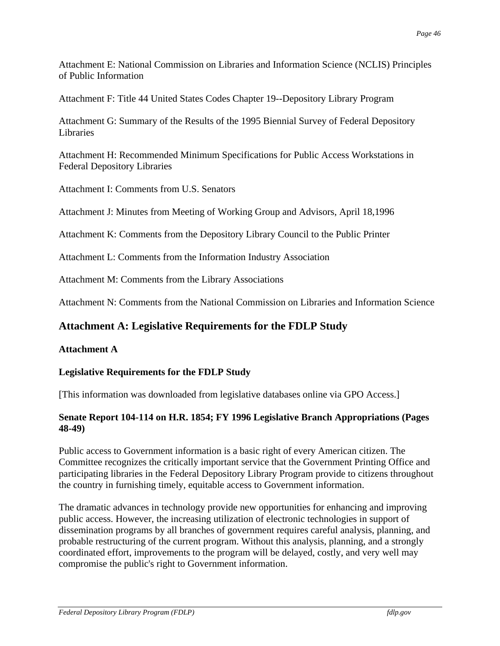Attachment E: National Commission on Libraries and Information Science (NCLIS) Principles of Public Information

Attachment F: Title 44 United States Codes Chapter 19--Depository Library Program

Attachment G: Summary of the Results of the 1995 Biennial Survey of Federal Depository Libraries

Attachment H: Recommended Minimum Specifications for Public Access Workstations in Federal Depository Libraries

Attachment I: Comments from U.S. Senators

Attachment J: Minutes from Meeting of Working Group and Advisors, April 18,1996

Attachment K: Comments from the Depository Library Council to the Public Printer

Attachment L: Comments from the Information Industry Association

Attachment M: Comments from the Library Associations

Attachment N: Comments from the National Commission on Libraries and Information Science

# **Attachment A: Legislative Requirements for the FDLP Study**

# **Attachment A**

# **Legislative Requirements for the FDLP Study**

[This information was downloaded from legislative databases online via GPO Access.]

# **Senate Report 104-114 on H.R. 1854; FY 1996 Legislative Branch Appropriations (Pages 48-49)**

Public access to Government information is a basic right of every American citizen. The Committee recognizes the critically important service that the Government Printing Office and participating libraries in the Federal Depository Library Program provide to citizens throughout the country in furnishing timely, equitable access to Government information.

The dramatic advances in technology provide new opportunities for enhancing and improving public access. However, the increasing utilization of electronic technologies in support of dissemination programs by all branches of government requires careful analysis, planning, and probable restructuring of the current program. Without this analysis, planning, and a strongly coordinated effort, improvements to the program will be delayed, costly, and very well may compromise the public's right to Government information.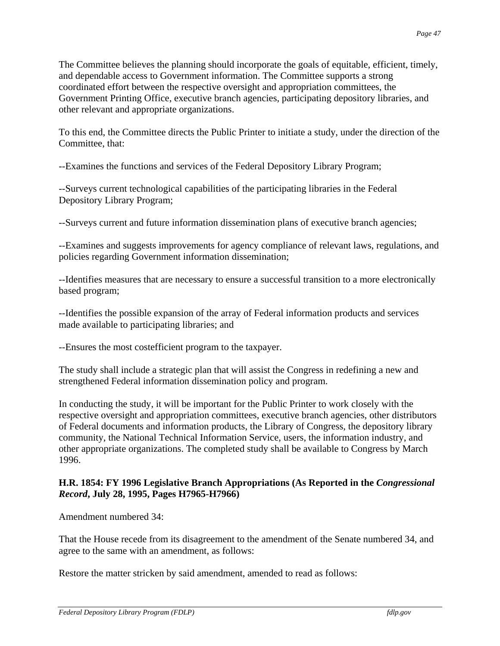The Committee believes the planning should incorporate the goals of equitable, efficient, timely, and dependable access to Government information. The Committee supports a strong coordinated effort between the respective oversight and appropriation committees, the Government Printing Office, executive branch agencies, participating depository libraries, and other relevant and appropriate organizations.

To this end, the Committee directs the Public Printer to initiate a study, under the direction of the Committee, that:

--Examines the functions and services of the Federal Depository Library Program;

--Surveys current technological capabilities of the participating libraries in the Federal Depository Library Program;

--Surveys current and future information dissemination plans of executive branch agencies;

--Examines and suggests improvements for agency compliance of relevant laws, regulations, and policies regarding Government information dissemination;

--Identifies measures that are necessary to ensure a successful transition to a more electronically based program;

--Identifies the possible expansion of the array of Federal information products and services made available to participating libraries; and

--Ensures the most costefficient program to the taxpayer.

The study shall include a strategic plan that will assist the Congress in redefining a new and strengthened Federal information dissemination policy and program.

In conducting the study, it will be important for the Public Printer to work closely with the respective oversight and appropriation committees, executive branch agencies, other distributors of Federal documents and information products, the Library of Congress, the depository library community, the National Technical Information Service, users, the information industry, and other appropriate organizations. The completed study shall be available to Congress by March 1996.

### **H.R. 1854: FY 1996 Legislative Branch Appropriations (As Reported in the** *Congressional Record***, July 28, 1995, Pages H7965-H7966)**

Amendment numbered 34:

That the House recede from its disagreement to the amendment of the Senate numbered 34, and agree to the same with an amendment, as follows:

Restore the matter stricken by said amendment, amended to read as follows: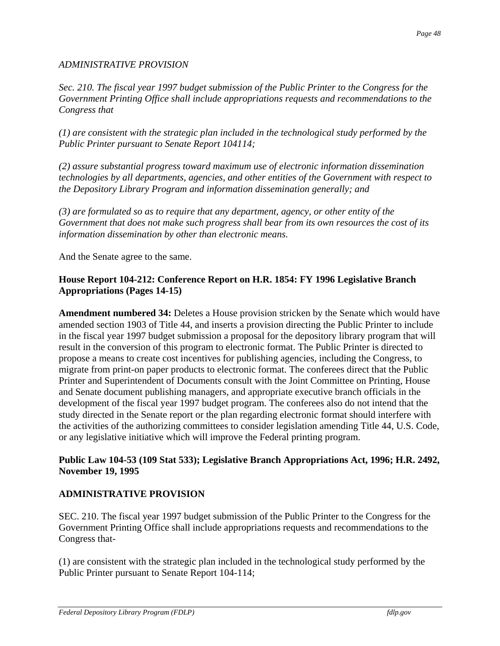# *ADMINISTRATIVE PROVISION*

*Sec. 210. The fiscal year 1997 budget submission of the Public Printer to the Congress for the Government Printing Office shall include appropriations requests and recommendations to the Congress that*

*(1) are consistent with the strategic plan included in the technological study performed by the Public Printer pursuant to Senate Report 104114;*

*(2) assure substantial progress toward maximum use of electronic information dissemination technologies by all departments, agencies, and other entities of the Government with respect to the Depository Library Program and information dissemination generally; and*

*(3) are formulated so as to require that any department, agency, or other entity of the Government that does not make such progress shall bear from its own resources the cost of its information dissemination by other than electronic means.*

And the Senate agree to the same.

### **House Report 104-212: Conference Report on H.R. 1854: FY 1996 Legislative Branch Appropriations (Pages 14-15)**

**Amendment numbered 34:** Deletes a House provision stricken by the Senate which would have amended section 1903 of Title 44, and inserts a provision directing the Public Printer to include in the fiscal year 1997 budget submission a proposal for the depository library program that will result in the conversion of this program to electronic format. The Public Printer is directed to propose a means to create cost incentives for publishing agencies, including the Congress, to migrate from print-on paper products to electronic format. The conferees direct that the Public Printer and Superintendent of Documents consult with the Joint Committee on Printing, House and Senate document publishing managers, and appropriate executive branch officials in the development of the fiscal year 1997 budget program. The conferees also do not intend that the study directed in the Senate report or the plan regarding electronic format should interfere with the activities of the authorizing committees to consider legislation amending Title 44, U.S. Code, or any legislative initiative which will improve the Federal printing program.

### **Public Law 104-53 (109 Stat 533); Legislative Branch Appropriations Act, 1996; H.R. 2492, November 19, 1995**

# **ADMINISTRATIVE PROVISION**

SEC. 210. The fiscal year 1997 budget submission of the Public Printer to the Congress for the Government Printing Office shall include appropriations requests and recommendations to the Congress that-

(1) are consistent with the strategic plan included in the technological study performed by the Public Printer pursuant to Senate Report 104-114;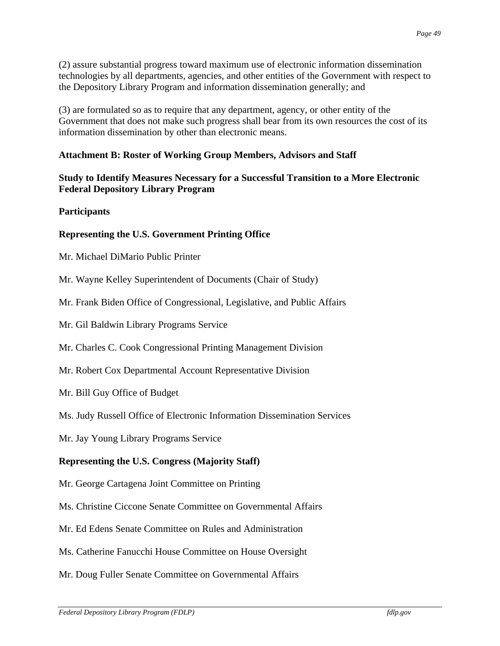(2) assure substantial progress toward maximum use of electronic information dissemination technologies by all departments, agencies, and other entities of the Government with respect to the Depository Library Program and information dissemination generally; and

(3) are formulated so as to require that any department, agency, or other entity of the Government that does not make such progress shall bear from its own resources the cost of its information dissemination by other than electronic means.

### **Attachment B: Roster of Working Group Members, Advisors and Staff**

**Study to Identify Measures Necessary for a Successful Transition to a More Electronic Federal Depository Library Program** 

### **Participants**

### **Representing the U.S. Government Printing Office**

- Mr. Michael DiMario Public Printer
- Mr. Wayne Kelley Superintendent of Documents (Chair of Study)
- Mr. Frank Biden Office of Congressional, Legislative, and Public Affairs
- Mr. Gil Baldwin Library Programs Service
- Mr. Charles C. Cook Congressional Printing Management Division
- Mr. Robert Cox Departmental Account Representative Division
- Mr. Bill Guy Office of Budget
- Ms. Judy Russell Office of Electronic Information Dissemination Services
- Mr. Jay Young Library Programs Service

### **Representing the U.S. Congress (Majority Staff)**

- Mr. George Cartagena Joint Committee on Printing
- Ms. Christine Ciccone Senate Committee on Governmental Affairs
- Mr. Ed Edens Senate Committee on Rules and Administration
- Ms. Catherine Fanucchi House Committee on House Oversight
- Mr. Doug Fuller Senate Committee on Governmental Affairs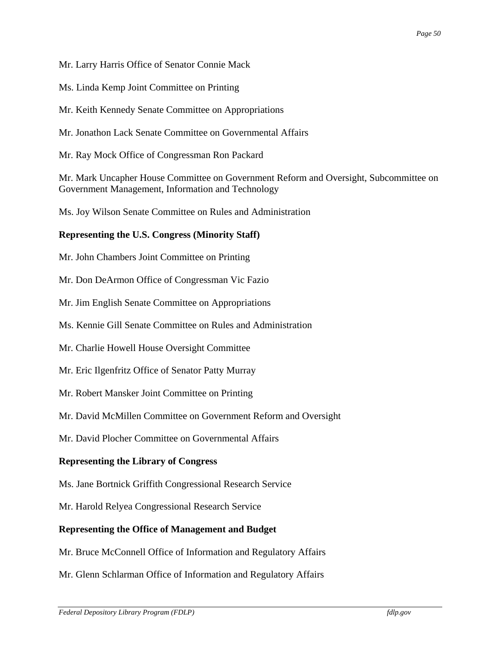Mr. Larry Harris Office of Senator Connie Mack

Ms. Linda Kemp Joint Committee on Printing

Mr. Keith Kennedy Senate Committee on Appropriations

Mr. Jonathon Lack Senate Committee on Governmental Affairs

Mr. Ray Mock Office of Congressman Ron Packard

Mr. Mark Uncapher House Committee on Government Reform and Oversight, Subcommittee on Government Management, Information and Technology

Ms. Joy Wilson Senate Committee on Rules and Administration

#### **Representing the U.S. Congress (Minority Staff)**

Mr. John Chambers Joint Committee on Printing

Mr. Don DeArmon Office of Congressman Vic Fazio

Mr. Jim English Senate Committee on Appropriations

Ms. Kennie Gill Senate Committee on Rules and Administration

Mr. Charlie Howell House Oversight Committee

Mr. Eric Ilgenfritz Office of Senator Patty Murray

Mr. Robert Mansker Joint Committee on Printing

Mr. David McMillen Committee on Government Reform and Oversight

Mr. David Plocher Committee on Governmental Affairs

#### **Representing the Library of Congress**

Ms. Jane Bortnick Griffith Congressional Research Service

Mr. Harold Relyea Congressional Research Service

#### **Representing the Office of Management and Budget**

Mr. Bruce McConnell Office of Information and Regulatory Affairs

Mr. Glenn Schlarman Office of Information and Regulatory Affairs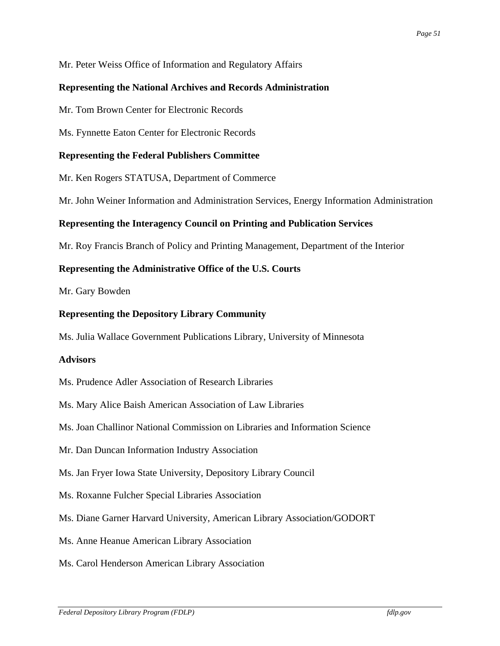#### Mr. Peter Weiss Office of Information and Regulatory Affairs

#### **Representing the National Archives and Records Administration**

Mr. Tom Brown Center for Electronic Records

Ms. Fynnette Eaton Center for Electronic Records

#### **Representing the Federal Publishers Committee**

Mr. Ken Rogers STATUSA, Department of Commerce

Mr. John Weiner Information and Administration Services, Energy Information Administration

#### **Representing the Interagency Council on Printing and Publication Services**

Mr. Roy Francis Branch of Policy and Printing Management, Department of the Interior

#### **Representing the Administrative Office of the U.S. Courts**

Mr. Gary Bowden

#### **Representing the Depository Library Community**

Ms. Julia Wallace Government Publications Library, University of Minnesota

#### **Advisors**

Ms. Prudence Adler Association of Research Libraries

- Ms. Mary Alice Baish American Association of Law Libraries
- Ms. Joan Challinor National Commission on Libraries and Information Science
- Mr. Dan Duncan Information Industry Association
- Ms. Jan Fryer Iowa State University, Depository Library Council
- Ms. Roxanne Fulcher Special Libraries Association
- Ms. Diane Garner Harvard University, American Library Association/GODORT
- Ms. Anne Heanue American Library Association
- Ms. Carol Henderson American Library Association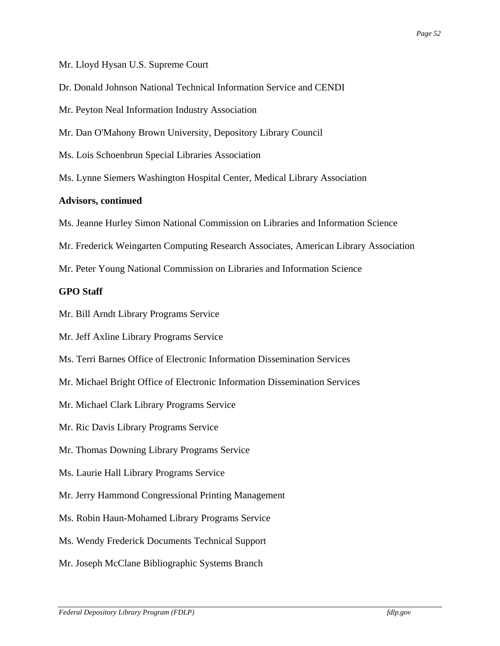- Mr. Lloyd Hysan U.S. Supreme Court
- Dr. Donald Johnson National Technical Information Service and CENDI
- Mr. Peyton Neal Information Industry Association
- Mr. Dan O'Mahony Brown University, Depository Library Council
- Ms. Lois Schoenbrun Special Libraries Association
- Ms. Lynne Siemers Washington Hospital Center, Medical Library Association

### **Advisors, continued**

- Ms. Jeanne Hurley Simon National Commission on Libraries and Information Science
- Mr. Frederick Weingarten Computing Research Associates, American Library Association
- Mr. Peter Young National Commission on Libraries and Information Science

### **GPO Staff**

- Mr. Bill Arndt Library Programs Service
- Mr. Jeff Axline Library Programs Service
- Ms. Terri Barnes Office of Electronic Information Dissemination Services
- Mr. Michael Bright Office of Electronic Information Dissemination Services
- Mr. Michael Clark Library Programs Service
- Mr. Ric Davis Library Programs Service
- Mr. Thomas Downing Library Programs Service
- Ms. Laurie Hall Library Programs Service
- Mr. Jerry Hammond Congressional Printing Management
- Ms. Robin Haun-Mohamed Library Programs Service
- Ms. Wendy Frederick Documents Technical Support
- Mr. Joseph McClane Bibliographic Systems Branch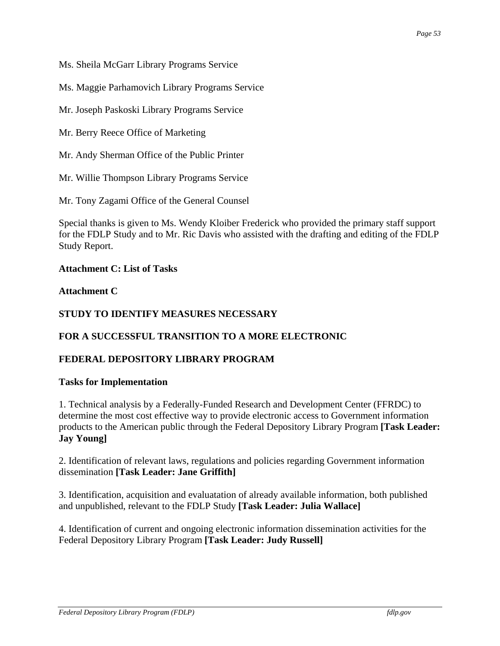- Ms. Sheila McGarr Library Programs Service
- Ms. Maggie Parhamovich Library Programs Service
- Mr. Joseph Paskoski Library Programs Service
- Mr. Berry Reece Office of Marketing
- Mr. Andy Sherman Office of the Public Printer
- Mr. Willie Thompson Library Programs Service
- Mr. Tony Zagami Office of the General Counsel

Special thanks is given to Ms. Wendy Kloiber Frederick who provided the primary staff support for the FDLP Study and to Mr. Ric Davis who assisted with the drafting and editing of the FDLP Study Report.

### **Attachment C: List of Tasks**

### **Attachment C**

### **STUDY TO IDENTIFY MEASURES NECESSARY**

# **FOR A SUCCESSFUL TRANSITION TO A MORE ELECTRONIC**

# **FEDERAL DEPOSITORY LIBRARY PROGRAM**

### **Tasks for Implementation**

1. Technical analysis by a Federally-Funded Research and Development Center (FFRDC) to determine the most cost effective way to provide electronic access to Government information products to the American public through the Federal Depository Library Program **[Task Leader: Jay Young]**

2. Identification of relevant laws, regulations and policies regarding Government information dissemination **[Task Leader: Jane Griffith]**

3. Identification, acquisition and evaluatation of already available information, both published and unpublished, relevant to the FDLP Study **[Task Leader: Julia Wallace]**

4. Identification of current and ongoing electronic information dissemination activities for the Federal Depository Library Program **[Task Leader: Judy Russell]**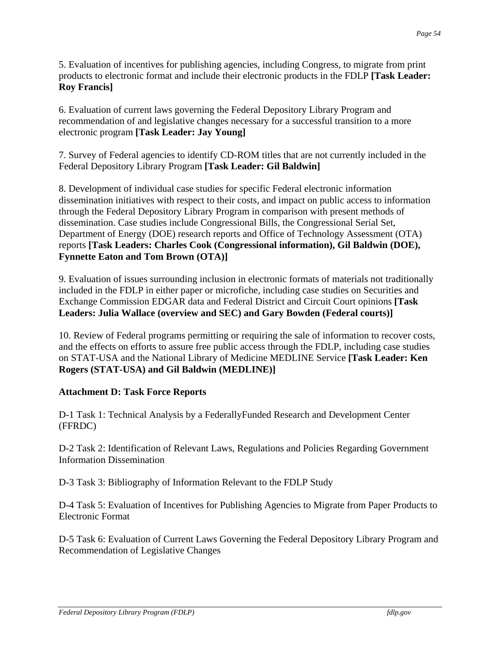5. Evaluation of incentives for publishing agencies, including Congress, to migrate from print products to electronic format and include their electronic products in the FDLP **[Task Leader: Roy Francis]**

6. Evaluation of current laws governing the Federal Depository Library Program and recommendation of and legislative changes necessary for a successful transition to a more electronic program **[Task Leader: Jay Young]**

7. Survey of Federal agencies to identify CD-ROM titles that are not currently included in the Federal Depository Library Program **[Task Leader: Gil Baldwin]**

8. Development of individual case studies for specific Federal electronic information dissemination initiatives with respect to their costs, and impact on public access to information through the Federal Depository Library Program in comparison with present methods of dissemination. Case studies include Congressional Bills, the Congressional Serial Set, Department of Energy (DOE) research reports and Office of Technology Assessment (OTA) reports **[Task Leaders: Charles Cook (Congressional information), Gil Baldwin (DOE), Fynnette Eaton and Tom Brown (OTA)]**

9. Evaluation of issues surrounding inclusion in electronic formats of materials not traditionally included in the FDLP in either paper or microfiche, including case studies on Securities and Exchange Commission EDGAR data and Federal District and Circuit Court opinions **[Task Leaders: Julia Wallace (overview and SEC) and Gary Bowden (Federal courts)]**

10. Review of Federal programs permitting or requiring the sale of information to recover costs, and the effects on efforts to assure free public access through the FDLP, including case studies on STAT-USA and the National Library of Medicine MEDLINE Service **[Task Leader: Ken Rogers (STAT-USA) and Gil Baldwin (MEDLINE)]** 

# **Attachment D: Task Force Reports**

D-1 Task 1: Technical Analysis by a FederallyFunded Research and Development Center (FFRDC)

D-2 Task 2: Identification of Relevant Laws, Regulations and Policies Regarding Government Information Dissemination

D-3 Task 3: Bibliography of Information Relevant to the FDLP Study

D-4 Task 5: Evaluation of Incentives for Publishing Agencies to Migrate from Paper Products to Electronic Format

D-5 Task 6: Evaluation of Current Laws Governing the Federal Depository Library Program and Recommendation of Legislative Changes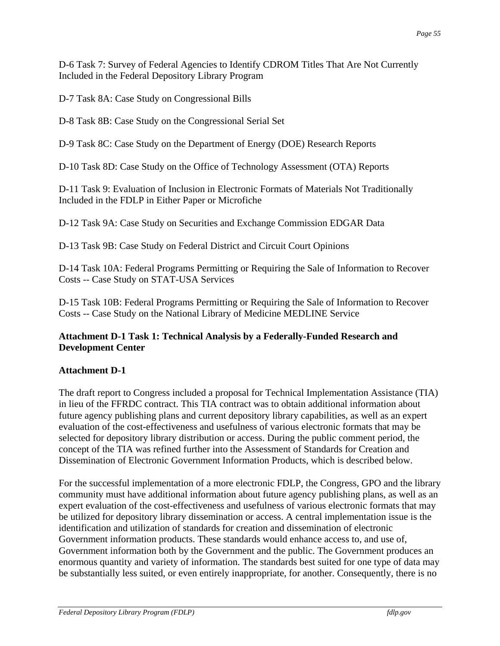D-6 Task 7: Survey of Federal Agencies to Identify CDROM Titles That Are Not Currently Included in the Federal Depository Library Program

D-7 Task 8A: Case Study on Congressional Bills

D-8 Task 8B: Case Study on the Congressional Serial Set

D-9 Task 8C: Case Study on the Department of Energy (DOE) Research Reports

D-10 Task 8D: Case Study on the Office of Technology Assessment (OTA) Reports

D-11 Task 9: Evaluation of Inclusion in Electronic Formats of Materials Not Traditionally Included in the FDLP in Either Paper or Microfiche

D-12 Task 9A: Case Study on Securities and Exchange Commission EDGAR Data

D-13 Task 9B: Case Study on Federal District and Circuit Court Opinions

D-14 Task 10A: Federal Programs Permitting or Requiring the Sale of Information to Recover Costs -- Case Study on STAT-USA Services

D-15 Task 10B: Federal Programs Permitting or Requiring the Sale of Information to Recover Costs -- Case Study on the National Library of Medicine MEDLINE Service

# **Attachment D-1 Task 1: Technical Analysis by a Federally-Funded Research and Development Center**

# **Attachment D-1**

The draft report to Congress included a proposal for Technical Implementation Assistance (TIA) in lieu of the FFRDC contract. This TIA contract was to obtain additional information about future agency publishing plans and current depository library capabilities, as well as an expert evaluation of the cost-effectiveness and usefulness of various electronic formats that may be selected for depository library distribution or access. During the public comment period, the concept of the TIA was refined further into the Assessment of Standards for Creation and Dissemination of Electronic Government Information Products, which is described below.

For the successful implementation of a more electronic FDLP, the Congress, GPO and the library community must have additional information about future agency publishing plans, as well as an expert evaluation of the cost-effectiveness and usefulness of various electronic formats that may be utilized for depository library dissemination or access. A central implementation issue is the identification and utilization of standards for creation and dissemination of electronic Government information products. These standards would enhance access to, and use of, Government information both by the Government and the public. The Government produces an enormous quantity and variety of information. The standards best suited for one type of data may be substantially less suited, or even entirely inappropriate, for another. Consequently, there is no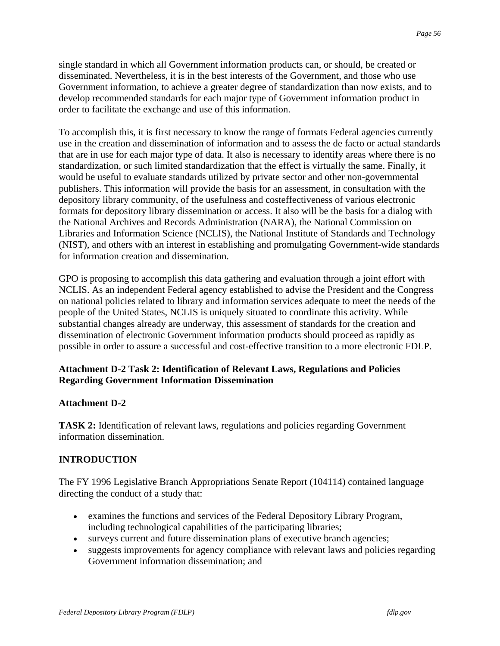single standard in which all Government information products can, or should, be created or disseminated. Nevertheless, it is in the best interests of the Government, and those who use Government information, to achieve a greater degree of standardization than now exists, and to develop recommended standards for each major type of Government information product in order to facilitate the exchange and use of this information.

To accomplish this, it is first necessary to know the range of formats Federal agencies currently use in the creation and dissemination of information and to assess the de facto or actual standards that are in use for each major type of data. It also is necessary to identify areas where there is no standardization, or such limited standardization that the effect is virtually the same. Finally, it would be useful to evaluate standards utilized by private sector and other non-governmental publishers. This information will provide the basis for an assessment, in consultation with the depository library community, of the usefulness and costeffectiveness of various electronic formats for depository library dissemination or access. It also will be the basis for a dialog with the National Archives and Records Administration (NARA), the National Commission on Libraries and Information Science (NCLIS), the National Institute of Standards and Technology (NIST), and others with an interest in establishing and promulgating Government-wide standards for information creation and dissemination.

GPO is proposing to accomplish this data gathering and evaluation through a joint effort with NCLIS. As an independent Federal agency established to advise the President and the Congress on national policies related to library and information services adequate to meet the needs of the people of the United States, NCLIS is uniquely situated to coordinate this activity. While substantial changes already are underway, this assessment of standards for the creation and dissemination of electronic Government information products should proceed as rapidly as possible in order to assure a successful and cost-effective transition to a more electronic FDLP.

### **Attachment D-2 Task 2: Identification of Relevant Laws, Regulations and Policies Regarding Government Information Dissemination**

### **Attachment D-2**

**TASK 2:** Identification of relevant laws, regulations and policies regarding Government information dissemination.

# **INTRODUCTION**

The FY 1996 Legislative Branch Appropriations Senate Report (104114) contained language directing the conduct of a study that:

- examines the functions and services of the Federal Depository Library Program, including technological capabilities of the participating libraries;
- surveys current and future dissemination plans of executive branch agencies;
- suggests improvements for agency compliance with relevant laws and policies regarding Government information dissemination; and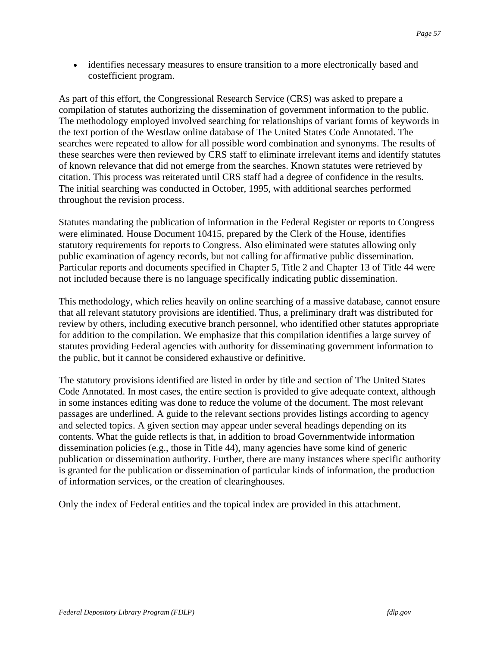identifies necessary measures to ensure transition to a more electronically based and costefficient program.

As part of this effort, the Congressional Research Service (CRS) was asked to prepare a compilation of statutes authorizing the dissemination of government information to the public. The methodology employed involved searching for relationships of variant forms of keywords in the text portion of the Westlaw online database of The United States Code Annotated. The searches were repeated to allow for all possible word combination and synonyms. The results of these searches were then reviewed by CRS staff to eliminate irrelevant items and identify statutes of known relevance that did not emerge from the searches. Known statutes were retrieved by citation. This process was reiterated until CRS staff had a degree of confidence in the results. The initial searching was conducted in October, 1995, with additional searches performed throughout the revision process.

Statutes mandating the publication of information in the Federal Register or reports to Congress were eliminated. House Document 10415, prepared by the Clerk of the House, identifies statutory requirements for reports to Congress. Also eliminated were statutes allowing only public examination of agency records, but not calling for affirmative public dissemination. Particular reports and documents specified in Chapter 5, Title 2 and Chapter 13 of Title 44 were not included because there is no language specifically indicating public dissemination.

This methodology, which relies heavily on online searching of a massive database, cannot ensure that all relevant statutory provisions are identified. Thus, a preliminary draft was distributed for review by others, including executive branch personnel, who identified other statutes appropriate for addition to the compilation. We emphasize that this compilation identifies a large survey of statutes providing Federal agencies with authority for disseminating government information to the public, but it cannot be considered exhaustive or definitive.

The statutory provisions identified are listed in order by title and section of The United States Code Annotated. In most cases, the entire section is provided to give adequate context, although in some instances editing was done to reduce the volume of the document. The most relevant passages are underlined. A guide to the relevant sections provides listings according to agency and selected topics. A given section may appear under several headings depending on its contents. What the guide reflects is that, in addition to broad Governmentwide information dissemination policies (e.g., those in Title 44), many agencies have some kind of generic publication or dissemination authority. Further, there are many instances where specific authority is granted for the publication or dissemination of particular kinds of information, the production of information services, or the creation of clearinghouses.

Only the index of Federal entities and the topical index are provided in this attachment.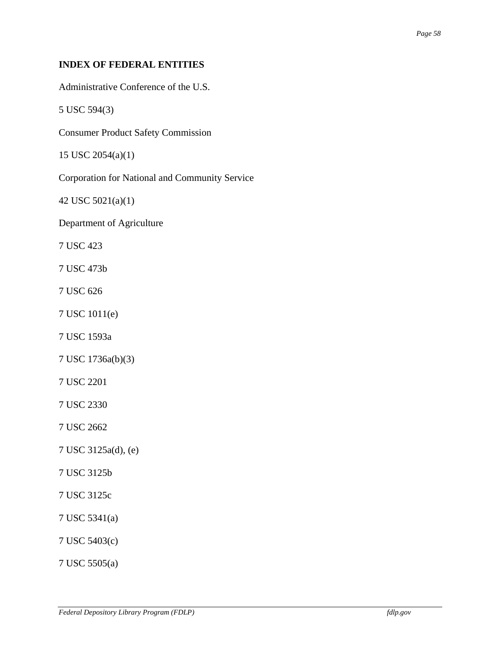## **INDEX OF FEDERAL ENTITIES**

Administrative Conference of the U.S.

5 USC 594(3)

Consumer Product Safety Commission

15 USC 2054(a)(1)

Corporation for National and Community Service

42 USC 5021(a)(1)

Department of Agriculture

7 USC 423

7 USC 473b

7 USC 626

7 USC 1011(e)

7 USC 1593a

7 USC 1736a(b)(3)

7 USC 2201

7 USC 2330

7 USC 2662

7 USC 3125a(d), (e)

7 USC 3125b

7 USC 3125c

7 USC 5341(a)

7 USC 5403(c)

7 USC 5505(a)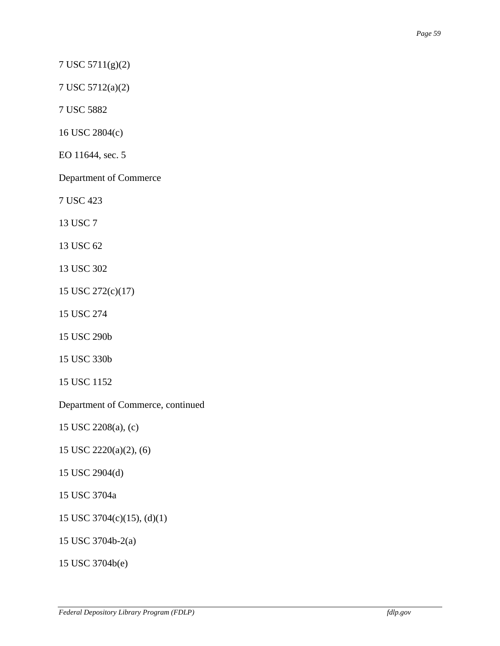7 USC 5711(g)(2)

7 USC 5712(a)(2)

7 USC 5882

16 USC 2804(c)

EO 11644, sec. 5

Department of Commerce

7 USC 423

13 USC 7

13 USC 62

13 USC 302

15 USC 272(c)(17)

15 USC 274

15 USC 290b

15 USC 330b

15 USC 1152

Department of Commerce, continued

15 USC 2208(a), (c)

15 USC 2220(a)(2), (6)

15 USC 2904(d)

15 USC 3704a

15 USC 3704(c)(15), (d)(1)

15 USC 3704b-2(a)

15 USC 3704b(e)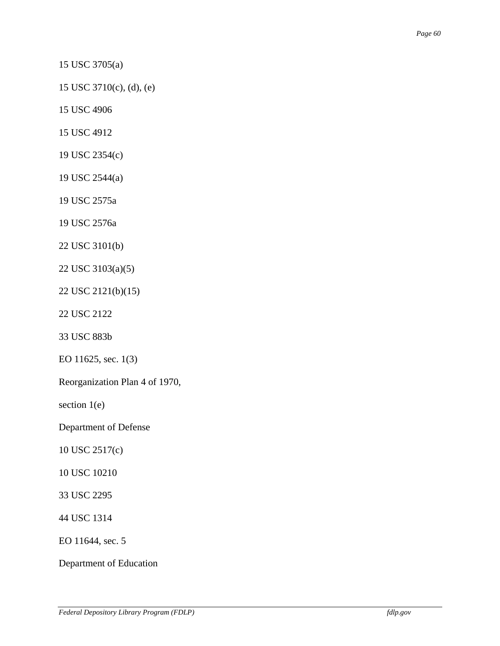15 USC 3705(a)

15 USC 3710(c), (d), (e)

15 USC 4906

15 USC 4912

19 USC 2354(c)

19 USC 2544(a)

19 USC 2575a

19 USC 2576a

22 USC 3101(b)

22 USC 3103(a)(5)

22 USC 2121(b)(15)

22 USC 2122

33 USC 883b

EO 11625, sec. 1(3)

Reorganization Plan 4 of 1970,

section 1(e)

Department of Defense

10 USC 2517(c)

10 USC 10210

33 USC 2295

44 USC 1314

EO 11644, sec. 5

Department of Education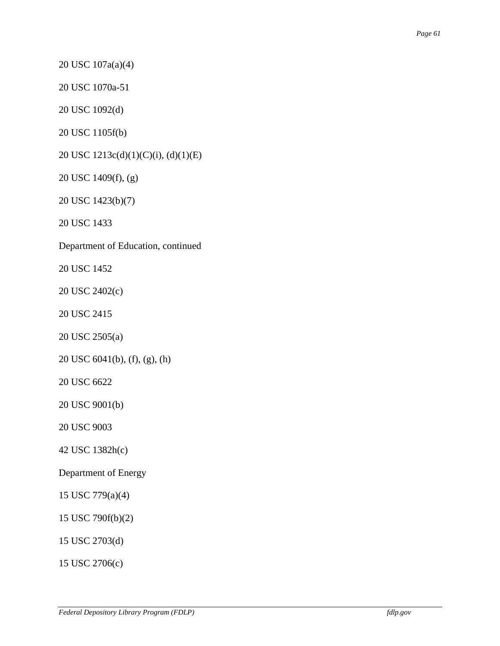20 USC 107a(a)(4)

20 USC 1070a-51

20 USC 1092(d)

20 USC 1105f(b)

20 USC 1213c(d)(1)(C)(i), (d)(1)(E)

20 USC 1409(f), (g)

20 USC 1423(b)(7)

20 USC 1433

Department of Education, continued

20 USC 1452

20 USC 2402(c)

20 USC 2415

20 USC 2505(a)

20 USC 6041(b), (f), (g), (h)

20 USC 6622

20 USC 9001(b)

20 USC 9003

42 USC 1382h(c)

Department of Energy

15 USC 779(a)(4)

15 USC 790f(b)(2)

15 USC 2703(d)

15 USC 2706(c)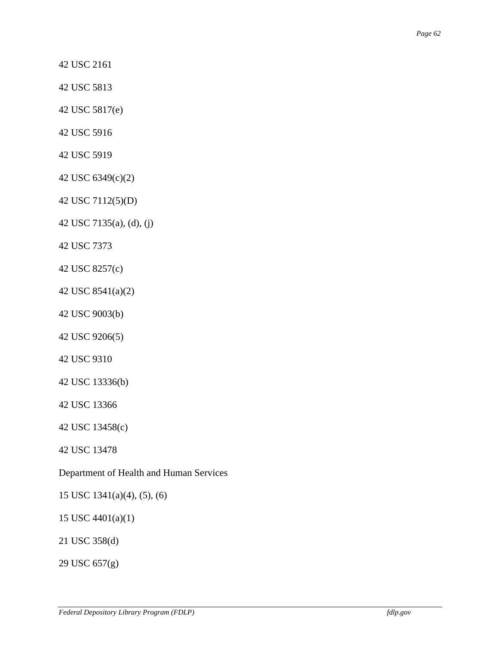42 USC 2161

- 42 USC 5813
- 42 USC 5817(e)
- 42 USC 5916
- 42 USC 5919
- 42 USC 6349(c)(2)
- 42 USC 7112(5)(D)
- 42 USC 7135(a), (d), (j)
- 42 USC 7373
- 42 USC 8257(c)
- 42 USC 8541(a)(2)
- 42 USC 9003(b)
- 42 USC 9206(5)
- 42 USC 9310
- 42 USC 13336(b)
- 42 USC 13366
- 42 USC 13458(c)
- 42 USC 13478
- Department of Health and Human Services
- 15 USC 1341(a)(4), (5), (6)
- 15 USC 4401(a)(1)
- 21 USC 358(d)
- 29 USC 657(g)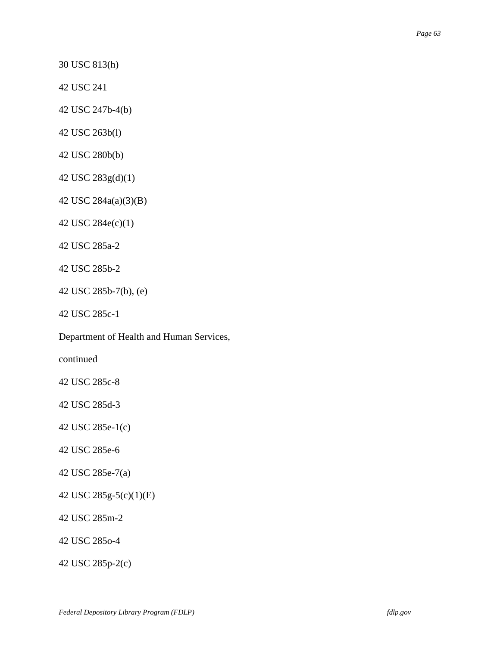30 USC 813(h)

42 USC 241

42 USC 247b-4(b)

42 USC 263b(l)

42 USC 280b(b)

42 USC 283g(d)(1)

42 USC 284a(a)(3)(B)

42 USC 284e(c)(1)

42 USC 285a-2

42 USC 285b-2

42 USC 285b-7(b), (e)

42 USC 285c-1

Department of Health and Human Services,

continued

42 USC 285c-8

42 USC 285d-3

42 USC 285e-1(c)

42 USC 285e-6

42 USC 285e-7(a)

42 USC 285g-5(c)(1)(E)

42 USC 285m-2

42 USC 285o-4

42 USC 285p-2(c)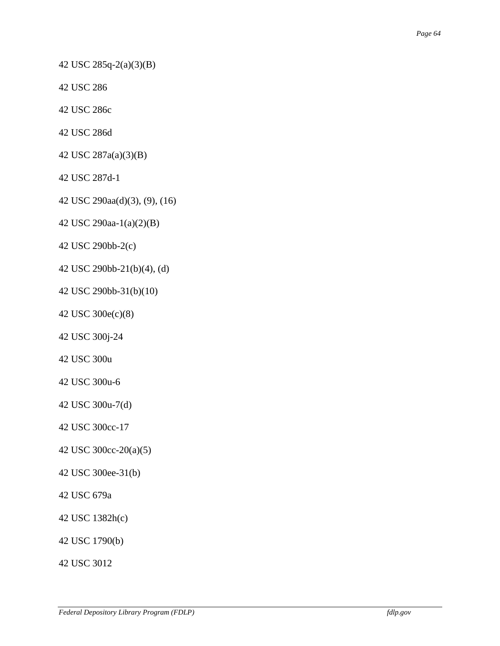- 42 USC 285q-2(a)(3)(B)
- 42 USC 286
- 42 USC 286c
- 42 USC 286d
- 42 USC 287a(a)(3)(B)
- 42 USC 287d-1
- 42 USC 290aa(d)(3), (9), (16)
- 42 USC 290aa-1(a)(2)(B)
- 42 USC 290bb-2(c)
- 42 USC 290bb-21(b)(4), (d)
- 42 USC 290bb-31(b)(10)
- 42 USC 300e(c)(8)
- 42 USC 300j-24
- 42 USC 300u
- 42 USC 300u-6
- 42 USC 300u-7(d)
- 42 USC 300cc-17
- 42 USC 300cc-20(a)(5)
- 42 USC 300ee-31(b)
- 42 USC 679a
- 42 USC 1382h(c)
- 42 USC 1790(b)
- 42 USC 3012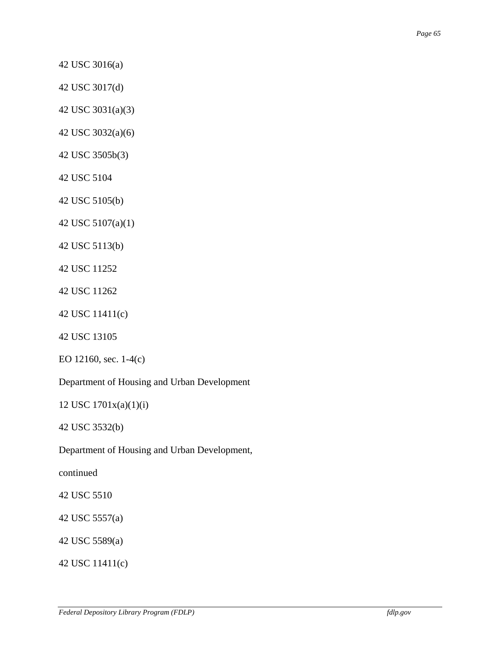42 USC 3016(a)

42 USC 3017(d)

42 USC 3031(a)(3)

42 USC 3032(a)(6)

42 USC 3505b(3)

42 USC 5104

42 USC 5105(b)

42 USC 5107(a)(1)

42 USC 5113(b)

42 USC 11252

42 USC 11262

42 USC 11411(c)

42 USC 13105

```
EO 12160, sec. 1-4(c)
```
Department of Housing and Urban Development

12 USC 1701x(a)(1)(i)

42 USC 3532(b)

Department of Housing and Urban Development,

continued

42 USC 5510

42 USC 5557(a)

42 USC 5589(a)

42 USC 11411(c)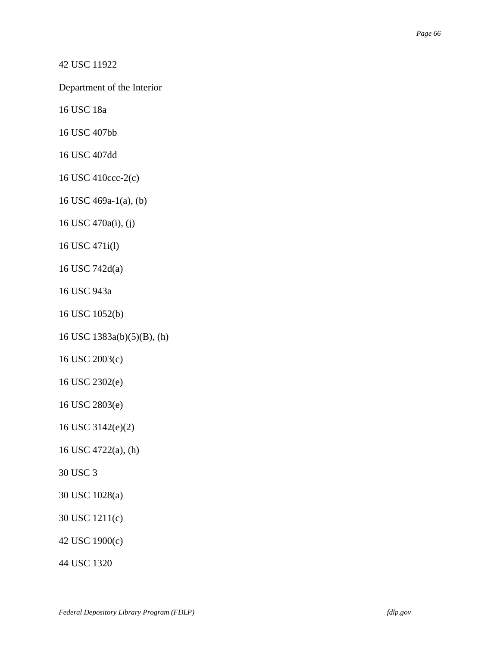42 USC 11922

Department of the Interior

16 USC 18a

16 USC 407bb

16 USC 407dd

16 USC 410ccc-2(c)

16 USC 469a-1(a), (b)

16 USC 470a(i), (j)

16 USC 471i(l)

16 USC 742d(a)

16 USC 943a

16 USC 1052(b)

16 USC 1383a(b)(5)(B), (h)

16 USC 2003(c)

16 USC 2302(e)

16 USC 2803(e)

16 USC 3142(e)(2)

16 USC 4722(a), (h)

30 USC 3

30 USC 1028(a)

30 USC 1211(c)

42 USC 1900(c)

44 USC 1320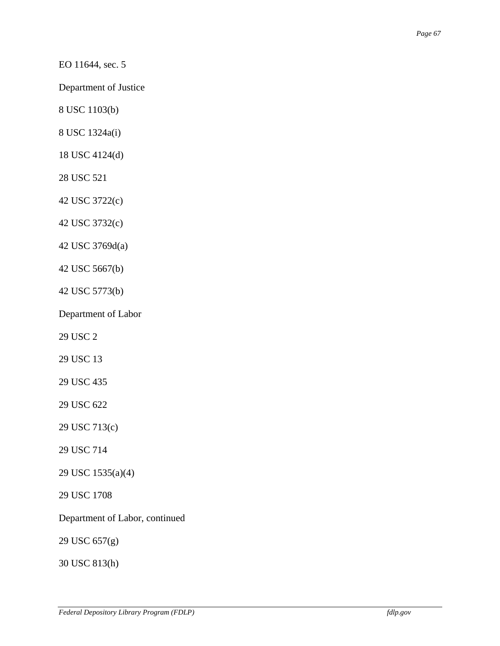EO 11644, sec. 5

Department of Justice

8 USC 1103(b)

8 USC 1324a(i)

18 USC 4124(d)

28 USC 521

42 USC 3722(c)

42 USC 3732(c)

42 USC 3769d(a)

42 USC 5667(b)

42 USC 5773(b)

Department of Labor

29 USC 2

29 USC 13

29 USC 435

29 USC 622

29 USC 713(c)

29 USC 714

29 USC 1535(a)(4)

29 USC 1708

Department of Labor, continued

29 USC 657(g)

30 USC 813(h)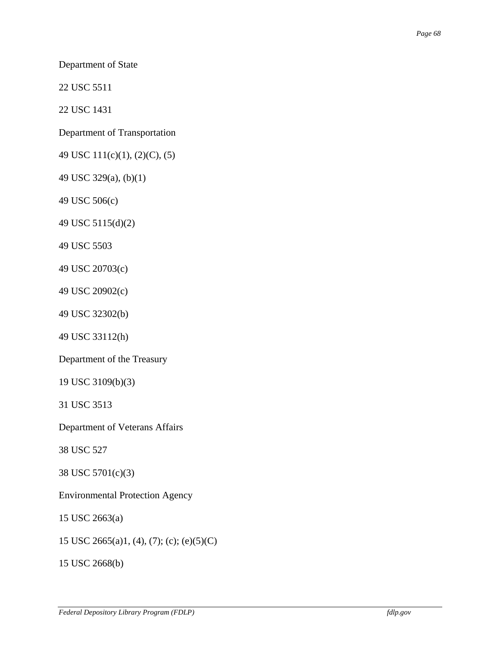Department of State

22 USC 5511

22 USC 1431

Department of Transportation

49 USC 111(c)(1), (2)(C), (5)

49 USC 329(a), (b)(1)

49 USC 506(c)

49 USC 5115(d)(2)

49 USC 5503

49 USC 20703(c)

49 USC 20902(c)

49 USC 32302(b)

49 USC 33112(h)

Department of the Treasury

19 USC 3109(b)(3)

31 USC 3513

Department of Veterans Affairs

38 USC 527

38 USC 5701(c)(3)

Environmental Protection Agency

15 USC 2663(a)

15 USC 2665(a)1, (4), (7); (c); (e)(5)(C)

15 USC 2668(b)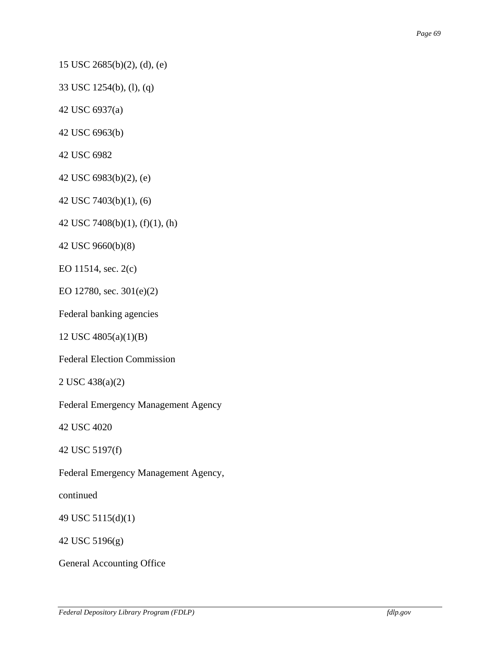15 USC 2685(b)(2), (d), (e)

33 USC 1254(b), (l), (q)

42 USC 6937(a)

42 USC 6963(b)

42 USC 6982

42 USC 6983(b)(2), (e)

42 USC 7403(b)(1), (6)

42 USC 7408(b)(1), (f)(1), (h)

42 USC 9660(b)(8)

EO 11514, sec. 2(c)

EO 12780, sec. 301(e)(2)

Federal banking agencies

12 USC 4805(a)(1)(B)

Federal Election Commission

2 USC 438(a)(2)

Federal Emergency Management Agency

42 USC 4020

42 USC 5197(f)

Federal Emergency Management Agency,

continued

49 USC 5115(d)(1)

42 USC 5196(g)

General Accounting Office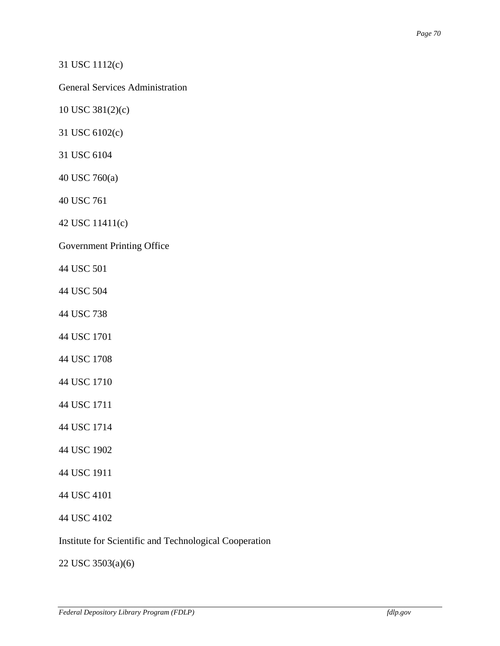# 31 USC 1112(c)

General Services Administration

10 USC 381(2)(c)

31 USC 6102(c)

31 USC 6104

40 USC 760(a)

40 USC 761

42 USC 11411(c)

Government Printing Office

44 USC 501

44 USC 504

44 USC 738

44 USC 1701

- 44 USC 1708
- 44 USC 1710
- 44 USC 1711
- 44 USC 1714
- 44 USC 1902
- 44 USC 1911
- 44 USC 4101

44 USC 4102

Institute for Scientific and Technological Cooperation

22 USC 3503(a)(6)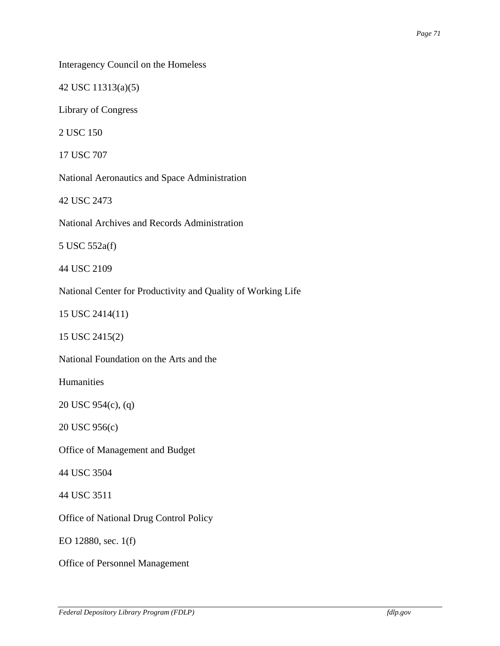Interagency Council on the Homeless

42 USC 11313(a)(5)

Library of Congress

2 USC 150

17 USC 707

National Aeronautics and Space Administration

42 USC 2473

National Archives and Records Administration

5 USC 552a(f)

44 USC 2109

National Center for Productivity and Quality of Working Life

15 USC 2414(11)

15 USC 2415(2)

National Foundation on the Arts and the

Humanities

20 USC 954(c), (q)

20 USC 956(c)

Office of Management and Budget

44 USC 3504

44 USC 3511

Office of National Drug Control Policy

EO 12880, sec. 1(f)

Office of Personnel Management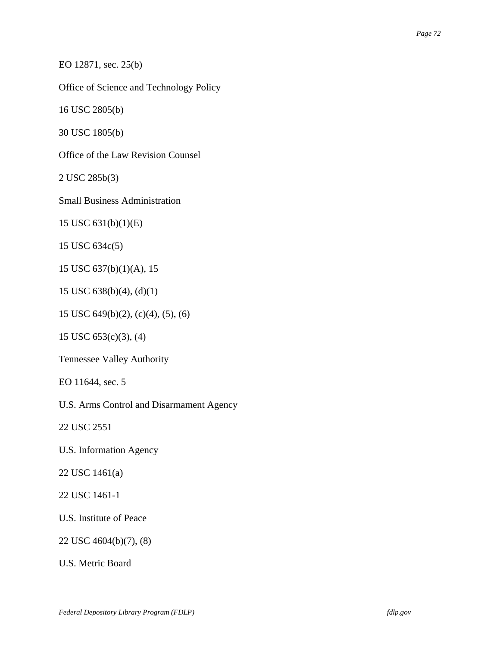EO 12871, sec. 25(b)

Office of Science and Technology Policy

16 USC 2805(b)

30 USC 1805(b)

Office of the Law Revision Counsel

2 USC 285b(3)

Small Business Administration

15 USC 631(b)(1)(E)

15 USC 634c(5)

15 USC 637(b)(1)(A), 15

15 USC 638(b)(4), (d)(1)

15 USC 649(b)(2), (c)(4), (5), (6)

15 USC 653(c)(3), (4)

Tennessee Valley Authority

EO 11644, sec. 5

U.S. Arms Control and Disarmament Agency

22 USC 2551

U.S. Information Agency

22 USC 1461(a)

22 USC 1461-1

U.S. Institute of Peace

22 USC 4604(b)(7), (8)

U.S. Metric Board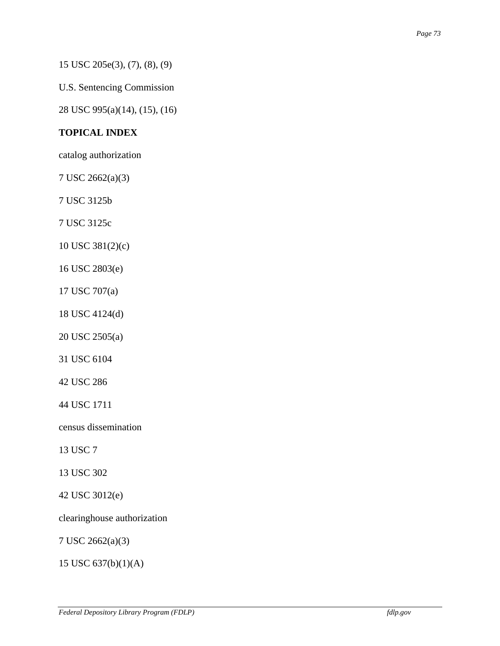15 USC 205e(3), (7), (8), (9)

U.S. Sentencing Commission

28 USC 995(a)(14), (15), (16)

# **TOPICAL INDEX**

catalog authorization

7 USC 2662(a)(3)

7 USC 3125b

7 USC 3125c

10 USC 381(2)(c)

16 USC 2803(e)

17 USC 707(a)

18 USC 4124(d)

20 USC 2505(a)

31 USC 6104

42 USC 286

44 USC 1711

census dissemination

13 USC 7

13 USC 302

42 USC 3012(e)

clearinghouse authorization

7 USC 2662(a)(3)

15 USC 637(b)(1)(A)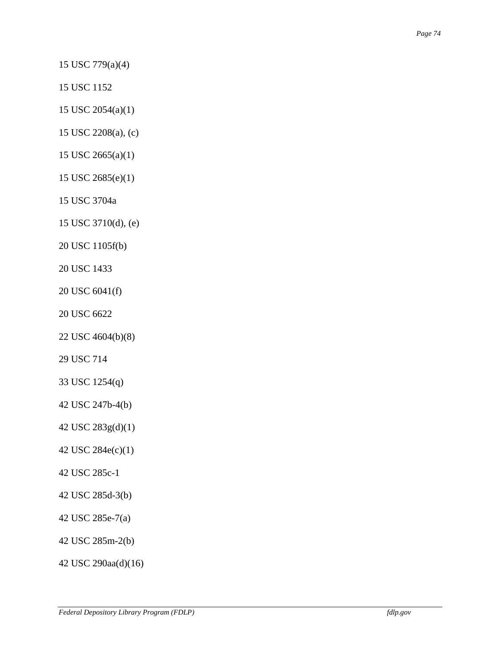15 USC 779(a)(4)

15 USC 1152

15 USC 2054(a)(1)

15 USC 2208(a), (c)

15 USC 2665(a)(1)

15 USC 2685(e)(1)

15 USC 3704a

15 USC 3710(d), (e)

20 USC 1105f(b)

20 USC 1433

20 USC 6041(f)

20 USC 6622

22 USC 4604(b)(8)

29 USC 714

33 USC 1254(q)

42 USC 247b-4(b)

42 USC 283g(d)(1)

42 USC 284e(c)(1)

42 USC 285c-1

42 USC 285d-3(b)

42 USC 285e-7(a)

42 USC 285m-2(b)

42 USC 290aa(d)(16)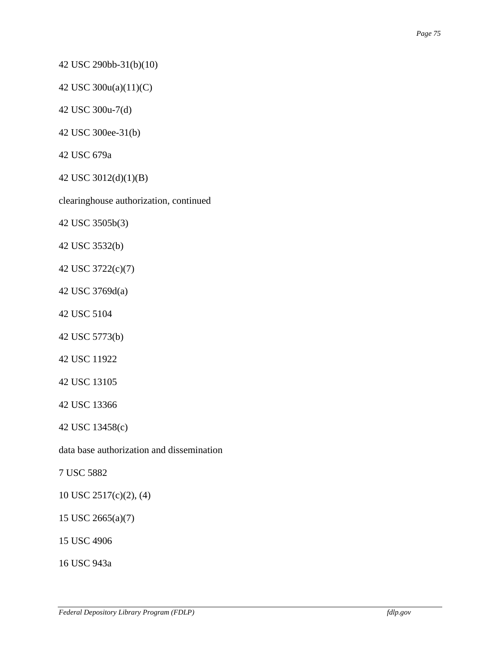42 USC 290bb-31(b)(10)

42 USC 300u(a)(11)(C)

42 USC 300u-7(d)

42 USC 300ee-31(b)

42 USC 679a

42 USC 3012(d)(1)(B)

clearinghouse authorization, continued

42 USC 3505b(3)

42 USC 3532(b)

42 USC 3722(c)(7)

42 USC 3769d(a)

42 USC 5104

42 USC 5773(b)

42 USC 11922

42 USC 13105

42 USC 13366

42 USC 13458(c)

data base authorization and dissemination

7 USC 5882

10 USC 2517(c)(2), (4)

15 USC 2665(a)(7)

15 USC 4906

16 USC 943a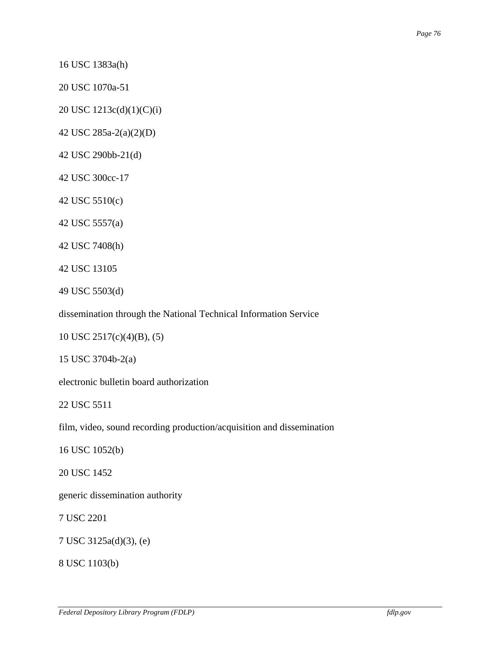16 USC 1383a(h)

20 USC 1070a-51

20 USC 1213c(d)(1)(C)(i)

42 USC 285a-2(a)(2)(D)

42 USC 290bb-21(d)

42 USC 300cc-17

42 USC 5510(c)

42 USC 5557(a)

42 USC 7408(h)

42 USC 13105

49 USC 5503(d)

dissemination through the National Technical Information Service

```
10 USC 2517(c)(4)(B), (5)
```
15 USC 3704b-2(a)

electronic bulletin board authorization

22 USC 5511

film, video, sound recording production/acquisition and dissemination

16 USC 1052(b)

20 USC 1452

generic dissemination authority

7 USC 2201

7 USC 3125a(d)(3), (e)

8 USC 1103(b)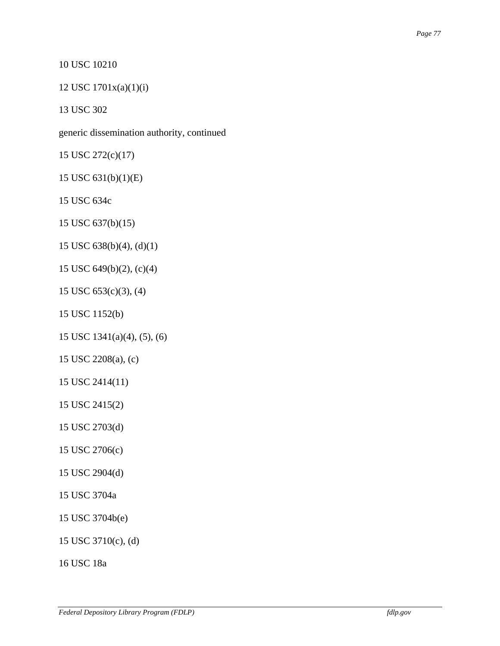10 USC 10210

12 USC 1701x(a)(1)(i)

13 USC 302

generic dissemination authority, continued

15 USC 272(c)(17)

15 USC 631(b)(1)(E)

15 USC 634c

15 USC 637(b)(15)

15 USC 638(b)(4), (d)(1)

15 USC 649(b)(2), (c)(4)

15 USC 653(c)(3), (4)

15 USC 1152(b)

15 USC 1341(a)(4), (5), (6)

15 USC 2208(a), (c)

15 USC 2414(11)

15 USC 2415(2)

15 USC 2703(d)

15 USC 2706(c)

15 USC 2904(d)

15 USC 3704a

15 USC 3704b(e)

15 USC 3710(c), (d)

16 USC 18a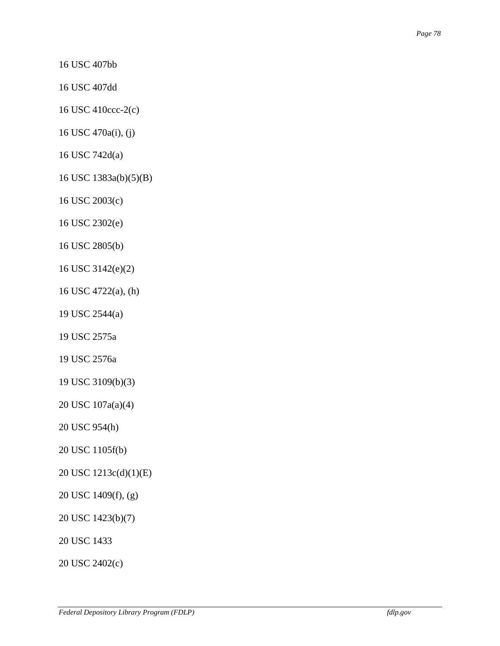16 USC 407bb

16 USC 407dd

16 USC 410ccc-2(c)

16 USC 470a(i), (j)

16 USC 742d(a)

16 USC 1383a(b)(5)(B)

16 USC 2003(c)

16 USC 2302(e)

16 USC 2805(b)

16 USC 3142(e)(2)

16 USC 4722(a), (h)

19 USC 2544(a)

19 USC 2575a

19 USC 2576a

19 USC 3109(b)(3)

20 USC 107a(a)(4)

20 USC 954(h)

20 USC 1105f(b)

20 USC 1213c(d)(1)(E)

20 USC 1409(f), (g)

20 USC 1423(b)(7)

20 USC 1433

20 USC 2402(c)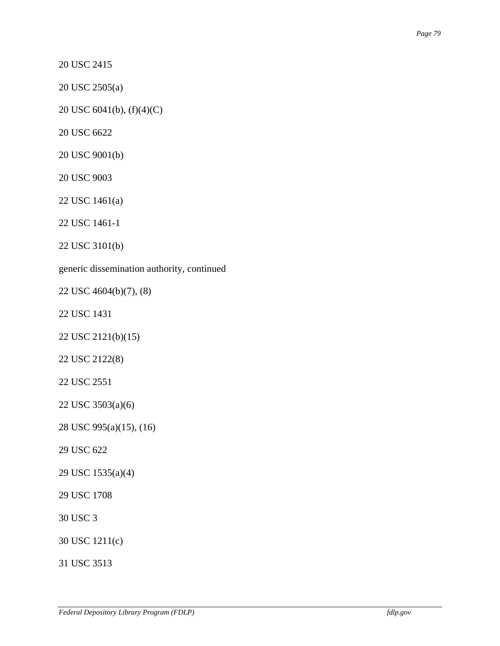20 USC 2415

20 USC 2505(a)

20 USC 6041(b), (f)(4)(C)

20 USC 6622

20 USC 9001(b)

20 USC 9003

22 USC 1461(a)

22 USC 1461-1

22 USC 3101(b)

generic dissemination authority, continued

22 USC 4604(b)(7), (8)

22 USC 1431

22 USC 2121(b)(15)

22 USC 2122(8)

22 USC 2551

22 USC 3503(a)(6)

28 USC 995(a)(15), (16)

29 USC 622

29 USC 1535(a)(4)

29 USC 1708

30 USC 3

30 USC 1211(c)

31 USC 3513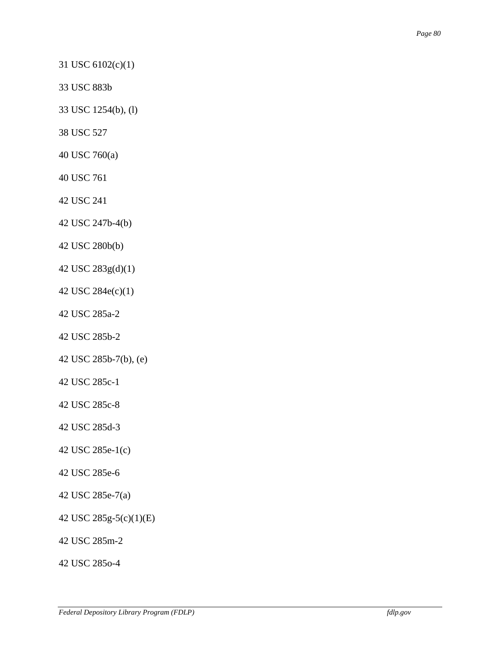31 USC 6102(c)(1)

33 USC 883b

33 USC 1254(b), (l)

38 USC 527

40 USC 760(a)

40 USC 761

42 USC 241

42 USC 247b-4(b)

42 USC 280b(b)

42 USC 283g(d)(1)

42 USC 284e(c)(1)

42 USC 285a-2

42 USC 285b-2

42 USC 285b-7(b), (e)

42 USC 285c-1

42 USC 285c-8

42 USC 285d-3

42 USC 285e-1(c)

42 USC 285e-6

42 USC 285e-7(a)

42 USC 285g-5(c)(1)(E)

42 USC 285m-2

42 USC 285o-4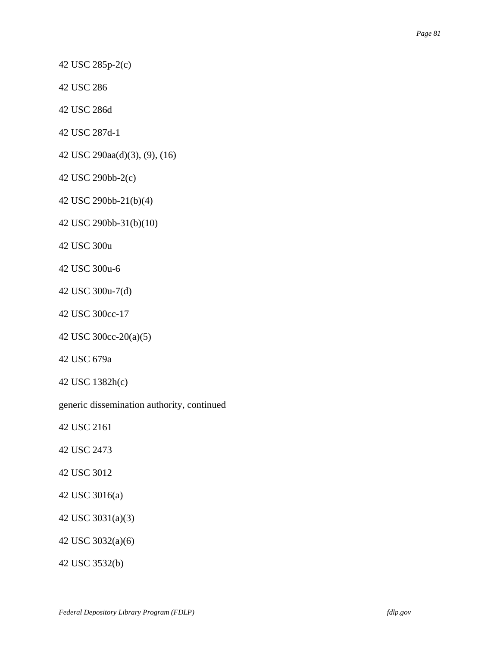42 USC 285p-2(c)

- 42 USC 286
- 42 USC 286d
- 42 USC 287d-1
- 42 USC 290aa(d)(3), (9), (16)
- 42 USC 290bb-2(c)
- 42 USC 290bb-21(b)(4)
- 42 USC 290bb-31(b)(10)
- 42 USC 300u
- 42 USC 300u-6
- 42 USC 300u-7(d)
- 42 USC 300cc-17
- 42 USC 300cc-20(a)(5)
- 42 USC 679a
- 42 USC 1382h(c)
- generic dissemination authority, continued
- 42 USC 2161
- 42 USC 2473
- 42 USC 3012
- 42 USC 3016(a)
- 42 USC 3031(a)(3)
- 42 USC 3032(a)(6)
- 42 USC 3532(b)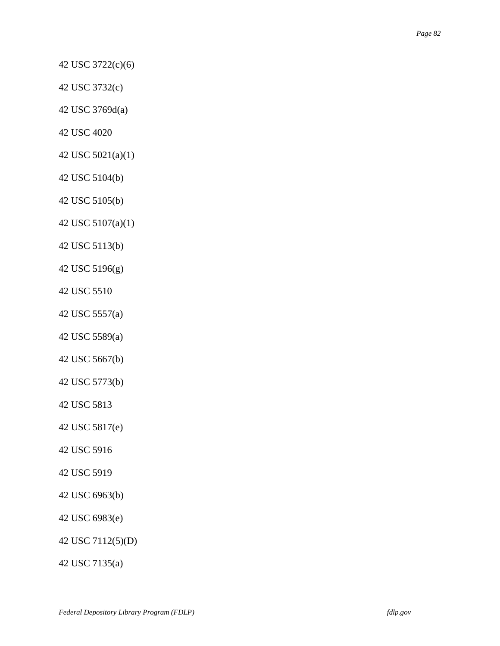- 42 USC 3722(c)(6)
- 42 USC 3732(c)
- 42 USC 3769d(a)
- 42 USC 4020
- 42 USC 5021(a)(1)
- 42 USC 5104(b)
- 42 USC 5105(b)
- 42 USC 5107(a)(1)
- 42 USC 5113(b)
- 42 USC 5196(g)
- 42 USC 5510
- 42 USC 5557(a)
- 42 USC 5589(a)
- 42 USC 5667(b)
- 42 USC 5773(b)
- 42 USC 5813
- 42 USC 5817(e)
- 42 USC 5916
- 42 USC 5919
- 42 USC 6963(b)
- 42 USC 6983(e)
- 42 USC 7112(5)(D)
- 42 USC 7135(a)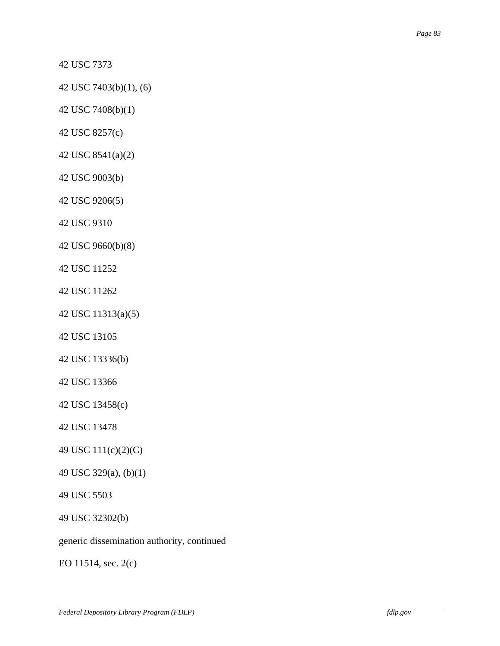42 USC 7373

- 42 USC 7403(b)(1), (6)
- 42 USC 7408(b)(1)
- 42 USC 8257(c)
- 42 USC 8541(a)(2)
- 42 USC 9003(b)
- 42 USC 9206(5)
- 42 USC 9310
- 42 USC 9660(b)(8)
- 42 USC 11252
- 42 USC 11262
- 42 USC 11313(a)(5)
- 42 USC 13105
- 42 USC 13336(b)
- 42 USC 13366
- 42 USC 13458(c)
- 42 USC 13478
- 49 USC 111(c)(2)(C)
- 49 USC 329(a), (b)(1)
- 49 USC 5503
- 49 USC 32302(b)
- generic dissemination authority, continued
- EO 11514, sec. 2(c)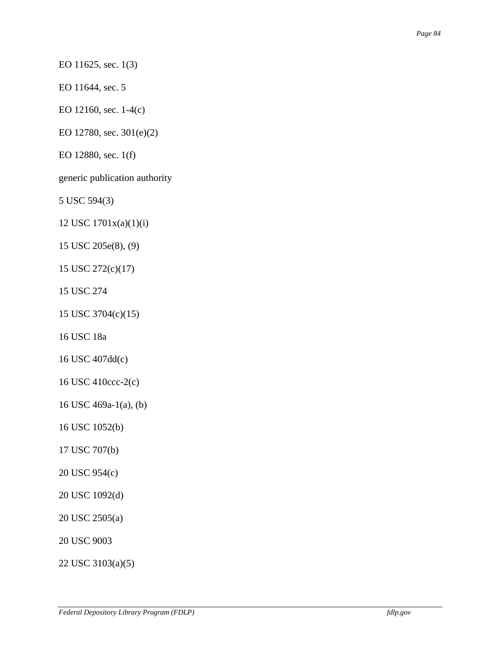EO 11625, sec. 1(3)

EO 11644, sec. 5

EO 12160, sec. 1-4(c)

EO 12780, sec. 301(e)(2)

EO 12880, sec. 1(f)

generic publication authority

5 USC 594(3)

12 USC 1701x(a)(1)(i)

15 USC 205e(8), (9)

15 USC 272(c)(17)

15 USC 274

15 USC 3704(c)(15)

16 USC 18a

16 USC 407dd(c)

16 USC 410ccc-2(c)

16 USC 469a-1(a), (b)

16 USC 1052(b)

17 USC 707(b)

20 USC 954(c)

20 USC 1092(d)

20 USC 2505(a)

20 USC 9003

22 USC 3103(a)(5)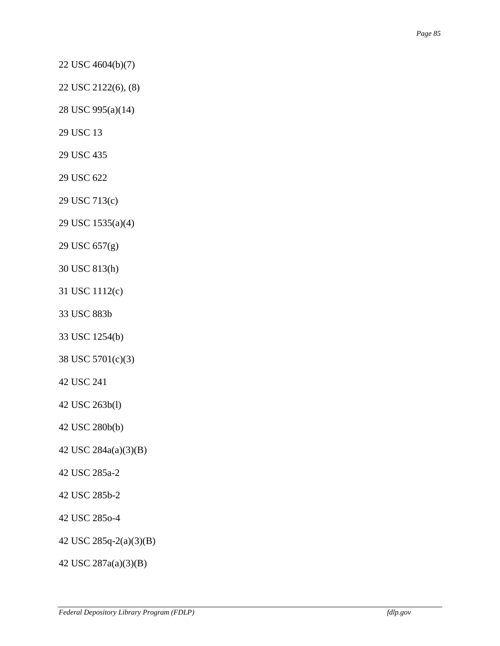22 USC 4604(b)(7)

22 USC 2122(6), (8)

28 USC 995(a)(14)

29 USC 13

29 USC 435

29 USC 622

29 USC 713(c)

29 USC 1535(a)(4)

29 USC 657(g)

30 USC 813(h)

31 USC 1112(c)

33 USC 883b

33 USC 1254(b)

38 USC 5701(c)(3)

42 USC 241

42 USC 263b(l)

42 USC 280b(b)

42 USC 284a(a)(3)(B)

42 USC 285a-2

42 USC 285b-2

42 USC 285o-4

42 USC 285q-2(a)(3)(B)

42 USC 287a(a)(3)(B)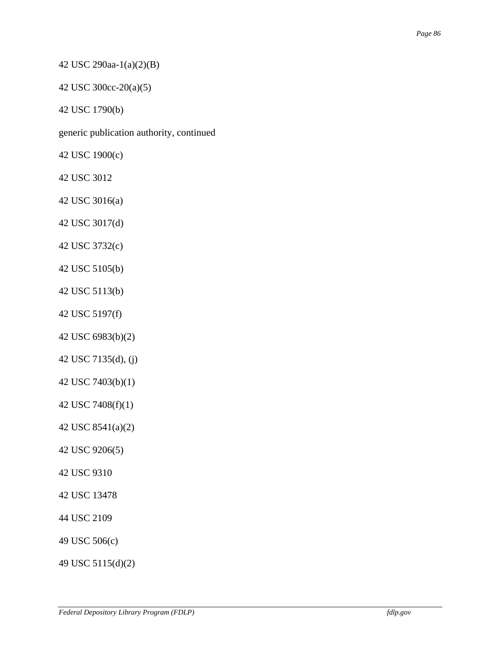42 USC 290aa-1(a)(2)(B)

42 USC 300cc-20(a)(5)

42 USC 1790(b)

generic publication authority, continued

42 USC 1900(c)

- 42 USC 3012
- 42 USC 3016(a)
- 42 USC 3017(d)
- 42 USC 3732(c)
- 42 USC 5105(b)
- 42 USC 5113(b)
- 42 USC 5197(f)
- 42 USC 6983(b)(2)
- 42 USC 7135(d), (j)
- 42 USC 7403(b)(1)
- 42 USC 7408(f)(1)
- 42 USC 8541(a)(2)
- 42 USC 9206(5)
- 42 USC 9310
- 42 USC 13478
- 44 USC 2109
- 49 USC 506(c)
- 49 USC 5115(d)(2)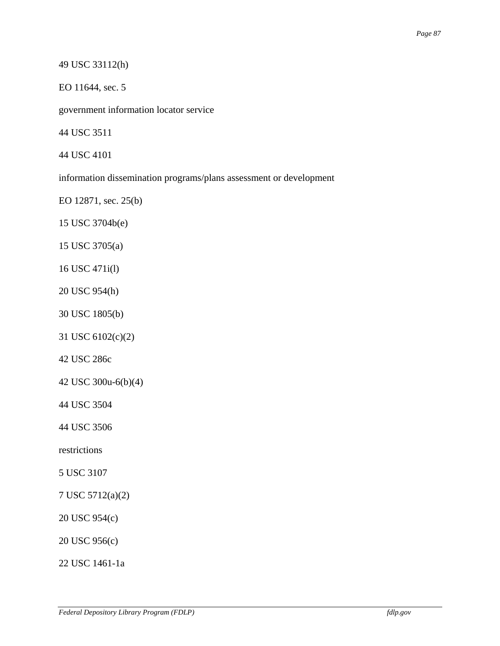#### 49 USC 33112(h)

EO 11644, sec. 5

government information locator service

44 USC 3511

44 USC 4101

information dissemination programs/plans assessment or development

EO 12871, sec. 25(b)

15 USC 3704b(e)

15 USC 3705(a)

16 USC 471i(l)

20 USC 954(h)

30 USC 1805(b)

31 USC 6102(c)(2)

42 USC 286c

42 USC 300u-6(b)(4)

44 USC 3504

44 USC 3506

restrictions

5 USC 3107

7 USC 5712(a)(2)

20 USC 954(c)

20 USC 956(c)

22 USC 1461-1a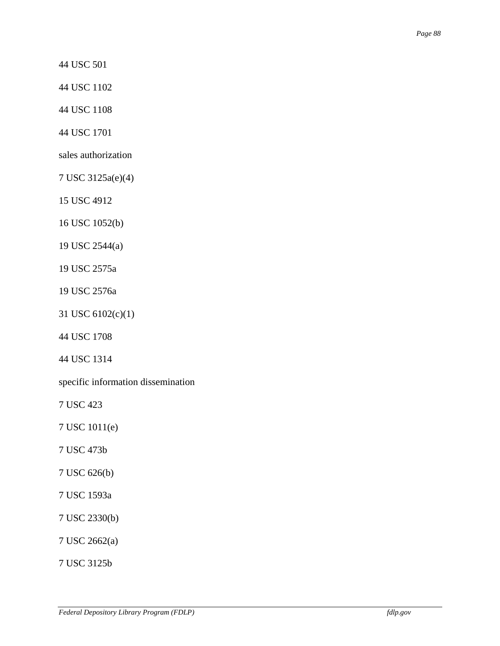44 USC 501

44 USC 1102

44 USC 1108

44 USC 1701

sales authorization

7 USC 3125a(e)(4)

15 USC 4912

16 USC 1052(b)

19 USC 2544(a)

19 USC 2575a

19 USC 2576a

31 USC 6102(c)(1)

44 USC 1708

44 USC 1314

specific information dissemination

7 USC 423

7 USC 1011(e)

7 USC 473b

7 USC 626(b)

7 USC 1593a

7 USC 2330(b)

7 USC 2662(a)

7 USC 3125b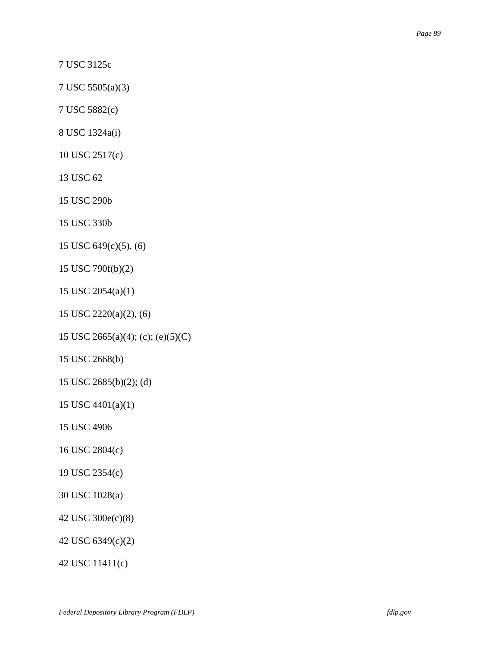7 USC 3125c

7 USC 5505(a)(3)

7 USC 5882(c)

8 USC 1324a(i)

10 USC 2517(c)

13 USC 62

15 USC 290b

15 USC 330b

15 USC 649(c)(5), (6)

15 USC 790f(b)(2)

15 USC 2054(a)(1)

15 USC 2220(a)(2), (6)

15 USC 2665(a)(4); (c); (e)(5)(C)

15 USC 2668(b)

15 USC 2685(b)(2); (d)

15 USC 4401(a)(1)

15 USC 4906

16 USC 2804(c)

19 USC 2354(c)

30 USC 1028(a)

42 USC 300e(c)(8)

42 USC 6349(c)(2)

42 USC 11411(c)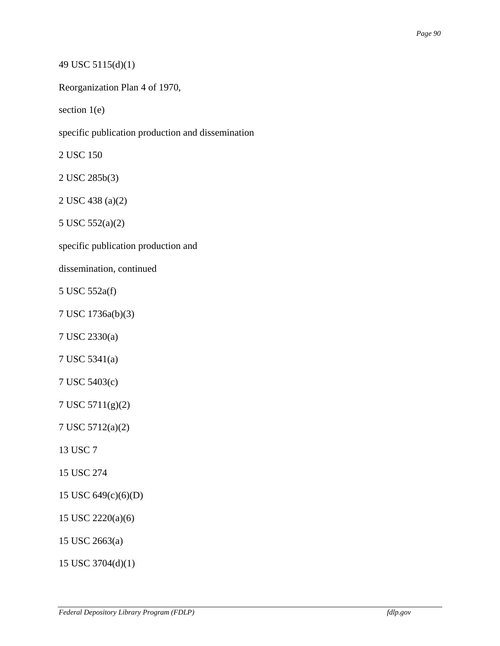#### 49 USC 5115(d)(1)

Reorganization Plan 4 of 1970,

section 1(e)

specific publication production and dissemination

2 USC 150

2 USC 285b(3)

2 USC 438 (a)(2)

5 USC 552(a)(2)

specific publication production and

dissemination, continued

5 USC 552a(f)

7 USC 1736a(b)(3)

7 USC 2330(a)

7 USC 5341(a)

7 USC 5403(c)

7 USC 5711(g)(2)

7 USC 5712(a)(2)

13 USC 7

15 USC 274

15 USC 649(c)(6)(D)

15 USC 2220(a)(6)

15 USC 2663(a)

15 USC 3704(d)(1)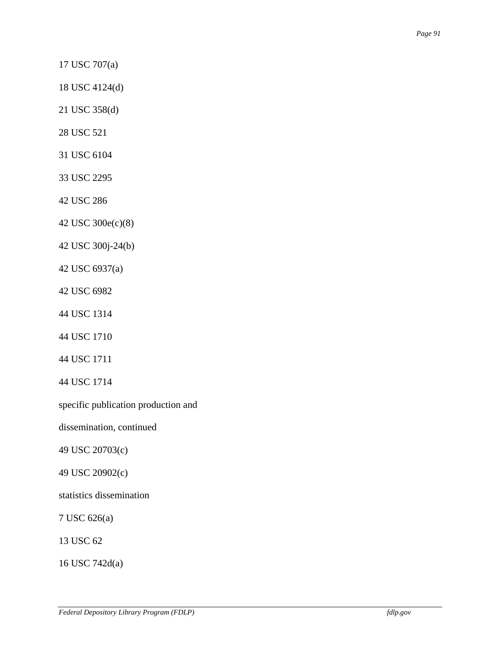17 USC 707(a)

18 USC 4124(d)

21 USC 358(d)

28 USC 521

31 USC 6104

33 USC 2295

42 USC 286

42 USC 300e(c)(8)

42 USC 300j-24(b)

42 USC 6937(a)

42 USC 6982

44 USC 1314

44 USC 1710

44 USC 1711

44 USC 1714

specific publication production and

dissemination, continued

49 USC 20703(c)

49 USC 20902(c)

statistics dissemination

7 USC 626(a)

13 USC 62

16 USC 742d(a)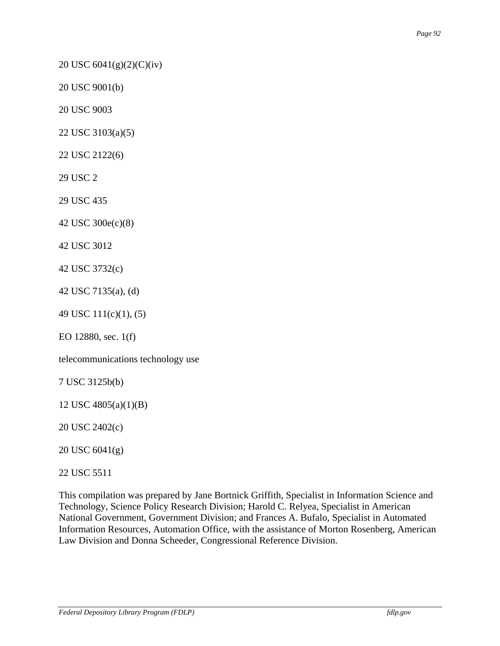20 USC 6041(g)(2)(C)(iv)

20 USC 9001(b)

20 USC 9003

22 USC 3103(a)(5)

22 USC 2122(6)

29 USC 2

29 USC 435

42 USC 300e(c)(8)

42 USC 3012

42 USC 3732(c)

42 USC 7135(a), (d)

49 USC 111(c)(1), (5)

EO 12880, sec. 1(f)

telecommunications technology use

7 USC 3125b(b)

12 USC 4805(a)(1)(B)

20 USC 2402(c)

20 USC 6041(g)

22 USC 5511

This compilation was prepared by Jane Bortnick Griffith, Specialist in Information Science and Technology, Science Policy Research Division; Harold C. Relyea, Specialist in American National Government, Government Division; and Frances A. Bufalo, Specialist in Automated Information Resources, Automation Office, with the assistance of Morton Rosenberg, American Law Division and Donna Scheeder, Congressional Reference Division.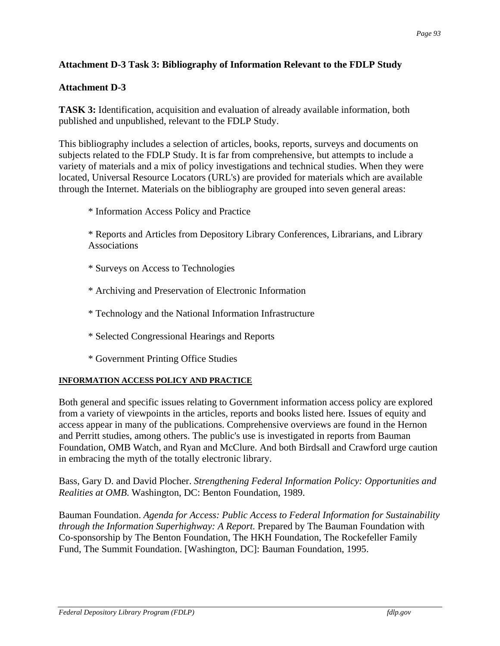# **Attachment D-3 Task 3: Bibliography of Information Relevant to the FDLP Study**

## **Attachment D-3**

**TASK 3:** Identification, acquisition and evaluation of already available information, both published and unpublished, relevant to the FDLP Study.

This bibliography includes a selection of articles, books, reports, surveys and documents on subjects related to the FDLP Study. It is far from comprehensive, but attempts to include a variety of materials and a mix of policy investigations and technical studies. When they were located, Universal Resource Locators (URL's) are provided for materials which are available through the Internet. Materials on the bibliography are grouped into seven general areas:

\* Information Access Policy and Practice

\* Reports and Articles from Depository Library Conferences, Librarians, and Library Associations

- \* Surveys on Access to Technologies
- \* Archiving and Preservation of Electronic Information
- \* Technology and the National Information Infrastructure
- \* Selected Congressional Hearings and Reports
- \* Government Printing Office Studies

## **INFORMATION ACCESS POLICY AND PRACTICE**

Both general and specific issues relating to Government information access policy are explored from a variety of viewpoints in the articles, reports and books listed here. Issues of equity and access appear in many of the publications. Comprehensive overviews are found in the Hernon and Perritt studies, among others. The public's use is investigated in reports from Bauman Foundation, OMB Watch, and Ryan and McClure. And both Birdsall and Crawford urge caution in embracing the myth of the totally electronic library.

Bass, Gary D. and David Plocher. *Strengthening Federal Information Policy: Opportunities and Realities at OMB*. Washington, DC: Benton Foundation, 1989.

Bauman Foundation. *Agenda for Access: Public Access to Federal Information for Sustainability through the Information Superhighway: A Report.* Prepared by The Bauman Foundation with Co-sponsorship by The Benton Foundation, The HKH Foundation, The Rockefeller Family Fund, The Summit Foundation. [Washington, DC]: Bauman Foundation, 1995.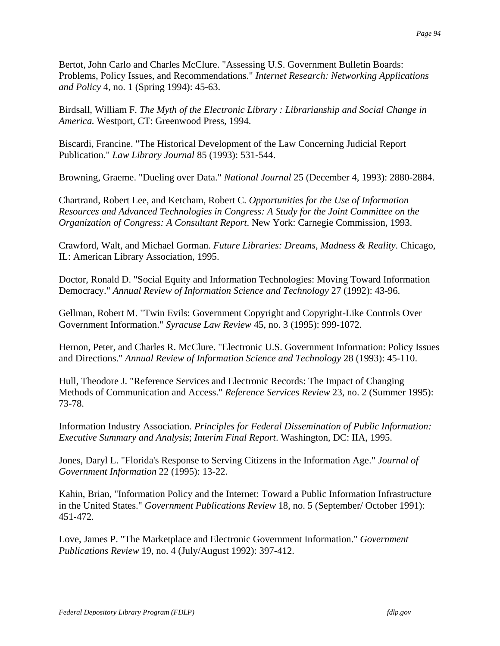Bertot, John Carlo and Charles McClure. "Assessing U.S. Government Bulletin Boards: Problems, Policy Issues, and Recommendations." *Internet Research: Networking Applications and Policy* 4, no. 1 (Spring 1994): 45-63.

Birdsall, William F. *The Myth of the Electronic Library : Librarianship and Social Change in America.* Westport, CT: Greenwood Press, 1994.

Biscardi, Francine. "The Historical Development of the Law Concerning Judicial Report Publication." *Law Library Journal* 85 (1993): 531-544.

Browning, Graeme. "Dueling over Data." *National Journal* 25 (December 4, 1993): 2880-2884.

Chartrand, Robert Lee, and Ketcham, Robert C. *Opportunities for the Use of Information Resources and Advanced Technologies in Congress: A Study for the Joint Committee on the Organization of Congress: A Consultant Report*. New York: Carnegie Commission, 1993.

Crawford, Walt, and Michael Gorman. *Future Libraries: Dreams, Madness & Reality*. Chicago, IL: American Library Association, 1995.

Doctor, Ronald D. "Social Equity and Information Technologies: Moving Toward Information Democracy." *Annual Review of Information Science and Technology* 27 (1992): 43-96.

Gellman, Robert M. "Twin Evils: Government Copyright and Copyright-Like Controls Over Government Information." *Syracuse Law Review* 45, no. 3 (1995): 999-1072.

Hernon, Peter, and Charles R. McClure. "Electronic U.S. Government Information: Policy Issues and Directions." *Annual Review of Information Science and Technology* 28 (1993): 45-110.

Hull, Theodore J. "Reference Services and Electronic Records: The Impact of Changing Methods of Communication and Access." *Reference Services Review* 23, no. 2 (Summer 1995): 73-78.

Information Industry Association. *Principles for Federal Dissemination of Public Information: Executive Summary and Analysis*; *Interim Final Report*. Washington, DC: IIA, 1995.

Jones, Daryl L. "Florida's Response to Serving Citizens in the Information Age." *Journal of Government Information* 22 (1995): 13-22.

Kahin, Brian, "Information Policy and the Internet: Toward a Public Information Infrastructure in the United States." *Government Publications Review* 18, no. 5 (September/ October 1991): 451-472.

Love, James P. "The Marketplace and Electronic Government Information." *Government Publications Review* 19, no. 4 (July/August 1992): 397-412.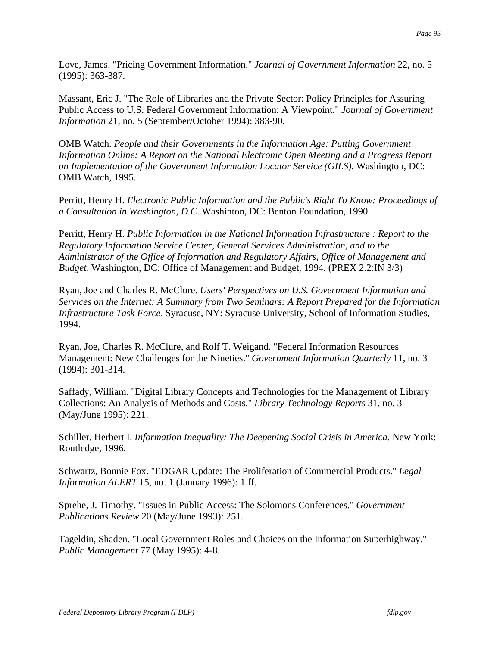Love, James. "Pricing Government Information." *Journal of Government Information* 22, no. 5 (1995): 363-387.

Massant, Eric J. "The Role of Libraries and the Private Sector: Policy Principles for Assuring Public Access to U.S. Federal Government Information: A Viewpoint." *Journal of Government Information* 21, no. 5 (September/October 1994): 383-90.

OMB Watch. *People and their Governments in the Information Age: Putting Government Information Online: A Report on the National Electronic Open Meeting and a Progress Report on Implementation of the Government Information Locator Service (GILS)*. Washington, DC: OMB Watch, 1995.

Perritt, Henry H. *Electronic Public Information and the Public's Right To Know: Proceedings of a Consultation in Washington, D.C*. Washinton, DC: Benton Foundation, 1990.

Perritt, Henry H. *Public Information in the National Information Infrastructure : Report to the Regulatory Information Service Center, General Services Administration, and to the Administrator of the Office of Information and Regulatory Affairs, Office of Management and Budget*. Washington, DC: Office of Management and Budget, 1994. (PREX 2.2:IN 3/3)

Ryan, Joe and Charles R. McClure. *Users' Perspectives on U.S. Government Information and Services on the Internet: A Summary from Two Seminars: A Report Prepared for the Information Infrastructure Task Force*. Syracuse, NY: Syracuse University, School of Information Studies, 1994.

Ryan, Joe, Charles R. McClure, and Rolf T. Weigand. "Federal Information Resources Management: New Challenges for the Nineties." *Government Information Quarterly* 11, no. 3 (1994): 301-314.

Saffady, William. "Digital Library Concepts and Technologies for the Management of Library Collections: An Analysis of Methods and Costs." *Library Technology Reports* 31, no. 3 (May/June 1995): 221.

Schiller, Herbert I. *Information Inequality: The Deepening Social Crisis in America.* New York: Routledge, 1996.

Schwartz, Bonnie Fox. "EDGAR Update: The Proliferation of Commercial Products." *Legal Information ALERT* 15, no. 1 (January 1996): 1 ff.

Sprehe, J. Timothy. "Issues in Public Access: The Solomons Conferences." *Government Publications Review* 20 (May/June 1993): 251.

Tageldin, Shaden. "Local Government Roles and Choices on the Information Superhighway." *Public Management* 77 (May 1995): 4-8.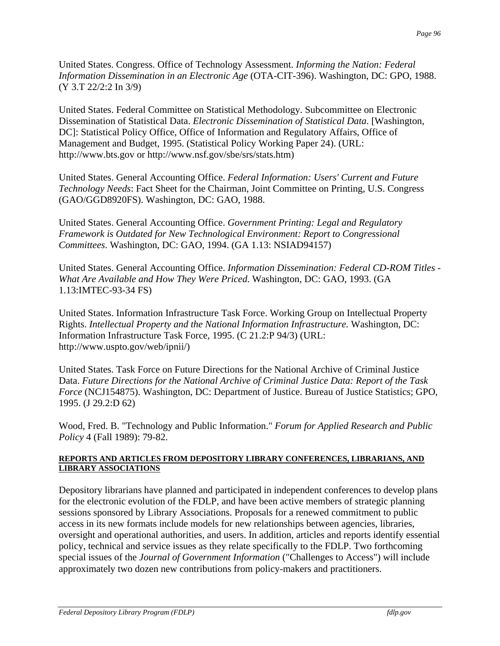United States. Congress. Office of Technology Assessment. *Informing the Nation: Federal Information Dissemination in an Electronic Age* (OTA-CIT-396). Washington, DC: GPO, 1988. (Y 3.T 22/2:2 In 3/9)

United States. Federal Committee on Statistical Methodology. Subcommittee on Electronic Dissemination of Statistical Data. *Electronic Dissemination of Statistical Data*. [Washington, DC]: Statistical Policy Office, Office of Information and Regulatory Affairs, Office of Management and Budget, 1995. (Statistical Policy Working Paper 24). (URL: http://www.bts.gov or http://www.nsf.gov/sbe/srs/stats.htm)

United States. General Accounting Office. *Federal Information: Users' Current and Future Technology Needs*: Fact Sheet for the Chairman, Joint Committee on Printing, U.S. Congress (GAO/GGD8920FS). Washington, DC: GAO, 1988.

United States. General Accounting Office. *Government Printing: Legal and Regulatory Framework is Outdated for New Technological Environment: Report to Congressional Committees*. Washington, DC: GAO, 1994. (GA 1.13: NSIAD94157)

United States. General Accounting Office. *Information Dissemination: Federal CD-ROM Titles - What Are Available and How They Were Priced*. Washington, DC: GAO, 1993. (GA 1.13:IMTEC-93-34 FS)

United States. Information Infrastructure Task Force. Working Group on Intellectual Property Rights. *Intellectual Property and the National Information Infrastructure.* Washington, DC: Information Infrastructure Task Force, 1995. (C 21.2:P 94/3) (URL: http://www.uspto.gov/web/ipnii/)

United States. Task Force on Future Directions for the National Archive of Criminal Justice Data. *Future Directions for the National Archive of Criminal Justice Data: Report of the Task Force* (NCJ154875). Washington, DC: Department of Justice. Bureau of Justice Statistics; GPO, 1995. (J 29.2:D 62)

Wood, Fred. B. "Technology and Public Information." *Forum for Applied Research and Public Policy* 4 (Fall 1989): 79-82.

#### **REPORTS AND ARTICLES FROM DEPOSITORY LIBRARY CONFERENCES, LIBRARIANS, AND LIBRARY ASSOCIATIONS**

Depository librarians have planned and participated in independent conferences to develop plans for the electronic evolution of the FDLP, and have been active members of strategic planning sessions sponsored by Library Associations. Proposals for a renewed commitment to public access in its new formats include models for new relationships between agencies, libraries, oversight and operational authorities, and users. In addition, articles and reports identify essential policy, technical and service issues as they relate specifically to the FDLP. Two forthcoming special issues of the *Journal of Government Information* ("Challenges to Access") will include approximately two dozen new contributions from policy-makers and practitioners.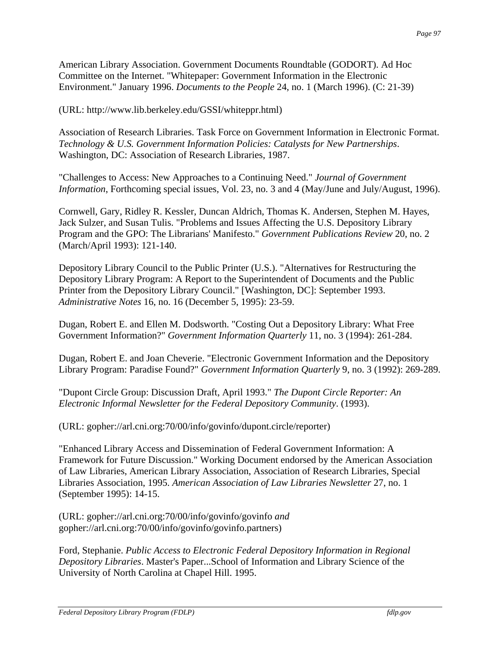American Library Association. Government Documents Roundtable (GODORT). Ad Hoc Committee on the Internet. "Whitepaper: Government Information in the Electronic Environment." January 1996. *Documents to the People* 24, no. 1 (March 1996). (C: 21-39)

(URL: http://www.lib.berkeley.edu/GSSI/whiteppr.html)

Association of Research Libraries. Task Force on Government Information in Electronic Format. *Technology & U.S. Government Information Policies: Catalysts for New Partnerships*. Washington, DC: Association of Research Libraries, 1987.

"Challenges to Access: New Approaches to a Continuing Need." *Journal of Government Information*, Forthcoming special issues, Vol. 23, no. 3 and 4 (May/June and July/August, 1996).

Cornwell, Gary, Ridley R. Kessler, Duncan Aldrich, Thomas K. Andersen, Stephen M. Hayes, Jack Sulzer, and Susan Tulis. "Problems and Issues Affecting the U.S. Depository Library Program and the GPO: The Librarians' Manifesto." *Government Publications Review* 20, no. 2 (March/April 1993): 121-140.

Depository Library Council to the Public Printer (U.S.). "Alternatives for Restructuring the Depository Library Program: A Report to the Superintendent of Documents and the Public Printer from the Depository Library Council." [Washington, DC]: September 1993. *Administrative Notes* 16, no. 16 (December 5, 1995): 23-59.

Dugan, Robert E. and Ellen M. Dodsworth. "Costing Out a Depository Library: What Free Government Information?" *Government Information Quarterly* 11, no. 3 (1994): 261-284.

Dugan, Robert E. and Joan Cheverie. "Electronic Government Information and the Depository Library Program: Paradise Found?" *Government Information Quarterly* 9, no. 3 (1992): 269-289.

"Dupont Circle Group: Discussion Draft, April 1993." *The Dupont Circle Reporter: An Electronic Informal Newsletter for the Federal Depository Community*. (1993).

(URL: gopher://arl.cni.org:70/00/info/govinfo/dupont.circle/reporter)

"Enhanced Library Access and Dissemination of Federal Government Information: A Framework for Future Discussion." Working Document endorsed by the American Association of Law Libraries, American Library Association, Association of Research Libraries, Special Libraries Association, 1995. *American Association of Law Libraries Newsletter* 27, no. 1 (September 1995): 14-15.

(URL: gopher://arl.cni.org:70/00/info/govinfo/govinfo *and* gopher://arl.cni.org:70/00/info/govinfo/govinfo.partners)

Ford, Stephanie. *Public Access to Electronic Federal Depository Information in Regional Depository Libraries*. Master's Paper...School of Information and Library Science of the University of North Carolina at Chapel Hill. 1995.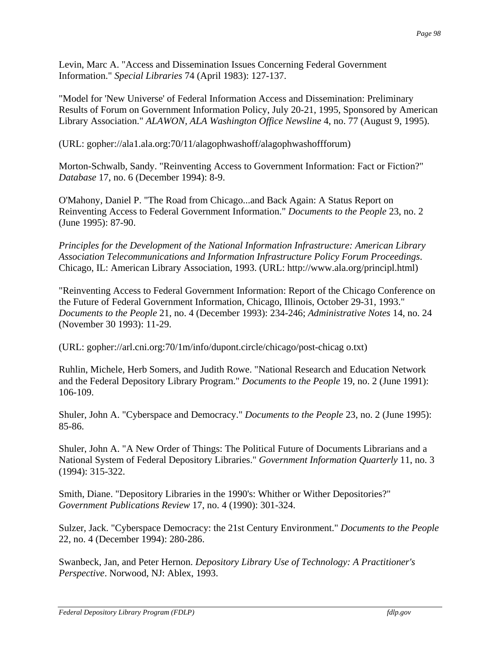Levin, Marc A. "Access and Dissemination Issues Concerning Federal Government Information." *Special Libraries* 74 (April 1983): 127-137.

"Model for 'New Universe' of Federal Information Access and Dissemination: Preliminary Results of Forum on Government Information Policy, July 20-21, 1995, Sponsored by American Library Association." *ALAWON, ALA Washington Office Newsline* 4, no. 77 (August 9, 1995).

(URL: gopher://ala1.ala.org:70/11/alagophwashoff/alagophwashoffforum)

Morton-Schwalb, Sandy. "Reinventing Access to Government Information: Fact or Fiction?" *Database* 17, no. 6 (December 1994): 8-9.

O'Mahony, Daniel P. "The Road from Chicago...and Back Again: A Status Report on Reinventing Access to Federal Government Information." *Documents to the People* 23, no. 2 (June 1995): 87-90.

*Principles for the Development of the National Information Infrastructure: American Library Association Telecommunications and Information Infrastructure Policy Forum Proceedings*. Chicago, IL: American Library Association, 1993. (URL: http://www.ala.org/principl.html)

"Reinventing Access to Federal Government Information: Report of the Chicago Conference on the Future of Federal Government Information, Chicago, Illinois, October 29-31, 1993." *Documents to the People* 21, no. 4 (December 1993): 234-246; *Administrative Notes* 14, no. 24 (November 30 1993): 11-29.

(URL: gopher://arl.cni.org:70/1m/info/dupont.circle/chicago/post-chicag o.txt)

Ruhlin, Michele, Herb Somers, and Judith Rowe. "National Research and Education Network and the Federal Depository Library Program." *Documents to the People* 19, no. 2 (June 1991): 106-109.

Shuler, John A. "Cyberspace and Democracy." *Documents to the People* 23, no. 2 (June 1995): 85-86.

Shuler, John A. "A New Order of Things: The Political Future of Documents Librarians and a National System of Federal Depository Libraries." *Government Information Quarterly* 11, no. 3 (1994): 315-322.

Smith, Diane. "Depository Libraries in the 1990's: Whither or Wither Depositories?" *Government Publications Review* 17, no. 4 (1990): 301-324.

Sulzer, Jack. "Cyberspace Democracy: the 21st Century Environment." *Documents to the People* 22, no. 4 (December 1994): 280-286.

Swanbeck, Jan, and Peter Hernon. *Depository Library Use of Technology: A Practitioner's Perspective*. Norwood, NJ: Ablex, 1993.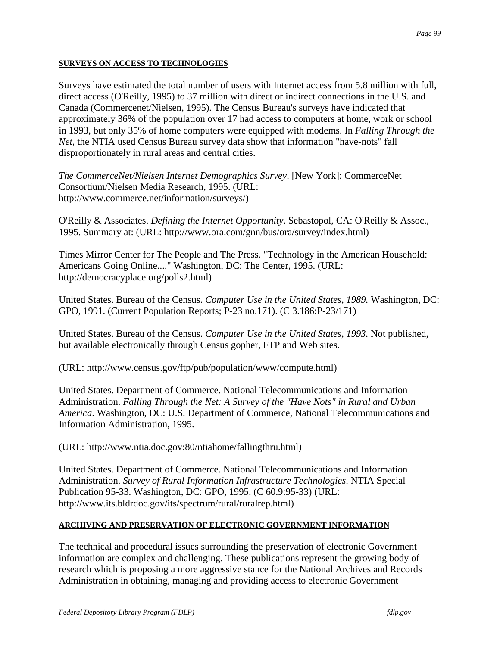#### **SURVEYS ON ACCESS TO TECHNOLOGIES**

Surveys have estimated the total number of users with Internet access from 5.8 million with full, direct access (O'Reilly, 1995) to 37 million with direct or indirect connections in the U.S. and Canada (Commercenet/Nielsen, 1995). The Census Bureau's surveys have indicated that approximately 36% of the population over 17 had access to computers at home, work or school in 1993, but only 35% of home computers were equipped with modems. In *Falling Through the Net*, the NTIA used Census Bureau survey data show that information "have-nots" fall disproportionately in rural areas and central cities.

*The CommerceNet/Nielsen Internet Demographics Survey*. [New York]: CommerceNet Consortium/Nielsen Media Research, 1995. (URL: http://www.commerce.net/information/surveys/)

O'Reilly & Associates. *Defining the Internet Opportunity*. Sebastopol, CA: O'Reilly & Assoc., 1995. Summary at: (URL: http://www.ora.com/gnn/bus/ora/survey/index.html)

Times Mirror Center for The People and The Press. "Technology in the American Household: Americans Going Online...." Washington, DC: The Center, 1995. (URL: http://democracyplace.org/polls2.html)

United States. Bureau of the Census. *Computer Use in the United States, 1989.* Washington, DC: GPO, 1991. (Current Population Reports; P-23 no.171). (C 3.186:P-23/171)

United States. Bureau of the Census. *Computer Use in the United States, 1993.* Not published, but available electronically through Census gopher, FTP and Web sites.

(URL: http://www.census.gov/ftp/pub/population/www/compute.html)

United States. Department of Commerce. National Telecommunications and Information Administration. *Falling Through the Net: A Survey of the "Have Nots" in Rural and Urban America*. Washington, DC: U.S. Department of Commerce, National Telecommunications and Information Administration, 1995.

(URL: http://www.ntia.doc.gov:80/ntiahome/fallingthru.html)

United States. Department of Commerce. National Telecommunications and Information Administration. *Survey of Rural Information Infrastructure Technologies*. NTIA Special Publication 95-33. Washington, DC: GPO, 1995. (C 60.9:95-33) (URL: http://www.its.bldrdoc.gov/its/spectrum/rural/ruralrep.html)

## **ARCHIVING AND PRESERVATION OF ELECTRONIC GOVERNMENT INFORMATION**

The technical and procedural issues surrounding the preservation of electronic Government information are complex and challenging. These publications represent the growing body of research which is proposing a more aggressive stance for the National Archives and Records Administration in obtaining, managing and providing access to electronic Government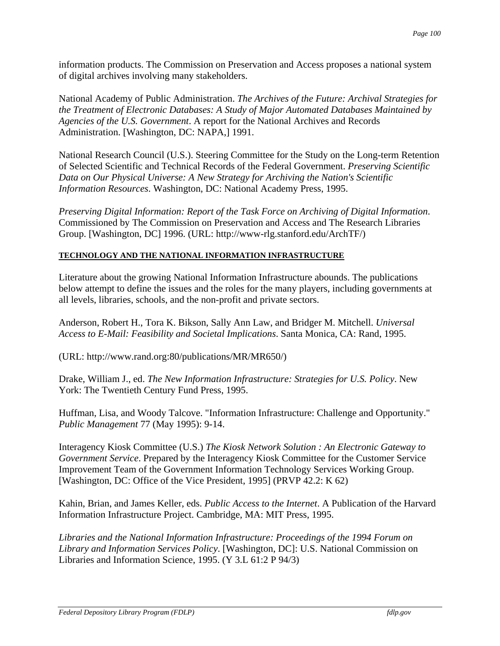information products. The Commission on Preservation and Access proposes a national system of digital archives involving many stakeholders.

National Academy of Public Administration. *The Archives of the Future: Archival Strategies for the Treatment of Electronic Databases: A Study of Major Automated Databases Maintained by Agencies of the U.S. Government*. A report for the National Archives and Records Administration. [Washington, DC: NAPA,] 1991.

National Research Council (U.S.). Steering Committee for the Study on the Long-term Retention of Selected Scientific and Technical Records of the Federal Government. *Preserving Scientific Data on Our Physical Universe: A New Strategy for Archiving the Nation's Scientific Information Resources*. Washington, DC: National Academy Press, 1995.

*Preserving Digital Information: Report of the Task Force on Archiving of Digital Information*. Commissioned by The Commission on Preservation and Access and The Research Libraries Group. [Washington, DC] 1996. (URL: http://www-rlg.stanford.edu/ArchTF/)

#### **TECHNOLOGY AND THE NATIONAL INFORMATION INFRASTRUCTURE**

Literature about the growing National Information Infrastructure abounds. The publications below attempt to define the issues and the roles for the many players, including governments at all levels, libraries, schools, and the non-profit and private sectors.

Anderson, Robert H., Tora K. Bikson, Sally Ann Law, and Bridger M. Mitchell. *Universal Access to E-Mail: Feasibility and Societal Implications*. Santa Monica, CA: Rand, 1995.

(URL: http://www.rand.org:80/publications/MR/MR650/)

Drake, William J., ed. *The New Information Infrastructure: Strategies for U.S. Policy*. New York: The Twentieth Century Fund Press, 1995.

Huffman, Lisa, and Woody Talcove. "Information Infrastructure: Challenge and Opportunity." *Public Management* 77 (May 1995): 9-14.

Interagency Kiosk Committee (U.S.) *The Kiosk Network Solution : An Electronic Gateway to Government Service*. Prepared by the Interagency Kiosk Committee for the Customer Service Improvement Team of the Government Information Technology Services Working Group. [Washington, DC: Office of the Vice President, 1995] (PRVP 42.2: K 62)

Kahin, Brian, and James Keller, eds. *Public Access to the Internet*. A Publication of the Harvard Information Infrastructure Project. Cambridge, MA: MIT Press, 1995.

*Libraries and the National Information Infrastructure: Proceedings of the 1994 Forum on Library and Information Services Policy*. [Washington, DC]: U.S. National Commission on Libraries and Information Science, 1995. (Y 3.L 61:2 P 94/3)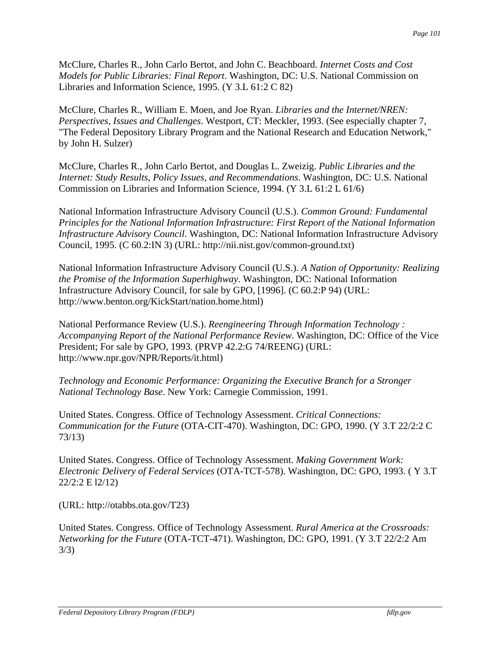McClure, Charles R., John Carlo Bertot, and John C. Beachboard. *Internet Costs and Cost Models for Public Libraries: Final Report*. Washington, DC: U.S. National Commission on Libraries and Information Science, 1995. (Y 3.L 61:2 C 82)

McClure, Charles R., William E. Moen, and Joe Ryan. *Libraries and the Internet/NREN: Perspectives, Issues and Challenges*. Westport, CT: Meckler, 1993. (See especially chapter 7, "The Federal Depository Library Program and the National Research and Education Network," by John H. Sulzer)

McClure, Charles R., John Carlo Bertot, and Douglas L. Zweizig. *Public Libraries and the Internet: Study Results, Policy Issues, and Recommendations*. Washington, DC: U.S. National Commission on Libraries and Information Science, 1994. (Y 3.L 61:2 L 61/6)

National Information Infrastructure Advisory Council (U.S.). *Common Ground: Fundamental Principles for the National Information Infrastructure: First Report of the National Information Infrastructure Advisory Council*. Washington, DC: National Information Infrastructure Advisory Council, 1995. (C 60.2:IN 3) (URL: http://nii.nist.gov/common-ground.txt)

National Information Infrastructure Advisory Council (U.S.). *A Nation of Opportunity: Realizing the Promise of the Information Superhighway*. Washington, DC: National Information Infrastructure Advisory Council, for sale by GPO, [1996]. (C 60.2:P 94) (URL: http://www.benton.org/KickStart/nation.home.html)

National Performance Review (U.S.). *Reengineering Through Information Technology : Accompanying Report of the National Performance Review*. Washington, DC: Office of the Vice President; For sale by GPO, 1993. (PRVP 42.2:G 74/REENG) (URL: http://www.npr.gov/NPR/Reports/it.html)

*Technology and Economic Performance: Organizing the Executive Branch for a Stronger National Technology Base*. New York: Carnegie Commission, 1991.

United States. Congress. Office of Technology Assessment. *Critical Connections: Communication for the Future* (OTA-CIT-470). Washington, DC: GPO, 1990. (Y 3.T 22/2:2 C 73/13)

United States. Congress. Office of Technology Assessment. *Making Government Work: Electronic Delivery of Federal Services* (OTA-TCT-578). Washington, DC: GPO, 1993. ( Y 3.T 22/2:2 E l2/12)

(URL: http://otabbs.ota.gov/T23)

United States. Congress. Office of Technology Assessment. *Rural America at the Crossroads: Networking for the Future* (OTA-TCT-471). Washington, DC: GPO, 1991. (Y 3.T 22/2:2 Am 3/3)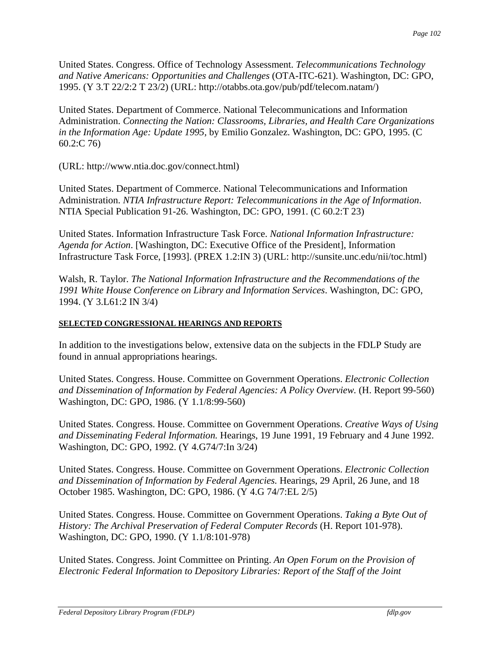United States. Congress. Office of Technology Assessment. *Telecommunications Technology and Native Americans: Opportunities and Challenges* (OTA-ITC-621). Washington, DC: GPO, 1995. (Y 3.T 22/2:2 T 23/2) (URL: http://otabbs.ota.gov/pub/pdf/telecom.natam/)

United States. Department of Commerce. National Telecommunications and Information Administration. *Connecting the Nation: Classrooms, Libraries, and Health Care Organizations in the Information Age: Update 1995,* by Emilio Gonzalez. Washington, DC: GPO, 1995. (C 60.2:C 76)

(URL: http://www.ntia.doc.gov/connect.html)

United States. Department of Commerce. National Telecommunications and Information Administration. *NTIA Infrastructure Report: Telecommunications in the Age of Information*. NTIA Special Publication 91-26. Washington, DC: GPO, 1991. (C 60.2:T 23)

United States. Information Infrastructure Task Force. *National Information Infrastructure: Agenda for Action*. [Washington, DC: Executive Office of the President], Information Infrastructure Task Force, [1993]. (PREX 1.2:IN 3) (URL: http://sunsite.unc.edu/nii/toc.html)

Walsh, R. Taylor. *The National Information Infrastructure and the Recommendations of the 1991 White House Conference on Library and Information Services*. Washington, DC: GPO, 1994. (Y 3.L61:2 IN 3/4)

#### **SELECTED CONGRESSIONAL HEARINGS AND REPORTS**

In addition to the investigations below, extensive data on the subjects in the FDLP Study are found in annual appropriations hearings.

United States. Congress. House. Committee on Government Operations. *Electronic Collection and Dissemination of Information by Federal Agencies: A Policy Overview.* (H. Report 99-560) Washington, DC: GPO, 1986. (Y 1.1/8:99-560)

United States. Congress. House. Committee on Government Operations. *Creative Ways of Using and Disseminating Federal Information.* Hearings, 19 June 1991, 19 February and 4 June 1992. Washington, DC: GPO, 1992. (Y 4.G74/7:In 3/24)

United States. Congress. House. Committee on Government Operations. *Electronic Collection and Dissemination of Information by Federal Agencies.* Hearings, 29 April, 26 June, and 18 October 1985. Washington, DC: GPO, 1986. (Y 4.G 74/7:EL 2/5)

United States. Congress. House. Committee on Government Operations. *Taking a Byte Out of History: The Archival Preservation of Federal Computer Records* (H. Report 101-978). Washington, DC: GPO, 1990. (Y 1.1/8:101-978)

United States. Congress. Joint Committee on Printing. *An Open Forum on the Provision of Electronic Federal Information to Depository Libraries: Report of the Staff of the Joint*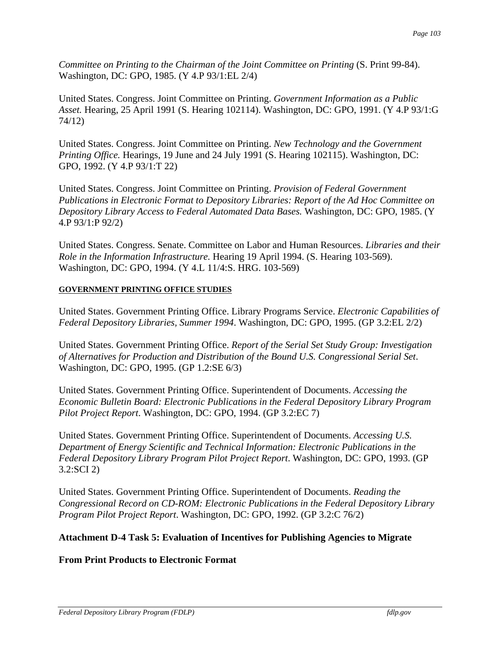*Committee on Printing to the Chairman of the Joint Committee on Printing* (S. Print 99-84). Washington, DC: GPO, 1985. (Y 4.P 93/1:EL 2/4)

United States. Congress. Joint Committee on Printing. *Government Information as a Public Asset.* Hearing, 25 April 1991 (S. Hearing 102114). Washington, DC: GPO, 1991. (Y 4.P 93/1:G 74/12)

United States. Congress. Joint Committee on Printing. *New Technology and the Government Printing Office.* Hearings, 19 June and 24 July 1991 (S. Hearing 102115). Washington, DC: GPO, 1992. (Y 4.P 93/1:T 22)

United States. Congress. Joint Committee on Printing. *Provision of Federal Government Publications in Electronic Format to Depository Libraries: Report of the Ad Hoc Committee on Depository Library Access to Federal Automated Data Bases.* Washington, DC: GPO, 1985. (Y 4.P 93/1:P 92/2)

United States. Congress. Senate. Committee on Labor and Human Resources. *Libraries and their Role in the Information Infrastructure.* Hearing 19 April 1994. (S. Hearing 103-569). Washington, DC: GPO, 1994. (Y 4.L 11/4:S. HRG. 103-569)

## **GOVERNMENT PRINTING OFFICE STUDIES**

United States. Government Printing Office. Library Programs Service. *Electronic Capabilities of Federal Depository Libraries, Summer 1994*. Washington, DC: GPO, 1995. (GP 3.2:EL 2/2)

United States. Government Printing Office. *Report of the Serial Set Study Group: Investigation of Alternatives for Production and Distribution of the Bound U.S. Congressional Serial Set*. Washington, DC: GPO, 1995. (GP 1.2:SE 6/3)

United States. Government Printing Office. Superintendent of Documents. *Accessing the Economic Bulletin Board: Electronic Publications in the Federal Depository Library Program Pilot Project Report*. Washington, DC: GPO, 1994. (GP 3.2:EC 7)

United States. Government Printing Office. Superintendent of Documents. *Accessing U.S. Department of Energy Scientific and Technical Information: Electronic Publications in the Federal Depository Library Program Pilot Project Report*. Washington, DC: GPO, 1993. (GP 3.2:SCI 2)

United States. Government Printing Office. Superintendent of Documents. *Reading the Congressional Record on CD-ROM: Electronic Publications in the Federal Depository Library Program Pilot Project Report*. Washington, DC: GPO, 1992. (GP 3.2:C 76/2)

# **Attachment D-4 Task 5: Evaluation of Incentives for Publishing Agencies to Migrate**

# **From Print Products to Electronic Format**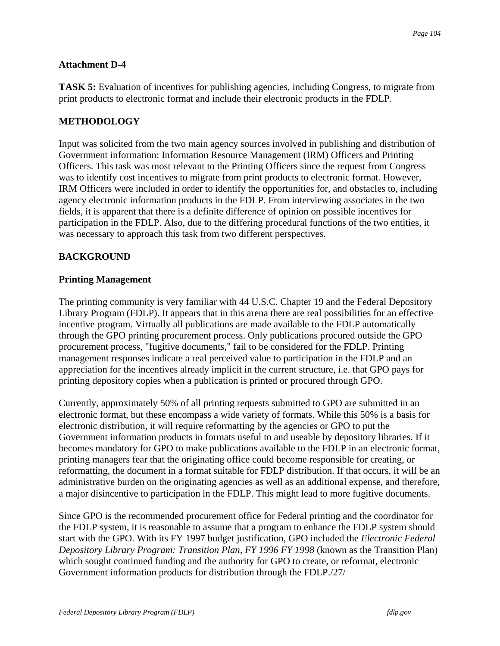# **Attachment D-4**

**TASK 5:** Evaluation of incentives for publishing agencies, including Congress, to migrate from print products to electronic format and include their electronic products in the FDLP.

## **METHODOLOGY**

Input was solicited from the two main agency sources involved in publishing and distribution of Government information: Information Resource Management (IRM) Officers and Printing Officers. This task was most relevant to the Printing Officers since the request from Congress was to identify cost incentives to migrate from print products to electronic format. However, IRM Officers were included in order to identify the opportunities for, and obstacles to, including agency electronic information products in the FDLP. From interviewing associates in the two fields, it is apparent that there is a definite difference of opinion on possible incentives for participation in the FDLP. Also, due to the differing procedural functions of the two entities, it was necessary to approach this task from two different perspectives.

# **BACKGROUND**

## **Printing Management**

The printing community is very familiar with 44 U.S.C. Chapter 19 and the Federal Depository Library Program (FDLP). It appears that in this arena there are real possibilities for an effective incentive program. Virtually all publications are made available to the FDLP automatically through the GPO printing procurement process. Only publications procured outside the GPO procurement process, "fugitive documents," fail to be considered for the FDLP. Printing management responses indicate a real perceived value to participation in the FDLP and an appreciation for the incentives already implicit in the current structure, i.e. that GPO pays for printing depository copies when a publication is printed or procured through GPO.

Currently, approximately 50% of all printing requests submitted to GPO are submitted in an electronic format, but these encompass a wide variety of formats. While this 50% is a basis for electronic distribution, it will require reformatting by the agencies or GPO to put the Government information products in formats useful to and useable by depository libraries. If it becomes mandatory for GPO to make publications available to the FDLP in an electronic format, printing managers fear that the originating office could become responsible for creating, or reformatting, the document in a format suitable for FDLP distribution. If that occurs, it will be an administrative burden on the originating agencies as well as an additional expense, and therefore, a major disincentive to participation in the FDLP. This might lead to more fugitive documents.

Since GPO is the recommended procurement office for Federal printing and the coordinator for the FDLP system, it is reasonable to assume that a program to enhance the FDLP system should start with the GPO. With its FY 1997 budget justification, GPO included the *Electronic Federal Depository Library Program: Transition Plan, FY 1996 FY 1998* (known as the Transition Plan) which sought continued funding and the authority for GPO to create, or reformat, electronic Government information products for distribution through the FDLP./27/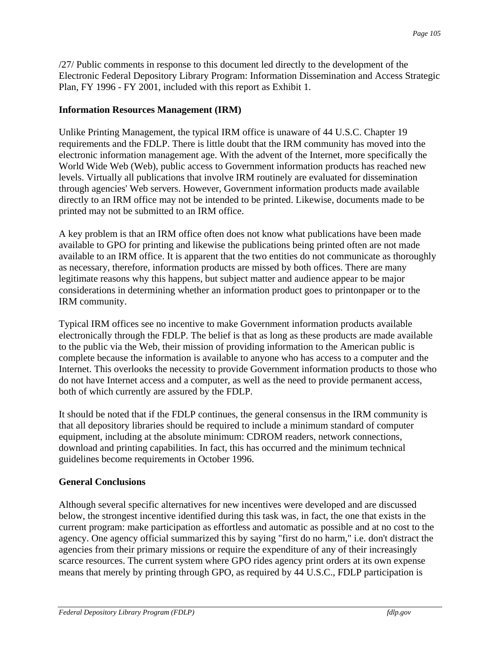/27/ Public comments in response to this document led directly to the development of the Electronic Federal Depository Library Program: Information Dissemination and Access Strategic Plan, FY 1996 - FY 2001, included with this report as Exhibit 1.

#### **Information Resources Management (IRM)**

Unlike Printing Management, the typical IRM office is unaware of 44 U.S.C. Chapter 19 requirements and the FDLP. There is little doubt that the IRM community has moved into the electronic information management age. With the advent of the Internet, more specifically the World Wide Web (Web), public access to Government information products has reached new levels. Virtually all publications that involve IRM routinely are evaluated for dissemination through agencies' Web servers. However, Government information products made available directly to an IRM office may not be intended to be printed. Likewise, documents made to be printed may not be submitted to an IRM office.

A key problem is that an IRM office often does not know what publications have been made available to GPO for printing and likewise the publications being printed often are not made available to an IRM office. It is apparent that the two entities do not communicate as thoroughly as necessary, therefore, information products are missed by both offices. There are many legitimate reasons why this happens, but subject matter and audience appear to be major considerations in determining whether an information product goes to printonpaper or to the IRM community.

Typical IRM offices see no incentive to make Government information products available electronically through the FDLP. The belief is that as long as these products are made available to the public via the Web, their mission of providing information to the American public is complete because the information is available to anyone who has access to a computer and the Internet. This overlooks the necessity to provide Government information products to those who do not have Internet access and a computer, as well as the need to provide permanent access, both of which currently are assured by the FDLP.

It should be noted that if the FDLP continues, the general consensus in the IRM community is that all depository libraries should be required to include a minimum standard of computer equipment, including at the absolute minimum: CDROM readers, network connections, download and printing capabilities. In fact, this has occurred and the minimum technical guidelines become requirements in October 1996.

## **General Conclusions**

Although several specific alternatives for new incentives were developed and are discussed below, the strongest incentive identified during this task was, in fact, the one that exists in the current program: make participation as effortless and automatic as possible and at no cost to the agency. One agency official summarized this by saying "first do no harm," i.e. don't distract the agencies from their primary missions or require the expenditure of any of their increasingly scarce resources. The current system where GPO rides agency print orders at its own expense means that merely by printing through GPO, as required by 44 U.S.C., FDLP participation is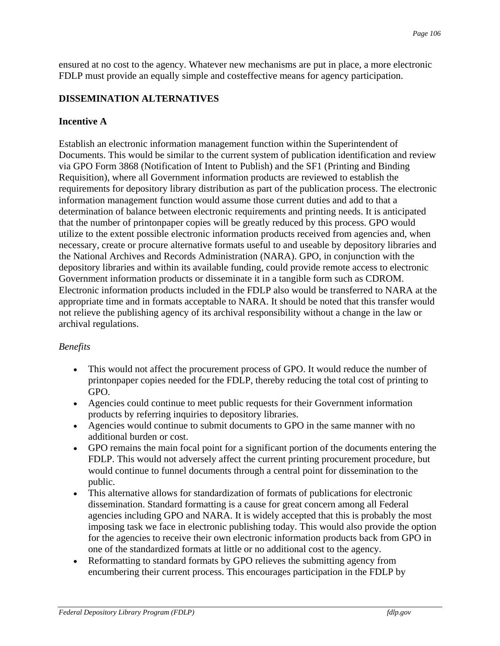ensured at no cost to the agency. Whatever new mechanisms are put in place, a more electronic FDLP must provide an equally simple and costeffective means for agency participation.

# **DISSEMINATION ALTERNATIVES**

## **Incentive A**

Establish an electronic information management function within the Superintendent of Documents. This would be similar to the current system of publication identification and review via GPO Form 3868 (Notification of Intent to Publish) and the SF1 (Printing and Binding Requisition), where all Government information products are reviewed to establish the requirements for depository library distribution as part of the publication process. The electronic information management function would assume those current duties and add to that a determination of balance between electronic requirements and printing needs. It is anticipated that the number of printonpaper copies will be greatly reduced by this process. GPO would utilize to the extent possible electronic information products received from agencies and, when necessary, create or procure alternative formats useful to and useable by depository libraries and the National Archives and Records Administration (NARA). GPO, in conjunction with the depository libraries and within its available funding, could provide remote access to electronic Government information products or disseminate it in a tangible form such as CDROM. Electronic information products included in the FDLP also would be transferred to NARA at the appropriate time and in formats acceptable to NARA. It should be noted that this transfer would not relieve the publishing agency of its archival responsibility without a change in the law or archival regulations.

# *Benefits*

- This would not affect the procurement process of GPO. It would reduce the number of printonpaper copies needed for the FDLP, thereby reducing the total cost of printing to GPO.
- Agencies could continue to meet public requests for their Government information products by referring inquiries to depository libraries.
- Agencies would continue to submit documents to GPO in the same manner with no additional burden or cost.
- GPO remains the main focal point for a significant portion of the documents entering the FDLP. This would not adversely affect the current printing procurement procedure, but would continue to funnel documents through a central point for dissemination to the public.
- This alternative allows for standardization of formats of publications for electronic dissemination. Standard formatting is a cause for great concern among all Federal agencies including GPO and NARA. It is widely accepted that this is probably the most imposing task we face in electronic publishing today. This would also provide the option for the agencies to receive their own electronic information products back from GPO in one of the standardized formats at little or no additional cost to the agency.
- Reformatting to standard formats by GPO relieves the submitting agency from encumbering their current process. This encourages participation in the FDLP by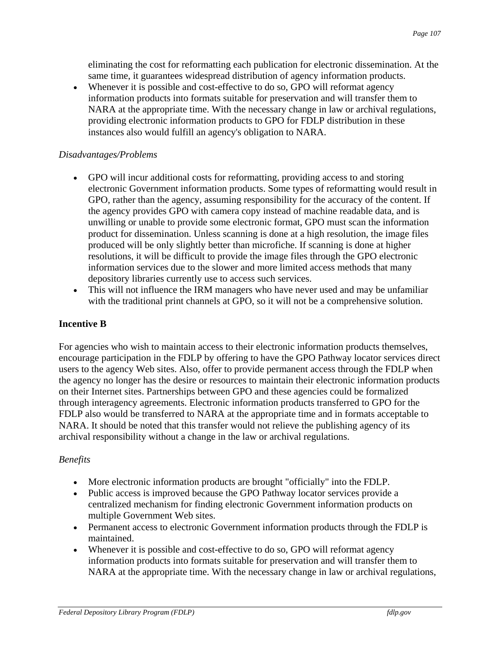eliminating the cost for reformatting each publication for electronic dissemination. At the same time, it guarantees widespread distribution of agency information products.

 Whenever it is possible and cost-effective to do so, GPO will reformat agency information products into formats suitable for preservation and will transfer them to NARA at the appropriate time. With the necessary change in law or archival regulations, providing electronic information products to GPO for FDLP distribution in these instances also would fulfill an agency's obligation to NARA.

## *Disadvantages/Problems*

- GPO will incur additional costs for reformatting, providing access to and storing electronic Government information products. Some types of reformatting would result in GPO, rather than the agency, assuming responsibility for the accuracy of the content. If the agency provides GPO with camera copy instead of machine readable data, and is unwilling or unable to provide some electronic format, GPO must scan the information product for dissemination. Unless scanning is done at a high resolution, the image files produced will be only slightly better than microfiche. If scanning is done at higher resolutions, it will be difficult to provide the image files through the GPO electronic information services due to the slower and more limited access methods that many depository libraries currently use to access such services.
- This will not influence the IRM managers who have never used and may be unfamiliar with the traditional print channels at GPO, so it will not be a comprehensive solution.

## **Incentive B**

For agencies who wish to maintain access to their electronic information products themselves, encourage participation in the FDLP by offering to have the GPO Pathway locator services direct users to the agency Web sites. Also, offer to provide permanent access through the FDLP when the agency no longer has the desire or resources to maintain their electronic information products on their Internet sites. Partnerships between GPO and these agencies could be formalized through interagency agreements. Electronic information products transferred to GPO for the FDLP also would be transferred to NARA at the appropriate time and in formats acceptable to NARA. It should be noted that this transfer would not relieve the publishing agency of its archival responsibility without a change in the law or archival regulations.

# *Benefits*

- More electronic information products are brought "officially" into the FDLP.
- Public access is improved because the GPO Pathway locator services provide a centralized mechanism for finding electronic Government information products on multiple Government Web sites.
- Permanent access to electronic Government information products through the FDLP is maintained.
- Whenever it is possible and cost-effective to do so, GPO will reformat agency information products into formats suitable for preservation and will transfer them to NARA at the appropriate time. With the necessary change in law or archival regulations,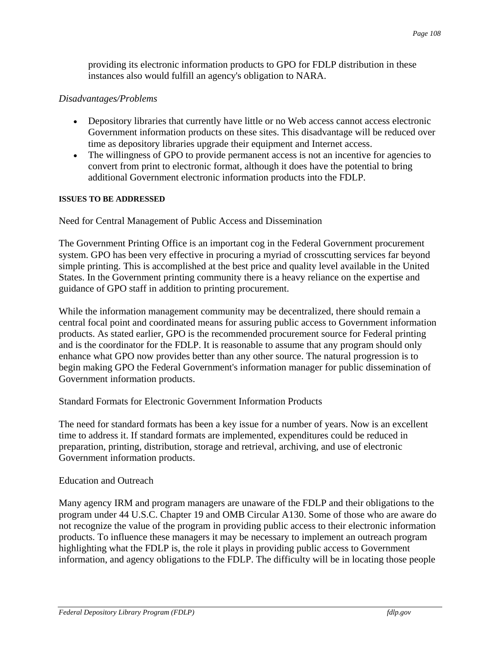providing its electronic information products to GPO for FDLP distribution in these instances also would fulfill an agency's obligation to NARA.

## *Disadvantages/Problems*

- Depository libraries that currently have little or no Web access cannot access electronic Government information products on these sites. This disadvantage will be reduced over time as depository libraries upgrade their equipment and Internet access.
- The willingness of GPO to provide permanent access is not an incentive for agencies to convert from print to electronic format, although it does have the potential to bring additional Government electronic information products into the FDLP.

#### **ISSUES TO BE ADDRESSED**

Need for Central Management of Public Access and Dissemination

The Government Printing Office is an important cog in the Federal Government procurement system. GPO has been very effective in procuring a myriad of crosscutting services far beyond simple printing. This is accomplished at the best price and quality level available in the United States. In the Government printing community there is a heavy reliance on the expertise and guidance of GPO staff in addition to printing procurement.

While the information management community may be decentralized, there should remain a central focal point and coordinated means for assuring public access to Government information products. As stated earlier, GPO is the recommended procurement source for Federal printing and is the coordinator for the FDLP. It is reasonable to assume that any program should only enhance what GPO now provides better than any other source. The natural progression is to begin making GPO the Federal Government's information manager for public dissemination of Government information products.

Standard Formats for Electronic Government Information Products

The need for standard formats has been a key issue for a number of years. Now is an excellent time to address it. If standard formats are implemented, expenditures could be reduced in preparation, printing, distribution, storage and retrieval, archiving, and use of electronic Government information products.

## Education and Outreach

Many agency IRM and program managers are unaware of the FDLP and their obligations to the program under 44 U.S.C. Chapter 19 and OMB Circular A130. Some of those who are aware do not recognize the value of the program in providing public access to their electronic information products. To influence these managers it may be necessary to implement an outreach program highlighting what the FDLP is, the role it plays in providing public access to Government information, and agency obligations to the FDLP. The difficulty will be in locating those people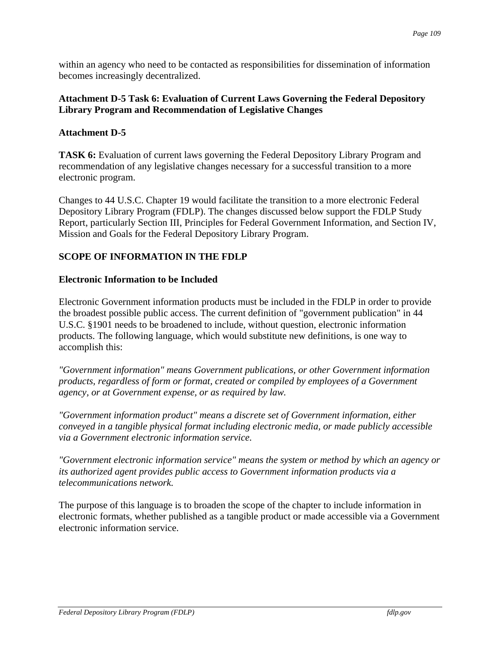within an agency who need to be contacted as responsibilities for dissemination of information becomes increasingly decentralized.

#### **Attachment D-5 Task 6: Evaluation of Current Laws Governing the Federal Depository Library Program and Recommendation of Legislative Changes**

### **Attachment D-5**

**TASK 6:** Evaluation of current laws governing the Federal Depository Library Program and recommendation of any legislative changes necessary for a successful transition to a more electronic program.

Changes to 44 U.S.C. Chapter 19 would facilitate the transition to a more electronic Federal Depository Library Program (FDLP). The changes discussed below support the FDLP Study Report, particularly Section III, Principles for Federal Government Information, and Section IV, Mission and Goals for the Federal Depository Library Program.

## **SCOPE OF INFORMATION IN THE FDLP**

#### **Electronic Information to be Included**

Electronic Government information products must be included in the FDLP in order to provide the broadest possible public access. The current definition of "government publication" in 44 U.S.C. §1901 needs to be broadened to include, without question, electronic information products. The following language, which would substitute new definitions, is one way to accomplish this:

*"Government information" means Government publications, or other Government information products, regardless of form or format, created or compiled by employees of a Government agency, or at Government expense, or as required by law.*

*"Government information product" means a discrete set of Government information, either conveyed in a tangible physical format including electronic media, or made publicly accessible via a Government electronic information service.*

*"Government electronic information service" means the system or method by which an agency or its authorized agent provides public access to Government information products via a telecommunications network.*

The purpose of this language is to broaden the scope of the chapter to include information in electronic formats, whether published as a tangible product or made accessible via a Government electronic information service.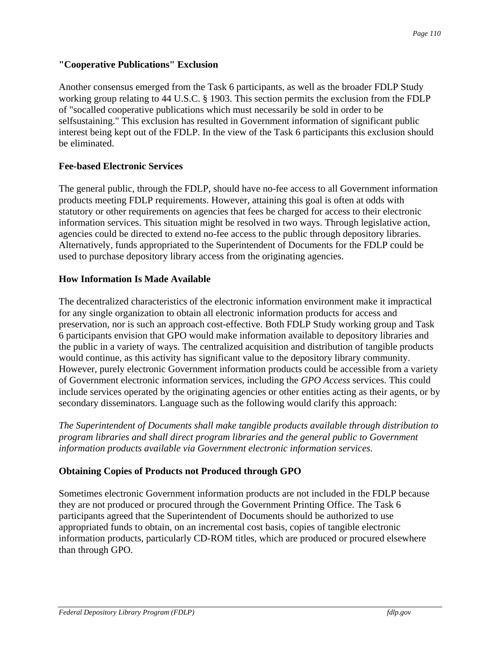### **"Cooperative Publications" Exclusion**

Another consensus emerged from the Task 6 participants, as well as the broader FDLP Study working group relating to 44 U.S.C. § 1903. This section permits the exclusion from the FDLP of "socalled cooperative publications which must necessarily be sold in order to be selfsustaining." This exclusion has resulted in Government information of significant public interest being kept out of the FDLP. In the view of the Task 6 participants this exclusion should be eliminated.

### **Fee-based Electronic Services**

The general public, through the FDLP, should have no-fee access to all Government information products meeting FDLP requirements. However, attaining this goal is often at odds with statutory or other requirements on agencies that fees be charged for access to their electronic information services. This situation might be resolved in two ways. Through legislative action, agencies could be directed to extend no-fee access to the public through depository libraries. Alternatively, funds appropriated to the Superintendent of Documents for the FDLP could be used to purchase depository library access from the originating agencies.

### **How Information Is Made Available**

The decentralized characteristics of the electronic information environment make it impractical for any single organization to obtain all electronic information products for access and preservation, nor is such an approach cost-effective. Both FDLP Study working group and Task 6 participants envision that GPO would make information available to depository libraries and the public in a variety of ways. The centralized acquisition and distribution of tangible products would continue, as this activity has significant value to the depository library community. However, purely electronic Government information products could be accessible from a variety of Government electronic information services, including the *GPO Access* services. This could include services operated by the originating agencies or other entities acting as their agents, or by secondary disseminators. Language such as the following would clarify this approach:

*The Superintendent of Documents shall make tangible products available through distribution to program libraries and shall direct program libraries and the general public to Government information products available via Government electronic information services.*

## **Obtaining Copies of Products not Produced through GPO**

Sometimes electronic Government information products are not included in the FDLP because they are not produced or procured through the Government Printing Office. The Task 6 participants agreed that the Superintendent of Documents should be authorized to use appropriated funds to obtain, on an incremental cost basis, copies of tangible electronic information products, particularly CD-ROM titles, which are produced or procured elsewhere than through GPO.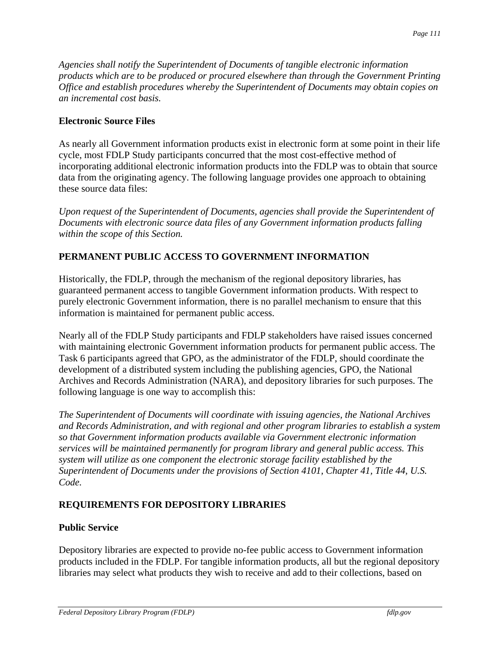*Agencies shall notify the Superintendent of Documents of tangible electronic information products which are to be produced or procured elsewhere than through the Government Printing Office and establish procedures whereby the Superintendent of Documents may obtain copies on an incremental cost basis.*

### **Electronic Source Files**

As nearly all Government information products exist in electronic form at some point in their life cycle, most FDLP Study participants concurred that the most cost-effective method of incorporating additional electronic information products into the FDLP was to obtain that source data from the originating agency. The following language provides one approach to obtaining these source data files:

*Upon request of the Superintendent of Documents, agencies shall provide the Superintendent of Documents with electronic source data files of any Government information products falling within the scope of this Section.*

## **PERMANENT PUBLIC ACCESS TO GOVERNMENT INFORMATION**

Historically, the FDLP, through the mechanism of the regional depository libraries, has guaranteed permanent access to tangible Government information products. With respect to purely electronic Government information, there is no parallel mechanism to ensure that this information is maintained for permanent public access.

Nearly all of the FDLP Study participants and FDLP stakeholders have raised issues concerned with maintaining electronic Government information products for permanent public access. The Task 6 participants agreed that GPO, as the administrator of the FDLP, should coordinate the development of a distributed system including the publishing agencies, GPO, the National Archives and Records Administration (NARA), and depository libraries for such purposes. The following language is one way to accomplish this:

*The Superintendent of Documents will coordinate with issuing agencies, the National Archives and Records Administration, and with regional and other program libraries to establish a system so that Government information products available via Government electronic information services will be maintained permanently for program library and general public access. This system will utilize as one component the electronic storage facility established by the Superintendent of Documents under the provisions of Section 4101, Chapter 41, Title 44, U.S. Code.*

## **REQUIREMENTS FOR DEPOSITORY LIBRARIES**

## **Public Service**

Depository libraries are expected to provide no-fee public access to Government information products included in the FDLP. For tangible information products, all but the regional depository libraries may select what products they wish to receive and add to their collections, based on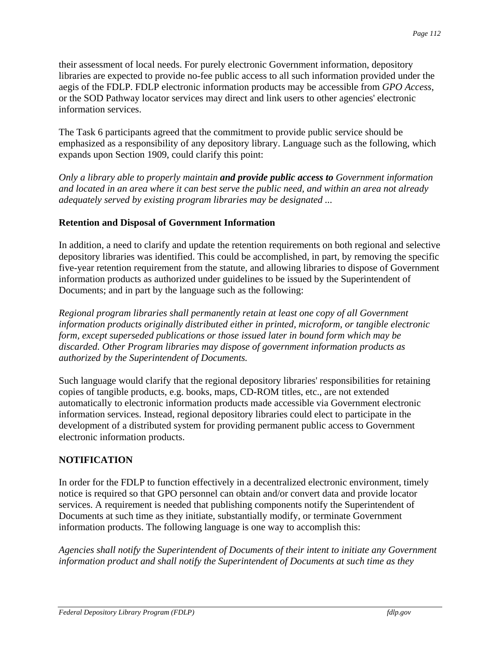their assessment of local needs. For purely electronic Government information, depository libraries are expected to provide no-fee public access to all such information provided under the aegis of the FDLP. FDLP electronic information products may be accessible from *GPO Access*, or the SOD Pathway locator services may direct and link users to other agencies' electronic information services.

The Task 6 participants agreed that the commitment to provide public service should be emphasized as a responsibility of any depository library. Language such as the following, which expands upon Section 1909, could clarify this point:

*Only a library able to properly maintain and provide public access to Government information and located in an area where it can best serve the public need, and within an area not already adequately served by existing program libraries may be designated ...*

## **Retention and Disposal of Government Information**

In addition, a need to clarify and update the retention requirements on both regional and selective depository libraries was identified. This could be accomplished, in part, by removing the specific five-year retention requirement from the statute, and allowing libraries to dispose of Government information products as authorized under guidelines to be issued by the Superintendent of Documents; and in part by the language such as the following:

*Regional program libraries shall permanently retain at least one copy of all Government information products originally distributed either in printed, microform, or tangible electronic form, except superseded publications or those issued later in bound form which may be discarded. Other Program libraries may dispose of government information products as authorized by the Superintendent of Documents.*

Such language would clarify that the regional depository libraries' responsibilities for retaining copies of tangible products, e.g. books, maps, CD-ROM titles, etc., are not extended automatically to electronic information products made accessible via Government electronic information services. Instead, regional depository libraries could elect to participate in the development of a distributed system for providing permanent public access to Government electronic information products.

## **NOTIFICATION**

In order for the FDLP to function effectively in a decentralized electronic environment, timely notice is required so that GPO personnel can obtain and/or convert data and provide locator services. A requirement is needed that publishing components notify the Superintendent of Documents at such time as they initiate, substantially modify, or terminate Government information products. The following language is one way to accomplish this:

*Agencies shall notify the Superintendent of Documents of their intent to initiate any Government information product and shall notify the Superintendent of Documents at such time as they*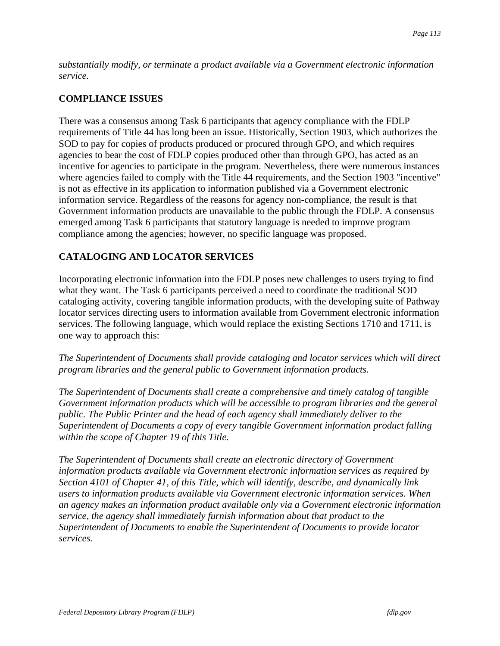*substantially modify, or terminate a product available via a Government electronic information service.*

## **COMPLIANCE ISSUES**

There was a consensus among Task 6 participants that agency compliance with the FDLP requirements of Title 44 has long been an issue. Historically, Section 1903, which authorizes the SOD to pay for copies of products produced or procured through GPO, and which requires agencies to bear the cost of FDLP copies produced other than through GPO, has acted as an incentive for agencies to participate in the program. Nevertheless, there were numerous instances where agencies failed to comply with the Title 44 requirements, and the Section 1903 "incentive" is not as effective in its application to information published via a Government electronic information service. Regardless of the reasons for agency non-compliance, the result is that Government information products are unavailable to the public through the FDLP. A consensus emerged among Task 6 participants that statutory language is needed to improve program compliance among the agencies; however, no specific language was proposed.

## **CATALOGING AND LOCATOR SERVICES**

Incorporating electronic information into the FDLP poses new challenges to users trying to find what they want. The Task 6 participants perceived a need to coordinate the traditional SOD cataloging activity, covering tangible information products, with the developing suite of Pathway locator services directing users to information available from Government electronic information services. The following language, which would replace the existing Sections 1710 and 1711, is one way to approach this:

*The Superintendent of Documents shall provide cataloging and locator services which will direct program libraries and the general public to Government information products.*

*The Superintendent of Documents shall create a comprehensive and timely catalog of tangible Government information products which will be accessible to program libraries and the general public. The Public Printer and the head of each agency shall immediately deliver to the Superintendent of Documents a copy of every tangible Government information product falling within the scope of Chapter 19 of this Title.*

*The Superintendent of Documents shall create an electronic directory of Government information products available via Government electronic information services as required by Section 4101 of Chapter 41, of this Title, which will identify, describe, and dynamically link users to information products available via Government electronic information services. When an agency makes an information product available only via a Government electronic information service, the agency shall immediately furnish information about that product to the Superintendent of Documents to enable the Superintendent of Documents to provide locator services.*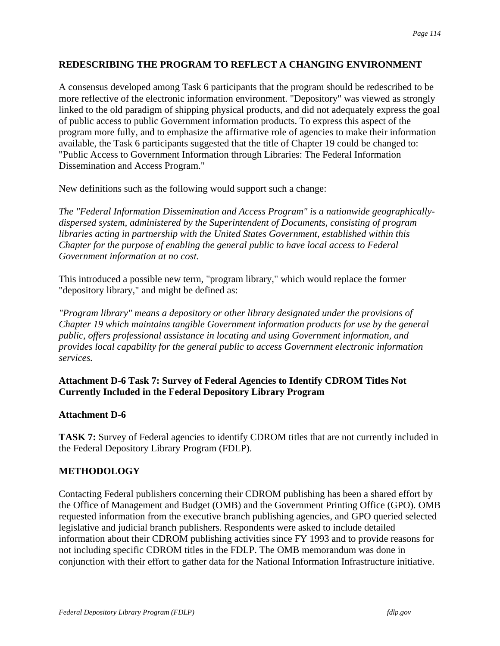# **REDESCRIBING THE PROGRAM TO REFLECT A CHANGING ENVIRONMENT**

A consensus developed among Task 6 participants that the program should be redescribed to be more reflective of the electronic information environment. "Depository" was viewed as strongly linked to the old paradigm of shipping physical products, and did not adequately express the goal of public access to public Government information products. To express this aspect of the program more fully, and to emphasize the affirmative role of agencies to make their information available, the Task 6 participants suggested that the title of Chapter 19 could be changed to: "Public Access to Government Information through Libraries: The Federal Information Dissemination and Access Program."

New definitions such as the following would support such a change:

*The "Federal Information Dissemination and Access Program" is a nationwide geographicallydispersed system, administered by the Superintendent of Documents, consisting of program libraries acting in partnership with the United States Government, established within this Chapter for the purpose of enabling the general public to have local access to Federal Government information at no cost.* 

This introduced a possible new term, "program library," which would replace the former "depository library," and might be defined as:

*"Program library" means a depository or other library designated under the provisions of Chapter 19 which maintains tangible Government information products for use by the general public, offers professional assistance in locating and using Government information, and provides local capability for the general public to access Government electronic information services.*

### **Attachment D-6 Task 7: Survey of Federal Agencies to Identify CDROM Titles Not Currently Included in the Federal Depository Library Program**

## **Attachment D-6**

TASK 7: Survey of Federal agencies to identify CDROM titles that are not currently included in the Federal Depository Library Program (FDLP).

# **METHODOLOGY**

Contacting Federal publishers concerning their CDROM publishing has been a shared effort by the Office of Management and Budget (OMB) and the Government Printing Office (GPO). OMB requested information from the executive branch publishing agencies, and GPO queried selected legislative and judicial branch publishers. Respondents were asked to include detailed information about their CDROM publishing activities since FY 1993 and to provide reasons for not including specific CDROM titles in the FDLP. The OMB memorandum was done in conjunction with their effort to gather data for the National Information Infrastructure initiative.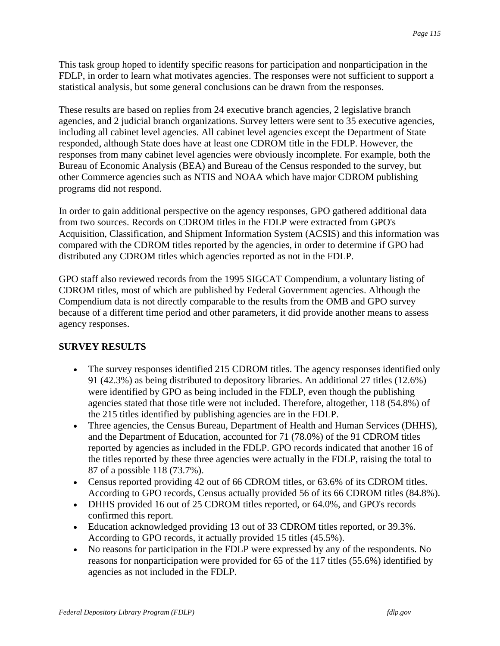This task group hoped to identify specific reasons for participation and nonparticipation in the FDLP, in order to learn what motivates agencies. The responses were not sufficient to support a statistical analysis, but some general conclusions can be drawn from the responses.

These results are based on replies from 24 executive branch agencies, 2 legislative branch agencies, and 2 judicial branch organizations. Survey letters were sent to 35 executive agencies, including all cabinet level agencies. All cabinet level agencies except the Department of State responded, although State does have at least one CDROM title in the FDLP. However, the responses from many cabinet level agencies were obviously incomplete. For example, both the Bureau of Economic Analysis (BEA) and Bureau of the Census responded to the survey, but other Commerce agencies such as NTIS and NOAA which have major CDROM publishing programs did not respond.

In order to gain additional perspective on the agency responses, GPO gathered additional data from two sources. Records on CDROM titles in the FDLP were extracted from GPO's Acquisition, Classification, and Shipment Information System (ACSIS) and this information was compared with the CDROM titles reported by the agencies, in order to determine if GPO had distributed any CDROM titles which agencies reported as not in the FDLP.

GPO staff also reviewed records from the 1995 SIGCAT Compendium, a voluntary listing of CDROM titles, most of which are published by Federal Government agencies. Although the Compendium data is not directly comparable to the results from the OMB and GPO survey because of a different time period and other parameters, it did provide another means to assess agency responses.

#### **SURVEY RESULTS**

- The survey responses identified 215 CDROM titles. The agency responses identified only 91 (42.3%) as being distributed to depository libraries. An additional 27 titles (12.6%) were identified by GPO as being included in the FDLP, even though the publishing agencies stated that those title were not included. Therefore, altogether, 118 (54.8%) of the 215 titles identified by publishing agencies are in the FDLP.
- Three agencies, the Census Bureau, Department of Health and Human Services (DHHS), and the Department of Education, accounted for 71 (78.0%) of the 91 CDROM titles reported by agencies as included in the FDLP. GPO records indicated that another 16 of the titles reported by these three agencies were actually in the FDLP, raising the total to 87 of a possible 118 (73.7%).
- Census reported providing 42 out of 66 CDROM titles, or 63.6% of its CDROM titles. According to GPO records, Census actually provided 56 of its 66 CDROM titles (84.8%).
- DHHS provided 16 out of 25 CDROM titles reported, or 64.0%, and GPO's records confirmed this report.
- Education acknowledged providing 13 out of 33 CDROM titles reported, or 39.3%. According to GPO records, it actually provided 15 titles (45.5%).
- No reasons for participation in the FDLP were expressed by any of the respondents. No reasons for nonparticipation were provided for 65 of the 117 titles (55.6%) identified by agencies as not included in the FDLP.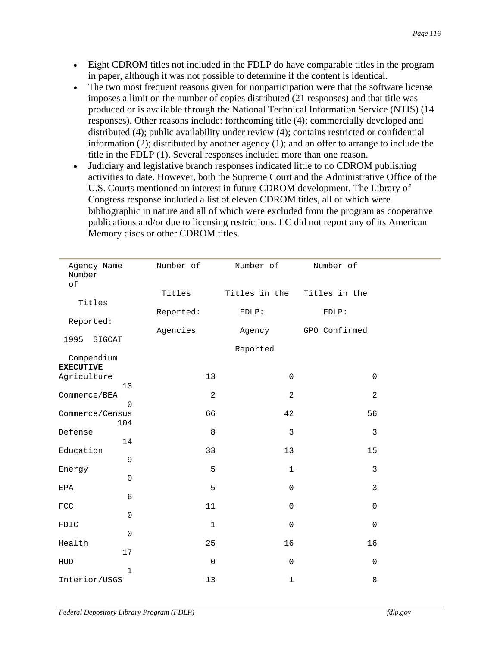- Eight CDROM titles not included in the FDLP do have comparable titles in the program in paper, although it was not possible to determine if the content is identical.
- The two most frequent reasons given for nonparticipation were that the software license imposes a limit on the number of copies distributed (21 responses) and that title was produced or is available through the National Technical Information Service (NTIS) (14 responses). Other reasons include: forthcoming title (4); commercially developed and distributed (4); public availability under review (4); contains restricted or confidential information (2); distributed by another agency (1); and an offer to arrange to include the title in the FDLP (1). Several responses included more than one reason.
- Judiciary and legislative branch responses indicated little to no CDROM publishing activities to date. However, both the Supreme Court and the Administrative Office of the U.S. Courts mentioned an interest in future CDROM development. The Library of Congress response included a list of eleven CDROM titles, all of which were bibliographic in nature and all of which were excluded from the program as cooperative publications and/or due to licensing restrictions. LC did not report any of its American Memory discs or other CDROM titles.

| Agency Name<br>Number<br>$\circ f$ |                | Number of Mumber of         | Number of      |  |
|------------------------------------|----------------|-----------------------------|----------------|--|
|                                    | Titles         | Titles in the Titles in the |                |  |
| Titles                             |                |                             |                |  |
|                                    | Reported:      | FDLP:                       | FDLP:          |  |
| Reported:                          | Agencies       | Agency                      | GPO Confirmed  |  |
| 1995<br>SIGCAT                     |                |                             |                |  |
|                                    |                | Reported                    |                |  |
| Compendium<br><b>EXECUTIVE</b>     |                |                             |                |  |
| Agriculture                        | 13             | $\mathsf 0$                 | $\mathsf 0$    |  |
| 13                                 |                |                             |                |  |
| Commerce/BEA<br>$\mathbf 0$        | $\overline{a}$ | $\overline{a}$              | $\overline{a}$ |  |
| Commerce/Census                    | 66             | 42                          | 56             |  |
| 104                                |                |                             |                |  |
| Defense                            | $\,8\,$        | $\mathbf{3}$                | 3              |  |
| 14                                 |                |                             |                |  |
| Education<br>$\mathsf 9$           | 33             | 13                          | 15             |  |
| Energy                             | 5              | $\mathbf{1}$                | 3              |  |
| $\mathsf 0$                        |                |                             |                |  |
| EPA                                | 5              | $\mathsf 0$                 | 3              |  |
| $\epsilon$                         |                |                             |                |  |
| ${\rm FCC}$<br>$\mathsf{O}\xspace$ | 11             | $\mathbf 0$                 | $\mathsf 0$    |  |
| ${\tt FDIC}$                       | $\mathbf{1}$   | $\mathsf 0$                 | $\mathsf 0$    |  |
| $\mathsf{O}\xspace$                |                |                             |                |  |
| Health                             | 25             | 16                          | 16             |  |
| 17                                 |                |                             |                |  |
| HUD<br>$1\,$                       | $\mathsf 0$    | $\mathsf 0$                 | $\mathsf 0$    |  |
| Interior/USGS                      | 13             | $\mathbf{1}$                | 8              |  |
|                                    |                |                             |                |  |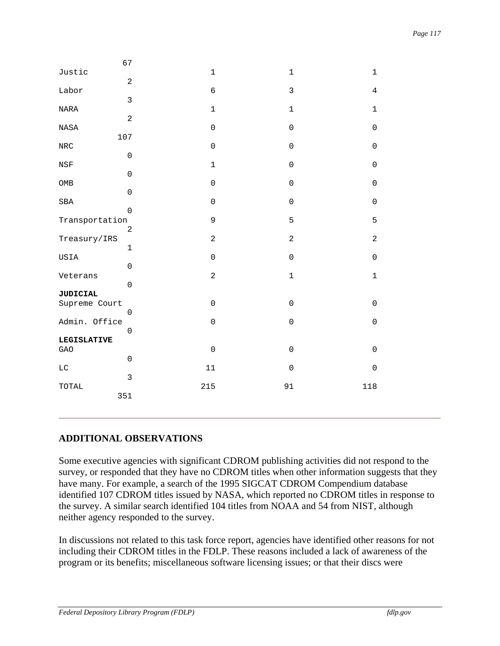| 67                                   |                     |                     |                     |  |
|--------------------------------------|---------------------|---------------------|---------------------|--|
| Justic                               | $\mathbf 1$         | $\mathbf 1$         | $\mathbf 1$         |  |
| $\overline{c}$                       |                     |                     |                     |  |
| Labor<br>$\overline{3}$              | $\epsilon$          | $\mathbf{3}$        | $\overline{4}$      |  |
| $\rm NARA$                           | $\mathbf 1$         | $\mathbf 1$         | $\mathbf 1$         |  |
| $\overline{a}$                       |                     |                     |                     |  |
| $\mathtt{NASA}$                      | $\mbox{O}$          | $\mathsf{O}\xspace$ | $\mathbf 0$         |  |
| 107                                  |                     |                     |                     |  |
| $\tt NRC$                            | $\mbox{O}$          | $\mathsf{O}\xspace$ | $\mathbf 0$         |  |
| $\mathsf{O}\xspace$<br>$_{\rm NSF}$  | $\mathbf 1$         | $\mathsf{O}\xspace$ | $\mathsf{O}\xspace$ |  |
| $\mathsf{O}\xspace$                  |                     |                     |                     |  |
| OMB                                  | $\mbox{O}$          | $\mbox{O}$          | $\mathsf{O}\xspace$ |  |
| $\mathsf{O}\xspace$                  |                     |                     |                     |  |
| $_{\rm SBA}$<br>$\mathbf 0$          | $\mbox{O}$          | $\mathsf{O}\xspace$ | $\mathsf{O}\xspace$ |  |
| Transportation                       | $\mathsf 9$         | 5                   | 5                   |  |
| $\sqrt{2}$                           |                     |                     |                     |  |
| Treasury/IRS                         | $\sqrt{2}$          | $\overline{c}$      | $\sqrt{2}$          |  |
| $\mathbf 1$                          |                     |                     |                     |  |
| USIA<br>$\mathbf 0$                  | $\mbox{O}$          | $\mathsf 0$         | $\mathsf 0$         |  |
| Veterans                             | $\sqrt{2}$          | $\mathbf 1$         | $\mathbf 1$         |  |
| $\mathbf 0$                          |                     |                     |                     |  |
| <b>JUDICIAL</b>                      |                     |                     |                     |  |
| Supreme Court                        | $\mathsf{O}\xspace$ | $\mathsf 0$         | $\mathsf 0$         |  |
| $\mathsf{O}\xspace$<br>Admin. Office | $\mbox{O}$          | $\mathsf 0$         | $\mathsf 0$         |  |
| $\mathsf{O}\xspace$                  |                     |                     |                     |  |
| LEGISLATIVE                          |                     |                     |                     |  |
| GAO                                  | $\mathsf{O}\xspace$ | $\mathsf 0$         | $\mathbf 0$         |  |
| $\mathsf 0$                          |                     |                     |                     |  |
| $_{\rm LC}$<br>$\mathbf{3}$          | 11                  | $\mathsf{O}\xspace$ | $\mathbf 0$         |  |
| TOTAL                                | 215                 | 91                  | 118                 |  |
| 351                                  |                     |                     |                     |  |
|                                      |                     |                     |                     |  |

## **ADDITIONAL OBSERVATIONS**

Some executive agencies with significant CDROM publishing activities did not respond to the survey, or responded that they have no CDROM titles when other information suggests that they have many. For example, a search of the 1995 SIGCAT CDROM Compendium database identified 107 CDROM titles issued by NASA, which reported no CDROM titles in response to the survey. A similar search identified 104 titles from NOAA and 54 from NIST, although neither agency responded to the survey.

In discussions not related to this task force report, agencies have identified other reasons for not including their CDROM titles in the FDLP. These reasons included a lack of awareness of the program or its benefits; miscellaneous software licensing issues; or that their discs were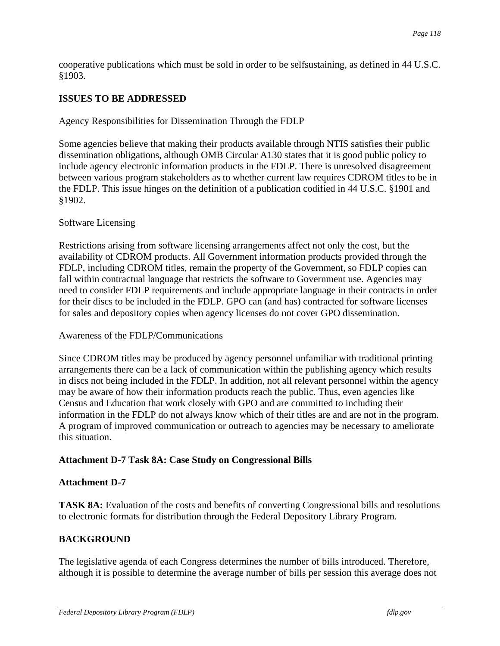cooperative publications which must be sold in order to be selfsustaining, as defined in 44 U.S.C. §1903.

### **ISSUES TO BE ADDRESSED**

#### Agency Responsibilities for Dissemination Through the FDLP

Some agencies believe that making their products available through NTIS satisfies their public dissemination obligations, although OMB Circular A130 states that it is good public policy to include agency electronic information products in the FDLP. There is unresolved disagreement between various program stakeholders as to whether current law requires CDROM titles to be in the FDLP. This issue hinges on the definition of a publication codified in 44 U.S.C. §1901 and §1902.

#### Software Licensing

Restrictions arising from software licensing arrangements affect not only the cost, but the availability of CDROM products. All Government information products provided through the FDLP, including CDROM titles, remain the property of the Government, so FDLP copies can fall within contractual language that restricts the software to Government use. Agencies may need to consider FDLP requirements and include appropriate language in their contracts in order for their discs to be included in the FDLP. GPO can (and has) contracted for software licenses for sales and depository copies when agency licenses do not cover GPO dissemination.

#### Awareness of the FDLP/Communications

Since CDROM titles may be produced by agency personnel unfamiliar with traditional printing arrangements there can be a lack of communication within the publishing agency which results in discs not being included in the FDLP. In addition, not all relevant personnel within the agency may be aware of how their information products reach the public. Thus, even agencies like Census and Education that work closely with GPO and are committed to including their information in the FDLP do not always know which of their titles are and are not in the program. A program of improved communication or outreach to agencies may be necessary to ameliorate this situation.

#### **Attachment D-7 Task 8A: Case Study on Congressional Bills**

#### **Attachment D-7**

**TASK 8A:** Evaluation of the costs and benefits of converting Congressional bills and resolutions to electronic formats for distribution through the Federal Depository Library Program.

#### **BACKGROUND**

The legislative agenda of each Congress determines the number of bills introduced. Therefore, although it is possible to determine the average number of bills per session this average does not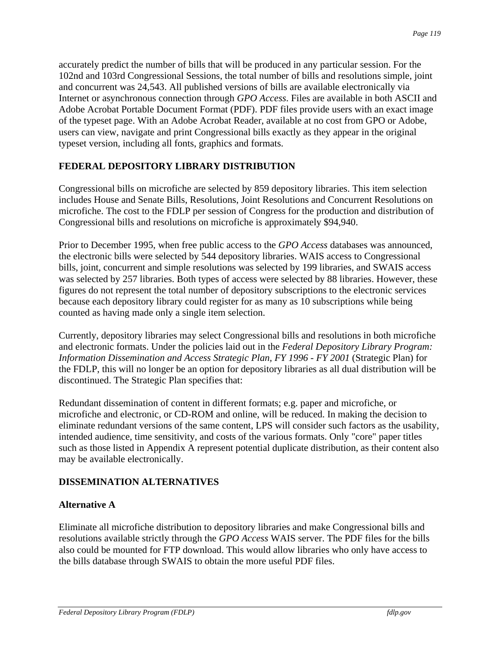accurately predict the number of bills that will be produced in any particular session. For the 102nd and 103rd Congressional Sessions, the total number of bills and resolutions simple, joint and concurrent was 24,543. All published versions of bills are available electronically via Internet or asynchronous connection through *GPO Access*. Files are available in both ASCII and Adobe Acrobat Portable Document Format (PDF). PDF files provide users with an exact image of the typeset page. With an Adobe Acrobat Reader, available at no cost from GPO or Adobe, users can view, navigate and print Congressional bills exactly as they appear in the original typeset version, including all fonts, graphics and formats.

### **FEDERAL DEPOSITORY LIBRARY DISTRIBUTION**

Congressional bills on microfiche are selected by 859 depository libraries. This item selection includes House and Senate Bills, Resolutions, Joint Resolutions and Concurrent Resolutions on microfiche. The cost to the FDLP per session of Congress for the production and distribution of Congressional bills and resolutions on microfiche is approximately \$94,940.

Prior to December 1995, when free public access to the *GPO Access* databases was announced, the electronic bills were selected by 544 depository libraries. WAIS access to Congressional bills, joint, concurrent and simple resolutions was selected by 199 libraries, and SWAIS access was selected by 257 libraries. Both types of access were selected by 88 libraries. However, these figures do not represent the total number of depository subscriptions to the electronic services because each depository library could register for as many as 10 subscriptions while being counted as having made only a single item selection.

Currently, depository libraries may select Congressional bills and resolutions in both microfiche and electronic formats. Under the policies laid out in the *Federal Depository Library Program: Information Dissemination and Access Strategic Plan, FY 1996 - FY 2001* (Strategic Plan) for the FDLP, this will no longer be an option for depository libraries as all dual distribution will be discontinued. The Strategic Plan specifies that:

Redundant dissemination of content in different formats; e.g. paper and microfiche, or microfiche and electronic, or CD-ROM and online, will be reduced. In making the decision to eliminate redundant versions of the same content, LPS will consider such factors as the usability, intended audience, time sensitivity, and costs of the various formats. Only "core" paper titles such as those listed in Appendix A represent potential duplicate distribution, as their content also may be available electronically.

## **DISSEMINATION ALTERNATIVES**

#### **Alternative A**

Eliminate all microfiche distribution to depository libraries and make Congressional bills and resolutions available strictly through the *GPO Access* WAIS server. The PDF files for the bills also could be mounted for FTP download. This would allow libraries who only have access to the bills database through SWAIS to obtain the more useful PDF files.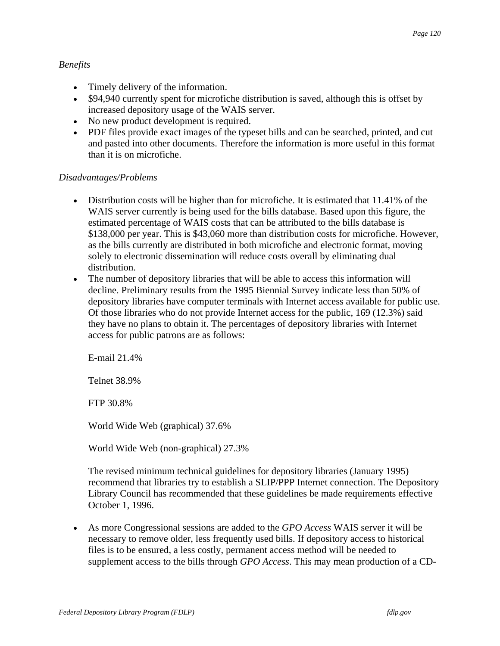### *Benefits*

- Timely delivery of the information.
- \$94,940 currently spent for microfiche distribution is saved, although this is offset by increased depository usage of the WAIS server.
- No new product development is required.
- PDF files provide exact images of the typeset bills and can be searched, printed, and cut and pasted into other documents. Therefore the information is more useful in this format than it is on microfiche.

#### *Disadvantages/Problems*

- Distribution costs will be higher than for microfiche. It is estimated that 11.41% of the WAIS server currently is being used for the bills database. Based upon this figure, the estimated percentage of WAIS costs that can be attributed to the bills database is \$138,000 per year. This is \$43,060 more than distribution costs for microfiche. However, as the bills currently are distributed in both microfiche and electronic format, moving solely to electronic dissemination will reduce costs overall by eliminating dual distribution.
- The number of depository libraries that will be able to access this information will decline. Preliminary results from the 1995 Biennial Survey indicate less than 50% of depository libraries have computer terminals with Internet access available for public use. Of those libraries who do not provide Internet access for the public, 169 (12.3%) said they have no plans to obtain it. The percentages of depository libraries with Internet access for public patrons are as follows:

E-mail 21.4%

Telnet 38.9%

FTP 30.8%

World Wide Web (graphical) 37.6%

World Wide Web (non-graphical) 27.3%

The revised minimum technical guidelines for depository libraries (January 1995) recommend that libraries try to establish a SLIP/PPP Internet connection. The Depository Library Council has recommended that these guidelines be made requirements effective October 1, 1996.

 As more Congressional sessions are added to the *GPO Access* WAIS server it will be necessary to remove older, less frequently used bills. If depository access to historical files is to be ensured, a less costly, permanent access method will be needed to supplement access to the bills through *GPO Access*. This may mean production of a CD-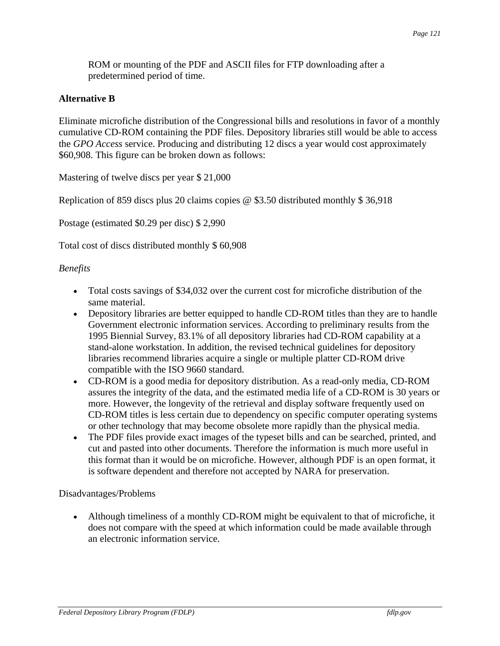ROM or mounting of the PDF and ASCII files for FTP downloading after a predetermined period of time.

### **Alternative B**

Eliminate microfiche distribution of the Congressional bills and resolutions in favor of a monthly cumulative CD-ROM containing the PDF files. Depository libraries still would be able to access the *GPO Access* service. Producing and distributing 12 discs a year would cost approximately \$60,908. This figure can be broken down as follows:

Mastering of twelve discs per year \$ 21,000

Replication of 859 discs plus 20 claims copies @ \$3.50 distributed monthly \$ 36,918

Postage (estimated \$0.29 per disc) \$ 2,990

Total cost of discs distributed monthly \$ 60,908

#### *Benefits*

- Total costs savings of \$34,032 over the current cost for microfiche distribution of the same material.
- Depository libraries are better equipped to handle CD-ROM titles than they are to handle Government electronic information services. According to preliminary results from the 1995 Biennial Survey, 83.1% of all depository libraries had CD-ROM capability at a stand-alone workstation. In addition, the revised technical guidelines for depository libraries recommend libraries acquire a single or multiple platter CD-ROM drive compatible with the ISO 9660 standard.
- CD-ROM is a good media for depository distribution. As a read-only media, CD-ROM assures the integrity of the data, and the estimated media life of a CD-ROM is 30 years or more. However, the longevity of the retrieval and display software frequently used on CD-ROM titles is less certain due to dependency on specific computer operating systems or other technology that may become obsolete more rapidly than the physical media.
- The PDF files provide exact images of the typeset bills and can be searched, printed, and cut and pasted into other documents. Therefore the information is much more useful in this format than it would be on microfiche. However, although PDF is an open format, it is software dependent and therefore not accepted by NARA for preservation.

Disadvantages/Problems

 Although timeliness of a monthly CD-ROM might be equivalent to that of microfiche, it does not compare with the speed at which information could be made available through an electronic information service.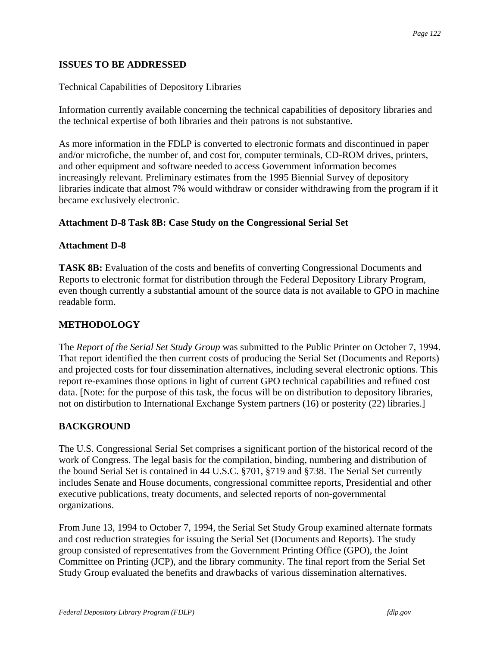### **ISSUES TO BE ADDRESSED**

Technical Capabilities of Depository Libraries

Information currently available concerning the technical capabilities of depository libraries and the technical expertise of both libraries and their patrons is not substantive.

As more information in the FDLP is converted to electronic formats and discontinued in paper and/or microfiche, the number of, and cost for, computer terminals, CD-ROM drives, printers, and other equipment and software needed to access Government information becomes increasingly relevant. Preliminary estimates from the 1995 Biennial Survey of depository libraries indicate that almost 7% would withdraw or consider withdrawing from the program if it became exclusively electronic.

### **Attachment D-8 Task 8B: Case Study on the Congressional Serial Set**

#### **Attachment D-8**

**TASK 8B:** Evaluation of the costs and benefits of converting Congressional Documents and Reports to electronic format for distribution through the Federal Depository Library Program, even though currently a substantial amount of the source data is not available to GPO in machine readable form.

### **METHODOLOGY**

The *Report of the Serial Set Study Group* was submitted to the Public Printer on October 7, 1994. That report identified the then current costs of producing the Serial Set (Documents and Reports) and projected costs for four dissemination alternatives, including several electronic options. This report re-examines those options in light of current GPO technical capabilities and refined cost data. [Note: for the purpose of this task, the focus will be on distribution to depository libraries, not on distirbution to International Exchange System partners (16) or posterity (22) libraries.]

## **BACKGROUND**

The U.S. Congressional Serial Set comprises a significant portion of the historical record of the work of Congress. The legal basis for the compilation, binding, numbering and distribution of the bound Serial Set is contained in 44 U.S.C. §701, §719 and §738. The Serial Set currently includes Senate and House documents, congressional committee reports, Presidential and other executive publications, treaty documents, and selected reports of non-governmental organizations.

From June 13, 1994 to October 7, 1994, the Serial Set Study Group examined alternate formats and cost reduction strategies for issuing the Serial Set (Documents and Reports). The study group consisted of representatives from the Government Printing Office (GPO), the Joint Committee on Printing (JCP), and the library community. The final report from the Serial Set Study Group evaluated the benefits and drawbacks of various dissemination alternatives.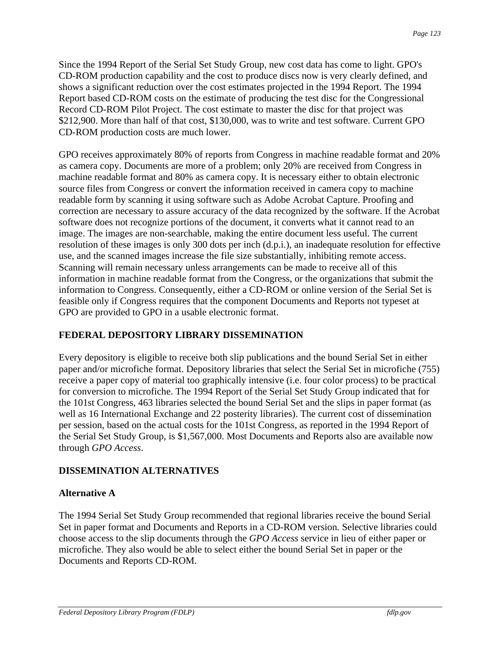Since the 1994 Report of the Serial Set Study Group, new cost data has come to light. GPO's CD-ROM production capability and the cost to produce discs now is very clearly defined, and shows a significant reduction over the cost estimates projected in the 1994 Report. The 1994 Report based CD-ROM costs on the estimate of producing the test disc for the Congressional Record CD-ROM Pilot Project. The cost estimate to master the disc for that project was \$212,900. More than half of that cost, \$130,000, was to write and test software. Current GPO CD-ROM production costs are much lower.

GPO receives approximately 80% of reports from Congress in machine readable format and 20% as camera copy. Documents are more of a problem; only 20% are received from Congress in machine readable format and 80% as camera copy. It is necessary either to obtain electronic source files from Congress or convert the information received in camera copy to machine readable form by scanning it using software such as Adobe Acrobat Capture. Proofing and correction are necessary to assure accuracy of the data recognized by the software. If the Acrobat software does not recognize portions of the document, it converts what it cannot read to an image. The images are non-searchable, making the entire document less useful. The current resolution of these images is only 300 dots per inch (d.p.i.), an inadequate resolution for effective use, and the scanned images increase the file size substantially, inhibiting remote access. Scanning will remain necessary unless arrangements can be made to receive all of this information in machine readable format from the Congress, or the organizations that submit the information to Congress. Consequently, either a CD-ROM or online version of the Serial Set is feasible only if Congress requires that the component Documents and Reports not typeset at GPO are provided to GPO in a usable electronic format.

## **FEDERAL DEPOSITORY LIBRARY DISSEMINATION**

Every depository is eligible to receive both slip publications and the bound Serial Set in either paper and/or microfiche format. Depository libraries that select the Serial Set in microfiche (755) receive a paper copy of material too graphically intensive (i.e. four color process) to be practical for conversion to microfiche. The 1994 Report of the Serial Set Study Group indicated that for the 101st Congress, 463 libraries selected the bound Serial Set and the slips in paper format (as well as 16 International Exchange and 22 posterity libraries). The current cost of dissemination per session, based on the actual costs for the 101st Congress, as reported in the 1994 Report of the Serial Set Study Group, is \$1,567,000. Most Documents and Reports also are available now through *GPO Access*.

# **DISSEMINATION ALTERNATIVES**

## **Alternative A**

The 1994 Serial Set Study Group recommended that regional libraries receive the bound Serial Set in paper format and Documents and Reports in a CD-ROM version. Selective libraries could choose access to the slip documents through the *GPO Access* service in lieu of either paper or microfiche. They also would be able to select either the bound Serial Set in paper or the Documents and Reports CD-ROM.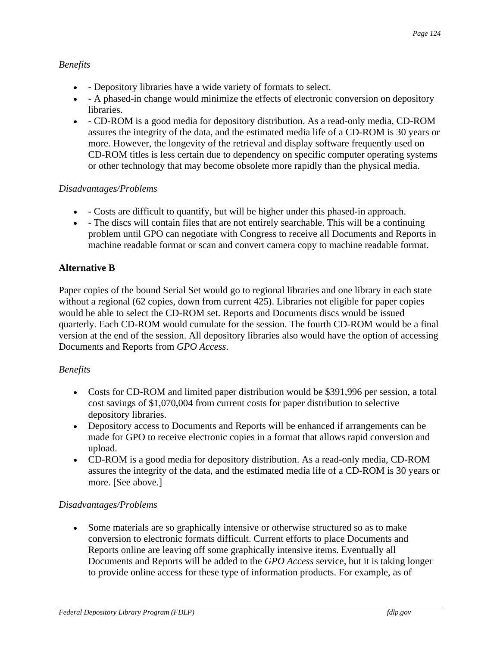# *Benefits*

- Depository libraries have a wide variety of formats to select.
- A phased-in change would minimize the effects of electronic conversion on depository libraries.
- CD-ROM is a good media for depository distribution. As a read-only media, CD-ROM assures the integrity of the data, and the estimated media life of a CD-ROM is 30 years or more. However, the longevity of the retrieval and display software frequently used on CD-ROM titles is less certain due to dependency on specific computer operating systems or other technology that may become obsolete more rapidly than the physical media.

# *Disadvantages/Problems*

- Costs are difficult to quantify, but will be higher under this phased-in approach.
- The discs will contain files that are not entirely searchable. This will be a continuing problem until GPO can negotiate with Congress to receive all Documents and Reports in machine readable format or scan and convert camera copy to machine readable format.

# **Alternative B**

Paper copies of the bound Serial Set would go to regional libraries and one library in each state without a regional (62 copies, down from current 425). Libraries not eligible for paper copies would be able to select the CD-ROM set. Reports and Documents discs would be issued quarterly. Each CD-ROM would cumulate for the session. The fourth CD-ROM would be a final version at the end of the session. All depository libraries also would have the option of accessing Documents and Reports from *GPO Access*.

## *Benefits*

- Costs for CD-ROM and limited paper distribution would be \$391,996 per session, a total cost savings of \$1,070,004 from current costs for paper distribution to selective depository libraries.
- Depository access to Documents and Reports will be enhanced if arrangements can be made for GPO to receive electronic copies in a format that allows rapid conversion and upload.
- CD-ROM is a good media for depository distribution. As a read-only media, CD-ROM assures the integrity of the data, and the estimated media life of a CD-ROM is 30 years or more. [See above.]

## *Disadvantages/Problems*

 Some materials are so graphically intensive or otherwise structured so as to make conversion to electronic formats difficult. Current efforts to place Documents and Reports online are leaving off some graphically intensive items. Eventually all Documents and Reports will be added to the *GPO Access* service, but it is taking longer to provide online access for these type of information products. For example, as of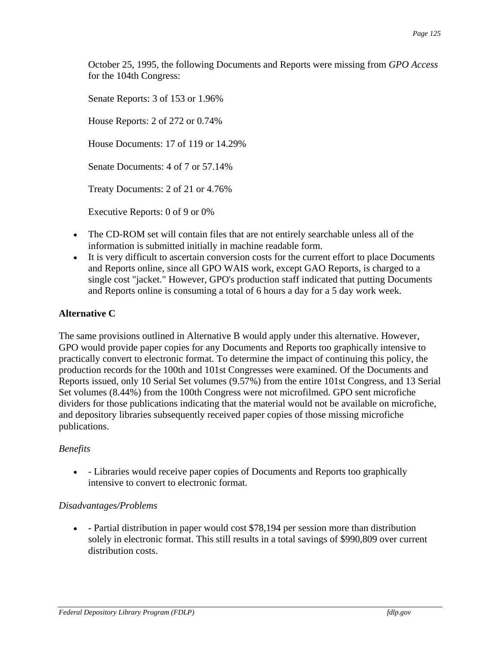October 25, 1995, the following Documents and Reports were missing from *GPO Access* for the 104th Congress:

Senate Reports: 3 of 153 or 1.96% House Reports: 2 of 272 or 0.74% House Documents: 17 of 119 or 14.29% Senate Documents: 4 of 7 or 57.14% Treaty Documents: 2 of 21 or 4.76% Executive Reports: 0 of 9 or 0%

- The CD-ROM set will contain files that are not entirely searchable unless all of the information is submitted initially in machine readable form.
- It is very difficult to ascertain conversion costs for the current effort to place Documents and Reports online, since all GPO WAIS work, except GAO Reports, is charged to a single cost "jacket." However, GPO's production staff indicated that putting Documents and Reports online is consuming a total of 6 hours a day for a 5 day work week.

## **Alternative C**

The same provisions outlined in Alternative B would apply under this alternative. However, GPO would provide paper copies for any Documents and Reports too graphically intensive to practically convert to electronic format. To determine the impact of continuing this policy, the production records for the 100th and 101st Congresses were examined. Of the Documents and Reports issued, only 10 Serial Set volumes (9.57%) from the entire 101st Congress, and 13 Serial Set volumes (8.44%) from the 100th Congress were not microfilmed. GPO sent microfiche dividers for those publications indicating that the material would not be available on microfiche, and depository libraries subsequently received paper copies of those missing microfiche publications.

#### *Benefits*

 - Libraries would receive paper copies of Documents and Reports too graphically intensive to convert to electronic format.

#### *Disadvantages/Problems*

 - Partial distribution in paper would cost \$78,194 per session more than distribution solely in electronic format. This still results in a total savings of \$990,809 over current distribution costs.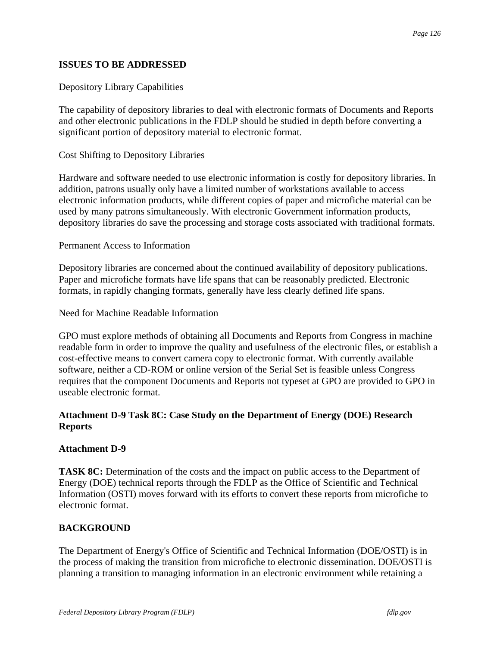### **ISSUES TO BE ADDRESSED**

#### Depository Library Capabilities

The capability of depository libraries to deal with electronic formats of Documents and Reports and other electronic publications in the FDLP should be studied in depth before converting a significant portion of depository material to electronic format.

#### Cost Shifting to Depository Libraries

Hardware and software needed to use electronic information is costly for depository libraries. In addition, patrons usually only have a limited number of workstations available to access electronic information products, while different copies of paper and microfiche material can be used by many patrons simultaneously. With electronic Government information products, depository libraries do save the processing and storage costs associated with traditional formats.

#### Permanent Access to Information

Depository libraries are concerned about the continued availability of depository publications. Paper and microfiche formats have life spans that can be reasonably predicted. Electronic formats, in rapidly changing formats, generally have less clearly defined life spans.

#### Need for Machine Readable Information

GPO must explore methods of obtaining all Documents and Reports from Congress in machine readable form in order to improve the quality and usefulness of the electronic files, or establish a cost-effective means to convert camera copy to electronic format. With currently available software, neither a CD-ROM or online version of the Serial Set is feasible unless Congress requires that the component Documents and Reports not typeset at GPO are provided to GPO in useable electronic format.

#### **Attachment D-9 Task 8C: Case Study on the Department of Energy (DOE) Research Reports**

#### **Attachment D-9**

**TASK 8C:** Determination of the costs and the impact on public access to the Department of Energy (DOE) technical reports through the FDLP as the Office of Scientific and Technical Information (OSTI) moves forward with its efforts to convert these reports from microfiche to electronic format.

#### **BACKGROUND**

The Department of Energy's Office of Scientific and Technical Information (DOE/OSTI) is in the process of making the transition from microfiche to electronic dissemination. DOE/OSTI is planning a transition to managing information in an electronic environment while retaining a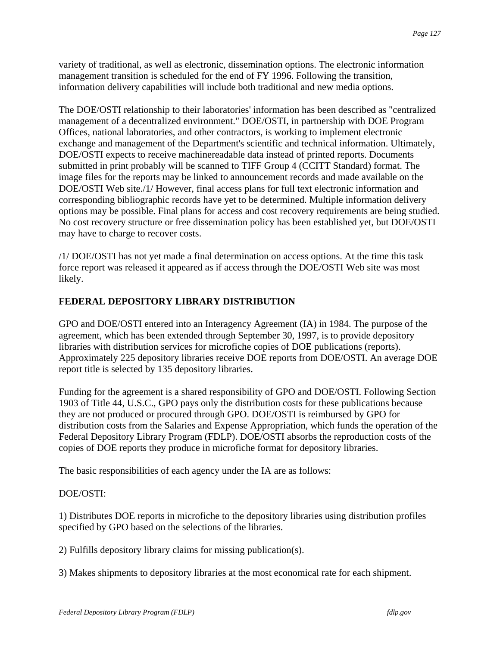variety of traditional, as well as electronic, dissemination options. The electronic information management transition is scheduled for the end of FY 1996. Following the transition, information delivery capabilities will include both traditional and new media options.

The DOE/OSTI relationship to their laboratories' information has been described as "centralized management of a decentralized environment." DOE/OSTI, in partnership with DOE Program Offices, national laboratories, and other contractors, is working to implement electronic exchange and management of the Department's scientific and technical information. Ultimately, DOE/OSTI expects to receive machinereadable data instead of printed reports. Documents submitted in print probably will be scanned to TIFF Group 4 (CCITT Standard) format. The image files for the reports may be linked to announcement records and made available on the DOE/OSTI Web site./1/ However, final access plans for full text electronic information and corresponding bibliographic records have yet to be determined. Multiple information delivery options may be possible. Final plans for access and cost recovery requirements are being studied. No cost recovery structure or free dissemination policy has been established yet, but DOE/OSTI may have to charge to recover costs.

/1/ DOE/OSTI has not yet made a final determination on access options. At the time this task force report was released it appeared as if access through the DOE/OSTI Web site was most likely.

### **FEDERAL DEPOSITORY LIBRARY DISTRIBUTION**

GPO and DOE/OSTI entered into an Interagency Agreement (IA) in 1984. The purpose of the agreement, which has been extended through September 30, 1997, is to provide depository libraries with distribution services for microfiche copies of DOE publications (reports). Approximately 225 depository libraries receive DOE reports from DOE/OSTI. An average DOE report title is selected by 135 depository libraries.

Funding for the agreement is a shared responsibility of GPO and DOE/OSTI. Following Section 1903 of Title 44, U.S.C., GPO pays only the distribution costs for these publications because they are not produced or procured through GPO. DOE/OSTI is reimbursed by GPO for distribution costs from the Salaries and Expense Appropriation, which funds the operation of the Federal Depository Library Program (FDLP). DOE/OSTI absorbs the reproduction costs of the copies of DOE reports they produce in microfiche format for depository libraries.

The basic responsibilities of each agency under the IA are as follows:

#### DOE/OSTI:

1) Distributes DOE reports in microfiche to the depository libraries using distribution profiles specified by GPO based on the selections of the libraries.

2) Fulfills depository library claims for missing publication(s).

3) Makes shipments to depository libraries at the most economical rate for each shipment.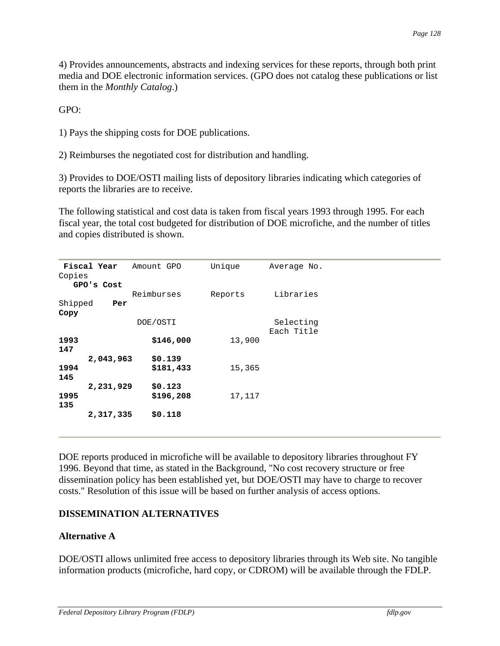4) Provides announcements, abstracts and indexing services for these reports, through both print media and DOE electronic information services. (GPO does not catalog these publications or list them in the *Monthly Catalog*.)

GPO:

1) Pays the shipping costs for DOE publications.

2) Reimburses the negotiated cost for distribution and handling.

3) Provides to DOE/OSTI mailing lists of depository libraries indicating which categories of reports the libraries are to receive.

The following statistical and cost data is taken from fiscal years 1993 through 1995. For each fiscal year, the total cost budgeted for distribution of DOE microfiche, and the number of titles and copies distributed is shown.

| Copies          | Fiscal Year | Amount GPO | Unique  | Average No.             |
|-----------------|-------------|------------|---------|-------------------------|
|                 | GPO's Cost  | Reimburses | Reports | Libraries               |
| Shipped<br>Copy | Per         |            |         |                         |
|                 |             | DOE/OSTI   |         | Selecting<br>Each Title |
| 1993<br>147     |             | \$146,000  | 13,900  |                         |
|                 | 2,043,963   | \$0.139    |         |                         |
| 1994<br>145     |             | \$181,433  | 15,365  |                         |
|                 | 2,231,929   | \$0.123    |         |                         |
| 1995<br>135     |             | \$196,208  | 17,117  |                         |
|                 | 2,317,335   | \$0.118    |         |                         |
|                 |             |            |         |                         |

DOE reports produced in microfiche will be available to depository libraries throughout FY 1996. Beyond that time, as stated in the Background, "No cost recovery structure or free dissemination policy has been established yet, but DOE/OSTI may have to charge to recover costs." Resolution of this issue will be based on further analysis of access options.

## **DISSEMINATION ALTERNATIVES**

## **Alternative A**

DOE/OSTI allows unlimited free access to depository libraries through its Web site. No tangible information products (microfiche, hard copy, or CDROM) will be available through the FDLP.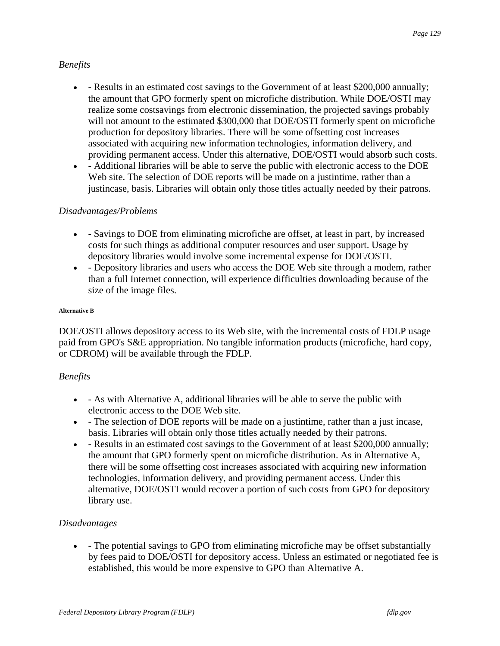### *Benefits*

- Results in an estimated cost savings to the Government of at least \$200,000 annually; the amount that GPO formerly spent on microfiche distribution. While DOE/OSTI may realize some costsavings from electronic dissemination, the projected savings probably will not amount to the estimated \$300,000 that DOE/OSTI formerly spent on microfiche production for depository libraries. There will be some offsetting cost increases associated with acquiring new information technologies, information delivery, and providing permanent access. Under this alternative, DOE/OSTI would absorb such costs.
- Additional libraries will be able to serve the public with electronic access to the DOE Web site. The selection of DOE reports will be made on a justintime, rather than a justincase, basis. Libraries will obtain only those titles actually needed by their patrons.

#### *Disadvantages/Problems*

- Savings to DOE from eliminating microfiche are offset, at least in part, by increased costs for such things as additional computer resources and user support. Usage by depository libraries would involve some incremental expense for DOE/OSTI.
- Depository libraries and users who access the DOE Web site through a modem, rather than a full Internet connection, will experience difficulties downloading because of the size of the image files.

#### **Alternative B**

DOE/OSTI allows depository access to its Web site, with the incremental costs of FDLP usage paid from GPO's S&E appropriation. No tangible information products (microfiche, hard copy, or CDROM) will be available through the FDLP.

#### *Benefits*

- As with Alternative A, additional libraries will be able to serve the public with electronic access to the DOE Web site.
- The selection of DOE reports will be made on a justintime, rather than a just incase, basis. Libraries will obtain only those titles actually needed by their patrons.
- Results in an estimated cost savings to the Government of at least \$200,000 annually; the amount that GPO formerly spent on microfiche distribution. As in Alternative A, there will be some offsetting cost increases associated with acquiring new information technologies, information delivery, and providing permanent access. Under this alternative, DOE/OSTI would recover a portion of such costs from GPO for depository library use.

#### *Disadvantages*

• - The potential savings to GPO from eliminating microfiche may be offset substantially by fees paid to DOE/OSTI for depository access. Unless an estimated or negotiated fee is established, this would be more expensive to GPO than Alternative A.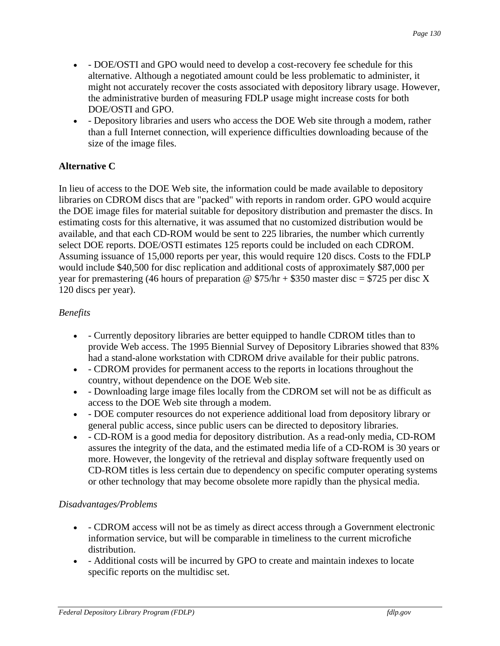- DOE/OSTI and GPO would need to develop a cost-recovery fee schedule for this alternative. Although a negotiated amount could be less problematic to administer, it might not accurately recover the costs associated with depository library usage. However, the administrative burden of measuring FDLP usage might increase costs for both DOE/OSTI and GPO.
- Depository libraries and users who access the DOE Web site through a modem, rather than a full Internet connection, will experience difficulties downloading because of the size of the image files.

# **Alternative C**

In lieu of access to the DOE Web site, the information could be made available to depository libraries on CDROM discs that are "packed" with reports in random order. GPO would acquire the DOE image files for material suitable for depository distribution and premaster the discs. In estimating costs for this alternative, it was assumed that no customized distribution would be available, and that each CD-ROM would be sent to 225 libraries, the number which currently select DOE reports. DOE/OSTI estimates 125 reports could be included on each CDROM. Assuming issuance of 15,000 reports per year, this would require 120 discs. Costs to the FDLP would include \$40,500 for disc replication and additional costs of approximately \$87,000 per year for premastering (46 hours of preparation  $\omega$  \$75/hr + \$350 master disc = \$725 per disc X 120 discs per year).

## *Benefits*

- Currently depository libraries are better equipped to handle CDROM titles than to provide Web access. The 1995 Biennial Survey of Depository Libraries showed that 83% had a stand-alone workstation with CDROM drive available for their public patrons.
- CDROM provides for permanent access to the reports in locations throughout the country, without dependence on the DOE Web site.
- Downloading large image files locally from the CDROM set will not be as difficult as access to the DOE Web site through a modem.
- DOE computer resources do not experience additional load from depository library or general public access, since public users can be directed to depository libraries.
- CD-ROM is a good media for depository distribution. As a read-only media, CD-ROM assures the integrity of the data, and the estimated media life of a CD-ROM is 30 years or more. However, the longevity of the retrieval and display software frequently used on CD-ROM titles is less certain due to dependency on specific computer operating systems or other technology that may become obsolete more rapidly than the physical media.

## *Disadvantages/Problems*

- CDROM access will not be as timely as direct access through a Government electronic information service, but will be comparable in timeliness to the current microfiche distribution.
- Additional costs will be incurred by GPO to create and maintain indexes to locate specific reports on the multidisc set.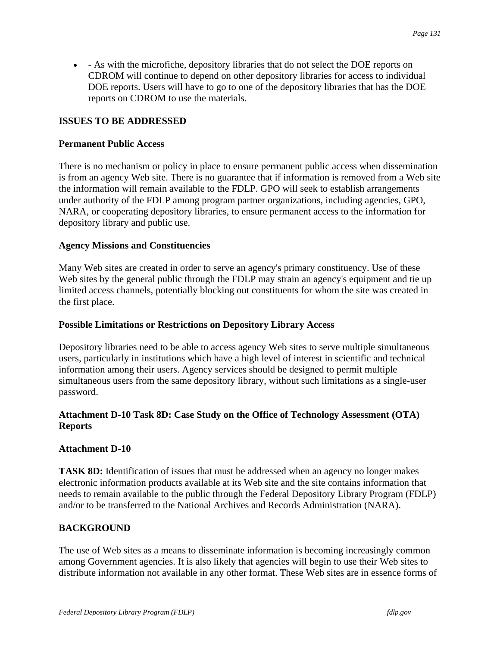- As with the microfiche, depository libraries that do not select the DOE reports on CDROM will continue to depend on other depository libraries for access to individual DOE reports. Users will have to go to one of the depository libraries that has the DOE reports on CDROM to use the materials.

#### **ISSUES TO BE ADDRESSED**

#### **Permanent Public Access**

There is no mechanism or policy in place to ensure permanent public access when dissemination is from an agency Web site. There is no guarantee that if information is removed from a Web site the information will remain available to the FDLP. GPO will seek to establish arrangements under authority of the FDLP among program partner organizations, including agencies, GPO, NARA, or cooperating depository libraries, to ensure permanent access to the information for depository library and public use.

#### **Agency Missions and Constituencies**

Many Web sites are created in order to serve an agency's primary constituency. Use of these Web sites by the general public through the FDLP may strain an agency's equipment and tie up limited access channels, potentially blocking out constituents for whom the site was created in the first place.

#### **Possible Limitations or Restrictions on Depository Library Access**

Depository libraries need to be able to access agency Web sites to serve multiple simultaneous users, particularly in institutions which have a high level of interest in scientific and technical information among their users. Agency services should be designed to permit multiple simultaneous users from the same depository library, without such limitations as a single-user password.

### **Attachment D-10 Task 8D: Case Study on the Office of Technology Assessment (OTA) Reports**

#### **Attachment D-10**

**TASK 8D:** Identification of issues that must be addressed when an agency no longer makes electronic information products available at its Web site and the site contains information that needs to remain available to the public through the Federal Depository Library Program (FDLP) and/or to be transferred to the National Archives and Records Administration (NARA).

#### **BACKGROUND**

The use of Web sites as a means to disseminate information is becoming increasingly common among Government agencies. It is also likely that agencies will begin to use their Web sites to distribute information not available in any other format. These Web sites are in essence forms of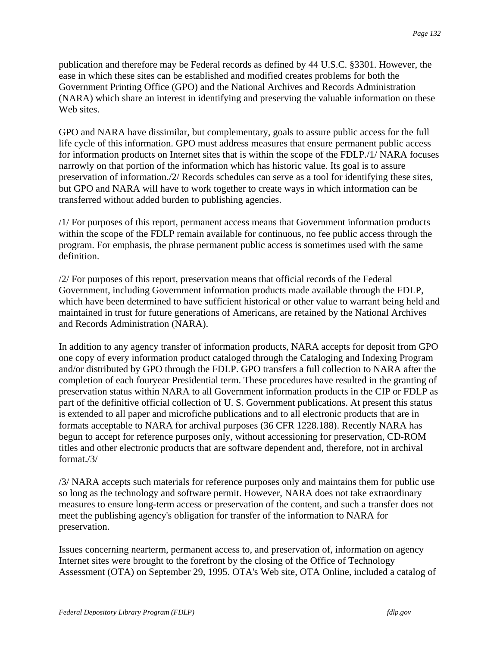publication and therefore may be Federal records as defined by 44 U.S.C. §3301. However, the ease in which these sites can be established and modified creates problems for both the Government Printing Office (GPO) and the National Archives and Records Administration (NARA) which share an interest in identifying and preserving the valuable information on these Web sites.

GPO and NARA have dissimilar, but complementary, goals to assure public access for the full life cycle of this information. GPO must address measures that ensure permanent public access for information products on Internet sites that is within the scope of the FDLP./1/ NARA focuses narrowly on that portion of the information which has historic value. Its goal is to assure preservation of information./2/ Records schedules can serve as a tool for identifying these sites, but GPO and NARA will have to work together to create ways in which information can be transferred without added burden to publishing agencies.

/1/ For purposes of this report, permanent access means that Government information products within the scope of the FDLP remain available for continuous, no fee public access through the program. For emphasis, the phrase permanent public access is sometimes used with the same definition.

/2/ For purposes of this report, preservation means that official records of the Federal Government, including Government information products made available through the FDLP, which have been determined to have sufficient historical or other value to warrant being held and maintained in trust for future generations of Americans, are retained by the National Archives and Records Administration (NARA).

In addition to any agency transfer of information products, NARA accepts for deposit from GPO one copy of every information product cataloged through the Cataloging and Indexing Program and/or distributed by GPO through the FDLP. GPO transfers a full collection to NARA after the completion of each fouryear Presidential term. These procedures have resulted in the granting of preservation status within NARA to all Government information products in the CIP or FDLP as part of the definitive official collection of U. S. Government publications. At present this status is extended to all paper and microfiche publications and to all electronic products that are in formats acceptable to NARA for archival purposes (36 CFR 1228.188). Recently NARA has begun to accept for reference purposes only, without accessioning for preservation, CD-ROM titles and other electronic products that are software dependent and, therefore, not in archival format./3/

/3/ NARA accepts such materials for reference purposes only and maintains them for public use so long as the technology and software permit. However, NARA does not take extraordinary measures to ensure long-term access or preservation of the content, and such a transfer does not meet the publishing agency's obligation for transfer of the information to NARA for preservation.

Issues concerning nearterm, permanent access to, and preservation of, information on agency Internet sites were brought to the forefront by the closing of the Office of Technology Assessment (OTA) on September 29, 1995. OTA's Web site, OTA Online, included a catalog of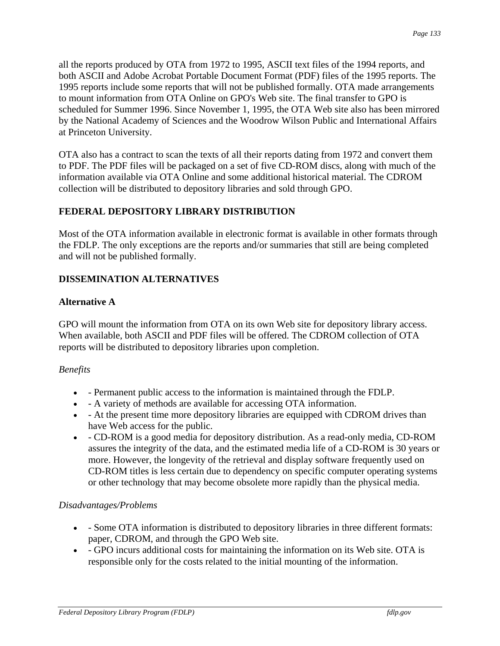all the reports produced by OTA from 1972 to 1995, ASCII text files of the 1994 reports, and both ASCII and Adobe Acrobat Portable Document Format (PDF) files of the 1995 reports. The 1995 reports include some reports that will not be published formally. OTA made arrangements to mount information from OTA Online on GPO's Web site. The final transfer to GPO is scheduled for Summer 1996. Since November 1, 1995, the OTA Web site also has been mirrored by the National Academy of Sciences and the Woodrow Wilson Public and International Affairs at Princeton University.

OTA also has a contract to scan the texts of all their reports dating from 1972 and convert them to PDF. The PDF files will be packaged on a set of five CD-ROM discs, along with much of the information available via OTA Online and some additional historical material. The CDROM collection will be distributed to depository libraries and sold through GPO.

## **FEDERAL DEPOSITORY LIBRARY DISTRIBUTION**

Most of the OTA information available in electronic format is available in other formats through the FDLP. The only exceptions are the reports and/or summaries that still are being completed and will not be published formally.

### **DISSEMINATION ALTERNATIVES**

#### **Alternative A**

GPO will mount the information from OTA on its own Web site for depository library access. When available, both ASCII and PDF files will be offered. The CDROM collection of OTA reports will be distributed to depository libraries upon completion.

#### *Benefits*

- Permanent public access to the information is maintained through the FDLP.
- A variety of methods are available for accessing OTA information.
- At the present time more depository libraries are equipped with CDROM drives than have Web access for the public.
- CD-ROM is a good media for depository distribution. As a read-only media, CD-ROM assures the integrity of the data, and the estimated media life of a CD-ROM is 30 years or more. However, the longevity of the retrieval and display software frequently used on CD-ROM titles is less certain due to dependency on specific computer operating systems or other technology that may become obsolete more rapidly than the physical media.

#### *Disadvantages/Problems*

- Some OTA information is distributed to depository libraries in three different formats: paper, CDROM, and through the GPO Web site.
- GPO incurs additional costs for maintaining the information on its Web site. OTA is responsible only for the costs related to the initial mounting of the information.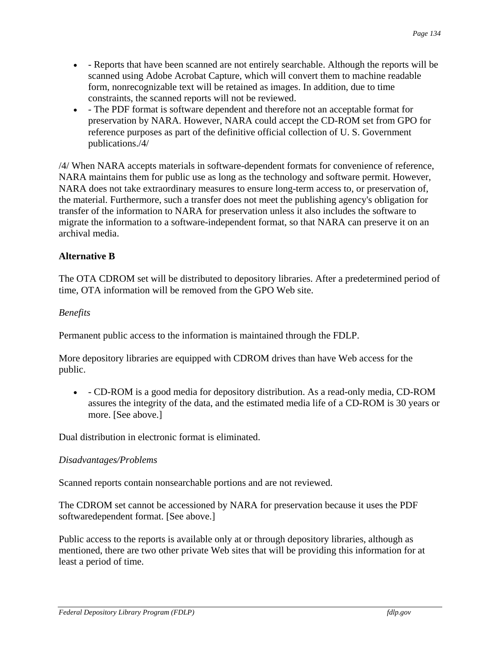- Reports that have been scanned are not entirely searchable. Although the reports will be scanned using Adobe Acrobat Capture, which will convert them to machine readable form, nonrecognizable text will be retained as images. In addition, due to time constraints, the scanned reports will not be reviewed.
- The PDF format is software dependent and therefore not an acceptable format for preservation by NARA. However, NARA could accept the CD-ROM set from GPO for reference purposes as part of the definitive official collection of U. S. Government publications./4/

/4/ When NARA accepts materials in software-dependent formats for convenience of reference, NARA maintains them for public use as long as the technology and software permit. However, NARA does not take extraordinary measures to ensure long-term access to, or preservation of, the material. Furthermore, such a transfer does not meet the publishing agency's obligation for transfer of the information to NARA for preservation unless it also includes the software to migrate the information to a software-independent format, so that NARA can preserve it on an archival media.

### **Alternative B**

The OTA CDROM set will be distributed to depository libraries. After a predetermined period of time, OTA information will be removed from the GPO Web site.

#### *Benefits*

Permanent public access to the information is maintained through the FDLP.

More depository libraries are equipped with CDROM drives than have Web access for the public.

 - CD-ROM is a good media for depository distribution. As a read-only media, CD-ROM assures the integrity of the data, and the estimated media life of a CD-ROM is 30 years or more. [See above.]

Dual distribution in electronic format is eliminated.

#### *Disadvantages/Problems*

Scanned reports contain nonsearchable portions and are not reviewed.

The CDROM set cannot be accessioned by NARA for preservation because it uses the PDF softwaredependent format. [See above.]

Public access to the reports is available only at or through depository libraries, although as mentioned, there are two other private Web sites that will be providing this information for at least a period of time.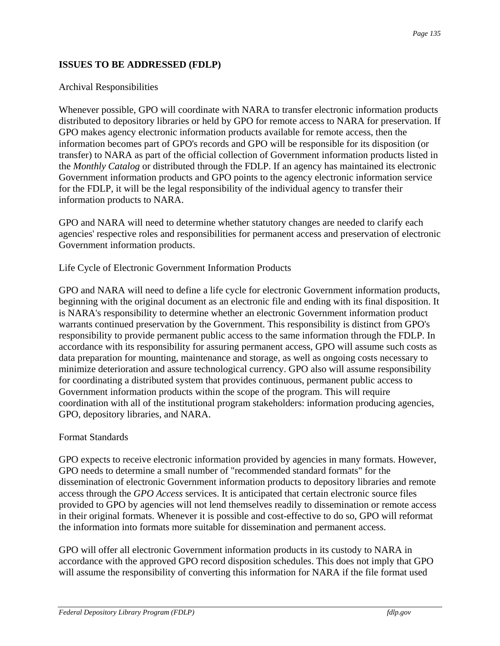# **ISSUES TO BE ADDRESSED (FDLP)**

### Archival Responsibilities

Whenever possible, GPO will coordinate with NARA to transfer electronic information products distributed to depository libraries or held by GPO for remote access to NARA for preservation. If GPO makes agency electronic information products available for remote access, then the information becomes part of GPO's records and GPO will be responsible for its disposition (or transfer) to NARA as part of the official collection of Government information products listed in the *Monthly Catalog* or distributed through the FDLP. If an agency has maintained its electronic Government information products and GPO points to the agency electronic information service for the FDLP, it will be the legal responsibility of the individual agency to transfer their information products to NARA.

GPO and NARA will need to determine whether statutory changes are needed to clarify each agencies' respective roles and responsibilities for permanent access and preservation of electronic Government information products.

Life Cycle of Electronic Government Information Products

GPO and NARA will need to define a life cycle for electronic Government information products, beginning with the original document as an electronic file and ending with its final disposition. It is NARA's responsibility to determine whether an electronic Government information product warrants continued preservation by the Government. This responsibility is distinct from GPO's responsibility to provide permanent public access to the same information through the FDLP. In accordance with its responsibility for assuring permanent access, GPO will assume such costs as data preparation for mounting, maintenance and storage, as well as ongoing costs necessary to minimize deterioration and assure technological currency. GPO also will assume responsibility for coordinating a distributed system that provides continuous, permanent public access to Government information products within the scope of the program. This will require coordination with all of the institutional program stakeholders: information producing agencies, GPO, depository libraries, and NARA.

#### Format Standards

GPO expects to receive electronic information provided by agencies in many formats. However, GPO needs to determine a small number of "recommended standard formats" for the dissemination of electronic Government information products to depository libraries and remote access through the *GPO Access* services. It is anticipated that certain electronic source files provided to GPO by agencies will not lend themselves readily to dissemination or remote access in their original formats. Whenever it is possible and cost-effective to do so, GPO will reformat the information into formats more suitable for dissemination and permanent access.

GPO will offer all electronic Government information products in its custody to NARA in accordance with the approved GPO record disposition schedules. This does not imply that GPO will assume the responsibility of converting this information for NARA if the file format used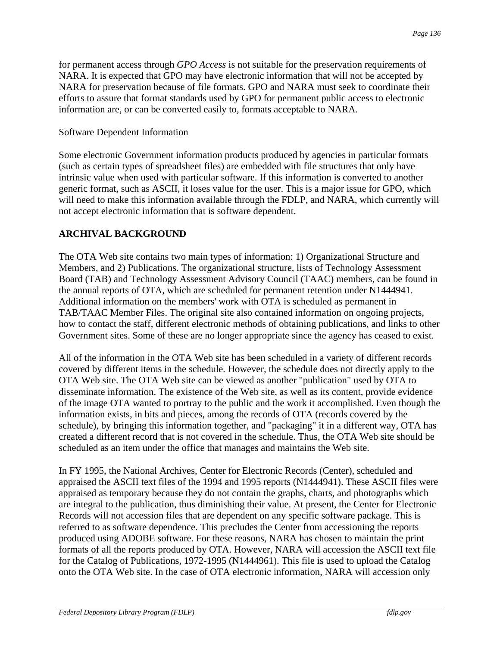for permanent access through *GPO Access* is not suitable for the preservation requirements of NARA. It is expected that GPO may have electronic information that will not be accepted by NARA for preservation because of file formats. GPO and NARA must seek to coordinate their efforts to assure that format standards used by GPO for permanent public access to electronic information are, or can be converted easily to, formats acceptable to NARA.

### Software Dependent Information

Some electronic Government information products produced by agencies in particular formats (such as certain types of spreadsheet files) are embedded with file structures that only have intrinsic value when used with particular software. If this information is converted to another generic format, such as ASCII, it loses value for the user. This is a major issue for GPO, which will need to make this information available through the FDLP, and NARA, which currently will not accept electronic information that is software dependent.

## **ARCHIVAL BACKGROUND**

The OTA Web site contains two main types of information: 1) Organizational Structure and Members, and 2) Publications. The organizational structure, lists of Technology Assessment Board (TAB) and Technology Assessment Advisory Council (TAAC) members, can be found in the annual reports of OTA, which are scheduled for permanent retention under N1444941. Additional information on the members' work with OTA is scheduled as permanent in TAB/TAAC Member Files. The original site also contained information on ongoing projects, how to contact the staff, different electronic methods of obtaining publications, and links to other Government sites. Some of these are no longer appropriate since the agency has ceased to exist.

All of the information in the OTA Web site has been scheduled in a variety of different records covered by different items in the schedule. However, the schedule does not directly apply to the OTA Web site. The OTA Web site can be viewed as another "publication" used by OTA to disseminate information. The existence of the Web site, as well as its content, provide evidence of the image OTA wanted to portray to the public and the work it accomplished. Even though the information exists, in bits and pieces, among the records of OTA (records covered by the schedule), by bringing this information together, and "packaging" it in a different way, OTA has created a different record that is not covered in the schedule. Thus, the OTA Web site should be scheduled as an item under the office that manages and maintains the Web site.

In FY 1995, the National Archives, Center for Electronic Records (Center), scheduled and appraised the ASCII text files of the 1994 and 1995 reports (N1444941). These ASCII files were appraised as temporary because they do not contain the graphs, charts, and photographs which are integral to the publication, thus diminishing their value. At present, the Center for Electronic Records will not accession files that are dependent on any specific software package. This is referred to as software dependence. This precludes the Center from accessioning the reports produced using ADOBE software. For these reasons, NARA has chosen to maintain the print formats of all the reports produced by OTA. However, NARA will accession the ASCII text file for the Catalog of Publications, 1972-1995 (N1444961). This file is used to upload the Catalog onto the OTA Web site. In the case of OTA electronic information, NARA will accession only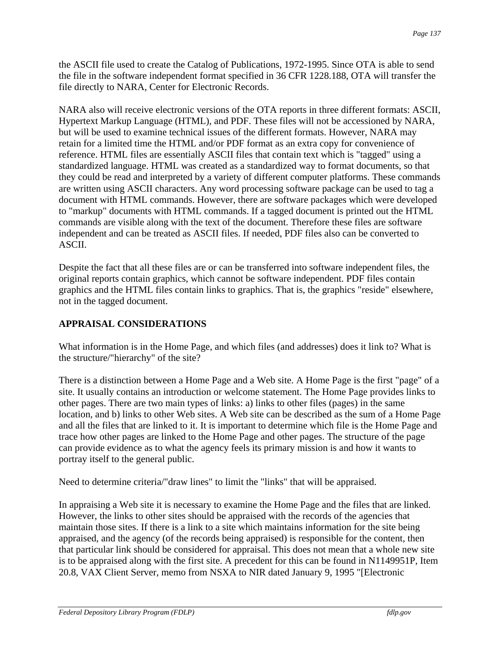the ASCII file used to create the Catalog of Publications, 1972-1995. Since OTA is able to send the file in the software independent format specified in 36 CFR 1228.188, OTA will transfer the file directly to NARA, Center for Electronic Records.

NARA also will receive electronic versions of the OTA reports in three different formats: ASCII, Hypertext Markup Language (HTML), and PDF. These files will not be accessioned by NARA, but will be used to examine technical issues of the different formats. However, NARA may retain for a limited time the HTML and/or PDF format as an extra copy for convenience of reference. HTML files are essentially ASCII files that contain text which is "tagged" using a standardized language. HTML was created as a standardized way to format documents, so that they could be read and interpreted by a variety of different computer platforms. These commands are written using ASCII characters. Any word processing software package can be used to tag a document with HTML commands. However, there are software packages which were developed to "markup" documents with HTML commands. If a tagged document is printed out the HTML commands are visible along with the text of the document. Therefore these files are software independent and can be treated as ASCII files. If needed, PDF files also can be converted to ASCII.

Despite the fact that all these files are or can be transferred into software independent files, the original reports contain graphics, which cannot be software independent. PDF files contain graphics and the HTML files contain links to graphics. That is, the graphics "reside" elsewhere, not in the tagged document.

# **APPRAISAL CONSIDERATIONS**

What information is in the Home Page, and which files (and addresses) does it link to? What is the structure/"hierarchy" of the site?

There is a distinction between a Home Page and a Web site. A Home Page is the first "page" of a site. It usually contains an introduction or welcome statement. The Home Page provides links to other pages. There are two main types of links: a) links to other files (pages) in the same location, and b) links to other Web sites. A Web site can be described as the sum of a Home Page and all the files that are linked to it. It is important to determine which file is the Home Page and trace how other pages are linked to the Home Page and other pages. The structure of the page can provide evidence as to what the agency feels its primary mission is and how it wants to portray itself to the general public.

Need to determine criteria/"draw lines" to limit the "links" that will be appraised.

In appraising a Web site it is necessary to examine the Home Page and the files that are linked. However, the links to other sites should be appraised with the records of the agencies that maintain those sites. If there is a link to a site which maintains information for the site being appraised, and the agency (of the records being appraised) is responsible for the content, then that particular link should be considered for appraisal. This does not mean that a whole new site is to be appraised along with the first site. A precedent for this can be found in N1149951P, Item 20.8, VAX Client Server, memo from NSXA to NIR dated January 9, 1995 "[Electronic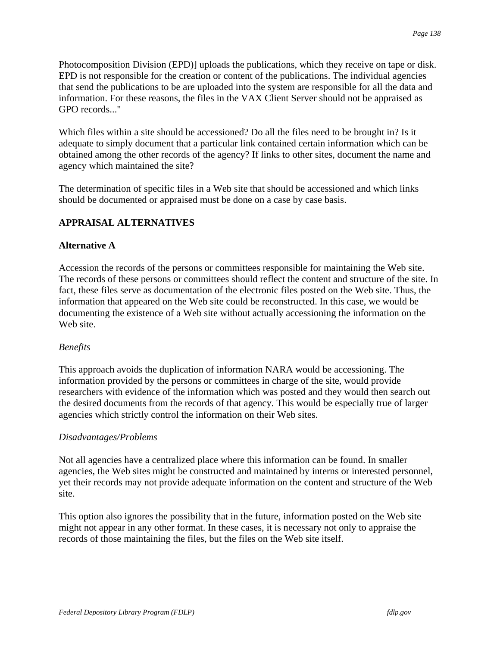Photocomposition Division (EPD)] uploads the publications, which they receive on tape or disk. EPD is not responsible for the creation or content of the publications. The individual agencies that send the publications to be are uploaded into the system are responsible for all the data and information. For these reasons, the files in the VAX Client Server should not be appraised as GPO records..."

Which files within a site should be accessioned? Do all the files need to be brought in? Is it adequate to simply document that a particular link contained certain information which can be obtained among the other records of the agency? If links to other sites, document the name and agency which maintained the site?

The determination of specific files in a Web site that should be accessioned and which links should be documented or appraised must be done on a case by case basis.

## **APPRAISAL ALTERNATIVES**

### **Alternative A**

Accession the records of the persons or committees responsible for maintaining the Web site. The records of these persons or committees should reflect the content and structure of the site. In fact, these files serve as documentation of the electronic files posted on the Web site. Thus, the information that appeared on the Web site could be reconstructed. In this case, we would be documenting the existence of a Web site without actually accessioning the information on the Web site.

#### *Benefits*

This approach avoids the duplication of information NARA would be accessioning. The information provided by the persons or committees in charge of the site, would provide researchers with evidence of the information which was posted and they would then search out the desired documents from the records of that agency. This would be especially true of larger agencies which strictly control the information on their Web sites.

#### *Disadvantages/Problems*

Not all agencies have a centralized place where this information can be found. In smaller agencies, the Web sites might be constructed and maintained by interns or interested personnel, yet their records may not provide adequate information on the content and structure of the Web site.

This option also ignores the possibility that in the future, information posted on the Web site might not appear in any other format. In these cases, it is necessary not only to appraise the records of those maintaining the files, but the files on the Web site itself.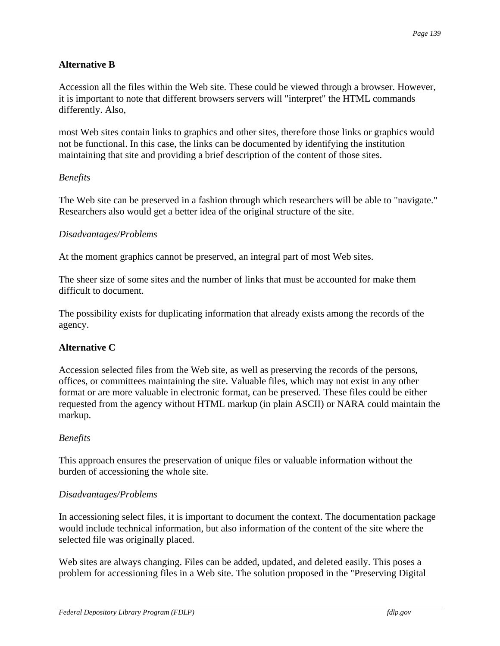### **Alternative B**

Accession all the files within the Web site. These could be viewed through a browser. However, it is important to note that different browsers servers will "interpret" the HTML commands differently. Also,

most Web sites contain links to graphics and other sites, therefore those links or graphics would not be functional. In this case, the links can be documented by identifying the institution maintaining that site and providing a brief description of the content of those sites.

#### *Benefits*

The Web site can be preserved in a fashion through which researchers will be able to "navigate." Researchers also would get a better idea of the original structure of the site.

#### *Disadvantages/Problems*

At the moment graphics cannot be preserved, an integral part of most Web sites.

The sheer size of some sites and the number of links that must be accounted for make them difficult to document.

The possibility exists for duplicating information that already exists among the records of the agency.

#### **Alternative C**

Accession selected files from the Web site, as well as preserving the records of the persons, offices, or committees maintaining the site. Valuable files, which may not exist in any other format or are more valuable in electronic format, can be preserved. These files could be either requested from the agency without HTML markup (in plain ASCII) or NARA could maintain the markup.

#### *Benefits*

This approach ensures the preservation of unique files or valuable information without the burden of accessioning the whole site.

#### *Disadvantages/Problems*

In accessioning select files, it is important to document the context. The documentation package would include technical information, but also information of the content of the site where the selected file was originally placed.

Web sites are always changing. Files can be added, updated, and deleted easily. This poses a problem for accessioning files in a Web site. The solution proposed in the "Preserving Digital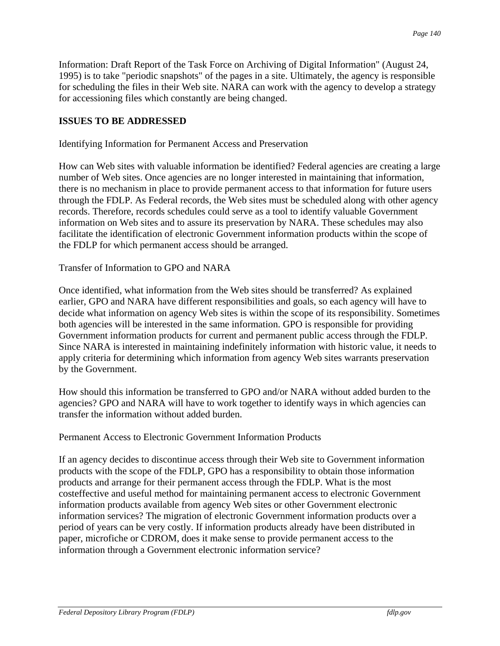Information: Draft Report of the Task Force on Archiving of Digital Information" (August 24, 1995) is to take "periodic snapshots" of the pages in a site. Ultimately, the agency is responsible for scheduling the files in their Web site. NARA can work with the agency to develop a strategy for accessioning files which constantly are being changed.

### **ISSUES TO BE ADDRESSED**

Identifying Information for Permanent Access and Preservation

How can Web sites with valuable information be identified? Federal agencies are creating a large number of Web sites. Once agencies are no longer interested in maintaining that information, there is no mechanism in place to provide permanent access to that information for future users through the FDLP. As Federal records, the Web sites must be scheduled along with other agency records. Therefore, records schedules could serve as a tool to identify valuable Government information on Web sites and to assure its preservation by NARA. These schedules may also facilitate the identification of electronic Government information products within the scope of the FDLP for which permanent access should be arranged.

Transfer of Information to GPO and NARA

Once identified, what information from the Web sites should be transferred? As explained earlier, GPO and NARA have different responsibilities and goals, so each agency will have to decide what information on agency Web sites is within the scope of its responsibility. Sometimes both agencies will be interested in the same information. GPO is responsible for providing Government information products for current and permanent public access through the FDLP. Since NARA is interested in maintaining indefinitely information with historic value, it needs to apply criteria for determining which information from agency Web sites warrants preservation by the Government.

How should this information be transferred to GPO and/or NARA without added burden to the agencies? GPO and NARA will have to work together to identify ways in which agencies can transfer the information without added burden.

Permanent Access to Electronic Government Information Products

If an agency decides to discontinue access through their Web site to Government information products with the scope of the FDLP, GPO has a responsibility to obtain those information products and arrange for their permanent access through the FDLP. What is the most costeffective and useful method for maintaining permanent access to electronic Government information products available from agency Web sites or other Government electronic information services? The migration of electronic Government information products over a period of years can be very costly. If information products already have been distributed in paper, microfiche or CDROM, does it make sense to provide permanent access to the information through a Government electronic information service?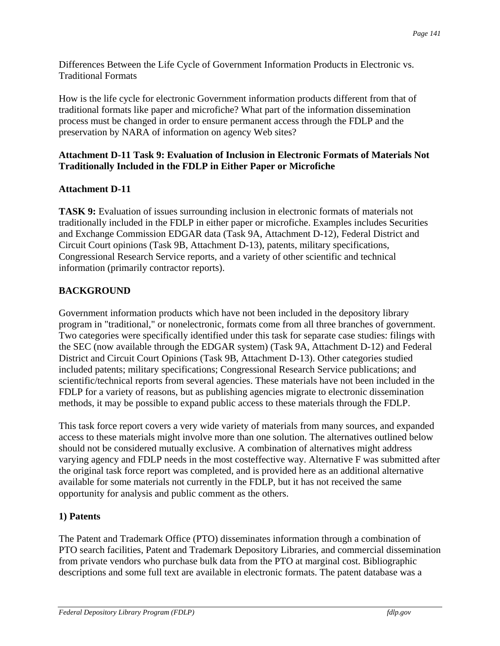Differences Between the Life Cycle of Government Information Products in Electronic vs. Traditional Formats

How is the life cycle for electronic Government information products different from that of traditional formats like paper and microfiche? What part of the information dissemination process must be changed in order to ensure permanent access through the FDLP and the preservation by NARA of information on agency Web sites?

### **Attachment D-11 Task 9: Evaluation of Inclusion in Electronic Formats of Materials Not Traditionally Included in the FDLP in Either Paper or Microfiche**

# **Attachment D-11**

**TASK 9:** Evaluation of issues surrounding inclusion in electronic formats of materials not traditionally included in the FDLP in either paper or microfiche. Examples includes Securities and Exchange Commission EDGAR data (Task 9A, Attachment D-12), Federal District and Circuit Court opinions (Task 9B, Attachment D-13), patents, military specifications, Congressional Research Service reports, and a variety of other scientific and technical information (primarily contractor reports).

# **BACKGROUND**

Government information products which have not been included in the depository library program in "traditional," or nonelectronic, formats come from all three branches of government. Two categories were specifically identified under this task for separate case studies: filings with the SEC (now available through the EDGAR system) (Task 9A, Attachment D-12) and Federal District and Circuit Court Opinions (Task 9B, Attachment D-13). Other categories studied included patents; military specifications; Congressional Research Service publications; and scientific/technical reports from several agencies. These materials have not been included in the FDLP for a variety of reasons, but as publishing agencies migrate to electronic dissemination methods, it may be possible to expand public access to these materials through the FDLP.

This task force report covers a very wide variety of materials from many sources, and expanded access to these materials might involve more than one solution. The alternatives outlined below should not be considered mutually exclusive. A combination of alternatives might address varying agency and FDLP needs in the most costeffective way. Alternative F was submitted after the original task force report was completed, and is provided here as an additional alternative available for some materials not currently in the FDLP, but it has not received the same opportunity for analysis and public comment as the others.

# **1) Patents**

The Patent and Trademark Office (PTO) disseminates information through a combination of PTO search facilities, Patent and Trademark Depository Libraries, and commercial dissemination from private vendors who purchase bulk data from the PTO at marginal cost. Bibliographic descriptions and some full text are available in electronic formats. The patent database was a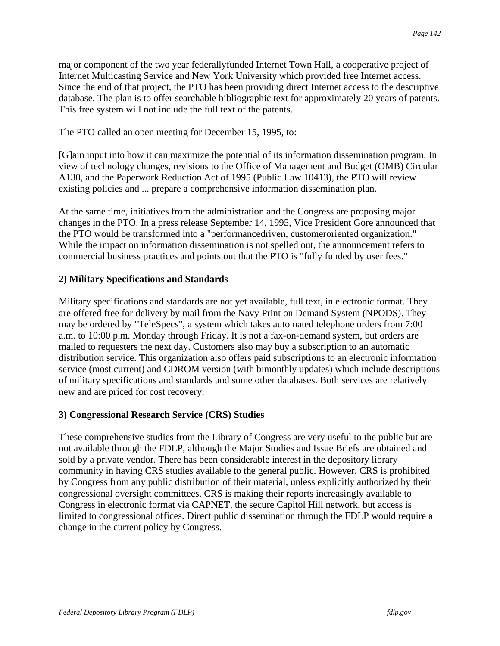major component of the two year federallyfunded Internet Town Hall, a cooperative project of Internet Multicasting Service and New York University which provided free Internet access. Since the end of that project, the PTO has been providing direct Internet access to the descriptive database. The plan is to offer searchable bibliographic text for approximately 20 years of patents. This free system will not include the full text of the patents.

The PTO called an open meeting for December 15, 1995, to:

[G]ain input into how it can maximize the potential of its information dissemination program. In view of technology changes, revisions to the Office of Management and Budget (OMB) Circular A130, and the Paperwork Reduction Act of 1995 (Public Law 10413), the PTO will review existing policies and ... prepare a comprehensive information dissemination plan.

At the same time, initiatives from the administration and the Congress are proposing major changes in the PTO. In a press release September 14, 1995, Vice President Gore announced that the PTO would be transformed into a "performancedriven, customeroriented organization." While the impact on information dissemination is not spelled out, the announcement refers to commercial business practices and points out that the PTO is "fully funded by user fees."

#### **2) Military Specifications and Standards**

Military specifications and standards are not yet available, full text, in electronic format. They are offered free for delivery by mail from the Navy Print on Demand System (NPODS). They may be ordered by "TeleSpecs", a system which takes automated telephone orders from 7:00 a.m. to 10:00 p.m. Monday through Friday. It is not a fax-on-demand system, but orders are mailed to requesters the next day. Customers also may buy a subscription to an automatic distribution service. This organization also offers paid subscriptions to an electronic information service (most current) and CDROM version (with bimonthly updates) which include descriptions of military specifications and standards and some other databases. Both services are relatively new and are priced for cost recovery.

#### **3) Congressional Research Service (CRS) Studies**

These comprehensive studies from the Library of Congress are very useful to the public but are not available through the FDLP, although the Major Studies and Issue Briefs are obtained and sold by a private vendor. There has been considerable interest in the depository library community in having CRS studies available to the general public. However, CRS is prohibited by Congress from any public distribution of their material, unless explicitly authorized by their congressional oversight committees. CRS is making their reports increasingly available to Congress in electronic format via CAPNET, the secure Capitol Hill network, but access is limited to congressional offices. Direct public dissemination through the FDLP would require a change in the current policy by Congress.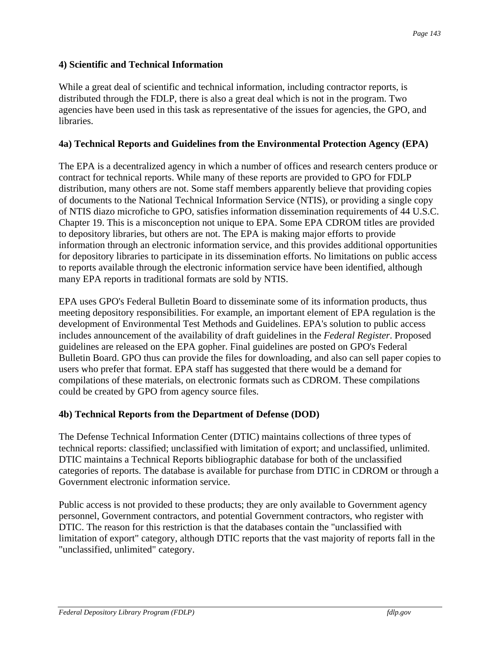## **4) Scientific and Technical Information**

While a great deal of scientific and technical information, including contractor reports, is distributed through the FDLP, there is also a great deal which is not in the program. Two agencies have been used in this task as representative of the issues for agencies, the GPO, and libraries.

#### **4a) Technical Reports and Guidelines from the Environmental Protection Agency (EPA)**

The EPA is a decentralized agency in which a number of offices and research centers produce or contract for technical reports. While many of these reports are provided to GPO for FDLP distribution, many others are not. Some staff members apparently believe that providing copies of documents to the National Technical Information Service (NTIS), or providing a single copy of NTIS diazo microfiche to GPO, satisfies information dissemination requirements of 44 U.S.C. Chapter 19. This is a misconception not unique to EPA. Some EPA CDROM titles are provided to depository libraries, but others are not. The EPA is making major efforts to provide information through an electronic information service, and this provides additional opportunities for depository libraries to participate in its dissemination efforts. No limitations on public access to reports available through the electronic information service have been identified, although many EPA reports in traditional formats are sold by NTIS.

EPA uses GPO's Federal Bulletin Board to disseminate some of its information products, thus meeting depository responsibilities. For example, an important element of EPA regulation is the development of Environmental Test Methods and Guidelines. EPA's solution to public access includes announcement of the availability of draft guidelines in the *Federal Register*. Proposed guidelines are released on the EPA gopher. Final guidelines are posted on GPO's Federal Bulletin Board. GPO thus can provide the files for downloading, and also can sell paper copies to users who prefer that format. EPA staff has suggested that there would be a demand for compilations of these materials, on electronic formats such as CDROM. These compilations could be created by GPO from agency source files.

#### **4b) Technical Reports from the Department of Defense (DOD)**

The Defense Technical Information Center (DTIC) maintains collections of three types of technical reports: classified; unclassified with limitation of export; and unclassified, unlimited. DTIC maintains a Technical Reports bibliographic database for both of the unclassified categories of reports. The database is available for purchase from DTIC in CDROM or through a Government electronic information service.

Public access is not provided to these products; they are only available to Government agency personnel, Government contractors, and potential Government contractors, who register with DTIC. The reason for this restriction is that the databases contain the "unclassified with limitation of export" category, although DTIC reports that the vast majority of reports fall in the "unclassified, unlimited" category.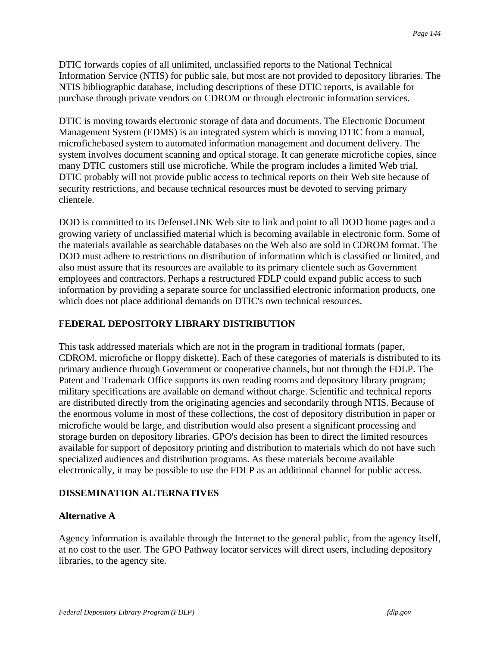DTIC forwards copies of all unlimited, unclassified reports to the National Technical Information Service (NTIS) for public sale, but most are not provided to depository libraries. The NTIS bibliographic database, including descriptions of these DTIC reports, is available for purchase through private vendors on CDROM or through electronic information services.

DTIC is moving towards electronic storage of data and documents. The Electronic Document Management System (EDMS) is an integrated system which is moving DTIC from a manual, microfichebased system to automated information management and document delivery. The system involves document scanning and optical storage. It can generate microfiche copies, since many DTIC customers still use microfiche. While the program includes a limited Web trial, DTIC probably will not provide public access to technical reports on their Web site because of security restrictions, and because technical resources must be devoted to serving primary clientele.

DOD is committed to its DefenseLINK Web site to link and point to all DOD home pages and a growing variety of unclassified material which is becoming available in electronic form. Some of the materials available as searchable databases on the Web also are sold in CDROM format. The DOD must adhere to restrictions on distribution of information which is classified or limited, and also must assure that its resources are available to its primary clientele such as Government employees and contractors. Perhaps a restructured FDLP could expand public access to such information by providing a separate source for unclassified electronic information products, one which does not place additional demands on DTIC's own technical resources.

## **FEDERAL DEPOSITORY LIBRARY DISTRIBUTION**

This task addressed materials which are not in the program in traditional formats (paper, CDROM, microfiche or floppy diskette). Each of these categories of materials is distributed to its primary audience through Government or cooperative channels, but not through the FDLP. The Patent and Trademark Office supports its own reading rooms and depository library program; military specifications are available on demand without charge. Scientific and technical reports are distributed directly from the originating agencies and secondarily through NTIS. Because of the enormous volume in most of these collections, the cost of depository distribution in paper or microfiche would be large, and distribution would also present a significant processing and storage burden on depository libraries. GPO's decision has been to direct the limited resources available for support of depository printing and distribution to materials which do not have such specialized audiences and distribution programs. As these materials become available electronically, it may be possible to use the FDLP as an additional channel for public access.

## **DISSEMINATION ALTERNATIVES**

#### **Alternative A**

Agency information is available through the Internet to the general public, from the agency itself, at no cost to the user. The GPO Pathway locator services will direct users, including depository libraries, to the agency site.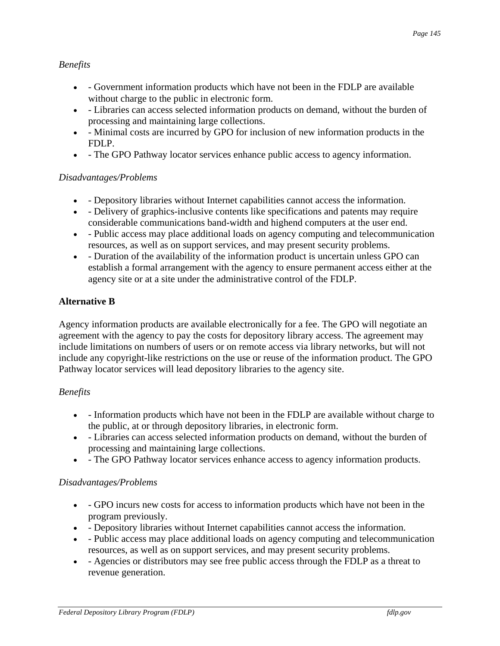## *Benefits*

- Government information products which have not been in the FDLP are available without charge to the public in electronic form.
- Libraries can access selected information products on demand, without the burden of processing and maintaining large collections.
- Minimal costs are incurred by GPO for inclusion of new information products in the FDLP.
- The GPO Pathway locator services enhance public access to agency information.

## *Disadvantages/Problems*

- Depository libraries without Internet capabilities cannot access the information.
- Delivery of graphics-inclusive contents like specifications and patents may require considerable communications band-width and highend computers at the user end.
- Public access may place additional loads on agency computing and telecommunication resources, as well as on support services, and may present security problems.
- Duration of the availability of the information product is uncertain unless GPO can establish a formal arrangement with the agency to ensure permanent access either at the agency site or at a site under the administrative control of the FDLP.

# **Alternative B**

Agency information products are available electronically for a fee. The GPO will negotiate an agreement with the agency to pay the costs for depository library access. The agreement may include limitations on numbers of users or on remote access via library networks, but will not include any copyright-like restrictions on the use or reuse of the information product. The GPO Pathway locator services will lead depository libraries to the agency site.

# *Benefits*

- Information products which have not been in the FDLP are available without charge to the public, at or through depository libraries, in electronic form.
- Libraries can access selected information products on demand, without the burden of processing and maintaining large collections.
- The GPO Pathway locator services enhance access to agency information products.

# *Disadvantages/Problems*

- GPO incurs new costs for access to information products which have not been in the program previously.
- Depository libraries without Internet capabilities cannot access the information.
- Public access may place additional loads on agency computing and telecommunication resources, as well as on support services, and may present security problems.
- Agencies or distributors may see free public access through the FDLP as a threat to revenue generation.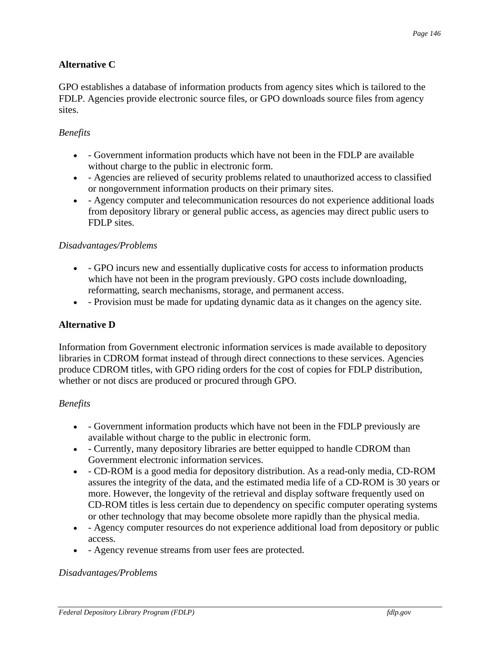### **Alternative C**

GPO establishes a database of information products from agency sites which is tailored to the FDLP. Agencies provide electronic source files, or GPO downloads source files from agency sites.

### *Benefits*

- Government information products which have not been in the FDLP are available without charge to the public in electronic form.
- Agencies are relieved of security problems related to unauthorized access to classified or nongovernment information products on their primary sites.
- Agency computer and telecommunication resources do not experience additional loads from depository library or general public access, as agencies may direct public users to FDLP sites.

#### *Disadvantages/Problems*

- GPO incurs new and essentially duplicative costs for access to information products which have not been in the program previously. GPO costs include downloading, reformatting, search mechanisms, storage, and permanent access.
- Provision must be made for updating dynamic data as it changes on the agency site.

#### **Alternative D**

Information from Government electronic information services is made available to depository libraries in CDROM format instead of through direct connections to these services. Agencies produce CDROM titles, with GPO riding orders for the cost of copies for FDLP distribution, whether or not discs are produced or procured through GPO.

#### *Benefits*

- Government information products which have not been in the FDLP previously are available without charge to the public in electronic form.
- Currently, many depository libraries are better equipped to handle CDROM than Government electronic information services.
- CD-ROM is a good media for depository distribution. As a read-only media, CD-ROM assures the integrity of the data, and the estimated media life of a CD-ROM is 30 years or more. However, the longevity of the retrieval and display software frequently used on CD-ROM titles is less certain due to dependency on specific computer operating systems or other technology that may become obsolete more rapidly than the physical media.
- Agency computer resources do not experience additional load from depository or public access.
- Agency revenue streams from user fees are protected.

#### *Disadvantages/Problems*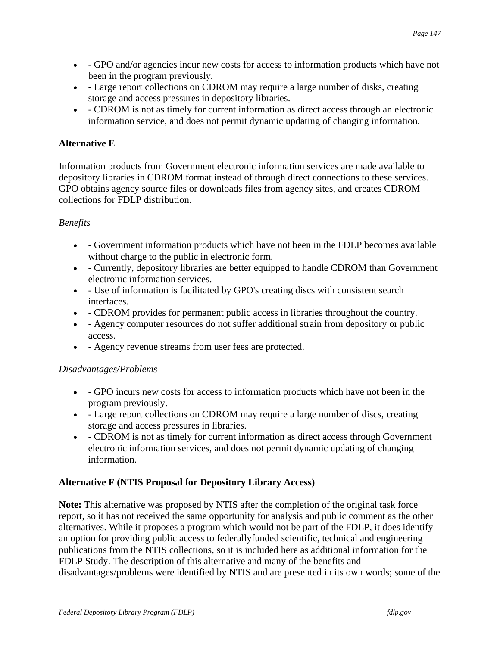- GPO and/or agencies incur new costs for access to information products which have not been in the program previously.
- Large report collections on CDROM may require a large number of disks, creating storage and access pressures in depository libraries.
- CDROM is not as timely for current information as direct access through an electronic information service, and does not permit dynamic updating of changing information.

## **Alternative E**

Information products from Government electronic information services are made available to depository libraries in CDROM format instead of through direct connections to these services. GPO obtains agency source files or downloads files from agency sites, and creates CDROM collections for FDLP distribution.

## *Benefits*

- Government information products which have not been in the FDLP becomes available without charge to the public in electronic form.
- Currently, depository libraries are better equipped to handle CDROM than Government electronic information services.
- Use of information is facilitated by GPO's creating discs with consistent search interfaces.
- CDROM provides for permanent public access in libraries throughout the country.
- Agency computer resources do not suffer additional strain from depository or public access.
- Agency revenue streams from user fees are protected.

## *Disadvantages/Problems*

- GPO incurs new costs for access to information products which have not been in the program previously.
- Large report collections on CDROM may require a large number of discs, creating storage and access pressures in libraries.
- CDROM is not as timely for current information as direct access through Government electronic information services, and does not permit dynamic updating of changing information.

## **Alternative F (NTIS Proposal for Depository Library Access)**

**Note:** This alternative was proposed by NTIS after the completion of the original task force report, so it has not received the same opportunity for analysis and public comment as the other alternatives. While it proposes a program which would not be part of the FDLP, it does identify an option for providing public access to federallyfunded scientific, technical and engineering publications from the NTIS collections, so it is included here as additional information for the FDLP Study. The description of this alternative and many of the benefits and disadvantages/problems were identified by NTIS and are presented in its own words; some of the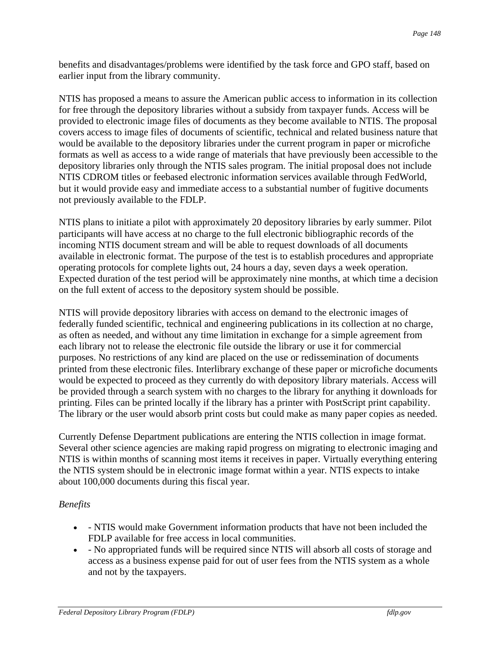benefits and disadvantages/problems were identified by the task force and GPO staff, based on earlier input from the library community.

NTIS has proposed a means to assure the American public access to information in its collection for free through the depository libraries without a subsidy from taxpayer funds. Access will be provided to electronic image files of documents as they become available to NTIS. The proposal covers access to image files of documents of scientific, technical and related business nature that would be available to the depository libraries under the current program in paper or microfiche formats as well as access to a wide range of materials that have previously been accessible to the depository libraries only through the NTIS sales program. The initial proposal does not include NTIS CDROM titles or feebased electronic information services available through FedWorld, but it would provide easy and immediate access to a substantial number of fugitive documents not previously available to the FDLP.

NTIS plans to initiate a pilot with approximately 20 depository libraries by early summer. Pilot participants will have access at no charge to the full electronic bibliographic records of the incoming NTIS document stream and will be able to request downloads of all documents available in electronic format. The purpose of the test is to establish procedures and appropriate operating protocols for complete lights out, 24 hours a day, seven days a week operation. Expected duration of the test period will be approximately nine months, at which time a decision on the full extent of access to the depository system should be possible.

NTIS will provide depository libraries with access on demand to the electronic images of federally funded scientific, technical and engineering publications in its collection at no charge, as often as needed, and without any time limitation in exchange for a simple agreement from each library not to release the electronic file outside the library or use it for commercial purposes. No restrictions of any kind are placed on the use or redissemination of documents printed from these electronic files. Interlibrary exchange of these paper or microfiche documents would be expected to proceed as they currently do with depository library materials. Access will be provided through a search system with no charges to the library for anything it downloads for printing. Files can be printed locally if the library has a printer with PostScript print capability. The library or the user would absorb print costs but could make as many paper copies as needed.

Currently Defense Department publications are entering the NTIS collection in image format. Several other science agencies are making rapid progress on migrating to electronic imaging and NTIS is within months of scanning most items it receives in paper. Virtually everything entering the NTIS system should be in electronic image format within a year. NTIS expects to intake about 100,000 documents during this fiscal year.

## *Benefits*

- NTIS would make Government information products that have not been included the FDLP available for free access in local communities.
- No appropriated funds will be required since NTIS will absorb all costs of storage and access as a business expense paid for out of user fees from the NTIS system as a whole and not by the taxpayers.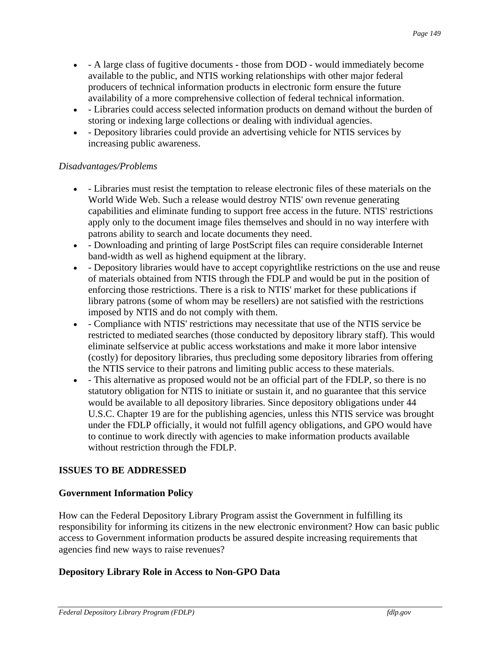- A large class of fugitive documents those from DOD would immediately become available to the public, and NTIS working relationships with other major federal producers of technical information products in electronic form ensure the future availability of a more comprehensive collection of federal technical information.
- Libraries could access selected information products on demand without the burden of storing or indexing large collections or dealing with individual agencies.
- Depository libraries could provide an advertising vehicle for NTIS services by increasing public awareness.

## *Disadvantages/Problems*

- Libraries must resist the temptation to release electronic files of these materials on the World Wide Web. Such a release would destroy NTIS' own revenue generating capabilities and eliminate funding to support free access in the future. NTIS' restrictions apply only to the document image files themselves and should in no way interfere with patrons ability to search and locate documents they need.
- Downloading and printing of large PostScript files can require considerable Internet band-width as well as highend equipment at the library.
- Depository libraries would have to accept copyrightlike restrictions on the use and reuse of materials obtained from NTIS through the FDLP and would be put in the position of enforcing those restrictions. There is a risk to NTIS' market for these publications if library patrons (some of whom may be resellers) are not satisfied with the restrictions imposed by NTIS and do not comply with them.
- Compliance with NTIS' restrictions may necessitate that use of the NTIS service be restricted to mediated searches (those conducted by depository library staff). This would eliminate selfservice at public access workstations and make it more labor intensive (costly) for depository libraries, thus precluding some depository libraries from offering the NTIS service to their patrons and limiting public access to these materials.
- This alternative as proposed would not be an official part of the FDLP, so there is no statutory obligation for NTIS to initiate or sustain it, and no guarantee that this service would be available to all depository libraries. Since depository obligations under 44 U.S.C. Chapter 19 are for the publishing agencies, unless this NTIS service was brought under the FDLP officially, it would not fulfill agency obligations, and GPO would have to continue to work directly with agencies to make information products available without restriction through the FDLP.

## **ISSUES TO BE ADDRESSED**

#### **Government Information Policy**

How can the Federal Depository Library Program assist the Government in fulfilling its responsibility for informing its citizens in the new electronic environment? How can basic public access to Government information products be assured despite increasing requirements that agencies find new ways to raise revenues?

## **Depository Library Role in Access to Non-GPO Data**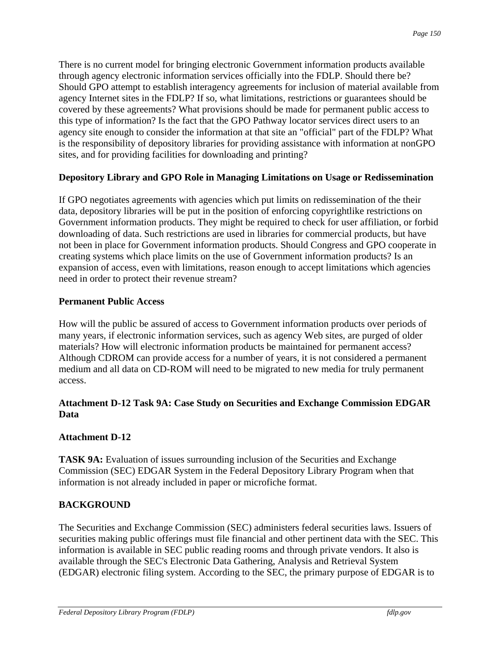There is no current model for bringing electronic Government information products available through agency electronic information services officially into the FDLP. Should there be? Should GPO attempt to establish interagency agreements for inclusion of material available from agency Internet sites in the FDLP? If so, what limitations, restrictions or guarantees should be covered by these agreements? What provisions should be made for permanent public access to this type of information? Is the fact that the GPO Pathway locator services direct users to an agency site enough to consider the information at that site an "official" part of the FDLP? What is the responsibility of depository libraries for providing assistance with information at nonGPO sites, and for providing facilities for downloading and printing?

## **Depository Library and GPO Role in Managing Limitations on Usage or Redissemination**

If GPO negotiates agreements with agencies which put limits on redissemination of the their data, depository libraries will be put in the position of enforcing copyrightlike restrictions on Government information products. They might be required to check for user affiliation, or forbid downloading of data. Such restrictions are used in libraries for commercial products, but have not been in place for Government information products. Should Congress and GPO cooperate in creating systems which place limits on the use of Government information products? Is an expansion of access, even with limitations, reason enough to accept limitations which agencies need in order to protect their revenue stream?

#### **Permanent Public Access**

How will the public be assured of access to Government information products over periods of many years, if electronic information services, such as agency Web sites, are purged of older materials? How will electronic information products be maintained for permanent access? Although CDROM can provide access for a number of years, it is not considered a permanent medium and all data on CD-ROM will need to be migrated to new media for truly permanent access.

### **Attachment D-12 Task 9A: Case Study on Securities and Exchange Commission EDGAR Data**

#### **Attachment D-12**

**TASK 9A:** Evaluation of issues surrounding inclusion of the Securities and Exchange Commission (SEC) EDGAR System in the Federal Depository Library Program when that information is not already included in paper or microfiche format.

## **BACKGROUND**

The Securities and Exchange Commission (SEC) administers federal securities laws. Issuers of securities making public offerings must file financial and other pertinent data with the SEC. This information is available in SEC public reading rooms and through private vendors. It also is available through the SEC's Electronic Data Gathering, Analysis and Retrieval System (EDGAR) electronic filing system. According to the SEC, the primary purpose of EDGAR is to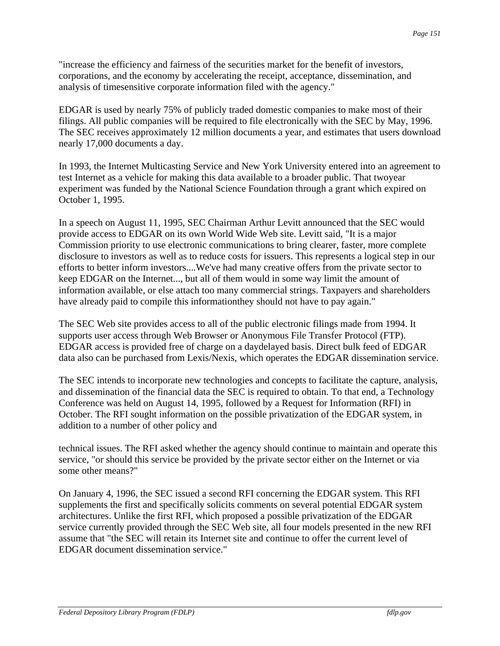"increase the efficiency and fairness of the securities market for the benefit of investors, corporations, and the economy by accelerating the receipt, acceptance, dissemination, and analysis of timesensitive corporate information filed with the agency."

EDGAR is used by nearly 75% of publicly traded domestic companies to make most of their filings. All public companies will be required to file electronically with the SEC by May, 1996. The SEC receives approximately 12 million documents a year, and estimates that users download nearly 17,000 documents a day.

In 1993, the Internet Multicasting Service and New York University entered into an agreement to test Internet as a vehicle for making this data available to a broader public. That twoyear experiment was funded by the National Science Foundation through a grant which expired on October 1, 1995.

In a speech on August 11, 1995, SEC Chairman Arthur Levitt announced that the SEC would provide access to EDGAR on its own World Wide Web site. Levitt said, "It is a major Commission priority to use electronic communications to bring clearer, faster, more complete disclosure to investors as well as to reduce costs for issuers. This represents a logical step in our efforts to better inform investors....We've had many creative offers from the private sector to keep EDGAR on the Internet..., but all of them would in some way limit the amount of information available, or else attach too many commercial strings. Taxpayers and shareholders have already paid to compile this informationthey should not have to pay again."

The SEC Web site provides access to all of the public electronic filings made from 1994. It supports user access through Web Browser or Anonymous File Transfer Protocol (FTP). EDGAR access is provided free of charge on a daydelayed basis. Direct bulk feed of EDGAR data also can be purchased from Lexis/Nexis, which operates the EDGAR dissemination service.

The SEC intends to incorporate new technologies and concepts to facilitate the capture, analysis, and dissemination of the financial data the SEC is required to obtain. To that end, a Technology Conference was held on August 14, 1995, followed by a Request for Information (RFI) in October. The RFI sought information on the possible privatization of the EDGAR system, in addition to a number of other policy and

technical issues. The RFI asked whether the agency should continue to maintain and operate this service, "or should this service be provided by the private sector either on the Internet or via some other means?"

On January 4, 1996, the SEC issued a second RFI concerning the EDGAR system. This RFI supplements the first and specifically solicits comments on several potential EDGAR system architectures. Unlike the first RFI, which proposed a possible privatization of the EDGAR service currently provided through the SEC Web site, all four models presented in the new RFI assume that "the SEC will retain its Internet site and continue to offer the current level of EDGAR document dissemination service."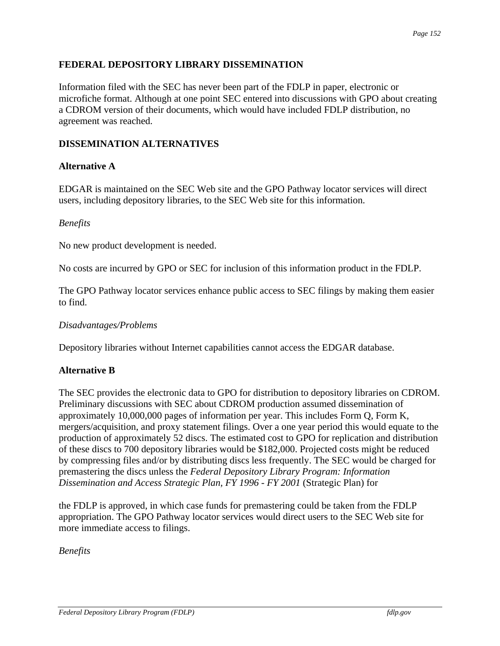### **FEDERAL DEPOSITORY LIBRARY DISSEMINATION**

Information filed with the SEC has never been part of the FDLP in paper, electronic or microfiche format. Although at one point SEC entered into discussions with GPO about creating a CDROM version of their documents, which would have included FDLP distribution, no agreement was reached.

### **DISSEMINATION ALTERNATIVES**

#### **Alternative A**

EDGAR is maintained on the SEC Web site and the GPO Pathway locator services will direct users, including depository libraries, to the SEC Web site for this information.

#### *Benefits*

No new product development is needed.

No costs are incurred by GPO or SEC for inclusion of this information product in the FDLP.

The GPO Pathway locator services enhance public access to SEC filings by making them easier to find.

#### *Disadvantages/Problems*

Depository libraries without Internet capabilities cannot access the EDGAR database.

#### **Alternative B**

The SEC provides the electronic data to GPO for distribution to depository libraries on CDROM. Preliminary discussions with SEC about CDROM production assumed dissemination of approximately 10,000,000 pages of information per year. This includes Form Q, Form K, mergers/acquisition, and proxy statement filings. Over a one year period this would equate to the production of approximately 52 discs. The estimated cost to GPO for replication and distribution of these discs to 700 depository libraries would be \$182,000. Projected costs might be reduced by compressing files and/or by distributing discs less frequently. The SEC would be charged for premastering the discs unless the *Federal Depository Library Program: Information Dissemination and Access Strategic Plan, FY 1996 - FY 2001* (Strategic Plan) for

the FDLP is approved, in which case funds for premastering could be taken from the FDLP appropriation. The GPO Pathway locator services would direct users to the SEC Web site for more immediate access to filings.

*Benefits*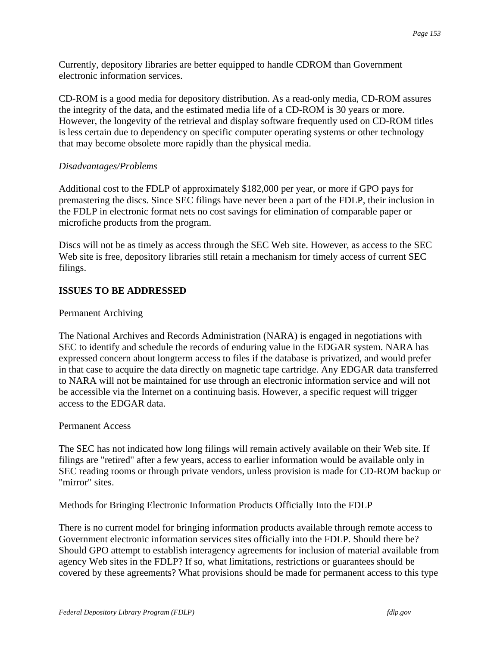Currently, depository libraries are better equipped to handle CDROM than Government electronic information services.

CD-ROM is a good media for depository distribution. As a read-only media, CD-ROM assures the integrity of the data, and the estimated media life of a CD-ROM is 30 years or more. However, the longevity of the retrieval and display software frequently used on CD-ROM titles is less certain due to dependency on specific computer operating systems or other technology that may become obsolete more rapidly than the physical media.

#### *Disadvantages/Problems*

Additional cost to the FDLP of approximately \$182,000 per year, or more if GPO pays for premastering the discs. Since SEC filings have never been a part of the FDLP, their inclusion in the FDLP in electronic format nets no cost savings for elimination of comparable paper or microfiche products from the program.

Discs will not be as timely as access through the SEC Web site. However, as access to the SEC Web site is free, depository libraries still retain a mechanism for timely access of current SEC filings.

## **ISSUES TO BE ADDRESSED**

#### Permanent Archiving

The National Archives and Records Administration (NARA) is engaged in negotiations with SEC to identify and schedule the records of enduring value in the EDGAR system. NARA has expressed concern about longterm access to files if the database is privatized, and would prefer in that case to acquire the data directly on magnetic tape cartridge. Any EDGAR data transferred to NARA will not be maintained for use through an electronic information service and will not be accessible via the Internet on a continuing basis. However, a specific request will trigger access to the EDGAR data.

#### Permanent Access

The SEC has not indicated how long filings will remain actively available on their Web site. If filings are "retired" after a few years, access to earlier information would be available only in SEC reading rooms or through private vendors, unless provision is made for CD-ROM backup or "mirror" sites.

Methods for Bringing Electronic Information Products Officially Into the FDLP

There is no current model for bringing information products available through remote access to Government electronic information services sites officially into the FDLP. Should there be? Should GPO attempt to establish interagency agreements for inclusion of material available from agency Web sites in the FDLP? If so, what limitations, restrictions or guarantees should be covered by these agreements? What provisions should be made for permanent access to this type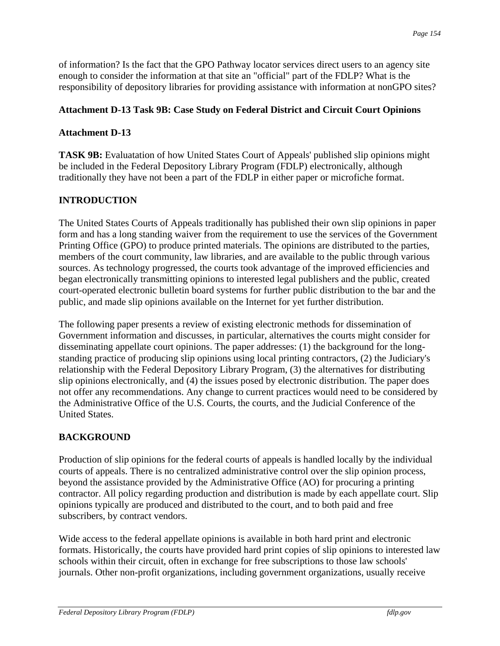of information? Is the fact that the GPO Pathway locator services direct users to an agency site enough to consider the information at that site an "official" part of the FDLP? What is the responsibility of depository libraries for providing assistance with information at nonGPO sites?

## **Attachment D-13 Task 9B: Case Study on Federal District and Circuit Court Opinions**

# **Attachment D-13**

**TASK 9B:** Evaluatation of how United States Court of Appeals' published slip opinions might be included in the Federal Depository Library Program (FDLP) electronically, although traditionally they have not been a part of the FDLP in either paper or microfiche format.

# **INTRODUCTION**

The United States Courts of Appeals traditionally has published their own slip opinions in paper form and has a long standing waiver from the requirement to use the services of the Government Printing Office (GPO) to produce printed materials. The opinions are distributed to the parties, members of the court community, law libraries, and are available to the public through various sources. As technology progressed, the courts took advantage of the improved efficiencies and began electronically transmitting opinions to interested legal publishers and the public, created court-operated electronic bulletin board systems for further public distribution to the bar and the public, and made slip opinions available on the Internet for yet further distribution.

The following paper presents a review of existing electronic methods for dissemination of Government information and discusses, in particular, alternatives the courts might consider for disseminating appellate court opinions. The paper addresses: (1) the background for the longstanding practice of producing slip opinions using local printing contractors, (2) the Judiciary's relationship with the Federal Depository Library Program, (3) the alternatives for distributing slip opinions electronically, and (4) the issues posed by electronic distribution. The paper does not offer any recommendations. Any change to current practices would need to be considered by the Administrative Office of the U.S. Courts, the courts, and the Judicial Conference of the United States.

# **BACKGROUND**

Production of slip opinions for the federal courts of appeals is handled locally by the individual courts of appeals. There is no centralized administrative control over the slip opinion process, beyond the assistance provided by the Administrative Office (AO) for procuring a printing contractor. All policy regarding production and distribution is made by each appellate court. Slip opinions typically are produced and distributed to the court, and to both paid and free subscribers, by contract vendors.

Wide access to the federal appellate opinions is available in both hard print and electronic formats. Historically, the courts have provided hard print copies of slip opinions to interested law schools within their circuit, often in exchange for free subscriptions to those law schools' journals. Other non-profit organizations, including government organizations, usually receive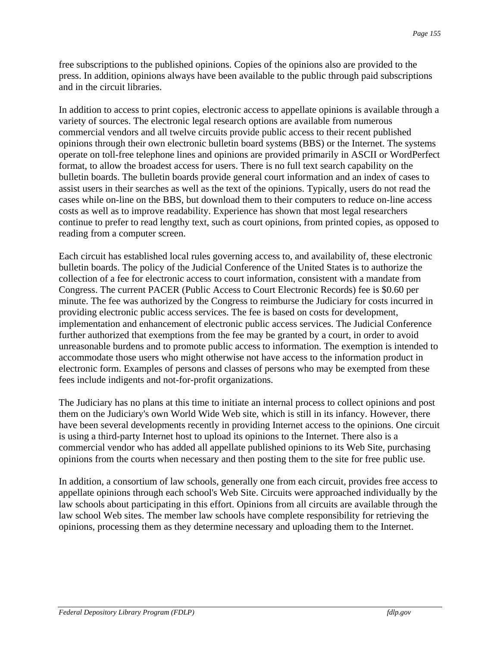free subscriptions to the published opinions. Copies of the opinions also are provided to the press. In addition, opinions always have been available to the public through paid subscriptions and in the circuit libraries.

In addition to access to print copies, electronic access to appellate opinions is available through a variety of sources. The electronic legal research options are available from numerous commercial vendors and all twelve circuits provide public access to their recent published opinions through their own electronic bulletin board systems (BBS) or the Internet. The systems operate on toll-free telephone lines and opinions are provided primarily in ASCII or WordPerfect format, to allow the broadest access for users. There is no full text search capability on the bulletin boards. The bulletin boards provide general court information and an index of cases to assist users in their searches as well as the text of the opinions. Typically, users do not read the cases while on-line on the BBS, but download them to their computers to reduce on-line access costs as well as to improve readability. Experience has shown that most legal researchers continue to prefer to read lengthy text, such as court opinions, from printed copies, as opposed to reading from a computer screen.

Each circuit has established local rules governing access to, and availability of, these electronic bulletin boards. The policy of the Judicial Conference of the United States is to authorize the collection of a fee for electronic access to court information, consistent with a mandate from Congress. The current PACER (Public Access to Court Electronic Records) fee is \$0.60 per minute. The fee was authorized by the Congress to reimburse the Judiciary for costs incurred in providing electronic public access services. The fee is based on costs for development, implementation and enhancement of electronic public access services. The Judicial Conference further authorized that exemptions from the fee may be granted by a court, in order to avoid unreasonable burdens and to promote public access to information. The exemption is intended to accommodate those users who might otherwise not have access to the information product in electronic form. Examples of persons and classes of persons who may be exempted from these fees include indigents and not-for-profit organizations.

The Judiciary has no plans at this time to initiate an internal process to collect opinions and post them on the Judiciary's own World Wide Web site, which is still in its infancy. However, there have been several developments recently in providing Internet access to the opinions. One circuit is using a third-party Internet host to upload its opinions to the Internet. There also is a commercial vendor who has added all appellate published opinions to its Web Site, purchasing opinions from the courts when necessary and then posting them to the site for free public use.

In addition, a consortium of law schools, generally one from each circuit, provides free access to appellate opinions through each school's Web Site. Circuits were approached individually by the law schools about participating in this effort. Opinions from all circuits are available through the law school Web sites. The member law schools have complete responsibility for retrieving the opinions, processing them as they determine necessary and uploading them to the Internet.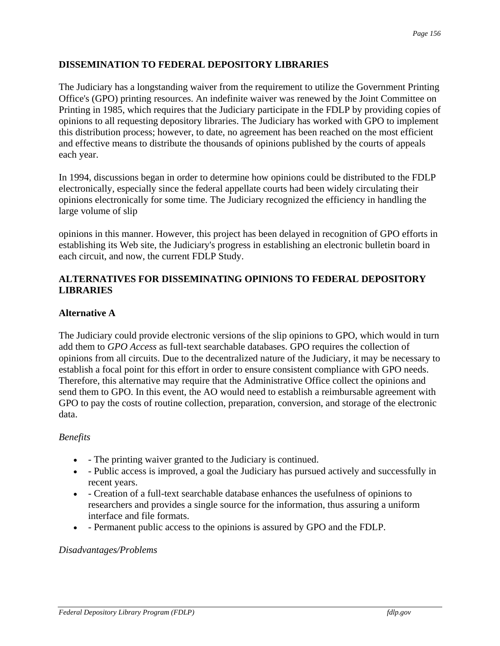### **DISSEMINATION TO FEDERAL DEPOSITORY LIBRARIES**

The Judiciary has a longstanding waiver from the requirement to utilize the Government Printing Office's (GPO) printing resources. An indefinite waiver was renewed by the Joint Committee on Printing in 1985, which requires that the Judiciary participate in the FDLP by providing copies of opinions to all requesting depository libraries. The Judiciary has worked with GPO to implement this distribution process; however, to date, no agreement has been reached on the most efficient and effective means to distribute the thousands of opinions published by the courts of appeals each year.

In 1994, discussions began in order to determine how opinions could be distributed to the FDLP electronically, especially since the federal appellate courts had been widely circulating their opinions electronically for some time. The Judiciary recognized the efficiency in handling the large volume of slip

opinions in this manner. However, this project has been delayed in recognition of GPO efforts in establishing its Web site, the Judiciary's progress in establishing an electronic bulletin board in each circuit, and now, the current FDLP Study.

### **ALTERNATIVES FOR DISSEMINATING OPINIONS TO FEDERAL DEPOSITORY LIBRARIES**

#### **Alternative A**

The Judiciary could provide electronic versions of the slip opinions to GPO, which would in turn add them to *GPO Access* as full-text searchable databases. GPO requires the collection of opinions from all circuits. Due to the decentralized nature of the Judiciary, it may be necessary to establish a focal point for this effort in order to ensure consistent compliance with GPO needs. Therefore, this alternative may require that the Administrative Office collect the opinions and send them to GPO. In this event, the AO would need to establish a reimbursable agreement with GPO to pay the costs of routine collection, preparation, conversion, and storage of the electronic data.

#### *Benefits*

- The printing waiver granted to the Judiciary is continued.
- Public access is improved, a goal the Judiciary has pursued actively and successfully in recent years.
- Creation of a full-text searchable database enhances the usefulness of opinions to researchers and provides a single source for the information, thus assuring a uniform interface and file formats.
- Permanent public access to the opinions is assured by GPO and the FDLP.

#### *Disadvantages/Problems*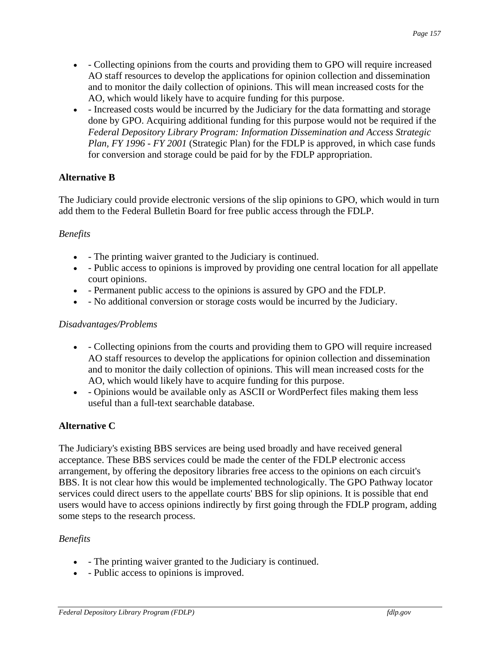- Collecting opinions from the courts and providing them to GPO will require increased AO staff resources to develop the applications for opinion collection and dissemination and to monitor the daily collection of opinions. This will mean increased costs for the AO, which would likely have to acquire funding for this purpose.
- Increased costs would be incurred by the Judiciary for the data formatting and storage done by GPO. Acquiring additional funding for this purpose would not be required if the *Federal Depository Library Program: Information Dissemination and Access Strategic Plan, FY 1996 - FY 2001* (Strategic Plan) for the FDLP is approved, in which case funds for conversion and storage could be paid for by the FDLP appropriation.

## **Alternative B**

The Judiciary could provide electronic versions of the slip opinions to GPO, which would in turn add them to the Federal Bulletin Board for free public access through the FDLP.

## *Benefits*

- The printing waiver granted to the Judiciary is continued.
- Public access to opinions is improved by providing one central location for all appellate court opinions.
- Permanent public access to the opinions is assured by GPO and the FDLP.
- No additional conversion or storage costs would be incurred by the Judiciary.

### *Disadvantages/Problems*

- Collecting opinions from the courts and providing them to GPO will require increased AO staff resources to develop the applications for opinion collection and dissemination and to monitor the daily collection of opinions. This will mean increased costs for the AO, which would likely have to acquire funding for this purpose.
- Opinions would be available only as ASCII or WordPerfect files making them less useful than a full-text searchable database.

# **Alternative C**

The Judiciary's existing BBS services are being used broadly and have received general acceptance. These BBS services could be made the center of the FDLP electronic access arrangement, by offering the depository libraries free access to the opinions on each circuit's BBS. It is not clear how this would be implemented technologically. The GPO Pathway locator services could direct users to the appellate courts' BBS for slip opinions. It is possible that end users would have to access opinions indirectly by first going through the FDLP program, adding some steps to the research process.

## *Benefits*

- The printing waiver granted to the Judiciary is continued.
- Public access to opinions is improved.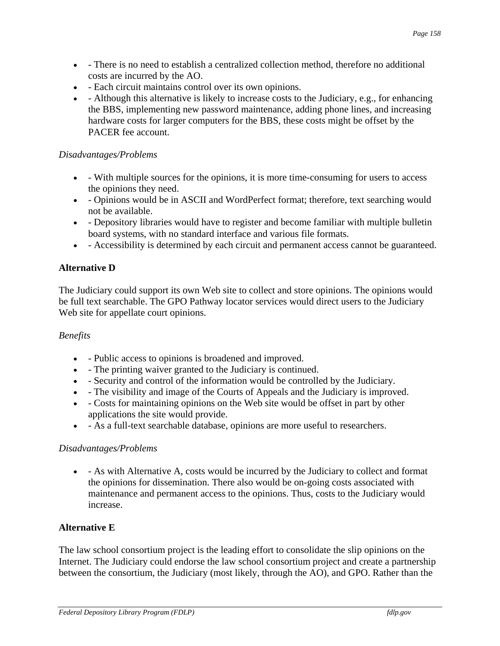- There is no need to establish a centralized collection method, therefore no additional costs are incurred by the AO.
- Each circuit maintains control over its own opinions.
- Although this alternative is likely to increase costs to the Judiciary, e.g., for enhancing the BBS, implementing new password maintenance, adding phone lines, and increasing hardware costs for larger computers for the BBS, these costs might be offset by the PACER fee account.

### *Disadvantages/Problems*

- With multiple sources for the opinions, it is more time-consuming for users to access the opinions they need.
- Opinions would be in ASCII and WordPerfect format; therefore, text searching would not be available.
- Depository libraries would have to register and become familiar with multiple bulletin board systems, with no standard interface and various file formats.
- Accessibility is determined by each circuit and permanent access cannot be guaranteed.

## **Alternative D**

The Judiciary could support its own Web site to collect and store opinions. The opinions would be full text searchable. The GPO Pathway locator services would direct users to the Judiciary Web site for appellate court opinions.

#### *Benefits*

- Public access to opinions is broadened and improved.
- The printing waiver granted to the Judiciary is continued.
- Security and control of the information would be controlled by the Judiciary.
- The visibility and image of the Courts of Appeals and the Judiciary is improved.
- Costs for maintaining opinions on the Web site would be offset in part by other applications the site would provide.
- As a full-text searchable database, opinions are more useful to researchers.

#### *Disadvantages/Problems*

 - As with Alternative A, costs would be incurred by the Judiciary to collect and format the opinions for dissemination. There also would be on-going costs associated with maintenance and permanent access to the opinions. Thus, costs to the Judiciary would increase.

## **Alternative E**

The law school consortium project is the leading effort to consolidate the slip opinions on the Internet. The Judiciary could endorse the law school consortium project and create a partnership between the consortium, the Judiciary (most likely, through the AO), and GPO. Rather than the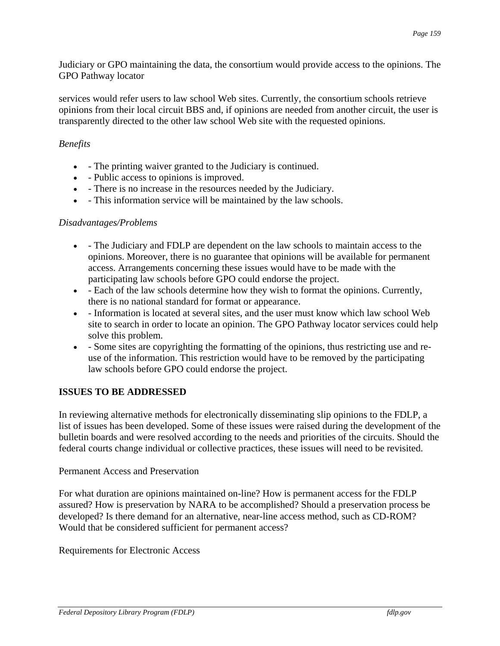Judiciary or GPO maintaining the data, the consortium would provide access to the opinions. The GPO Pathway locator

services would refer users to law school Web sites. Currently, the consortium schools retrieve opinions from their local circuit BBS and, if opinions are needed from another circuit, the user is transparently directed to the other law school Web site with the requested opinions.

### *Benefits*

- The printing waiver granted to the Judiciary is continued.
- Public access to opinions is improved.
- There is no increase in the resources needed by the Judiciary.
- This information service will be maintained by the law schools.

#### *Disadvantages/Problems*

- The Judiciary and FDLP are dependent on the law schools to maintain access to the opinions. Moreover, there is no guarantee that opinions will be available for permanent access. Arrangements concerning these issues would have to be made with the participating law schools before GPO could endorse the project.
- Each of the law schools determine how they wish to format the opinions. Currently, there is no national standard for format or appearance.
- Information is located at several sites, and the user must know which law school Web site to search in order to locate an opinion. The GPO Pathway locator services could help solve this problem.
- Some sites are copyrighting the formatting of the opinions, thus restricting use and reuse of the information. This restriction would have to be removed by the participating law schools before GPO could endorse the project.

#### **ISSUES TO BE ADDRESSED**

In reviewing alternative methods for electronically disseminating slip opinions to the FDLP, a list of issues has been developed. Some of these issues were raised during the development of the bulletin boards and were resolved according to the needs and priorities of the circuits. Should the federal courts change individual or collective practices, these issues will need to be revisited.

#### Permanent Access and Preservation

For what duration are opinions maintained on-line? How is permanent access for the FDLP assured? How is preservation by NARA to be accomplished? Should a preservation process be developed? Is there demand for an alternative, near-line access method, such as CD-ROM? Would that be considered sufficient for permanent access?

Requirements for Electronic Access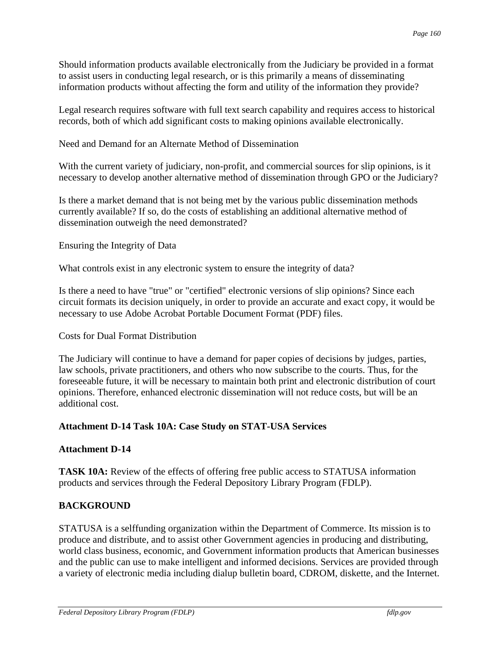Should information products available electronically from the Judiciary be provided in a format to assist users in conducting legal research, or is this primarily a means of disseminating information products without affecting the form and utility of the information they provide?

Legal research requires software with full text search capability and requires access to historical records, both of which add significant costs to making opinions available electronically.

Need and Demand for an Alternate Method of Dissemination

With the current variety of judiciary, non-profit, and commercial sources for slip opinions, is it necessary to develop another alternative method of dissemination through GPO or the Judiciary?

Is there a market demand that is not being met by the various public dissemination methods currently available? If so, do the costs of establishing an additional alternative method of dissemination outweigh the need demonstrated?

Ensuring the Integrity of Data

What controls exist in any electronic system to ensure the integrity of data?

Is there a need to have "true" or "certified" electronic versions of slip opinions? Since each circuit formats its decision uniquely, in order to provide an accurate and exact copy, it would be necessary to use Adobe Acrobat Portable Document Format (PDF) files.

Costs for Dual Format Distribution

The Judiciary will continue to have a demand for paper copies of decisions by judges, parties, law schools, private practitioners, and others who now subscribe to the courts. Thus, for the foreseeable future, it will be necessary to maintain both print and electronic distribution of court opinions. Therefore, enhanced electronic dissemination will not reduce costs, but will be an additional cost.

## **Attachment D-14 Task 10A: Case Study on STAT-USA Services**

## **Attachment D-14**

**TASK 10A:** Review of the effects of offering free public access to STATUSA information products and services through the Federal Depository Library Program (FDLP).

# **BACKGROUND**

STATUSA is a selffunding organization within the Department of Commerce. Its mission is to produce and distribute, and to assist other Government agencies in producing and distributing, world class business, economic, and Government information products that American businesses and the public can use to make intelligent and informed decisions. Services are provided through a variety of electronic media including dialup bulletin board, CDROM, diskette, and the Internet.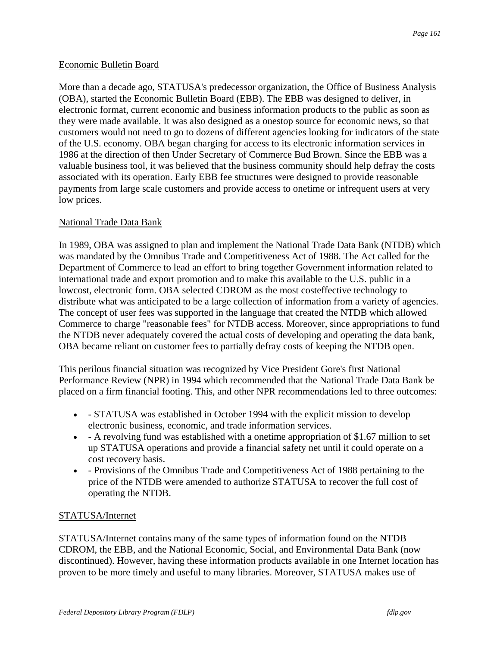## Economic Bulletin Board

More than a decade ago, STATUSA's predecessor organization, the Office of Business Analysis (OBA), started the Economic Bulletin Board (EBB). The EBB was designed to deliver, in electronic format, current economic and business information products to the public as soon as they were made available. It was also designed as a onestop source for economic news, so that customers would not need to go to dozens of different agencies looking for indicators of the state of the U.S. economy. OBA began charging for access to its electronic information services in 1986 at the direction of then Under Secretary of Commerce Bud Brown. Since the EBB was a valuable business tool, it was believed that the business community should help defray the costs associated with its operation. Early EBB fee structures were designed to provide reasonable payments from large scale customers and provide access to onetime or infrequent users at very low prices.

## National Trade Data Bank

In 1989, OBA was assigned to plan and implement the National Trade Data Bank (NTDB) which was mandated by the Omnibus Trade and Competitiveness Act of 1988. The Act called for the Department of Commerce to lead an effort to bring together Government information related to international trade and export promotion and to make this available to the U.S. public in a lowcost, electronic form. OBA selected CDROM as the most costeffective technology to distribute what was anticipated to be a large collection of information from a variety of agencies. The concept of user fees was supported in the language that created the NTDB which allowed Commerce to charge "reasonable fees" for NTDB access. Moreover, since appropriations to fund the NTDB never adequately covered the actual costs of developing and operating the data bank, OBA became reliant on customer fees to partially defray costs of keeping the NTDB open.

This perilous financial situation was recognized by Vice President Gore's first National Performance Review (NPR) in 1994 which recommended that the National Trade Data Bank be placed on a firm financial footing. This, and other NPR recommendations led to three outcomes:

- STATUSA was established in October 1994 with the explicit mission to develop electronic business, economic, and trade information services.
- $\bullet$  A revolving fund was established with a onetime appropriation of \$1.67 million to set up STATUSA operations and provide a financial safety net until it could operate on a cost recovery basis.
- Provisions of the Omnibus Trade and Competitiveness Act of 1988 pertaining to the price of the NTDB were amended to authorize STATUSA to recover the full cost of operating the NTDB.

# STATUSA/Internet

STATUSA/Internet contains many of the same types of information found on the NTDB CDROM, the EBB, and the National Economic, Social, and Environmental Data Bank (now discontinued). However, having these information products available in one Internet location has proven to be more timely and useful to many libraries. Moreover, STATUSA makes use of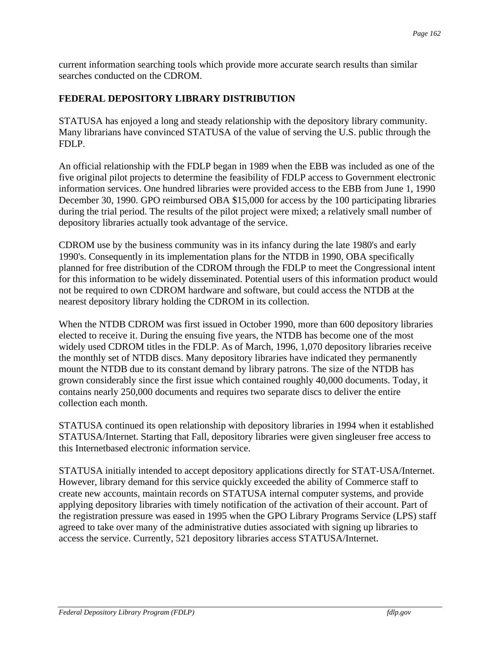current information searching tools which provide more accurate search results than similar searches conducted on the CDROM.

## **FEDERAL DEPOSITORY LIBRARY DISTRIBUTION**

STATUSA has enjoyed a long and steady relationship with the depository library community. Many librarians have convinced STATUSA of the value of serving the U.S. public through the FDLP.

An official relationship with the FDLP began in 1989 when the EBB was included as one of the five original pilot projects to determine the feasibility of FDLP access to Government electronic information services. One hundred libraries were provided access to the EBB from June 1, 1990 December 30, 1990. GPO reimbursed OBA \$15,000 for access by the 100 participating libraries during the trial period. The results of the pilot project were mixed; a relatively small number of depository libraries actually took advantage of the service.

CDROM use by the business community was in its infancy during the late 1980's and early 1990's. Consequently in its implementation plans for the NTDB in 1990, OBA specifically planned for free distribution of the CDROM through the FDLP to meet the Congressional intent for this information to be widely disseminated. Potential users of this information product would not be required to own CDROM hardware and software, but could access the NTDB at the nearest depository library holding the CDROM in its collection.

When the NTDB CDROM was first issued in October 1990, more than 600 depository libraries elected to receive it. During the ensuing five years, the NTDB has become one of the most widely used CDROM titles in the FDLP. As of March, 1996, 1,070 depository libraries receive the monthly set of NTDB discs. Many depository libraries have indicated they permanently mount the NTDB due to its constant demand by library patrons. The size of the NTDB has grown considerably since the first issue which contained roughly 40,000 documents. Today, it contains nearly 250,000 documents and requires two separate discs to deliver the entire collection each month.

STATUSA continued its open relationship with depository libraries in 1994 when it established STATUSA/Internet. Starting that Fall, depository libraries were given singleuser free access to this Internetbased electronic information service.

STATUSA initially intended to accept depository applications directly for STAT-USA/Internet. However, library demand for this service quickly exceeded the ability of Commerce staff to create new accounts, maintain records on STATUSA internal computer systems, and provide applying depository libraries with timely notification of the activation of their account. Part of the registration pressure was eased in 1995 when the GPO Library Programs Service (LPS) staff agreed to take over many of the administrative duties associated with signing up libraries to access the service. Currently, 521 depository libraries access STATUSA/Internet.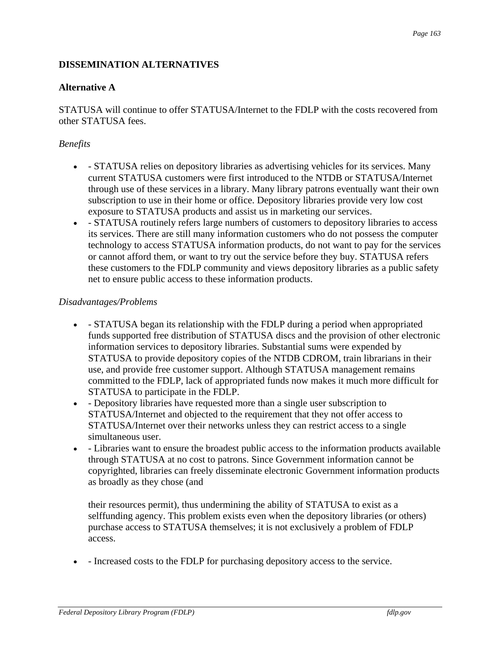### **DISSEMINATION ALTERNATIVES**

### **Alternative A**

STATUSA will continue to offer STATUSA/Internet to the FDLP with the costs recovered from other STATUSA fees.

### *Benefits*

- - STATUSA relies on depository libraries as advertising vehicles for its services. Many current STATUSA customers were first introduced to the NTDB or STATUSA/Internet through use of these services in a library. Many library patrons eventually want their own subscription to use in their home or office. Depository libraries provide very low cost exposure to STATUSA products and assist us in marketing our services.
- STATUSA routinely refers large numbers of customers to depository libraries to access its services. There are still many information customers who do not possess the computer technology to access STATUSA information products, do not want to pay for the services or cannot afford them, or want to try out the service before they buy. STATUSA refers these customers to the FDLP community and views depository libraries as a public safety net to ensure public access to these information products.

#### *Disadvantages/Problems*

- STATUSA began its relationship with the FDLP during a period when appropriated funds supported free distribution of STATUSA discs and the provision of other electronic information services to depository libraries. Substantial sums were expended by STATUSA to provide depository copies of the NTDB CDROM, train librarians in their use, and provide free customer support. Although STATUSA management remains committed to the FDLP, lack of appropriated funds now makes it much more difficult for STATUSA to participate in the FDLP.
- Depository libraries have requested more than a single user subscription to STATUSA/Internet and objected to the requirement that they not offer access to STATUSA/Internet over their networks unless they can restrict access to a single simultaneous user.
- Libraries want to ensure the broadest public access to the information products available through STATUSA at no cost to patrons. Since Government information cannot be copyrighted, libraries can freely disseminate electronic Government information products as broadly as they chose (and

their resources permit), thus undermining the ability of STATUSA to exist as a selffunding agency. This problem exists even when the depository libraries (or others) purchase access to STATUSA themselves; it is not exclusively a problem of FDLP access.

- Increased costs to the FDLP for purchasing depository access to the service.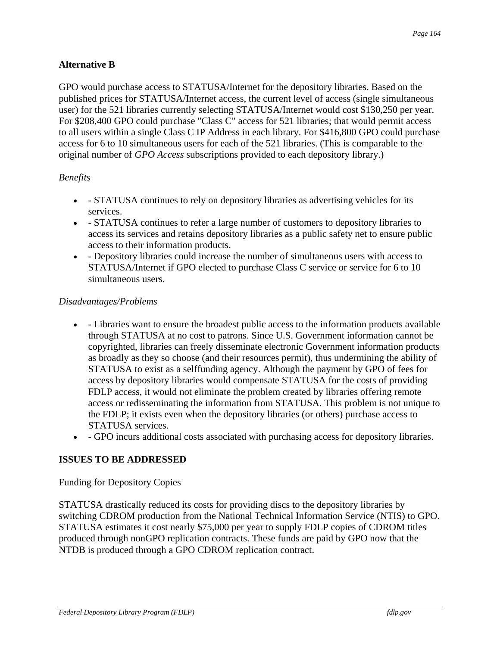### **Alternative B**

GPO would purchase access to STATUSA/Internet for the depository libraries. Based on the published prices for STATUSA/Internet access, the current level of access (single simultaneous user) for the 521 libraries currently selecting STATUSA/Internet would cost \$130,250 per year. For \$208,400 GPO could purchase "Class C" access for 521 libraries; that would permit access to all users within a single Class C IP Address in each library. For \$416,800 GPO could purchase access for 6 to 10 simultaneous users for each of the 521 libraries. (This is comparable to the original number of *GPO Access* subscriptions provided to each depository library.)

### *Benefits*

- STATUSA continues to rely on depository libraries as advertising vehicles for its services.
- STATUSA continues to refer a large number of customers to depository libraries to access its services and retains depository libraries as a public safety net to ensure public access to their information products.
- Depository libraries could increase the number of simultaneous users with access to STATUSA/Internet if GPO elected to purchase Class C service or service for 6 to 10 simultaneous users.

### *Disadvantages/Problems*

- Libraries want to ensure the broadest public access to the information products available through STATUSA at no cost to patrons. Since U.S. Government information cannot be copyrighted, libraries can freely disseminate electronic Government information products as broadly as they so choose (and their resources permit), thus undermining the ability of STATUSA to exist as a selffunding agency. Although the payment by GPO of fees for access by depository libraries would compensate STATUSA for the costs of providing FDLP access, it would not eliminate the problem created by libraries offering remote access or redisseminating the information from STATUSA. This problem is not unique to the FDLP; it exists even when the depository libraries (or others) purchase access to STATUSA services.
- GPO incurs additional costs associated with purchasing access for depository libraries.

## **ISSUES TO BE ADDRESSED**

Funding for Depository Copies

STATUSA drastically reduced its costs for providing discs to the depository libraries by switching CDROM production from the National Technical Information Service (NTIS) to GPO. STATUSA estimates it cost nearly \$75,000 per year to supply FDLP copies of CDROM titles produced through nonGPO replication contracts. These funds are paid by GPO now that the NTDB is produced through a GPO CDROM replication contract.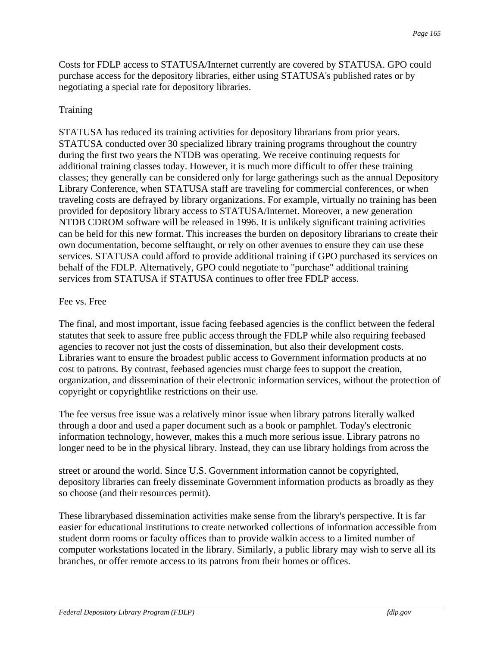Costs for FDLP access to STATUSA/Internet currently are covered by STATUSA. GPO could purchase access for the depository libraries, either using STATUSA's published rates or by negotiating a special rate for depository libraries.

### Training

STATUSA has reduced its training activities for depository librarians from prior years. STATUSA conducted over 30 specialized library training programs throughout the country during the first two years the NTDB was operating. We receive continuing requests for additional training classes today. However, it is much more difficult to offer these training classes; they generally can be considered only for large gatherings such as the annual Depository Library Conference, when STATUSA staff are traveling for commercial conferences, or when traveling costs are defrayed by library organizations. For example, virtually no training has been provided for depository library access to STATUSA/Internet. Moreover, a new generation NTDB CDROM software will be released in 1996. It is unlikely significant training activities can be held for this new format. This increases the burden on depository librarians to create their own documentation, become selftaught, or rely on other avenues to ensure they can use these services. STATUSA could afford to provide additional training if GPO purchased its services on behalf of the FDLP. Alternatively, GPO could negotiate to "purchase" additional training services from STATUSA if STATUSA continues to offer free FDLP access.

#### Fee vs. Free

The final, and most important, issue facing feebased agencies is the conflict between the federal statutes that seek to assure free public access through the FDLP while also requiring feebased agencies to recover not just the costs of dissemination, but also their development costs. Libraries want to ensure the broadest public access to Government information products at no cost to patrons. By contrast, feebased agencies must charge fees to support the creation, organization, and dissemination of their electronic information services, without the protection of copyright or copyrightlike restrictions on their use.

The fee versus free issue was a relatively minor issue when library patrons literally walked through a door and used a paper document such as a book or pamphlet. Today's electronic information technology, however, makes this a much more serious issue. Library patrons no longer need to be in the physical library. Instead, they can use library holdings from across the

street or around the world. Since U.S. Government information cannot be copyrighted, depository libraries can freely disseminate Government information products as broadly as they so choose (and their resources permit).

These librarybased dissemination activities make sense from the library's perspective. It is far easier for educational institutions to create networked collections of information accessible from student dorm rooms or faculty offices than to provide walkin access to a limited number of computer workstations located in the library. Similarly, a public library may wish to serve all its branches, or offer remote access to its patrons from their homes or offices.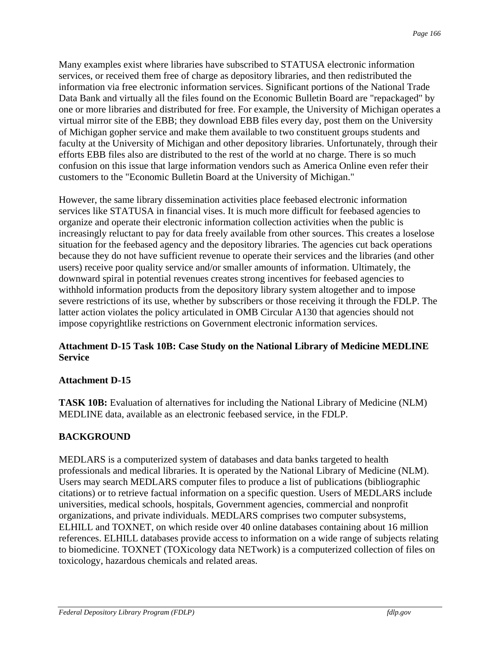Many examples exist where libraries have subscribed to STATUSA electronic information services, or received them free of charge as depository libraries, and then redistributed the information via free electronic information services. Significant portions of the National Trade Data Bank and virtually all the files found on the Economic Bulletin Board are "repackaged" by one or more libraries and distributed for free. For example, the University of Michigan operates a virtual mirror site of the EBB; they download EBB files every day, post them on the University of Michigan gopher service and make them available to two constituent groups students and faculty at the University of Michigan and other depository libraries. Unfortunately, through their efforts EBB files also are distributed to the rest of the world at no charge. There is so much confusion on this issue that large information vendors such as America Online even refer their customers to the "Economic Bulletin Board at the University of Michigan."

However, the same library dissemination activities place feebased electronic information services like STATUSA in financial vises. It is much more difficult for feebased agencies to organize and operate their electronic information collection activities when the public is increasingly reluctant to pay for data freely available from other sources. This creates a loselose situation for the feebased agency and the depository libraries. The agencies cut back operations because they do not have sufficient revenue to operate their services and the libraries (and other users) receive poor quality service and/or smaller amounts of information. Ultimately, the downward spiral in potential revenues creates strong incentives for feebased agencies to withhold information products from the depository library system altogether and to impose severe restrictions of its use, whether by subscribers or those receiving it through the FDLP. The latter action violates the policy articulated in OMB Circular A130 that agencies should not impose copyrightlike restrictions on Government electronic information services.

## **Attachment D-15 Task 10B: Case Study on the National Library of Medicine MEDLINE Service**

## **Attachment D-15**

**TASK 10B:** Evaluation of alternatives for including the National Library of Medicine (NLM) MEDLINE data, available as an electronic feebased service, in the FDLP.

# **BACKGROUND**

MEDLARS is a computerized system of databases and data banks targeted to health professionals and medical libraries. It is operated by the National Library of Medicine (NLM). Users may search MEDLARS computer files to produce a list of publications (bibliographic citations) or to retrieve factual information on a specific question. Users of MEDLARS include universities, medical schools, hospitals, Government agencies, commercial and nonprofit organizations, and private individuals. MEDLARS comprises two computer subsystems, ELHILL and TOXNET, on which reside over 40 online databases containing about 16 million references. ELHILL databases provide access to information on a wide range of subjects relating to biomedicine. TOXNET (TOXicology data NETwork) is a computerized collection of files on toxicology, hazardous chemicals and related areas.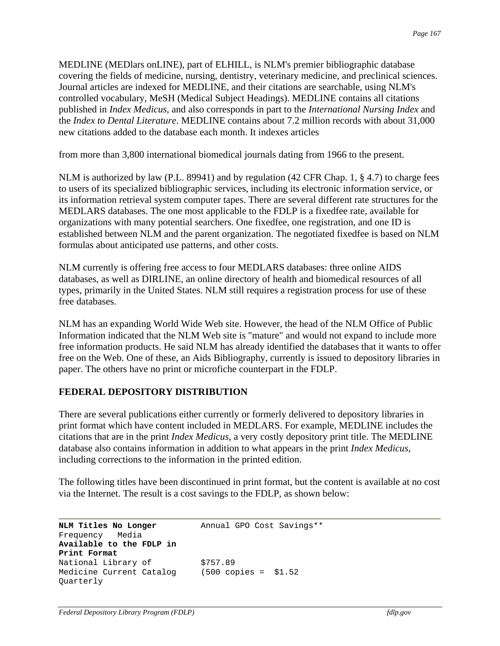MEDLINE (MEDlars onLINE), part of ELHILL, is NLM's premier bibliographic database covering the fields of medicine, nursing, dentistry, veterinary medicine, and preclinical sciences. Journal articles are indexed for MEDLINE, and their citations are searchable, using NLM's controlled vocabulary, MeSH (Medical Subject Headings). MEDLINE contains all citations published in *Index Medicus*, and also corresponds in part to the *International Nursing Index* and the *Index to Dental Literature*. MEDLINE contains about 7.2 million records with about 31,000 new citations added to the database each month. It indexes articles

from more than 3,800 international biomedical journals dating from 1966 to the present.

NLM is authorized by law (P.L. 89941) and by regulation (42 CFR Chap. 1, § 4.7) to charge fees to users of its specialized bibliographic services, including its electronic information service, or its information retrieval system computer tapes. There are several different rate structures for the MEDLARS databases. The one most applicable to the FDLP is a fixedfee rate, available for organizations with many potential searchers. One fixedfee, one registration, and one ID is established between NLM and the parent organization. The negotiated fixedfee is based on NLM formulas about anticipated use patterns, and other costs.

NLM currently is offering free access to four MEDLARS databases: three online AIDS databases, as well as DIRLINE, an online directory of health and biomedical resources of all types, primarily in the United States. NLM still requires a registration process for use of these free databases.

NLM has an expanding World Wide Web site. However, the head of the NLM Office of Public Information indicated that the NLM Web site is "mature" and would not expand to include more free information products. He said NLM has already identified the databases that it wants to offer free on the Web. One of these, an Aids Bibliography, currently is issued to depository libraries in paper. The others have no print or microfiche counterpart in the FDLP.

#### **FEDERAL DEPOSITORY DISTRIBUTION**

There are several publications either currently or formerly delivered to depository libraries in print format which have content included in MEDLARS. For example, MEDLINE includes the citations that are in the print *Index Medicus*, a very costly depository print title. The MEDLINE database also contains information in addition to what appears in the print *Index Medicus*, including corrections to the information in the printed edition.

The following titles have been discontinued in print format, but the content is available at no cost via the Internet. The result is a cost savings to the FDLP, as shown below:

```
NLM Titles No Longer Annual GPO Cost Savings** 
Frequency Media 
Available to the FDLP in
Print Format
National Library of $757.89
Medicine Current Catalog (500 copies = $1.52 
Quarterly
```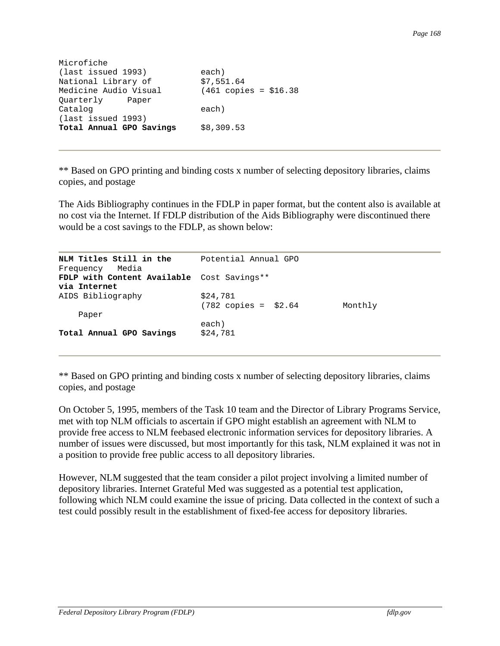```
Microfiche 
(last issued 1993) each)<br>National Library of $7,551.64
National Library of $7,551.64<br>Medicine Audio Visual (461 copies = $16.38)
Medicine Audio Visual
Quarterly Paper 
Catalog each)
(last issued 1993) 
Total Annual GPO Savings $8,309.53
```
\*\* Based on GPO printing and binding costs x number of selecting depository libraries, claims copies, and postage

The Aids Bibliography continues in the FDLP in paper format, but the content also is available at no cost via the Internet. If FDLP distribution of the Aids Bibliography were discontinued there would be a cost savings to the FDLP, as shown below:

```
NLM Titles Still in the Potential Annual GPO 
Frequency Media 
FDLP with Content Available Cost Savings** 
via Internet
AIDS Bibliography $24,781 
                            (782 \text{ copies} = $2.64 \text{ Monthly} Paper 
                             each) 
Total Annual GPO Savings $24,781
```
\*\* Based on GPO printing and binding costs x number of selecting depository libraries, claims copies, and postage

On October 5, 1995, members of the Task 10 team and the Director of Library Programs Service, met with top NLM officials to ascertain if GPO might establish an agreement with NLM to provide free access to NLM feebased electronic information services for depository libraries. A number of issues were discussed, but most importantly for this task, NLM explained it was not in a position to provide free public access to all depository libraries.

However, NLM suggested that the team consider a pilot project involving a limited number of depository libraries. Internet Grateful Med was suggested as a potential test application, following which NLM could examine the issue of pricing. Data collected in the context of such a test could possibly result in the establishment of fixed-fee access for depository libraries.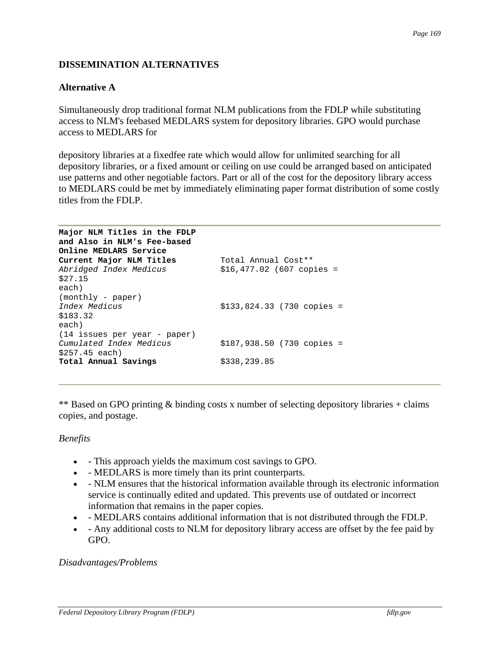### **DISSEMINATION ALTERNATIVES**

### **Alternative A**

Simultaneously drop traditional format NLM publications from the FDLP while substituting access to NLM's feebased MEDLARS system for depository libraries. GPO would purchase access to MEDLARS for

depository libraries at a fixedfee rate which would allow for unlimited searching for all depository libraries, or a fixed amount or ceiling on use could be arranged based on anticipated use patterns and other negotiable factors. Part or all of the cost for the depository library access to MEDLARS could be met by immediately eliminating paper format distribution of some costly titles from the FDLP.

| Major NLM Titles in the FDLP<br>and Also in NLM's Fee-based<br>Online MEDLARS Service |                             |
|---------------------------------------------------------------------------------------|-----------------------------|
| Current Major NLM Titles                                                              | Total Annual Cost**         |
| Abridged Index Medicus                                                                | $$16,477.02$ (607 copies =  |
| \$27.15                                                                               |                             |
| each)                                                                                 |                             |
| (monthly - paper)                                                                     |                             |
| Index Medicus                                                                         | $$133,824.33$ (730 copies = |
| \$183.32                                                                              |                             |
| each)                                                                                 |                             |
| (14 issues per year - paper)                                                          |                             |
| Cumulated Index Medicus                                                               | $$187,938.50$ (730 copies = |
| $$257.45$ each)                                                                       |                             |
| Total Annual Savings                                                                  | \$338,239.85                |

\*\* Based on GPO printing & binding costs x number of selecting depository libraries + claims copies, and postage.

#### *Benefits*

- This approach yields the maximum cost savings to GPO.
- MEDLARS is more timely than its print counterparts.
- NLM ensures that the historical information available through its electronic information service is continually edited and updated. This prevents use of outdated or incorrect information that remains in the paper copies.
- MEDLARS contains additional information that is not distributed through the FDLP.
- Any additional costs to NLM for depository library access are offset by the fee paid by GPO.

*Disadvantages/Problems*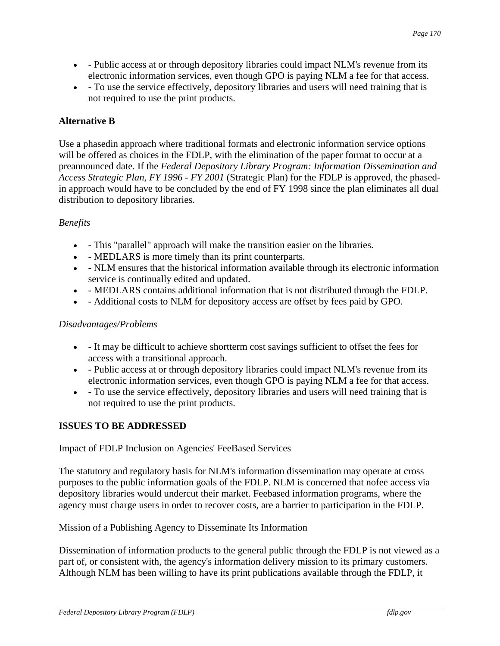- Public access at or through depository libraries could impact NLM's revenue from its electronic information services, even though GPO is paying NLM a fee for that access.
- To use the service effectively, depository libraries and users will need training that is not required to use the print products.

## **Alternative B**

Use a phasedin approach where traditional formats and electronic information service options will be offered as choices in the FDLP, with the elimination of the paper format to occur at a preannounced date. If the *Federal Depository Library Program: Information Dissemination and Access Strategic Plan, FY 1996 - FY 2001* (Strategic Plan) for the FDLP is approved, the phasedin approach would have to be concluded by the end of FY 1998 since the plan eliminates all dual distribution to depository libraries.

## *Benefits*

- This "parallel" approach will make the transition easier on the libraries.
- MEDLARS is more timely than its print counterparts.
- NLM ensures that the historical information available through its electronic information service is continually edited and updated.
- MEDLARS contains additional information that is not distributed through the FDLP.
- Additional costs to NLM for depository access are offset by fees paid by GPO.

## *Disadvantages/Problems*

- It may be difficult to achieve shortterm cost savings sufficient to offset the fees for access with a transitional approach.
- Public access at or through depository libraries could impact NLM's revenue from its electronic information services, even though GPO is paying NLM a fee for that access.
- To use the service effectively, depository libraries and users will need training that is not required to use the print products.

# **ISSUES TO BE ADDRESSED**

Impact of FDLP Inclusion on Agencies' FeeBased Services

The statutory and regulatory basis for NLM's information dissemination may operate at cross purposes to the public information goals of the FDLP. NLM is concerned that nofee access via depository libraries would undercut their market. Feebased information programs, where the agency must charge users in order to recover costs, are a barrier to participation in the FDLP.

Mission of a Publishing Agency to Disseminate Its Information

Dissemination of information products to the general public through the FDLP is not viewed as a part of, or consistent with, the agency's information delivery mission to its primary customers. Although NLM has been willing to have its print publications available through the FDLP, it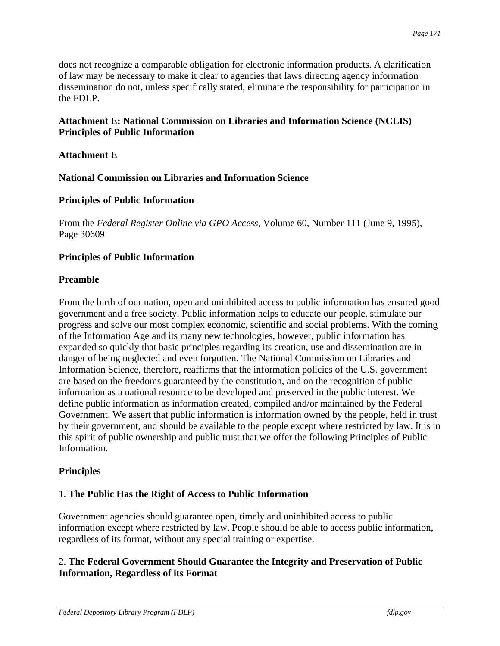does not recognize a comparable obligation for electronic information products. A clarification of law may be necessary to make it clear to agencies that laws directing agency information dissemination do not, unless specifically stated, eliminate the responsibility for participation in the FDLP.

### **Attachment E: National Commission on Libraries and Information Science (NCLIS) Principles of Public Information**

### **Attachment E**

#### **National Commission on Libraries and Information Science**

#### **Principles of Public Information**

From the *Federal Register Online via GPO Access*, Volume 60, Number 111 (June 9, 1995), Page 30609

#### **Principles of Public Information**

#### **Preamble**

From the birth of our nation, open and uninhibited access to public information has ensured good government and a free society. Public information helps to educate our people, stimulate our progress and solve our most complex economic, scientific and social problems. With the coming of the Information Age and its many new technologies, however, public information has expanded so quickly that basic principles regarding its creation, use and dissemination are in danger of being neglected and even forgotten. The National Commission on Libraries and Information Science, therefore, reaffirms that the information policies of the U.S. government are based on the freedoms guaranteed by the constitution, and on the recognition of public information as a national resource to be developed and preserved in the public interest. We define public information as information created, compiled and/or maintained by the Federal Government. We assert that public information is information owned by the people, held in trust by their government, and should be available to the people except where restricted by law. It is in this spirit of public ownership and public trust that we offer the following Principles of Public Information.

#### **Principles**

#### 1. **The Public Has the Right of Access to Public Information**

Government agencies should guarantee open, timely and uninhibited access to public information except where restricted by law. People should be able to access public information, regardless of its format, without any special training or expertise.

#### 2. **The Federal Government Should Guarantee the Integrity and Preservation of Public Information, Regardless of its Format**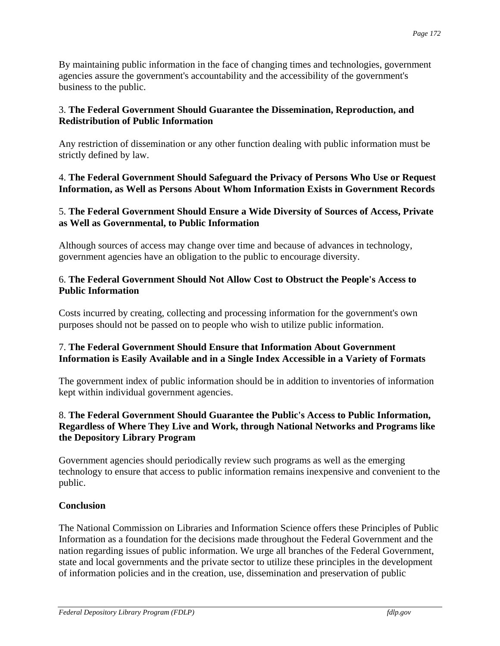By maintaining public information in the face of changing times and technologies, government agencies assure the government's accountability and the accessibility of the government's business to the public.

### 3. **The Federal Government Should Guarantee the Dissemination, Reproduction, and Redistribution of Public Information**

Any restriction of dissemination or any other function dealing with public information must be strictly defined by law.

#### 4. **The Federal Government Should Safeguard the Privacy of Persons Who Use or Request Information, as Well as Persons About Whom Information Exists in Government Records**

### 5. **The Federal Government Should Ensure a Wide Diversity of Sources of Access, Private as Well as Governmental, to Public Information**

Although sources of access may change over time and because of advances in technology, government agencies have an obligation to the public to encourage diversity.

### 6. **The Federal Government Should Not Allow Cost to Obstruct the People's Access to Public Information**

Costs incurred by creating, collecting and processing information for the government's own purposes should not be passed on to people who wish to utilize public information.

### 7. **The Federal Government Should Ensure that Information About Government Information is Easily Available and in a Single Index Accessible in a Variety of Formats**

The government index of public information should be in addition to inventories of information kept within individual government agencies.

### 8. **The Federal Government Should Guarantee the Public's Access to Public Information, Regardless of Where They Live and Work, through National Networks and Programs like the Depository Library Program**

Government agencies should periodically review such programs as well as the emerging technology to ensure that access to public information remains inexpensive and convenient to the public.

## **Conclusion**

The National Commission on Libraries and Information Science offers these Principles of Public Information as a foundation for the decisions made throughout the Federal Government and the nation regarding issues of public information. We urge all branches of the Federal Government, state and local governments and the private sector to utilize these principles in the development of information policies and in the creation, use, dissemination and preservation of public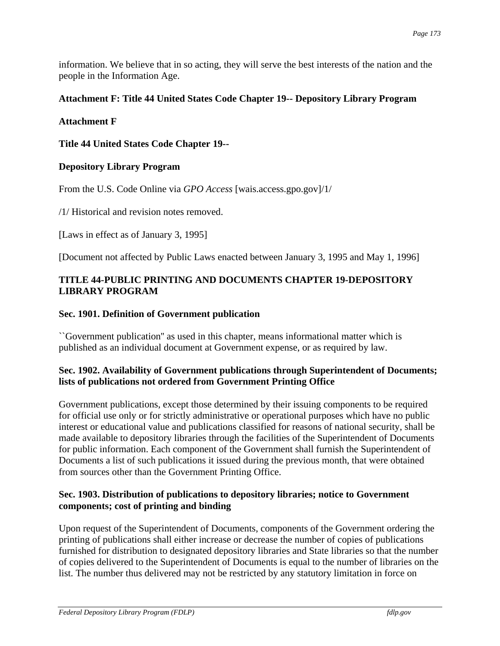information. We believe that in so acting, they will serve the best interests of the nation and the people in the Information Age.

## **Attachment F: Title 44 United States Code Chapter 19-- Depository Library Program**

## **Attachment F**

**Title 44 United States Code Chapter 19--** 

## **Depository Library Program**

From the U.S. Code Online via *GPO Access* [wais.access.gpo.gov]/1/

/1/ Historical and revision notes removed.

[Laws in effect as of January 3, 1995]

[Document not affected by Public Laws enacted between January 3, 1995 and May 1, 1996]

## **TITLE 44-PUBLIC PRINTING AND DOCUMENTS CHAPTER 19-DEPOSITORY LIBRARY PROGRAM**

## **Sec. 1901. Definition of Government publication**

``Government publication'' as used in this chapter, means informational matter which is published as an individual document at Government expense, or as required by law.

### **Sec. 1902. Availability of Government publications through Superintendent of Documents; lists of publications not ordered from Government Printing Office**

Government publications, except those determined by their issuing components to be required for official use only or for strictly administrative or operational purposes which have no public interest or educational value and publications classified for reasons of national security, shall be made available to depository libraries through the facilities of the Superintendent of Documents for public information. Each component of the Government shall furnish the Superintendent of Documents a list of such publications it issued during the previous month, that were obtained from sources other than the Government Printing Office.

### **Sec. 1903. Distribution of publications to depository libraries; notice to Government components; cost of printing and binding**

Upon request of the Superintendent of Documents, components of the Government ordering the printing of publications shall either increase or decrease the number of copies of publications furnished for distribution to designated depository libraries and State libraries so that the number of copies delivered to the Superintendent of Documents is equal to the number of libraries on the list. The number thus delivered may not be restricted by any statutory limitation in force on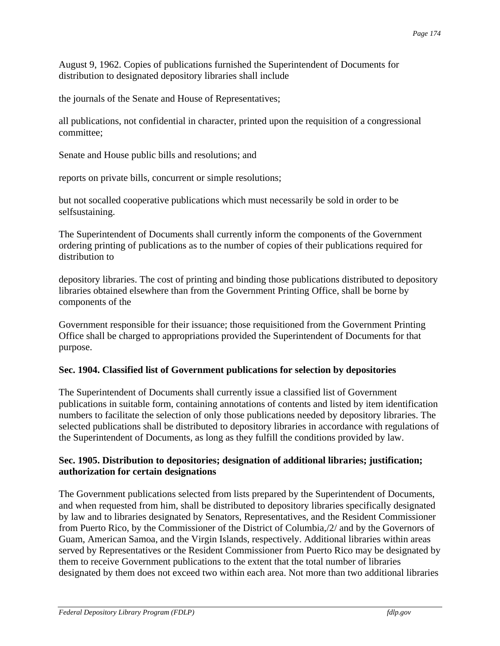August 9, 1962. Copies of publications furnished the Superintendent of Documents for distribution to designated depository libraries shall include

the journals of the Senate and House of Representatives;

all publications, not confidential in character, printed upon the requisition of a congressional committee;

Senate and House public bills and resolutions; and

reports on private bills, concurrent or simple resolutions;

but not socalled cooperative publications which must necessarily be sold in order to be selfsustaining.

The Superintendent of Documents shall currently inform the components of the Government ordering printing of publications as to the number of copies of their publications required for distribution to

depository libraries. The cost of printing and binding those publications distributed to depository libraries obtained elsewhere than from the Government Printing Office, shall be borne by components of the

Government responsible for their issuance; those requisitioned from the Government Printing Office shall be charged to appropriations provided the Superintendent of Documents for that purpose.

#### **Sec. 1904. Classified list of Government publications for selection by depositories**

The Superintendent of Documents shall currently issue a classified list of Government publications in suitable form, containing annotations of contents and listed by item identification numbers to facilitate the selection of only those publications needed by depository libraries. The selected publications shall be distributed to depository libraries in accordance with regulations of the Superintendent of Documents, as long as they fulfill the conditions provided by law.

#### **Sec. 1905. Distribution to depositories; designation of additional libraries; justification; authorization for certain designations**

The Government publications selected from lists prepared by the Superintendent of Documents, and when requested from him, shall be distributed to depository libraries specifically designated by law and to libraries designated by Senators, Representatives, and the Resident Commissioner from Puerto Rico, by the Commissioner of the District of Columbia,/2/ and by the Governors of Guam, American Samoa, and the Virgin Islands, respectively. Additional libraries within areas served by Representatives or the Resident Commissioner from Puerto Rico may be designated by them to receive Government publications to the extent that the total number of libraries designated by them does not exceed two within each area. Not more than two additional libraries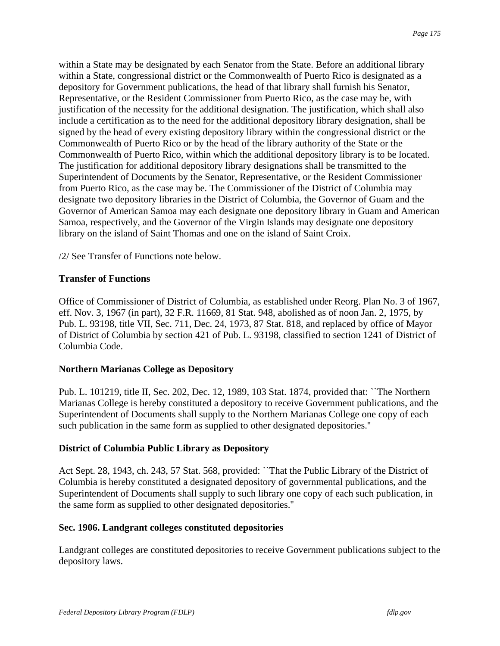within a State may be designated by each Senator from the State. Before an additional library within a State, congressional district or the Commonwealth of Puerto Rico is designated as a depository for Government publications, the head of that library shall furnish his Senator, Representative, or the Resident Commissioner from Puerto Rico, as the case may be, with justification of the necessity for the additional designation. The justification, which shall also include a certification as to the need for the additional depository library designation, shall be signed by the head of every existing depository library within the congressional district or the Commonwealth of Puerto Rico or by the head of the library authority of the State or the Commonwealth of Puerto Rico, within which the additional depository library is to be located. The justification for additional depository library designations shall be transmitted to the Superintendent of Documents by the Senator, Representative, or the Resident Commissioner from Puerto Rico, as the case may be. The Commissioner of the District of Columbia may designate two depository libraries in the District of Columbia, the Governor of Guam and the Governor of American Samoa may each designate one depository library in Guam and American Samoa, respectively, and the Governor of the Virgin Islands may designate one depository library on the island of Saint Thomas and one on the island of Saint Croix.

/2/ See Transfer of Functions note below.

## **Transfer of Functions**

Office of Commissioner of District of Columbia, as established under Reorg. Plan No. 3 of 1967, eff. Nov. 3, 1967 (in part), 32 F.R. 11669, 81 Stat. 948, abolished as of noon Jan. 2, 1975, by Pub. L. 93198, title VII, Sec. 711, Dec. 24, 1973, 87 Stat. 818, and replaced by office of Mayor of District of Columbia by section 421 of Pub. L. 93198, classified to section 1241 of District of Columbia Code.

## **Northern Marianas College as Depository**

Pub. L. 101219, title II, Sec. 202, Dec. 12, 1989, 103 Stat. 1874, provided that: ``The Northern Marianas College is hereby constituted a depository to receive Government publications, and the Superintendent of Documents shall supply to the Northern Marianas College one copy of each such publication in the same form as supplied to other designated depositories.''

## **District of Columbia Public Library as Depository**

Act Sept. 28, 1943, ch. 243, 57 Stat. 568, provided: ``That the Public Library of the District of Columbia is hereby constituted a designated depository of governmental publications, and the Superintendent of Documents shall supply to such library one copy of each such publication, in the same form as supplied to other designated depositories.''

## **Sec. 1906. Landgrant colleges constituted depositories**

Landgrant colleges are constituted depositories to receive Government publications subject to the depository laws.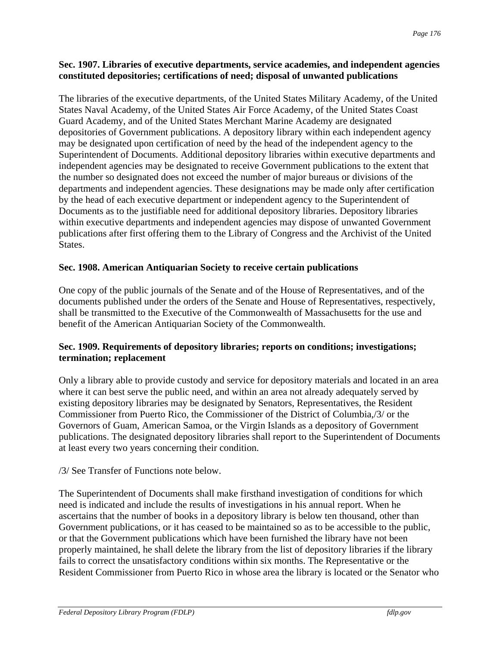#### **Sec. 1907. Libraries of executive departments, service academies, and independent agencies constituted depositories; certifications of need; disposal of unwanted publications**

The libraries of the executive departments, of the United States Military Academy, of the United States Naval Academy, of the United States Air Force Academy, of the United States Coast Guard Academy, and of the United States Merchant Marine Academy are designated depositories of Government publications. A depository library within each independent agency may be designated upon certification of need by the head of the independent agency to the Superintendent of Documents. Additional depository libraries within executive departments and independent agencies may be designated to receive Government publications to the extent that the number so designated does not exceed the number of major bureaus or divisions of the departments and independent agencies. These designations may be made only after certification by the head of each executive department or independent agency to the Superintendent of Documents as to the justifiable need for additional depository libraries. Depository libraries within executive departments and independent agencies may dispose of unwanted Government publications after first offering them to the Library of Congress and the Archivist of the United States.

#### **Sec. 1908. American Antiquarian Society to receive certain publications**

One copy of the public journals of the Senate and of the House of Representatives, and of the documents published under the orders of the Senate and House of Representatives, respectively, shall be transmitted to the Executive of the Commonwealth of Massachusetts for the use and benefit of the American Antiquarian Society of the Commonwealth.

#### **Sec. 1909. Requirements of depository libraries; reports on conditions; investigations; termination; replacement**

Only a library able to provide custody and service for depository materials and located in an area where it can best serve the public need, and within an area not already adequately served by existing depository libraries may be designated by Senators, Representatives, the Resident Commissioner from Puerto Rico, the Commissioner of the District of Columbia,/3/ or the Governors of Guam, American Samoa, or the Virgin Islands as a depository of Government publications. The designated depository libraries shall report to the Superintendent of Documents at least every two years concerning their condition.

#### /3/ See Transfer of Functions note below.

The Superintendent of Documents shall make firsthand investigation of conditions for which need is indicated and include the results of investigations in his annual report. When he ascertains that the number of books in a depository library is below ten thousand, other than Government publications, or it has ceased to be maintained so as to be accessible to the public, or that the Government publications which have been furnished the library have not been properly maintained, he shall delete the library from the list of depository libraries if the library fails to correct the unsatisfactory conditions within six months. The Representative or the Resident Commissioner from Puerto Rico in whose area the library is located or the Senator who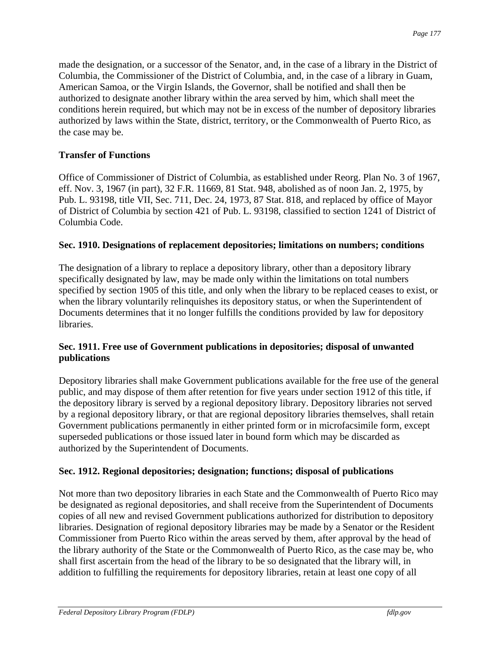made the designation, or a successor of the Senator, and, in the case of a library in the District of Columbia, the Commissioner of the District of Columbia, and, in the case of a library in Guam, American Samoa, or the Virgin Islands, the Governor, shall be notified and shall then be authorized to designate another library within the area served by him, which shall meet the conditions herein required, but which may not be in excess of the number of depository libraries authorized by laws within the State, district, territory, or the Commonwealth of Puerto Rico, as the case may be.

### **Transfer of Functions**

Office of Commissioner of District of Columbia, as established under Reorg. Plan No. 3 of 1967, eff. Nov. 3, 1967 (in part), 32 F.R. 11669, 81 Stat. 948, abolished as of noon Jan. 2, 1975, by Pub. L. 93198, title VII, Sec. 711, Dec. 24, 1973, 87 Stat. 818, and replaced by office of Mayor of District of Columbia by section 421 of Pub. L. 93198, classified to section 1241 of District of Columbia Code.

#### **Sec. 1910. Designations of replacement depositories; limitations on numbers; conditions**

The designation of a library to replace a depository library, other than a depository library specifically designated by law, may be made only within the limitations on total numbers specified by section 1905 of this title, and only when the library to be replaced ceases to exist, or when the library voluntarily relinquishes its depository status, or when the Superintendent of Documents determines that it no longer fulfills the conditions provided by law for depository libraries.

### **Sec. 1911. Free use of Government publications in depositories; disposal of unwanted publications**

Depository libraries shall make Government publications available for the free use of the general public, and may dispose of them after retention for five years under section 1912 of this title, if the depository library is served by a regional depository library. Depository libraries not served by a regional depository library, or that are regional depository libraries themselves, shall retain Government publications permanently in either printed form or in microfacsimile form, except superseded publications or those issued later in bound form which may be discarded as authorized by the Superintendent of Documents.

## **Sec. 1912. Regional depositories; designation; functions; disposal of publications**

Not more than two depository libraries in each State and the Commonwealth of Puerto Rico may be designated as regional depositories, and shall receive from the Superintendent of Documents copies of all new and revised Government publications authorized for distribution to depository libraries. Designation of regional depository libraries may be made by a Senator or the Resident Commissioner from Puerto Rico within the areas served by them, after approval by the head of the library authority of the State or the Commonwealth of Puerto Rico, as the case may be, who shall first ascertain from the head of the library to be so designated that the library will, in addition to fulfilling the requirements for depository libraries, retain at least one copy of all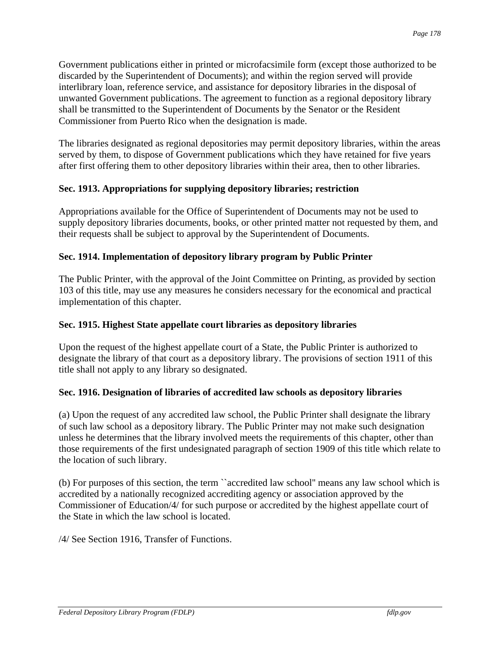Government publications either in printed or microfacsimile form (except those authorized to be discarded by the Superintendent of Documents); and within the region served will provide interlibrary loan, reference service, and assistance for depository libraries in the disposal of unwanted Government publications. The agreement to function as a regional depository library shall be transmitted to the Superintendent of Documents by the Senator or the Resident Commissioner from Puerto Rico when the designation is made.

The libraries designated as regional depositories may permit depository libraries, within the areas served by them, to dispose of Government publications which they have retained for five years after first offering them to other depository libraries within their area, then to other libraries.

#### **Sec. 1913. Appropriations for supplying depository libraries; restriction**

Appropriations available for the Office of Superintendent of Documents may not be used to supply depository libraries documents, books, or other printed matter not requested by them, and their requests shall be subject to approval by the Superintendent of Documents.

### **Sec. 1914. Implementation of depository library program by Public Printer**

The Public Printer, with the approval of the Joint Committee on Printing, as provided by section 103 of this title, may use any measures he considers necessary for the economical and practical implementation of this chapter.

### **Sec. 1915. Highest State appellate court libraries as depository libraries**

Upon the request of the highest appellate court of a State, the Public Printer is authorized to designate the library of that court as a depository library. The provisions of section 1911 of this title shall not apply to any library so designated.

#### **Sec. 1916. Designation of libraries of accredited law schools as depository libraries**

(a) Upon the request of any accredited law school, the Public Printer shall designate the library of such law school as a depository library. The Public Printer may not make such designation unless he determines that the library involved meets the requirements of this chapter, other than those requirements of the first undesignated paragraph of section 1909 of this title which relate to the location of such library.

(b) For purposes of this section, the term ``accredited law school'' means any law school which is accredited by a nationally recognized accrediting agency or association approved by the Commissioner of Education/4/ for such purpose or accredited by the highest appellate court of the State in which the law school is located.

/4/ See Section 1916, Transfer of Functions.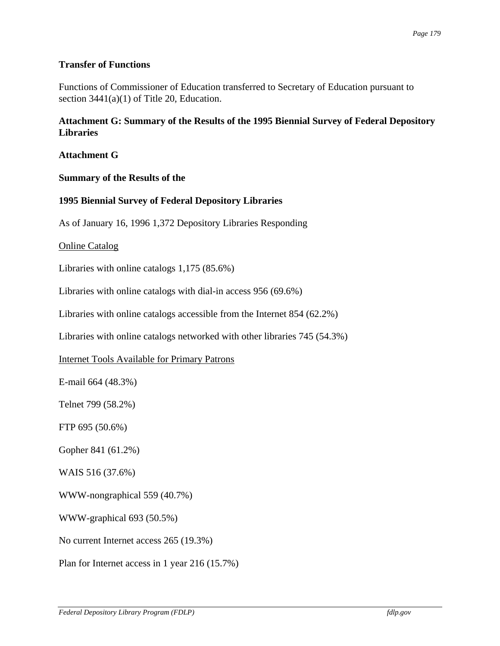#### **Transfer of Functions**

Functions of Commissioner of Education transferred to Secretary of Education pursuant to section 3441(a)(1) of Title 20, Education.

#### **Attachment G: Summary of the Results of the 1995 Biennial Survey of Federal Depository Libraries**

**Attachment G** 

#### **Summary of the Results of the**

#### **1995 Biennial Survey of Federal Depository Libraries**

As of January 16, 1996 1,372 Depository Libraries Responding

#### Online Catalog

Libraries with online catalogs 1,175 (85.6%)

Libraries with online catalogs with dial-in access 956 (69.6%)

Libraries with online catalogs accessible from the Internet 854 (62.2%)

Libraries with online catalogs networked with other libraries 745 (54.3%)

#### Internet Tools Available for Primary Patrons

E-mail 664 (48.3%)

Telnet 799 (58.2%)

FTP 695 (50.6%)

Gopher 841 (61.2%)

WAIS 516 (37.6%)

WWW-nongraphical 559 (40.7%)

WWW-graphical 693 (50.5%)

No current Internet access 265 (19.3%)

Plan for Internet access in 1 year 216 (15.7%)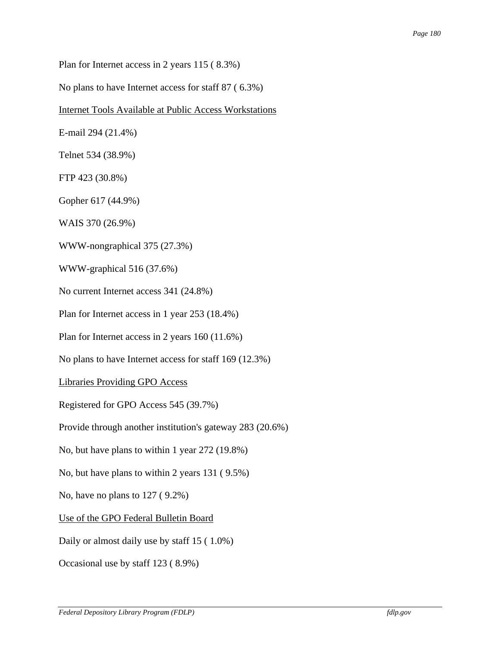Plan for Internet access in 2 years 115 ( 8.3%)

No plans to have Internet access for staff 87 ( 6.3%)

#### Internet Tools Available at Public Access Workstations

E-mail 294 (21.4%)

Telnet 534 (38.9%)

FTP 423 (30.8%)

Gopher 617 (44.9%)

WAIS 370 (26.9%)

WWW-nongraphical 375 (27.3%)

WWW-graphical 516 (37.6%)

No current Internet access 341 (24.8%)

Plan for Internet access in 1 year 253 (18.4%)

Plan for Internet access in 2 years 160 (11.6%)

No plans to have Internet access for staff 169 (12.3%)

Libraries Providing GPO Access

Registered for GPO Access 545 (39.7%)

Provide through another institution's gateway 283 (20.6%)

No, but have plans to within 1 year 272 (19.8%)

No, but have plans to within 2 years 131 ( 9.5%)

No, have no plans to 127 ( 9.2%)

Use of the GPO Federal Bulletin Board

Daily or almost daily use by staff 15 ( 1.0%)

Occasional use by staff 123 ( 8.9%)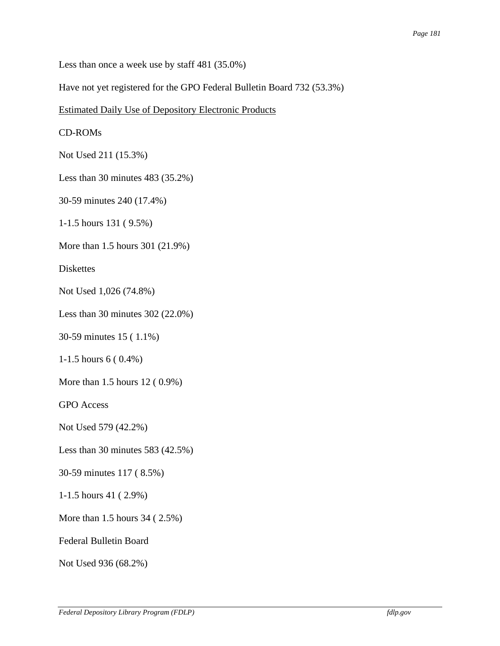Less than once a week use by staff 481 (35.0%)

Have not yet registered for the GPO Federal Bulletin Board 732 (53.3%)

#### Estimated Daily Use of Depository Electronic Products

#### CD-ROMs

Not Used 211 (15.3%)

Less than 30 minutes 483 (35.2%)

30-59 minutes 240 (17.4%)

1-1.5 hours 131 ( 9.5%)

More than 1.5 hours 301 (21.9%)

Diskettes

Not Used 1,026 (74.8%)

Less than 30 minutes 302 (22.0%)

30-59 minutes 15 ( 1.1%)

1-1.5 hours 6 ( 0.4%)

More than 1.5 hours 12 ( 0.9%)

GPO Access

Not Used 579 (42.2%)

- Less than 30 minutes 583 (42.5%)
- 30-59 minutes 117 ( 8.5%)

1-1.5 hours 41 ( 2.9%)

More than 1.5 hours 34 ( 2.5%)

Federal Bulletin Board

Not Used 936 (68.2%)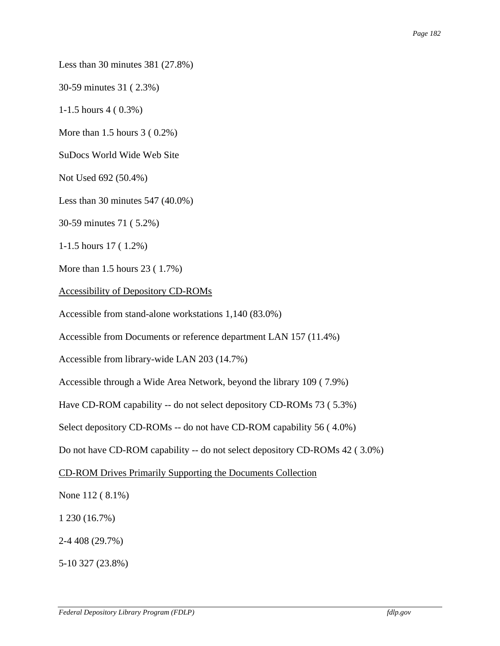Less than 30 minutes 381 (27.8%)

30-59 minutes 31 ( 2.3%)

1-1.5 hours 4 ( 0.3%)

More than 1.5 hours 3 ( 0.2%)

SuDocs World Wide Web Site

Not Used 692 (50.4%)

Less than 30 minutes 547 (40.0%)

30-59 minutes 71 ( 5.2%)

1-1.5 hours 17 ( 1.2%)

More than 1.5 hours 23 ( 1.7%)

#### Accessibility of Depository CD-ROMs

Accessible from stand-alone workstations 1,140 (83.0%)

Accessible from Documents or reference department LAN 157 (11.4%)

Accessible from library-wide LAN 203 (14.7%)

Accessible through a Wide Area Network, beyond the library 109 ( 7.9%)

Have CD-ROM capability -- do not select depository CD-ROMs 73 ( 5.3%)

Select depository CD-ROMs -- do not have CD-ROM capability 56 ( 4.0%)

Do not have CD-ROM capability -- do not select depository CD-ROMs 42 ( 3.0%)

CD-ROM Drives Primarily Supporting the Documents Collection

None 112 ( 8.1%)

1 230 (16.7%)

2-4 408 (29.7%)

5-10 327 (23.8%)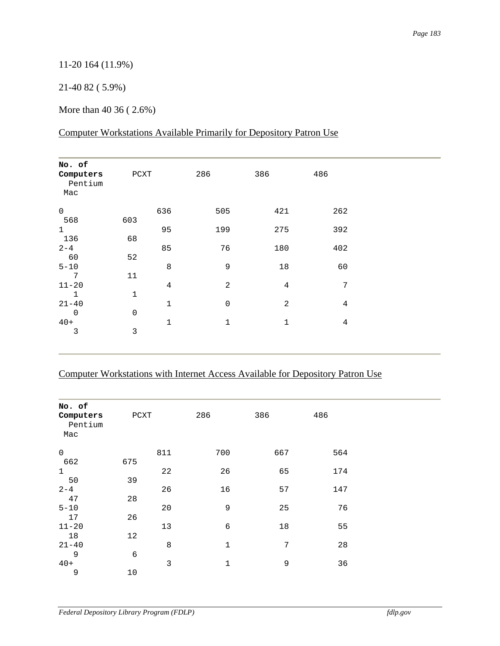## 11-20 164 (11.9%)

## 21-40 82 ( 5.9%)

More than 40 36 ( 2.6%)

# Computer Workstations Available Primarily for Depository Patron Use

| No. of<br>286<br>386<br>486<br>Computers<br>${\tt PCXT}$<br>Pentium<br>Mac<br>$\mathsf{O}\xspace$<br>636<br>505<br>262<br>421<br>603<br>568<br>$\mathbf{1}$<br>95<br>199<br>275<br>392<br>68<br>136<br>76<br>402<br>$2 - 4$<br>85<br>180 |
|------------------------------------------------------------------------------------------------------------------------------------------------------------------------------------------------------------------------------------------|
|                                                                                                                                                                                                                                          |
|                                                                                                                                                                                                                                          |
|                                                                                                                                                                                                                                          |
|                                                                                                                                                                                                                                          |
| 60<br>52                                                                                                                                                                                                                                 |
| $\,8\,$<br>$\mathsf 9$<br>60<br>$18\,$<br>$5 - 10$                                                                                                                                                                                       |
| $11\,$<br>7                                                                                                                                                                                                                              |
| $\overline{a}$<br>$\overline{4}$<br>$11 - 20$<br>$\overline{4}$<br>7<br>$\mathbf 1$<br>1                                                                                                                                                 |
| $\mathbf 0$<br>$\overline{a}$<br>$21 - 40$<br>$\mathbf{1}$<br>$\,4$                                                                                                                                                                      |
| $\mathsf 0$<br>0                                                                                                                                                                                                                         |
| $40+$<br>$\mathbf{1}$<br>$\mathbf{1}$<br>$\mathbf{1}$<br>$\,4$                                                                                                                                                                           |
| $\mathfrak{Z}$<br>3                                                                                                                                                                                                                      |

# Computer Workstations with Internet Access Available for Depository Patron Use

| No. of<br>Computers<br>Pentium<br>Mac | ${\tt PCXT}$ |         | 286          | 386    | 486 |  |
|---------------------------------------|--------------|---------|--------------|--------|-----|--|
| $\mathbf 0$                           |              | 811     | 700          | 667    | 564 |  |
| 662                                   | 675          |         |              |        |     |  |
| $\mathbf{1}$                          |              | 22      | 26           | 65     | 174 |  |
| 50                                    | 39           |         |              |        |     |  |
| $2 - 4$<br>47                         | 28           | 26      | 16           | 57     | 147 |  |
| $5 - 10$                              |              | 20      | $\mathsf 9$  | 25     | 76  |  |
| 17                                    | 26           |         |              |        |     |  |
| $11 - 20$                             |              | $13$    | $\epsilon$   | $18\,$ | 55  |  |
| 18                                    | $12\,$       |         |              |        |     |  |
| $21 - 40$                             |              | $\,8\,$ | $\mathbf 1$  | 7      | 28  |  |
| 9                                     | $\epsilon$   |         |              |        |     |  |
| $40+$                                 |              | 3       | $\mathbf{1}$ | 9      | 36  |  |
| 9                                     | $10$         |         |              |        |     |  |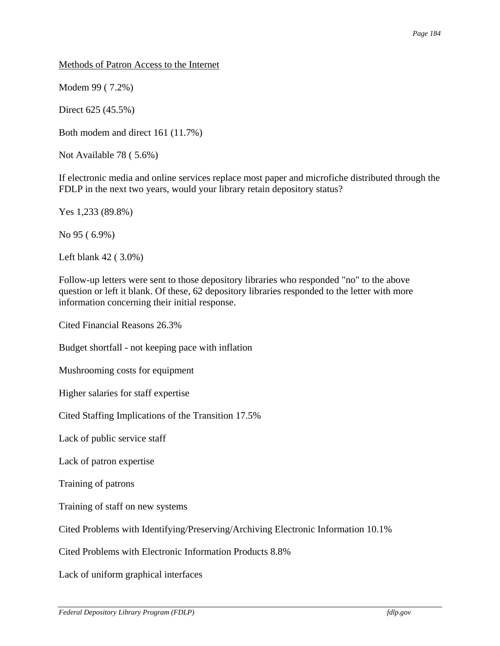#### Methods of Patron Access to the Internet

Modem 99 ( 7.2%)

Direct 625 (45.5%)

Both modem and direct 161 (11.7%)

Not Available 78 ( 5.6%)

If electronic media and online services replace most paper and microfiche distributed through the FDLP in the next two years, would your library retain depository status?

Yes 1,233 (89.8%)

No 95 ( 6.9%)

Left blank 42 ( 3.0%)

Follow-up letters were sent to those depository libraries who responded "no" to the above question or left it blank. Of these, 62 depository libraries responded to the letter with more information concerning their initial response.

Cited Financial Reasons 26.3%

Budget shortfall - not keeping pace with inflation

Mushrooming costs for equipment

Higher salaries for staff expertise

Cited Staffing Implications of the Transition 17.5%

Lack of public service staff

Lack of patron expertise

Training of patrons

Training of staff on new systems

Cited Problems with Identifying/Preserving/Archiving Electronic Information 10.1%

Cited Problems with Electronic Information Products 8.8%

Lack of uniform graphical interfaces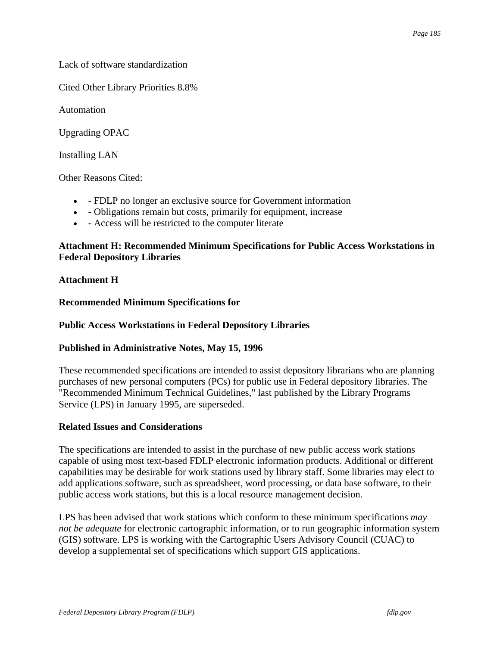Lack of software standardization

Cited Other Library Priorities 8.8%

Automation

Upgrading OPAC

Installing LAN

Other Reasons Cited:

- FDLP no longer an exclusive source for Government information
- Obligations remain but costs, primarily for equipment, increase
- Access will be restricted to the computer literate

## **Attachment H: Recommended Minimum Specifications for Public Access Workstations in Federal Depository Libraries**

## **Attachment H**

**Recommended Minimum Specifications for** 

**Public Access Workstations in Federal Depository Libraries** 

#### **Published in Administrative Notes, May 15, 1996**

These recommended specifications are intended to assist depository librarians who are planning purchases of new personal computers (PCs) for public use in Federal depository libraries. The "Recommended Minimum Technical Guidelines," last published by the Library Programs Service (LPS) in January 1995, are superseded.

#### **Related Issues and Considerations**

The specifications are intended to assist in the purchase of new public access work stations capable of using most text-based FDLP electronic information products. Additional or different capabilities may be desirable for work stations used by library staff. Some libraries may elect to add applications software, such as spreadsheet, word processing, or data base software, to their public access work stations, but this is a local resource management decision.

LPS has been advised that work stations which conform to these minimum specifications *may not be adequate* for electronic cartographic information, or to run geographic information system (GIS) software. LPS is working with the Cartographic Users Advisory Council (CUAC) to develop a supplemental set of specifications which support GIS applications.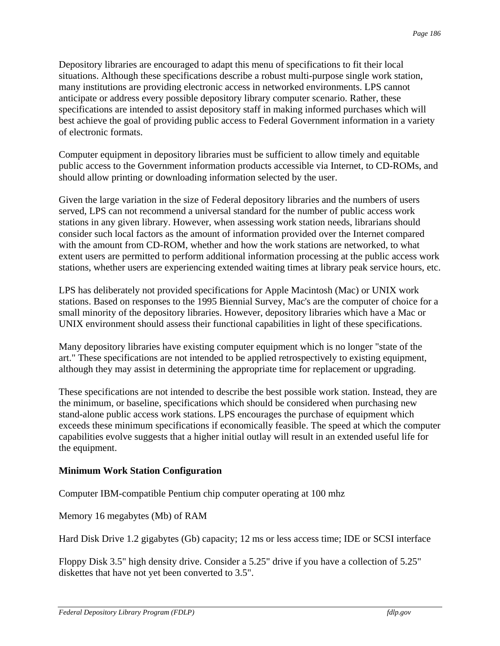Depository libraries are encouraged to adapt this menu of specifications to fit their local situations. Although these specifications describe a robust multi-purpose single work station, many institutions are providing electronic access in networked environments. LPS cannot anticipate or address every possible depository library computer scenario. Rather, these specifications are intended to assist depository staff in making informed purchases which will best achieve the goal of providing public access to Federal Government information in a variety of electronic formats.

Computer equipment in depository libraries must be sufficient to allow timely and equitable public access to the Government information products accessible via Internet, to CD-ROMs, and should allow printing or downloading information selected by the user.

Given the large variation in the size of Federal depository libraries and the numbers of users served, LPS can not recommend a universal standard for the number of public access work stations in any given library. However, when assessing work station needs, librarians should consider such local factors as the amount of information provided over the Internet compared with the amount from CD-ROM, whether and how the work stations are networked, to what extent users are permitted to perform additional information processing at the public access work stations, whether users are experiencing extended waiting times at library peak service hours, etc.

LPS has deliberately not provided specifications for Apple Macintosh (Mac) or UNIX work stations. Based on responses to the 1995 Biennial Survey, Mac's are the computer of choice for a small minority of the depository libraries. However, depository libraries which have a Mac or UNIX environment should assess their functional capabilities in light of these specifications.

Many depository libraries have existing computer equipment which is no longer "state of the art." These specifications are not intended to be applied retrospectively to existing equipment, although they may assist in determining the appropriate time for replacement or upgrading.

These specifications are not intended to describe the best possible work station. Instead, they are the minimum, or baseline, specifications which should be considered when purchasing new stand-alone public access work stations. LPS encourages the purchase of equipment which exceeds these minimum specifications if economically feasible. The speed at which the computer capabilities evolve suggests that a higher initial outlay will result in an extended useful life for the equipment.

# **Minimum Work Station Configuration**

Computer IBM-compatible Pentium chip computer operating at 100 mhz

Memory 16 megabytes (Mb) of RAM

Hard Disk Drive 1.2 gigabytes (Gb) capacity; 12 ms or less access time; IDE or SCSI interface

Floppy Disk 3.5" high density drive. Consider a 5.25" drive if you have a collection of 5.25" diskettes that have not yet been converted to 3.5".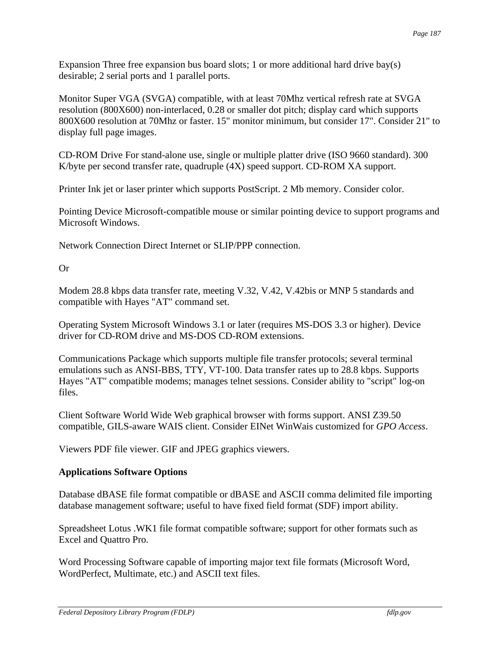Expansion Three free expansion bus board slots; 1 or more additional hard drive bay(s) desirable; 2 serial ports and 1 parallel ports.

Monitor Super VGA (SVGA) compatible, with at least 70Mhz vertical refresh rate at SVGA resolution (800X600) non-interlaced, 0.28 or smaller dot pitch; display card which supports 800X600 resolution at 70Mhz or faster. 15" monitor minimum, but consider 17". Consider 21" to display full page images.

CD-ROM Drive For stand-alone use, single or multiple platter drive (ISO 9660 standard). 300 K/byte per second transfer rate, quadruple (4X) speed support. CD-ROM XA support.

Printer Ink jet or laser printer which supports PostScript. 2 Mb memory. Consider color.

Pointing Device Microsoft-compatible mouse or similar pointing device to support programs and Microsoft Windows.

Network Connection Direct Internet or SLIP/PPP connection.

Or

Modem 28.8 kbps data transfer rate, meeting V.32, V.42, V.42bis or MNP 5 standards and compatible with Hayes "AT" command set.

Operating System Microsoft Windows 3.1 or later (requires MS-DOS 3.3 or higher). Device driver for CD-ROM drive and MS-DOS CD-ROM extensions.

Communications Package which supports multiple file transfer protocols; several terminal emulations such as ANSI-BBS, TTY, VT-100. Data transfer rates up to 28.8 kbps. Supports Hayes "AT" compatible modems; manages telnet sessions. Consider ability to "script" log-on files.

Client Software World Wide Web graphical browser with forms support. ANSI Z39.50 compatible, GILS-aware WAIS client. Consider EINet WinWais customized for *GPO Access*.

Viewers PDF file viewer. GIF and JPEG graphics viewers.

# **Applications Software Options**

Database dBASE file format compatible or dBASE and ASCII comma delimited file importing database management software; useful to have fixed field format (SDF) import ability.

Spreadsheet Lotus .WK1 file format compatible software; support for other formats such as Excel and Quattro Pro.

Word Processing Software capable of importing major text file formats (Microsoft Word, WordPerfect, Multimate, etc.) and ASCII text files.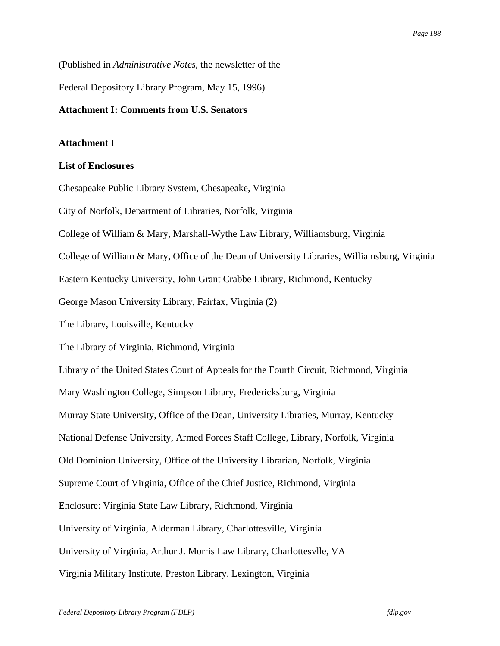(Published in *Administrative Notes*, the newsletter of the

Federal Depository Library Program, May 15, 1996)

#### **Attachment I: Comments from U.S. Senators**

#### **Attachment I**

#### **List of Enclosures**

Chesapeake Public Library System, Chesapeake, Virginia

City of Norfolk, Department of Libraries, Norfolk, Virginia

College of William & Mary, Marshall-Wythe Law Library, Williamsburg, Virginia

College of William & Mary, Office of the Dean of University Libraries, Williamsburg, Virginia

Eastern Kentucky University, John Grant Crabbe Library, Richmond, Kentucky

George Mason University Library, Fairfax, Virginia (2)

The Library, Louisville, Kentucky

The Library of Virginia, Richmond, Virginia

Library of the United States Court of Appeals for the Fourth Circuit, Richmond, Virginia

Mary Washington College, Simpson Library, Fredericksburg, Virginia

Murray State University, Office of the Dean, University Libraries, Murray, Kentucky

National Defense University, Armed Forces Staff College, Library, Norfolk, Virginia

Old Dominion University, Office of the University Librarian, Norfolk, Virginia

Supreme Court of Virginia, Office of the Chief Justice, Richmond, Virginia

Enclosure: Virginia State Law Library, Richmond, Virginia

University of Virginia, Alderman Library, Charlottesville, Virginia

University of Virginia, Arthur J. Morris Law Library, Charlottesvlle, VA

Virginia Military Institute, Preston Library, Lexington, Virginia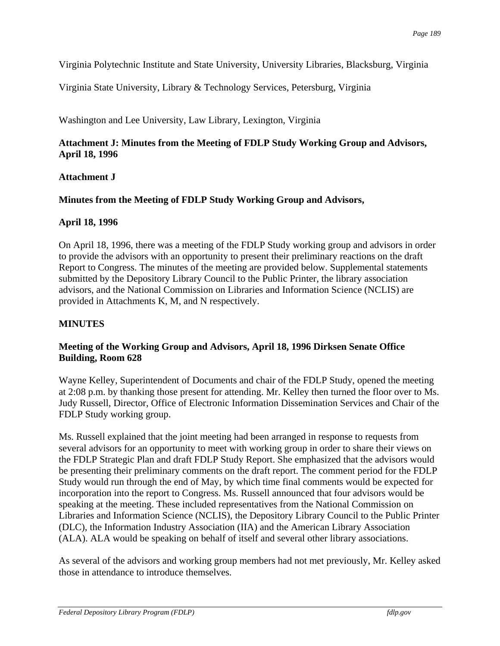Virginia Polytechnic Institute and State University, University Libraries, Blacksburg, Virginia

Virginia State University, Library & Technology Services, Petersburg, Virginia

Washington and Lee University, Law Library, Lexington, Virginia

#### **Attachment J: Minutes from the Meeting of FDLP Study Working Group and Advisors, April 18, 1996**

## **Attachment J**

## **Minutes from the Meeting of FDLP Study Working Group and Advisors,**

## **April 18, 1996**

On April 18, 1996, there was a meeting of the FDLP Study working group and advisors in order to provide the advisors with an opportunity to present their preliminary reactions on the draft Report to Congress. The minutes of the meeting are provided below. Supplemental statements submitted by the Depository Library Council to the Public Printer, the library association advisors, and the National Commission on Libraries and Information Science (NCLIS) are provided in Attachments K, M, and N respectively.

## **MINUTES**

#### **Meeting of the Working Group and Advisors, April 18, 1996 Dirksen Senate Office Building, Room 628**

Wayne Kelley, Superintendent of Documents and chair of the FDLP Study, opened the meeting at 2:08 p.m. by thanking those present for attending. Mr. Kelley then turned the floor over to Ms. Judy Russell, Director, Office of Electronic Information Dissemination Services and Chair of the FDLP Study working group.

Ms. Russell explained that the joint meeting had been arranged in response to requests from several advisors for an opportunity to meet with working group in order to share their views on the FDLP Strategic Plan and draft FDLP Study Report. She emphasized that the advisors would be presenting their preliminary comments on the draft report. The comment period for the FDLP Study would run through the end of May, by which time final comments would be expected for incorporation into the report to Congress. Ms. Russell announced that four advisors would be speaking at the meeting. These included representatives from the National Commission on Libraries and Information Science (NCLIS), the Depository Library Council to the Public Printer (DLC), the Information Industry Association (IIA) and the American Library Association (ALA). ALA would be speaking on behalf of itself and several other library associations.

As several of the advisors and working group members had not met previously, Mr. Kelley asked those in attendance to introduce themselves.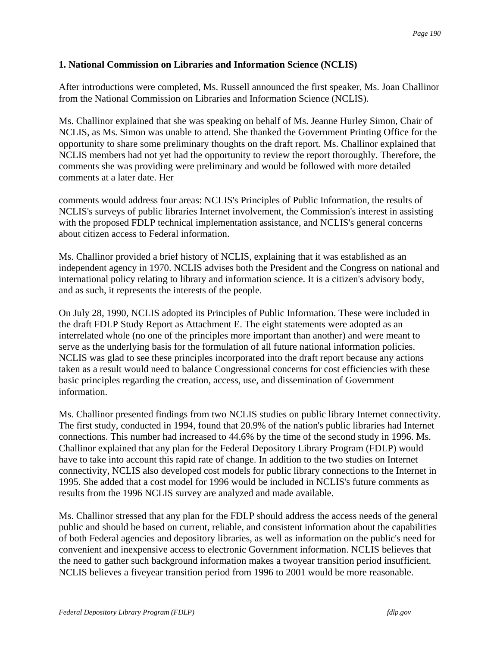## **1. National Commission on Libraries and Information Science (NCLIS)**

After introductions were completed, Ms. Russell announced the first speaker, Ms. Joan Challinor from the National Commission on Libraries and Information Science (NCLIS).

Ms. Challinor explained that she was speaking on behalf of Ms. Jeanne Hurley Simon, Chair of NCLIS, as Ms. Simon was unable to attend. She thanked the Government Printing Office for the opportunity to share some preliminary thoughts on the draft report. Ms. Challinor explained that NCLIS members had not yet had the opportunity to review the report thoroughly. Therefore, the comments she was providing were preliminary and would be followed with more detailed comments at a later date. Her

comments would address four areas: NCLIS's Principles of Public Information, the results of NCLIS's surveys of public libraries Internet involvement, the Commission's interest in assisting with the proposed FDLP technical implementation assistance, and NCLIS's general concerns about citizen access to Federal information.

Ms. Challinor provided a brief history of NCLIS, explaining that it was established as an independent agency in 1970. NCLIS advises both the President and the Congress on national and international policy relating to library and information science. It is a citizen's advisory body, and as such, it represents the interests of the people.

On July 28, 1990, NCLIS adopted its Principles of Public Information. These were included in the draft FDLP Study Report as Attachment E. The eight statements were adopted as an interrelated whole (no one of the principles more important than another) and were meant to serve as the underlying basis for the formulation of all future national information policies. NCLIS was glad to see these principles incorporated into the draft report because any actions taken as a result would need to balance Congressional concerns for cost efficiencies with these basic principles regarding the creation, access, use, and dissemination of Government information.

Ms. Challinor presented findings from two NCLIS studies on public library Internet connectivity. The first study, conducted in 1994, found that 20.9% of the nation's public libraries had Internet connections. This number had increased to 44.6% by the time of the second study in 1996. Ms. Challinor explained that any plan for the Federal Depository Library Program (FDLP) would have to take into account this rapid rate of change. In addition to the two studies on Internet connectivity, NCLIS also developed cost models for public library connections to the Internet in 1995. She added that a cost model for 1996 would be included in NCLIS's future comments as results from the 1996 NCLIS survey are analyzed and made available.

Ms. Challinor stressed that any plan for the FDLP should address the access needs of the general public and should be based on current, reliable, and consistent information about the capabilities of both Federal agencies and depository libraries, as well as information on the public's need for convenient and inexpensive access to electronic Government information. NCLIS believes that the need to gather such background information makes a twoyear transition period insufficient. NCLIS believes a fiveyear transition period from 1996 to 2001 would be more reasonable.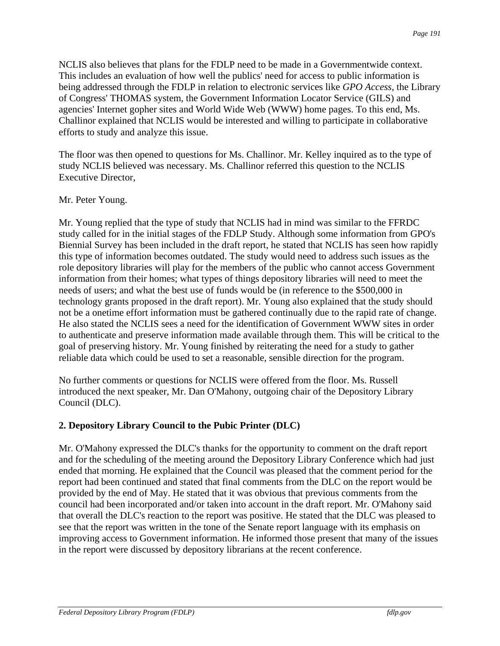NCLIS also believes that plans for the FDLP need to be made in a Governmentwide context. This includes an evaluation of how well the publics' need for access to public information is being addressed through the FDLP in relation to electronic services like *GPO Access,* the Library of Congress' THOMAS system, the Government Information Locator Service (GILS) and agencies' Internet gopher sites and World Wide Web (WWW) home pages. To this end, Ms. Challinor explained that NCLIS would be interested and willing to participate in collaborative efforts to study and analyze this issue.

The floor was then opened to questions for Ms. Challinor. Mr. Kelley inquired as to the type of study NCLIS believed was necessary. Ms. Challinor referred this question to the NCLIS Executive Director,

## Mr. Peter Young.

Mr. Young replied that the type of study that NCLIS had in mind was similar to the FFRDC study called for in the initial stages of the FDLP Study. Although some information from GPO's Biennial Survey has been included in the draft report, he stated that NCLIS has seen how rapidly this type of information becomes outdated. The study would need to address such issues as the role depository libraries will play for the members of the public who cannot access Government information from their homes; what types of things depository libraries will need to meet the needs of users; and what the best use of funds would be (in reference to the \$500,000 in technology grants proposed in the draft report). Mr. Young also explained that the study should not be a onetime effort information must be gathered continually due to the rapid rate of change. He also stated the NCLIS sees a need for the identification of Government WWW sites in order to authenticate and preserve information made available through them. This will be critical to the goal of preserving history. Mr. Young finished by reiterating the need for a study to gather reliable data which could be used to set a reasonable, sensible direction for the program.

No further comments or questions for NCLIS were offered from the floor. Ms. Russell introduced the next speaker, Mr. Dan O'Mahony, outgoing chair of the Depository Library Council (DLC).

# **2. Depository Library Council to the Pubic Printer (DLC)**

Mr. O'Mahony expressed the DLC's thanks for the opportunity to comment on the draft report and for the scheduling of the meeting around the Depository Library Conference which had just ended that morning. He explained that the Council was pleased that the comment period for the report had been continued and stated that final comments from the DLC on the report would be provided by the end of May. He stated that it was obvious that previous comments from the council had been incorporated and/or taken into account in the draft report. Mr. O'Mahony said that overall the DLC's reaction to the report was positive. He stated that the DLC was pleased to see that the report was written in the tone of the Senate report language with its emphasis on improving access to Government information. He informed those present that many of the issues in the report were discussed by depository librarians at the recent conference.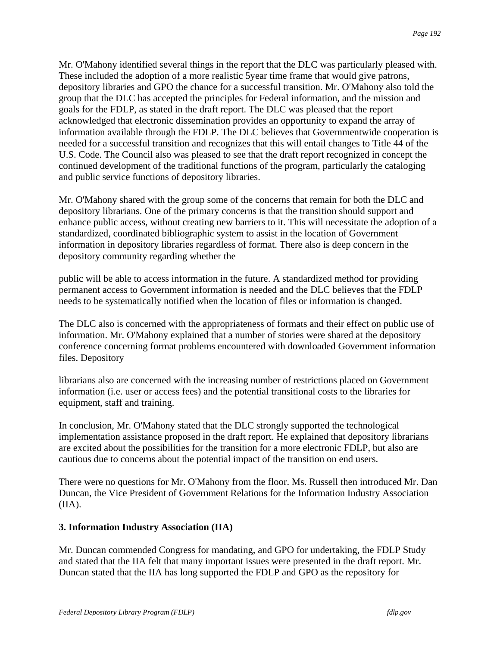Mr. O'Mahony identified several things in the report that the DLC was particularly pleased with. These included the adoption of a more realistic 5year time frame that would give patrons, depository libraries and GPO the chance for a successful transition. Mr. O'Mahony also told the group that the DLC has accepted the principles for Federal information, and the mission and goals for the FDLP, as stated in the draft report. The DLC was pleased that the report acknowledged that electronic dissemination provides an opportunity to expand the array of information available through the FDLP. The DLC believes that Governmentwide cooperation is needed for a successful transition and recognizes that this will entail changes to Title 44 of the U.S. Code. The Council also was pleased to see that the draft report recognized in concept the continued development of the traditional functions of the program, particularly the cataloging and public service functions of depository libraries.

Mr. O'Mahony shared with the group some of the concerns that remain for both the DLC and depository librarians. One of the primary concerns is that the transition should support and enhance public access, without creating new barriers to it. This will necessitate the adoption of a standardized, coordinated bibliographic system to assist in the location of Government information in depository libraries regardless of format. There also is deep concern in the depository community regarding whether the

public will be able to access information in the future. A standardized method for providing permanent access to Government information is needed and the DLC believes that the FDLP needs to be systematically notified when the location of files or information is changed.

The DLC also is concerned with the appropriateness of formats and their effect on public use of information. Mr. O'Mahony explained that a number of stories were shared at the depository conference concerning format problems encountered with downloaded Government information files. Depository

librarians also are concerned with the increasing number of restrictions placed on Government information (i.e. user or access fees) and the potential transitional costs to the libraries for equipment, staff and training.

In conclusion, Mr. O'Mahony stated that the DLC strongly supported the technological implementation assistance proposed in the draft report. He explained that depository librarians are excited about the possibilities for the transition for a more electronic FDLP, but also are cautious due to concerns about the potential impact of the transition on end users.

There were no questions for Mr. O'Mahony from the floor. Ms. Russell then introduced Mr. Dan Duncan, the Vice President of Government Relations for the Information Industry Association  $(IIA).$ 

# **3. Information Industry Association (IIA)**

Mr. Duncan commended Congress for mandating, and GPO for undertaking, the FDLP Study and stated that the IIA felt that many important issues were presented in the draft report. Mr. Duncan stated that the IIA has long supported the FDLP and GPO as the repository for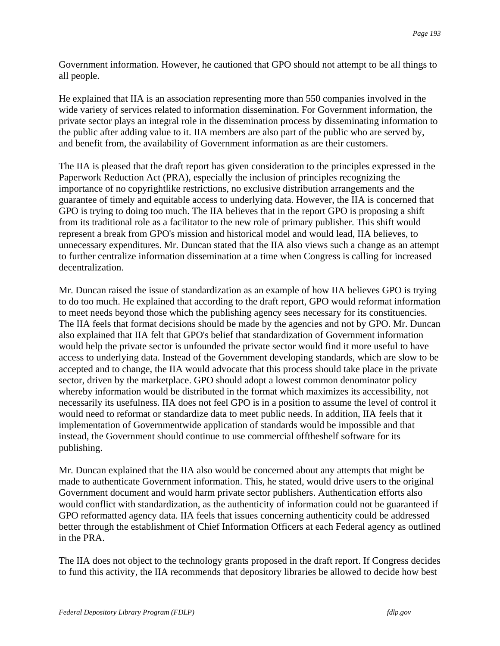Government information. However, he cautioned that GPO should not attempt to be all things to all people.

He explained that IIA is an association representing more than 550 companies involved in the wide variety of services related to information dissemination. For Government information, the private sector plays an integral role in the dissemination process by disseminating information to the public after adding value to it. IIA members are also part of the public who are served by, and benefit from, the availability of Government information as are their customers.

The IIA is pleased that the draft report has given consideration to the principles expressed in the Paperwork Reduction Act (PRA), especially the inclusion of principles recognizing the importance of no copyrightlike restrictions, no exclusive distribution arrangements and the guarantee of timely and equitable access to underlying data. However, the IIA is concerned that GPO is trying to doing too much. The IIA believes that in the report GPO is proposing a shift from its traditional role as a facilitator to the new role of primary publisher. This shift would represent a break from GPO's mission and historical model and would lead, IIA believes, to unnecessary expenditures. Mr. Duncan stated that the IIA also views such a change as an attempt to further centralize information dissemination at a time when Congress is calling for increased decentralization.

Mr. Duncan raised the issue of standardization as an example of how IIA believes GPO is trying to do too much. He explained that according to the draft report, GPO would reformat information to meet needs beyond those which the publishing agency sees necessary for its constituencies. The IIA feels that format decisions should be made by the agencies and not by GPO. Mr. Duncan also explained that IIA felt that GPO's belief that standardization of Government information would help the private sector is unfounded the private sector would find it more useful to have access to underlying data. Instead of the Government developing standards, which are slow to be accepted and to change, the IIA would advocate that this process should take place in the private sector, driven by the marketplace. GPO should adopt a lowest common denominator policy whereby information would be distributed in the format which maximizes its accessibility, not necessarily its usefulness. IIA does not feel GPO is in a position to assume the level of control it would need to reformat or standardize data to meet public needs. In addition, IIA feels that it implementation of Governmentwide application of standards would be impossible and that instead, the Government should continue to use commercial offtheshelf software for its publishing.

Mr. Duncan explained that the IIA also would be concerned about any attempts that might be made to authenticate Government information. This, he stated, would drive users to the original Government document and would harm private sector publishers. Authentication efforts also would conflict with standardization, as the authenticity of information could not be guaranteed if GPO reformatted agency data. IIA feels that issues concerning authenticity could be addressed better through the establishment of Chief Information Officers at each Federal agency as outlined in the PRA.

The IIA does not object to the technology grants proposed in the draft report. If Congress decides to fund this activity, the IIA recommends that depository libraries be allowed to decide how best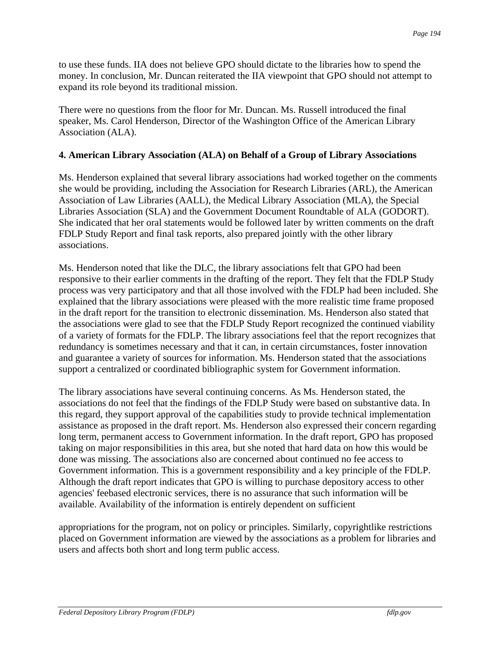to use these funds. IIA does not believe GPO should dictate to the libraries how to spend the money. In conclusion, Mr. Duncan reiterated the IIA viewpoint that GPO should not attempt to expand its role beyond its traditional mission.

There were no questions from the floor for Mr. Duncan. Ms. Russell introduced the final speaker, Ms. Carol Henderson, Director of the Washington Office of the American Library Association (ALA).

#### **4. American Library Association (ALA) on Behalf of a Group of Library Associations**

Ms. Henderson explained that several library associations had worked together on the comments she would be providing, including the Association for Research Libraries (ARL), the American Association of Law Libraries (AALL), the Medical Library Association (MLA), the Special Libraries Association (SLA) and the Government Document Roundtable of ALA (GODORT). She indicated that her oral statements would be followed later by written comments on the draft FDLP Study Report and final task reports, also prepared jointly with the other library associations.

Ms. Henderson noted that like the DLC, the library associations felt that GPO had been responsive to their earlier comments in the drafting of the report. They felt that the FDLP Study process was very participatory and that all those involved with the FDLP had been included. She explained that the library associations were pleased with the more realistic time frame proposed in the draft report for the transition to electronic dissemination. Ms. Henderson also stated that the associations were glad to see that the FDLP Study Report recognized the continued viability of a variety of formats for the FDLP. The library associations feel that the report recognizes that redundancy is sometimes necessary and that it can, in certain circumstances, foster innovation and guarantee a variety of sources for information. Ms. Henderson stated that the associations support a centralized or coordinated bibliographic system for Government information.

The library associations have several continuing concerns. As Ms. Henderson stated, the associations do not feel that the findings of the FDLP Study were based on substantive data. In this regard, they support approval of the capabilities study to provide technical implementation assistance as proposed in the draft report. Ms. Henderson also expressed their concern regarding long term, permanent access to Government information. In the draft report, GPO has proposed taking on major responsibilities in this area, but she noted that hard data on how this would be done was missing. The associations also are concerned about continued no fee access to Government information. This is a government responsibility and a key principle of the FDLP. Although the draft report indicates that GPO is willing to purchase depository access to other agencies' feebased electronic services, there is no assurance that such information will be available. Availability of the information is entirely dependent on sufficient

appropriations for the program, not on policy or principles. Similarly, copyrightlike restrictions placed on Government information are viewed by the associations as a problem for libraries and users and affects both short and long term public access.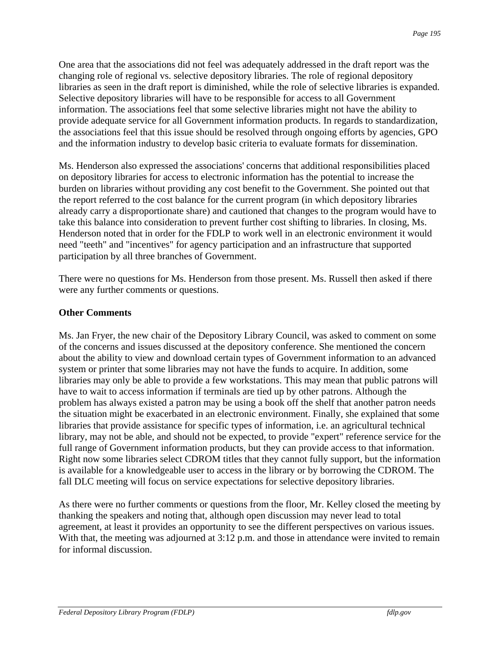One area that the associations did not feel was adequately addressed in the draft report was the changing role of regional vs. selective depository libraries. The role of regional depository libraries as seen in the draft report is diminished, while the role of selective libraries is expanded. Selective depository libraries will have to be responsible for access to all Government information. The associations feel that some selective libraries might not have the ability to provide adequate service for all Government information products. In regards to standardization, the associations feel that this issue should be resolved through ongoing efforts by agencies, GPO and the information industry to develop basic criteria to evaluate formats for dissemination.

Ms. Henderson also expressed the associations' concerns that additional responsibilities placed on depository libraries for access to electronic information has the potential to increase the burden on libraries without providing any cost benefit to the Government. She pointed out that the report referred to the cost balance for the current program (in which depository libraries already carry a disproportionate share) and cautioned that changes to the program would have to take this balance into consideration to prevent further cost shifting to libraries. In closing, Ms. Henderson noted that in order for the FDLP to work well in an electronic environment it would need "teeth" and "incentives" for agency participation and an infrastructure that supported participation by all three branches of Government.

There were no questions for Ms. Henderson from those present. Ms. Russell then asked if there were any further comments or questions.

# **Other Comments**

Ms. Jan Fryer, the new chair of the Depository Library Council, was asked to comment on some of the concerns and issues discussed at the depository conference. She mentioned the concern about the ability to view and download certain types of Government information to an advanced system or printer that some libraries may not have the funds to acquire. In addition, some libraries may only be able to provide a few workstations. This may mean that public patrons will have to wait to access information if terminals are tied up by other patrons. Although the problem has always existed a patron may be using a book off the shelf that another patron needs the situation might be exacerbated in an electronic environment. Finally, she explained that some libraries that provide assistance for specific types of information, i.e. an agricultural technical library, may not be able, and should not be expected, to provide "expert" reference service for the full range of Government information products, but they can provide access to that information. Right now some libraries select CDROM titles that they cannot fully support, but the information is available for a knowledgeable user to access in the library or by borrowing the CDROM. The fall DLC meeting will focus on service expectations for selective depository libraries.

As there were no further comments or questions from the floor, Mr. Kelley closed the meeting by thanking the speakers and noting that, although open discussion may never lead to total agreement, at least it provides an opportunity to see the different perspectives on various issues. With that, the meeting was adjourned at 3:12 p.m. and those in attendance were invited to remain for informal discussion.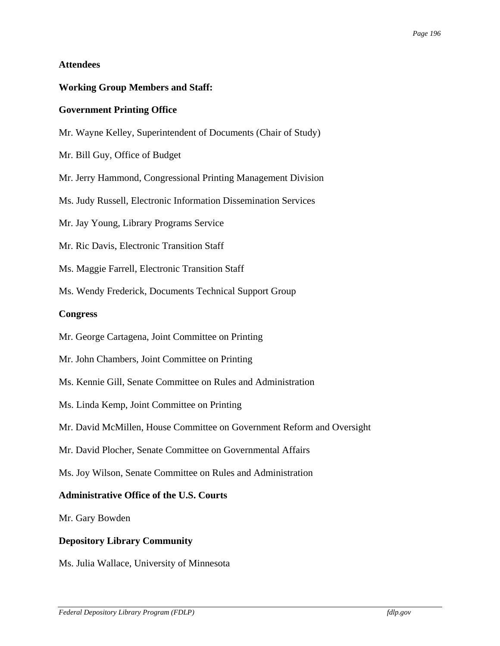#### **Attendees**

#### **Working Group Members and Staff:**

#### **Government Printing Office**

- Mr. Wayne Kelley, Superintendent of Documents (Chair of Study)
- Mr. Bill Guy, Office of Budget
- Mr. Jerry Hammond, Congressional Printing Management Division
- Ms. Judy Russell, Electronic Information Dissemination Services
- Mr. Jay Young, Library Programs Service
- Mr. Ric Davis, Electronic Transition Staff
- Ms. Maggie Farrell, Electronic Transition Staff
- Ms. Wendy Frederick, Documents Technical Support Group

#### **Congress**

- Mr. George Cartagena, Joint Committee on Printing
- Mr. John Chambers, Joint Committee on Printing
- Ms. Kennie Gill, Senate Committee on Rules and Administration
- Ms. Linda Kemp, Joint Committee on Printing
- Mr. David McMillen, House Committee on Government Reform and Oversight
- Mr. David Plocher, Senate Committee on Governmental Affairs
- Ms. Joy Wilson, Senate Committee on Rules and Administration

#### **Administrative Office of the U.S. Courts**

Mr. Gary Bowden

#### **Depository Library Community**

Ms. Julia Wallace, University of Minnesota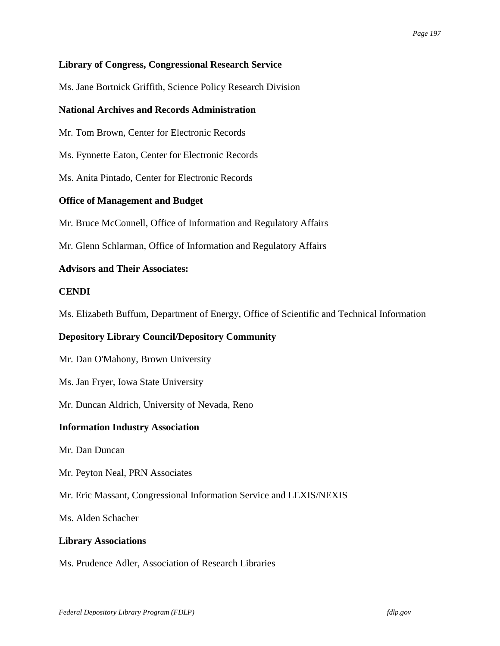#### **Library of Congress, Congressional Research Service**

Ms. Jane Bortnick Griffith, Science Policy Research Division

#### **National Archives and Records Administration**

Mr. Tom Brown, Center for Electronic Records

Ms. Fynnette Eaton, Center for Electronic Records

Ms. Anita Pintado, Center for Electronic Records

## **Office of Management and Budget**

Mr. Bruce McConnell, Office of Information and Regulatory Affairs

Mr. Glenn Schlarman, Office of Information and Regulatory Affairs

#### **Advisors and Their Associates:**

#### **CENDI**

Ms. Elizabeth Buffum, Department of Energy, Office of Scientific and Technical Information

#### **Depository Library Council/Depository Community**

Mr. Dan O'Mahony, Brown University

Ms. Jan Fryer, Iowa State University

Mr. Duncan Aldrich, University of Nevada, Reno

#### **Information Industry Association**

Mr. Dan Duncan

Mr. Peyton Neal, PRN Associates

Mr. Eric Massant, Congressional Information Service and LEXIS/NEXIS

Ms. Alden Schacher

#### **Library Associations**

Ms. Prudence Adler, Association of Research Libraries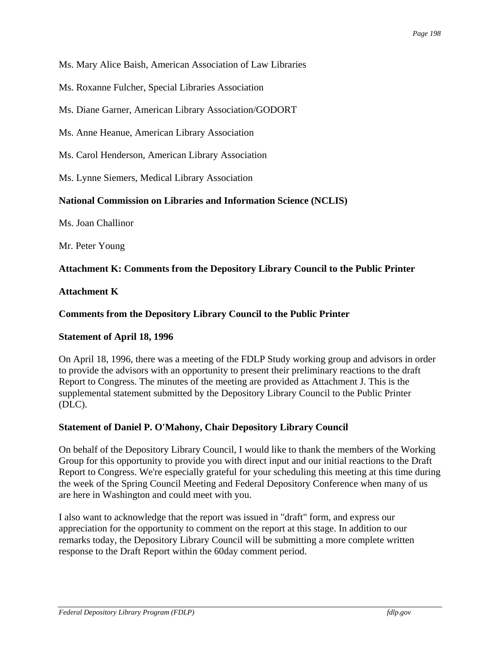Ms. Mary Alice Baish, American Association of Law Libraries

Ms. Roxanne Fulcher, Special Libraries Association

Ms. Diane Garner, American Library Association/GODORT

Ms. Anne Heanue, American Library Association

Ms. Carol Henderson, American Library Association

Ms. Lynne Siemers, Medical Library Association

#### **National Commission on Libraries and Information Science (NCLIS)**

Ms. Joan Challinor

Mr. Peter Young

#### **Attachment K: Comments from the Depository Library Council to the Public Printer**

#### **Attachment K**

#### **Comments from the Depository Library Council to the Public Printer**

#### **Statement of April 18, 1996**

On April 18, 1996, there was a meeting of the FDLP Study working group and advisors in order to provide the advisors with an opportunity to present their preliminary reactions to the draft Report to Congress. The minutes of the meeting are provided as Attachment J. This is the supplemental statement submitted by the Depository Library Council to the Public Printer (DLC).

#### **Statement of Daniel P. O'Mahony, Chair Depository Library Council**

On behalf of the Depository Library Council, I would like to thank the members of the Working Group for this opportunity to provide you with direct input and our initial reactions to the Draft Report to Congress. We're especially grateful for your scheduling this meeting at this time during the week of the Spring Council Meeting and Federal Depository Conference when many of us are here in Washington and could meet with you.

I also want to acknowledge that the report was issued in "draft" form, and express our appreciation for the opportunity to comment on the report at this stage. In addition to our remarks today, the Depository Library Council will be submitting a more complete written response to the Draft Report within the 60day comment period.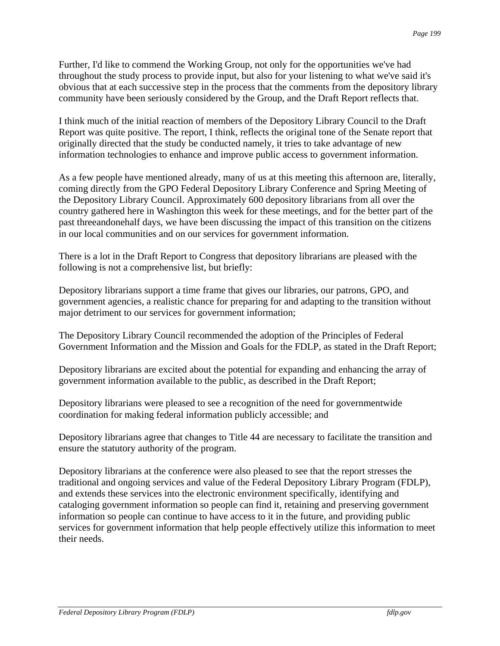Further, I'd like to commend the Working Group, not only for the opportunities we've had throughout the study process to provide input, but also for your listening to what we've said it's obvious that at each successive step in the process that the comments from the depository library community have been seriously considered by the Group, and the Draft Report reflects that.

I think much of the initial reaction of members of the Depository Library Council to the Draft Report was quite positive. The report, I think, reflects the original tone of the Senate report that originally directed that the study be conducted namely, it tries to take advantage of new information technologies to enhance and improve public access to government information.

As a few people have mentioned already, many of us at this meeting this afternoon are, literally, coming directly from the GPO Federal Depository Library Conference and Spring Meeting of the Depository Library Council. Approximately 600 depository librarians from all over the country gathered here in Washington this week for these meetings, and for the better part of the past threeandonehalf days, we have been discussing the impact of this transition on the citizens in our local communities and on our services for government information.

There is a lot in the Draft Report to Congress that depository librarians are pleased with the following is not a comprehensive list, but briefly:

Depository librarians support a time frame that gives our libraries, our patrons, GPO, and government agencies, a realistic chance for preparing for and adapting to the transition without major detriment to our services for government information;

The Depository Library Council recommended the adoption of the Principles of Federal Government Information and the Mission and Goals for the FDLP, as stated in the Draft Report;

Depository librarians are excited about the potential for expanding and enhancing the array of government information available to the public, as described in the Draft Report;

Depository librarians were pleased to see a recognition of the need for governmentwide coordination for making federal information publicly accessible; and

Depository librarians agree that changes to Title 44 are necessary to facilitate the transition and ensure the statutory authority of the program.

Depository librarians at the conference were also pleased to see that the report stresses the traditional and ongoing services and value of the Federal Depository Library Program (FDLP), and extends these services into the electronic environment specifically, identifying and cataloging government information so people can find it, retaining and preserving government information so people can continue to have access to it in the future, and providing public services for government information that help people effectively utilize this information to meet their needs.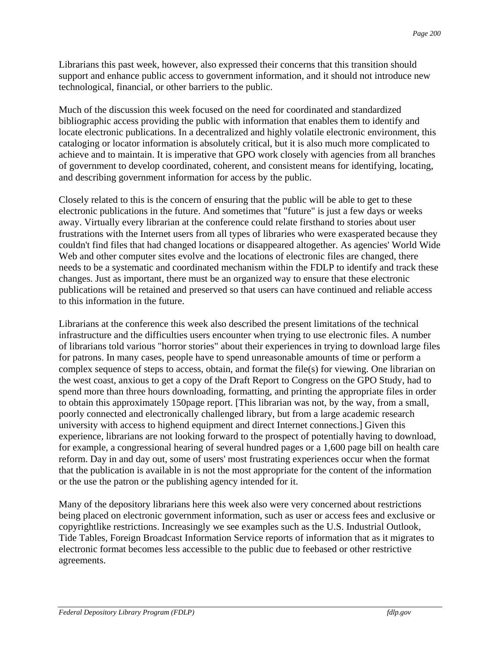Librarians this past week, however, also expressed their concerns that this transition should support and enhance public access to government information, and it should not introduce new technological, financial, or other barriers to the public.

Much of the discussion this week focused on the need for coordinated and standardized bibliographic access providing the public with information that enables them to identify and locate electronic publications. In a decentralized and highly volatile electronic environment, this cataloging or locator information is absolutely critical, but it is also much more complicated to achieve and to maintain. It is imperative that GPO work closely with agencies from all branches of government to develop coordinated, coherent, and consistent means for identifying, locating, and describing government information for access by the public.

Closely related to this is the concern of ensuring that the public will be able to get to these electronic publications in the future. And sometimes that "future" is just a few days or weeks away. Virtually every librarian at the conference could relate firsthand to stories about user frustrations with the Internet users from all types of libraries who were exasperated because they couldn't find files that had changed locations or disappeared altogether. As agencies' World Wide Web and other computer sites evolve and the locations of electronic files are changed, there needs to be a systematic and coordinated mechanism within the FDLP to identify and track these changes. Just as important, there must be an organized way to ensure that these electronic publications will be retained and preserved so that users can have continued and reliable access to this information in the future.

Librarians at the conference this week also described the present limitations of the technical infrastructure and the difficulties users encounter when trying to use electronic files. A number of librarians told various "horror stories" about their experiences in trying to download large files for patrons. In many cases, people have to spend unreasonable amounts of time or perform a complex sequence of steps to access, obtain, and format the file(s) for viewing. One librarian on the west coast, anxious to get a copy of the Draft Report to Congress on the GPO Study, had to spend more than three hours downloading, formatting, and printing the appropriate files in order to obtain this approximately 150page report. [This librarian was not, by the way, from a small, poorly connected and electronically challenged library, but from a large academic research university with access to highend equipment and direct Internet connections.] Given this experience, librarians are not looking forward to the prospect of potentially having to download, for example, a congressional hearing of several hundred pages or a 1,600 page bill on health care reform. Day in and day out, some of users' most frustrating experiences occur when the format that the publication is available in is not the most appropriate for the content of the information or the use the patron or the publishing agency intended for it.

Many of the depository librarians here this week also were very concerned about restrictions being placed on electronic government information, such as user or access fees and exclusive or copyrightlike restrictions. Increasingly we see examples such as the U.S. Industrial Outlook, Tide Tables, Foreign Broadcast Information Service reports of information that as it migrates to electronic format becomes less accessible to the public due to feebased or other restrictive agreements.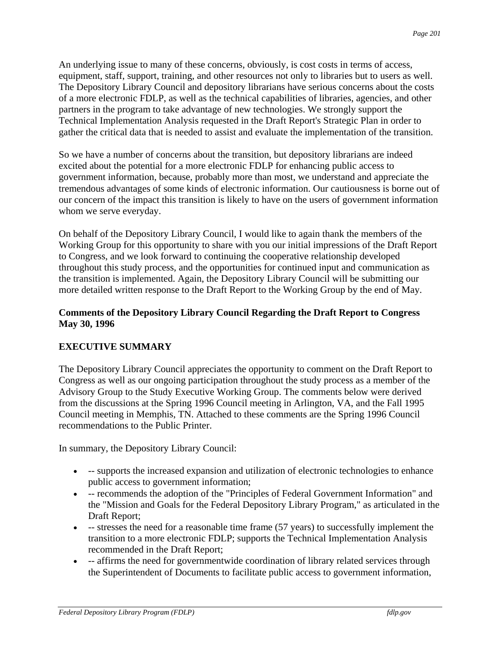An underlying issue to many of these concerns, obviously, is cost costs in terms of access, equipment, staff, support, training, and other resources not only to libraries but to users as well. The Depository Library Council and depository librarians have serious concerns about the costs of a more electronic FDLP, as well as the technical capabilities of libraries, agencies, and other partners in the program to take advantage of new technologies. We strongly support the Technical Implementation Analysis requested in the Draft Report's Strategic Plan in order to gather the critical data that is needed to assist and evaluate the implementation of the transition.

So we have a number of concerns about the transition, but depository librarians are indeed excited about the potential for a more electronic FDLP for enhancing public access to government information, because, probably more than most, we understand and appreciate the tremendous advantages of some kinds of electronic information. Our cautiousness is borne out of our concern of the impact this transition is likely to have on the users of government information whom we serve everyday.

On behalf of the Depository Library Council, I would like to again thank the members of the Working Group for this opportunity to share with you our initial impressions of the Draft Report to Congress, and we look forward to continuing the cooperative relationship developed throughout this study process, and the opportunities for continued input and communication as the transition is implemented. Again, the Depository Library Council will be submitting our more detailed written response to the Draft Report to the Working Group by the end of May.

## **Comments of the Depository Library Council Regarding the Draft Report to Congress May 30, 1996**

# **EXECUTIVE SUMMARY**

The Depository Library Council appreciates the opportunity to comment on the Draft Report to Congress as well as our ongoing participation throughout the study process as a member of the Advisory Group to the Study Executive Working Group. The comments below were derived from the discussions at the Spring 1996 Council meeting in Arlington, VA, and the Fall 1995 Council meeting in Memphis, TN. Attached to these comments are the Spring 1996 Council recommendations to the Public Printer.

In summary, the Depository Library Council:

- -- supports the increased expansion and utilization of electronic technologies to enhance public access to government information;
- -- recommends the adoption of the "Principles of Federal Government Information" and the "Mission and Goals for the Federal Depository Library Program," as articulated in the Draft Report;
- -- stresses the need for a reasonable time frame (57 years) to successfully implement the transition to a more electronic FDLP; supports the Technical Implementation Analysis recommended in the Draft Report;
- -- affirms the need for governmentwide coordination of library related services through the Superintendent of Documents to facilitate public access to government information,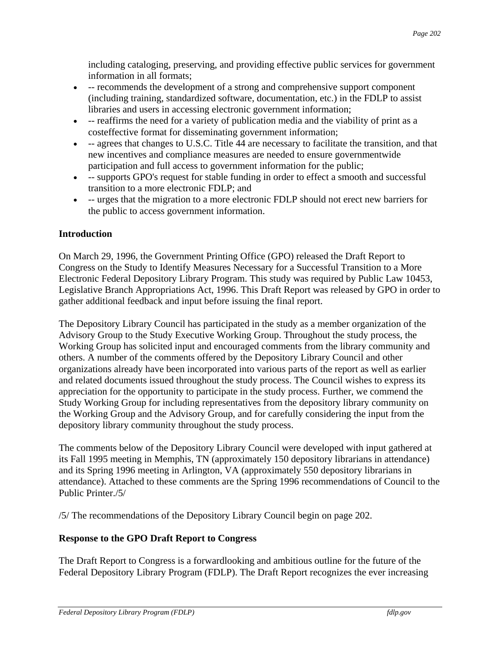including cataloging, preserving, and providing effective public services for government information in all formats;

- -- recommends the development of a strong and comprehensive support component (including training, standardized software, documentation, etc.) in the FDLP to assist libraries and users in accessing electronic government information;
- -- reaffirms the need for a variety of publication media and the viability of print as a costeffective format for disseminating government information;
- -- agrees that changes to U.S.C. Title 44 are necessary to facilitate the transition, and that new incentives and compliance measures are needed to ensure governmentwide participation and full access to government information for the public;
- -- supports GPO's request for stable funding in order to effect a smooth and successful transition to a more electronic FDLP; and
- -- urges that the migration to a more electronic FDLP should not erect new barriers for the public to access government information.

# **Introduction**

On March 29, 1996, the Government Printing Office (GPO) released the Draft Report to Congress on the Study to Identify Measures Necessary for a Successful Transition to a More Electronic Federal Depository Library Program. This study was required by Public Law 10453, Legislative Branch Appropriations Act, 1996. This Draft Report was released by GPO in order to gather additional feedback and input before issuing the final report.

The Depository Library Council has participated in the study as a member organization of the Advisory Group to the Study Executive Working Group. Throughout the study process, the Working Group has solicited input and encouraged comments from the library community and others. A number of the comments offered by the Depository Library Council and other organizations already have been incorporated into various parts of the report as well as earlier and related documents issued throughout the study process. The Council wishes to express its appreciation for the opportunity to participate in the study process. Further, we commend the Study Working Group for including representatives from the depository library community on the Working Group and the Advisory Group, and for carefully considering the input from the depository library community throughout the study process.

The comments below of the Depository Library Council were developed with input gathered at its Fall 1995 meeting in Memphis, TN (approximately 150 depository librarians in attendance) and its Spring 1996 meeting in Arlington, VA (approximately 550 depository librarians in attendance). Attached to these comments are the Spring 1996 recommendations of Council to the Public Printer./5/

/5/ The recommendations of the Depository Library Council begin on page 202.

# **Response to the GPO Draft Report to Congress**

The Draft Report to Congress is a forwardlooking and ambitious outline for the future of the Federal Depository Library Program (FDLP). The Draft Report recognizes the ever increasing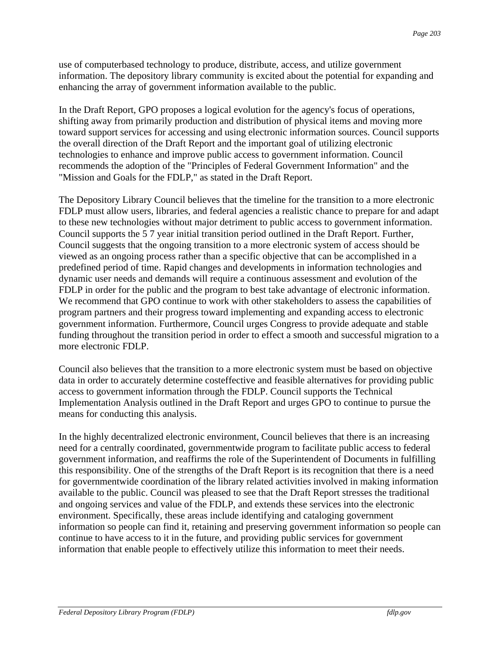use of computerbased technology to produce, distribute, access, and utilize government information. The depository library community is excited about the potential for expanding and enhancing the array of government information available to the public.

In the Draft Report, GPO proposes a logical evolution for the agency's focus of operations, shifting away from primarily production and distribution of physical items and moving more toward support services for accessing and using electronic information sources. Council supports the overall direction of the Draft Report and the important goal of utilizing electronic technologies to enhance and improve public access to government information. Council recommends the adoption of the "Principles of Federal Government Information" and the "Mission and Goals for the FDLP," as stated in the Draft Report.

The Depository Library Council believes that the timeline for the transition to a more electronic FDLP must allow users, libraries, and federal agencies a realistic chance to prepare for and adapt to these new technologies without major detriment to public access to government information. Council supports the 5 7 year initial transition period outlined in the Draft Report. Further, Council suggests that the ongoing transition to a more electronic system of access should be viewed as an ongoing process rather than a specific objective that can be accomplished in a predefined period of time. Rapid changes and developments in information technologies and dynamic user needs and demands will require a continuous assessment and evolution of the FDLP in order for the public and the program to best take advantage of electronic information. We recommend that GPO continue to work with other stakeholders to assess the capabilities of program partners and their progress toward implementing and expanding access to electronic government information. Furthermore, Council urges Congress to provide adequate and stable funding throughout the transition period in order to effect a smooth and successful migration to a more electronic FDLP.

Council also believes that the transition to a more electronic system must be based on objective data in order to accurately determine costeffective and feasible alternatives for providing public access to government information through the FDLP. Council supports the Technical Implementation Analysis outlined in the Draft Report and urges GPO to continue to pursue the means for conducting this analysis.

In the highly decentralized electronic environment, Council believes that there is an increasing need for a centrally coordinated, governmentwide program to facilitate public access to federal government information, and reaffirms the role of the Superintendent of Documents in fulfilling this responsibility. One of the strengths of the Draft Report is its recognition that there is a need for governmentwide coordination of the library related activities involved in making information available to the public. Council was pleased to see that the Draft Report stresses the traditional and ongoing services and value of the FDLP, and extends these services into the electronic environment. Specifically, these areas include identifying and cataloging government information so people can find it, retaining and preserving government information so people can continue to have access to it in the future, and providing public services for government information that enable people to effectively utilize this information to meet their needs.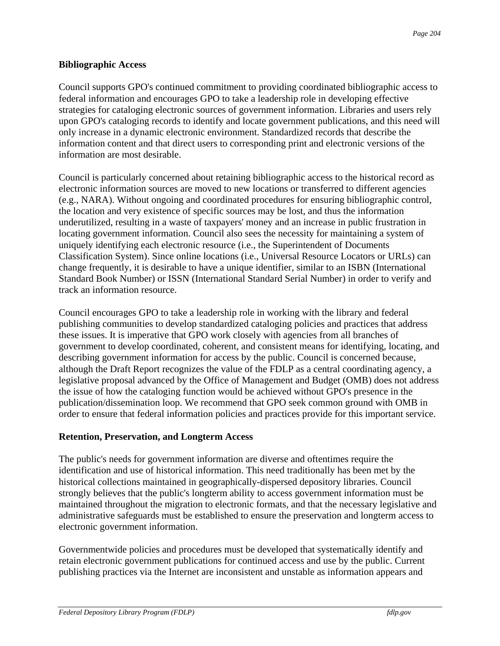## **Bibliographic Access**

Council supports GPO's continued commitment to providing coordinated bibliographic access to federal information and encourages GPO to take a leadership role in developing effective strategies for cataloging electronic sources of government information. Libraries and users rely upon GPO's cataloging records to identify and locate government publications, and this need will only increase in a dynamic electronic environment. Standardized records that describe the information content and that direct users to corresponding print and electronic versions of the information are most desirable.

Council is particularly concerned about retaining bibliographic access to the historical record as electronic information sources are moved to new locations or transferred to different agencies (e.g., NARA). Without ongoing and coordinated procedures for ensuring bibliographic control, the location and very existence of specific sources may be lost, and thus the information underutilized, resulting in a waste of taxpayers' money and an increase in public frustration in locating government information. Council also sees the necessity for maintaining a system of uniquely identifying each electronic resource (i.e., the Superintendent of Documents Classification System). Since online locations (i.e., Universal Resource Locators or URLs) can change frequently, it is desirable to have a unique identifier, similar to an ISBN (International Standard Book Number) or ISSN (International Standard Serial Number) in order to verify and track an information resource.

Council encourages GPO to take a leadership role in working with the library and federal publishing communities to develop standardized cataloging policies and practices that address these issues. It is imperative that GPO work closely with agencies from all branches of government to develop coordinated, coherent, and consistent means for identifying, locating, and describing government information for access by the public. Council is concerned because, although the Draft Report recognizes the value of the FDLP as a central coordinating agency, a legislative proposal advanced by the Office of Management and Budget (OMB) does not address the issue of how the cataloging function would be achieved without GPO's presence in the publication/dissemination loop. We recommend that GPO seek common ground with OMB in order to ensure that federal information policies and practices provide for this important service.

#### **Retention, Preservation, and Longterm Access**

The public's needs for government information are diverse and oftentimes require the identification and use of historical information. This need traditionally has been met by the historical collections maintained in geographically-dispersed depository libraries. Council strongly believes that the public's longterm ability to access government information must be maintained throughout the migration to electronic formats, and that the necessary legislative and administrative safeguards must be established to ensure the preservation and longterm access to electronic government information.

Governmentwide policies and procedures must be developed that systematically identify and retain electronic government publications for continued access and use by the public. Current publishing practices via the Internet are inconsistent and unstable as information appears and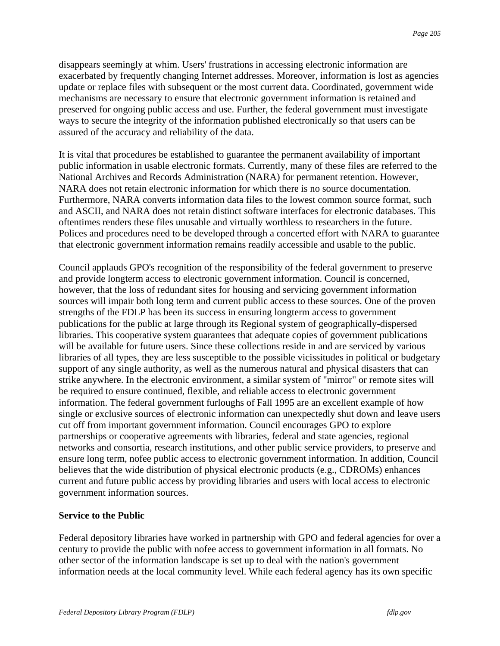disappears seemingly at whim. Users' frustrations in accessing electronic information are exacerbated by frequently changing Internet addresses. Moreover, information is lost as agencies update or replace files with subsequent or the most current data. Coordinated, government wide mechanisms are necessary to ensure that electronic government information is retained and preserved for ongoing public access and use. Further, the federal government must investigate ways to secure the integrity of the information published electronically so that users can be assured of the accuracy and reliability of the data.

It is vital that procedures be established to guarantee the permanent availability of important public information in usable electronic formats. Currently, many of these files are referred to the National Archives and Records Administration (NARA) for permanent retention. However, NARA does not retain electronic information for which there is no source documentation. Furthermore, NARA converts information data files to the lowest common source format, such and ASCII, and NARA does not retain distinct software interfaces for electronic databases. This oftentimes renders these files unusable and virtually worthless to researchers in the future. Polices and procedures need to be developed through a concerted effort with NARA to guarantee that electronic government information remains readily accessible and usable to the public.

Council applauds GPO's recognition of the responsibility of the federal government to preserve and provide longterm access to electronic government information. Council is concerned, however, that the loss of redundant sites for housing and servicing government information sources will impair both long term and current public access to these sources. One of the proven strengths of the FDLP has been its success in ensuring longterm access to government publications for the public at large through its Regional system of geographically-dispersed libraries. This cooperative system guarantees that adequate copies of government publications will be available for future users. Since these collections reside in and are serviced by various libraries of all types, they are less susceptible to the possible vicissitudes in political or budgetary support of any single authority, as well as the numerous natural and physical disasters that can strike anywhere. In the electronic environment, a similar system of "mirror" or remote sites will be required to ensure continued, flexible, and reliable access to electronic government information. The federal government furloughs of Fall 1995 are an excellent example of how single or exclusive sources of electronic information can unexpectedly shut down and leave users cut off from important government information. Council encourages GPO to explore partnerships or cooperative agreements with libraries, federal and state agencies, regional networks and consortia, research institutions, and other public service providers, to preserve and ensure long term, nofee public access to electronic government information. In addition, Council believes that the wide distribution of physical electronic products (e.g., CDROMs) enhances current and future public access by providing libraries and users with local access to electronic government information sources.

# **Service to the Public**

Federal depository libraries have worked in partnership with GPO and federal agencies for over a century to provide the public with nofee access to government information in all formats. No other sector of the information landscape is set up to deal with the nation's government information needs at the local community level. While each federal agency has its own specific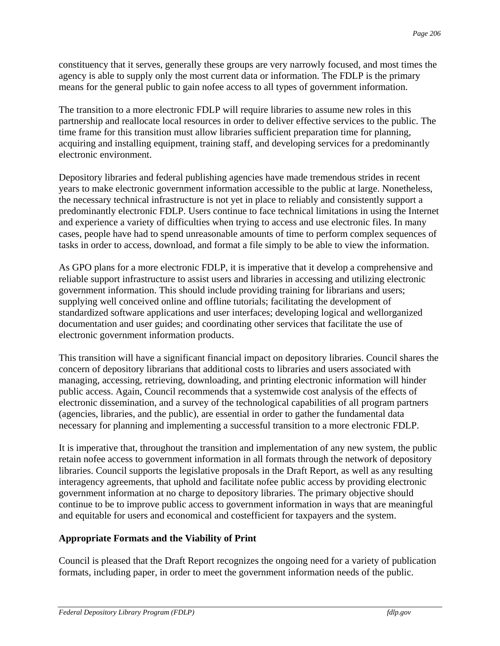constituency that it serves, generally these groups are very narrowly focused, and most times the agency is able to supply only the most current data or information. The FDLP is the primary means for the general public to gain nofee access to all types of government information.

The transition to a more electronic FDLP will require libraries to assume new roles in this partnership and reallocate local resources in order to deliver effective services to the public. The time frame for this transition must allow libraries sufficient preparation time for planning, acquiring and installing equipment, training staff, and developing services for a predominantly electronic environment.

Depository libraries and federal publishing agencies have made tremendous strides in recent years to make electronic government information accessible to the public at large. Nonetheless, the necessary technical infrastructure is not yet in place to reliably and consistently support a predominantly electronic FDLP. Users continue to face technical limitations in using the Internet and experience a variety of difficulties when trying to access and use electronic files. In many cases, people have had to spend unreasonable amounts of time to perform complex sequences of tasks in order to access, download, and format a file simply to be able to view the information.

As GPO plans for a more electronic FDLP, it is imperative that it develop a comprehensive and reliable support infrastructure to assist users and libraries in accessing and utilizing electronic government information. This should include providing training for librarians and users; supplying well conceived online and offline tutorials; facilitating the development of standardized software applications and user interfaces; developing logical and wellorganized documentation and user guides; and coordinating other services that facilitate the use of electronic government information products.

This transition will have a significant financial impact on depository libraries. Council shares the concern of depository librarians that additional costs to libraries and users associated with managing, accessing, retrieving, downloading, and printing electronic information will hinder public access. Again, Council recommends that a systemwide cost analysis of the effects of electronic dissemination, and a survey of the technological capabilities of all program partners (agencies, libraries, and the public), are essential in order to gather the fundamental data necessary for planning and implementing a successful transition to a more electronic FDLP.

It is imperative that, throughout the transition and implementation of any new system, the public retain nofee access to government information in all formats through the network of depository libraries. Council supports the legislative proposals in the Draft Report, as well as any resulting interagency agreements, that uphold and facilitate nofee public access by providing electronic government information at no charge to depository libraries. The primary objective should continue to be to improve public access to government information in ways that are meaningful and equitable for users and economical and costefficient for taxpayers and the system.

# **Appropriate Formats and the Viability of Print**

Council is pleased that the Draft Report recognizes the ongoing need for a variety of publication formats, including paper, in order to meet the government information needs of the public.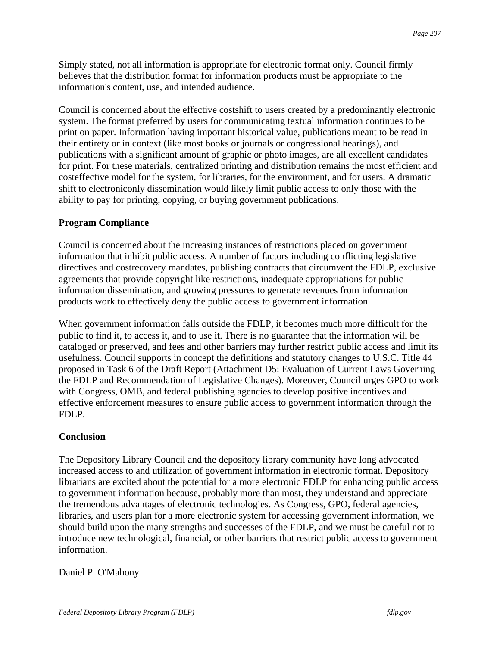Simply stated, not all information is appropriate for electronic format only. Council firmly believes that the distribution format for information products must be appropriate to the information's content, use, and intended audience.

Council is concerned about the effective costshift to users created by a predominantly electronic system. The format preferred by users for communicating textual information continues to be print on paper. Information having important historical value, publications meant to be read in their entirety or in context (like most books or journals or congressional hearings), and publications with a significant amount of graphic or photo images, are all excellent candidates for print. For these materials, centralized printing and distribution remains the most efficient and costeffective model for the system, for libraries, for the environment, and for users. A dramatic shift to electroniconly dissemination would likely limit public access to only those with the ability to pay for printing, copying, or buying government publications.

## **Program Compliance**

Council is concerned about the increasing instances of restrictions placed on government information that inhibit public access. A number of factors including conflicting legislative directives and costrecovery mandates, publishing contracts that circumvent the FDLP, exclusive agreements that provide copyright like restrictions, inadequate appropriations for public information dissemination, and growing pressures to generate revenues from information products work to effectively deny the public access to government information.

When government information falls outside the FDLP, it becomes much more difficult for the public to find it, to access it, and to use it. There is no guarantee that the information will be cataloged or preserved, and fees and other barriers may further restrict public access and limit its usefulness. Council supports in concept the definitions and statutory changes to U.S.C. Title 44 proposed in Task 6 of the Draft Report (Attachment D5: Evaluation of Current Laws Governing the FDLP and Recommendation of Legislative Changes). Moreover, Council urges GPO to work with Congress, OMB, and federal publishing agencies to develop positive incentives and effective enforcement measures to ensure public access to government information through the FDLP.

#### **Conclusion**

The Depository Library Council and the depository library community have long advocated increased access to and utilization of government information in electronic format. Depository librarians are excited about the potential for a more electronic FDLP for enhancing public access to government information because, probably more than most, they understand and appreciate the tremendous advantages of electronic technologies. As Congress, GPO, federal agencies, libraries, and users plan for a more electronic system for accessing government information, we should build upon the many strengths and successes of the FDLP, and we must be careful not to introduce new technological, financial, or other barriers that restrict public access to government information.

#### Daniel P. O'Mahony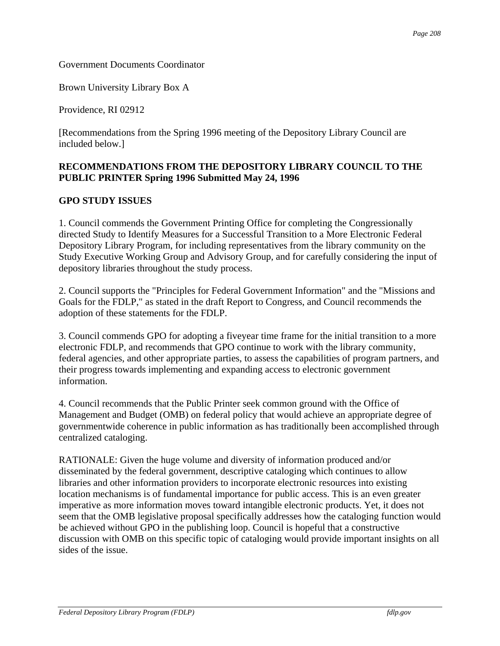## Government Documents Coordinator

Brown University Library Box A

Providence, RI 02912

[Recommendations from the Spring 1996 meeting of the Depository Library Council are included below.]

#### **RECOMMENDATIONS FROM THE DEPOSITORY LIBRARY COUNCIL TO THE PUBLIC PRINTER Spring 1996 Submitted May 24, 1996**

# **GPO STUDY ISSUES**

1. Council commends the Government Printing Office for completing the Congressionally directed Study to Identify Measures for a Successful Transition to a More Electronic Federal Depository Library Program, for including representatives from the library community on the Study Executive Working Group and Advisory Group, and for carefully considering the input of depository libraries throughout the study process.

2. Council supports the "Principles for Federal Government Information" and the "Missions and Goals for the FDLP," as stated in the draft Report to Congress, and Council recommends the adoption of these statements for the FDLP.

3. Council commends GPO for adopting a fiveyear time frame for the initial transition to a more electronic FDLP, and recommends that GPO continue to work with the library community, federal agencies, and other appropriate parties, to assess the capabilities of program partners, and their progress towards implementing and expanding access to electronic government information.

4. Council recommends that the Public Printer seek common ground with the Office of Management and Budget (OMB) on federal policy that would achieve an appropriate degree of governmentwide coherence in public information as has traditionally been accomplished through centralized cataloging.

RATIONALE: Given the huge volume and diversity of information produced and/or disseminated by the federal government, descriptive cataloging which continues to allow libraries and other information providers to incorporate electronic resources into existing location mechanisms is of fundamental importance for public access. This is an even greater imperative as more information moves toward intangible electronic products. Yet, it does not seem that the OMB legislative proposal specifically addresses how the cataloging function would be achieved without GPO in the publishing loop. Council is hopeful that a constructive discussion with OMB on this specific topic of cataloging would provide important insights on all sides of the issue.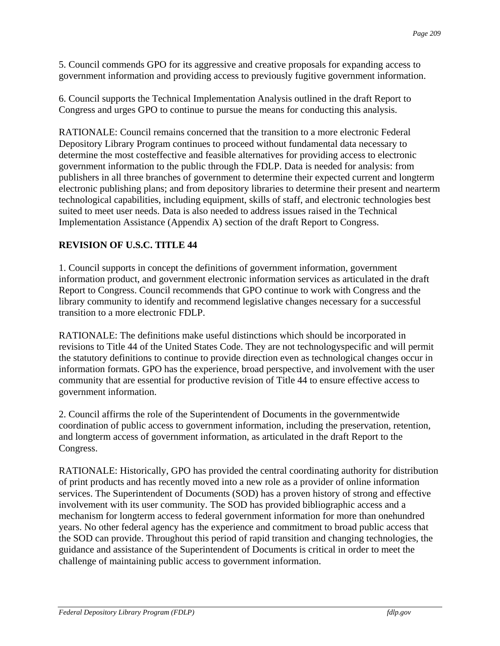5. Council commends GPO for its aggressive and creative proposals for expanding access to government information and providing access to previously fugitive government information.

6. Council supports the Technical Implementation Analysis outlined in the draft Report to Congress and urges GPO to continue to pursue the means for conducting this analysis.

RATIONALE: Council remains concerned that the transition to a more electronic Federal Depository Library Program continues to proceed without fundamental data necessary to determine the most costeffective and feasible alternatives for providing access to electronic government information to the public through the FDLP. Data is needed for analysis: from publishers in all three branches of government to determine their expected current and longterm electronic publishing plans; and from depository libraries to determine their present and nearterm technological capabilities, including equipment, skills of staff, and electronic technologies best suited to meet user needs. Data is also needed to address issues raised in the Technical Implementation Assistance (Appendix A) section of the draft Report to Congress.

# **REVISION OF U.S.C. TITLE 44**

1. Council supports in concept the definitions of government information, government information product, and government electronic information services as articulated in the draft Report to Congress. Council recommends that GPO continue to work with Congress and the library community to identify and recommend legislative changes necessary for a successful transition to a more electronic FDLP.

RATIONALE: The definitions make useful distinctions which should be incorporated in revisions to Title 44 of the United States Code. They are not technologyspecific and will permit the statutory definitions to continue to provide direction even as technological changes occur in information formats. GPO has the experience, broad perspective, and involvement with the user community that are essential for productive revision of Title 44 to ensure effective access to government information.

2. Council affirms the role of the Superintendent of Documents in the governmentwide coordination of public access to government information, including the preservation, retention, and longterm access of government information, as articulated in the draft Report to the Congress.

RATIONALE: Historically, GPO has provided the central coordinating authority for distribution of print products and has recently moved into a new role as a provider of online information services. The Superintendent of Documents (SOD) has a proven history of strong and effective involvement with its user community. The SOD has provided bibliographic access and a mechanism for longterm access to federal government information for more than onehundred years. No other federal agency has the experience and commitment to broad public access that the SOD can provide. Throughout this period of rapid transition and changing technologies, the guidance and assistance of the Superintendent of Documents is critical in order to meet the challenge of maintaining public access to government information.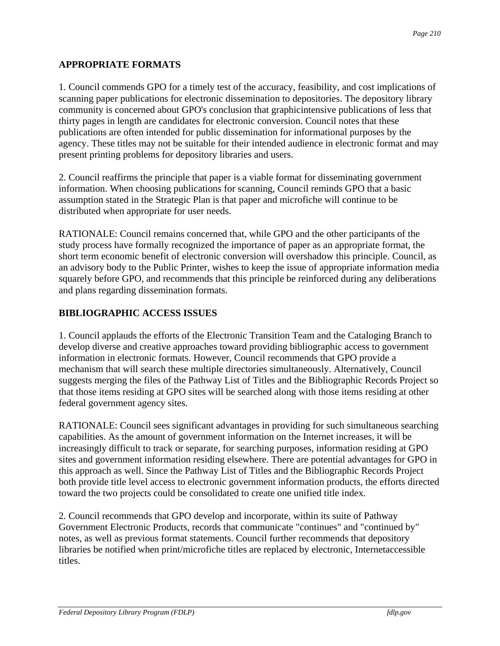# **APPROPRIATE FORMATS**

1. Council commends GPO for a timely test of the accuracy, feasibility, and cost implications of scanning paper publications for electronic dissemination to depositories. The depository library community is concerned about GPO's conclusion that graphicintensive publications of less that thirty pages in length are candidates for electronic conversion. Council notes that these publications are often intended for public dissemination for informational purposes by the agency. These titles may not be suitable for their intended audience in electronic format and may present printing problems for depository libraries and users.

2. Council reaffirms the principle that paper is a viable format for disseminating government information. When choosing publications for scanning, Council reminds GPO that a basic assumption stated in the Strategic Plan is that paper and microfiche will continue to be distributed when appropriate for user needs.

RATIONALE: Council remains concerned that, while GPO and the other participants of the study process have formally recognized the importance of paper as an appropriate format, the short term economic benefit of electronic conversion will overshadow this principle. Council, as an advisory body to the Public Printer, wishes to keep the issue of appropriate information media squarely before GPO, and recommends that this principle be reinforced during any deliberations and plans regarding dissemination formats.

# **BIBLIOGRAPHIC ACCESS ISSUES**

1. Council applauds the efforts of the Electronic Transition Team and the Cataloging Branch to develop diverse and creative approaches toward providing bibliographic access to government information in electronic formats. However, Council recommends that GPO provide a mechanism that will search these multiple directories simultaneously. Alternatively, Council suggests merging the files of the Pathway List of Titles and the Bibliographic Records Project so that those items residing at GPO sites will be searched along with those items residing at other federal government agency sites.

RATIONALE: Council sees significant advantages in providing for such simultaneous searching capabilities. As the amount of government information on the Internet increases, it will be increasingly difficult to track or separate, for searching purposes, information residing at GPO sites and government information residing elsewhere. There are potential advantages for GPO in this approach as well. Since the Pathway List of Titles and the Bibliographic Records Project both provide title level access to electronic government information products, the efforts directed toward the two projects could be consolidated to create one unified title index.

2. Council recommends that GPO develop and incorporate, within its suite of Pathway Government Electronic Products, records that communicate "continues" and "continued by" notes, as well as previous format statements. Council further recommends that depository libraries be notified when print/microfiche titles are replaced by electronic, Internetaccessible titles.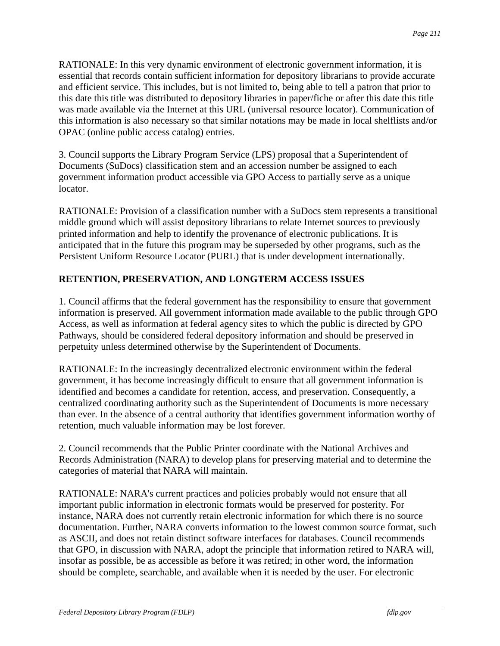RATIONALE: In this very dynamic environment of electronic government information, it is essential that records contain sufficient information for depository librarians to provide accurate and efficient service. This includes, but is not limited to, being able to tell a patron that prior to this date this title was distributed to depository libraries in paper/fiche or after this date this title was made available via the Internet at this URL (universal resource locator). Communication of this information is also necessary so that similar notations may be made in local shelflists and/or OPAC (online public access catalog) entries.

3. Council supports the Library Program Service (LPS) proposal that a Superintendent of Documents (SuDocs) classification stem and an accession number be assigned to each government information product accessible via GPO Access to partially serve as a unique locator.

RATIONALE: Provision of a classification number with a SuDocs stem represents a transitional middle ground which will assist depository librarians to relate Internet sources to previously printed information and help to identify the provenance of electronic publications. It is anticipated that in the future this program may be superseded by other programs, such as the Persistent Uniform Resource Locator (PURL) that is under development internationally.

# **RETENTION, PRESERVATION, AND LONGTERM ACCESS ISSUES**

1. Council affirms that the federal government has the responsibility to ensure that government information is preserved. All government information made available to the public through GPO Access, as well as information at federal agency sites to which the public is directed by GPO Pathways, should be considered federal depository information and should be preserved in perpetuity unless determined otherwise by the Superintendent of Documents.

RATIONALE: In the increasingly decentralized electronic environment within the federal government, it has become increasingly difficult to ensure that all government information is identified and becomes a candidate for retention, access, and preservation. Consequently, a centralized coordinating authority such as the Superintendent of Documents is more necessary than ever. In the absence of a central authority that identifies government information worthy of retention, much valuable information may be lost forever.

2. Council recommends that the Public Printer coordinate with the National Archives and Records Administration (NARA) to develop plans for preserving material and to determine the categories of material that NARA will maintain.

RATIONALE: NARA's current practices and policies probably would not ensure that all important public information in electronic formats would be preserved for posterity. For instance, NARA does not currently retain electronic information for which there is no source documentation. Further, NARA converts information to the lowest common source format, such as ASCII, and does not retain distinct software interfaces for databases. Council recommends that GPO, in discussion with NARA, adopt the principle that information retired to NARA will, insofar as possible, be as accessible as before it was retired; in other word, the information should be complete, searchable, and available when it is needed by the user. For electronic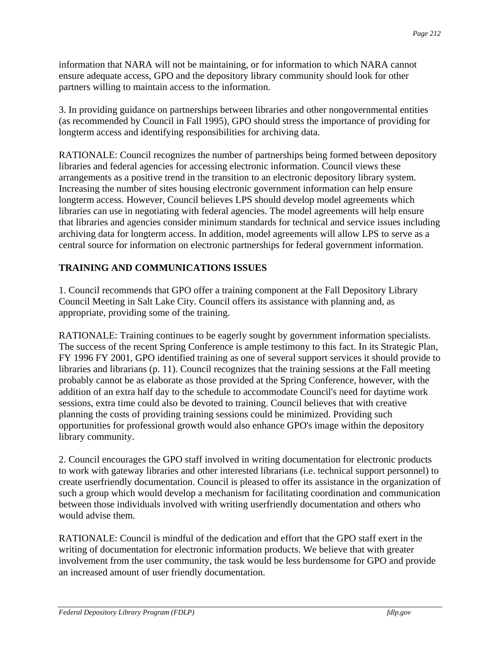information that NARA will not be maintaining, or for information to which NARA cannot ensure adequate access, GPO and the depository library community should look for other partners willing to maintain access to the information.

3. In providing guidance on partnerships between libraries and other nongovernmental entities (as recommended by Council in Fall 1995), GPO should stress the importance of providing for longterm access and identifying responsibilities for archiving data.

RATIONALE: Council recognizes the number of partnerships being formed between depository libraries and federal agencies for accessing electronic information. Council views these arrangements as a positive trend in the transition to an electronic depository library system. Increasing the number of sites housing electronic government information can help ensure longterm access. However, Council believes LPS should develop model agreements which libraries can use in negotiating with federal agencies. The model agreements will help ensure that libraries and agencies consider minimum standards for technical and service issues including archiving data for longterm access. In addition, model agreements will allow LPS to serve as a central source for information on electronic partnerships for federal government information.

# **TRAINING AND COMMUNICATIONS ISSUES**

1. Council recommends that GPO offer a training component at the Fall Depository Library Council Meeting in Salt Lake City. Council offers its assistance with planning and, as appropriate, providing some of the training.

RATIONALE: Training continues to be eagerly sought by government information specialists. The success of the recent Spring Conference is ample testimony to this fact. In its Strategic Plan, FY 1996 FY 2001, GPO identified training as one of several support services it should provide to libraries and librarians (p. 11). Council recognizes that the training sessions at the Fall meeting probably cannot be as elaborate as those provided at the Spring Conference, however, with the addition of an extra half day to the schedule to accommodate Council's need for daytime work sessions, extra time could also be devoted to training. Council believes that with creative planning the costs of providing training sessions could be minimized. Providing such opportunities for professional growth would also enhance GPO's image within the depository library community.

2. Council encourages the GPO staff involved in writing documentation for electronic products to work with gateway libraries and other interested librarians (i.e. technical support personnel) to create userfriendly documentation. Council is pleased to offer its assistance in the organization of such a group which would develop a mechanism for facilitating coordination and communication between those individuals involved with writing userfriendly documentation and others who would advise them.

RATIONALE: Council is mindful of the dedication and effort that the GPO staff exert in the writing of documentation for electronic information products. We believe that with greater involvement from the user community, the task would be less burdensome for GPO and provide an increased amount of user friendly documentation.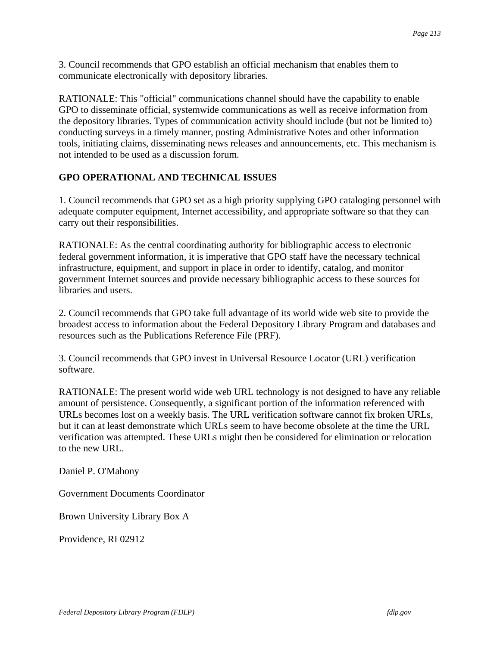3. Council recommends that GPO establish an official mechanism that enables them to communicate electronically with depository libraries.

RATIONALE: This "official" communications channel should have the capability to enable GPO to disseminate official, systemwide communications as well as receive information from the depository libraries. Types of communication activity should include (but not be limited to) conducting surveys in a timely manner, posting Administrative Notes and other information tools, initiating claims, disseminating news releases and announcements, etc. This mechanism is not intended to be used as a discussion forum.

## **GPO OPERATIONAL AND TECHNICAL ISSUES**

1. Council recommends that GPO set as a high priority supplying GPO cataloging personnel with adequate computer equipment, Internet accessibility, and appropriate software so that they can carry out their responsibilities.

RATIONALE: As the central coordinating authority for bibliographic access to electronic federal government information, it is imperative that GPO staff have the necessary technical infrastructure, equipment, and support in place in order to identify, catalog, and monitor government Internet sources and provide necessary bibliographic access to these sources for libraries and users.

2. Council recommends that GPO take full advantage of its world wide web site to provide the broadest access to information about the Federal Depository Library Program and databases and resources such as the Publications Reference File (PRF).

3. Council recommends that GPO invest in Universal Resource Locator (URL) verification software.

RATIONALE: The present world wide web URL technology is not designed to have any reliable amount of persistence. Consequently, a significant portion of the information referenced with URLs becomes lost on a weekly basis. The URL verification software cannot fix broken URLs, but it can at least demonstrate which URLs seem to have become obsolete at the time the URL verification was attempted. These URLs might then be considered for elimination or relocation to the new URL.

Daniel P. O'Mahony

Government Documents Coordinator

Brown University Library Box A

Providence, RI 02912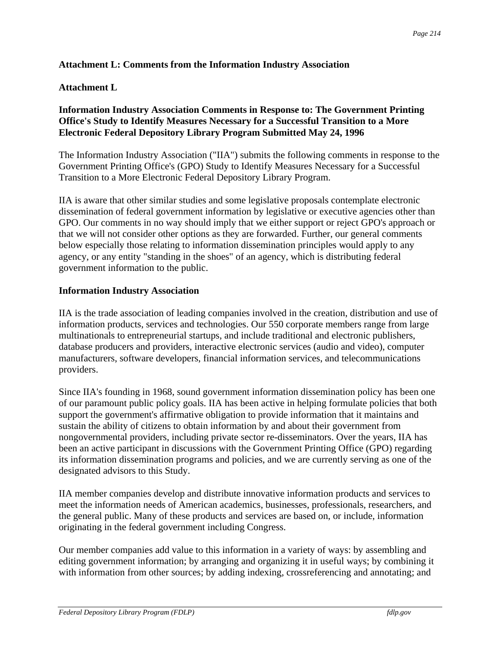# **Attachment L: Comments from the Information Industry Association**

## **Attachment L**

#### **Information Industry Association Comments in Response to: The Government Printing Office's Study to Identify Measures Necessary for a Successful Transition to a More Electronic Federal Depository Library Program Submitted May 24, 1996**

The Information Industry Association ("IIA") submits the following comments in response to the Government Printing Office's (GPO) Study to Identify Measures Necessary for a Successful Transition to a More Electronic Federal Depository Library Program.

IIA is aware that other similar studies and some legislative proposals contemplate electronic dissemination of federal government information by legislative or executive agencies other than GPO. Our comments in no way should imply that we either support or reject GPO's approach or that we will not consider other options as they are forwarded. Further, our general comments below especially those relating to information dissemination principles would apply to any agency, or any entity "standing in the shoes" of an agency, which is distributing federal government information to the public.

#### **Information Industry Association**

IIA is the trade association of leading companies involved in the creation, distribution and use of information products, services and technologies. Our 550 corporate members range from large multinationals to entrepreneurial startups, and include traditional and electronic publishers, database producers and providers, interactive electronic services (audio and video), computer manufacturers, software developers, financial information services, and telecommunications providers.

Since IIA's founding in 1968, sound government information dissemination policy has been one of our paramount public policy goals. IIA has been active in helping formulate policies that both support the government's affirmative obligation to provide information that it maintains and sustain the ability of citizens to obtain information by and about their government from nongovernmental providers, including private sector re-disseminators. Over the years, IIA has been an active participant in discussions with the Government Printing Office (GPO) regarding its information dissemination programs and policies, and we are currently serving as one of the designated advisors to this Study.

IIA member companies develop and distribute innovative information products and services to meet the information needs of American academics, businesses, professionals, researchers, and the general public. Many of these products and services are based on, or include, information originating in the federal government including Congress.

Our member companies add value to this information in a variety of ways: by assembling and editing government information; by arranging and organizing it in useful ways; by combining it with information from other sources; by adding indexing, crossreferencing and annotating; and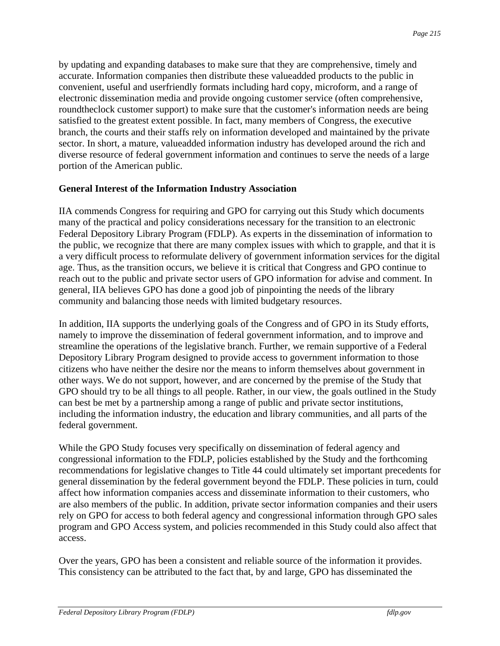by updating and expanding databases to make sure that they are comprehensive, timely and accurate. Information companies then distribute these valueadded products to the public in convenient, useful and userfriendly formats including hard copy, microform, and a range of electronic dissemination media and provide ongoing customer service (often comprehensive, roundtheclock customer support) to make sure that the customer's information needs are being satisfied to the greatest extent possible. In fact, many members of Congress, the executive branch, the courts and their staffs rely on information developed and maintained by the private sector. In short, a mature, valueadded information industry has developed around the rich and diverse resource of federal government information and continues to serve the needs of a large portion of the American public.

## **General Interest of the Information Industry Association**

IIA commends Congress for requiring and GPO for carrying out this Study which documents many of the practical and policy considerations necessary for the transition to an electronic Federal Depository Library Program (FDLP). As experts in the dissemination of information to the public, we recognize that there are many complex issues with which to grapple, and that it is a very difficult process to reformulate delivery of government information services for the digital age. Thus, as the transition occurs, we believe it is critical that Congress and GPO continue to reach out to the public and private sector users of GPO information for advise and comment. In general, IIA believes GPO has done a good job of pinpointing the needs of the library community and balancing those needs with limited budgetary resources.

In addition, IIA supports the underlying goals of the Congress and of GPO in its Study efforts, namely to improve the dissemination of federal government information, and to improve and streamline the operations of the legislative branch. Further, we remain supportive of a Federal Depository Library Program designed to provide access to government information to those citizens who have neither the desire nor the means to inform themselves about government in other ways. We do not support, however, and are concerned by the premise of the Study that GPO should try to be all things to all people. Rather, in our view, the goals outlined in the Study can best be met by a partnership among a range of public and private sector institutions, including the information industry, the education and library communities, and all parts of the federal government.

While the GPO Study focuses very specifically on dissemination of federal agency and congressional information to the FDLP, policies established by the Study and the forthcoming recommendations for legislative changes to Title 44 could ultimately set important precedents for general dissemination by the federal government beyond the FDLP. These policies in turn, could affect how information companies access and disseminate information to their customers, who are also members of the public. In addition, private sector information companies and their users rely on GPO for access to both federal agency and congressional information through GPO sales program and GPO Access system, and policies recommended in this Study could also affect that access.

Over the years, GPO has been a consistent and reliable source of the information it provides. This consistency can be attributed to the fact that, by and large, GPO has disseminated the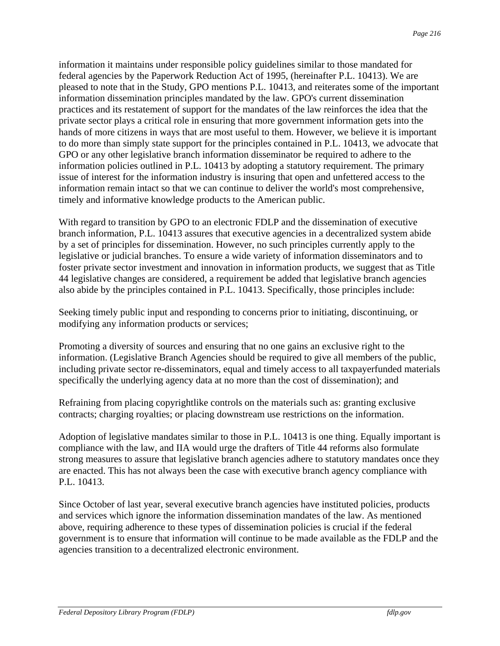information it maintains under responsible policy guidelines similar to those mandated for federal agencies by the Paperwork Reduction Act of 1995, (hereinafter P.L. 10413). We are pleased to note that in the Study, GPO mentions P.L. 10413, and reiterates some of the important information dissemination principles mandated by the law. GPO's current dissemination practices and its restatement of support for the mandates of the law reinforces the idea that the private sector plays a critical role in ensuring that more government information gets into the hands of more citizens in ways that are most useful to them. However, we believe it is important to do more than simply state support for the principles contained in P.L. 10413, we advocate that GPO or any other legislative branch information disseminator be required to adhere to the information policies outlined in P.L. 10413 by adopting a statutory requirement. The primary issue of interest for the information industry is insuring that open and unfettered access to the information remain intact so that we can continue to deliver the world's most comprehensive, timely and informative knowledge products to the American public.

With regard to transition by GPO to an electronic FDLP and the dissemination of executive branch information, P.L. 10413 assures that executive agencies in a decentralized system abide by a set of principles for dissemination. However, no such principles currently apply to the legislative or judicial branches. To ensure a wide variety of information disseminators and to foster private sector investment and innovation in information products, we suggest that as Title 44 legislative changes are considered, a requirement be added that legislative branch agencies also abide by the principles contained in P.L. 10413. Specifically, those principles include:

Seeking timely public input and responding to concerns prior to initiating, discontinuing, or modifying any information products or services;

Promoting a diversity of sources and ensuring that no one gains an exclusive right to the information. (Legislative Branch Agencies should be required to give all members of the public, including private sector re-disseminators, equal and timely access to all taxpayerfunded materials specifically the underlying agency data at no more than the cost of dissemination); and

Refraining from placing copyrightlike controls on the materials such as: granting exclusive contracts; charging royalties; or placing downstream use restrictions on the information.

Adoption of legislative mandates similar to those in P.L. 10413 is one thing. Equally important is compliance with the law, and IIA would urge the drafters of Title 44 reforms also formulate strong measures to assure that legislative branch agencies adhere to statutory mandates once they are enacted. This has not always been the case with executive branch agency compliance with P.L. 10413.

Since October of last year, several executive branch agencies have instituted policies, products and services which ignore the information dissemination mandates of the law. As mentioned above, requiring adherence to these types of dissemination policies is crucial if the federal government is to ensure that information will continue to be made available as the FDLP and the agencies transition to a decentralized electronic environment.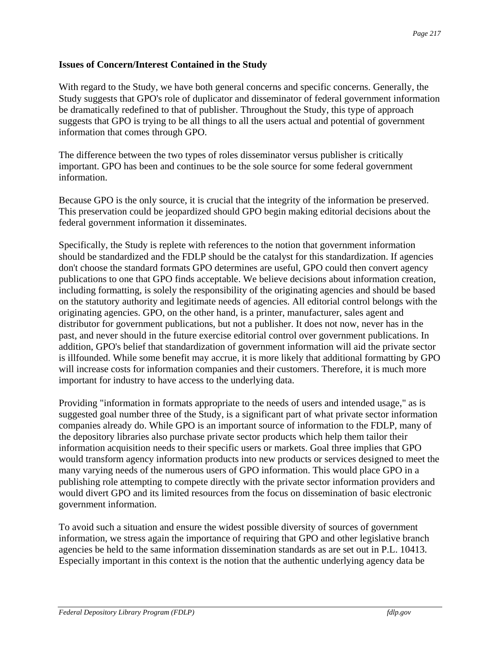# **Issues of Concern/Interest Contained in the Study**

With regard to the Study, we have both general concerns and specific concerns. Generally, the Study suggests that GPO's role of duplicator and disseminator of federal government information be dramatically redefined to that of publisher. Throughout the Study, this type of approach suggests that GPO is trying to be all things to all the users actual and potential of government information that comes through GPO.

The difference between the two types of roles disseminator versus publisher is critically important. GPO has been and continues to be the sole source for some federal government information.

Because GPO is the only source, it is crucial that the integrity of the information be preserved. This preservation could be jeopardized should GPO begin making editorial decisions about the federal government information it disseminates.

Specifically, the Study is replete with references to the notion that government information should be standardized and the FDLP should be the catalyst for this standardization. If agencies don't choose the standard formats GPO determines are useful, GPO could then convert agency publications to one that GPO finds acceptable. We believe decisions about information creation, including formatting, is solely the responsibility of the originating agencies and should be based on the statutory authority and legitimate needs of agencies. All editorial control belongs with the originating agencies. GPO, on the other hand, is a printer, manufacturer, sales agent and distributor for government publications, but not a publisher. It does not now, never has in the past, and never should in the future exercise editorial control over government publications. In addition, GPO's belief that standardization of government information will aid the private sector is illfounded. While some benefit may accrue, it is more likely that additional formatting by GPO will increase costs for information companies and their customers. Therefore, it is much more important for industry to have access to the underlying data.

Providing "information in formats appropriate to the needs of users and intended usage," as is suggested goal number three of the Study, is a significant part of what private sector information companies already do. While GPO is an important source of information to the FDLP, many of the depository libraries also purchase private sector products which help them tailor their information acquisition needs to their specific users or markets. Goal three implies that GPO would transform agency information products into new products or services designed to meet the many varying needs of the numerous users of GPO information. This would place GPO in a publishing role attempting to compete directly with the private sector information providers and would divert GPO and its limited resources from the focus on dissemination of basic electronic government information.

To avoid such a situation and ensure the widest possible diversity of sources of government information, we stress again the importance of requiring that GPO and other legislative branch agencies be held to the same information dissemination standards as are set out in P.L. 10413. Especially important in this context is the notion that the authentic underlying agency data be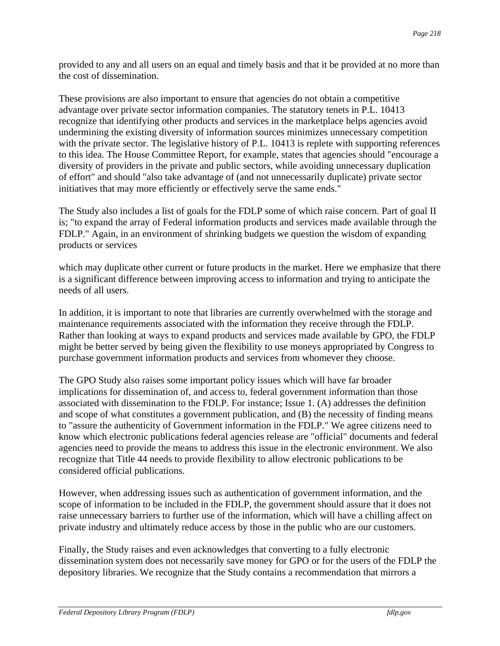provided to any and all users on an equal and timely basis and that it be provided at no more than the cost of dissemination.

These provisions are also important to ensure that agencies do not obtain a competitive advantage over private sector information companies. The statutory tenets in P.L. 10413 recognize that identifying other products and services in the marketplace helps agencies avoid undermining the existing diversity of information sources minimizes unnecessary competition with the private sector. The legislative history of P.L. 10413 is replete with supporting references to this idea. The House Committee Report, for example, states that agencies should "encourage a diversity of providers in the private and public sectors, while avoiding unnecessary duplication of effort" and should "also take advantage of (and not unnecessarily duplicate) private sector initiatives that may more efficiently or effectively serve the same ends."

The Study also includes a list of goals for the FDLP some of which raise concern. Part of goal II is; "to expand the array of Federal information products and services made available through the FDLP." Again, in an environment of shrinking budgets we question the wisdom of expanding products or services

which may duplicate other current or future products in the market. Here we emphasize that there is a significant difference between improving access to information and trying to anticipate the needs of all users.

In addition, it is important to note that libraries are currently overwhelmed with the storage and maintenance requirements associated with the information they receive through the FDLP. Rather than looking at ways to expand products and services made available by GPO, the FDLP might be better served by being given the flexibility to use moneys appropriated by Congress to purchase government information products and services from whomever they choose.

The GPO Study also raises some important policy issues which will have far broader implications for dissemination of, and access to, federal government information than those associated with dissemination to the FDLP. For instance; Issue 1. (A) addresses the definition and scope of what constitutes a government publication, and (B) the necessity of finding means to "assure the authenticity of Government information in the FDLP." We agree citizens need to know which electronic publications federal agencies release are "official" documents and federal agencies need to provide the means to address this issue in the electronic environment. We also recognize that Title 44 needs to provide flexibility to allow electronic publications to be considered official publications.

However, when addressing issues such as authentication of government information, and the scope of information to be included in the FDLP, the government should assure that it does not raise unnecessary barriers to further use of the information, which will have a chilling affect on private industry and ultimately reduce access by those in the public who are our customers.

Finally, the Study raises and even acknowledges that converting to a fully electronic dissemination system does not necessarily save money for GPO or for the users of the FDLP the depository libraries. We recognize that the Study contains a recommendation that mirrors a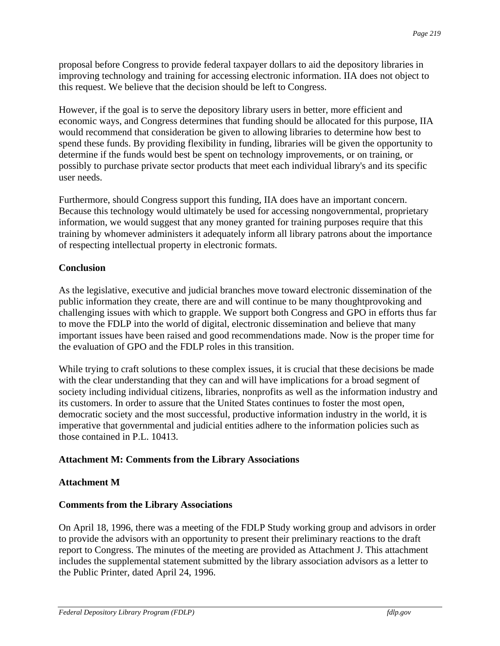proposal before Congress to provide federal taxpayer dollars to aid the depository libraries in improving technology and training for accessing electronic information. IIA does not object to this request. We believe that the decision should be left to Congress.

However, if the goal is to serve the depository library users in better, more efficient and economic ways, and Congress determines that funding should be allocated for this purpose, IIA would recommend that consideration be given to allowing libraries to determine how best to spend these funds. By providing flexibility in funding, libraries will be given the opportunity to determine if the funds would best be spent on technology improvements, or on training, or possibly to purchase private sector products that meet each individual library's and its specific user needs.

Furthermore, should Congress support this funding, IIA does have an important concern. Because this technology would ultimately be used for accessing nongovernmental, proprietary information, we would suggest that any money granted for training purposes require that this training by whomever administers it adequately inform all library patrons about the importance of respecting intellectual property in electronic formats.

# **Conclusion**

As the legislative, executive and judicial branches move toward electronic dissemination of the public information they create, there are and will continue to be many thoughtprovoking and challenging issues with which to grapple. We support both Congress and GPO in efforts thus far to move the FDLP into the world of digital, electronic dissemination and believe that many important issues have been raised and good recommendations made. Now is the proper time for the evaluation of GPO and the FDLP roles in this transition.

While trying to craft solutions to these complex issues, it is crucial that these decisions be made with the clear understanding that they can and will have implications for a broad segment of society including individual citizens, libraries, nonprofits as well as the information industry and its customers. In order to assure that the United States continues to foster the most open, democratic society and the most successful, productive information industry in the world, it is imperative that governmental and judicial entities adhere to the information policies such as those contained in P.L. 10413.

### **Attachment M: Comments from the Library Associations**

### **Attachment M**

### **Comments from the Library Associations**

On April 18, 1996, there was a meeting of the FDLP Study working group and advisors in order to provide the advisors with an opportunity to present their preliminary reactions to the draft report to Congress. The minutes of the meeting are provided as Attachment J. This attachment includes the supplemental statement submitted by the library association advisors as a letter to the Public Printer, dated April 24, 1996.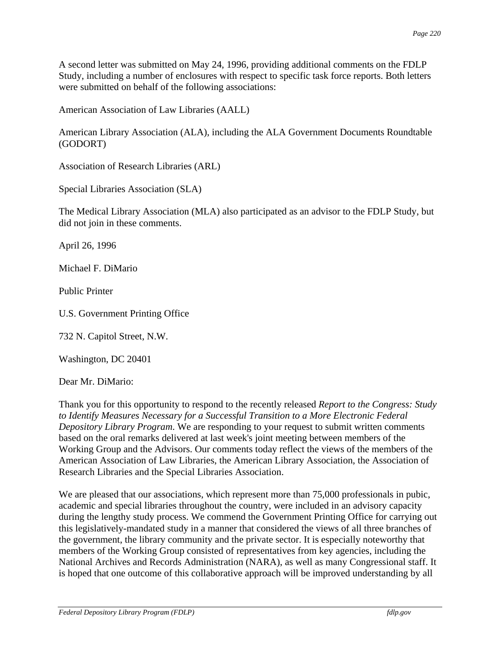A second letter was submitted on May 24, 1996, providing additional comments on the FDLP Study, including a number of enclosures with respect to specific task force reports. Both letters were submitted on behalf of the following associations:

American Association of Law Libraries (AALL)

American Library Association (ALA), including the ALA Government Documents Roundtable (GODORT)

Association of Research Libraries (ARL)

Special Libraries Association (SLA)

The Medical Library Association (MLA) also participated as an advisor to the FDLP Study, but did not join in these comments.

April 26, 1996

Michael F. DiMario

Public Printer

U.S. Government Printing Office

732 N. Capitol Street, N.W.

Washington, DC 20401

Dear Mr. DiMario:

Thank you for this opportunity to respond to the recently released *Report to the Congress: Study to Identify Measures Necessary for a Successful Transition to a More Electronic Federal Depository Library Program.* We are responding to your request to submit written comments based on the oral remarks delivered at last week's joint meeting between members of the Working Group and the Advisors. Our comments today reflect the views of the members of the American Association of Law Libraries, the American Library Association, the Association of Research Libraries and the Special Libraries Association.

We are pleased that our associations, which represent more than 75,000 professionals in pubic, academic and special libraries throughout the country, were included in an advisory capacity during the lengthy study process. We commend the Government Printing Office for carrying out this legislatively-mandated study in a manner that considered the views of all three branches of the government, the library community and the private sector. It is especially noteworthy that members of the Working Group consisted of representatives from key agencies, including the National Archives and Records Administration (NARA), as well as many Congressional staff. It is hoped that one outcome of this collaborative approach will be improved understanding by all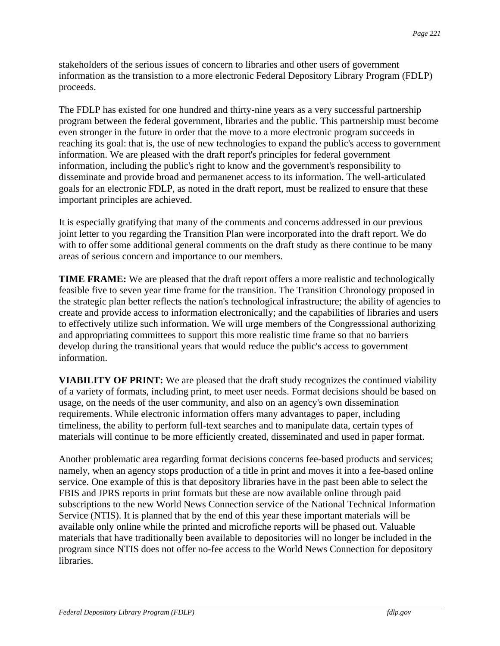stakeholders of the serious issues of concern to libraries and other users of government information as the transistion to a more electronic Federal Depository Library Program (FDLP) proceeds.

The FDLP has existed for one hundred and thirty-nine years as a very successful partnership program between the federal government, libraries and the public. This partnership must become even stronger in the future in order that the move to a more electronic program succeeds in reaching its goal: that is, the use of new technologies to expand the public's access to government information. We are pleased with the draft report's principles for federal government information, including the public's right to know and the government's responsibility to disseminate and provide broad and permanenet access to its information. The well-articulated goals for an electronic FDLP, as noted in the draft report, must be realized to ensure that these important principles are achieved.

It is especially gratifying that many of the comments and concerns addressed in our previous joint letter to you regarding the Transition Plan were incorporated into the draft report. We do with to offer some additional general comments on the draft study as there continue to be many areas of serious concern and importance to our members.

**TIME FRAME:** We are pleased that the draft report offers a more realistic and technologically feasible five to seven year time frame for the transition. The Transition Chronology proposed in the strategic plan better reflects the nation's technological infrastructure; the ability of agencies to create and provide access to information electronically; and the capabilities of libraries and users to effectively utilize such information. We will urge members of the Congresssional authorizing and appropriating committees to support this more realistic time frame so that no barriers develop during the transitional years that would reduce the public's access to government information.

**VIABILITY OF PRINT:** We are pleased that the draft study recognizes the continued viability of a variety of formats, including print, to meet user needs. Format decisions should be based on usage, on the needs of the user community, and also on an agency's own dissemination requirements. While electronic information offers many advantages to paper, including timeliness, the ability to perform full-text searches and to manipulate data, certain types of materials will continue to be more efficiently created, disseminated and used in paper format.

Another problematic area regarding format decisions concerns fee-based products and services; namely, when an agency stops production of a title in print and moves it into a fee-based online service. One example of this is that depository libraries have in the past been able to select the FBIS and JPRS reports in print formats but these are now available online through paid subscriptions to the new World News Connection service of the National Technical Information Service (NTIS). It is planned that by the end of this year these important materials will be available only online while the printed and microfiche reports will be phased out. Valuable materials that have traditionally been available to depositories will no longer be included in the program since NTIS does not offer no-fee access to the World News Connection for depository libraries.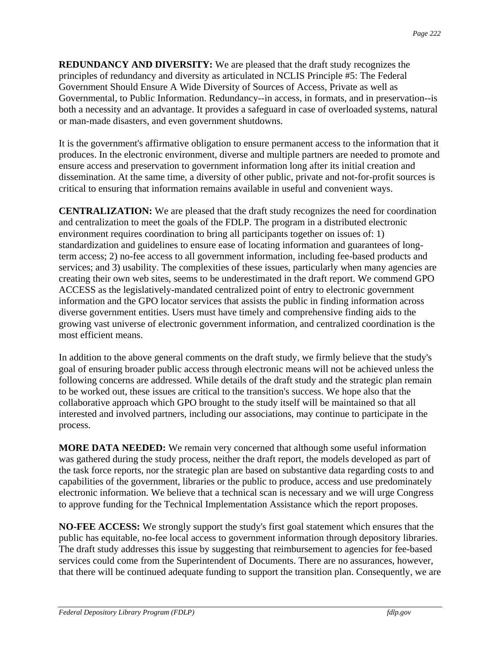**REDUNDANCY AND DIVERSITY:** We are pleased that the draft study recognizes the principles of redundancy and diversity as articulated in NCLIS Principle #5: The Federal Government Should Ensure A Wide Diversity of Sources of Access, Private as well as Governmental, to Public Information. Redundancy--in access, in formats, and in preservation--is both a necessity and an advantage. It provides a safeguard in case of overloaded systems, natural or man-made disasters, and even government shutdowns.

It is the government's affirmative obligation to ensure permanent access to the information that it produces. In the electronic environment, diverse and multiple partners are needed to promote and ensure access and preservation to government information long after its initial creation and dissemination. At the same time, a diversity of other public, private and not-for-profit sources is critical to ensuring that information remains available in useful and convenient ways.

**CENTRALIZATION:** We are pleased that the draft study recognizes the need for coordination and centralization to meet the goals of the FDLP. The program in a distributed electronic environment requires coordination to bring all participants together on issues of: 1) standardization and guidelines to ensure ease of locating information and guarantees of longterm access; 2) no-fee access to all government information, including fee-based products and services; and 3) usability. The complexities of these issues, particularly when many agencies are creating their own web sites, seems to be underestimated in the draft report. We commend GPO ACCESS as the legislatively-mandated centralized point of entry to electronic government information and the GPO locator services that assists the public in finding information across diverse government entities. Users must have timely and comprehensive finding aids to the growing vast universe of electronic government information, and centralized coordination is the most efficient means.

In addition to the above general comments on the draft study, we firmly believe that the study's goal of ensuring broader public access through electronic means will not be achieved unless the following concerns are addressed. While details of the draft study and the strategic plan remain to be worked out, these issues are critical to the transition's success. We hope also that the collaborative approach which GPO brought to the study itself will be maintained so that all interested and involved partners, including our associations, may continue to participate in the process.

**MORE DATA NEEDED:** We remain very concerned that although some useful information was gathered during the study process, neither the draft report, the models developed as part of the task force reports, nor the strategic plan are based on substantive data regarding costs to and capabilities of the government, libraries or the public to produce, access and use predominately electronic information. We believe that a technical scan is necessary and we will urge Congress to approve funding for the Technical Implementation Assistance which the report proposes.

**NO-FEE ACCESS:** We strongly support the study's first goal statement which ensures that the public has equitable, no-fee local access to government information through depository libraries. The draft study addresses this issue by suggesting that reimbursement to agencies for fee-based services could come from the Superintendent of Documents. There are no assurances, however, that there will be continued adequate funding to support the transition plan. Consequently, we are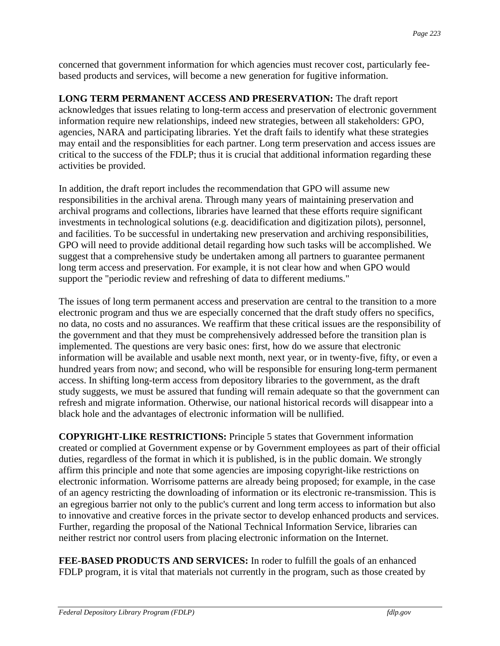concerned that government information for which agencies must recover cost, particularly feebased products and services, will become a new generation for fugitive information.

**LONG TERM PERMANENT ACCESS AND PRESERVATION:** The draft report acknowledges that issues relating to long-term access and preservation of electronic government information require new relationships, indeed new strategies, between all stakeholders: GPO, agencies, NARA and participating libraries. Yet the draft fails to identify what these strategies may entail and the responsiblities for each partner. Long term preservation and access issues are critical to the success of the FDLP; thus it is crucial that additional information regarding these activities be provided.

In addition, the draft report includes the recommendation that GPO will assume new responsibilities in the archival arena. Through many years of maintaining preservation and archival programs and collections, libraries have learned that these efforts require significant investments in technological solutions (e.g. deacidification and digitization pilots), personnel, and facilities. To be successful in undertaking new preservation and archiving responsibilities, GPO will need to provide additional detail regarding how such tasks will be accomplished. We suggest that a comprehensive study be undertaken among all partners to guarantee permanent long term access and preservation. For example, it is not clear how and when GPO would support the "periodic review and refreshing of data to different mediums."

The issues of long term permanent access and preservation are central to the transition to a more electronic program and thus we are especially concerned that the draft study offers no specifics, no data, no costs and no assurances. We reaffirm that these critical issues are the responsibility of the government and that they must be comprehensively addressed before the transition plan is implemented. The questions are very basic ones: first, how do we assure that electronic information will be available and usable next month, next year, or in twenty-five, fifty, or even a hundred years from now; and second, who will be responsible for ensuring long-term permanent access. In shifting long-term access from depository libraries to the government, as the draft study suggests, we must be assured that funding will remain adequate so that the government can refresh and migrate information. Otherwise, our national historical records will disappear into a black hole and the advantages of electronic information will be nullified.

**COPYRIGHT-LIKE RESTRICTIONS:** Principle 5 states that Government information created or complied at Government expense or by Government employees as part of their official duties, regardless of the format in which it is published, is in the public domain. We strongly affirm this principle and note that some agencies are imposing copyright-like restrictions on electronic information. Worrisome patterns are already being proposed; for example, in the case of an agency restricting the downloading of information or its electronic re-transmission. This is an egregious barrier not only to the public's current and long term access to information but also to innovative and creative forces in the private sector to develop enhanced products and services. Further, regarding the proposal of the National Technical Information Service, libraries can neither restrict nor control users from placing electronic information on the Internet.

**FEE-BASED PRODUCTS AND SERVICES:** In roder to fulfill the goals of an enhanced FDLP program, it is vital that materials not currently in the program, such as those created by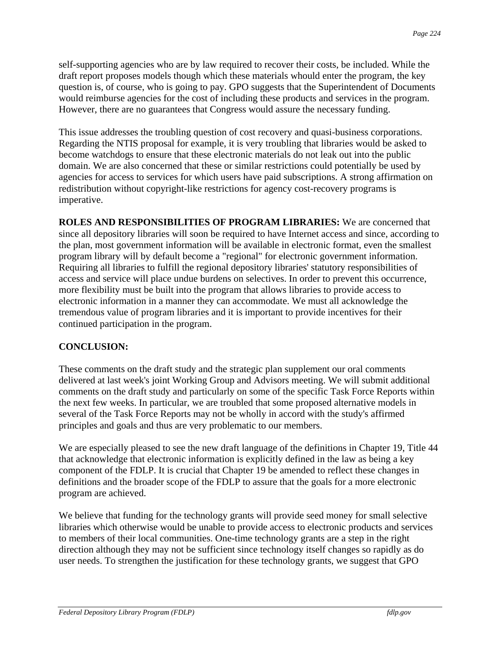self-supporting agencies who are by law required to recover their costs, be included. While the draft report proposes models though which these materials whould enter the program, the key question is, of course, who is going to pay. GPO suggests that the Superintendent of Documents would reimburse agencies for the cost of including these products and services in the program. However, there are no guarantees that Congress would assure the necessary funding.

This issue addresses the troubling question of cost recovery and quasi-business corporations. Regarding the NTIS proposal for example, it is very troubling that libraries would be asked to become watchdogs to ensure that these electronic materials do not leak out into the public domain. We are also concerned that these or similar restrictions could potentially be used by agencies for access to services for which users have paid subscriptions. A strong affirmation on redistribution without copyright-like restrictions for agency cost-recovery programs is imperative.

**ROLES AND RESPONSIBILITIES OF PROGRAM LIBRARIES:** We are concerned that since all depository libraries will soon be required to have Internet access and since, according to the plan, most government information will be available in electronic format, even the smallest program library will by default become a "regional" for electronic government information. Requiring all libraries to fulfill the regional depository libraries' statutory responsibilities of access and service will place undue burdens on selectives. In order to prevent this occurrence, more flexibility must be built into the program that allows libraries to provide access to electronic information in a manner they can accommodate. We must all acknowledge the tremendous value of program libraries and it is important to provide incentives for their continued participation in the program.

# **CONCLUSION:**

These comments on the draft study and the strategic plan supplement our oral comments delivered at last week's joint Working Group and Advisors meeting. We will submit additional comments on the draft study and particularly on some of the specific Task Force Reports within the next few weeks. In particular, we are troubled that some proposed alternative models in several of the Task Force Reports may not be wholly in accord with the study's affirmed principles and goals and thus are very problematic to our members.

We are especially pleased to see the new draft language of the definitions in Chapter 19, Title 44 that acknowledge that electronic information is explicitly defined in the law as being a key component of the FDLP. It is crucial that Chapter 19 be amended to reflect these changes in definitions and the broader scope of the FDLP to assure that the goals for a more electronic program are achieved.

We believe that funding for the technology grants will provide seed money for small selective libraries which otherwise would be unable to provide access to electronic products and services to members of their local communities. One-time technology grants are a step in the right direction although they may not be sufficient since technology itself changes so rapidly as do user needs. To strengthen the justification for these technology grants, we suggest that GPO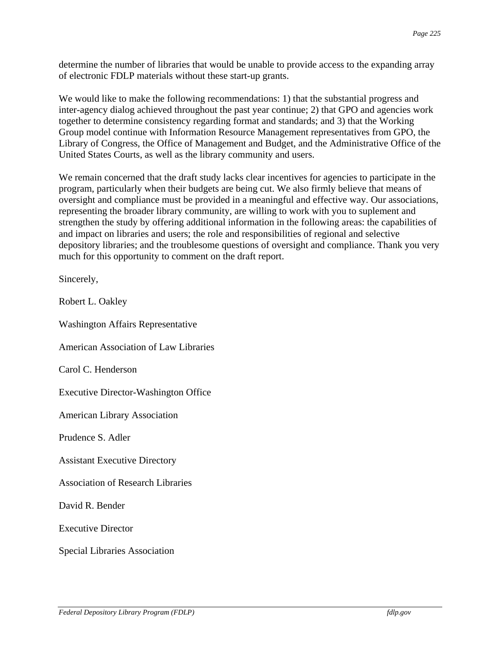determine the number of libraries that would be unable to provide access to the expanding array of electronic FDLP materials without these start-up grants.

We would like to make the following recommendations: 1) that the substantial progress and inter-agency dialog achieved throughout the past year continue; 2) that GPO and agencies work together to determine consistency regarding format and standards; and 3) that the Working Group model continue with Information Resource Management representatives from GPO, the Library of Congress, the Office of Management and Budget, and the Administrative Office of the United States Courts, as well as the library community and users.

We remain concerned that the draft study lacks clear incentives for agencies to participate in the program, particularly when their budgets are being cut. We also firmly believe that means of oversight and compliance must be provided in a meaningful and effective way. Our associations, representing the broader library community, are willing to work with you to suplement and strengthen the study by offering additional information in the following areas: the capabilities of and impact on libraries and users; the role and responsibilities of regional and selective depository libraries; and the troublesome questions of oversight and compliance. Thank you very much for this opportunity to comment on the draft report.

Sincerely,

Robert L. Oakley Washington Affairs Representative American Association of Law Libraries Carol C. Henderson Executive Director-Washington Office American Library Association Prudence S. Adler Assistant Executive Directory Association of Research Libraries David R. Bender Executive Director Special Libraries Association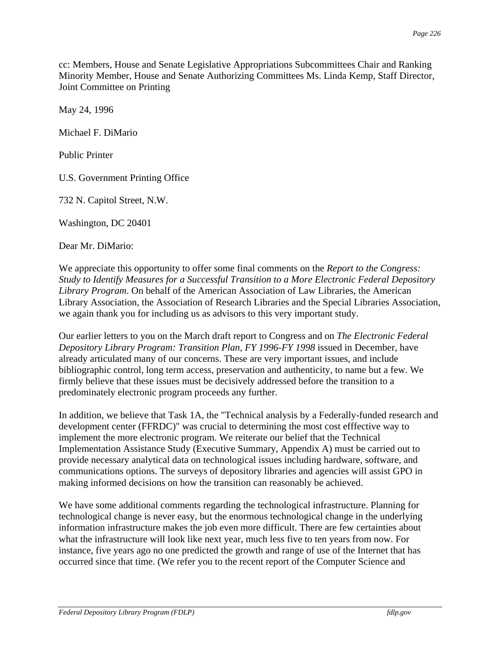cc: Members, House and Senate Legislative Appropriations Subcommittees Chair and Ranking Minority Member, House and Senate Authorizing Committees Ms. Linda Kemp, Staff Director, Joint Committee on Printing

May 24, 1996

Michael F. DiMario

Public Printer

U.S. Government Printing Office

732 N. Capitol Street, N.W.

Washington, DC 20401

Dear Mr. DiMario:

We appreciate this opportunity to offer some final comments on the *Report to the Congress: Study to Identify Measures for a Successful Transition to a More Electronic Federal Depository Library Program*. On behalf of the American Association of Law Libraries, the American Library Association, the Association of Research Libraries and the Special Libraries Association, we again thank you for including us as advisors to this very important study.

Our earlier letters to you on the March draft report to Congress and on *The Electronic Federal Depository Library Program: Transition Plan, FY 1996-FY 1998* issued in December, have already articulated many of our concerns. These are very important issues, and include bibliographic control, long term access, preservation and authenticity, to name but a few. We firmly believe that these issues must be decisively addressed before the transition to a predominately electronic program proceeds any further.

In addition, we believe that Task 1A, the "Technical analysis by a Federally-funded research and development center (FFRDC)" was crucial to determining the most cost efffective way to implement the more electronic program. We reiterate our belief that the Technical Implementation Assistance Study (Executive Summary, Appendix A) must be carried out to provide necessary analytical data on technological issues including hardware, software, and communications options. The surveys of depository libraries and agencies will assist GPO in making informed decisions on how the transition can reasonably be achieved.

We have some additional comments regarding the technological infrastructure. Planning for technological change is never easy, but the enormous technological change in the underlying information infrastructure makes the job even more difficult. There are few certainties about what the infrastructure will look like next year, much less five to ten years from now. For instance, five years ago no one predicted the growth and range of use of the Internet that has occurred since that time. (We refer you to the recent report of the Computer Science and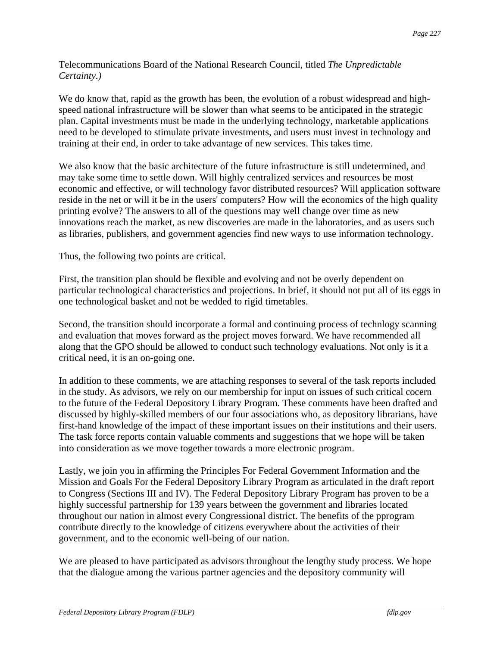### Telecommunications Board of the National Research Council, titled *The Unpredictable Certainty.)*

We do know that, rapid as the growth has been, the evolution of a robust widespread and highspeed national infrastructure will be slower than what seems to be anticipated in the strategic plan. Capital investments must be made in the underlying technology, marketable applications need to be developed to stimulate private investments, and users must invest in technology and training at their end, in order to take advantage of new services. This takes time.

We also know that the basic architecture of the future infrastructure is still undetermined, and may take some time to settle down. Will highly centralized services and resources be most economic and effective, or will technology favor distributed resources? Will application software reside in the net or will it be in the users' computers? How will the economics of the high quality printing evolve? The answers to all of the questions may well change over time as new innovations reach the market, as new discoveries are made in the laboratories, and as users such as libraries, publishers, and government agencies find new ways to use information technology.

Thus, the following two points are critical.

First, the transition plan should be flexible and evolving and not be overly dependent on particular technological characteristics and projections. In brief, it should not put all of its eggs in one technological basket and not be wedded to rigid timetables.

Second, the transition should incorporate a formal and continuing process of technlogy scanning and evaluation that moves forward as the project moves forward. We have recommended all along that the GPO should be allowed to conduct such technology evaluations. Not only is it a critical need, it is an on-going one.

In addition to these comments, we are attaching responses to several of the task reports included in the study. As advisors, we rely on our membership for input on issues of such critical cocern to the future of the Federal Depository Library Program. These comments have been drafted and discussed by highly-skilled members of our four associations who, as depository librarians, have first-hand knowledge of the impact of these important issues on their institutions and their users. The task force reports contain valuable comments and suggestions that we hope will be taken into consideration as we move together towards a more electronic program.

Lastly, we join you in affirming the Principles For Federal Government Information and the Mission and Goals For the Federal Depository Library Program as articulated in the draft report to Congress (Sections III and IV). The Federal Depository Library Program has proven to be a highly successful partnership for 139 years between the government and libraries located throughout our nation in almost every Congressional district. The benefits of the pprogram contribute directly to the knowledge of citizens everywhere about the activities of their government, and to the economic well-being of our nation.

We are pleased to have participated as advisors throughout the lengthy study process. We hope that the dialogue among the various partner agencies and the depository community will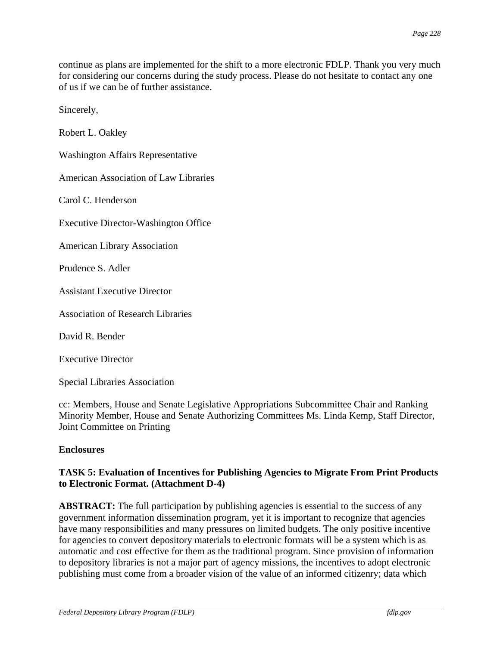continue as plans are implemented for the shift to a more electronic FDLP. Thank you very much for considering our concerns during the study process. Please do not hesitate to contact any one of us if we can be of further assistance.

Sincerely,

Robert L. Oakley

Washington Affairs Representative

American Association of Law Libraries

Carol C. Henderson

Executive Director-Washington Office

American Library Association

Prudence S. Adler

Assistant Executive Director

Association of Research Libraries

David R. Bender

Executive Director

Special Libraries Association

cc: Members, House and Senate Legislative Appropriations Subcommittee Chair and Ranking Minority Member, House and Senate Authorizing Committees Ms. Linda Kemp, Staff Director, Joint Committee on Printing

#### **Enclosures**

#### **TASK 5: Evaluation of Incentives for Publishing Agencies to Migrate From Print Products to Electronic Format. (Attachment D-4)**

**ABSTRACT:** The full participation by publishing agencies is essential to the success of any government information dissemination program, yet it is important to recognize that agencies have many responsibilities and many pressures on limited budgets. The only positive incentive for agencies to convert depository materials to electronic formats will be a system which is as automatic and cost effective for them as the traditional program. Since provision of information to depository libraries is not a major part of agency missions, the incentives to adopt electronic publishing must come from a broader vision of the value of an informed citizenry; data which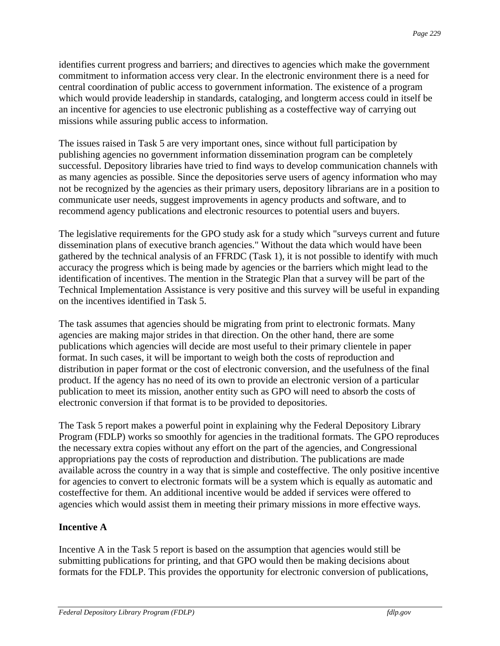identifies current progress and barriers; and directives to agencies which make the government commitment to information access very clear. In the electronic environment there is a need for central coordination of public access to government information. The existence of a program which would provide leadership in standards, cataloging, and longterm access could in itself be an incentive for agencies to use electronic publishing as a costeffective way of carrying out missions while assuring public access to information.

The issues raised in Task 5 are very important ones, since without full participation by publishing agencies no government information dissemination program can be completely successful. Depository libraries have tried to find ways to develop communication channels with as many agencies as possible. Since the depositories serve users of agency information who may not be recognized by the agencies as their primary users, depository librarians are in a position to communicate user needs, suggest improvements in agency products and software, and to recommend agency publications and electronic resources to potential users and buyers.

The legislative requirements for the GPO study ask for a study which "surveys current and future dissemination plans of executive branch agencies." Without the data which would have been gathered by the technical analysis of an FFRDC (Task 1), it is not possible to identify with much accuracy the progress which is being made by agencies or the barriers which might lead to the identification of incentives. The mention in the Strategic Plan that a survey will be part of the Technical Implementation Assistance is very positive and this survey will be useful in expanding on the incentives identified in Task 5.

The task assumes that agencies should be migrating from print to electronic formats. Many agencies are making major strides in that direction. On the other hand, there are some publications which agencies will decide are most useful to their primary clientele in paper format. In such cases, it will be important to weigh both the costs of reproduction and distribution in paper format or the cost of electronic conversion, and the usefulness of the final product. If the agency has no need of its own to provide an electronic version of a particular publication to meet its mission, another entity such as GPO will need to absorb the costs of electronic conversion if that format is to be provided to depositories.

The Task 5 report makes a powerful point in explaining why the Federal Depository Library Program (FDLP) works so smoothly for agencies in the traditional formats. The GPO reproduces the necessary extra copies without any effort on the part of the agencies, and Congressional appropriations pay the costs of reproduction and distribution. The publications are made available across the country in a way that is simple and costeffective. The only positive incentive for agencies to convert to electronic formats will be a system which is equally as automatic and costeffective for them. An additional incentive would be added if services were offered to agencies which would assist them in meeting their primary missions in more effective ways.

### **Incentive A**

Incentive A in the Task 5 report is based on the assumption that agencies would still be submitting publications for printing, and that GPO would then be making decisions about formats for the FDLP. This provides the opportunity for electronic conversion of publications,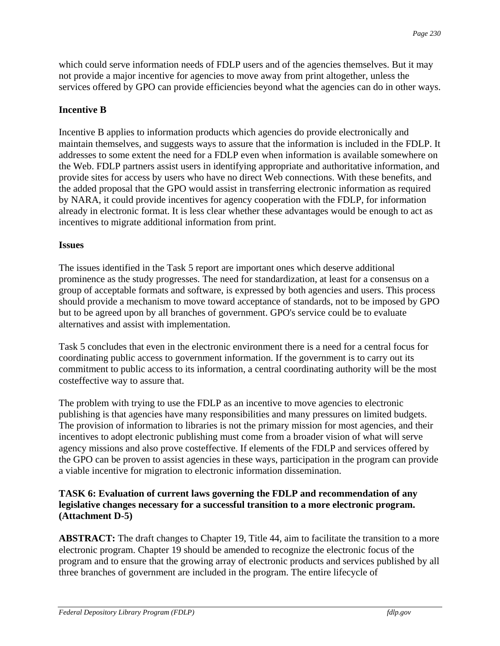which could serve information needs of FDLP users and of the agencies themselves. But it may not provide a major incentive for agencies to move away from print altogether, unless the services offered by GPO can provide efficiencies beyond what the agencies can do in other ways.

# **Incentive B**

Incentive B applies to information products which agencies do provide electronically and maintain themselves, and suggests ways to assure that the information is included in the FDLP. It addresses to some extent the need for a FDLP even when information is available somewhere on the Web. FDLP partners assist users in identifying appropriate and authoritative information, and provide sites for access by users who have no direct Web connections. With these benefits, and the added proposal that the GPO would assist in transferring electronic information as required by NARA, it could provide incentives for agency cooperation with the FDLP, for information already in electronic format. It is less clear whether these advantages would be enough to act as incentives to migrate additional information from print.

### **Issues**

The issues identified in the Task 5 report are important ones which deserve additional prominence as the study progresses. The need for standardization, at least for a consensus on a group of acceptable formats and software, is expressed by both agencies and users. This process should provide a mechanism to move toward acceptance of standards, not to be imposed by GPO but to be agreed upon by all branches of government. GPO's service could be to evaluate alternatives and assist with implementation.

Task 5 concludes that even in the electronic environment there is a need for a central focus for coordinating public access to government information. If the government is to carry out its commitment to public access to its information, a central coordinating authority will be the most costeffective way to assure that.

The problem with trying to use the FDLP as an incentive to move agencies to electronic publishing is that agencies have many responsibilities and many pressures on limited budgets. The provision of information to libraries is not the primary mission for most agencies, and their incentives to adopt electronic publishing must come from a broader vision of what will serve agency missions and also prove costeffective. If elements of the FDLP and services offered by the GPO can be proven to assist agencies in these ways, participation in the program can provide a viable incentive for migration to electronic information dissemination.

### **TASK 6: Evaluation of current laws governing the FDLP and recommendation of any legislative changes necessary for a successful transition to a more electronic program. (Attachment D-5)**

**ABSTRACT:** The draft changes to Chapter 19, Title 44, aim to facilitate the transition to a more electronic program. Chapter 19 should be amended to recognize the electronic focus of the program and to ensure that the growing array of electronic products and services published by all three branches of government are included in the program. The entire lifecycle of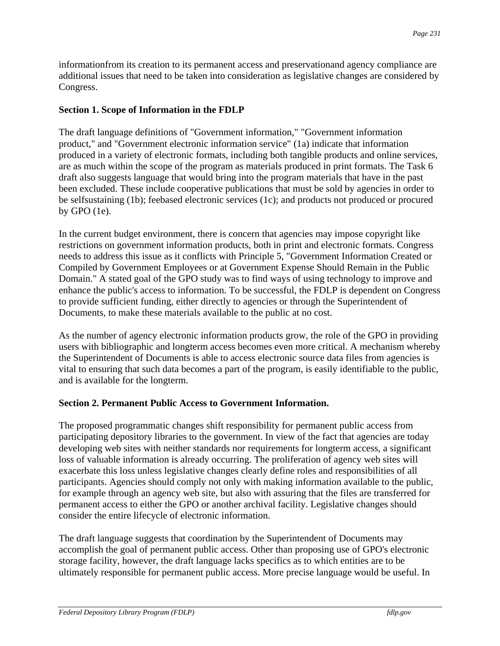informationfrom its creation to its permanent access and preservationand agency compliance are additional issues that need to be taken into consideration as legislative changes are considered by Congress.

# **Section 1. Scope of Information in the FDLP**

The draft language definitions of "Government information," "Government information product," and "Government electronic information service" (1a) indicate that information produced in a variety of electronic formats, including both tangible products and online services, are as much within the scope of the program as materials produced in print formats. The Task 6 draft also suggests language that would bring into the program materials that have in the past been excluded. These include cooperative publications that must be sold by agencies in order to be selfsustaining (1b); feebased electronic services (1c); and products not produced or procured by GPO (1e).

In the current budget environment, there is concern that agencies may impose copyright like restrictions on government information products, both in print and electronic formats. Congress needs to address this issue as it conflicts with Principle 5, "Government Information Created or Compiled by Government Employees or at Government Expense Should Remain in the Public Domain." A stated goal of the GPO study was to find ways of using technology to improve and enhance the public's access to information. To be successful, the FDLP is dependent on Congress to provide sufficient funding, either directly to agencies or through the Superintendent of Documents, to make these materials available to the public at no cost.

As the number of agency electronic information products grow, the role of the GPO in providing users with bibliographic and longterm access becomes even more critical. A mechanism whereby the Superintendent of Documents is able to access electronic source data files from agencies is vital to ensuring that such data becomes a part of the program, is easily identifiable to the public, and is available for the longterm.

# **Section 2. Permanent Public Access to Government Information.**

The proposed programmatic changes shift responsibility for permanent public access from participating depository libraries to the government. In view of the fact that agencies are today developing web sites with neither standards nor requirements for longterm access, a significant loss of valuable information is already occurring. The proliferation of agency web sites will exacerbate this loss unless legislative changes clearly define roles and responsibilities of all participants. Agencies should comply not only with making information available to the public, for example through an agency web site, but also with assuring that the files are transferred for permanent access to either the GPO or another archival facility. Legislative changes should consider the entire lifecycle of electronic information.

The draft language suggests that coordination by the Superintendent of Documents may accomplish the goal of permanent public access. Other than proposing use of GPO's electronic storage facility, however, the draft language lacks specifics as to which entities are to be ultimately responsible for permanent public access. More precise language would be useful. In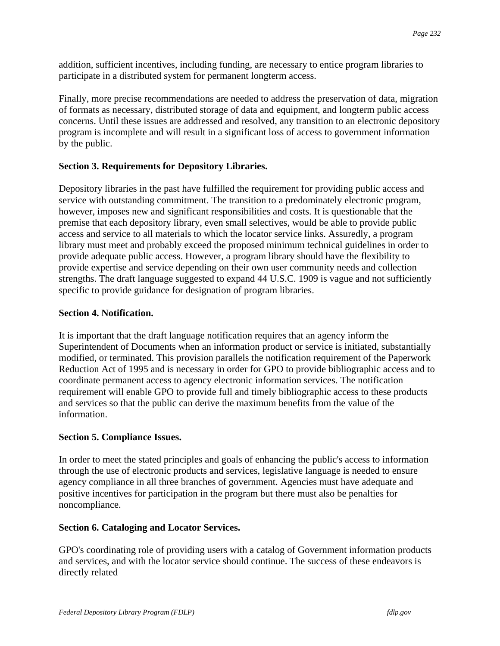addition, sufficient incentives, including funding, are necessary to entice program libraries to participate in a distributed system for permanent longterm access.

Finally, more precise recommendations are needed to address the preservation of data, migration of formats as necessary, distributed storage of data and equipment, and longterm public access concerns. Until these issues are addressed and resolved, any transition to an electronic depository program is incomplete and will result in a significant loss of access to government information by the public.

# **Section 3. Requirements for Depository Libraries.**

Depository libraries in the past have fulfilled the requirement for providing public access and service with outstanding commitment. The transition to a predominately electronic program, however, imposes new and significant responsibilities and costs. It is questionable that the premise that each depository library, even small selectives, would be able to provide public access and service to all materials to which the locator service links. Assuredly, a program library must meet and probably exceed the proposed minimum technical guidelines in order to provide adequate public access. However, a program library should have the flexibility to provide expertise and service depending on their own user community needs and collection strengths. The draft language suggested to expand 44 U.S.C. 1909 is vague and not sufficiently specific to provide guidance for designation of program libraries.

### **Section 4. Notification.**

It is important that the draft language notification requires that an agency inform the Superintendent of Documents when an information product or service is initiated, substantially modified, or terminated. This provision parallels the notification requirement of the Paperwork Reduction Act of 1995 and is necessary in order for GPO to provide bibliographic access and to coordinate permanent access to agency electronic information services. The notification requirement will enable GPO to provide full and timely bibliographic access to these products and services so that the public can derive the maximum benefits from the value of the information.

### **Section 5. Compliance Issues.**

In order to meet the stated principles and goals of enhancing the public's access to information through the use of electronic products and services, legislative language is needed to ensure agency compliance in all three branches of government. Agencies must have adequate and positive incentives for participation in the program but there must also be penalties for noncompliance.

### **Section 6. Cataloging and Locator Services.**

GPO's coordinating role of providing users with a catalog of Government information products and services, and with the locator service should continue. The success of these endeavors is directly related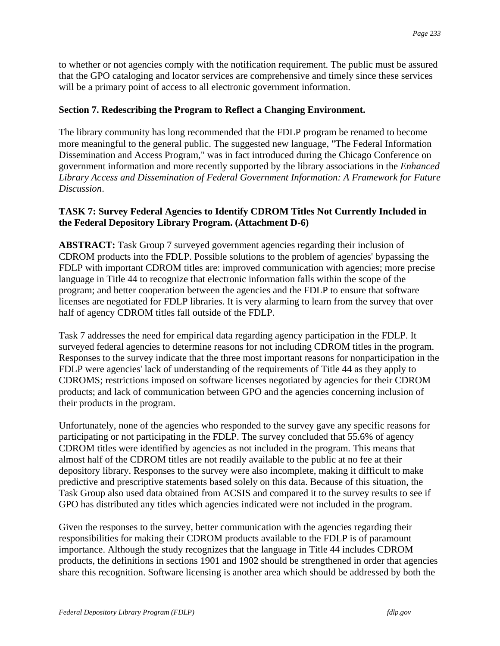to whether or not agencies comply with the notification requirement. The public must be assured that the GPO cataloging and locator services are comprehensive and timely since these services will be a primary point of access to all electronic government information.

# **Section 7. Redescribing the Program to Reflect a Changing Environment.**

The library community has long recommended that the FDLP program be renamed to become more meaningful to the general public. The suggested new language, "The Federal Information Dissemination and Access Program," was in fact introduced during the Chicago Conference on government information and more recently supported by the library associations in the *Enhanced Library Access and Dissemination of Federal Government Information: A Framework for Future Discussion*.

### **TASK 7: Survey Federal Agencies to Identify CDROM Titles Not Currently Included in the Federal Depository Library Program. (Attachment D-6)**

**ABSTRACT:** Task Group 7 surveyed government agencies regarding their inclusion of CDROM products into the FDLP. Possible solutions to the problem of agencies' bypassing the FDLP with important CDROM titles are: improved communication with agencies; more precise language in Title 44 to recognize that electronic information falls within the scope of the program; and better cooperation between the agencies and the FDLP to ensure that software licenses are negotiated for FDLP libraries. It is very alarming to learn from the survey that over half of agency CDROM titles fall outside of the FDLP.

Task 7 addresses the need for empirical data regarding agency participation in the FDLP. It surveyed federal agencies to determine reasons for not including CDROM titles in the program. Responses to the survey indicate that the three most important reasons for nonparticipation in the FDLP were agencies' lack of understanding of the requirements of Title 44 as they apply to CDROMS; restrictions imposed on software licenses negotiated by agencies for their CDROM products; and lack of communication between GPO and the agencies concerning inclusion of their products in the program.

Unfortunately, none of the agencies who responded to the survey gave any specific reasons for participating or not participating in the FDLP. The survey concluded that 55.6% of agency CDROM titles were identified by agencies as not included in the program. This means that almost half of the CDROM titles are not readily available to the public at no fee at their depository library. Responses to the survey were also incomplete, making it difficult to make predictive and prescriptive statements based solely on this data. Because of this situation, the Task Group also used data obtained from ACSIS and compared it to the survey results to see if GPO has distributed any titles which agencies indicated were not included in the program.

Given the responses to the survey, better communication with the agencies regarding their responsibilities for making their CDROM products available to the FDLP is of paramount importance. Although the study recognizes that the language in Title 44 includes CDROM products, the definitions in sections 1901 and 1902 should be strengthened in order that agencies share this recognition. Software licensing is another area which should be addressed by both the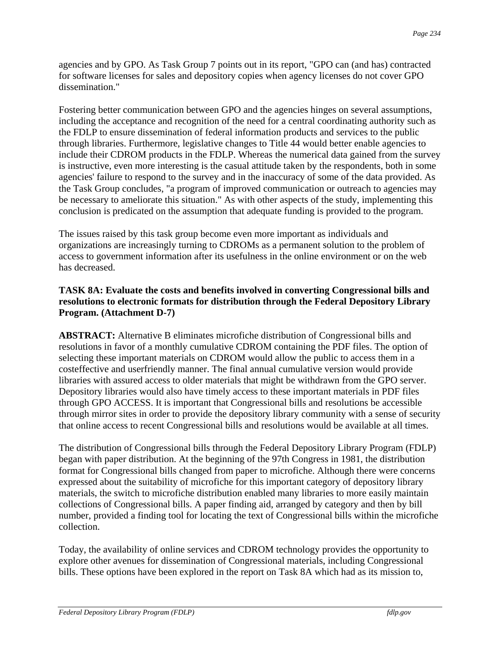agencies and by GPO. As Task Group 7 points out in its report, "GPO can (and has) contracted for software licenses for sales and depository copies when agency licenses do not cover GPO dissemination."

Fostering better communication between GPO and the agencies hinges on several assumptions, including the acceptance and recognition of the need for a central coordinating authority such as the FDLP to ensure dissemination of federal information products and services to the public through libraries. Furthermore, legislative changes to Title 44 would better enable agencies to include their CDROM products in the FDLP. Whereas the numerical data gained from the survey is instructive, even more interesting is the casual attitude taken by the respondents, both in some agencies' failure to respond to the survey and in the inaccuracy of some of the data provided. As the Task Group concludes, "a program of improved communication or outreach to agencies may be necessary to ameliorate this situation." As with other aspects of the study, implementing this conclusion is predicated on the assumption that adequate funding is provided to the program.

The issues raised by this task group become even more important as individuals and organizations are increasingly turning to CDROMs as a permanent solution to the problem of access to government information after its usefulness in the online environment or on the web has decreased.

### **TASK 8A: Evaluate the costs and benefits involved in converting Congressional bills and resolutions to electronic formats for distribution through the Federal Depository Library Program. (Attachment D-7)**

**ABSTRACT:** Alternative B eliminates microfiche distribution of Congressional bills and resolutions in favor of a monthly cumulative CDROM containing the PDF files. The option of selecting these important materials on CDROM would allow the public to access them in a costeffective and userfriendly manner. The final annual cumulative version would provide libraries with assured access to older materials that might be withdrawn from the GPO server. Depository libraries would also have timely access to these important materials in PDF files through GPO ACCESS. It is important that Congressional bills and resolutions be accessible through mirror sites in order to provide the depository library community with a sense of security that online access to recent Congressional bills and resolutions would be available at all times.

The distribution of Congressional bills through the Federal Depository Library Program (FDLP) began with paper distribution. At the beginning of the 97th Congress in 1981, the distribution format for Congressional bills changed from paper to microfiche. Although there were concerns expressed about the suitability of microfiche for this important category of depository library materials, the switch to microfiche distribution enabled many libraries to more easily maintain collections of Congressional bills. A paper finding aid, arranged by category and then by bill number, provided a finding tool for locating the text of Congressional bills within the microfiche collection.

Today, the availability of online services and CDROM technology provides the opportunity to explore other avenues for dissemination of Congressional materials, including Congressional bills. These options have been explored in the report on Task 8A which had as its mission to,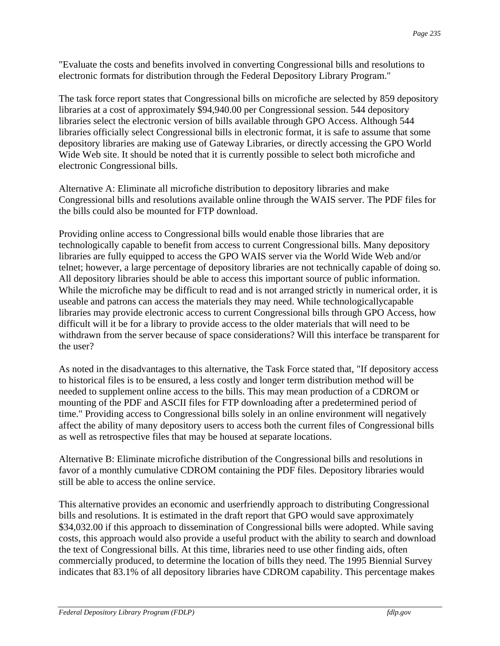"Evaluate the costs and benefits involved in converting Congressional bills and resolutions to electronic formats for distribution through the Federal Depository Library Program."

The task force report states that Congressional bills on microfiche are selected by 859 depository libraries at a cost of approximately \$94,940.00 per Congressional session. 544 depository libraries select the electronic version of bills available through GPO Access. Although 544 libraries officially select Congressional bills in electronic format, it is safe to assume that some depository libraries are making use of Gateway Libraries, or directly accessing the GPO World Wide Web site. It should be noted that it is currently possible to select both microfiche and electronic Congressional bills.

Alternative A: Eliminate all microfiche distribution to depository libraries and make Congressional bills and resolutions available online through the WAIS server. The PDF files for the bills could also be mounted for FTP download.

Providing online access to Congressional bills would enable those libraries that are technologically capable to benefit from access to current Congressional bills. Many depository libraries are fully equipped to access the GPO WAIS server via the World Wide Web and/or telnet; however, a large percentage of depository libraries are not technically capable of doing so. All depository libraries should be able to access this important source of public information. While the microfiche may be difficult to read and is not arranged strictly in numerical order, it is useable and patrons can access the materials they may need. While technologicallycapable libraries may provide electronic access to current Congressional bills through GPO Access, how difficult will it be for a library to provide access to the older materials that will need to be withdrawn from the server because of space considerations? Will this interface be transparent for the user?

As noted in the disadvantages to this alternative, the Task Force stated that, "If depository access to historical files is to be ensured, a less costly and longer term distribution method will be needed to supplement online access to the bills. This may mean production of a CDROM or mounting of the PDF and ASCII files for FTP downloading after a predetermined period of time." Providing access to Congressional bills solely in an online environment will negatively affect the ability of many depository users to access both the current files of Congressional bills as well as retrospective files that may be housed at separate locations.

Alternative B: Eliminate microfiche distribution of the Congressional bills and resolutions in favor of a monthly cumulative CDROM containing the PDF files. Depository libraries would still be able to access the online service.

This alternative provides an economic and userfriendly approach to distributing Congressional bills and resolutions. It is estimated in the draft report that GPO would save approximately \$34,032.00 if this approach to dissemination of Congressional bills were adopted. While saving costs, this approach would also provide a useful product with the ability to search and download the text of Congressional bills. At this time, libraries need to use other finding aids, often commercially produced, to determine the location of bills they need. The 1995 Biennial Survey indicates that 83.1% of all depository libraries have CDROM capability. This percentage makes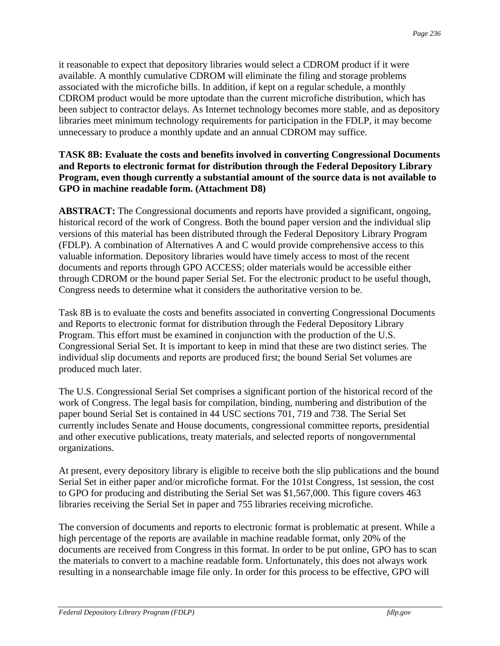it reasonable to expect that depository libraries would select a CDROM product if it were available. A monthly cumulative CDROM will eliminate the filing and storage problems associated with the microfiche bills. In addition, if kept on a regular schedule, a monthly CDROM product would be more uptodate than the current microfiche distribution, which has been subject to contractor delays. As Internet technology becomes more stable, and as depository libraries meet minimum technology requirements for participation in the FDLP, it may become unnecessary to produce a monthly update and an annual CDROM may suffice.

### **TASK 8B: Evaluate the costs and benefits involved in converting Congressional Documents and Reports to electronic format for distribution through the Federal Depository Library Program, even though currently a substantial amount of the source data is not available to GPO in machine readable form. (Attachment D8)**

**ABSTRACT:** The Congressional documents and reports have provided a significant, ongoing, historical record of the work of Congress. Both the bound paper version and the individual slip versions of this material has been distributed through the Federal Depository Library Program (FDLP). A combination of Alternatives A and C would provide comprehensive access to this valuable information. Depository libraries would have timely access to most of the recent documents and reports through GPO ACCESS; older materials would be accessible either through CDROM or the bound paper Serial Set. For the electronic product to be useful though, Congress needs to determine what it considers the authoritative version to be.

Task 8B is to evaluate the costs and benefits associated in converting Congressional Documents and Reports to electronic format for distribution through the Federal Depository Library Program. This effort must be examined in conjunction with the production of the U.S. Congressional Serial Set. It is important to keep in mind that these are two distinct series. The individual slip documents and reports are produced first; the bound Serial Set volumes are produced much later.

The U.S. Congressional Serial Set comprises a significant portion of the historical record of the work of Congress. The legal basis for compilation, binding, numbering and distribution of the paper bound Serial Set is contained in 44 USC sections 701, 719 and 738. The Serial Set currently includes Senate and House documents, congressional committee reports, presidential and other executive publications, treaty materials, and selected reports of nongovernmental organizations.

At present, every depository library is eligible to receive both the slip publications and the bound Serial Set in either paper and/or microfiche format. For the 101st Congress, 1st session, the cost to GPO for producing and distributing the Serial Set was \$1,567,000. This figure covers 463 libraries receiving the Serial Set in paper and 755 libraries receiving microfiche.

The conversion of documents and reports to electronic format is problematic at present. While a high percentage of the reports are available in machine readable format, only 20% of the documents are received from Congress in this format. In order to be put online, GPO has to scan the materials to convert to a machine readable form. Unfortunately, this does not always work resulting in a nonsearchable image file only. In order for this process to be effective, GPO will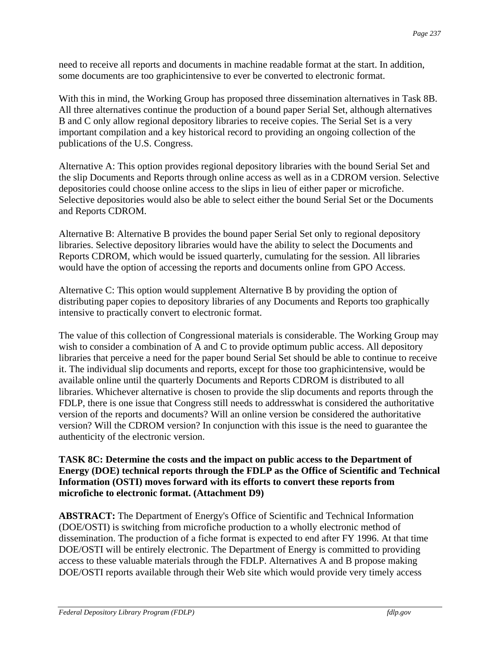need to receive all reports and documents in machine readable format at the start. In addition, some documents are too graphicintensive to ever be converted to electronic format.

With this in mind, the Working Group has proposed three dissemination alternatives in Task 8B. All three alternatives continue the production of a bound paper Serial Set, although alternatives B and C only allow regional depository libraries to receive copies. The Serial Set is a very important compilation and a key historical record to providing an ongoing collection of the publications of the U.S. Congress.

Alternative A: This option provides regional depository libraries with the bound Serial Set and the slip Documents and Reports through online access as well as in a CDROM version. Selective depositories could choose online access to the slips in lieu of either paper or microfiche. Selective depositories would also be able to select either the bound Serial Set or the Documents and Reports CDROM.

Alternative B: Alternative B provides the bound paper Serial Set only to regional depository libraries. Selective depository libraries would have the ability to select the Documents and Reports CDROM, which would be issued quarterly, cumulating for the session. All libraries would have the option of accessing the reports and documents online from GPO Access.

Alternative C: This option would supplement Alternative B by providing the option of distributing paper copies to depository libraries of any Documents and Reports too graphically intensive to practically convert to electronic format.

The value of this collection of Congressional materials is considerable. The Working Group may wish to consider a combination of A and C to provide optimum public access. All depository libraries that perceive a need for the paper bound Serial Set should be able to continue to receive it. The individual slip documents and reports, except for those too graphicintensive, would be available online until the quarterly Documents and Reports CDROM is distributed to all libraries. Whichever alternative is chosen to provide the slip documents and reports through the FDLP, there is one issue that Congress still needs to addresswhat is considered the authoritative version of the reports and documents? Will an online version be considered the authoritative version? Will the CDROM version? In conjunction with this issue is the need to guarantee the authenticity of the electronic version.

### **TASK 8C: Determine the costs and the impact on public access to the Department of Energy (DOE) technical reports through the FDLP as the Office of Scientific and Technical Information (OSTI) moves forward with its efforts to convert these reports from microfiche to electronic format. (Attachment D9)**

**ABSTRACT:** The Department of Energy's Office of Scientific and Technical Information (DOE/OSTI) is switching from microfiche production to a wholly electronic method of dissemination. The production of a fiche format is expected to end after FY 1996. At that time DOE/OSTI will be entirely electronic. The Department of Energy is committed to providing access to these valuable materials through the FDLP. Alternatives A and B propose making DOE/OSTI reports available through their Web site which would provide very timely access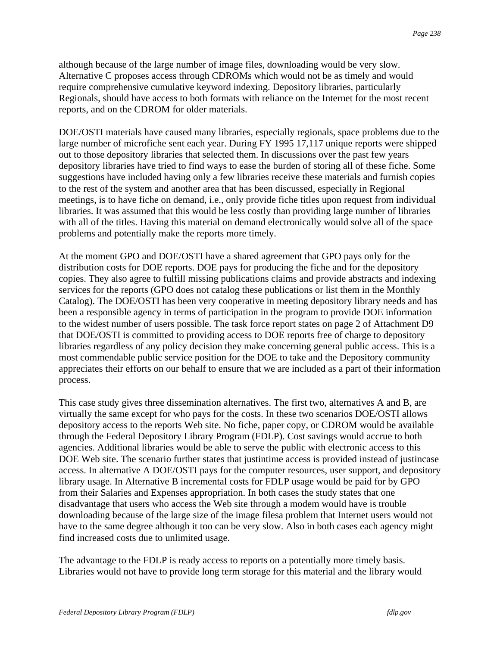although because of the large number of image files, downloading would be very slow. Alternative C proposes access through CDROMs which would not be as timely and would require comprehensive cumulative keyword indexing. Depository libraries, particularly Regionals, should have access to both formats with reliance on the Internet for the most recent reports, and on the CDROM for older materials.

DOE/OSTI materials have caused many libraries, especially regionals, space problems due to the large number of microfiche sent each year. During FY 1995 17,117 unique reports were shipped out to those depository libraries that selected them. In discussions over the past few years depository libraries have tried to find ways to ease the burden of storing all of these fiche. Some suggestions have included having only a few libraries receive these materials and furnish copies to the rest of the system and another area that has been discussed, especially in Regional meetings, is to have fiche on demand, i.e., only provide fiche titles upon request from individual libraries. It was assumed that this would be less costly than providing large number of libraries with all of the titles. Having this material on demand electronically would solve all of the space problems and potentially make the reports more timely.

At the moment GPO and DOE/OSTI have a shared agreement that GPO pays only for the distribution costs for DOE reports. DOE pays for producing the fiche and for the depository copies. They also agree to fulfill missing publications claims and provide abstracts and indexing services for the reports (GPO does not catalog these publications or list them in the Monthly Catalog). The DOE/OSTI has been very cooperative in meeting depository library needs and has been a responsible agency in terms of participation in the program to provide DOE information to the widest number of users possible. The task force report states on page 2 of Attachment D9 that DOE/OSTI is committed to providing access to DOE reports free of charge to depository libraries regardless of any policy decision they make concerning general public access. This is a most commendable public service position for the DOE to take and the Depository community appreciates their efforts on our behalf to ensure that we are included as a part of their information process.

This case study gives three dissemination alternatives. The first two, alternatives A and B, are virtually the same except for who pays for the costs. In these two scenarios DOE/OSTI allows depository access to the reports Web site. No fiche, paper copy, or CDROM would be available through the Federal Depository Library Program (FDLP). Cost savings would accrue to both agencies. Additional libraries would be able to serve the public with electronic access to this DOE Web site. The scenario further states that justintime access is provided instead of justincase access. In alternative A DOE/OSTI pays for the computer resources, user support, and depository library usage. In Alternative B incremental costs for FDLP usage would be paid for by GPO from their Salaries and Expenses appropriation. In both cases the study states that one disadvantage that users who access the Web site through a modem would have is trouble downloading because of the large size of the image filesa problem that Internet users would not have to the same degree although it too can be very slow. Also in both cases each agency might find increased costs due to unlimited usage.

The advantage to the FDLP is ready access to reports on a potentially more timely basis. Libraries would not have to provide long term storage for this material and the library would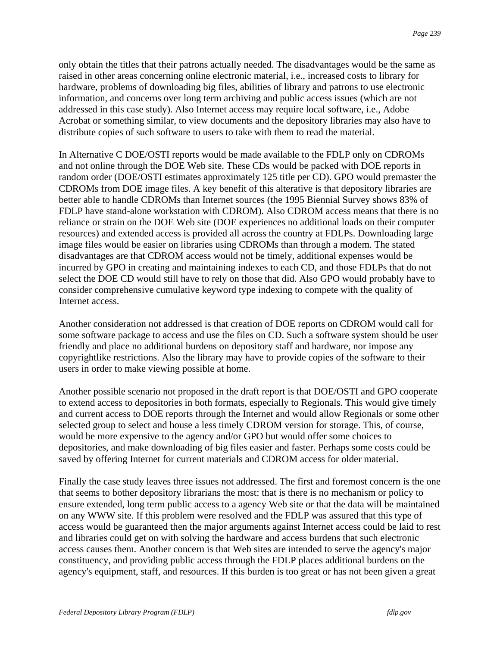only obtain the titles that their patrons actually needed. The disadvantages would be the same as raised in other areas concerning online electronic material, i.e., increased costs to library for hardware, problems of downloading big files, abilities of library and patrons to use electronic information, and concerns over long term archiving and public access issues (which are not addressed in this case study). Also Internet access may require local software, i.e., Adobe Acrobat or something similar, to view documents and the depository libraries may also have to distribute copies of such software to users to take with them to read the material.

In Alternative C DOE/OSTI reports would be made available to the FDLP only on CDROMs and not online through the DOE Web site. These CDs would be packed with DOE reports in random order (DOE/OSTI estimates approximately 125 title per CD). GPO would premaster the CDROMs from DOE image files. A key benefit of this alterative is that depository libraries are better able to handle CDROMs than Internet sources (the 1995 Biennial Survey shows 83% of FDLP have stand-alone workstation with CDROM). Also CDROM access means that there is no reliance or strain on the DOE Web site (DOE experiences no additional loads on their computer resources) and extended access is provided all across the country at FDLPs. Downloading large image files would be easier on libraries using CDROMs than through a modem. The stated disadvantages are that CDROM access would not be timely, additional expenses would be incurred by GPO in creating and maintaining indexes to each CD, and those FDLPs that do not select the DOE CD would still have to rely on those that did. Also GPO would probably have to consider comprehensive cumulative keyword type indexing to compete with the quality of Internet access.

Another consideration not addressed is that creation of DOE reports on CDROM would call for some software package to access and use the files on CD. Such a software system should be user friendly and place no additional burdens on depository staff and hardware, nor impose any copyrightlike restrictions. Also the library may have to provide copies of the software to their users in order to make viewing possible at home.

Another possible scenario not proposed in the draft report is that DOE/OSTI and GPO cooperate to extend access to depositories in both formats, especially to Regionals. This would give timely and current access to DOE reports through the Internet and would allow Regionals or some other selected group to select and house a less timely CDROM version for storage. This, of course, would be more expensive to the agency and/or GPO but would offer some choices to depositories, and make downloading of big files easier and faster. Perhaps some costs could be saved by offering Internet for current materials and CDROM access for older material.

Finally the case study leaves three issues not addressed. The first and foremost concern is the one that seems to bother depository librarians the most: that is there is no mechanism or policy to ensure extended, long term public access to a agency Web site or that the data will be maintained on any WWW site. If this problem were resolved and the FDLP was assured that this type of access would be guaranteed then the major arguments against Internet access could be laid to rest and libraries could get on with solving the hardware and access burdens that such electronic access causes them. Another concern is that Web sites are intended to serve the agency's major constituency, and providing public access through the FDLP places additional burdens on the agency's equipment, staff, and resources. If this burden is too great or has not been given a great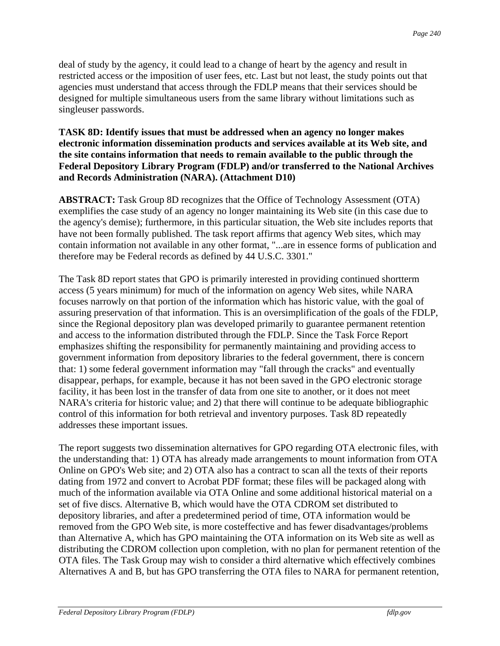deal of study by the agency, it could lead to a change of heart by the agency and result in restricted access or the imposition of user fees, etc. Last but not least, the study points out that agencies must understand that access through the FDLP means that their services should be designed for multiple simultaneous users from the same library without limitations such as singleuser passwords.

### **TASK 8D: Identify issues that must be addressed when an agency no longer makes electronic information dissemination products and services available at its Web site, and the site contains information that needs to remain available to the public through the Federal Depository Library Program (FDLP) and/or transferred to the National Archives and Records Administration (NARA). (Attachment D10)**

**ABSTRACT:** Task Group 8D recognizes that the Office of Technology Assessment (OTA) exemplifies the case study of an agency no longer maintaining its Web site (in this case due to the agency's demise); furthermore, in this particular situation, the Web site includes reports that have not been formally published. The task report affirms that agency Web sites, which may contain information not available in any other format, "...are in essence forms of publication and therefore may be Federal records as defined by 44 U.S.C. 3301."

The Task 8D report states that GPO is primarily interested in providing continued shortterm access (5 years minimum) for much of the information on agency Web sites, while NARA focuses narrowly on that portion of the information which has historic value, with the goal of assuring preservation of that information. This is an oversimplification of the goals of the FDLP, since the Regional depository plan was developed primarily to guarantee permanent retention and access to the information distributed through the FDLP. Since the Task Force Report emphasizes shifting the responsibility for permanently maintaining and providing access to government information from depository libraries to the federal government, there is concern that: 1) some federal government information may "fall through the cracks" and eventually disappear, perhaps, for example, because it has not been saved in the GPO electronic storage facility, it has been lost in the transfer of data from one site to another, or it does not meet NARA's criteria for historic value; and 2) that there will continue to be adequate bibliographic control of this information for both retrieval and inventory purposes. Task 8D repeatedly addresses these important issues.

The report suggests two dissemination alternatives for GPO regarding OTA electronic files, with the understanding that: 1) OTA has already made arrangements to mount information from OTA Online on GPO's Web site; and 2) OTA also has a contract to scan all the texts of their reports dating from 1972 and convert to Acrobat PDF format; these files will be packaged along with much of the information available via OTA Online and some additional historical material on a set of five discs. Alternative B, which would have the OTA CDROM set distributed to depository libraries, and after a predetermined period of time, OTA information would be removed from the GPO Web site, is more costeffective and has fewer disadvantages/problems than Alternative A, which has GPO maintaining the OTA information on its Web site as well as distributing the CDROM collection upon completion, with no plan for permanent retention of the OTA files. The Task Group may wish to consider a third alternative which effectively combines Alternatives A and B, but has GPO transferring the OTA files to NARA for permanent retention,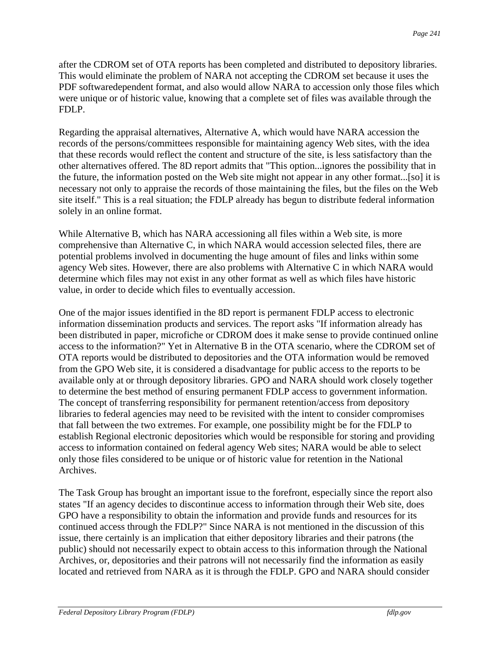after the CDROM set of OTA reports has been completed and distributed to depository libraries. This would eliminate the problem of NARA not accepting the CDROM set because it uses the PDF softwaredependent format, and also would allow NARA to accession only those files which were unique or of historic value, knowing that a complete set of files was available through the FDLP.

Regarding the appraisal alternatives, Alternative A, which would have NARA accession the records of the persons/committees responsible for maintaining agency Web sites, with the idea that these records would reflect the content and structure of the site, is less satisfactory than the other alternatives offered. The 8D report admits that "This option...ignores the possibility that in the future, the information posted on the Web site might not appear in any other format...[so] it is necessary not only to appraise the records of those maintaining the files, but the files on the Web site itself." This is a real situation; the FDLP already has begun to distribute federal information solely in an online format.

While Alternative B, which has NARA accessioning all files within a Web site, is more comprehensive than Alternative C, in which NARA would accession selected files, there are potential problems involved in documenting the huge amount of files and links within some agency Web sites. However, there are also problems with Alternative C in which NARA would determine which files may not exist in any other format as well as which files have historic value, in order to decide which files to eventually accession.

One of the major issues identified in the 8D report is permanent FDLP access to electronic information dissemination products and services. The report asks "If information already has been distributed in paper, microfiche or CDROM does it make sense to provide continued online access to the information?" Yet in Alternative B in the OTA scenario, where the CDROM set of OTA reports would be distributed to depositories and the OTA information would be removed from the GPO Web site, it is considered a disadvantage for public access to the reports to be available only at or through depository libraries. GPO and NARA should work closely together to determine the best method of ensuring permanent FDLP access to government information. The concept of transferring responsibility for permanent retention/access from depository libraries to federal agencies may need to be revisited with the intent to consider compromises that fall between the two extremes. For example, one possibility might be for the FDLP to establish Regional electronic depositories which would be responsible for storing and providing access to information contained on federal agency Web sites; NARA would be able to select only those files considered to be unique or of historic value for retention in the National Archives.

The Task Group has brought an important issue to the forefront, especially since the report also states "If an agency decides to discontinue access to information through their Web site, does GPO have a responsibility to obtain the information and provide funds and resources for its continued access through the FDLP?" Since NARA is not mentioned in the discussion of this issue, there certainly is an implication that either depository libraries and their patrons (the public) should not necessarily expect to obtain access to this information through the National Archives, or, depositories and their patrons will not necessarily find the information as easily located and retrieved from NARA as it is through the FDLP. GPO and NARA should consider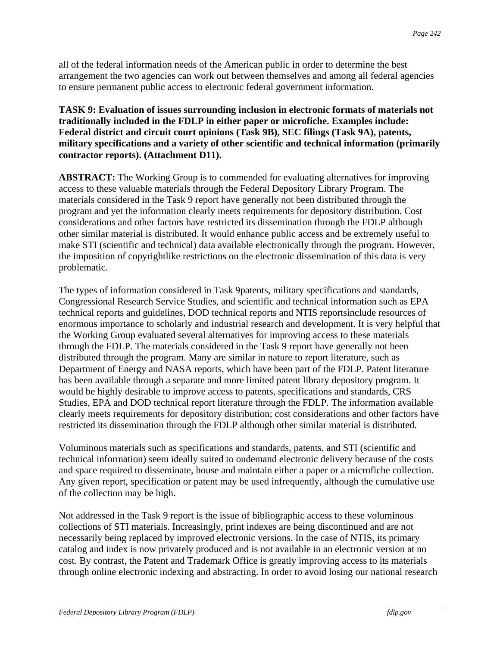all of the federal information needs of the American public in order to determine the best arrangement the two agencies can work out between themselves and among all federal agencies to ensure permanent public access to electronic federal government information.

#### **TASK 9: Evaluation of issues surrounding inclusion in electronic formats of materials not traditionally included in the FDLP in either paper or microfiche. Examples include: Federal district and circuit court opinions (Task 9B), SEC filings (Task 9A), patents, military specifications and a variety of other scientific and technical information (primarily contractor reports). (Attachment D11).**

**ABSTRACT:** The Working Group is to commended for evaluating alternatives for improving access to these valuable materials through the Federal Depository Library Program. The materials considered in the Task 9 report have generally not been distributed through the program and yet the information clearly meets requirements for depository distribution. Cost considerations and other factors have restricted its dissemination through the FDLP although other similar material is distributed. It would enhance public access and be extremely useful to make STI (scientific and technical) data available electronically through the program. However, the imposition of copyrightlike restrictions on the electronic dissemination of this data is very problematic.

The types of information considered in Task 9patents, military specifications and standards, Congressional Research Service Studies, and scientific and technical information such as EPA technical reports and guidelines, DOD technical reports and NTIS reportsinclude resources of enormous importance to scholarly and industrial research and development. It is very helpful that the Working Group evaluated several alternatives for improving access to these materials through the FDLP. The materials considered in the Task 9 report have generally not been distributed through the program. Many are similar in nature to report literature, such as Department of Energy and NASA reports, which have been part of the FDLP. Patent literature has been available through a separate and more limited patent library depository program. It would be highly desirable to improve access to patents, specifications and standards, CRS Studies, EPA and DOD technical report literature through the FDLP. The information available clearly meets requirements for depository distribution; cost considerations and other factors have restricted its dissemination through the FDLP although other similar material is distributed.

Voluminous materials such as specifications and standards, patents, and STI (scientific and technical information) seem ideally suited to ondemand electronic delivery because of the costs and space required to disseminate, house and maintain either a paper or a microfiche collection. Any given report, specification or patent may be used infrequently, although the cumulative use of the collection may be high.

Not addressed in the Task 9 report is the issue of bibliographic access to these voluminous collections of STI materials. Increasingly, print indexes are being discontinued and are not necessarily being replaced by improved electronic versions. In the case of NTIS, its primary catalog and index is now privately produced and is not available in an electronic version at no cost. By contrast, the Patent and Trademark Office is greatly improving access to its materials through online electronic indexing and abstracting. In order to avoid losing our national research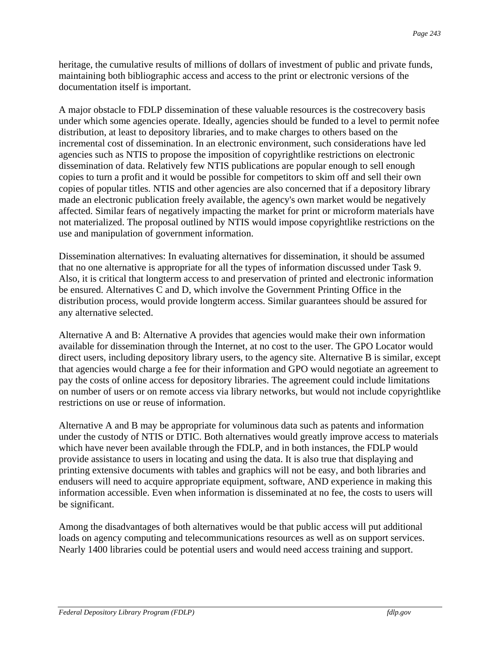heritage, the cumulative results of millions of dollars of investment of public and private funds, maintaining both bibliographic access and access to the print or electronic versions of the documentation itself is important.

A major obstacle to FDLP dissemination of these valuable resources is the costrecovery basis under which some agencies operate. Ideally, agencies should be funded to a level to permit nofee distribution, at least to depository libraries, and to make charges to others based on the incremental cost of dissemination. In an electronic environment, such considerations have led agencies such as NTIS to propose the imposition of copyrightlike restrictions on electronic dissemination of data. Relatively few NTIS publications are popular enough to sell enough copies to turn a profit and it would be possible for competitors to skim off and sell their own copies of popular titles. NTIS and other agencies are also concerned that if a depository library made an electronic publication freely available, the agency's own market would be negatively affected. Similar fears of negatively impacting the market for print or microform materials have not materialized. The proposal outlined by NTIS would impose copyrightlike restrictions on the use and manipulation of government information.

Dissemination alternatives: In evaluating alternatives for dissemination, it should be assumed that no one alternative is appropriate for all the types of information discussed under Task 9. Also, it is critical that longterm access to and preservation of printed and electronic information be ensured. Alternatives C and D, which involve the Government Printing Office in the distribution process, would provide longterm access. Similar guarantees should be assured for any alternative selected.

Alternative A and B: Alternative A provides that agencies would make their own information available for dissemination through the Internet, at no cost to the user. The GPO Locator would direct users, including depository library users, to the agency site. Alternative B is similar, except that agencies would charge a fee for their information and GPO would negotiate an agreement to pay the costs of online access for depository libraries. The agreement could include limitations on number of users or on remote access via library networks, but would not include copyrightlike restrictions on use or reuse of information.

Alternative A and B may be appropriate for voluminous data such as patents and information under the custody of NTIS or DTIC. Both alternatives would greatly improve access to materials which have never been available through the FDLP, and in both instances, the FDLP would provide assistance to users in locating and using the data. It is also true that displaying and printing extensive documents with tables and graphics will not be easy, and both libraries and endusers will need to acquire appropriate equipment, software, AND experience in making this information accessible. Even when information is disseminated at no fee, the costs to users will be significant.

Among the disadvantages of both alternatives would be that public access will put additional loads on agency computing and telecommunications resources as well as on support services. Nearly 1400 libraries could be potential users and would need access training and support.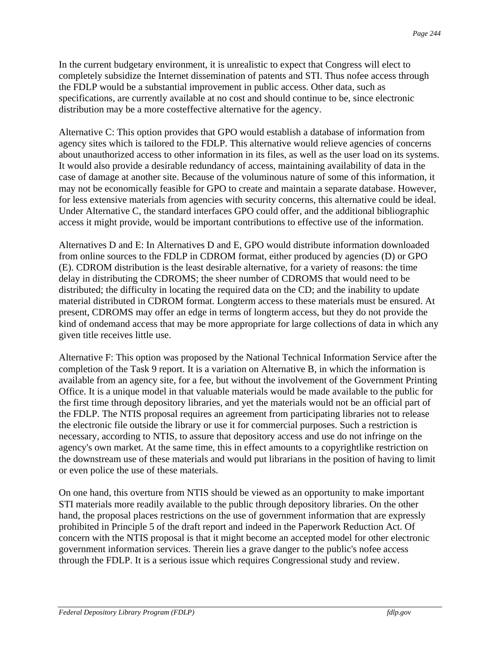In the current budgetary environment, it is unrealistic to expect that Congress will elect to completely subsidize the Internet dissemination of patents and STI. Thus nofee access through the FDLP would be a substantial improvement in public access. Other data, such as specifications, are currently available at no cost and should continue to be, since electronic distribution may be a more costeffective alternative for the agency.

Alternative C: This option provides that GPO would establish a database of information from agency sites which is tailored to the FDLP. This alternative would relieve agencies of concerns about unauthorized access to other information in its files, as well as the user load on its systems. It would also provide a desirable redundancy of access, maintaining availability of data in the case of damage at another site. Because of the voluminous nature of some of this information, it may not be economically feasible for GPO to create and maintain a separate database. However, for less extensive materials from agencies with security concerns, this alternative could be ideal. Under Alternative C, the standard interfaces GPO could offer, and the additional bibliographic access it might provide, would be important contributions to effective use of the information.

Alternatives D and E: In Alternatives D and E, GPO would distribute information downloaded from online sources to the FDLP in CDROM format, either produced by agencies (D) or GPO (E). CDROM distribution is the least desirable alternative, for a variety of reasons: the time delay in distributing the CDROMS; the sheer number of CDROMS that would need to be distributed; the difficulty in locating the required data on the CD; and the inability to update material distributed in CDROM format. Longterm access to these materials must be ensured. At present, CDROMS may offer an edge in terms of longterm access, but they do not provide the kind of ondemand access that may be more appropriate for large collections of data in which any given title receives little use.

Alternative F: This option was proposed by the National Technical Information Service after the completion of the Task 9 report. It is a variation on Alternative B, in which the information is available from an agency site, for a fee, but without the involvement of the Government Printing Office. It is a unique model in that valuable materials would be made available to the public for the first time through depository libraries, and yet the materials would not be an official part of the FDLP. The NTIS proposal requires an agreement from participating libraries not to release the electronic file outside the library or use it for commercial purposes. Such a restriction is necessary, according to NTIS, to assure that depository access and use do not infringe on the agency's own market. At the same time, this in effect amounts to a copyrightlike restriction on the downstream use of these materials and would put librarians in the position of having to limit or even police the use of these materials.

On one hand, this overture from NTIS should be viewed as an opportunity to make important STI materials more readily available to the public through depository libraries. On the other hand, the proposal places restrictions on the use of government information that are expressly prohibited in Principle 5 of the draft report and indeed in the Paperwork Reduction Act. Of concern with the NTIS proposal is that it might become an accepted model for other electronic government information services. Therein lies a grave danger to the public's nofee access through the FDLP. It is a serious issue which requires Congressional study and review.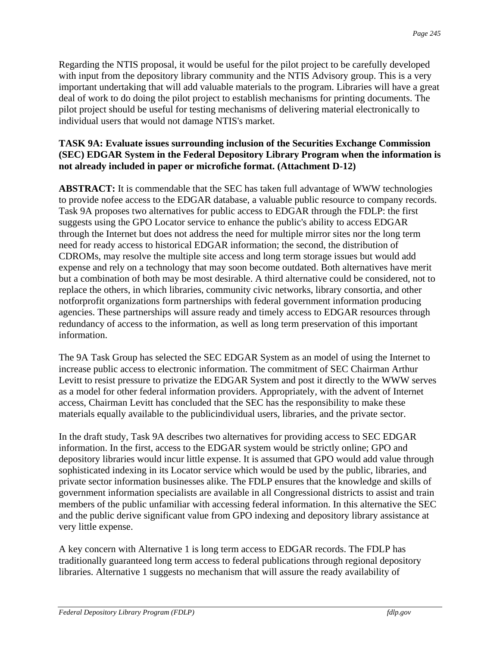Regarding the NTIS proposal, it would be useful for the pilot project to be carefully developed with input from the depository library community and the NTIS Advisory group. This is a very important undertaking that will add valuable materials to the program. Libraries will have a great deal of work to do doing the pilot project to establish mechanisms for printing documents. The pilot project should be useful for testing mechanisms of delivering material electronically to individual users that would not damage NTIS's market.

### **TASK 9A: Evaluate issues surrounding inclusion of the Securities Exchange Commission (SEC) EDGAR System in the Federal Depository Library Program when the information is not already included in paper or microfiche format. (Attachment D-12)**

**ABSTRACT:** It is commendable that the SEC has taken full advantage of WWW technologies to provide nofee access to the EDGAR database, a valuable public resource to company records. Task 9A proposes two alternatives for public access to EDGAR through the FDLP: the first suggests using the GPO Locator service to enhance the public's ability to access EDGAR through the Internet but does not address the need for multiple mirror sites nor the long term need for ready access to historical EDGAR information; the second, the distribution of CDROMs, may resolve the multiple site access and long term storage issues but would add expense and rely on a technology that may soon become outdated. Both alternatives have merit but a combination of both may be most desirable. A third alternative could be considered, not to replace the others, in which libraries, community civic networks, library consortia, and other notforprofit organizations form partnerships with federal government information producing agencies. These partnerships will assure ready and timely access to EDGAR resources through redundancy of access to the information, as well as long term preservation of this important information.

The 9A Task Group has selected the SEC EDGAR System as an model of using the Internet to increase public access to electronic information. The commitment of SEC Chairman Arthur Levitt to resist pressure to privatize the EDGAR System and post it directly to the WWW serves as a model for other federal information providers. Appropriately, with the advent of Internet access, Chairman Levitt has concluded that the SEC has the responsibility to make these materials equally available to the publicindividual users, libraries, and the private sector.

In the draft study, Task 9A describes two alternatives for providing access to SEC EDGAR information. In the first, access to the EDGAR system would be strictly online; GPO and depository libraries would incur little expense. It is assumed that GPO would add value through sophisticated indexing in its Locator service which would be used by the public, libraries, and private sector information businesses alike. The FDLP ensures that the knowledge and skills of government information specialists are available in all Congressional districts to assist and train members of the public unfamiliar with accessing federal information. In this alternative the SEC and the public derive significant value from GPO indexing and depository library assistance at very little expense.

A key concern with Alternative 1 is long term access to EDGAR records. The FDLP has traditionally guaranteed long term access to federal publications through regional depository libraries. Alternative 1 suggests no mechanism that will assure the ready availability of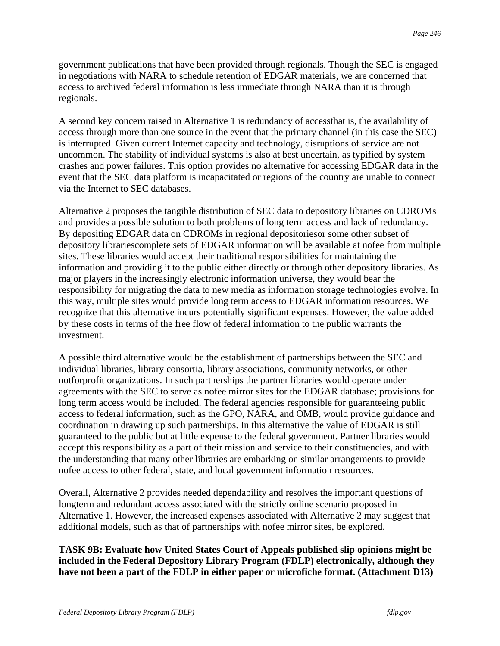government publications that have been provided through regionals. Though the SEC is engaged in negotiations with NARA to schedule retention of EDGAR materials, we are concerned that access to archived federal information is less immediate through NARA than it is through regionals.

A second key concern raised in Alternative 1 is redundancy of accessthat is, the availability of access through more than one source in the event that the primary channel (in this case the SEC) is interrupted. Given current Internet capacity and technology, disruptions of service are not uncommon. The stability of individual systems is also at best uncertain, as typified by system crashes and power failures. This option provides no alternative for accessing EDGAR data in the event that the SEC data platform is incapacitated or regions of the country are unable to connect via the Internet to SEC databases.

Alternative 2 proposes the tangible distribution of SEC data to depository libraries on CDROMs and provides a possible solution to both problems of long term access and lack of redundancy. By depositing EDGAR data on CDROMs in regional depositoriesor some other subset of depository librariescomplete sets of EDGAR information will be available at nofee from multiple sites. These libraries would accept their traditional responsibilities for maintaining the information and providing it to the public either directly or through other depository libraries. As major players in the increasingly electronic information universe, they would bear the responsibility for migrating the data to new media as information storage technologies evolve. In this way, multiple sites would provide long term access to EDGAR information resources. We recognize that this alternative incurs potentially significant expenses. However, the value added by these costs in terms of the free flow of federal information to the public warrants the investment.

A possible third alternative would be the establishment of partnerships between the SEC and individual libraries, library consortia, library associations, community networks, or other notforprofit organizations. In such partnerships the partner libraries would operate under agreements with the SEC to serve as nofee mirror sites for the EDGAR database; provisions for long term access would be included. The federal agencies responsible for guaranteeing public access to federal information, such as the GPO, NARA, and OMB, would provide guidance and coordination in drawing up such partnerships. In this alternative the value of EDGAR is still guaranteed to the public but at little expense to the federal government. Partner libraries would accept this responsibility as a part of their mission and service to their constituencies, and with the understanding that many other libraries are embarking on similar arrangements to provide nofee access to other federal, state, and local government information resources.

Overall, Alternative 2 provides needed dependability and resolves the important questions of longterm and redundant access associated with the strictly online scenario proposed in Alternative 1. However, the increased expenses associated with Alternative 2 may suggest that additional models, such as that of partnerships with nofee mirror sites, be explored.

**TASK 9B: Evaluate how United States Court of Appeals published slip opinions might be included in the Federal Depository Library Program (FDLP) electronically, although they have not been a part of the FDLP in either paper or microfiche format. (Attachment D13)**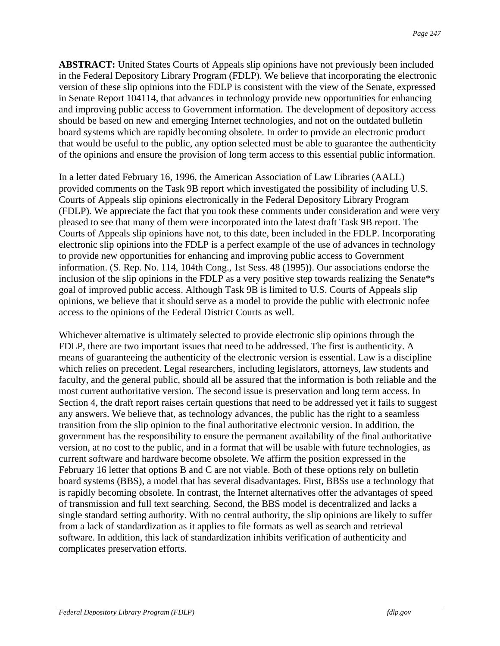**ABSTRACT:** United States Courts of Appeals slip opinions have not previously been included in the Federal Depository Library Program (FDLP). We believe that incorporating the electronic version of these slip opinions into the FDLP is consistent with the view of the Senate, expressed in Senate Report 104114, that advances in technology provide new opportunities for enhancing and improving public access to Government information. The development of depository access should be based on new and emerging Internet technologies, and not on the outdated bulletin board systems which are rapidly becoming obsolete. In order to provide an electronic product that would be useful to the public, any option selected must be able to guarantee the authenticity of the opinions and ensure the provision of long term access to this essential public information.

In a letter dated February 16, 1996, the American Association of Law Libraries (AALL) provided comments on the Task 9B report which investigated the possibility of including U.S. Courts of Appeals slip opinions electronically in the Federal Depository Library Program (FDLP). We appreciate the fact that you took these comments under consideration and were very pleased to see that many of them were incorporated into the latest draft Task 9B report. The Courts of Appeals slip opinions have not, to this date, been included in the FDLP. Incorporating electronic slip opinions into the FDLP is a perfect example of the use of advances in technology to provide new opportunities for enhancing and improving public access to Government information. (S. Rep. No. 114, 104th Cong., 1st Sess. 48 (1995)). Our associations endorse the inclusion of the slip opinions in the FDLP as a very positive step towards realizing the Senate\*s goal of improved public access. Although Task 9B is limited to U.S. Courts of Appeals slip opinions, we believe that it should serve as a model to provide the public with electronic nofee access to the opinions of the Federal District Courts as well.

Whichever alternative is ultimately selected to provide electronic slip opinions through the FDLP, there are two important issues that need to be addressed. The first is authenticity. A means of guaranteeing the authenticity of the electronic version is essential. Law is a discipline which relies on precedent. Legal researchers, including legislators, attorneys, law students and faculty, and the general public, should all be assured that the information is both reliable and the most current authoritative version. The second issue is preservation and long term access. In Section 4, the draft report raises certain questions that need to be addressed yet it fails to suggest any answers. We believe that, as technology advances, the public has the right to a seamless transition from the slip opinion to the final authoritative electronic version. In addition, the government has the responsibility to ensure the permanent availability of the final authoritative version, at no cost to the public, and in a format that will be usable with future technologies, as current software and hardware become obsolete. We affirm the position expressed in the February 16 letter that options B and C are not viable. Both of these options rely on bulletin board systems (BBS), a model that has several disadvantages. First, BBSs use a technology that is rapidly becoming obsolete. In contrast, the Internet alternatives offer the advantages of speed of transmission and full text searching. Second, the BBS model is decentralized and lacks a single standard setting authority. With no central authority, the slip opinions are likely to suffer from a lack of standardization as it applies to file formats as well as search and retrieval software. In addition, this lack of standardization inhibits verification of authenticity and complicates preservation efforts.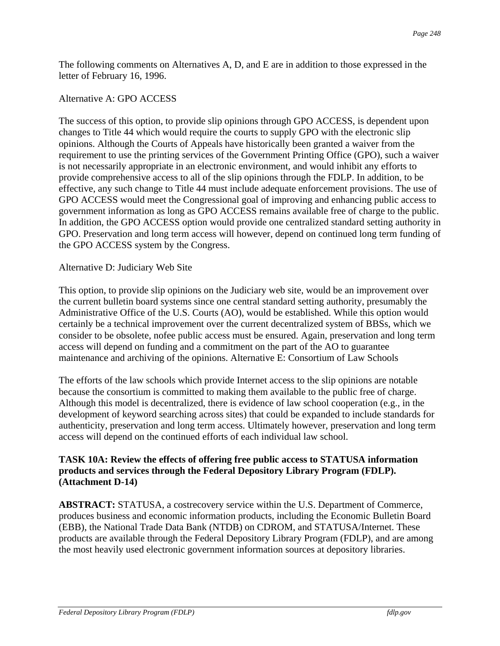The following comments on Alternatives A, D, and E are in addition to those expressed in the letter of February 16, 1996.

### Alternative A: GPO ACCESS

The success of this option, to provide slip opinions through GPO ACCESS, is dependent upon changes to Title 44 which would require the courts to supply GPO with the electronic slip opinions. Although the Courts of Appeals have historically been granted a waiver from the requirement to use the printing services of the Government Printing Office (GPO), such a waiver is not necessarily appropriate in an electronic environment, and would inhibit any efforts to provide comprehensive access to all of the slip opinions through the FDLP. In addition, to be effective, any such change to Title 44 must include adequate enforcement provisions. The use of GPO ACCESS would meet the Congressional goal of improving and enhancing public access to government information as long as GPO ACCESS remains available free of charge to the public. In addition, the GPO ACCESS option would provide one centralized standard setting authority in GPO. Preservation and long term access will however, depend on continued long term funding of the GPO ACCESS system by the Congress.

### Alternative D: Judiciary Web Site

This option, to provide slip opinions on the Judiciary web site, would be an improvement over the current bulletin board systems since one central standard setting authority, presumably the Administrative Office of the U.S. Courts (AO), would be established. While this option would certainly be a technical improvement over the current decentralized system of BBSs, which we consider to be obsolete, nofee public access must be ensured. Again, preservation and long term access will depend on funding and a commitment on the part of the AO to guarantee maintenance and archiving of the opinions. Alternative E: Consortium of Law Schools

The efforts of the law schools which provide Internet access to the slip opinions are notable because the consortium is committed to making them available to the public free of charge. Although this model is decentralized, there is evidence of law school cooperation (e.g., in the development of keyword searching across sites) that could be expanded to include standards for authenticity, preservation and long term access. Ultimately however, preservation and long term access will depend on the continued efforts of each individual law school.

# **TASK 10A: Review the effects of offering free public access to STATUSA information products and services through the Federal Depository Library Program (FDLP). (Attachment D-14)**

**ABSTRACT:** STATUSA, a costrecovery service within the U.S. Department of Commerce, produces business and economic information products, including the Economic Bulletin Board (EBB), the National Trade Data Bank (NTDB) on CDROM, and STATUSA/Internet. These products are available through the Federal Depository Library Program (FDLP), and are among the most heavily used electronic government information sources at depository libraries.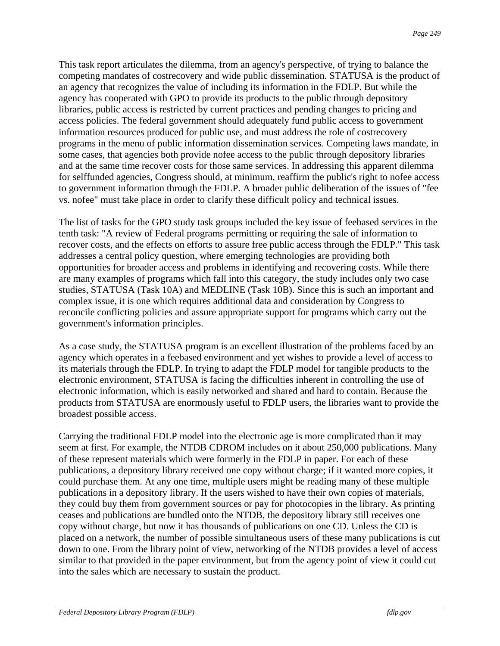This task report articulates the dilemma, from an agency's perspective, of trying to balance the competing mandates of costrecovery and wide public dissemination. STATUSA is the product of an agency that recognizes the value of including its information in the FDLP. But while the agency has cooperated with GPO to provide its products to the public through depository libraries, public access is restricted by current practices and pending changes to pricing and access policies. The federal government should adequately fund public access to government information resources produced for public use, and must address the role of costrecovery programs in the menu of public information dissemination services. Competing laws mandate, in some cases, that agencies both provide nofee access to the public through depository libraries and at the same time recover costs for those same services. In addressing this apparent dilemma for selffunded agencies, Congress should, at minimum, reaffirm the public's right to nofee access to government information through the FDLP. A broader public deliberation of the issues of "fee vs. nofee" must take place in order to clarify these difficult policy and technical issues.

The list of tasks for the GPO study task groups included the key issue of feebased services in the tenth task: "A review of Federal programs permitting or requiring the sale of information to recover costs, and the effects on efforts to assure free public access through the FDLP." This task addresses a central policy question, where emerging technologies are providing both opportunities for broader access and problems in identifying and recovering costs. While there are many examples of programs which fall into this category, the study includes only two case studies, STATUSA (Task 10A) and MEDLINE (Task 10B). Since this is such an important and complex issue, it is one which requires additional data and consideration by Congress to reconcile conflicting policies and assure appropriate support for programs which carry out the government's information principles.

As a case study, the STATUSA program is an excellent illustration of the problems faced by an agency which operates in a feebased environment and yet wishes to provide a level of access to its materials through the FDLP. In trying to adapt the FDLP model for tangible products to the electronic environment, STATUSA is facing the difficulties inherent in controlling the use of electronic information, which is easily networked and shared and hard to contain. Because the products from STATUSA are enormously useful to FDLP users, the libraries want to provide the broadest possible access.

Carrying the traditional FDLP model into the electronic age is more complicated than it may seem at first. For example, the NTDB CDROM includes on it about 250,000 publications. Many of these represent materials which were formerly in the FDLP in paper. For each of these publications, a depository library received one copy without charge; if it wanted more copies, it could purchase them. At any one time, multiple users might be reading many of these multiple publications in a depository library. If the users wished to have their own copies of materials, they could buy them from government sources or pay for photocopies in the library. As printing ceases and publications are bundled onto the NTDB, the depository library still receives one copy without charge, but now it has thousands of publications on one CD. Unless the CD is placed on a network, the number of possible simultaneous users of these many publications is cut down to one. From the library point of view, networking of the NTDB provides a level of access similar to that provided in the paper environment, but from the agency point of view it could cut into the sales which are necessary to sustain the product.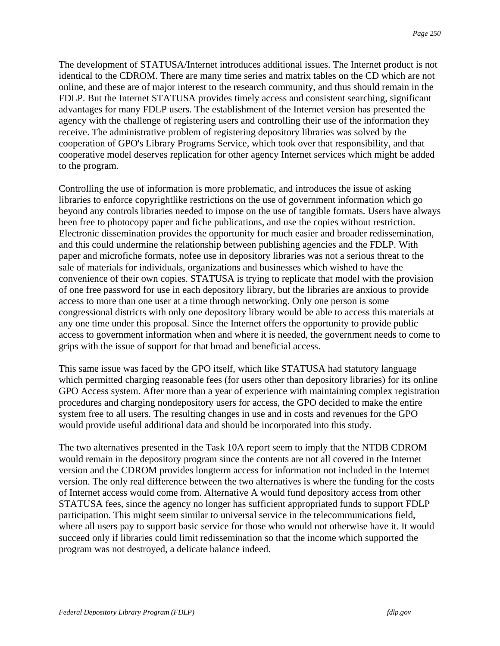The development of STATUSA/Internet introduces additional issues. The Internet product is not identical to the CDROM. There are many time series and matrix tables on the CD which are not online, and these are of major interest to the research community, and thus should remain in the FDLP. But the Internet STATUSA provides timely access and consistent searching, significant advantages for many FDLP users. The establishment of the Internet version has presented the agency with the challenge of registering users and controlling their use of the information they receive. The administrative problem of registering depository libraries was solved by the cooperation of GPO's Library Programs Service, which took over that responsibility, and that cooperative model deserves replication for other agency Internet services which might be added to the program.

Controlling the use of information is more problematic, and introduces the issue of asking libraries to enforce copyrightlike restrictions on the use of government information which go beyond any controls libraries needed to impose on the use of tangible formats. Users have always been free to photocopy paper and fiche publications, and use the copies without restriction. Electronic dissemination provides the opportunity for much easier and broader redissemination, and this could undermine the relationship between publishing agencies and the FDLP. With paper and microfiche formats, nofee use in depository libraries was not a serious threat to the sale of materials for individuals, organizations and businesses which wished to have the convenience of their own copies. STATUSA is trying to replicate that model with the provision of one free password for use in each depository library, but the libraries are anxious to provide access to more than one user at a time through networking. Only one person is some congressional districts with only one depository library would be able to access this materials at any one time under this proposal. Since the Internet offers the opportunity to provide public access to government information when and where it is needed, the government needs to come to grips with the issue of support for that broad and beneficial access.

This same issue was faced by the GPO itself, which like STATUSA had statutory language which permitted charging reasonable fees (for users other than depository libraries) for its online GPO Access system. After more than a year of experience with maintaining complex registration procedures and charging nondepository users for access, the GPO decided to make the entire system free to all users. The resulting changes in use and in costs and revenues for the GPO would provide useful additional data and should be incorporated into this study.

The two alternatives presented in the Task 10A report seem to imply that the NTDB CDROM would remain in the depository program since the contents are not all covered in the Internet version and the CDROM provides longterm access for information not included in the Internet version. The only real difference between the two alternatives is where the funding for the costs of Internet access would come from. Alternative A would fund depository access from other STATUSA fees, since the agency no longer has sufficient appropriated funds to support FDLP participation. This might seem similar to universal service in the telecommunications field, where all users pay to support basic service for those who would not otherwise have it. It would succeed only if libraries could limit redissemination so that the income which supported the program was not destroyed, a delicate balance indeed.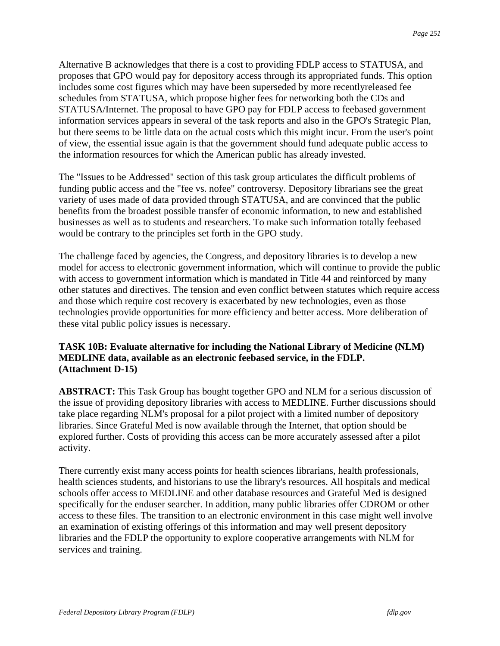Alternative B acknowledges that there is a cost to providing FDLP access to STATUSA, and proposes that GPO would pay for depository access through its appropriated funds. This option includes some cost figures which may have been superseded by more recentlyreleased fee schedules from STATUSA, which propose higher fees for networking both the CDs and STATUSA/Internet. The proposal to have GPO pay for FDLP access to feebased government information services appears in several of the task reports and also in the GPO's Strategic Plan, but there seems to be little data on the actual costs which this might incur. From the user's point of view, the essential issue again is that the government should fund adequate public access to the information resources for which the American public has already invested.

The "Issues to be Addressed" section of this task group articulates the difficult problems of funding public access and the "fee vs. nofee" controversy. Depository librarians see the great variety of uses made of data provided through STATUSA, and are convinced that the public benefits from the broadest possible transfer of economic information, to new and established businesses as well as to students and researchers. To make such information totally feebased would be contrary to the principles set forth in the GPO study.

The challenge faced by agencies, the Congress, and depository libraries is to develop a new model for access to electronic government information, which will continue to provide the public with access to government information which is mandated in Title 44 and reinforced by many other statutes and directives. The tension and even conflict between statutes which require access and those which require cost recovery is exacerbated by new technologies, even as those technologies provide opportunities for more efficiency and better access. More deliberation of these vital public policy issues is necessary.

## **TASK 10B: Evaluate alternative for including the National Library of Medicine (NLM) MEDLINE data, available as an electronic feebased service, in the FDLP. (Attachment D-15)**

**ABSTRACT:** This Task Group has bought together GPO and NLM for a serious discussion of the issue of providing depository libraries with access to MEDLINE. Further discussions should take place regarding NLM's proposal for a pilot project with a limited number of depository libraries. Since Grateful Med is now available through the Internet, that option should be explored further. Costs of providing this access can be more accurately assessed after a pilot activity.

There currently exist many access points for health sciences librarians, health professionals, health sciences students, and historians to use the library's resources. All hospitals and medical schools offer access to MEDLINE and other database resources and Grateful Med is designed specifically for the enduser searcher. In addition, many public libraries offer CDROM or other access to these files. The transition to an electronic environment in this case might well involve an examination of existing offerings of this information and may well present depository libraries and the FDLP the opportunity to explore cooperative arrangements with NLM for services and training.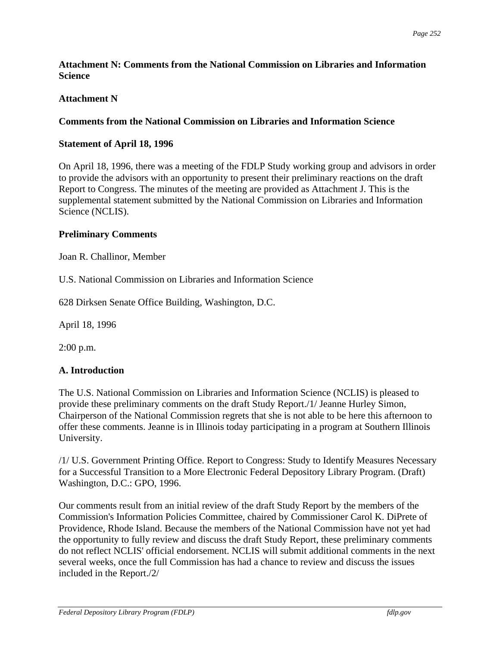### **Attachment N: Comments from the National Commission on Libraries and Information Science**

# **Attachment N**

### **Comments from the National Commission on Libraries and Information Science**

### **Statement of April 18, 1996**

On April 18, 1996, there was a meeting of the FDLP Study working group and advisors in order to provide the advisors with an opportunity to present their preliminary reactions on the draft Report to Congress. The minutes of the meeting are provided as Attachment J. This is the supplemental statement submitted by the National Commission on Libraries and Information Science (NCLIS).

### **Preliminary Comments**

Joan R. Challinor, Member

U.S. National Commission on Libraries and Information Science

628 Dirksen Senate Office Building, Washington, D.C.

April 18, 1996

2:00 p.m.

### **A. Introduction**

The U.S. National Commission on Libraries and Information Science (NCLIS) is pleased to provide these preliminary comments on the draft Study Report./1/ Jeanne Hurley Simon, Chairperson of the National Commission regrets that she is not able to be here this afternoon to offer these comments. Jeanne is in Illinois today participating in a program at Southern Illinois University.

/1/ U.S. Government Printing Office. Report to Congress: Study to Identify Measures Necessary for a Successful Transition to a More Electronic Federal Depository Library Program. (Draft) Washington, D.C.: GPO, 1996.

Our comments result from an initial review of the draft Study Report by the members of the Commission's Information Policies Committee, chaired by Commissioner Carol K. DiPrete of Providence, Rhode Island. Because the members of the National Commission have not yet had the opportunity to fully review and discuss the draft Study Report, these preliminary comments do not reflect NCLIS' official endorsement. NCLIS will submit additional comments in the next several weeks, once the full Commission has had a chance to review and discuss the issues included in the Report./2/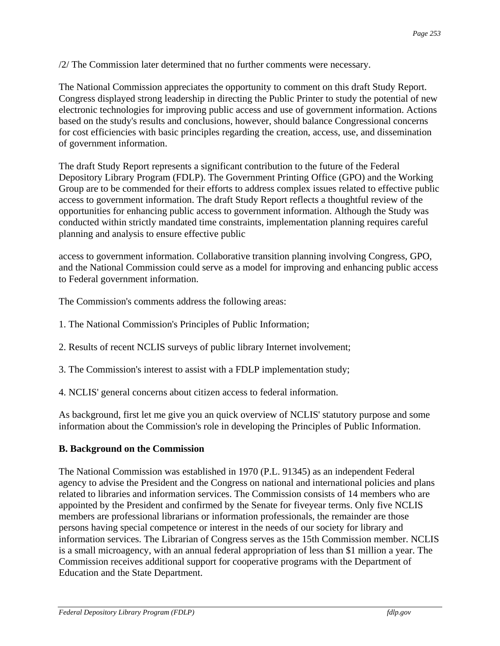/2/ The Commission later determined that no further comments were necessary.

The National Commission appreciates the opportunity to comment on this draft Study Report. Congress displayed strong leadership in directing the Public Printer to study the potential of new electronic technologies for improving public access and use of government information. Actions based on the study's results and conclusions, however, should balance Congressional concerns for cost efficiencies with basic principles regarding the creation, access, use, and dissemination of government information.

The draft Study Report represents a significant contribution to the future of the Federal Depository Library Program (FDLP). The Government Printing Office (GPO) and the Working Group are to be commended for their efforts to address complex issues related to effective public access to government information. The draft Study Report reflects a thoughtful review of the opportunities for enhancing public access to government information. Although the Study was conducted within strictly mandated time constraints, implementation planning requires careful planning and analysis to ensure effective public

access to government information. Collaborative transition planning involving Congress, GPO, and the National Commission could serve as a model for improving and enhancing public access to Federal government information.

The Commission's comments address the following areas:

- 1. The National Commission's Principles of Public Information;
- 2. Results of recent NCLIS surveys of public library Internet involvement;
- 3. The Commission's interest to assist with a FDLP implementation study;
- 4. NCLIS' general concerns about citizen access to federal information.

As background, first let me give you an quick overview of NCLIS' statutory purpose and some information about the Commission's role in developing the Principles of Public Information.

# **B. Background on the Commission**

The National Commission was established in 1970 (P.L. 91345) as an independent Federal agency to advise the President and the Congress on national and international policies and plans related to libraries and information services. The Commission consists of 14 members who are appointed by the President and confirmed by the Senate for fiveyear terms. Only five NCLIS members are professional librarians or information professionals, the remainder are those persons having special competence or interest in the needs of our society for library and information services. The Librarian of Congress serves as the 15th Commission member. NCLIS is a small microagency, with an annual federal appropriation of less than \$1 million a year. The Commission receives additional support for cooperative programs with the Department of Education and the State Department.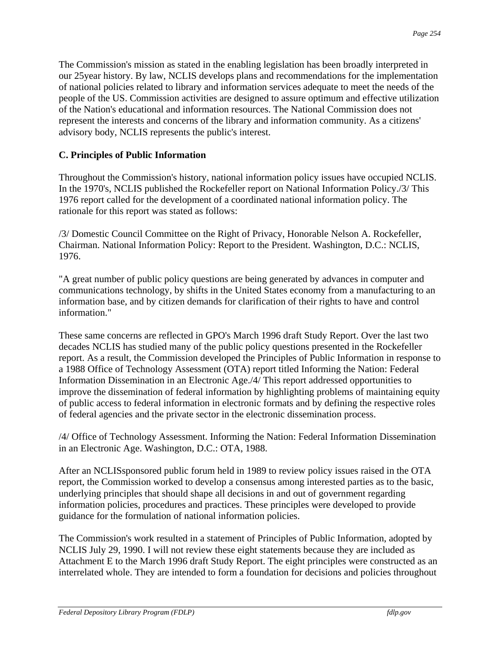The Commission's mission as stated in the enabling legislation has been broadly interpreted in our 25year history. By law, NCLIS develops plans and recommendations for the implementation of national policies related to library and information services adequate to meet the needs of the people of the US. Commission activities are designed to assure optimum and effective utilization of the Nation's educational and information resources. The National Commission does not represent the interests and concerns of the library and information community. As a citizens' advisory body, NCLIS represents the public's interest.

# **C. Principles of Public Information**

Throughout the Commission's history, national information policy issues have occupied NCLIS. In the 1970's, NCLIS published the Rockefeller report on National Information Policy./3/ This 1976 report called for the development of a coordinated national information policy. The rationale for this report was stated as follows:

/3/ Domestic Council Committee on the Right of Privacy, Honorable Nelson A. Rockefeller, Chairman. National Information Policy: Report to the President. Washington, D.C.: NCLIS, 1976.

"A great number of public policy questions are being generated by advances in computer and communications technology, by shifts in the United States economy from a manufacturing to an information base, and by citizen demands for clarification of their rights to have and control information."

These same concerns are reflected in GPO's March 1996 draft Study Report. Over the last two decades NCLIS has studied many of the public policy questions presented in the Rockefeller report. As a result, the Commission developed the Principles of Public Information in response to a 1988 Office of Technology Assessment (OTA) report titled Informing the Nation: Federal Information Dissemination in an Electronic Age./4/ This report addressed opportunities to improve the dissemination of federal information by highlighting problems of maintaining equity of public access to federal information in electronic formats and by defining the respective roles of federal agencies and the private sector in the electronic dissemination process.

/4/ Office of Technology Assessment. Informing the Nation: Federal Information Dissemination in an Electronic Age. Washington, D.C.: OTA, 1988.

After an NCLISsponsored public forum held in 1989 to review policy issues raised in the OTA report, the Commission worked to develop a consensus among interested parties as to the basic, underlying principles that should shape all decisions in and out of government regarding information policies, procedures and practices. These principles were developed to provide guidance for the formulation of national information policies.

The Commission's work resulted in a statement of Principles of Public Information, adopted by NCLIS July 29, 1990. I will not review these eight statements because they are included as Attachment E to the March 1996 draft Study Report. The eight principles were constructed as an interrelated whole. They are intended to form a foundation for decisions and policies throughout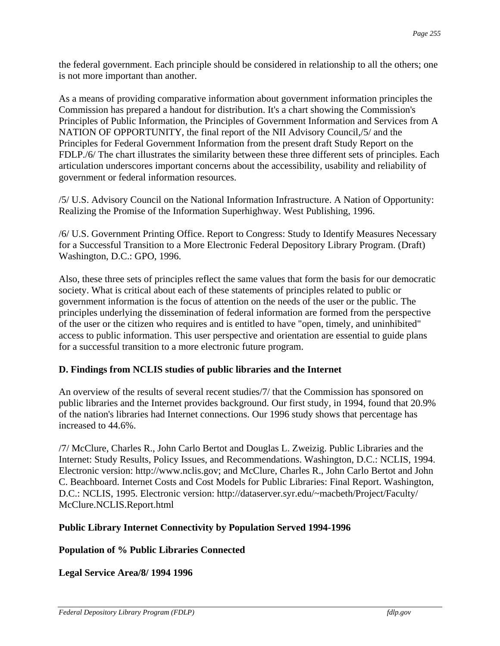the federal government. Each principle should be considered in relationship to all the others; one is not more important than another.

As a means of providing comparative information about government information principles the Commission has prepared a handout for distribution. It's a chart showing the Commission's Principles of Public Information, the Principles of Government Information and Services from A NATION OF OPPORTUNITY, the final report of the NII Advisory Council,/5/ and the Principles for Federal Government Information from the present draft Study Report on the FDLP./6/ The chart illustrates the similarity between these three different sets of principles. Each articulation underscores important concerns about the accessibility, usability and reliability of government or federal information resources.

/5/ U.S. Advisory Council on the National Information Infrastructure. A Nation of Opportunity: Realizing the Promise of the Information Superhighway. West Publishing, 1996.

/6/ U.S. Government Printing Office. Report to Congress: Study to Identify Measures Necessary for a Successful Transition to a More Electronic Federal Depository Library Program. (Draft) Washington, D.C.: GPO, 1996.

Also, these three sets of principles reflect the same values that form the basis for our democratic society. What is critical about each of these statements of principles related to public or government information is the focus of attention on the needs of the user or the public. The principles underlying the dissemination of federal information are formed from the perspective of the user or the citizen who requires and is entitled to have "open, timely, and uninhibited" access to public information. This user perspective and orientation are essential to guide plans for a successful transition to a more electronic future program.

#### **D. Findings from NCLIS studies of public libraries and the Internet**

An overview of the results of several recent studies/7/ that the Commission has sponsored on public libraries and the Internet provides background. Our first study, in 1994, found that 20.9% of the nation's libraries had Internet connections. Our 1996 study shows that percentage has increased to 44.6%.

/7/ McClure, Charles R., John Carlo Bertot and Douglas L. Zweizig. Public Libraries and the Internet: Study Results, Policy Issues, and Recommendations. Washington, D.C.: NCLIS, 1994. Electronic version: http://www.nclis.gov; and McClure, Charles R., John Carlo Bertot and John C. Beachboard. Internet Costs and Cost Models for Public Libraries: Final Report. Washington, D.C.: NCLIS, 1995. Electronic version: http://dataserver.syr.edu/~macbeth/Project/Faculty/ McClure.NCLIS.Report.html

#### **Public Library Internet Connectivity by Population Served 1994-1996**

#### **Population of % Public Libraries Connected**

**Legal Service Area/8/ 1994 1996**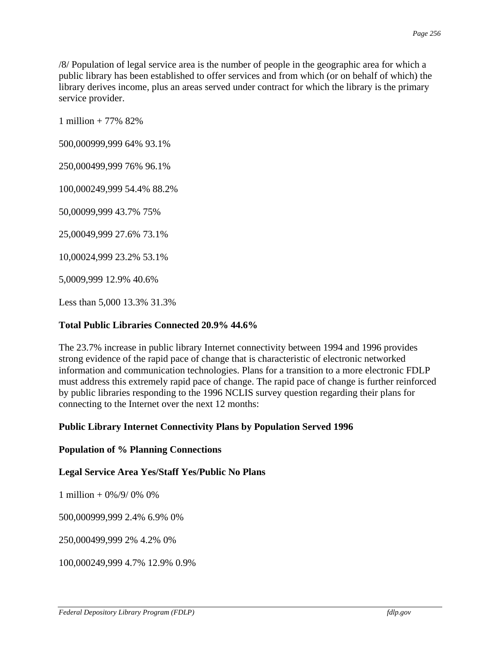/8/ Population of legal service area is the number of people in the geographic area for which a public library has been established to offer services and from which (or on behalf of which) the library derives income, plus an areas served under contract for which the library is the primary service provider.

1 million + 77% 82%

500,000999,999 64% 93.1%

250,000499,999 76% 96.1%

100,000249,999 54.4% 88.2%

50,00099,999 43.7% 75%

25,00049,999 27.6% 73.1%

10,00024,999 23.2% 53.1%

5,0009,999 12.9% 40.6%

Less than 5,000 13.3% 31.3%

#### **Total Public Libraries Connected 20.9% 44.6%**

The 23.7% increase in public library Internet connectivity between 1994 and 1996 provides strong evidence of the rapid pace of change that is characteristic of electronic networked information and communication technologies. Plans for a transition to a more electronic FDLP must address this extremely rapid pace of change. The rapid pace of change is further reinforced by public libraries responding to the 1996 NCLIS survey question regarding their plans for connecting to the Internet over the next 12 months:

#### **Public Library Internet Connectivity Plans by Population Served 1996**

#### **Population of % Planning Connections**

#### **Legal Service Area Yes/Staff Yes/Public No Plans**

1 million + 0%/9/ 0% 0%

500,000999,999 2.4% 6.9% 0%

250,000499,999 2% 4.2% 0%

100,000249,999 4.7% 12.9% 0.9%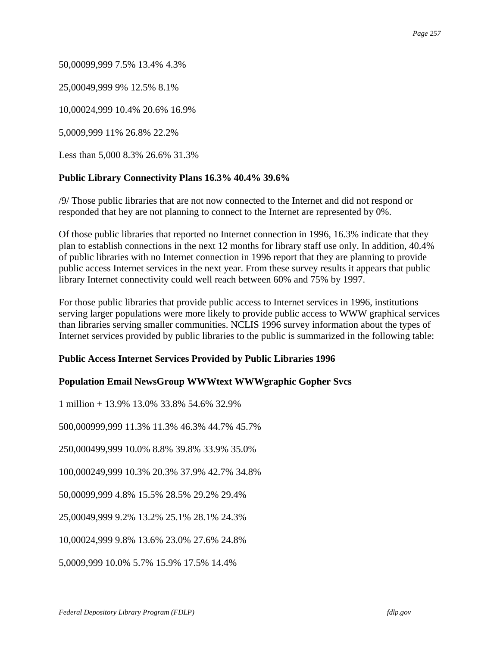50,00099,999 7.5% 13.4% 4.3%

25,00049,999 9% 12.5% 8.1%

10,00024,999 10.4% 20.6% 16.9%

5,0009,999 11% 26.8% 22.2%

Less than 5,000 8.3% 26.6% 31.3%

#### **Public Library Connectivity Plans 16.3% 40.4% 39.6%**

/9/ Those public libraries that are not now connected to the Internet and did not respond or responded that hey are not planning to connect to the Internet are represented by 0%.

Of those public libraries that reported no Internet connection in 1996, 16.3% indicate that they plan to establish connections in the next 12 months for library staff use only. In addition, 40.4% of public libraries with no Internet connection in 1996 report that they are planning to provide public access Internet services in the next year. From these survey results it appears that public library Internet connectivity could well reach between 60% and 75% by 1997.

For those public libraries that provide public access to Internet services in 1996, institutions serving larger populations were more likely to provide public access to WWW graphical services than libraries serving smaller communities. NCLIS 1996 survey information about the types of Internet services provided by public libraries to the public is summarized in the following table:

#### **Public Access Internet Services Provided by Public Libraries 1996**

#### **Population Email NewsGroup WWWtext WWWgraphic Gopher Svcs**

1 million + 13.9% 13.0% 33.8% 54.6% 32.9%

500,000999,999 11.3% 11.3% 46.3% 44.7% 45.7%

250,000499,999 10.0% 8.8% 39.8% 33.9% 35.0%

100,000249,999 10.3% 20.3% 37.9% 42.7% 34.8%

50,00099,999 4.8% 15.5% 28.5% 29.2% 29.4%

25,00049,999 9.2% 13.2% 25.1% 28.1% 24.3%

10,00024,999 9.8% 13.6% 23.0% 27.6% 24.8%

5,0009,999 10.0% 5.7% 15.9% 17.5% 14.4%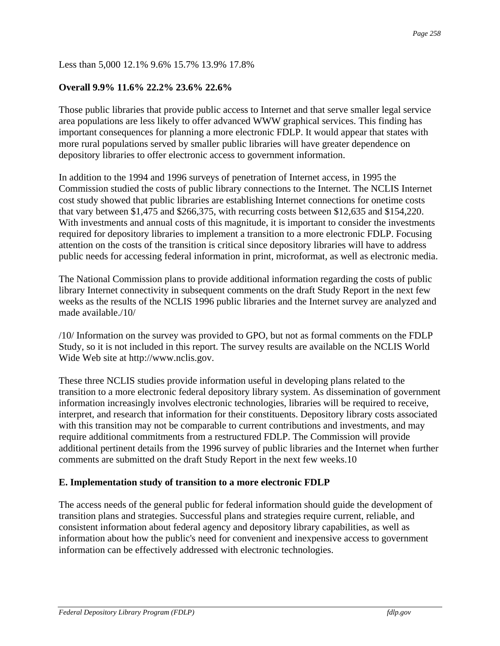### Less than 5,000 12.1% 9.6% 15.7% 13.9% 17.8%

# **Overall 9.9% 11.6% 22.2% 23.6% 22.6%**

Those public libraries that provide public access to Internet and that serve smaller legal service area populations are less likely to offer advanced WWW graphical services. This finding has important consequences for planning a more electronic FDLP. It would appear that states with more rural populations served by smaller public libraries will have greater dependence on depository libraries to offer electronic access to government information.

In addition to the 1994 and 1996 surveys of penetration of Internet access, in 1995 the Commission studied the costs of public library connections to the Internet. The NCLIS Internet cost study showed that public libraries are establishing Internet connections for onetime costs that vary between \$1,475 and \$266,375, with recurring costs between \$12,635 and \$154,220. With investments and annual costs of this magnitude, it is important to consider the investments required for depository libraries to implement a transition to a more electronic FDLP. Focusing attention on the costs of the transition is critical since depository libraries will have to address public needs for accessing federal information in print, microformat, as well as electronic media.

The National Commission plans to provide additional information regarding the costs of public library Internet connectivity in subsequent comments on the draft Study Report in the next few weeks as the results of the NCLIS 1996 public libraries and the Internet survey are analyzed and made available./10/

/10/ Information on the survey was provided to GPO, but not as formal comments on the FDLP Study, so it is not included in this report. The survey results are available on the NCLIS World Wide Web site at http://www.nclis.gov.

These three NCLIS studies provide information useful in developing plans related to the transition to a more electronic federal depository library system. As dissemination of government information increasingly involves electronic technologies, libraries will be required to receive, interpret, and research that information for their constituents. Depository library costs associated with this transition may not be comparable to current contributions and investments, and may require additional commitments from a restructured FDLP. The Commission will provide additional pertinent details from the 1996 survey of public libraries and the Internet when further comments are submitted on the draft Study Report in the next few weeks.10

#### **E. Implementation study of transition to a more electronic FDLP**

The access needs of the general public for federal information should guide the development of transition plans and strategies. Successful plans and strategies require current, reliable, and consistent information about federal agency and depository library capabilities, as well as information about how the public's need for convenient and inexpensive access to government information can be effectively addressed with electronic technologies.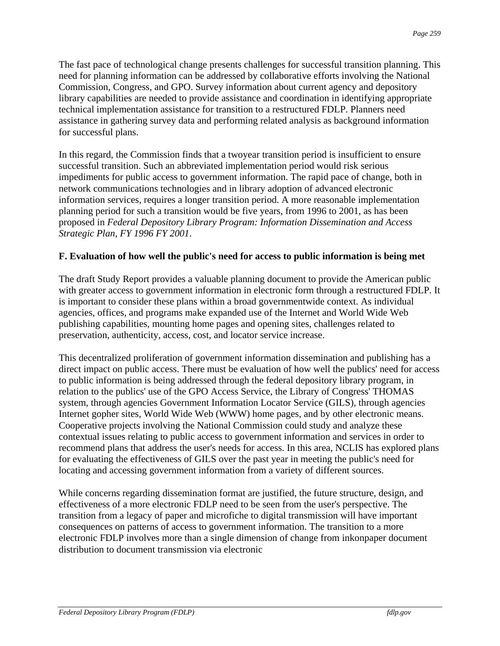The fast pace of technological change presents challenges for successful transition planning. This need for planning information can be addressed by collaborative efforts involving the National Commission, Congress, and GPO. Survey information about current agency and depository library capabilities are needed to provide assistance and coordination in identifying appropriate technical implementation assistance for transition to a restructured FDLP. Planners need assistance in gathering survey data and performing related analysis as background information for successful plans.

In this regard, the Commission finds that a twoyear transition period is insufficient to ensure successful transition. Such an abbreviated implementation period would risk serious impediments for public access to government information. The rapid pace of change, both in network communications technologies and in library adoption of advanced electronic information services, requires a longer transition period. A more reasonable implementation planning period for such a transition would be five years, from 1996 to 2001, as has been proposed in *Federal Depository Library Program: Information Dissemination and Access Strategic Plan, FY 1996 FY 2001*.

### **F. Evaluation of how well the public's need for access to public information is being met**

The draft Study Report provides a valuable planning document to provide the American public with greater access to government information in electronic form through a restructured FDLP. It is important to consider these plans within a broad governmentwide context. As individual agencies, offices, and programs make expanded use of the Internet and World Wide Web publishing capabilities, mounting home pages and opening sites, challenges related to preservation, authenticity, access, cost, and locator service increase.

This decentralized proliferation of government information dissemination and publishing has a direct impact on public access. There must be evaluation of how well the publics' need for access to public information is being addressed through the federal depository library program, in relation to the publics' use of the GPO Access Service, the Library of Congress' THOMAS system, through agencies Government Information Locator Service (GILS), through agencies Internet gopher sites, World Wide Web (WWW) home pages, and by other electronic means. Cooperative projects involving the National Commission could study and analyze these contextual issues relating to public access to government information and services in order to recommend plans that address the user's needs for access. In this area, NCLIS has explored plans for evaluating the effectiveness of GILS over the past year in meeting the public's need for locating and accessing government information from a variety of different sources.

While concerns regarding dissemination format are justified, the future structure, design, and effectiveness of a more electronic FDLP need to be seen from the user's perspective. The transition from a legacy of paper and microfiche to digital transmission will have important consequences on patterns of access to government information. The transition to a more electronic FDLP involves more than a single dimension of change from inkonpaper document distribution to document transmission via electronic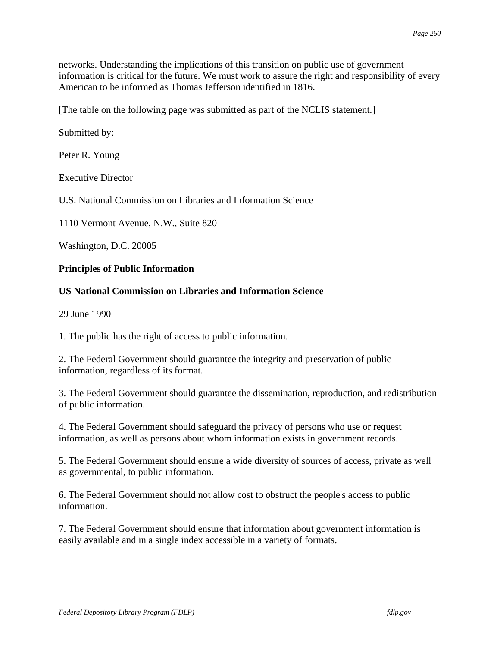networks. Understanding the implications of this transition on public use of government information is critical for the future. We must work to assure the right and responsibility of every American to be informed as Thomas Jefferson identified in 1816.

[The table on the following page was submitted as part of the NCLIS statement.]

Submitted by:

Peter R. Young

Executive Director

U.S. National Commission on Libraries and Information Science

1110 Vermont Avenue, N.W., Suite 820

Washington, D.C. 20005

#### **Principles of Public Information**

#### **US National Commission on Libraries and Information Science**

29 June 1990

1. The public has the right of access to public information.

2. The Federal Government should guarantee the integrity and preservation of public information, regardless of its format.

3. The Federal Government should guarantee the dissemination, reproduction, and redistribution of public information.

4. The Federal Government should safeguard the privacy of persons who use or request information, as well as persons about whom information exists in government records.

5. The Federal Government should ensure a wide diversity of sources of access, private as well as governmental, to public information.

6. The Federal Government should not allow cost to obstruct the people's access to public information.

7. The Federal Government should ensure that information about government information is easily available and in a single index accessible in a variety of formats.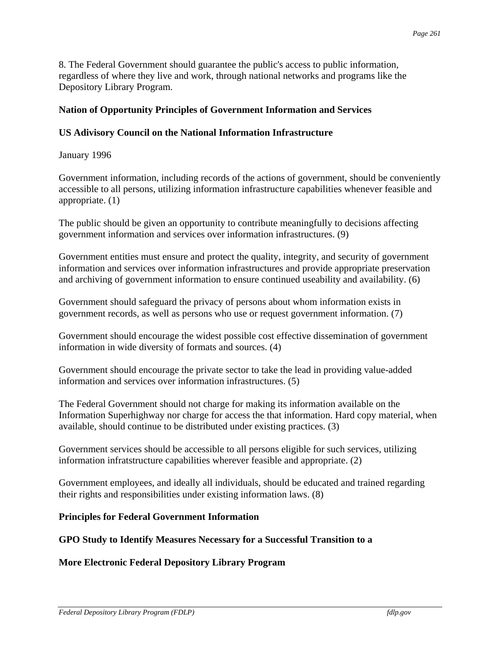8. The Federal Government should guarantee the public's access to public information, regardless of where they live and work, through national networks and programs like the Depository Library Program.

# **Nation of Opportunity Principles of Government Information and Services**

### **US Adivisory Council on the National Information Infrastructure**

January 1996

Government information, including records of the actions of government, should be conveniently accessible to all persons, utilizing information infrastructure capabilities whenever feasible and appropriate. (1)

The public should be given an opportunity to contribute meaningfully to decisions affecting government information and services over information infrastructures. (9)

Government entities must ensure and protect the quality, integrity, and security of government information and services over information infrastructures and provide appropriate preservation and archiving of government information to ensure continued useability and availability. (6)

Government should safeguard the privacy of persons about whom information exists in government records, as well as persons who use or request government information. (7)

Government should encourage the widest possible cost effective dissemination of government information in wide diversity of formats and sources. (4)

Government should encourage the private sector to take the lead in providing value-added information and services over information infrastructures. (5)

The Federal Government should not charge for making its information available on the Information Superhighway nor charge for access the that information. Hard copy material, when available, should continue to be distributed under existing practices. (3)

Government services should be accessible to all persons eligible for such services, utilizing information infratstructure capabilities wherever feasible and appropriate. (2)

Government employees, and ideally all individuals, should be educated and trained regarding their rights and responsibilities under existing information laws. (8)

#### **Principles for Federal Government Information**

#### **GPO Study to Identify Measures Necessary for a Successful Transition to a**

#### **More Electronic Federal Depository Library Program**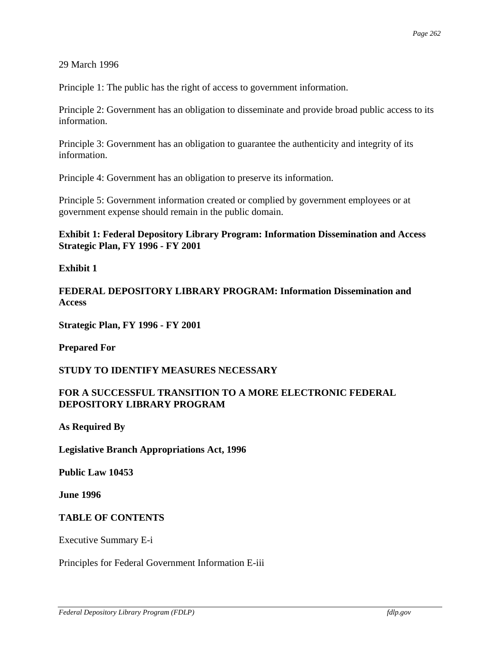29 March 1996

Principle 1: The public has the right of access to government information.

Principle 2: Government has an obligation to disseminate and provide broad public access to its information.

Principle 3: Government has an obligation to guarantee the authenticity and integrity of its information.

Principle 4: Government has an obligation to preserve its information.

Principle 5: Government information created or complied by government employees or at government expense should remain in the public domain.

#### **Exhibit 1: Federal Depository Library Program: Information Dissemination and Access Strategic Plan, FY 1996 - FY 2001**

**Exhibit 1** 

**FEDERAL DEPOSITORY LIBRARY PROGRAM: Information Dissemination and Access** 

**Strategic Plan, FY 1996 - FY 2001** 

**Prepared For** 

#### **STUDY TO IDENTIFY MEASURES NECESSARY**

#### **FOR A SUCCESSFUL TRANSITION TO A MORE ELECTRONIC FEDERAL DEPOSITORY LIBRARY PROGRAM**

**As Required By** 

**Legislative Branch Appropriations Act, 1996** 

**Public Law 10453** 

**June 1996** 

#### **TABLE OF CONTENTS**

Executive Summary E-i

Principles for Federal Government Information E-iii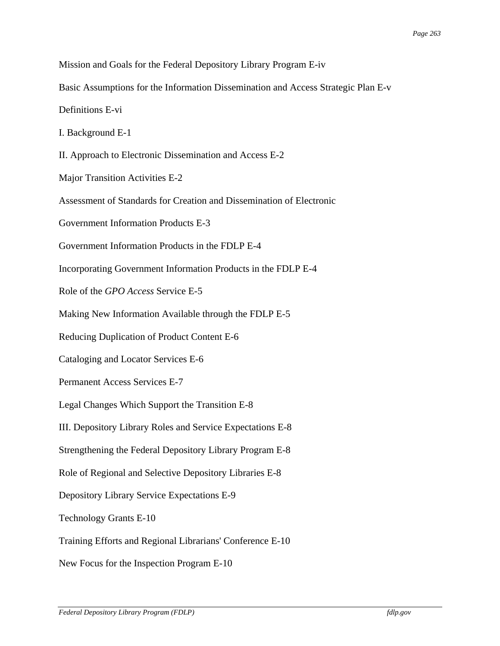Mission and Goals for the Federal Depository Library Program E-iv Basic Assumptions for the Information Dissemination and Access Strategic Plan E-v Definitions E-vi I. Background E-1 II. Approach to Electronic Dissemination and Access E-2 Major Transition Activities E-2 Assessment of Standards for Creation and Dissemination of Electronic Government Information Products E-3 Government Information Products in the FDLP E-4 Incorporating Government Information Products in the FDLP E-4 Role of the *GPO Access* Service E-5 Making New Information Available through the FDLP E-5 Reducing Duplication of Product Content E-6 Cataloging and Locator Services E-6 Permanent Access Services E-7 Legal Changes Which Support the Transition E-8 III. Depository Library Roles and Service Expectations E-8 Strengthening the Federal Depository Library Program E-8 Role of Regional and Selective Depository Libraries E-8 Depository Library Service Expectations E-9 Technology Grants E-10 Training Efforts and Regional Librarians' Conference E-10 New Focus for the Inspection Program E-10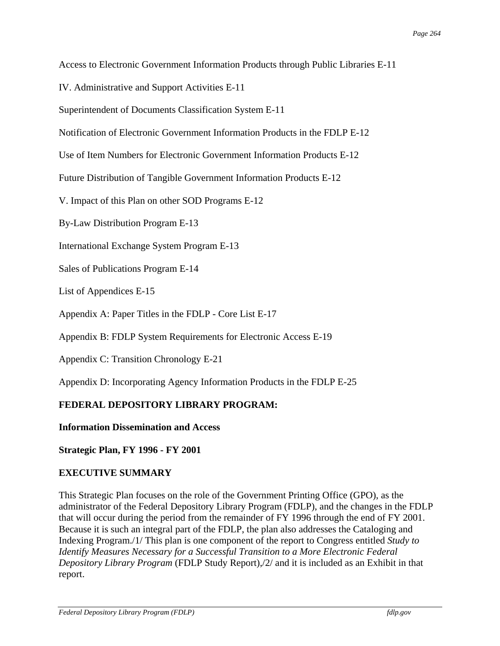Access to Electronic Government Information Products through Public Libraries E-11

IV. Administrative and Support Activities E-11

Superintendent of Documents Classification System E-11

Notification of Electronic Government Information Products in the FDLP E-12

Use of Item Numbers for Electronic Government Information Products E-12

Future Distribution of Tangible Government Information Products E-12

V. Impact of this Plan on other SOD Programs E-12

By-Law Distribution Program E-13

International Exchange System Program E-13

Sales of Publications Program E-14

List of Appendices E-15

Appendix A: Paper Titles in the FDLP - Core List E-17

Appendix B: FDLP System Requirements for Electronic Access E-19

Appendix C: Transition Chronology E-21

Appendix D: Incorporating Agency Information Products in the FDLP E-25

# **FEDERAL DEPOSITORY LIBRARY PROGRAM:**

**Information Dissemination and Access** 

# **Strategic Plan, FY 1996 - FY 2001**

# **EXECUTIVE SUMMARY**

This Strategic Plan focuses on the role of the Government Printing Office (GPO), as the administrator of the Federal Depository Library Program (FDLP), and the changes in the FDLP that will occur during the period from the remainder of FY 1996 through the end of FY 2001. Because it is such an integral part of the FDLP, the plan also addresses the Cataloging and Indexing Program./1/ This plan is one component of the report to Congress entitled *Study to Identify Measures Necessary for a Successful Transition to a More Electronic Federal Depository Library Program* (FDLP Study Report),/2/ and it is included as an Exhibit in that report.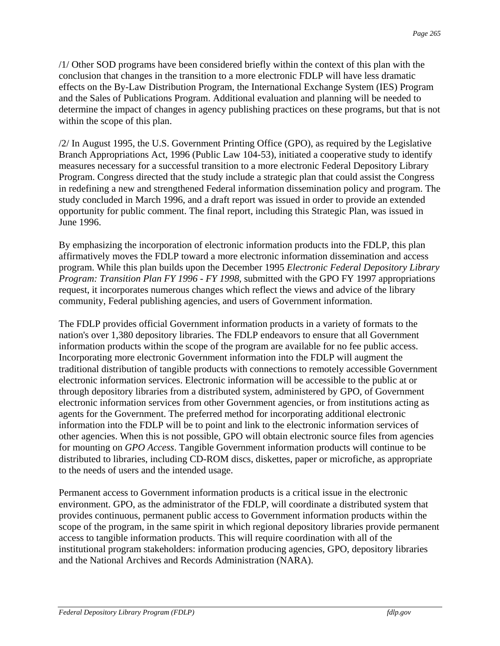/1/ Other SOD programs have been considered briefly within the context of this plan with the conclusion that changes in the transition to a more electronic FDLP will have less dramatic effects on the By-Law Distribution Program, the International Exchange System (IES) Program and the Sales of Publications Program. Additional evaluation and planning will be needed to determine the impact of changes in agency publishing practices on these programs, but that is not within the scope of this plan.

/2/ In August 1995, the U.S. Government Printing Office (GPO), as required by the Legislative Branch Appropriations Act, 1996 (Public Law 104-53), initiated a cooperative study to identify measures necessary for a successful transition to a more electronic Federal Depository Library Program. Congress directed that the study include a strategic plan that could assist the Congress in redefining a new and strengthened Federal information dissemination policy and program. The study concluded in March 1996, and a draft report was issued in order to provide an extended opportunity for public comment. The final report, including this Strategic Plan, was issued in June 1996.

By emphasizing the incorporation of electronic information products into the FDLP, this plan affirmatively moves the FDLP toward a more electronic information dissemination and access program. While this plan builds upon the December 1995 *Electronic Federal Depository Library Program: Transition Plan FY 1996 - FY 1998,* submitted with the GPO FY 1997 appropriations request, it incorporates numerous changes which reflect the views and advice of the library community, Federal publishing agencies, and users of Government information.

The FDLP provides official Government information products in a variety of formats to the nation's over 1,380 depository libraries. The FDLP endeavors to ensure that all Government information products within the scope of the program are available for no fee public access. Incorporating more electronic Government information into the FDLP will augment the traditional distribution of tangible products with connections to remotely accessible Government electronic information services. Electronic information will be accessible to the public at or through depository libraries from a distributed system, administered by GPO, of Government electronic information services from other Government agencies, or from institutions acting as agents for the Government. The preferred method for incorporating additional electronic information into the FDLP will be to point and link to the electronic information services of other agencies. When this is not possible, GPO will obtain electronic source files from agencies for mounting on *GPO Access*. Tangible Government information products will continue to be distributed to libraries, including CD-ROM discs, diskettes, paper or microfiche, as appropriate to the needs of users and the intended usage.

Permanent access to Government information products is a critical issue in the electronic environment. GPO, as the administrator of the FDLP, will coordinate a distributed system that provides continuous, permanent public access to Government information products within the scope of the program, in the same spirit in which regional depository libraries provide permanent access to tangible information products. This will require coordination with all of the institutional program stakeholders: information producing agencies, GPO, depository libraries and the National Archives and Records Administration (NARA).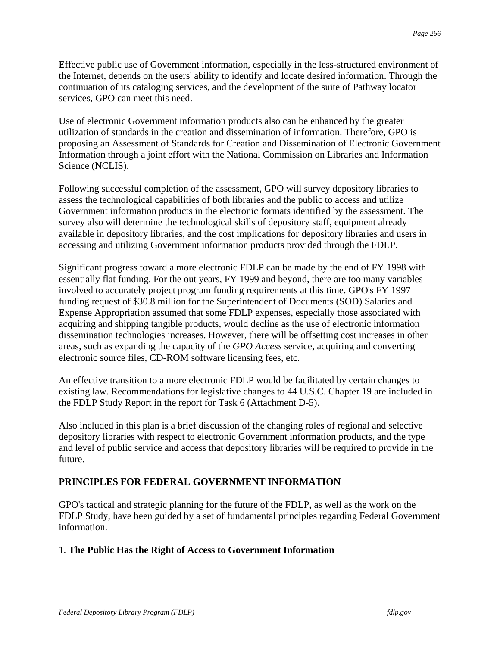Effective public use of Government information, especially in the less-structured environment of the Internet, depends on the users' ability to identify and locate desired information. Through the continuation of its cataloging services, and the development of the suite of Pathway locator services, GPO can meet this need.

Use of electronic Government information products also can be enhanced by the greater utilization of standards in the creation and dissemination of information. Therefore, GPO is proposing an Assessment of Standards for Creation and Dissemination of Electronic Government Information through a joint effort with the National Commission on Libraries and Information Science (NCLIS).

Following successful completion of the assessment, GPO will survey depository libraries to assess the technological capabilities of both libraries and the public to access and utilize Government information products in the electronic formats identified by the assessment. The survey also will determine the technological skills of depository staff, equipment already available in depository libraries, and the cost implications for depository libraries and users in accessing and utilizing Government information products provided through the FDLP.

Significant progress toward a more electronic FDLP can be made by the end of FY 1998 with essentially flat funding. For the out years, FY 1999 and beyond, there are too many variables involved to accurately project program funding requirements at this time. GPO's FY 1997 funding request of \$30.8 million for the Superintendent of Documents (SOD) Salaries and Expense Appropriation assumed that some FDLP expenses, especially those associated with acquiring and shipping tangible products, would decline as the use of electronic information dissemination technologies increases. However, there will be offsetting cost increases in other areas, such as expanding the capacity of the *GPO Access* service, acquiring and converting electronic source files, CD-ROM software licensing fees, etc.

An effective transition to a more electronic FDLP would be facilitated by certain changes to existing law. Recommendations for legislative changes to 44 U.S.C. Chapter 19 are included in the FDLP Study Report in the report for Task 6 (Attachment D-5).

Also included in this plan is a brief discussion of the changing roles of regional and selective depository libraries with respect to electronic Government information products, and the type and level of public service and access that depository libraries will be required to provide in the future.

# **PRINCIPLES FOR FEDERAL GOVERNMENT INFORMATION**

GPO's tactical and strategic planning for the future of the FDLP, as well as the work on the FDLP Study, have been guided by a set of fundamental principles regarding Federal Government information.

# 1. **The Public Has the Right of Access to Government Information**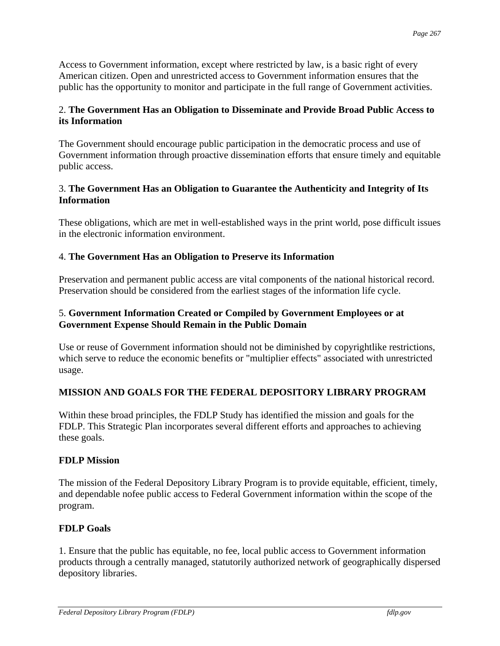Access to Government information, except where restricted by law, is a basic right of every American citizen. Open and unrestricted access to Government information ensures that the public has the opportunity to monitor and participate in the full range of Government activities.

# 2. **The Government Has an Obligation to Disseminate and Provide Broad Public Access to its Information**

The Government should encourage public participation in the democratic process and use of Government information through proactive dissemination efforts that ensure timely and equitable public access.

# 3. **The Government Has an Obligation to Guarantee the Authenticity and Integrity of Its Information**

These obligations, which are met in well-established ways in the print world, pose difficult issues in the electronic information environment.

# 4. **The Government Has an Obligation to Preserve its Information**

Preservation and permanent public access are vital components of the national historical record. Preservation should be considered from the earliest stages of the information life cycle.

### 5. **Government Information Created or Compiled by Government Employees or at Government Expense Should Remain in the Public Domain**

Use or reuse of Government information should not be diminished by copyrightlike restrictions, which serve to reduce the economic benefits or "multiplier effects" associated with unrestricted usage.

# **MISSION AND GOALS FOR THE FEDERAL DEPOSITORY LIBRARY PROGRAM**

Within these broad principles, the FDLP Study has identified the mission and goals for the FDLP. This Strategic Plan incorporates several different efforts and approaches to achieving these goals.

# **FDLP Mission**

The mission of the Federal Depository Library Program is to provide equitable, efficient, timely, and dependable nofee public access to Federal Government information within the scope of the program.

# **FDLP Goals**

1. Ensure that the public has equitable, no fee, local public access to Government information products through a centrally managed, statutorily authorized network of geographically dispersed depository libraries.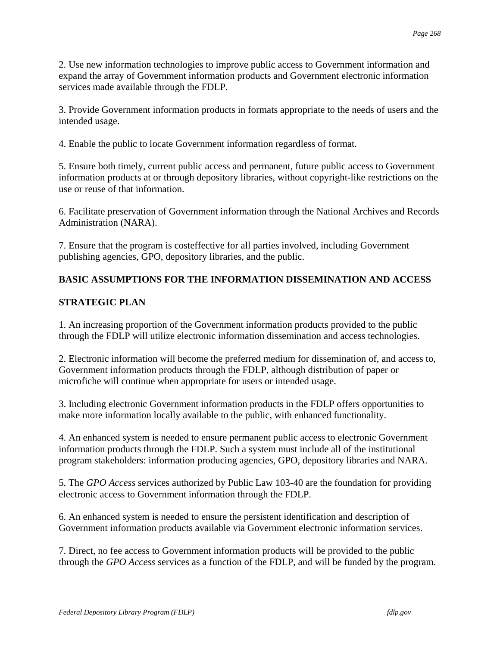2. Use new information technologies to improve public access to Government information and expand the array of Government information products and Government electronic information services made available through the FDLP.

3. Provide Government information products in formats appropriate to the needs of users and the intended usage.

4. Enable the public to locate Government information regardless of format.

5. Ensure both timely, current public access and permanent, future public access to Government information products at or through depository libraries, without copyright-like restrictions on the use or reuse of that information.

6. Facilitate preservation of Government information through the National Archives and Records Administration (NARA).

7. Ensure that the program is costeffective for all parties involved, including Government publishing agencies, GPO, depository libraries, and the public.

# **BASIC ASSUMPTIONS FOR THE INFORMATION DISSEMINATION AND ACCESS**

# **STRATEGIC PLAN**

1. An increasing proportion of the Government information products provided to the public through the FDLP will utilize electronic information dissemination and access technologies.

2. Electronic information will become the preferred medium for dissemination of, and access to, Government information products through the FDLP, although distribution of paper or microfiche will continue when appropriate for users or intended usage.

3. Including electronic Government information products in the FDLP offers opportunities to make more information locally available to the public, with enhanced functionality.

4. An enhanced system is needed to ensure permanent public access to electronic Government information products through the FDLP. Such a system must include all of the institutional program stakeholders: information producing agencies, GPO, depository libraries and NARA.

5. The *GPO Access* services authorized by Public Law 103-40 are the foundation for providing electronic access to Government information through the FDLP.

6. An enhanced system is needed to ensure the persistent identification and description of Government information products available via Government electronic information services.

7. Direct, no fee access to Government information products will be provided to the public through the *GPO Access* services as a function of the FDLP, and will be funded by the program.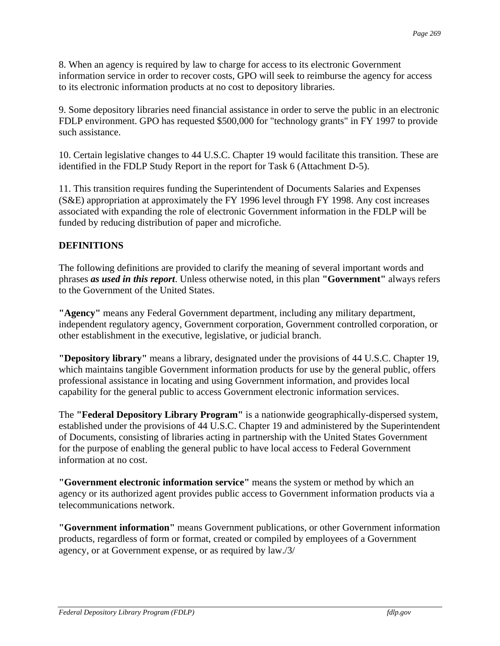8. When an agency is required by law to charge for access to its electronic Government information service in order to recover costs, GPO will seek to reimburse the agency for access to its electronic information products at no cost to depository libraries.

9. Some depository libraries need financial assistance in order to serve the public in an electronic FDLP environment. GPO has requested \$500,000 for "technology grants" in FY 1997 to provide such assistance.

10. Certain legislative changes to 44 U.S.C. Chapter 19 would facilitate this transition. These are identified in the FDLP Study Report in the report for Task 6 (Attachment D-5).

11. This transition requires funding the Superintendent of Documents Salaries and Expenses (S&E) appropriation at approximately the FY 1996 level through FY 1998. Any cost increases associated with expanding the role of electronic Government information in the FDLP will be funded by reducing distribution of paper and microfiche.

# **DEFINITIONS**

The following definitions are provided to clarify the meaning of several important words and phrases *as used in this report*. Unless otherwise noted, in this plan **"Government"** always refers to the Government of the United States.

**"Agency"** means any Federal Government department, including any military department, independent regulatory agency, Government corporation, Government controlled corporation, or other establishment in the executive, legislative, or judicial branch.

**"Depository library"** means a library, designated under the provisions of 44 U.S.C. Chapter 19, which maintains tangible Government information products for use by the general public, offers professional assistance in locating and using Government information, and provides local capability for the general public to access Government electronic information services.

The **"Federal Depository Library Program"** is a nationwide geographically-dispersed system, established under the provisions of 44 U.S.C. Chapter 19 and administered by the Superintendent of Documents, consisting of libraries acting in partnership with the United States Government for the purpose of enabling the general public to have local access to Federal Government information at no cost.

**"Government electronic information service"** means the system or method by which an agency or its authorized agent provides public access to Government information products via a telecommunications network.

**"Government information"** means Government publications, or other Government information products, regardless of form or format, created or compiled by employees of a Government agency, or at Government expense, or as required by law./3/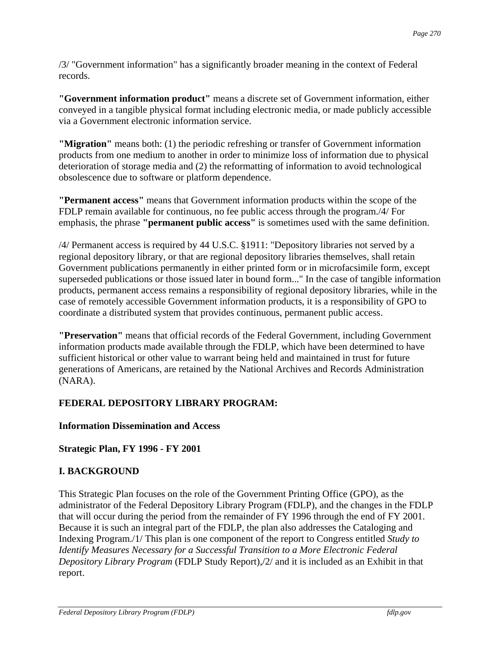/3/ "Government information" has a significantly broader meaning in the context of Federal records.

**"Government information product"** means a discrete set of Government information, either conveyed in a tangible physical format including electronic media, or made publicly accessible via a Government electronic information service.

**"Migration"** means both: (1) the periodic refreshing or transfer of Government information products from one medium to another in order to minimize loss of information due to physical deterioration of storage media and (2) the reformatting of information to avoid technological obsolescence due to software or platform dependence.

**"Permanent access"** means that Government information products within the scope of the FDLP remain available for continuous, no fee public access through the program./4/ For emphasis, the phrase **"permanent public access"** is sometimes used with the same definition.

/4/ Permanent access is required by 44 U.S.C. §1911: "Depository libraries not served by a regional depository library, or that are regional depository libraries themselves, shall retain Government publications permanently in either printed form or in microfacsimile form, except superseded publications or those issued later in bound form..." In the case of tangible information products, permanent access remains a responsibility of regional depository libraries, while in the case of remotely accessible Government information products, it is a responsibility of GPO to coordinate a distributed system that provides continuous, permanent public access.

**"Preservation"** means that official records of the Federal Government, including Government information products made available through the FDLP, which have been determined to have sufficient historical or other value to warrant being held and maintained in trust for future generations of Americans, are retained by the National Archives and Records Administration (NARA).

# **FEDERAL DEPOSITORY LIBRARY PROGRAM:**

# **Information Dissemination and Access**

# **Strategic Plan, FY 1996 - FY 2001**

# **I. BACKGROUND**

This Strategic Plan focuses on the role of the Government Printing Office (GPO), as the administrator of the Federal Depository Library Program (FDLP), and the changes in the FDLP that will occur during the period from the remainder of FY 1996 through the end of FY 2001. Because it is such an integral part of the FDLP, the plan also addresses the Cataloging and Indexing Program./1/ This plan is one component of the report to Congress entitled *Study to Identify Measures Necessary for a Successful Transition to a More Electronic Federal Depository Library Program* (FDLP Study Report),/2/ and it is included as an Exhibit in that report.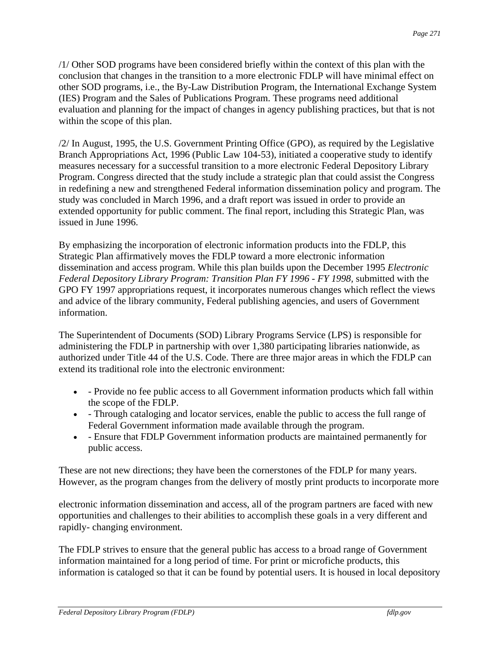/1/ Other SOD programs have been considered briefly within the context of this plan with the conclusion that changes in the transition to a more electronic FDLP will have minimal effect on other SOD programs, i.e., the By-Law Distribution Program, the International Exchange System (IES) Program and the Sales of Publications Program. These programs need additional evaluation and planning for the impact of changes in agency publishing practices, but that is not within the scope of this plan.

/2/ In August, 1995, the U.S. Government Printing Office (GPO), as required by the Legislative Branch Appropriations Act, 1996 (Public Law 104-53), initiated a cooperative study to identify measures necessary for a successful transition to a more electronic Federal Depository Library Program. Congress directed that the study include a strategic plan that could assist the Congress in redefining a new and strengthened Federal information dissemination policy and program. The study was concluded in March 1996, and a draft report was issued in order to provide an extended opportunity for public comment. The final report, including this Strategic Plan, was issued in June 1996.

By emphasizing the incorporation of electronic information products into the FDLP, this Strategic Plan affirmatively moves the FDLP toward a more electronic information dissemination and access program. While this plan builds upon the December 1995 *Electronic Federal Depository Library Program: Transition Plan FY 1996 - FY 1998,* submitted with the GPO FY 1997 appropriations request, it incorporates numerous changes which reflect the views and advice of the library community, Federal publishing agencies, and users of Government information.

The Superintendent of Documents (SOD) Library Programs Service (LPS) is responsible for administering the FDLP in partnership with over 1,380 participating libraries nationwide, as authorized under Title 44 of the U.S. Code. There are three major areas in which the FDLP can extend its traditional role into the electronic environment:

- Provide no fee public access to all Government information products which fall within the scope of the FDLP.
- Through cataloging and locator services, enable the public to access the full range of Federal Government information made available through the program.
- Ensure that FDLP Government information products are maintained permanently for public access.

These are not new directions; they have been the cornerstones of the FDLP for many years. However, as the program changes from the delivery of mostly print products to incorporate more

electronic information dissemination and access, all of the program partners are faced with new opportunities and challenges to their abilities to accomplish these goals in a very different and rapidly- changing environment.

The FDLP strives to ensure that the general public has access to a broad range of Government information maintained for a long period of time. For print or microfiche products, this information is cataloged so that it can be found by potential users. It is housed in local depository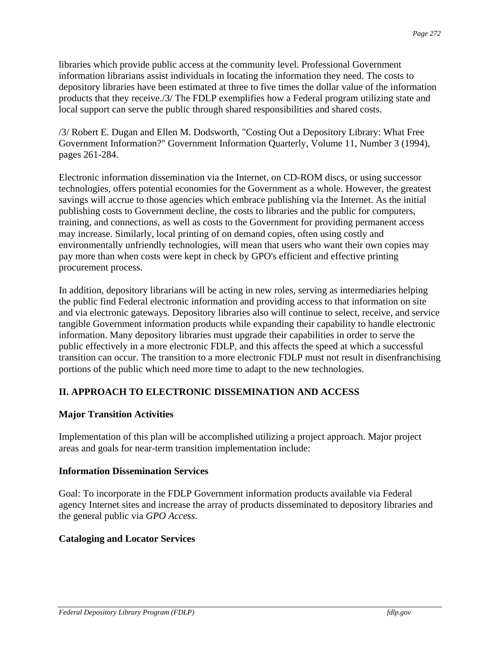libraries which provide public access at the community level. Professional Government information librarians assist individuals in locating the information they need. The costs to depository libraries have been estimated at three to five times the dollar value of the information products that they receive./3/ The FDLP exemplifies how a Federal program utilizing state and local support can serve the public through shared responsibilities and shared costs.

/3/ Robert E. Dugan and Ellen M. Dodsworth, "Costing Out a Depository Library: What Free Government Information?" Government Information Quarterly, Volume 11, Number 3 (1994), pages 261-284.

Electronic information dissemination via the Internet, on CD-ROM discs, or using successor technologies, offers potential economies for the Government as a whole. However, the greatest savings will accrue to those agencies which embrace publishing via the Internet. As the initial publishing costs to Government decline, the costs to libraries and the public for computers, training, and connections, as well as costs to the Government for providing permanent access may increase. Similarly, local printing of on demand copies, often using costly and environmentally unfriendly technologies, will mean that users who want their own copies may pay more than when costs were kept in check by GPO's efficient and effective printing procurement process.

In addition, depository librarians will be acting in new roles, serving as intermediaries helping the public find Federal electronic information and providing access to that information on site and via electronic gateways. Depository libraries also will continue to select, receive, and service tangible Government information products while expanding their capability to handle electronic information. Many depository libraries must upgrade their capabilities in order to serve the public effectively in a more electronic FDLP, and this affects the speed at which a successful transition can occur. The transition to a more electronic FDLP must not result in disenfranchising portions of the public which need more time to adapt to the new technologies.

# **II. APPROACH TO ELECTRONIC DISSEMINATION AND ACCESS**

#### **Major Transition Activities**

Implementation of this plan will be accomplished utilizing a project approach. Major project areas and goals for near-term transition implementation include:

#### **Information Dissemination Services**

Goal: To incorporate in the FDLP Government information products available via Federal agency Internet sites and increase the array of products disseminated to depository libraries and the general public via *GPO Access*.

#### **Cataloging and Locator Services**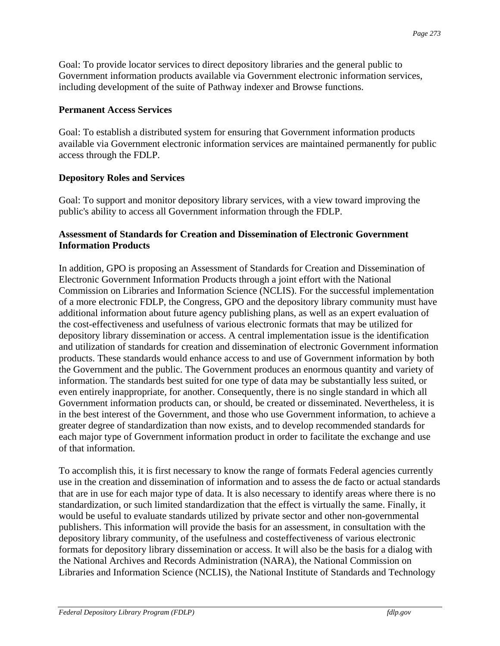Goal: To provide locator services to direct depository libraries and the general public to Government information products available via Government electronic information services, including development of the suite of Pathway indexer and Browse functions.

### **Permanent Access Services**

Goal: To establish a distributed system for ensuring that Government information products available via Government electronic information services are maintained permanently for public access through the FDLP.

# **Depository Roles and Services**

Goal: To support and monitor depository library services, with a view toward improving the public's ability to access all Government information through the FDLP.

### **Assessment of Standards for Creation and Dissemination of Electronic Government Information Products**

In addition, GPO is proposing an Assessment of Standards for Creation and Dissemination of Electronic Government Information Products through a joint effort with the National Commission on Libraries and Information Science (NCLIS). For the successful implementation of a more electronic FDLP, the Congress, GPO and the depository library community must have additional information about future agency publishing plans, as well as an expert evaluation of the cost-effectiveness and usefulness of various electronic formats that may be utilized for depository library dissemination or access. A central implementation issue is the identification and utilization of standards for creation and dissemination of electronic Government information products. These standards would enhance access to and use of Government information by both the Government and the public. The Government produces an enormous quantity and variety of information. The standards best suited for one type of data may be substantially less suited, or even entirely inappropriate, for another. Consequently, there is no single standard in which all Government information products can, or should, be created or disseminated. Nevertheless, it is in the best interest of the Government, and those who use Government information, to achieve a greater degree of standardization than now exists, and to develop recommended standards for each major type of Government information product in order to facilitate the exchange and use of that information.

To accomplish this, it is first necessary to know the range of formats Federal agencies currently use in the creation and dissemination of information and to assess the de facto or actual standards that are in use for each major type of data. It is also necessary to identify areas where there is no standardization, or such limited standardization that the effect is virtually the same. Finally, it would be useful to evaluate standards utilized by private sector and other non-governmental publishers. This information will provide the basis for an assessment, in consultation with the depository library community, of the usefulness and costeffectiveness of various electronic formats for depository library dissemination or access. It will also be the basis for a dialog with the National Archives and Records Administration (NARA), the National Commission on Libraries and Information Science (NCLIS), the National Institute of Standards and Technology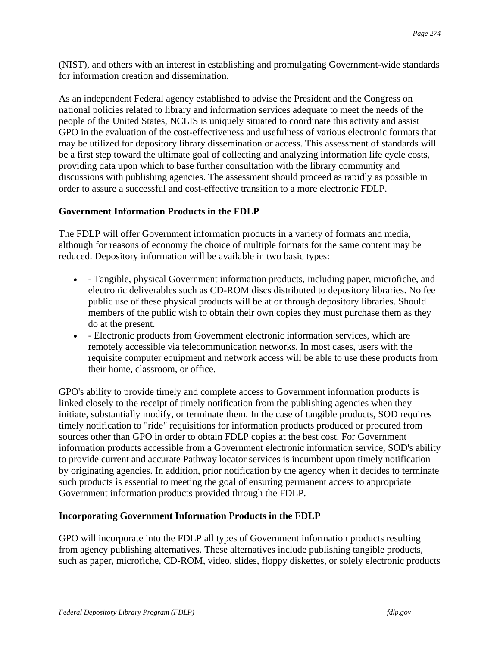(NIST), and others with an interest in establishing and promulgating Government-wide standards for information creation and dissemination.

As an independent Federal agency established to advise the President and the Congress on national policies related to library and information services adequate to meet the needs of the people of the United States, NCLIS is uniquely situated to coordinate this activity and assist GPO in the evaluation of the cost-effectiveness and usefulness of various electronic formats that may be utilized for depository library dissemination or access. This assessment of standards will be a first step toward the ultimate goal of collecting and analyzing information life cycle costs, providing data upon which to base further consultation with the library community and discussions with publishing agencies. The assessment should proceed as rapidly as possible in order to assure a successful and cost-effective transition to a more electronic FDLP.

### **Government Information Products in the FDLP**

The FDLP will offer Government information products in a variety of formats and media, although for reasons of economy the choice of multiple formats for the same content may be reduced. Depository information will be available in two basic types:

- Tangible, physical Government information products, including paper, microfiche, and electronic deliverables such as CD-ROM discs distributed to depository libraries. No fee public use of these physical products will be at or through depository libraries. Should members of the public wish to obtain their own copies they must purchase them as they do at the present.
- Electronic products from Government electronic information services, which are remotely accessible via telecommunication networks. In most cases, users with the requisite computer equipment and network access will be able to use these products from their home, classroom, or office.

GPO's ability to provide timely and complete access to Government information products is linked closely to the receipt of timely notification from the publishing agencies when they initiate, substantially modify, or terminate them. In the case of tangible products, SOD requires timely notification to "ride" requisitions for information products produced or procured from sources other than GPO in order to obtain FDLP copies at the best cost. For Government information products accessible from a Government electronic information service, SOD's ability to provide current and accurate Pathway locator services is incumbent upon timely notification by originating agencies. In addition, prior notification by the agency when it decides to terminate such products is essential to meeting the goal of ensuring permanent access to appropriate Government information products provided through the FDLP.

#### **Incorporating Government Information Products in the FDLP**

GPO will incorporate into the FDLP all types of Government information products resulting from agency publishing alternatives. These alternatives include publishing tangible products, such as paper, microfiche, CD-ROM, video, slides, floppy diskettes, or solely electronic products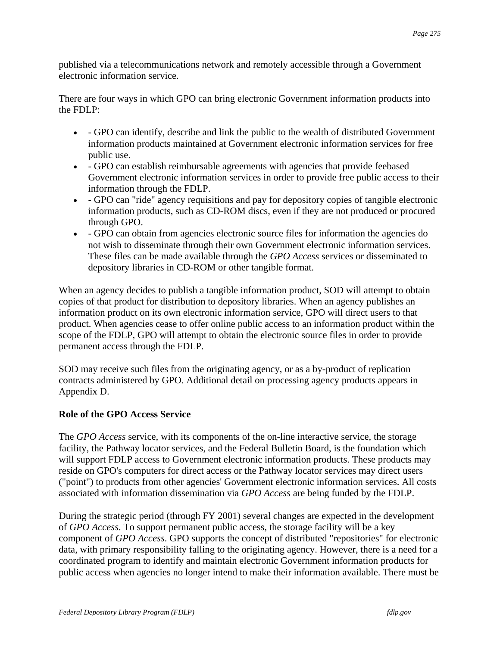published via a telecommunications network and remotely accessible through a Government electronic information service.

There are four ways in which GPO can bring electronic Government information products into the FDLP:

- GPO can identify, describe and link the public to the wealth of distributed Government information products maintained at Government electronic information services for free public use.
- GPO can establish reimbursable agreements with agencies that provide feebased Government electronic information services in order to provide free public access to their information through the FDLP.
- GPO can "ride" agency requisitions and pay for depository copies of tangible electronic information products, such as CD-ROM discs, even if they are not produced or procured through GPO.
- GPO can obtain from agencies electronic source files for information the agencies do not wish to disseminate through their own Government electronic information services. These files can be made available through the *GPO Access* services or disseminated to depository libraries in CD-ROM or other tangible format.

When an agency decides to publish a tangible information product, SOD will attempt to obtain copies of that product for distribution to depository libraries. When an agency publishes an information product on its own electronic information service, GPO will direct users to that product. When agencies cease to offer online public access to an information product within the scope of the FDLP, GPO will attempt to obtain the electronic source files in order to provide permanent access through the FDLP.

SOD may receive such files from the originating agency, or as a by-product of replication contracts administered by GPO. Additional detail on processing agency products appears in Appendix D.

# **Role of the GPO Access Service**

The *GPO Access* service, with its components of the on-line interactive service, the storage facility, the Pathway locator services, and the Federal Bulletin Board, is the foundation which will support FDLP access to Government electronic information products. These products may reside on GPO's computers for direct access or the Pathway locator services may direct users ("point") to products from other agencies' Government electronic information services. All costs associated with information dissemination via *GPO Access* are being funded by the FDLP.

During the strategic period (through FY 2001) several changes are expected in the development of *GPO Access*. To support permanent public access, the storage facility will be a key component of *GPO Access*. GPO supports the concept of distributed "repositories" for electronic data, with primary responsibility falling to the originating agency. However, there is a need for a coordinated program to identify and maintain electronic Government information products for public access when agencies no longer intend to make their information available. There must be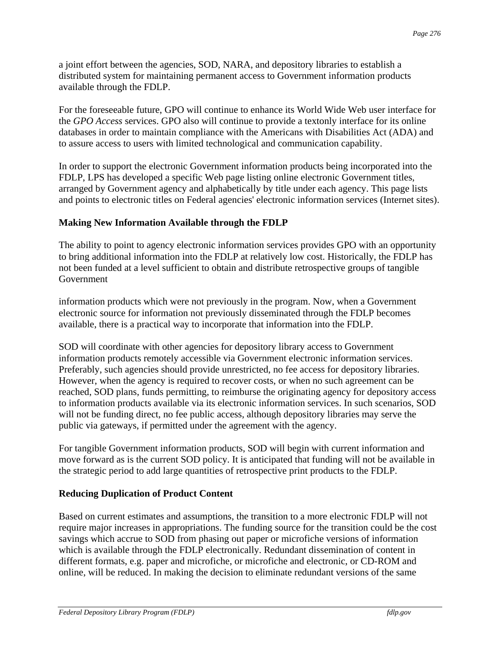a joint effort between the agencies, SOD, NARA, and depository libraries to establish a distributed system for maintaining permanent access to Government information products available through the FDLP.

For the foreseeable future, GPO will continue to enhance its World Wide Web user interface for the *GPO Access* services. GPO also will continue to provide a textonly interface for its online databases in order to maintain compliance with the Americans with Disabilities Act (ADA) and to assure access to users with limited technological and communication capability.

In order to support the electronic Government information products being incorporated into the FDLP, LPS has developed a specific Web page listing online electronic Government titles, arranged by Government agency and alphabetically by title under each agency. This page lists and points to electronic titles on Federal agencies' electronic information services (Internet sites).

# **Making New Information Available through the FDLP**

The ability to point to agency electronic information services provides GPO with an opportunity to bring additional information into the FDLP at relatively low cost. Historically, the FDLP has not been funded at a level sufficient to obtain and distribute retrospective groups of tangible Government

information products which were not previously in the program. Now, when a Government electronic source for information not previously disseminated through the FDLP becomes available, there is a practical way to incorporate that information into the FDLP.

SOD will coordinate with other agencies for depository library access to Government information products remotely accessible via Government electronic information services. Preferably, such agencies should provide unrestricted, no fee access for depository libraries. However, when the agency is required to recover costs, or when no such agreement can be reached, SOD plans, funds permitting, to reimburse the originating agency for depository access to information products available via its electronic information services. In such scenarios, SOD will not be funding direct, no fee public access, although depository libraries may serve the public via gateways, if permitted under the agreement with the agency.

For tangible Government information products, SOD will begin with current information and move forward as is the current SOD policy. It is anticipated that funding will not be available in the strategic period to add large quantities of retrospective print products to the FDLP.

# **Reducing Duplication of Product Content**

Based on current estimates and assumptions, the transition to a more electronic FDLP will not require major increases in appropriations. The funding source for the transition could be the cost savings which accrue to SOD from phasing out paper or microfiche versions of information which is available through the FDLP electronically. Redundant dissemination of content in different formats, e.g. paper and microfiche, or microfiche and electronic, or CD-ROM and online, will be reduced. In making the decision to eliminate redundant versions of the same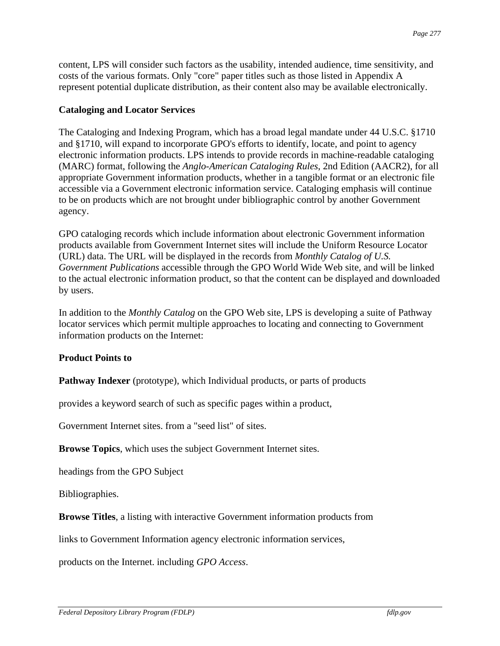content, LPS will consider such factors as the usability, intended audience, time sensitivity, and costs of the various formats. Only "core" paper titles such as those listed in Appendix A represent potential duplicate distribution, as their content also may be available electronically.

### **Cataloging and Locator Services**

The Cataloging and Indexing Program, which has a broad legal mandate under 44 U.S.C. §1710 and §1710, will expand to incorporate GPO's efforts to identify, locate, and point to agency electronic information products. LPS intends to provide records in machine-readable cataloging (MARC) format, following the *Anglo-American Cataloging Rules*, 2nd Edition (AACR2), for all appropriate Government information products, whether in a tangible format or an electronic file accessible via a Government electronic information service. Cataloging emphasis will continue to be on products which are not brought under bibliographic control by another Government agency.

GPO cataloging records which include information about electronic Government information products available from Government Internet sites will include the Uniform Resource Locator (URL) data. The URL will be displayed in the records from *Monthly Catalog of U.S. Government Publications* accessible through the GPO World Wide Web site, and will be linked to the actual electronic information product, so that the content can be displayed and downloaded by users.

In addition to the *Monthly Catalog* on the GPO Web site, LPS is developing a suite of Pathway locator services which permit multiple approaches to locating and connecting to Government information products on the Internet:

# **Product Points to**

**Pathway Indexer** (prototype), which Individual products, or parts of products

provides a keyword search of such as specific pages within a product,

Government Internet sites. from a "seed list" of sites.

**Browse Topics**, which uses the subject Government Internet sites.

headings from the GPO Subject

Bibliographies.

**Browse Titles**, a listing with interactive Government information products from

links to Government Information agency electronic information services,

products on the Internet. including *GPO Access*.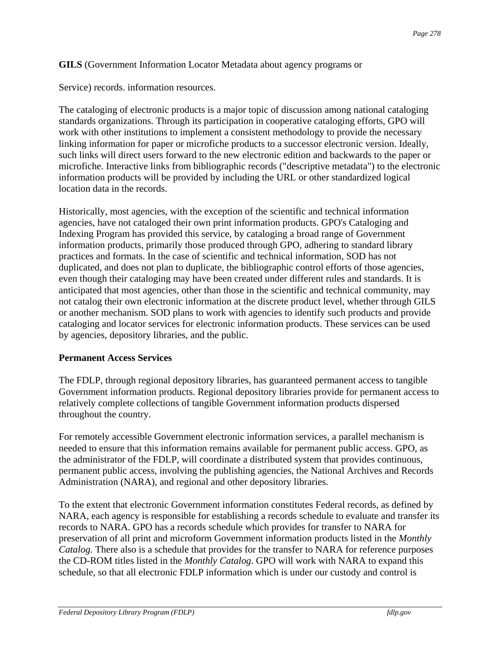### **GILS** (Government Information Locator Metadata about agency programs or

Service) records. information resources.

The cataloging of electronic products is a major topic of discussion among national cataloging standards organizations. Through its participation in cooperative cataloging efforts, GPO will work with other institutions to implement a consistent methodology to provide the necessary linking information for paper or microfiche products to a successor electronic version. Ideally, such links will direct users forward to the new electronic edition and backwards to the paper or microfiche. Interactive links from bibliographic records ("descriptive metadata") to the electronic information products will be provided by including the URL or other standardized logical location data in the records.

Historically, most agencies, with the exception of the scientific and technical information agencies, have not cataloged their own print information products. GPO's Cataloging and Indexing Program has provided this service, by cataloging a broad range of Government information products, primarily those produced through GPO, adhering to standard library practices and formats. In the case of scientific and technical information, SOD has not duplicated, and does not plan to duplicate, the bibliographic control efforts of those agencies, even though their cataloging may have been created under different rules and standards. It is anticipated that most agencies, other than those in the scientific and technical community, may not catalog their own electronic information at the discrete product level, whether through GILS or another mechanism. SOD plans to work with agencies to identify such products and provide cataloging and locator services for electronic information products. These services can be used by agencies, depository libraries, and the public.

#### **Permanent Access Services**

The FDLP, through regional depository libraries, has guaranteed permanent access to tangible Government information products. Regional depository libraries provide for permanent access to relatively complete collections of tangible Government information products dispersed throughout the country.

For remotely accessible Government electronic information services, a parallel mechanism is needed to ensure that this information remains available for permanent public access. GPO, as the administrator of the FDLP, will coordinate a distributed system that provides continuous, permanent public access, involving the publishing agencies, the National Archives and Records Administration (NARA), and regional and other depository libraries.

To the extent that electronic Government information constitutes Federal records, as defined by NARA, each agency is responsible for establishing a records schedule to evaluate and transfer its records to NARA. GPO has a records schedule which provides for transfer to NARA for preservation of all print and microform Government information products listed in the *Monthly Catalog*. There also is a schedule that provides for the transfer to NARA for reference purposes the CD-ROM titles listed in the *Monthly Catalog*. GPO will work with NARA to expand this schedule, so that all electronic FDLP information which is under our custody and control is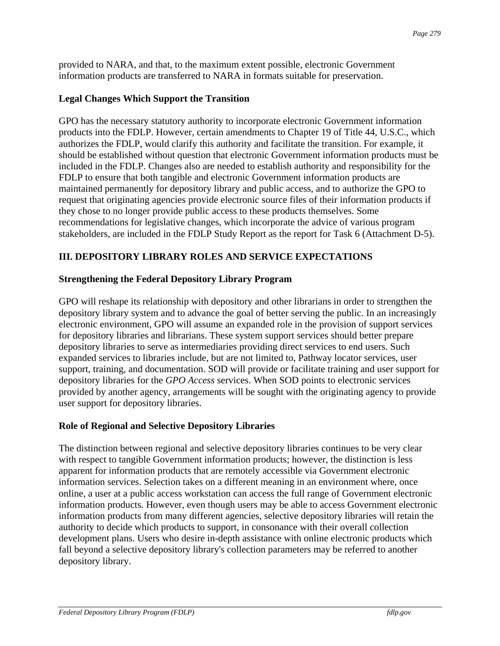provided to NARA, and that, to the maximum extent possible, electronic Government information products are transferred to NARA in formats suitable for preservation.

#### **Legal Changes Which Support the Transition**

GPO has the necessary statutory authority to incorporate electronic Government information products into the FDLP. However, certain amendments to Chapter 19 of Title 44, U.S.C., which authorizes the FDLP, would clarify this authority and facilitate the transition. For example, it should be established without question that electronic Government information products must be included in the FDLP. Changes also are needed to establish authority and responsibility for the FDLP to ensure that both tangible and electronic Government information products are maintained permanently for depository library and public access, and to authorize the GPO to request that originating agencies provide electronic source files of their information products if they chose to no longer provide public access to these products themselves. Some recommendations for legislative changes, which incorporate the advice of various program stakeholders, are included in the FDLP Study Report as the report for Task 6 (Attachment D-5).

### **III. DEPOSITORY LIBRARY ROLES AND SERVICE EXPECTATIONS**

#### **Strengthening the Federal Depository Library Program**

GPO will reshape its relationship with depository and other librarians in order to strengthen the depository library system and to advance the goal of better serving the public. In an increasingly electronic environment, GPO will assume an expanded role in the provision of support services for depository libraries and librarians. These system support services should better prepare depository libraries to serve as intermediaries providing direct services to end users. Such expanded services to libraries include, but are not limited to, Pathway locator services, user support, training, and documentation. SOD will provide or facilitate training and user support for depository libraries for the *GPO Access* services. When SOD points to electronic services provided by another agency, arrangements will be sought with the originating agency to provide user support for depository libraries.

#### **Role of Regional and Selective Depository Libraries**

The distinction between regional and selective depository libraries continues to be very clear with respect to tangible Government information products; however, the distinction is less apparent for information products that are remotely accessible via Government electronic information services. Selection takes on a different meaning in an environment where, once online, a user at a public access workstation can access the full range of Government electronic information products. However, even though users may be able to access Government electronic information products from many different agencies, selective depository libraries will retain the authority to decide which products to support, in consonance with their overall collection development plans. Users who desire in-depth assistance with online electronic products which fall beyond a selective depository library's collection parameters may be referred to another depository library.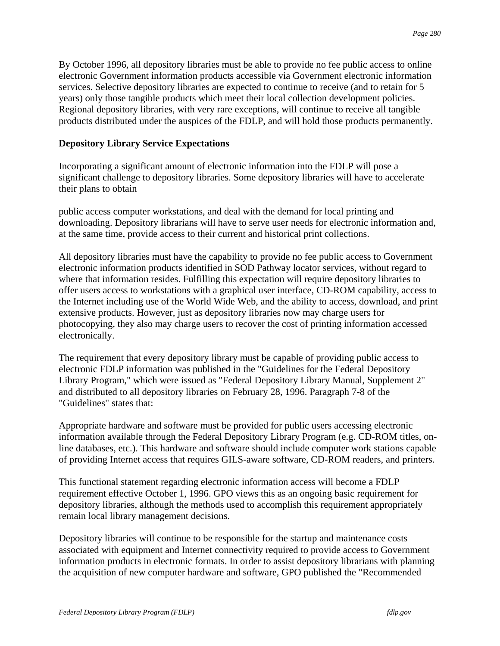By October 1996, all depository libraries must be able to provide no fee public access to online electronic Government information products accessible via Government electronic information services. Selective depository libraries are expected to continue to receive (and to retain for 5 years) only those tangible products which meet their local collection development policies. Regional depository libraries, with very rare exceptions, will continue to receive all tangible products distributed under the auspices of the FDLP, and will hold those products permanently.

# **Depository Library Service Expectations**

Incorporating a significant amount of electronic information into the FDLP will pose a significant challenge to depository libraries. Some depository libraries will have to accelerate their plans to obtain

public access computer workstations, and deal with the demand for local printing and downloading. Depository librarians will have to serve user needs for electronic information and, at the same time, provide access to their current and historical print collections.

All depository libraries must have the capability to provide no fee public access to Government electronic information products identified in SOD Pathway locator services, without regard to where that information resides. Fulfilling this expectation will require depository libraries to offer users access to workstations with a graphical user interface, CD-ROM capability, access to the Internet including use of the World Wide Web, and the ability to access, download, and print extensive products. However, just as depository libraries now may charge users for photocopying, they also may charge users to recover the cost of printing information accessed electronically.

The requirement that every depository library must be capable of providing public access to electronic FDLP information was published in the "Guidelines for the Federal Depository Library Program," which were issued as "Federal Depository Library Manual, Supplement 2" and distributed to all depository libraries on February 28, 1996. Paragraph 7-8 of the "Guidelines" states that:

Appropriate hardware and software must be provided for public users accessing electronic information available through the Federal Depository Library Program (e.g. CD-ROM titles, online databases, etc.). This hardware and software should include computer work stations capable of providing Internet access that requires GILS-aware software, CD-ROM readers, and printers.

This functional statement regarding electronic information access will become a FDLP requirement effective October 1, 1996. GPO views this as an ongoing basic requirement for depository libraries, although the methods used to accomplish this requirement appropriately remain local library management decisions.

Depository libraries will continue to be responsible for the startup and maintenance costs associated with equipment and Internet connectivity required to provide access to Government information products in electronic formats. In order to assist depository librarians with planning the acquisition of new computer hardware and software, GPO published the "Recommended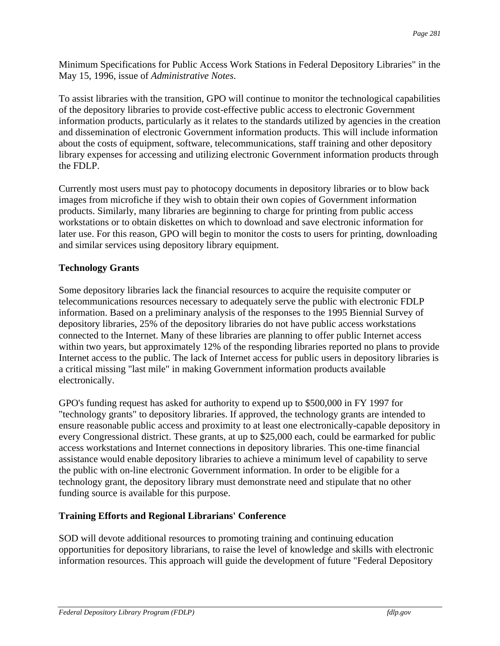Minimum Specifications for Public Access Work Stations in Federal Depository Libraries" in the May 15, 1996, issue of *Administrative Notes*.

To assist libraries with the transition, GPO will continue to monitor the technological capabilities of the depository libraries to provide cost-effective public access to electronic Government information products, particularly as it relates to the standards utilized by agencies in the creation and dissemination of electronic Government information products. This will include information about the costs of equipment, software, telecommunications, staff training and other depository library expenses for accessing and utilizing electronic Government information products through the FDLP.

Currently most users must pay to photocopy documents in depository libraries or to blow back images from microfiche if they wish to obtain their own copies of Government information products. Similarly, many libraries are beginning to charge for printing from public access workstations or to obtain diskettes on which to download and save electronic information for later use. For this reason, GPO will begin to monitor the costs to users for printing, downloading and similar services using depository library equipment.

# **Technology Grants**

Some depository libraries lack the financial resources to acquire the requisite computer or telecommunications resources necessary to adequately serve the public with electronic FDLP information. Based on a preliminary analysis of the responses to the 1995 Biennial Survey of depository libraries, 25% of the depository libraries do not have public access workstations connected to the Internet. Many of these libraries are planning to offer public Internet access within two years, but approximately 12% of the responding libraries reported no plans to provide Internet access to the public. The lack of Internet access for public users in depository libraries is a critical missing "last mile" in making Government information products available electronically.

GPO's funding request has asked for authority to expend up to \$500,000 in FY 1997 for "technology grants" to depository libraries. If approved, the technology grants are intended to ensure reasonable public access and proximity to at least one electronically-capable depository in every Congressional district. These grants, at up to \$25,000 each, could be earmarked for public access workstations and Internet connections in depository libraries. This one-time financial assistance would enable depository libraries to achieve a minimum level of capability to serve the public with on-line electronic Government information. In order to be eligible for a technology grant, the depository library must demonstrate need and stipulate that no other funding source is available for this purpose.

# **Training Efforts and Regional Librarians' Conference**

SOD will devote additional resources to promoting training and continuing education opportunities for depository librarians, to raise the level of knowledge and skills with electronic information resources. This approach will guide the development of future "Federal Depository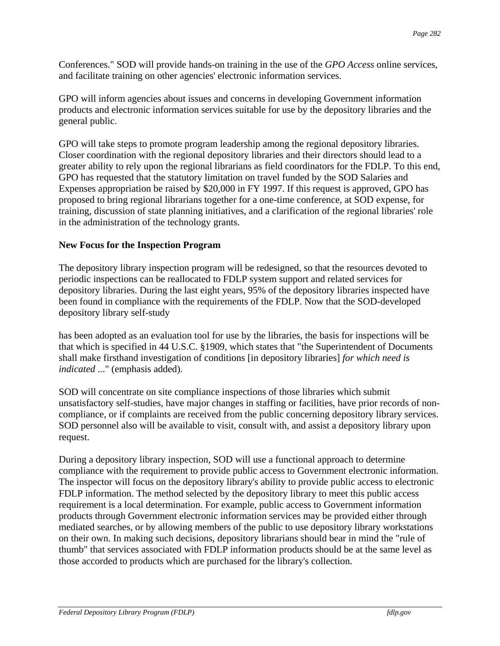Conferences." SOD will provide hands-on training in the use of the *GPO Access* online services, and facilitate training on other agencies' electronic information services.

GPO will inform agencies about issues and concerns in developing Government information products and electronic information services suitable for use by the depository libraries and the general public.

GPO will take steps to promote program leadership among the regional depository libraries. Closer coordination with the regional depository libraries and their directors should lead to a greater ability to rely upon the regional librarians as field coordinators for the FDLP. To this end, GPO has requested that the statutory limitation on travel funded by the SOD Salaries and Expenses appropriation be raised by \$20,000 in FY 1997. If this request is approved, GPO has proposed to bring regional librarians together for a one-time conference, at SOD expense, for training, discussion of state planning initiatives, and a clarification of the regional libraries' role in the administration of the technology grants.

# **New Focus for the Inspection Program**

The depository library inspection program will be redesigned, so that the resources devoted to periodic inspections can be reallocated to FDLP system support and related services for depository libraries. During the last eight years, 95% of the depository libraries inspected have been found in compliance with the requirements of the FDLP. Now that the SOD-developed depository library self-study

has been adopted as an evaluation tool for use by the libraries, the basis for inspections will be that which is specified in 44 U.S.C. §1909, which states that "the Superintendent of Documents shall make firsthand investigation of conditions [in depository libraries] *for which need is indicated* ..." (emphasis added).

SOD will concentrate on site compliance inspections of those libraries which submit unsatisfactory self-studies, have major changes in staffing or facilities, have prior records of noncompliance, or if complaints are received from the public concerning depository library services. SOD personnel also will be available to visit, consult with, and assist a depository library upon request.

During a depository library inspection, SOD will use a functional approach to determine compliance with the requirement to provide public access to Government electronic information. The inspector will focus on the depository library's ability to provide public access to electronic FDLP information. The method selected by the depository library to meet this public access requirement is a local determination. For example, public access to Government information products through Government electronic information services may be provided either through mediated searches, or by allowing members of the public to use depository library workstations on their own. In making such decisions, depository librarians should bear in mind the "rule of thumb" that services associated with FDLP information products should be at the same level as those accorded to products which are purchased for the library's collection.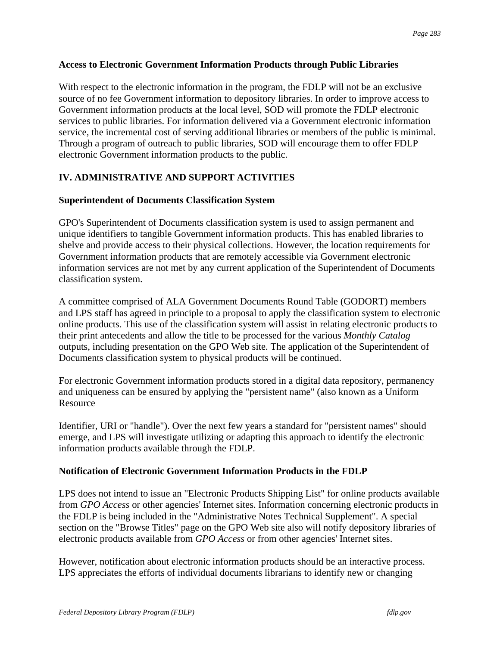# **Access to Electronic Government Information Products through Public Libraries**

With respect to the electronic information in the program, the FDLP will not be an exclusive source of no fee Government information to depository libraries. In order to improve access to Government information products at the local level, SOD will promote the FDLP electronic services to public libraries. For information delivered via a Government electronic information service, the incremental cost of serving additional libraries or members of the public is minimal. Through a program of outreach to public libraries, SOD will encourage them to offer FDLP electronic Government information products to the public.

# **IV. ADMINISTRATIVE AND SUPPORT ACTIVITIES**

# **Superintendent of Documents Classification System**

GPO's Superintendent of Documents classification system is used to assign permanent and unique identifiers to tangible Government information products. This has enabled libraries to shelve and provide access to their physical collections. However, the location requirements for Government information products that are remotely accessible via Government electronic information services are not met by any current application of the Superintendent of Documents classification system.

A committee comprised of ALA Government Documents Round Table (GODORT) members and LPS staff has agreed in principle to a proposal to apply the classification system to electronic online products. This use of the classification system will assist in relating electronic products to their print antecedents and allow the title to be processed for the various *Monthly Catalog* outputs, including presentation on the GPO Web site. The application of the Superintendent of Documents classification system to physical products will be continued.

For electronic Government information products stored in a digital data repository, permanency and uniqueness can be ensured by applying the "persistent name" (also known as a Uniform Resource

Identifier, URI or "handle"). Over the next few years a standard for "persistent names" should emerge, and LPS will investigate utilizing or adapting this approach to identify the electronic information products available through the FDLP.

# **Notification of Electronic Government Information Products in the FDLP**

LPS does not intend to issue an "Electronic Products Shipping List" for online products available from *GPO Access* or other agencies' Internet sites. Information concerning electronic products in the FDLP is being included in the "Administrative Notes Technical Supplement". A special section on the "Browse Titles" page on the GPO Web site also will notify depository libraries of electronic products available from *GPO Access* or from other agencies' Internet sites.

However, notification about electronic information products should be an interactive process. LPS appreciates the efforts of individual documents librarians to identify new or changing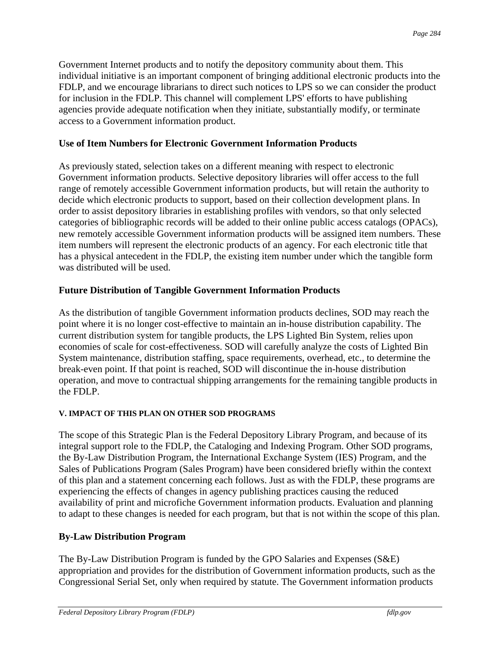Government Internet products and to notify the depository community about them. This individual initiative is an important component of bringing additional electronic products into the FDLP, and we encourage librarians to direct such notices to LPS so we can consider the product for inclusion in the FDLP. This channel will complement LPS' efforts to have publishing agencies provide adequate notification when they initiate, substantially modify, or terminate access to a Government information product.

# **Use of Item Numbers for Electronic Government Information Products**

As previously stated, selection takes on a different meaning with respect to electronic Government information products. Selective depository libraries will offer access to the full range of remotely accessible Government information products, but will retain the authority to decide which electronic products to support, based on their collection development plans. In order to assist depository libraries in establishing profiles with vendors, so that only selected categories of bibliographic records will be added to their online public access catalogs (OPACs), new remotely accessible Government information products will be assigned item numbers. These item numbers will represent the electronic products of an agency. For each electronic title that has a physical antecedent in the FDLP, the existing item number under which the tangible form was distributed will be used.

# **Future Distribution of Tangible Government Information Products**

As the distribution of tangible Government information products declines, SOD may reach the point where it is no longer cost-effective to maintain an in-house distribution capability. The current distribution system for tangible products, the LPS Lighted Bin System, relies upon economies of scale for cost-effectiveness. SOD will carefully analyze the costs of Lighted Bin System maintenance, distribution staffing, space requirements, overhead, etc., to determine the break-even point. If that point is reached, SOD will discontinue the in-house distribution operation, and move to contractual shipping arrangements for the remaining tangible products in the FDLP.

# **V. IMPACT OF THIS PLAN ON OTHER SOD PROGRAMS**

The scope of this Strategic Plan is the Federal Depository Library Program, and because of its integral support role to the FDLP, the Cataloging and Indexing Program. Other SOD programs, the By-Law Distribution Program, the International Exchange System (IES) Program, and the Sales of Publications Program (Sales Program) have been considered briefly within the context of this plan and a statement concerning each follows. Just as with the FDLP, these programs are experiencing the effects of changes in agency publishing practices causing the reduced availability of print and microfiche Government information products. Evaluation and planning to adapt to these changes is needed for each program, but that is not within the scope of this plan.

# **By-Law Distribution Program**

The By-Law Distribution Program is funded by the GPO Salaries and Expenses (S&E) appropriation and provides for the distribution of Government information products, such as the Congressional Serial Set, only when required by statute. The Government information products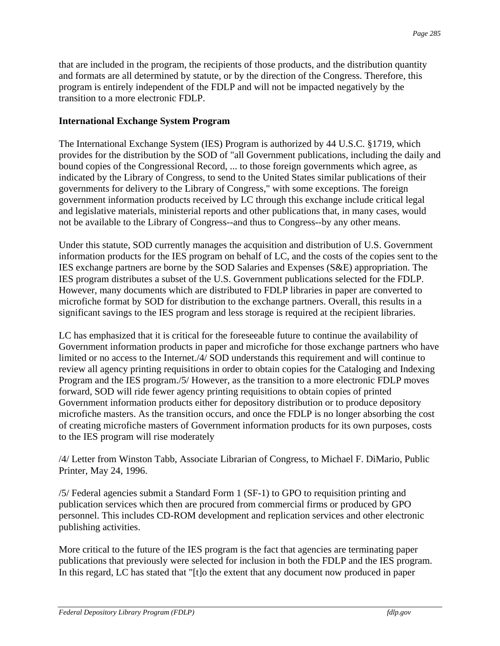that are included in the program, the recipients of those products, and the distribution quantity and formats are all determined by statute, or by the direction of the Congress. Therefore, this program is entirely independent of the FDLP and will not be impacted negatively by the transition to a more electronic FDLP.

### **International Exchange System Program**

The International Exchange System (IES) Program is authorized by 44 U.S.C. §1719, which provides for the distribution by the SOD of "all Government publications, including the daily and bound copies of the Congressional Record, ... to those foreign governments which agree, as indicated by the Library of Congress, to send to the United States similar publications of their governments for delivery to the Library of Congress," with some exceptions. The foreign government information products received by LC through this exchange include critical legal and legislative materials, ministerial reports and other publications that, in many cases, would not be available to the Library of Congress--and thus to Congress--by any other means.

Under this statute, SOD currently manages the acquisition and distribution of U.S. Government information products for the IES program on behalf of LC, and the costs of the copies sent to the IES exchange partners are borne by the SOD Salaries and Expenses (S&E) appropriation. The IES program distributes a subset of the U.S. Government publications selected for the FDLP. However, many documents which are distributed to FDLP libraries in paper are converted to microfiche format by SOD for distribution to the exchange partners. Overall, this results in a significant savings to the IES program and less storage is required at the recipient libraries.

LC has emphasized that it is critical for the foreseeable future to continue the availability of Government information products in paper and microfiche for those exchange partners who have limited or no access to the Internet./4/ SOD understands this requirement and will continue to review all agency printing requisitions in order to obtain copies for the Cataloging and Indexing Program and the IES program./5/ However, as the transition to a more electronic FDLP moves forward, SOD will ride fewer agency printing requisitions to obtain copies of printed Government information products either for depository distribution or to produce depository microfiche masters. As the transition occurs, and once the FDLP is no longer absorbing the cost of creating microfiche masters of Government information products for its own purposes, costs to the IES program will rise moderately

/4/ Letter from Winston Tabb, Associate Librarian of Congress, to Michael F. DiMario, Public Printer, May 24, 1996.

/5/ Federal agencies submit a Standard Form 1 (SF-1) to GPO to requisition printing and publication services which then are procured from commercial firms or produced by GPO personnel. This includes CD-ROM development and replication services and other electronic publishing activities.

More critical to the future of the IES program is the fact that agencies are terminating paper publications that previously were selected for inclusion in both the FDLP and the IES program. In this regard, LC has stated that "[t]o the extent that any document now produced in paper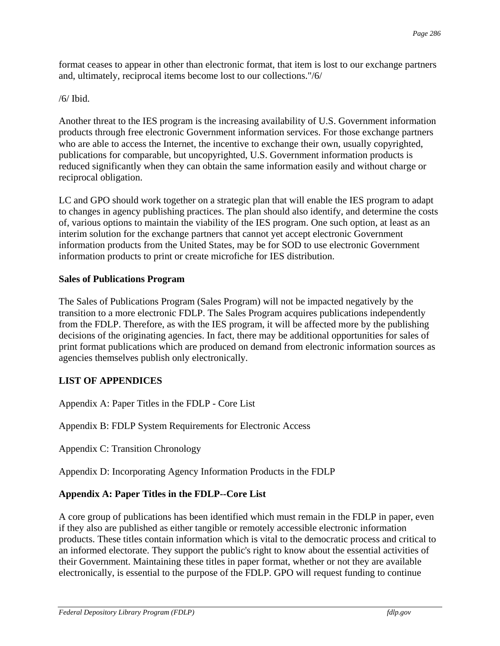format ceases to appear in other than electronic format, that item is lost to our exchange partners and, ultimately, reciprocal items become lost to our collections."/6/

/6/ Ibid.

Another threat to the IES program is the increasing availability of U.S. Government information products through free electronic Government information services. For those exchange partners who are able to access the Internet, the incentive to exchange their own, usually copyrighted, publications for comparable, but uncopyrighted, U.S. Government information products is reduced significantly when they can obtain the same information easily and without charge or reciprocal obligation.

LC and GPO should work together on a strategic plan that will enable the IES program to adapt to changes in agency publishing practices. The plan should also identify, and determine the costs of, various options to maintain the viability of the IES program. One such option, at least as an interim solution for the exchange partners that cannot yet accept electronic Government information products from the United States, may be for SOD to use electronic Government information products to print or create microfiche for IES distribution.

### **Sales of Publications Program**

The Sales of Publications Program (Sales Program) will not be impacted negatively by the transition to a more electronic FDLP. The Sales Program acquires publications independently from the FDLP. Therefore, as with the IES program, it will be affected more by the publishing decisions of the originating agencies. In fact, there may be additional opportunities for sales of print format publications which are produced on demand from electronic information sources as agencies themselves publish only electronically.

# **LIST OF APPENDICES**

Appendix A: Paper Titles in the FDLP - Core List

Appendix B: FDLP System Requirements for Electronic Access

Appendix C: Transition Chronology

Appendix D: Incorporating Agency Information Products in the FDLP

# **Appendix A: Paper Titles in the FDLP--Core List**

A core group of publications has been identified which must remain in the FDLP in paper, even if they also are published as either tangible or remotely accessible electronic information products. These titles contain information which is vital to the democratic process and critical to an informed electorate. They support the public's right to know about the essential activities of their Government. Maintaining these titles in paper format, whether or not they are available electronically, is essential to the purpose of the FDLP. GPO will request funding to continue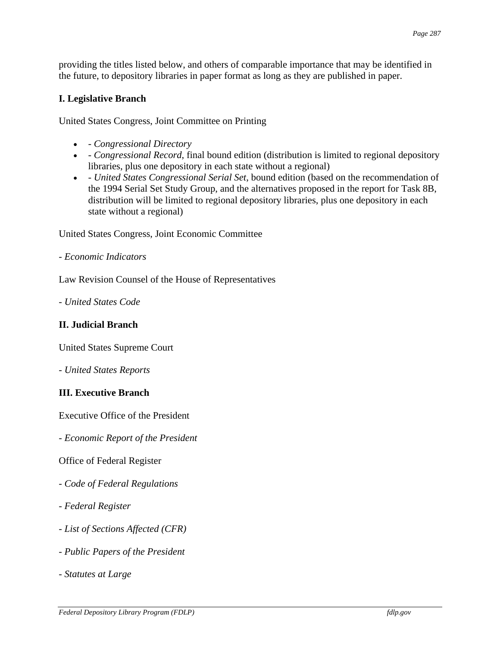providing the titles listed below, and others of comparable importance that may be identified in the future, to depository libraries in paper format as long as they are published in paper.

### **I. Legislative Branch**

United States Congress, Joint Committee on Printing

- *Congressional Directory*
- *Congressional Record*, final bound edition (distribution is limited to regional depository libraries, plus one depository in each state without a regional)
- *United States Congressional Serial Set*, bound edition (based on the recommendation of the 1994 Serial Set Study Group, and the alternatives proposed in the report for Task 8B, distribution will be limited to regional depository libraries, plus one depository in each state without a regional)

United States Congress, Joint Economic Committee

#### - *Economic Indicators*

Law Revision Counsel of the House of Representatives

- *United States Code*

### **II. Judicial Branch**

United States Supreme Court

- *United States Reports*

#### **III. Executive Branch**

Executive Office of the President

- *Economic Report of the President*

Office of Federal Register

- *Code of Federal Regulations*
- *Federal Register*
- *List of Sections Affected (CFR)*
- *Public Papers of the President*
- *Statutes at Large*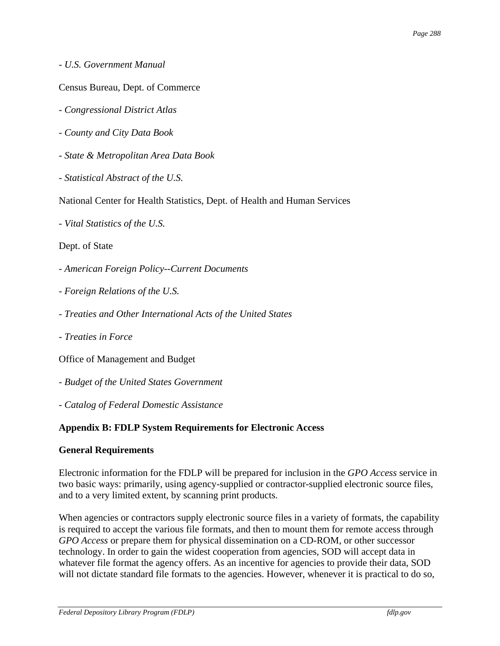- *U.S. Government Manual*
- Census Bureau, Dept. of Commerce
- *Congressional District Atlas*
- *County and City Data Book*
- *State & Metropolitan Area Data Book*
- *Statistical Abstract of the U.S.*

National Center for Health Statistics, Dept. of Health and Human Services

- *Vital Statistics of the U.S.*
- Dept. of State
- *American Foreign Policy--Current Documents*
- *Foreign Relations of the U.S.*
- *Treaties and Other International Acts of the United States*
- *Treaties in Force*

Office of Management and Budget

- *Budget of the United States Government*
- *Catalog of Federal Domestic Assistance*

#### **Appendix B: FDLP System Requirements for Electronic Access**

#### **General Requirements**

Electronic information for the FDLP will be prepared for inclusion in the *GPO Access* service in two basic ways: primarily, using agency-supplied or contractor-supplied electronic source files, and to a very limited extent, by scanning print products.

When agencies or contractors supply electronic source files in a variety of formats, the capability is required to accept the various file formats, and then to mount them for remote access through *GPO Access* or prepare them for physical dissemination on a CD-ROM, or other successor technology. In order to gain the widest cooperation from agencies, SOD will accept data in whatever file format the agency offers. As an incentive for agencies to provide their data, SOD will not dictate standard file formats to the agencies. However, whenever it is practical to do so,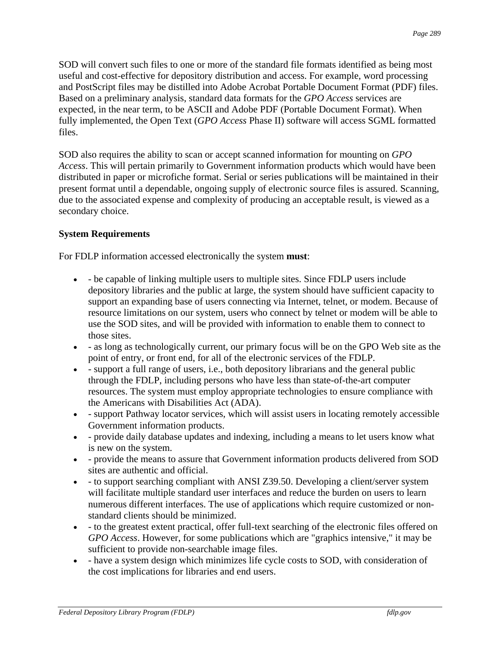SOD will convert such files to one or more of the standard file formats identified as being most useful and cost-effective for depository distribution and access. For example, word processing and PostScript files may be distilled into Adobe Acrobat Portable Document Format (PDF) files. Based on a preliminary analysis, standard data formats for the *GPO Access* services are expected, in the near term, to be ASCII and Adobe PDF (Portable Document Format). When fully implemented, the Open Text (*GPO Access* Phase II) software will access SGML formatted files.

SOD also requires the ability to scan or accept scanned information for mounting on *GPO Access*. This will pertain primarily to Government information products which would have been distributed in paper or microfiche format. Serial or series publications will be maintained in their present format until a dependable, ongoing supply of electronic source files is assured. Scanning, due to the associated expense and complexity of producing an acceptable result, is viewed as a secondary choice.

## **System Requirements**

For FDLP information accessed electronically the system **must**:

- be capable of linking multiple users to multiple sites. Since FDLP users include depository libraries and the public at large, the system should have sufficient capacity to support an expanding base of users connecting via Internet, telnet, or modem. Because of resource limitations on our system, users who connect by telnet or modem will be able to use the SOD sites, and will be provided with information to enable them to connect to those sites.
- as long as technologically current, our primary focus will be on the GPO Web site as the point of entry, or front end, for all of the electronic services of the FDLP.
- support a full range of users, i.e., both depository librarians and the general public through the FDLP, including persons who have less than state-of-the-art computer resources. The system must employ appropriate technologies to ensure compliance with the Americans with Disabilities Act (ADA).
- support Pathway locator services, which will assist users in locating remotely accessible Government information products.
- provide daily database updates and indexing, including a means to let users know what is new on the system.
- provide the means to assure that Government information products delivered from SOD sites are authentic and official.
- to support searching compliant with ANSI Z39.50. Developing a client/server system will facilitate multiple standard user interfaces and reduce the burden on users to learn numerous different interfaces. The use of applications which require customized or nonstandard clients should be minimized.
- to the greatest extent practical, offer full-text searching of the electronic files offered on *GPO Access*. However, for some publications which are "graphics intensive," it may be sufficient to provide non-searchable image files.
- have a system design which minimizes life cycle costs to SOD, with consideration of the cost implications for libraries and end users.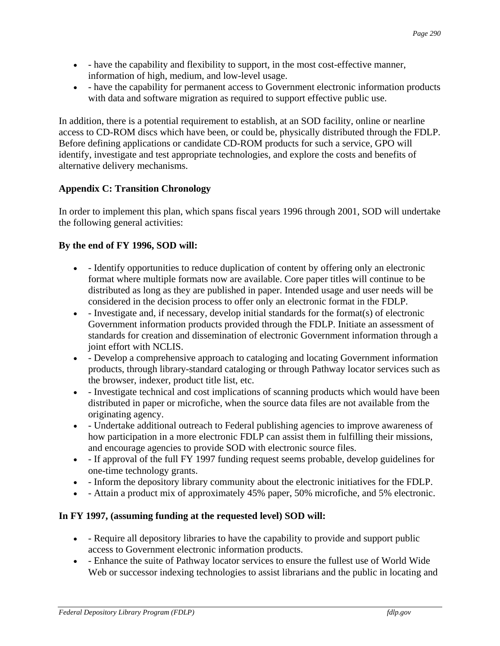- have the capability and flexibility to support, in the most cost-effective manner, information of high, medium, and low-level usage.
- have the capability for permanent access to Government electronic information products with data and software migration as required to support effective public use.

In addition, there is a potential requirement to establish, at an SOD facility, online or nearline access to CD-ROM discs which have been, or could be, physically distributed through the FDLP. Before defining applications or candidate CD-ROM products for such a service, GPO will identify, investigate and test appropriate technologies, and explore the costs and benefits of alternative delivery mechanisms.

# **Appendix C: Transition Chronology**

In order to implement this plan, which spans fiscal years 1996 through 2001, SOD will undertake the following general activities:

# **By the end of FY 1996, SOD will:**

- Identify opportunities to reduce duplication of content by offering only an electronic format where multiple formats now are available. Core paper titles will continue to be distributed as long as they are published in paper. Intended usage and user needs will be considered in the decision process to offer only an electronic format in the FDLP.
- Investigate and, if necessary, develop initial standards for the format(s) of electronic Government information products provided through the FDLP. Initiate an assessment of standards for creation and dissemination of electronic Government information through a joint effort with NCLIS.
- Develop a comprehensive approach to cataloging and locating Government information products, through library-standard cataloging or through Pathway locator services such as the browser, indexer, product title list, etc.
- Investigate technical and cost implications of scanning products which would have been distributed in paper or microfiche, when the source data files are not available from the originating agency.
- Undertake additional outreach to Federal publishing agencies to improve awareness of how participation in a more electronic FDLP can assist them in fulfilling their missions, and encourage agencies to provide SOD with electronic source files.
- If approval of the full FY 1997 funding request seems probable, develop guidelines for one-time technology grants.
- Inform the depository library community about the electronic initiatives for the FDLP.
- Attain a product mix of approximately 45% paper, 50% microfiche, and 5% electronic.

# **In FY 1997, (assuming funding at the requested level) SOD will:**

- Require all depository libraries to have the capability to provide and support public access to Government electronic information products.
- Enhance the suite of Pathway locator services to ensure the fullest use of World Wide Web or successor indexing technologies to assist librarians and the public in locating and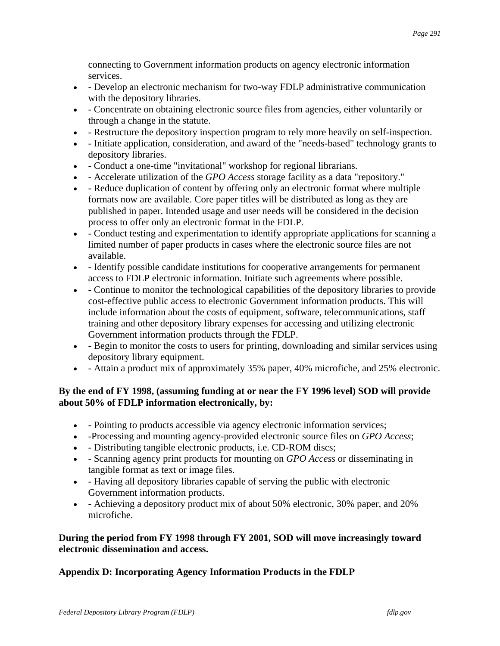connecting to Government information products on agency electronic information services.

- Develop an electronic mechanism for two-way FDLP administrative communication with the depository libraries.
- Concentrate on obtaining electronic source files from agencies, either voluntarily or through a change in the statute.
- Restructure the depository inspection program to rely more heavily on self-inspection.
- Initiate application, consideration, and award of the "needs-based" technology grants to depository libraries.
- Conduct a one-time "invitational" workshop for regional librarians.
- Accelerate utilization of the *GPO Access* storage facility as a data "repository."
- Reduce duplication of content by offering only an electronic format where multiple formats now are available. Core paper titles will be distributed as long as they are published in paper. Intended usage and user needs will be considered in the decision process to offer only an electronic format in the FDLP.
- Conduct testing and experimentation to identify appropriate applications for scanning a limited number of paper products in cases where the electronic source files are not available.
- Identify possible candidate institutions for cooperative arrangements for permanent access to FDLP electronic information. Initiate such agreements where possible.
- Continue to monitor the technological capabilities of the depository libraries to provide cost-effective public access to electronic Government information products. This will include information about the costs of equipment, software, telecommunications, staff training and other depository library expenses for accessing and utilizing electronic Government information products through the FDLP.
- Begin to monitor the costs to users for printing, downloading and similar services using depository library equipment.
- Attain a product mix of approximately 35% paper, 40% microfiche, and 25% electronic.

## **By the end of FY 1998, (assuming funding at or near the FY 1996 level) SOD will provide about 50% of FDLP information electronically, by:**

- Pointing to products accessible via agency electronic information services;
- -Processing and mounting agency-provided electronic source files on *GPO Access*;
- Distributing tangible electronic products, i.e. CD-ROM discs;
- Scanning agency print products for mounting on *GPO Access* or disseminating in tangible format as text or image files.
- Having all depository libraries capable of serving the public with electronic Government information products.
- Achieving a depository product mix of about 50% electronic, 30% paper, and 20% microfiche.

# **During the period from FY 1998 through FY 2001, SOD will move increasingly toward electronic dissemination and access.**

# **Appendix D: Incorporating Agency Information Products in the FDLP**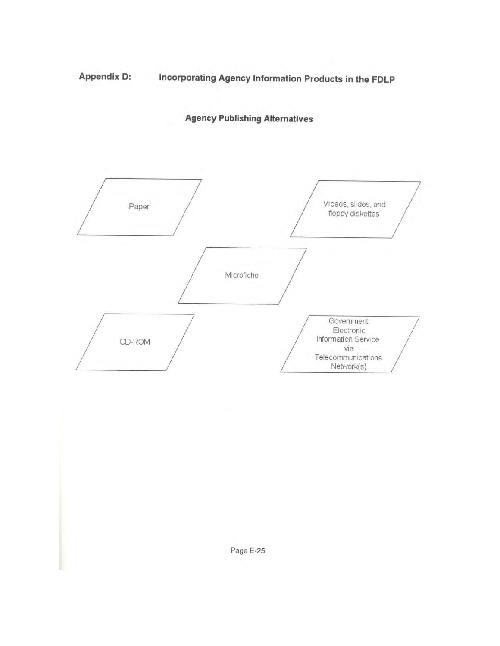#### Incorporating Agency Information Products in the FDLP Appendix D:

# **Agency Publishing Alternatives**

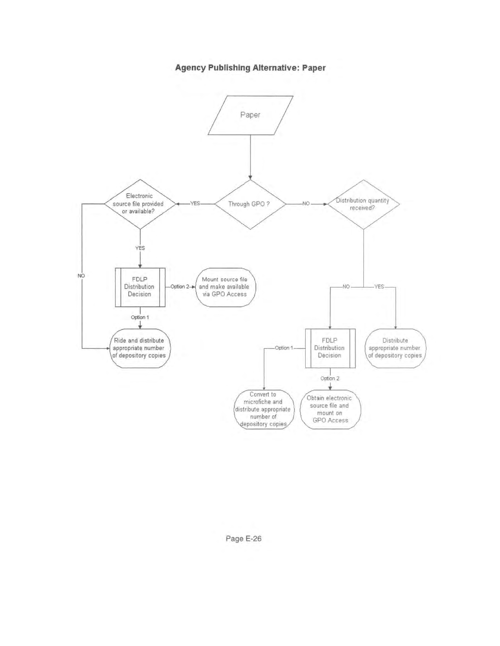**Agency Publishing Alternative: Paper** 



Page E-26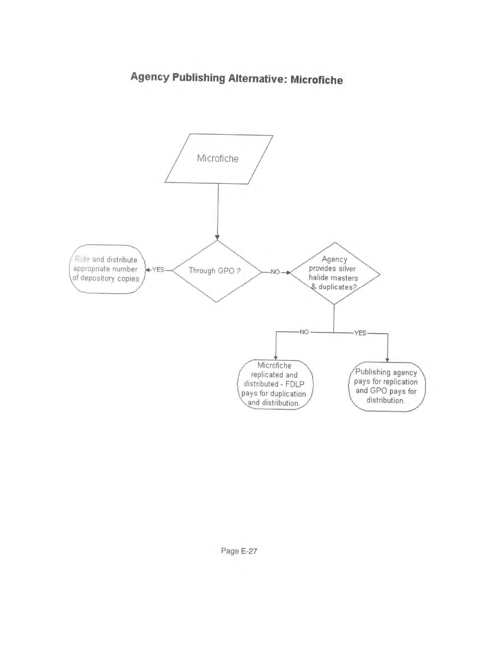# **Agency Publishing Alternative: Microfiche**



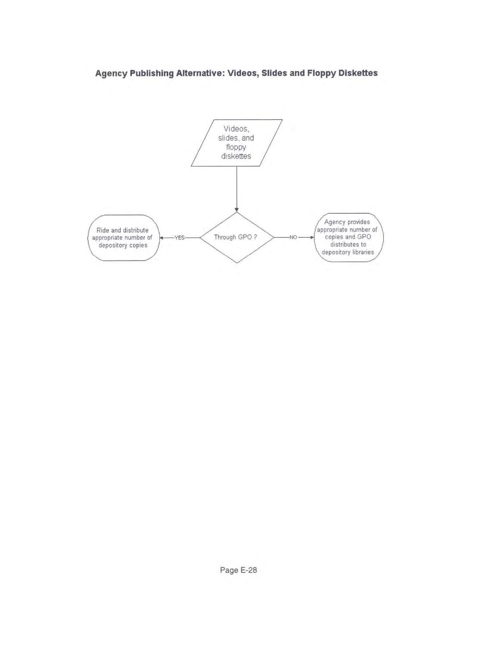## Agency Publishing Alternative: Videos, Slides and Floppy Diskettes

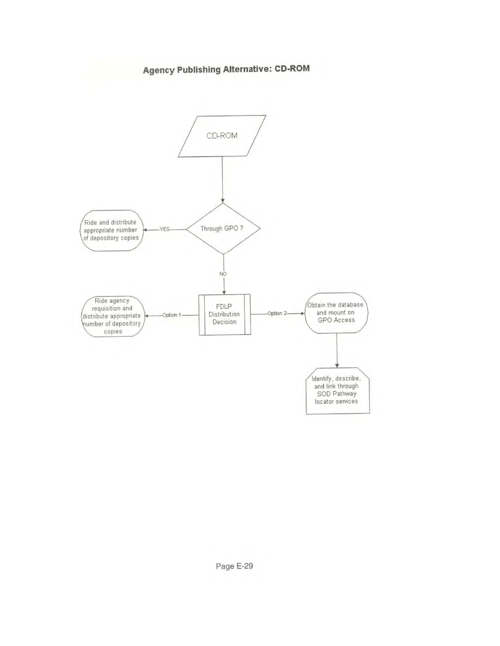# **Agency Publishing Alternative: CD-ROM**